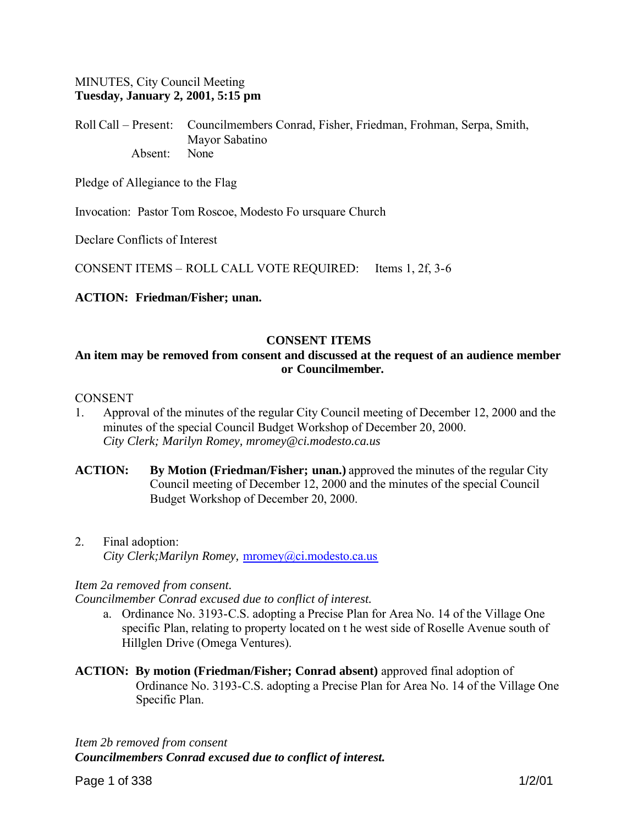### MINUTES, City Council Meeting **Tuesday, January 2, 2001, 5:15 pm**

Roll Call – Present: Councilmembers Conrad, Fisher, Friedman, Frohman, Serpa, Smith, Mayor Sabatino Absent: None

Pledge of Allegiance to the Flag

Invocation: Pastor Tom Roscoe, Modesto Fo ursquare Church

Declare Conflicts of Interest

CONSENT ITEMS – ROLL CALL VOTE REQUIRED: Items 1, 2f, 3-6

#### **ACTION: Friedman/Fisher; unan.**

### **CONSENT ITEMS**

### **An item may be removed from consent and discussed at the request of an audience member or Councilmember.**

#### **CONSENT**

- 1. Approval of the minutes of the regular City Council meeting of December 12, 2000 and the minutes of the special Council Budget Workshop of December 20, 2000. *City Clerk; Marilyn Romey, mromey@ci.modesto.ca.us*
- **ACTION: By Motion (Friedman/Fisher; unan.)** approved the minutes of the regular City Council meeting of December 12, 2000 and the minutes of the special Council Budget Workshop of December 20, 2000.
- 2. Final adoption: *City Clerk;Marilyn Romey,* mromey@ci.modesto.ca.us

#### *Item 2a removed from consent.*

*Councilmember Conrad excused due to conflict of interest.*

- a. Ordinance No. 3193-C.S. adopting a Precise Plan for Area No. 14 of the Village One specific Plan, relating to property located on t he west side of Roselle Avenue south of Hillglen Drive (Omega Ventures).
- **ACTION: By motion (Friedman/Fisher; Conrad absent)** approved final adoption of Ordinance No. 3193-C.S. adopting a Precise Plan for Area No. 14 of the Village One Specific Plan.

*Item 2b removed from consent Councilmembers Conrad excused due to conflict of interest.*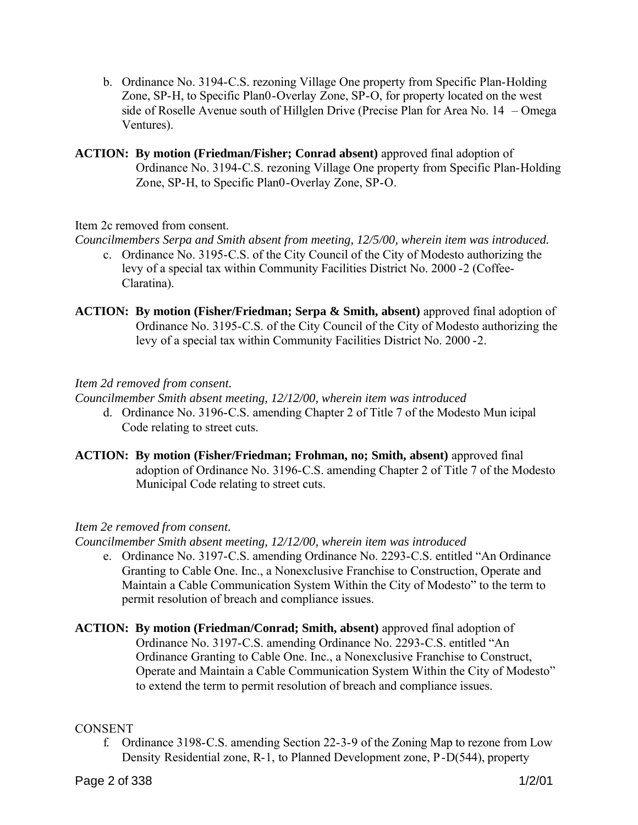- b. Ordinance No. 3194-C.S. rezoning Village One property from Specific Plan-Holding Zone, SP-H, to Specific Plan0-Overlay Zone, SP-O, for property located on the west side of Roselle Avenue south of Hillglen Drive (Precise Plan for Area No. 14 – Omega Ventures).
- **ACTION: By motion (Friedman/Fisher; Conrad absent)** approved final adoption of Ordinance No. 3194-C.S. rezoning Village One property from Specific Plan-Holding Zone, SP-H, to Specific Plan0-Overlay Zone, SP-O.

Item 2c removed from consent.

*Councilmembers Serpa and Smith absent from meeting, 12/5/00, wherein item was introduced.*

- c. Ordinance No. 3195-C.S. of the City Council of the City of Modesto authorizing the levy of a special tax within Community Facilities District No. 2000 -2 (Coffee-Claratina).
- **ACTION:** By motion (Fisher/Friedman; Serpa & Smith, absent) approved final adoption of Ordinance No. 3195-C.S. of the City Council of the City of Modesto authorizing the levy of a special tax within Community Facilities District No. 2000 -2.

# *Item 2d removed from consent.*

*Councilmember Smith absent meeting, 12/12/00, wherein item was introduced* 

- d. Ordinance No. 3196-C.S. amending Chapter 2 of Title 7 of the Modesto Mun icipal Code relating to street cuts.
- **ACTION: By motion (Fisher/Friedman; Frohman, no; Smith, absent)** approved final adoption of Ordinance No. 3196-C.S. amending Chapter 2 of Title 7 of the Modesto Municipal Code relating to street cuts.

# *Item 2e removed from consent.*

*Councilmember Smith absent meeting, 12/12/00, wherein item was introduced*

- e. Ordinance No. 3197-C.S. amending Ordinance No. 2293-C.S. entitled "An Ordinance Granting to Cable One. Inc., a Nonexclusive Franchise to Construction, Operate and Maintain a Cable Communication System Within the City of Modesto" to the term to permit resolution of breach and compliance issues.
- **ACTION: By motion (Friedman/Conrad; Smith, absent)** approved final adoption of Ordinance No. 3197-C.S. amending Ordinance No. 2293-C.S. entitled "An Ordinance Granting to Cable One. Inc., a Nonexclusive Franchise to Construct, Operate and Maintain a Cable Communication System Within the City of Modesto" to extend the term to permit resolution of breach and compliance issues.

# **CONSENT**

f. Ordinance 3198-C.S. amending Section 22-3-9 of the Zoning Map to rezone from Low Density Residential zone, R-1, to Planned Development zone, P-D(544), property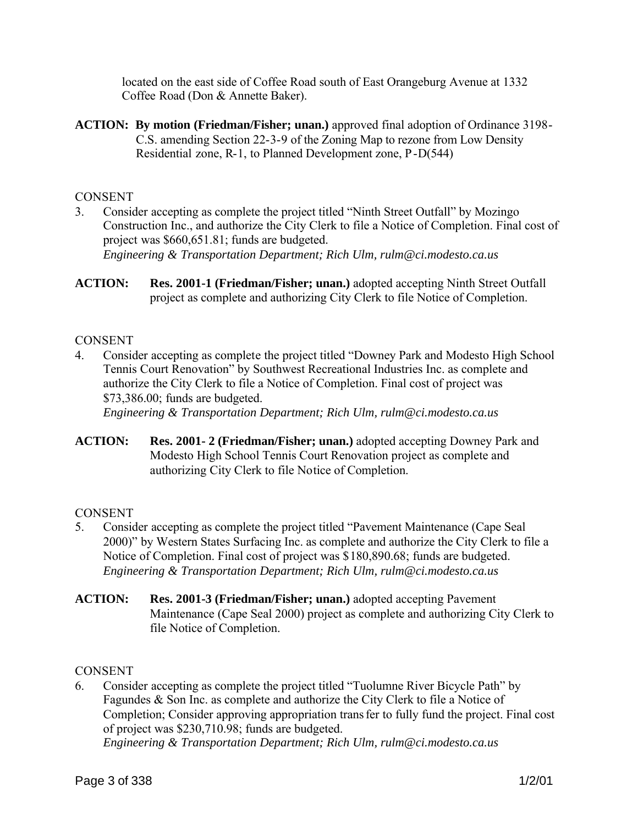located on the east side of Coffee Road south of East Orangeburg Avenue at 1332 Coffee Road (Don & Annette Baker).

**ACTION: By motion (Friedman/Fisher; unan.)** approved final adoption of Ordinance 3198- C.S. amending Section 22-3-9 of the Zoning Map to rezone from Low Density Residential zone, R-1, to Planned Development zone, P-D(544)

### **CONSENT**

- 3. Consider accepting as complete the project titled "Ninth Street Outfall" by Mozingo Construction Inc., and authorize the City Clerk to file a Notice of Completion. Final cost of project was \$660,651.81; funds are budgeted. *Engineering & Transportation Department; Rich Ulm, rulm@ci.modesto.ca.us*
- **ACTION: Res. 2001-1 (Friedman/Fisher; unan.)** adopted accepting Ninth Street Outfall project as complete and authorizing City Clerk to file Notice of Completion.

### **CONSENT**

4. Consider accepting as complete the project titled "Downey Park and Modesto High School Tennis Court Renovation" by Southwest Recreational Industries Inc. as complete and authorize the City Clerk to file a Notice of Completion. Final cost of project was \$73,386.00; funds are budgeted.

*Engineering & Transportation Department; Rich Ulm, rulm@ci.modesto.ca.us*

**ACTION: Res. 2001- 2 (Friedman/Fisher; unan.)** adopted accepting Downey Park and Modesto High School Tennis Court Renovation project as complete and authorizing City Clerk to file Notice of Completion.

# **CONSENT**

- 5. Consider accepting as complete the project titled "Pavement Maintenance (Cape Seal 2000)" by Western States Surfacing Inc. as complete and authorize the City Clerk to file a Notice of Completion. Final cost of project was \$180,890.68; funds are budgeted. *Engineering & Transportation Department; Rich Ulm, rulm@ci.modesto.ca.us*
- **ACTION: Res. 2001-3 (Friedman/Fisher; unan.)** adopted accepting Pavement Maintenance (Cape Seal 2000) project as complete and authorizing City Clerk to file Notice of Completion.

#### **CONSENT**

6. Consider accepting as complete the project titled "Tuolumne River Bicycle Path" by Fagundes & Son Inc. as complete and authorize the City Clerk to file a Notice of Completion; Consider approving appropriation transfer to fully fund the project. Final cost of project was \$230,710.98; funds are budgeted. *Engineering & Transportation Department; Rich Ulm, rulm@ci.modesto.ca.us*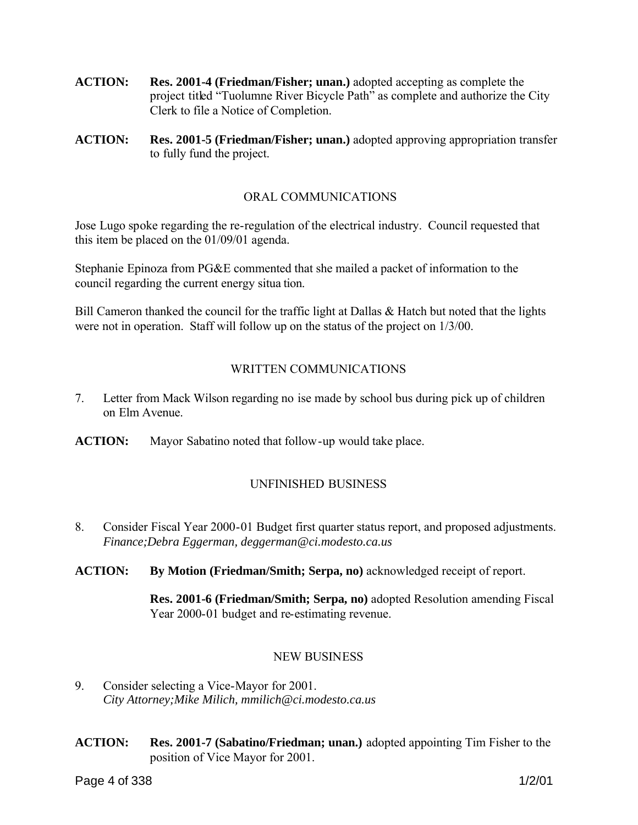- **ACTION: Res. 2001-4 (Friedman/Fisher; unan.)** adopted accepting as complete the project titled "Tuolumne River Bicycle Path" as complete and authorize the City Clerk to file a Notice of Completion.
- **ACTION: Res. 2001-5 (Friedman/Fisher; unan.)** adopted approving appropriation transfer to fully fund the project.

### ORAL COMMUNICATIONS

Jose Lugo spoke regarding the re-regulation of the electrical industry. Council requested that this item be placed on the 01/09/01 agenda.

Stephanie Epinoza from PG&E commented that she mailed a packet of information to the council regarding the current energy situa tion.

Bill Cameron thanked the council for the traffic light at Dallas & Hatch but noted that the lights were not in operation. Staff will follow up on the status of the project on 1/3/00.

# WRITTEN COMMUNICATIONS

- 7. Letter from Mack Wilson regarding no ise made by school bus during pick up of children on Elm Avenue.
- **ACTION:** Mayor Sabatino noted that follow-up would take place.

# UNFINISHED BUSINESS

8. Consider Fiscal Year 2000-01 Budget first quarter status report, and proposed adjustments. *Finance;Debra Eggerman, deggerman@ci.modesto.ca.us*

**ACTION: By Motion (Friedman/Smith; Serpa, no)** acknowledged receipt of report.

**Res. 2001-6 (Friedman/Smith; Serpa, no)** adopted Resolution amending Fiscal Year 2000-01 budget and re-estimating revenue.

#### NEW BUSINESS

- 9. Consider selecting a Vice-Mayor for 2001. *City Attorney;Mike Milich, mmilich@ci.modesto.ca.us*
- **ACTION: Res. 2001-7 (Sabatino/Friedman; unan.)** adopted appointing Tim Fisher to the position of Vice Mayor for 2001.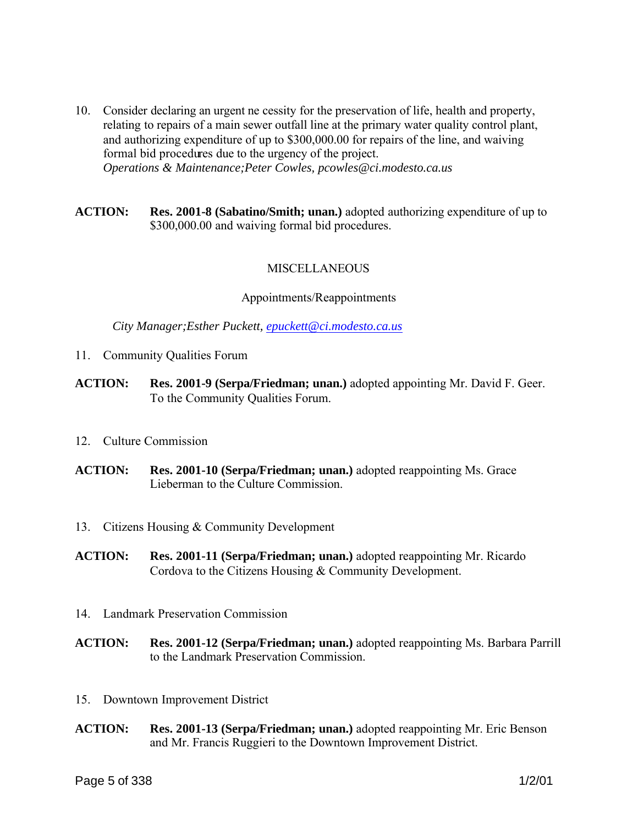- 10. Consider declaring an urgent ne cessity for the preservation of life, health and property, relating to repairs of a main sewer outfall line at the primary water quality control plant, and authorizing expenditure of up to \$300,000.00 for repairs of the line, and waiving formal bid procedures due to the urgency of the project. *Operations & Maintenance;Peter Cowles, pcowles@ci.modesto.ca.us*
- **ACTION: Res. 2001-8 (Sabatino/Smith; unan.)** adopted authorizing expenditure of up to \$300,000.00 and waiving formal bid procedures.

#### **MISCELLANEOUS**

#### Appointments/Reappointments

*City Manager;Esther Puckett, epuckett@ci.modesto.ca.us*

- 11. Community Qualities Forum
- **ACTION: Res. 2001-9 (Serpa/Friedman; unan.)** adopted appointing Mr. David F. Geer. To the Community Qualities Forum.
- 12. Culture Commission
- **ACTION: Res. 2001-10 (Serpa/Friedman; unan.)** adopted reappointing Ms. Grace Lieberman to the Culture Commission.
- 13. Citizens Housing & Community Development
- **ACTION: Res. 2001-11 (Serpa/Friedman; unan.)** adopted reappointing Mr. Ricardo Cordova to the Citizens Housing & Community Development.
- 14. Landmark Preservation Commission
- **ACTION: Res. 2001-12 (Serpa/Friedman; unan.)** adopted reappointing Ms. Barbara Parrill to the Landmark Preservation Commission.
- 15. Downtown Improvement District
- **ACTION: Res. 2001-13 (Serpa/Friedman; unan.)** adopted reappointing Mr. Eric Benson and Mr. Francis Ruggieri to the Downtown Improvement District.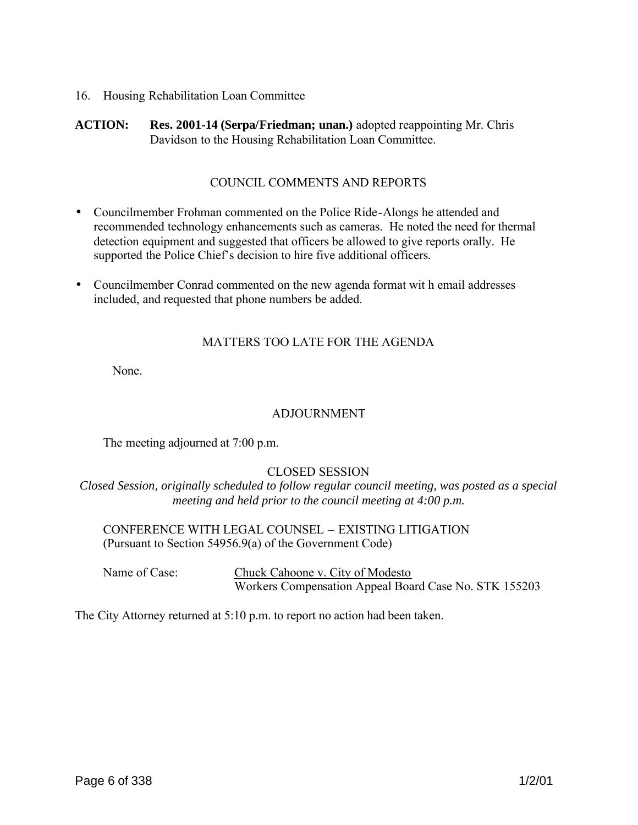16. Housing Rehabilitation Loan Committee

**ACTION: Res. 2001-14 (Serpa/Friedman; unan.)** adopted reappointing Mr. Chris Davidson to the Housing Rehabilitation Loan Committee.

#### COUNCIL COMMENTS AND REPORTS

- Councilmember Frohman commented on the Police Ride-Alongs he attended and recommended technology enhancements such as cameras. He noted the need for thermal detection equipment and suggested that officers be allowed to give reports orally. He supported the Police Chief's decision to hire five additional officers.
- Councilmember Conrad commented on the new agenda format wit h email addresses included, and requested that phone numbers be added.

#### MATTERS TOO LATE FOR THE AGENDA

None.

#### ADJOURNMENT

The meeting adjourned at 7:00 p.m.

#### CLOSED SESSION

*Closed Session, originally scheduled to follow regular council meeting, was posted as a special meeting and held prior to the council meeting at 4:00 p.m.*

CONFERENCE WITH LEGAL COUNSEL – EXISTING LITIGATION (Pursuant to Section 54956.9(a) of the Government Code)

Name of Case: Chuck Cahoone v. City of Modesto Workers Compensation Appeal Board Case No. STK 155203

The City Attorney returned at 5:10 p.m. to report no action had been taken.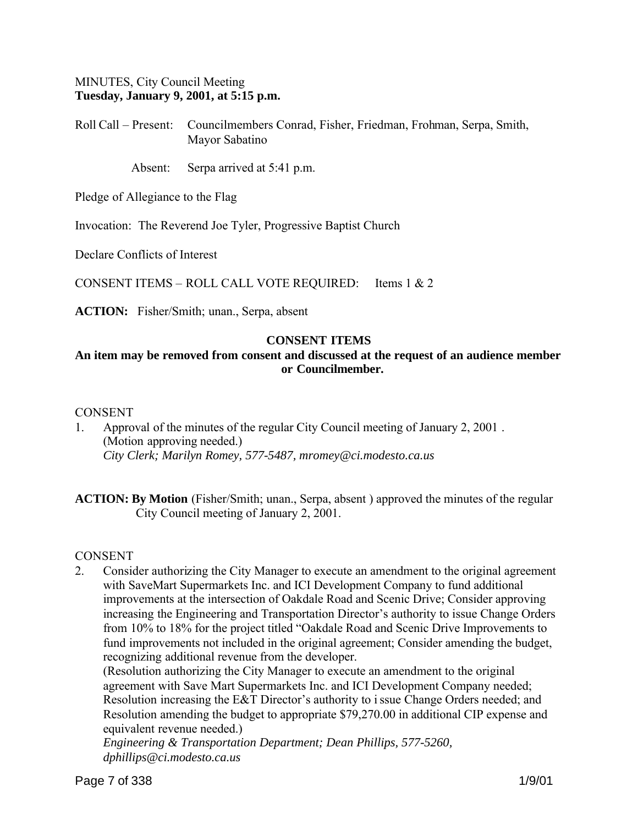### MINUTES, City Council Meeting **Tuesday, January 9, 2001, at 5:15 p.m.**

Roll Call – Present: Councilmembers Conrad, Fisher, Friedman, Frohman, Serpa, Smith, Mayor Sabatino

Absent: Serpa arrived at 5:41 p.m.

Pledge of Allegiance to the Flag

Invocation: The Reverend Joe Tyler, Progressive Baptist Church

Declare Conflicts of Interest

CONSENT ITEMS – ROLL CALL VOTE REQUIRED: Items 1 & 2

**ACTION:** Fisher/Smith; unan., Serpa, absent

# **CONSENT ITEMS**

# **An item may be removed from consent and discussed at the request of an audience member or Councilmember.**

#### CONSENT

1. Approval of the minutes of the regular City Council meeting of January 2, 2001 . (Motion approving needed.) *City Clerk; Marilyn Romey, 577-5487, mromey@ci.modesto.ca.us*

**ACTION: By Motion** (Fisher/Smith; unan., Serpa, absent) approved the minutes of the regular City Council meeting of January 2, 2001.

#### CONSENT

2. Consider authorizing the City Manager to execute an amendment to the original agreement with SaveMart Supermarkets Inc. and ICI Development Company to fund additional improvements at the intersection of Oakdale Road and Scenic Drive; Consider approving increasing the Engineering and Transportation Director's authority to issue Change Orders from 10% to 18% for the project titled "Oakdale Road and Scenic Drive Improvements to fund improvements not included in the original agreement; Consider amending the budget, recognizing additional revenue from the developer.

(Resolution authorizing the City Manager to execute an amendment to the original agreement with Save Mart Supermarkets Inc. and ICI Development Company needed; Resolution increasing the E&T Director's authority to issue Change Orders needed; and Resolution amending the budget to appropriate \$79,270.00 in additional CIP expense and equivalent revenue needed.)

*Engineering & Transportation Department; Dean Phillips, 577-5260, dphillips@ci.modesto.ca.us*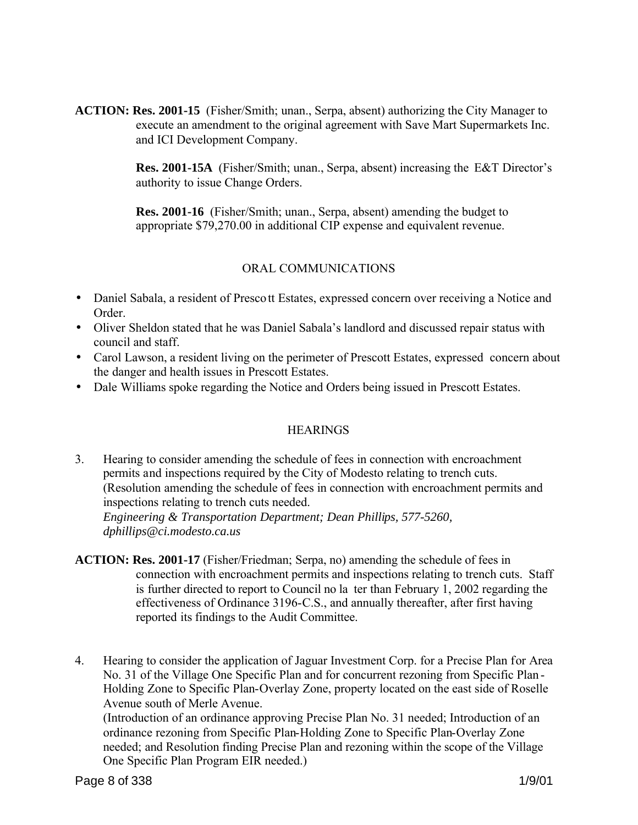**ACTION: Res. 2001-15** (Fisher/Smith; unan., Serpa, absent) authorizing the City Manager to execute an amendment to the original agreement with Save Mart Supermarkets Inc. and ICI Development Company.

> **Res. 2001-15A** (Fisher/Smith; unan., Serpa, absent) increasing the E&T Director's authority to issue Change Orders.

**Res. 2001-16** (Fisher/Smith; unan., Serpa, absent) amending the budget to appropriate \$79,270.00 in additional CIP expense and equivalent revenue.

# ORAL COMMUNICATIONS

- Daniel Sabala, a resident of Prescott Estates, expressed concern over receiving a Notice and Order.
- Oliver Sheldon stated that he was Daniel Sabala's landlord and discussed repair status with council and staff.
- Carol Lawson, a resident living on the perimeter of Prescott Estates, expressed concern about the danger and health issues in Prescott Estates.
- Dale Williams spoke regarding the Notice and Orders being issued in Prescott Estates.

# **HEARINGS**

3. Hearing to consider amending the schedule of fees in connection with encroachment permits and inspections required by the City of Modesto relating to trench cuts. (Resolution amending the schedule of fees in connection with encroachment permits and inspections relating to trench cuts needed.

*Engineering & Transportation Department; Dean Phillips, 577-5260, dphillips@ci.modesto.ca.us*

- **ACTION: Res. 2001-17** (Fisher/Friedman; Serpa, no) amending the schedule of fees in connection with encroachment permits and inspections relating to trench cuts. Staff is further directed to report to Council no la ter than February 1, 2002 regarding the effectiveness of Ordinance 3196-C.S., and annually thereafter, after first having reported its findings to the Audit Committee.
- 4. Hearing to consider the application of Jaguar Investment Corp. for a Precise Plan for Area No. 31 of the Village One Specific Plan and for concurrent rezoning from Specific Plan - Holding Zone to Specific Plan-Overlay Zone, property located on the east side of Roselle Avenue south of Merle Avenue.

(Introduction of an ordinance approving Precise Plan No. 31 needed; Introduction of an ordinance rezoning from Specific Plan-Holding Zone to Specific Plan-Overlay Zone needed; and Resolution finding Precise Plan and rezoning within the scope of the Village One Specific Plan Program EIR needed.)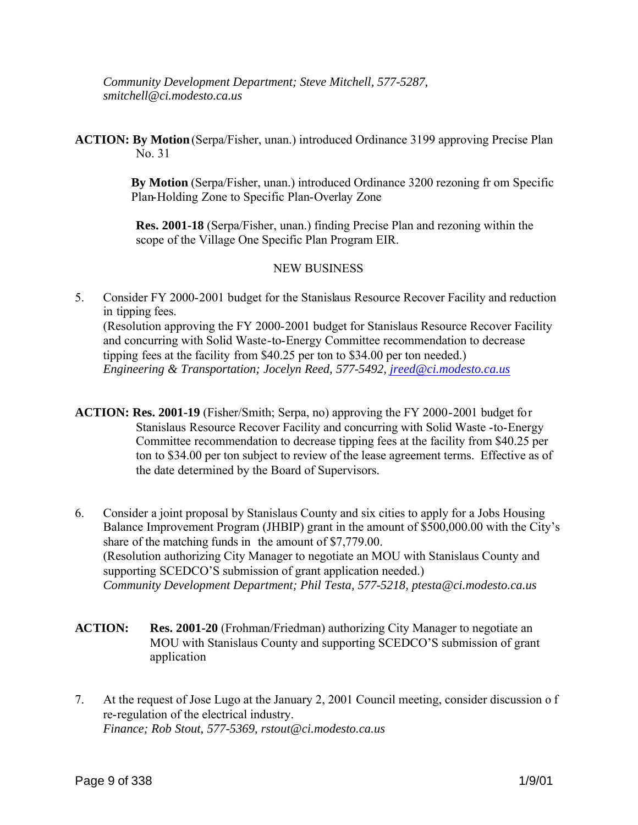*Community Development Department; Steve Mitchell, 577-5287, smitchell@ci.modesto.ca.us*

**ACTION: By Motion** (Serpa/Fisher, unan.) introduced Ordinance 3199 approving Precise Plan No. 31

> **By Motion** (Serpa/Fisher, unan.) introduced Ordinance 3200 rezoning fr om Specific Plan-Holding Zone to Specific Plan-Overlay Zone

**Res. 2001-18** (Serpa/Fisher, unan.) finding Precise Plan and rezoning within the scope of the Village One Specific Plan Program EIR.

### NEW BUSINESS

5. Consider FY 2000-2001 budget for the Stanislaus Resource Recover Facility and reduction in tipping fees.

(Resolution approving the FY 2000-2001 budget for Stanislaus Resource Recover Facility and concurring with Solid Waste-to-Energy Committee recommendation to decrease tipping fees at the facility from \$40.25 per ton to \$34.00 per ton needed.) *Engineering & Transportation; Jocelyn Reed, 577-5492, jreed@ci.modesto.ca.us*

- **ACTION: Res. 2001-19** (Fisher/Smith; Serpa, no) approving the FY 2000-2001 budget for Stanislaus Resource Recover Facility and concurring with Solid Waste -to-Energy Committee recommendation to decrease tipping fees at the facility from \$40.25 per ton to \$34.00 per ton subject to review of the lease agreement terms. Effective as of the date determined by the Board of Supervisors.
- 6. Consider a joint proposal by Stanislaus County and six cities to apply for a Jobs Housing Balance Improvement Program (JHBIP) grant in the amount of \$500,000.00 with the City's share of the matching funds in the amount of \$7,779.00. (Resolution authorizing City Manager to negotiate an MOU with Stanislaus County and supporting SCEDCO'S submission of grant application needed.) *Community Development Department; Phil Testa, 577-5218, ptesta@ci.modesto.ca.us*
- **ACTION: Res. 2001-20** (Frohman/Friedman) authorizing City Manager to negotiate an MOU with Stanislaus County and supporting SCEDCO'S submission of grant application
- 7. At the request of Jose Lugo at the January 2, 2001 Council meeting, consider discussion o f re-regulation of the electrical industry. *Finance; Rob Stout, 577-5369, rstout@ci.modesto.ca.us*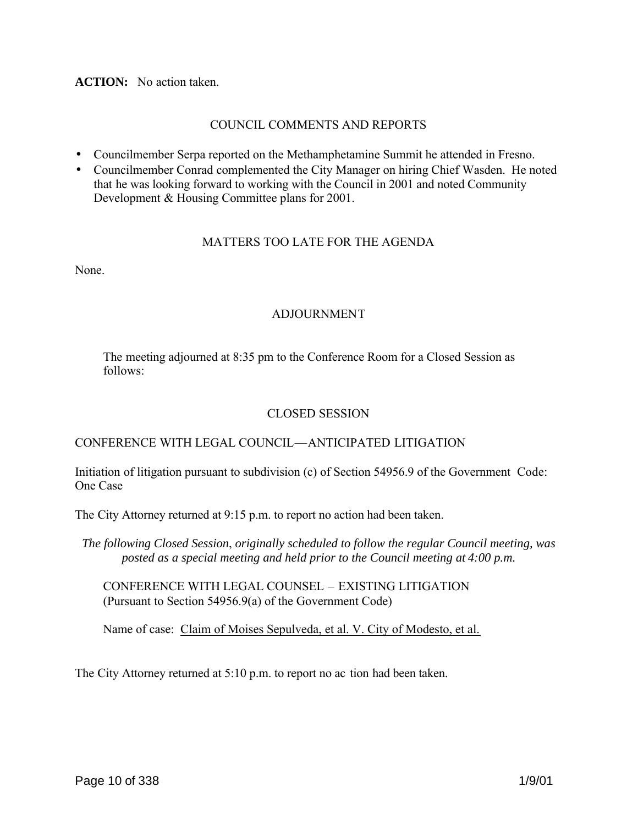#### **ACTION:** No action taken.

#### COUNCIL COMMENTS AND REPORTS

- Councilmember Serpa reported on the Methamphetamine Summit he attended in Fresno.
- Councilmember Conrad complemented the City Manager on hiring Chief Wasden. He noted that he was looking forward to working with the Council in 2001 and noted Community Development & Housing Committee plans for 2001.

### MATTERS TOO LATE FOR THE AGENDA

None.

#### ADJOURNMENT

The meeting adjourned at 8:35 pm to the Conference Room for a Closed Session as follows:

#### CLOSED SESSION

#### CONFERENCE WITH LEGAL COUNCIL—ANTICIPATED LITIGATION

Initiation of litigation pursuant to subdivision (c) of Section 54956.9 of the Government Code: One Case

The City Attorney returned at 9:15 p.m. to report no action had been taken.

*The following Closed Session*, *originally scheduled to follow the regular Council meeting, was posted as a special meeting and held prior to the Council meeting at 4:00 p.m.*

CONFERENCE WITH LEGAL COUNSEL – EXISTING LITIGATION (Pursuant to Section 54956.9(a) of the Government Code)

Name of case: Claim of Moises Sepulveda, et al. V. City of Modesto, et al.

The City Attorney returned at 5:10 p.m. to report no ac tion had been taken.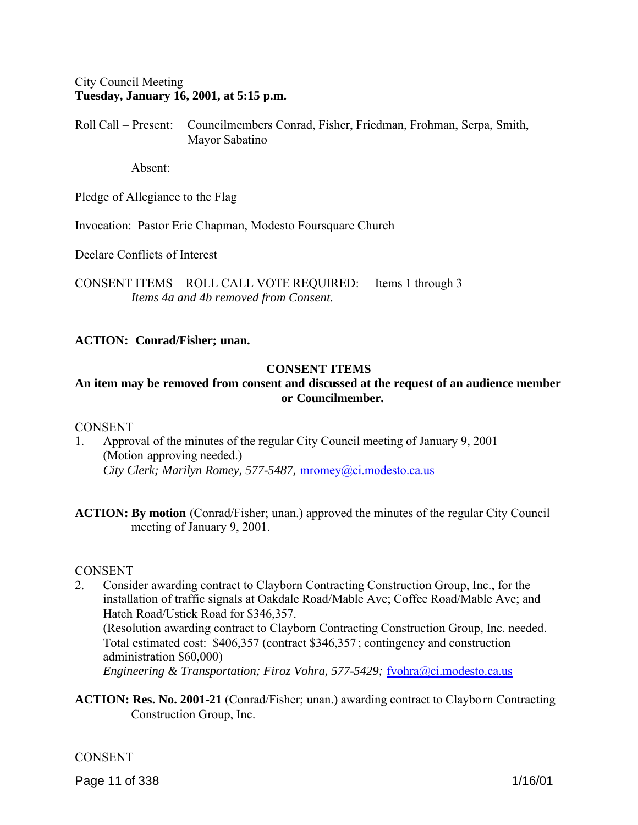### City Council Meeting **Tuesday, January 16, 2001, at 5:15 p.m.**

Roll Call – Present: Councilmembers Conrad, Fisher, Friedman, Frohman, Serpa, Smith, Mayor Sabatino

Absent:

Pledge of Allegiance to the Flag

Invocation: Pastor Eric Chapman, Modesto Foursquare Church

Declare Conflicts of Interest

CONSENT ITEMS – ROLL CALL VOTE REQUIRED: Items 1 through 3 *Items 4a and 4b removed from Consent.*

#### **ACTION: Conrad/Fisher; unan.**

### **CONSENT ITEMS**

# **An item may be removed from consent and discussed at the request of an audience member or Councilmember.**

#### **CONSENT**

1. Approval of the minutes of the regular City Council meeting of January 9, 2001 (Motion approving needed.) *City Clerk; Marilyn Romey, 577-5487,* mromey@ci.modesto.ca.us

**ACTION: By motion** (Conrad/Fisher; unan.) approved the minutes of the regular City Council meeting of January 9, 2001.

#### **CONSENT**

- 2. Consider awarding contract to Clayborn Contracting Construction Group, Inc., for the installation of traffic signals at Oakdale Road/Mable Ave; Coffee Road/Mable Ave; and Hatch Road/Ustick Road for \$346,357. (Resolution awarding contract to Clayborn Contracting Construction Group, Inc. needed. Total estimated cost: \$406,357 (contract \$346,357 ; contingency and construction administration \$60,000) *Engineering & Transportation; Firoz Vohra, 577-5429;* fvohra@ci.modesto.ca.us
- **ACTION: Res. No. 2001-21** (Conrad/Fisher; unan.) awarding contract to Clayborn Contracting Construction Group, Inc.

#### CONSENT

Page 11 of 338 1/16/01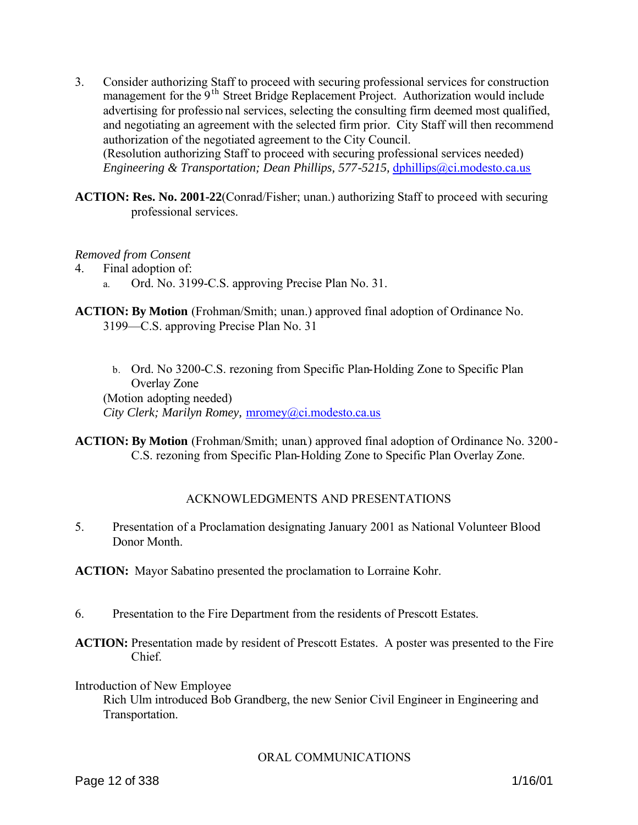- 3. Consider authorizing Staff to proceed with securing professional services for construction management for the 9<sup>th</sup> Street Bridge Replacement Project. Authorization would include advertising for professio nal services, selecting the consulting firm deemed most qualified, and negotiating an agreement with the selected firm prior. City Staff will then recommend authorization of the negotiated agreement to the City Council. (Resolution authorizing Staff to proceed with securing professional services needed) *Engineering & Transportation; Dean Phillips, 577-5215, dphillips@ci.modesto.ca.us*
- **ACTION: Res. No. 2001-22**(Conrad/Fisher; unan.) authorizing Staff to proceed with securing professional services.

#### *Removed from Consent*

4. Final adoption of:

- a. Ord. No. 3199-C.S. approving Precise Plan No. 31.
- **ACTION: By Motion** (Frohman/Smith; unan.) approved final adoption of Ordinance No. 3199—C.S. approving Precise Plan No. 31
	- b. Ord. No 3200-C.S. rezoning from Specific Plan-Holding Zone to Specific Plan Overlay Zone (Motion adopting needed) *City Clerk; Marilyn Romey,* mromey@ci.modesto.ca.us
- **ACTION: By Motion** (Frohman/Smith; unan.) approved final adoption of Ordinance No. 3200-C.S. rezoning from Specific Plan-Holding Zone to Specific Plan Overlay Zone.

# ACKNOWLEDGMENTS AND PRESENTATIONS

5. Presentation of a Proclamation designating January 2001 as National Volunteer Blood Donor Month.

**ACTION:** Mayor Sabatino presented the proclamation to Lorraine Kohr.

- 6. Presentation to the Fire Department from the residents of Prescott Estates.
- **ACTION:** Presentation made by resident of Prescott Estates. A poster was presented to the Fire Chief.

Introduction of New Employee

Rich Ulm introduced Bob Grandberg, the new Senior Civil Engineer in Engineering and Transportation.

#### ORAL COMMUNICATIONS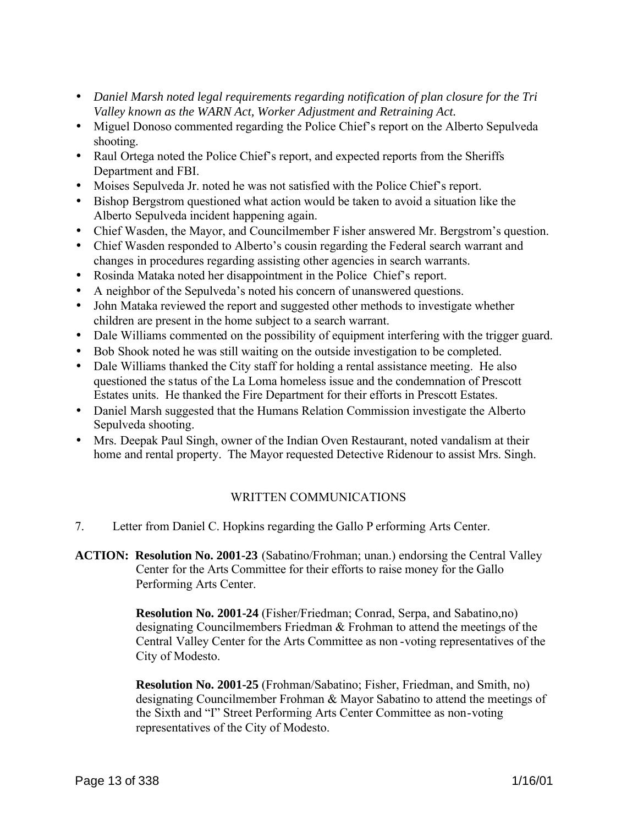- *Daniel Marsh noted legal requirements regarding notification of plan closure for the Tri Valley known as the WARN Act, Worker Adjustment and Retraining Act.*
- Miguel Donoso commented regarding the Police Chief's report on the Alberto Sepulveda shooting.
- Raul Ortega noted the Police Chief's report, and expected reports from the Sheriffs Department and FBI.
- Moises Sepulveda Jr. noted he was not satisfied with the Police Chief's report.
- Bishop Bergstrom questioned what action would be taken to avoid a situation like the Alberto Sepulveda incident happening again.
- Chief Wasden, the Mayor, and Councilmember F isher answered Mr. Bergstrom's question.
- Chief Wasden responded to Alberto's cousin regarding the Federal search warrant and changes in procedures regarding assisting other agencies in search warrants.
- Rosinda Mataka noted her disappointment in the Police Chief's report.
- A neighbor of the Sepulveda's noted his concern of unanswered questions.
- John Mataka reviewed the report and suggested other methods to investigate whether children are present in the home subject to a search warrant.
- Dale Williams commented on the possibility of equipment interfering with the trigger guard.
- Bob Shook noted he was still waiting on the outside investigation to be completed.
- Dale Williams thanked the City staff for holding a rental assistance meeting. He also questioned the status of the La Loma homeless issue and the condemnation of Prescott Estates units. He thanked the Fire Department for their efforts in Prescott Estates.
- Daniel Marsh suggested that the Humans Relation Commission investigate the Alberto Sepulveda shooting.
- Mrs. Deepak Paul Singh, owner of the Indian Oven Restaurant, noted vandalism at their home and rental property. The Mayor requested Detective Ridenour to assist Mrs. Singh.

# WRITTEN COMMUNICATIONS

- 7. Letter from Daniel C. Hopkins regarding the Gallo P erforming Arts Center.
- **ACTION: Resolution No. 2001-23** (Sabatino/Frohman; unan.) endorsing the Central Valley Center for the Arts Committee for their efforts to raise money for the Gallo Performing Arts Center.

**Resolution No. 2001-24** (Fisher/Friedman; Conrad, Serpa, and Sabatino,no) designating Councilmembers Friedman & Frohman to attend the meetings of the Central Valley Center for the Arts Committee as non -voting representatives of the City of Modesto.

**Resolution No. 2001-25** (Frohman/Sabatino; Fisher, Friedman, and Smith, no) designating Councilmember Frohman & Mayor Sabatino to attend the meetings of the Sixth and "I" Street Performing Arts Center Committee as non-voting representatives of the City of Modesto.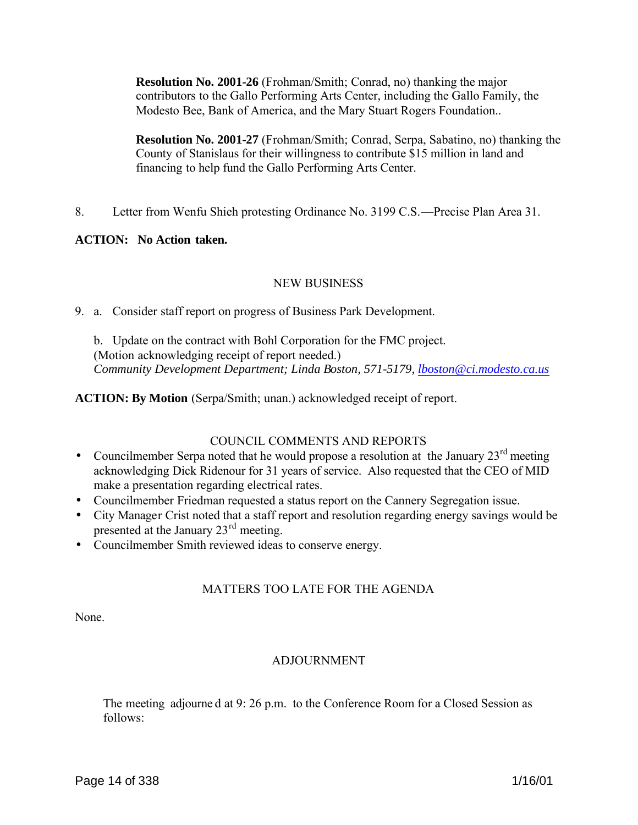**Resolution No. 2001-26** (Frohman/Smith; Conrad, no) thanking the major contributors to the Gallo Performing Arts Center, including the Gallo Family, the Modesto Bee, Bank of America, and the Mary Stuart Rogers Foundation..

**Resolution No. 2001-27** (Frohman/Smith; Conrad, Serpa, Sabatino, no) thanking the County of Stanislaus for their willingness to contribute \$15 million in land and financing to help fund the Gallo Performing Arts Center.

8. Letter from Wenfu Shieh protesting Ordinance No. 3199 C.S.—Precise Plan Area 31.

### **ACTION: No Action taken.**

### NEW BUSINESS

9. a. Consider staff report on progress of Business Park Development.

 b. Update on the contract with Bohl Corporation for the FMC project. (Motion acknowledging receipt of report needed.) *Community Development Department; Linda Boston, 571-5179, lboston@ci.modesto.ca.us*

**ACTION: By Motion** (Serpa/Smith; unan.) acknowledged receipt of report.

# COUNCIL COMMENTS AND REPORTS

- Councilmember Serpa noted that he would propose a resolution at the January  $23<sup>rd</sup>$  meeting acknowledging Dick Ridenour for 31 years of service. Also requested that the CEO of MID make a presentation regarding electrical rates.
- Councilmember Friedman requested a status report on the Cannery Segregation issue.
- City Manager Crist noted that a staff report and resolution regarding energy savings would be presented at the January 23rd meeting.
- Councilmember Smith reviewed ideas to conserve energy.

# MATTERS TOO LATE FOR THE AGENDA

None.

#### ADJOURNMENT

The meeting adjourne d at 9: 26 p.m. to the Conference Room for a Closed Session as follows: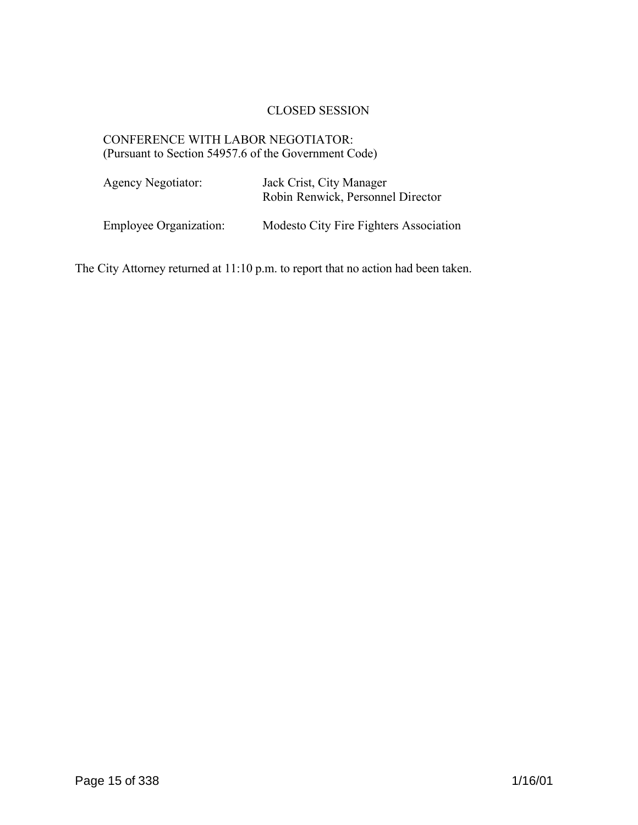# CLOSED SESSION

# CONFERENCE WITH LABOR NEGOTIATOR: (Pursuant to Section 54957.6 of the Government Code)

| Agency Negotiator:            | Jack Crist, City Manager<br>Robin Renwick, Personnel Director |
|-------------------------------|---------------------------------------------------------------|
| <b>Employee Organization:</b> | Modesto City Fire Fighters Association                        |

The City Attorney returned at 11:10 p.m. to report that no action had been taken.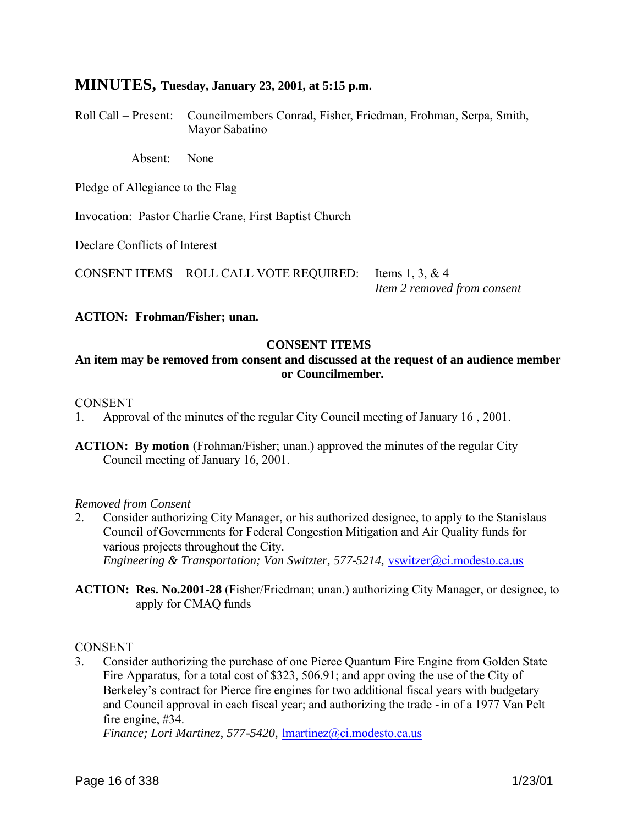# **MINUTES, Tuesday, January 23, 2001, at 5:15 p.m.**

Roll Call – Present: Councilmembers Conrad, Fisher, Friedman, Frohman, Serpa, Smith, Mayor Sabatino

Absent: None

Pledge of Allegiance to the Flag

Invocation: Pastor Charlie Crane, First Baptist Church

Declare Conflicts of Interest

CONSENT ITEMS – ROLL CALL VOTE REQUIRED: Items 1, 3, & 4

*Item 2 removed from consent*

#### **ACTION: Frohman/Fisher; unan.**

#### **CONSENT ITEMS**

### **An item may be removed from consent and discussed at the request of an audience member or Councilmember.**

#### **CONSENT**

1. Approval of the minutes of the regular City Council meeting of January 16 , 2001.

**ACTION: By motion** (Frohman/Fisher; unan.) approved the minutes of the regular City Council meeting of January 16, 2001.

#### *Removed from Consent*

- 2. Consider authorizing City Manager, or his authorized designee, to apply to the Stanislaus Council of Governments for Federal Congestion Mitigation and Air Quality funds for various projects throughout the City. *Engineering & Transportation; Van Switzter, 577-5214,* vswitzer@ci.modesto.ca.us
- **ACTION: Res. No.2001-28** (Fisher/Friedman; unan.) authorizing City Manager, or designee, to apply for CMAQ funds

#### **CONSENT**

3. Consider authorizing the purchase of one Pierce Quantum Fire Engine from Golden State Fire Apparatus, for a total cost of \$323, 506.91; and appr oving the use of the City of Berkeley's contract for Pierce fire engines for two additional fiscal years with budgetary and Council approval in each fiscal year; and authorizing the trade -in of a 1977 Van Pelt fire engine, #34.

*Finance; Lori Martinez, 577-5420,* lmartinez@ci.modesto.ca.us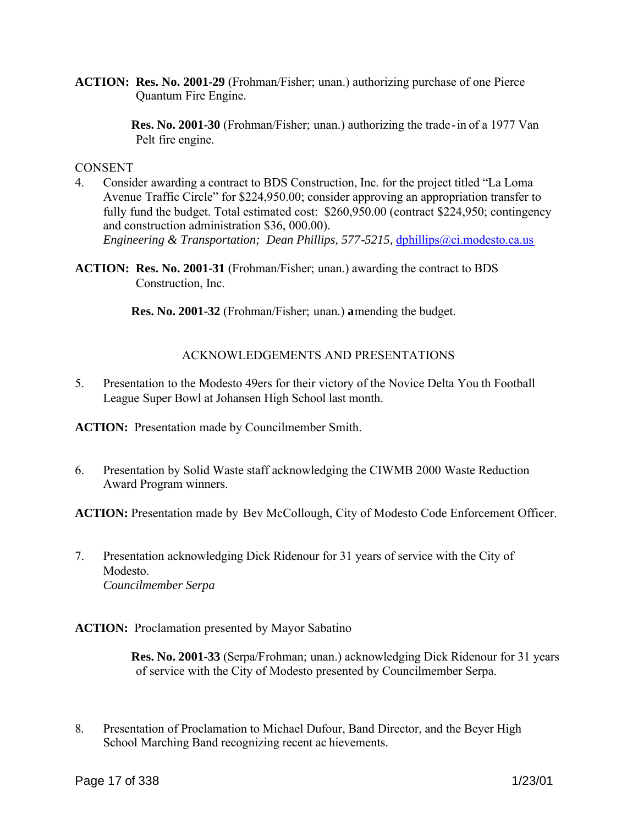**ACTION: Res. No. 2001-29** (Frohman/Fisher; unan.) authorizing purchase of one Pierce Quantum Fire Engine.

> **Res. No. 2001-30** (Frohman/Fisher; unan.) authorizing the trade-in of a 1977 Van Pelt fire engine.

**CONSENT** 

- 4. Consider awarding a contract to BDS Construction, Inc. for the project titled "La Loma Avenue Traffic Circle" for \$224,950.00; consider approving an appropriation transfer to fully fund the budget. Total estimated cost: \$260,950.00 (contract \$224,950; contingency and construction administration \$36, 000.00). *Engineering & Transportation; Dean Phillips, 577-5215, dphillips@ci.modesto.ca.us*
- **ACTION: Res. No. 2001-31** (Frohman/Fisher; unan.) awarding the contract to BDS Construction, Inc.

**Res. No. 2001-32** (Frohman/Fisher; unan.) **a**mending the budget.

# ACKNOWLEDGEMENTS AND PRESENTATIONS

5. Presentation to the Modesto 49ers for their victory of the Novice Delta You th Football League Super Bowl at Johansen High School last month.

**ACTION:** Presentation made by Councilmember Smith.

6. Presentation by Solid Waste staff acknowledging the CIWMB 2000 Waste Reduction Award Program winners.

**ACTION:** Presentation made by Bev McCollough, City of Modesto Code Enforcement Officer.

7. Presentation acknowledging Dick Ridenour for 31 years of service with the City of Modesto. *Councilmember Serpa*

**ACTION:** Proclamation presented by Mayor Sabatino

**Res. No. 2001-33** (Serpa/Frohman; unan.) acknowledging Dick Ridenour for 31 years of service with the City of Modesto presented by Councilmember Serpa.

8*.* Presentation of Proclamation to Michael Dufour, Band Director, and the Beyer High School Marching Band recognizing recent ac hievements.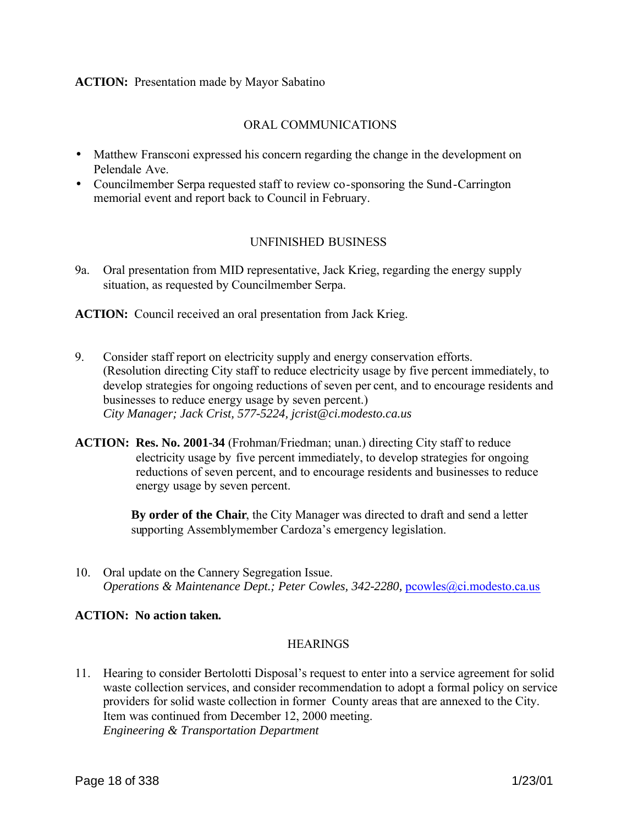#### **ACTION:** Presentation made by Mayor Sabatino

#### ORAL COMMUNICATIONS

- Matthew Fransconi expressed his concern regarding the change in the development on Pelendale Ave.
- Councilmember Serpa requested staff to review co-sponsoring the Sund-Carrington memorial event and report back to Council in February.

#### UNFINISHED BUSINESS

9a. Oral presentation from MID representative, Jack Krieg, regarding the energy supply situation, as requested by Councilmember Serpa.

**ACTION:** Council received an oral presentation from Jack Krieg.

- 9. Consider staff report on electricity supply and energy conservation efforts. (Resolution directing City staff to reduce electricity usage by five percent immediately, to develop strategies for ongoing reductions of seven per cent, and to encourage residents and businesses to reduce energy usage by seven percent.) *City Manager; Jack Crist, 577-5224, jcrist@ci.modesto.ca.us*
- **ACTION: Res. No. 2001-34** (Frohman/Friedman; unan.) directing City staff to reduce electricity usage by five percent immediately, to develop strategies for ongoing reductions of seven percent, and to encourage residents and businesses to reduce energy usage by seven percent.

**By order of the Chair**, the City Manager was directed to draft and send a letter supporting Assemblymember Cardoza's emergency legislation.

10. Oral update on the Cannery Segregation Issue. *Operations & Maintenance Dept.; Peter Cowles, 342-2280, pcowles@ci.modesto.ca.us* 

### **ACTION: No action taken.**

#### **HEARINGS**

11. Hearing to consider Bertolotti Disposal's request to enter into a service agreement for solid waste collection services, and consider recommendation to adopt a formal policy on service providers for solid waste collection in former County areas that are annexed to the City. Item was continued from December 12, 2000 meeting. *Engineering & Transportation Department*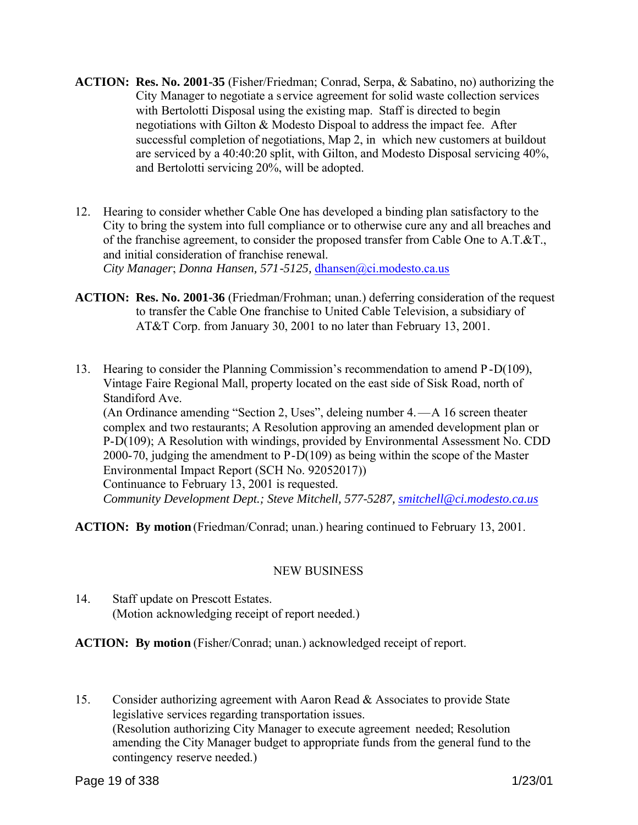- **ACTION: Res. No. 2001-35** (Fisher/Friedman; Conrad, Serpa, & Sabatino, no) authorizing the City Manager to negotiate a s ervice agreement for solid waste collection services with Bertolotti Disposal using the existing map. Staff is directed to begin negotiations with Gilton & Modesto Dispoal to address the impact fee. After successful completion of negotiations, Map 2, in which new customers at buildout are serviced by a 40:40:20 split, with Gilton, and Modesto Disposal servicing 40%, and Bertolotti servicing 20%, will be adopted.
- 12. Hearing to consider whether Cable One has developed a binding plan satisfactory to the City to bring the system into full compliance or to otherwise cure any and all breaches and of the franchise agreement, to consider the proposed transfer from Cable One to A.T.&T., and initial consideration of franchise renewal. *City Manager*; *Donna Hansen, 571-5125,* dhansen@ci.modesto.ca.us
- **ACTION: Res. No. 2001-36** (Friedman/Frohman; unan.) deferring consideration of the request to transfer the Cable One franchise to United Cable Television, a subsidiary of AT&T Corp. from January 30, 2001 to no later than February 13, 2001.
- 13. Hearing to consider the Planning Commission's recommendation to amend P-D(109), Vintage Faire Regional Mall, property located on the east side of Sisk Road, north of Standiford Ave. (An Ordinance amending "Section 2, Uses", deleing number 4.—A 16 screen theater

complex and two restaurants; A Resolution approving an amended development plan or P-D(109); A Resolution with windings, provided by Environmental Assessment No. CDD 2000-70, judging the amendment to P-D(109) as being within the scope of the Master Environmental Impact Report (SCH No. 92052017)) Continuance to February 13, 2001 is requested. *Community Development Dept.; Steve Mitchell, 577-5287, smitchell@ci.modesto.ca.us* 

**ACTION: By motion** (Friedman/Conrad; unan.) hearing continued to February 13, 2001.

# NEW BUSINESS

14. Staff update on Prescott Estates. (Motion acknowledging receipt of report needed.)

**ACTION: By motion** (Fisher/Conrad; unan.) acknowledged receipt of report.

15. Consider authorizing agreement with Aaron Read & Associates to provide State legislative services regarding transportation issues. (Resolution authorizing City Manager to execute agreement needed; Resolution amending the City Manager budget to appropriate funds from the general fund to the contingency reserve needed.)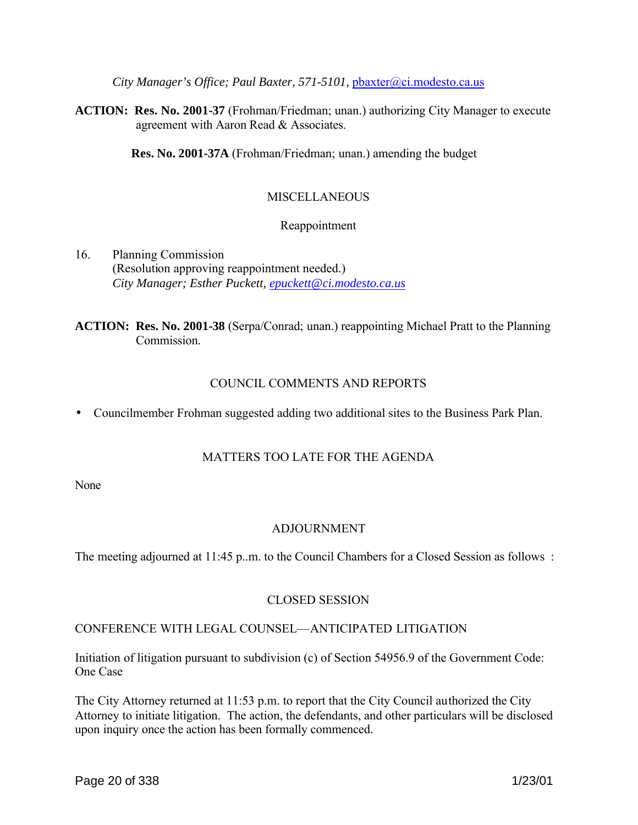*City Manager's Office; Paul Baxter, 571-5101,* pbaxter@ci.modesto.ca.us

**ACTION: Res. No. 2001-37** (Frohman/Friedman; unan.) authorizing City Manager to execute agreement with Aaron Read & Associates.

**Res. No. 2001-37A** (Frohman/Friedman; unan.) amending the budget

### **MISCELLANEOUS**

#### Reappointment

16. Planning Commission (Resolution approving reappointment needed.) *City Manager; Esther Puckett, epuckett@ci.modesto.ca.us*

# **ACTION: Res. No. 2001-38** (Serpa/Conrad; unan.) reappointing Michael Pratt to the Planning **Commission**

# COUNCIL COMMENTS AND REPORTS

• Councilmember Frohman suggested adding two additional sites to the Business Park Plan.

#### MATTERS TOO LATE FOR THE AGENDA

None

#### ADJOURNMENT

The meeting adjourned at 11:45 p.m. to the Council Chambers for a Closed Session as follows:

# CLOSED SESSION

# CONFERENCE WITH LEGAL COUNSEL—ANTICIPATED LITIGATION

Initiation of litigation pursuant to subdivision (c) of Section 54956.9 of the Government Code: One Case

The City Attorney returned at 11:53 p.m. to report that the City Council authorized the City Attorney to initiate litigation. The action, the defendants, and other particulars will be disclosed upon inquiry once the action has been formally commenced.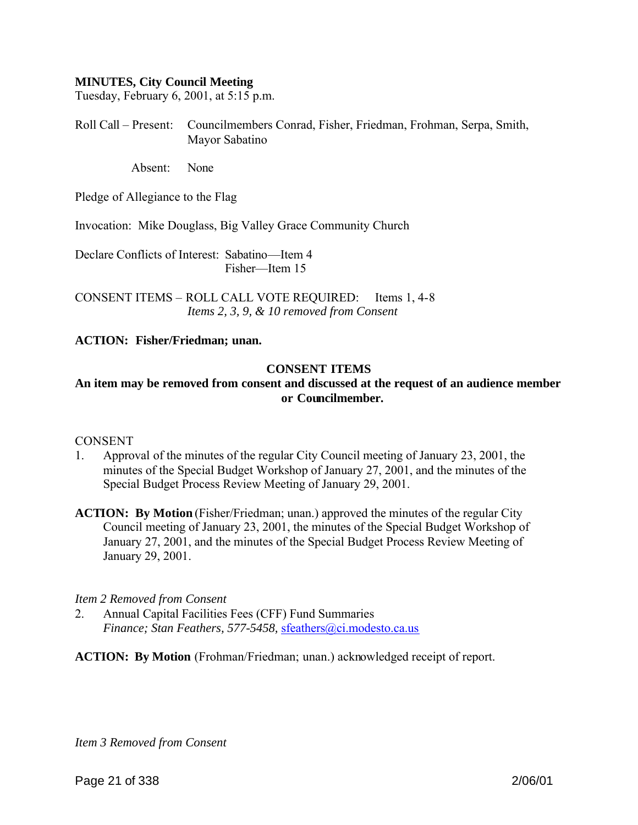#### **MINUTES, City Council Meeting**

Tuesday, February 6, 2001, at 5:15 p.m.

Roll Call – Present: Councilmembers Conrad, Fisher, Friedman, Frohman, Serpa, Smith, Mayor Sabatino

Absent: None

Pledge of Allegiance to the Flag

Invocation: Mike Douglass, Big Valley Grace Community Church

Declare Conflicts of Interest: Sabatino—Item 4 Fisher—Item 15

CONSENT ITEMS – ROLL CALL VOTE REQUIRED: Items 1, 4-8 *Items 2, 3, 9, & 10 removed from Consent*

#### **ACTION: Fisher/Friedman; unan.**

#### **CONSENT ITEMS**

### **An item may be removed from consent and discussed at the request of an audience member or Councilmember.**

#### **CONSENT**

- 1. Approval of the minutes of the regular City Council meeting of January 23, 2001, the minutes of the Special Budget Workshop of January 27, 2001, and the minutes of the Special Budget Process Review Meeting of January 29, 2001.
- **ACTION: By Motion** (Fisher/Friedman; unan.) approved the minutes of the regular City Council meeting of January 23, 2001, the minutes of the Special Budget Workshop of January 27, 2001, and the minutes of the Special Budget Process Review Meeting of January 29, 2001.

#### *Item 2 Removed from Consent*

2. Annual Capital Facilities Fees (CFF) Fund Summaries *Finance; Stan Feathers, 577-5458,* sfeathers@ci.modesto.ca.us

**ACTION: By Motion** (Frohman/Friedman; unan.) acknowledged receipt of report.

*Item 3 Removed from Consent*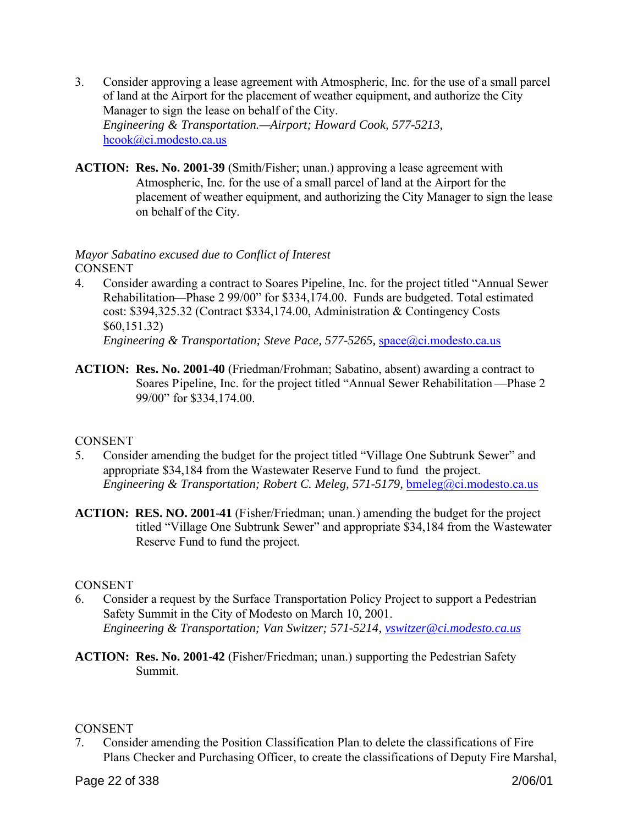- 3. Consider approving a lease agreement with Atmospheric, Inc. for the use of a small parcel of land at the Airport for the placement of weather equipment, and authorize the City Manager to sign the lease on behalf of the City. *Engineering & Transportation.—Airport; Howard Cook, 577-5213,*  hcook@ci.modesto.ca.us
- **ACTION: Res. No. 2001-39** (Smith/Fisher; unan.) approving a lease agreement with Atmospheric, Inc. for the use of a small parcel of land at the Airport for the placement of weather equipment, and authorizing the City Manager to sign the lease on behalf of the City.

# *Mayor Sabatino excused due to Conflict of Interest* **CONSENT**

- 4. Consider awarding a contract to Soares Pipeline, Inc. for the project titled "Annual Sewer Rehabilitation—Phase 2 99/00" for \$334,174.00. Funds are budgeted. Total estimated cost: \$394,325.32 (Contract \$334,174.00, Administration & Contingency Costs \$60,151.32) *Engineering & Transportation; Steve Pace, 577-5265,* space@ci.modesto.ca.us
- **ACTION: Res. No. 2001-40** (Friedman/Frohman; Sabatino, absent) awarding a contract to Soares Pipeline, Inc. for the project titled "Annual Sewer Rehabilitation —Phase 2 99/00" for \$334,174.00.

# **CONSENT**

- 5. Consider amending the budget for the project titled "Village One Subtrunk Sewer" and appropriate \$34,184 from the Wastewater Reserve Fund to fund the project. *Engineering & Transportation; Robert C. Meleg, 571-5179,* bmeleg@ci.modesto.ca.us
- **ACTION: RES. NO. 2001-41** (Fisher/Friedman; unan.) amending the budget for the project titled "Village One Subtrunk Sewer" and appropriate \$34,184 from the Wastewater Reserve Fund to fund the project.

# **CONSENT**

- 6. Consider a request by the Surface Transportation Policy Project to support a Pedestrian Safety Summit in the City of Modesto on March 10, 2001. *Engineering & Transportation; Van Switzer; 571-5214, vswitzer@ci.modesto.ca.us*
- **ACTION: Res. No. 2001-42** (Fisher/Friedman; unan.) supporting the Pedestrian Safety Summit.

# **CONSENT**

7. Consider amending the Position Classification Plan to delete the classifications of Fire Plans Checker and Purchasing Officer, to create the classifications of Deputy Fire Marshal,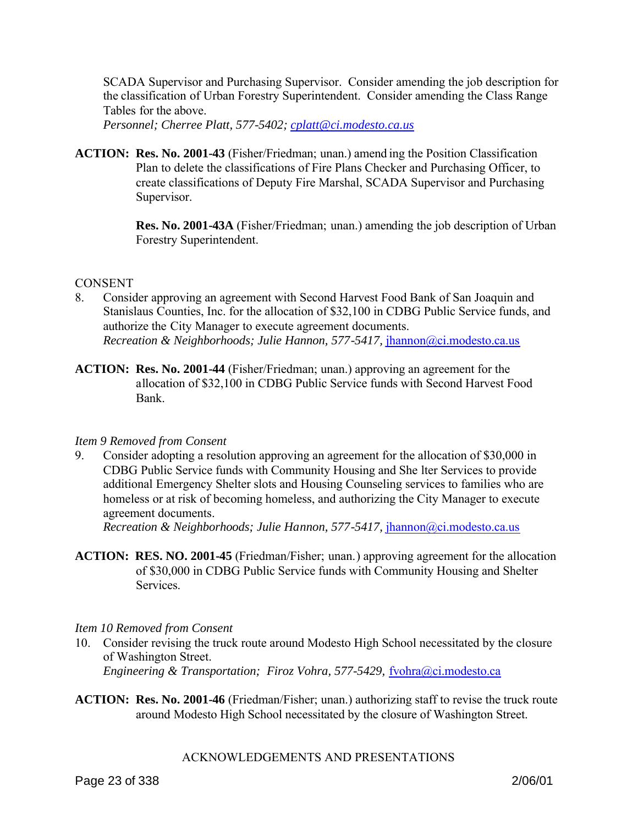SCADA Supervisor and Purchasing Supervisor. Consider amending the job description for the classification of Urban Forestry Superintendent. Consider amending the Class Range Tables for the above.

*Personnel; Cherree Platt, 577-5402; cplatt@ci.modesto.ca.us* 

**ACTION: Res. No. 2001-43** (Fisher/Friedman; unan.) amend ing the Position Classification Plan to delete the classifications of Fire Plans Checker and Purchasing Officer, to create classifications of Deputy Fire Marshal, SCADA Supervisor and Purchasing Supervisor.

> **Res. No. 2001-43A** (Fisher/Friedman; unan.) amending the job description of Urban Forestry Superintendent.

### **CONSENT**

- 8. Consider approving an agreement with Second Harvest Food Bank of San Joaquin and Stanislaus Counties, Inc. for the allocation of \$32,100 in CDBG Public Service funds, and authorize the City Manager to execute agreement documents. *Recreation & Neighborhoods; Julie Hannon, 577-5417, ihannon@ci.modesto.ca.us*
- **ACTION: Res. No. 2001-44** (Fisher/Friedman; unan.) approving an agreement for the allocation of \$32,100 in CDBG Public Service funds with Second Harvest Food Bank.

# *Item 9 Removed from Consent*

9. Consider adopting a resolution approving an agreement for the allocation of \$30,000 in CDBG Public Service funds with Community Housing and She lter Services to provide additional Emergency Shelter slots and Housing Counseling services to families who are homeless or at risk of becoming homeless, and authorizing the City Manager to execute agreement documents.

*Recreation & Neighborhoods; Julie Hannon, 577-5417, jhannon@ci.modesto.ca.us* 

**ACTION: RES. NO. 2001-45** (Friedman/Fisher; unan.) approving agreement for the allocation of \$30,000 in CDBG Public Service funds with Community Housing and Shelter Services.

#### *Item 10 Removed from Consent*

- 10. Consider revising the truck route around Modesto High School necessitated by the closure of Washington Street. *Engineering & Transportation; Firoz Vohra, 577-5429, fvohra@ci.modesto.ca*
- **ACTION: Res. No. 2001-46** (Friedman/Fisher; unan.) authorizing staff to revise the truck route around Modesto High School necessitated by the closure of Washington Street.

# ACKNOWLEDGEMENTS AND PRESENTATIONS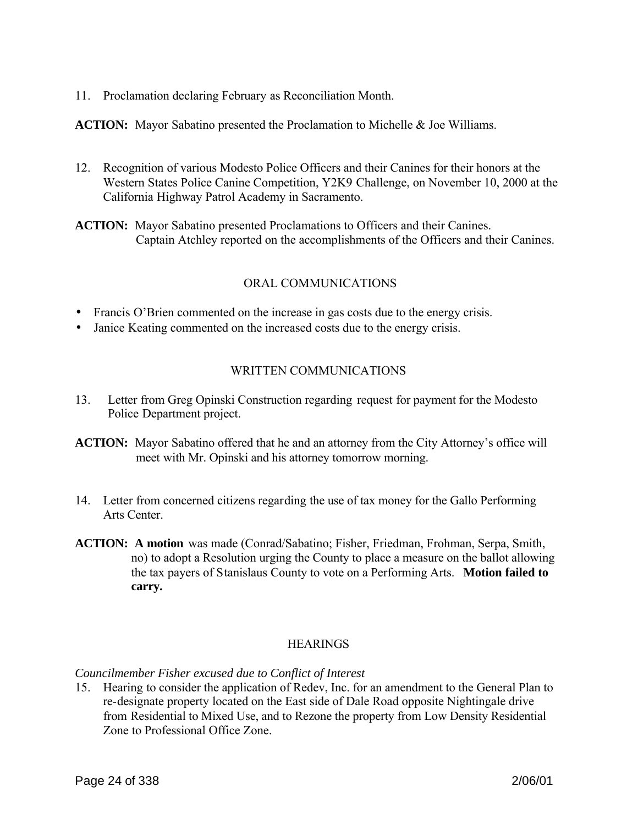11. Proclamation declaring February as Reconciliation Month.

**ACTION:** Mayor Sabatino presented the Proclamation to Michelle & Joe Williams.

12. Recognition of various Modesto Police Officers and their Canines for their honors at the Western States Police Canine Competition, Y2K9 Challenge, on November 10, 2000 at the California Highway Patrol Academy in Sacramento.

**ACTION:** Mayor Sabatino presented Proclamations to Officers and their Canines. Captain Atchley reported on the accomplishments of the Officers and their Canines.

# ORAL COMMUNICATIONS

- Francis O'Brien commented on the increase in gas costs due to the energy crisis.
- Janice Keating commented on the increased costs due to the energy crisis.

# WRITTEN COMMUNICATIONS

- 13. Letter from Greg Opinski Construction regarding request for payment for the Modesto Police Department project.
- **ACTION:** Mayor Sabatino offered that he and an attorney from the City Attorney's office will meet with Mr. Opinski and his attorney tomorrow morning.
- 14. Letter from concerned citizens regarding the use of tax money for the Gallo Performing Arts Center.
- **ACTION: A motion** was made (Conrad/Sabatino; Fisher, Friedman, Frohman, Serpa, Smith, no) to adopt a Resolution urging the County to place a measure on the ballot allowing the tax payers of Stanislaus County to vote on a Performing Arts. **Motion failed to carry.**

#### **HEARINGS**

#### *Councilmember Fisher excused due to Conflict of Interest*

15. Hearing to consider the application of Redev, Inc. for an amendment to the General Plan to re-designate property located on the East side of Dale Road opposite Nightingale drive from Residential to Mixed Use, and to Rezone the property from Low Density Residential Zone to Professional Office Zone.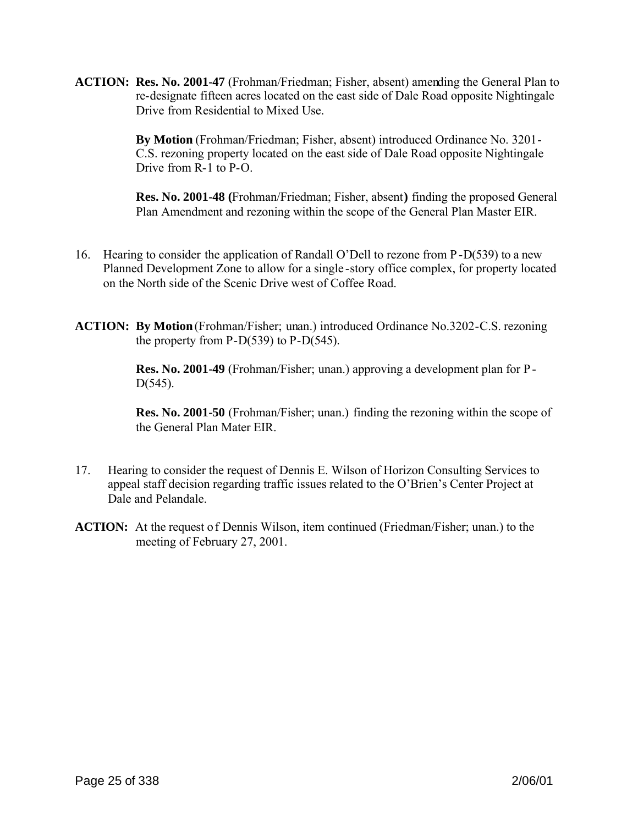**ACTION: Res. No. 2001-47** (Frohman/Friedman; Fisher, absent) amending the General Plan to re-designate fifteen acres located on the east side of Dale Road opposite Nightingale Drive from Residential to Mixed Use.

> **By Motion** (Frohman/Friedman; Fisher, absent) introduced Ordinance No. 3201- C.S. rezoning property located on the east side of Dale Road opposite Nightingale Drive from R-1 to P-O.

**Res. No. 2001-48 (**Frohman/Friedman; Fisher, absent**)** finding the proposed General Plan Amendment and rezoning within the scope of the General Plan Master EIR.

- 16. Hearing to consider the application of Randall O'Dell to rezone from P-D(539) to a new Planned Development Zone to allow for a single -story office complex, for property located on the North side of the Scenic Drive west of Coffee Road.
- **ACTION: By Motion**(Frohman/Fisher; unan.) introduced Ordinance No.3202-C.S. rezoning the property from  $P-D(539)$  to  $P-D(545)$ .

**Res. No. 2001-49** (Frohman/Fisher; unan.) approving a development plan for P-D(545).

**Res. No. 2001-50** (Frohman/Fisher; unan.) finding the rezoning within the scope of the General Plan Mater EIR.

- 17. Hearing to consider the request of Dennis E. Wilson of Horizon Consulting Services to appeal staff decision regarding traffic issues related to the O'Brien's Center Project at Dale and Pelandale.
- **ACTION:** At the request of Dennis Wilson, item continued (Friedman/Fisher; unan.) to the meeting of February 27, 2001.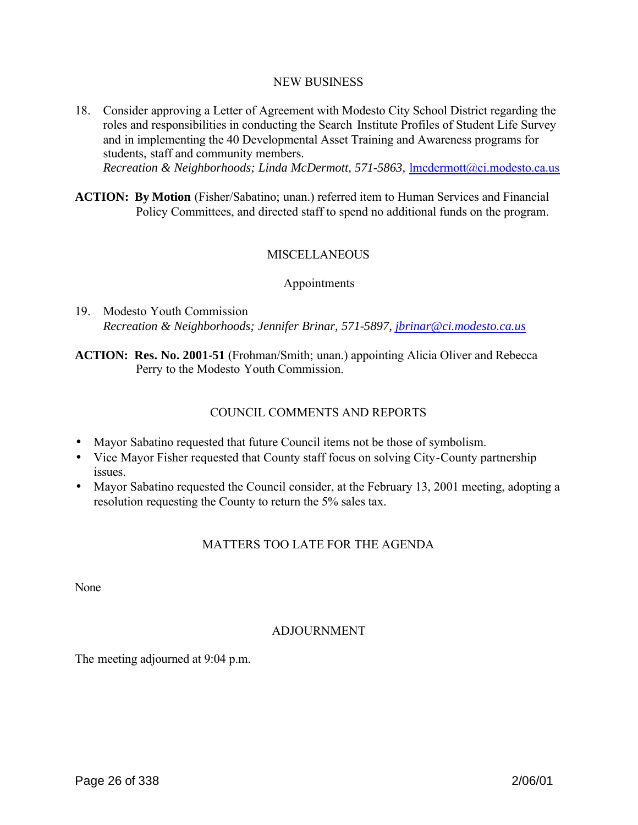#### NEW BUSINESS

- 18. Consider approving a Letter of Agreement with Modesto City School District regarding the roles and responsibilities in conducting the Search Institute Profiles of Student Life Survey and in implementing the 40 Developmental Asset Training and Awareness programs for students, staff and community members. *Recreation & Neighborhoods; Linda McDermott, 571-5863, Imcdermott@ci.modesto.ca.us*
- **ACTION: By Motion** (Fisher/Sabatino; unan.) referred item to Human Services and Financial Policy Committees, and directed staff to spend no additional funds on the program.

### **MISCELLANEOUS**

#### Appointments

19. Modesto Youth Commission *Recreation & Neighborhoods; Jennifer Brinar, 571-5897, jbrinar@ci.modesto.ca.us*

**ACTION: Res. No. 2001-51** (Frohman/Smith; unan.) appointing Alicia Oliver and Rebecca Perry to the Modesto Youth Commission.

### COUNCIL COMMENTS AND REPORTS

- Mayor Sabatino requested that future Council items not be those of symbolism.
- Vice Mayor Fisher requested that County staff focus on solving City-County partnership issues.
- Mayor Sabatino requested the Council consider, at the February 13, 2001 meeting, adopting a resolution requesting the County to return the 5% sales tax.

#### MATTERS TOO LATE FOR THE AGENDA

None

#### ADJOURNMENT

The meeting adjourned at 9:04 p.m.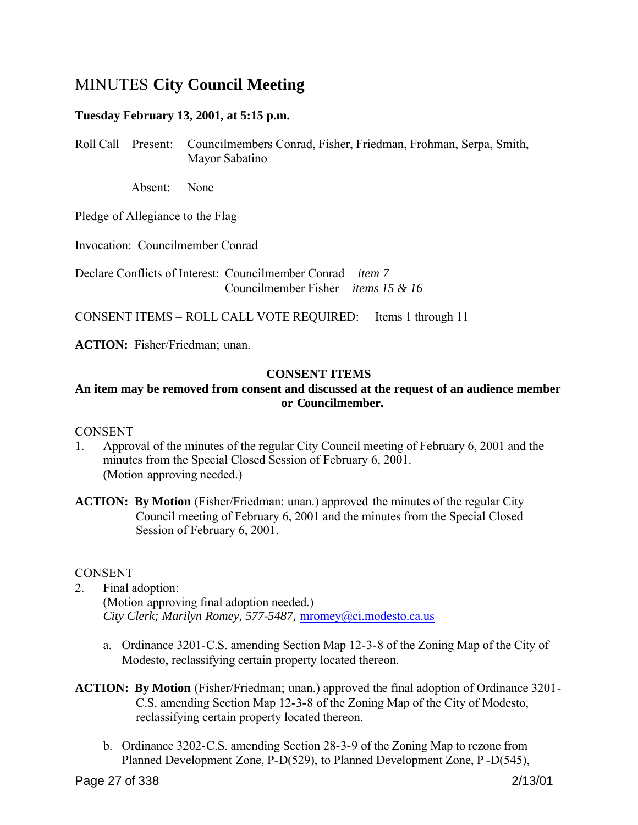# MINUTES **City Council Meeting**

# **Tuesday February 13, 2001, at 5:15 p.m.**

Roll Call – Present: Councilmembers Conrad, Fisher, Friedman, Frohman, Serpa, Smith, Mayor Sabatino

Absent: None

Pledge of Allegiance to the Flag

Invocation: Councilmember Conrad

Declare Conflicts of Interest: Councilmember Conrad—*item 7* Councilmember Fisher—*items 15 & 16*

CONSENT ITEMS – ROLL CALL VOTE REQUIRED: Items 1 through 11

**ACTION:** Fisher/Friedman; unan.

### **CONSENT ITEMS**

# **An item may be removed from consent and discussed at the request of an audience member or Councilmember.**

#### **CONSENT**

- 1. Approval of the minutes of the regular City Council meeting of February 6, 2001 and the minutes from the Special Closed Session of February 6, 2001. (Motion approving needed.)
- **ACTION:** By Motion (Fisher/Friedman; unan.) approved the minutes of the regular City Council meeting of February 6, 2001 and the minutes from the Special Closed Session of February 6, 2001.

#### **CONSENT**

2. Final adoption:

(Motion approving final adoption needed.) *City Clerk; Marilyn Romey, 577-5487,* mromey@ci.modesto.ca.us

- a. Ordinance 3201-C.S. amending Section Map 12-3-8 of the Zoning Map of the City of Modesto, reclassifying certain property located thereon.
- **ACTION: By Motion** (Fisher/Friedman; unan.) approved the final adoption of Ordinance 3201- C.S. amending Section Map 12-3-8 of the Zoning Map of the City of Modesto, reclassifying certain property located thereon.
	- b. Ordinance 3202-C.S. amending Section 28-3-9 of the Zoning Map to rezone from Planned Development Zone, P-D(529), to Planned Development Zone, P -D(545),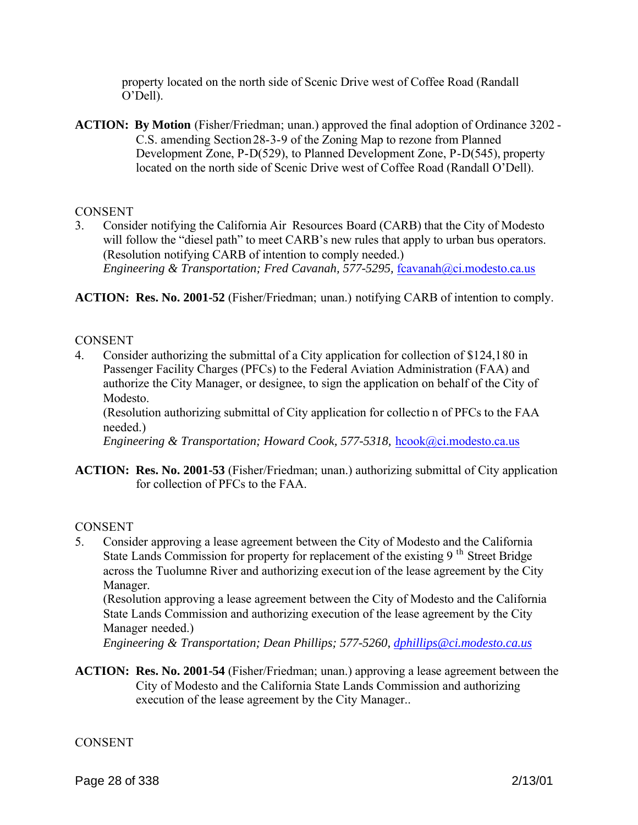property located on the north side of Scenic Drive west of Coffee Road (Randall O'Dell).

**ACTION: By Motion** (Fisher/Friedman; unan.) approved the final adoption of Ordinance 3202 - C.S. amending Section 28-3-9 of the Zoning Map to rezone from Planned Development Zone, P-D(529), to Planned Development Zone, P-D(545), property located on the north side of Scenic Drive west of Coffee Road (Randall O'Dell).

### **CONSENT**

3. Consider notifying the California Air Resources Board (CARB) that the City of Modesto will follow the "diesel path" to meet CARB's new rules that apply to urban bus operators. (Resolution notifying CARB of intention to comply needed.) *Engineering & Transportation; Fred Cavanah, 577-5295, fcavanah@ci.modesto.ca.us* 

**ACTION: Res. No. 2001-52** (Fisher/Friedman; unan.) notifying CARB of intention to comply.

### **CONSENT**

4. Consider authorizing the submittal of a City application for collection of \$124,180 in Passenger Facility Charges (PFCs) to the Federal Aviation Administration (FAA) and authorize the City Manager, or designee, to sign the application on behalf of the City of Modesto.

(Resolution authorizing submittal of City application for collectio n of PFCs to the FAA needed.)

*Engineering & Transportation; Howard Cook, 577-5318, hcook@ci.modesto.ca.us* 

**ACTION: Res. No. 2001-53** (Fisher/Friedman; unan.) authorizing submittal of City application for collection of PFCs to the FAA.

#### **CONSENT**

5. Consider approving a lease agreement between the City of Modesto and the California State Lands Commission for property for replacement of the existing 9<sup>th</sup> Street Bridge across the Tuolumne River and authorizing execution of the lease agreement by the City Manager.

(Resolution approving a lease agreement between the City of Modesto and the California State Lands Commission and authorizing execution of the lease agreement by the City Manager needed.)

*Engineering & Transportation; Dean Phillips; 577-5260, dphillips@ci.modesto.ca.us* 

**ACTION: Res. No. 2001-54** (Fisher/Friedman; unan.) approving a lease agreement between the City of Modesto and the California State Lands Commission and authorizing execution of the lease agreement by the City Manager..

**CONSENT**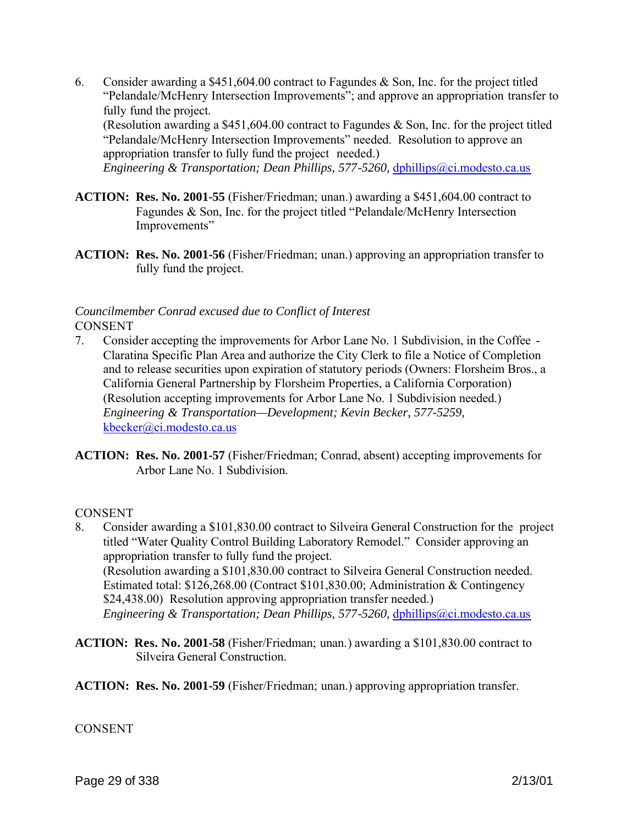6. Consider awarding a \$451,604.00 contract to Fagundes & Son, Inc. for the project titled "Pelandale/McHenry Intersection Improvements"; and approve an appropriation transfer to fully fund the project. (Resolution awarding a \$451,604.00 contract to Fagundes & Son, Inc. for the project titled "Pelandale/McHenry Intersection Improvements" needed. Resolution to approve an appropriation transfer to fully fund the project needed.)

*Engineering & Transportation; Dean Phillips, 577-5260, dphillips@ci.modesto.ca.us* 

- **ACTION: Res. No. 2001-55** (Fisher/Friedman; unan.) awarding a \$451,604.00 contract to Fagundes & Son, Inc. for the project titled "Pelandale/McHenry Intersection Improvements"
- **ACTION: Res. No. 2001-56** (Fisher/Friedman; unan.) approving an appropriation transfer to fully fund the project.

# *Councilmember Conrad excused due to Conflict of Interest* **CONSENT**

- 7. Consider accepting the improvements for Arbor Lane No. 1 Subdivision, in the Coffee Claratina Specific Plan Area and authorize the City Clerk to file a Notice of Completion and to release securities upon expiration of statutory periods (Owners: Florsheim Bros., a California General Partnership by Florsheim Properties, a California Corporation) (Resolution accepting improvements for Arbor Lane No. 1 Subdivision needed.) *Engineering & Transportation—Development; Kevin Becker, 577-5259,*  kbecker@ci.modesto.ca.us
- **ACTION: Res. No. 2001-57** (Fisher/Friedman; Conrad, absent) accepting improvements for Arbor Lane No. 1 Subdivision.

# **CONSENT**

- 8. Consider awarding a \$101,830.00 contract to Silveira General Construction for the project titled "Water Quality Control Building Laboratory Remodel." Consider approving an appropriation transfer to fully fund the project. (Resolution awarding a \$101,830.00 contract to Silveira General Construction needed. Estimated total: \$126,268.00 (Contract \$101,830.00; Administration & Contingency \$24,438.00) Resolution approving appropriation transfer needed.) *Engineering & Transportation; Dean Phillips, 577-5260, dphillips@ci.modesto.ca.us*
- **ACTION: Res. No. 2001-58** (Fisher/Friedman; unan.) awarding a \$101,830.00 contract to Silveira General Construction.
- **ACTION: Res. No. 2001-59** (Fisher/Friedman; unan.) approving appropriation transfer.

# **CONSENT**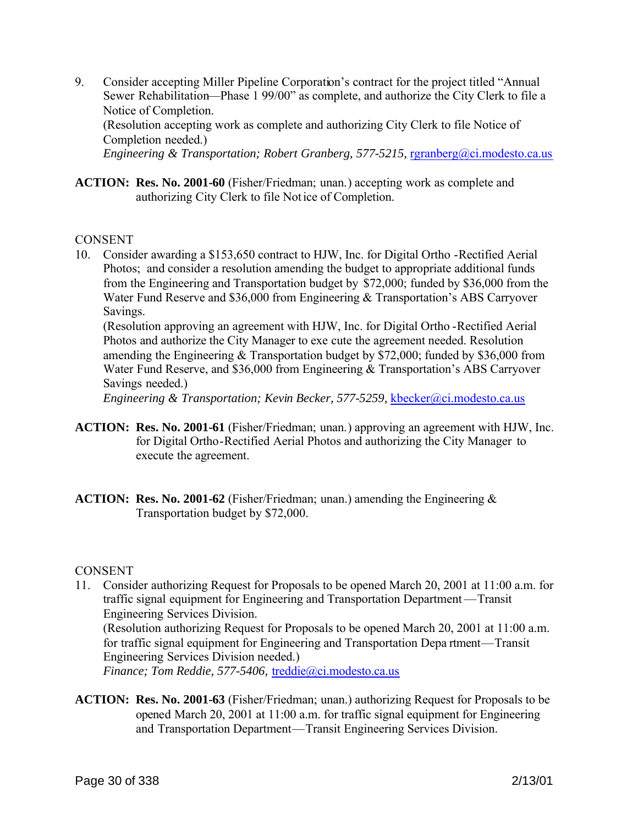9. Consider accepting Miller Pipeline Corporation's contract for the project titled "Annual Sewer Rehabilitation—Phase 1 99/00" as complete, and authorize the City Clerk to file a Notice of Completion. (Resolution accepting work as complete and authorizing City Clerk to file Notice of Completion needed.)

*Engineering & Transportation; Robert Granberg, 577-5215, rgranberg@ci.modesto.ca.us* 

**ACTION: Res. No. 2001-60** (Fisher/Friedman; unan.) accepting work as complete and authorizing City Clerk to file Notice of Completion.

#### **CONSENT**

10. Consider awarding a \$153,650 contract to HJW, Inc. for Digital Ortho -Rectified Aerial Photos; and consider a resolution amending the budget to appropriate additional funds from the Engineering and Transportation budget by \$72,000; funded by \$36,000 from the Water Fund Reserve and \$36,000 from Engineering & Transportation's ABS Carryover Savings.

(Resolution approving an agreement with HJW, Inc. for Digital Ortho -Rectified Aerial Photos and authorize the City Manager to exe cute the agreement needed. Resolution amending the Engineering & Transportation budget by \$72,000; funded by \$36,000 from Water Fund Reserve, and \$36,000 from Engineering & Transportation's ABS Carryover Savings needed.)

*Engineering & Transportation; Kevin Becker, 577-5259, kbecker@ci.modesto.ca.us* 

- **ACTION: Res. No. 2001-61** (Fisher/Friedman; unan.) approving an agreement with HJW, Inc. for Digital Ortho-Rectified Aerial Photos and authorizing the City Manager to execute the agreement.
- **ACTION: Res. No. 2001-62** (Fisher/Friedman; unan.) amending the Engineering & Transportation budget by \$72,000.

#### **CONSENT**

- 11. Consider authorizing Request for Proposals to be opened March 20, 2001 at 11:00 a.m. for traffic signal equipment for Engineering and Transportation Department —Transit Engineering Services Division. (Resolution authorizing Request for Proposals to be opened March 20, 2001 at 11:00 a.m. for traffic signal equipment for Engineering and Transportation Depa rtment—Transit Engineering Services Division needed.) *Finance; Tom Reddie, 577-5406,* treddie@ci.modesto.ca.us
- **ACTION: Res. No. 2001-63** (Fisher/Friedman; unan.) authorizing Request for Proposals to be opened March 20, 2001 at 11:00 a.m. for traffic signal equipment for Engineering and Transportation Department—Transit Engineering Services Division.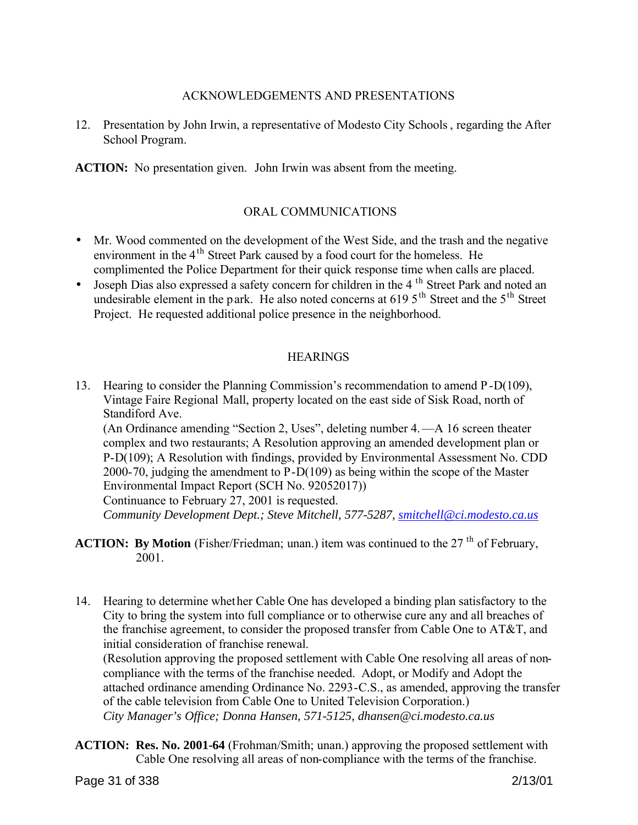### ACKNOWLEDGEMENTS AND PRESENTATIONS

12. Presentation by John Irwin, a representative of Modesto City Schools, regarding the After School Program.

**ACTION:** No presentation given.John Irwin was absent from the meeting.

### ORAL COMMUNICATIONS

- Mr. Wood commented on the development of the West Side, and the trash and the negative environment in the  $4<sup>th</sup>$  Street Park caused by a food court for the homeless. He complimented the Police Department for their quick response time when calls are placed.
- Joseph Dias also expressed a safety concern for children in the 4<sup>th</sup> Street Park and noted an undesirable element in the park. He also noted concerns at  $619.5<sup>th</sup>$  Street and the  $5<sup>th</sup>$  Street Project. He requested additional police presence in the neighborhood.

### **HEARINGS**

13. Hearing to consider the Planning Commission's recommendation to amend P-D(109), Vintage Faire Regional Mall, property located on the east side of Sisk Road, north of Standiford Ave.

(An Ordinance amending "Section 2, Uses", deleting number 4.—A 16 screen theater complex and two restaurants; A Resolution approving an amended development plan or P-D(109); A Resolution with findings, provided by Environmental Assessment No. CDD 2000-70, judging the amendment to P-D(109) as being within the scope of the Master Environmental Impact Report (SCH No. 92052017))

Continuance to February 27, 2001 is requested. *Community Development Dept.; Steve Mitchell, 577-5287, smitchell@ci.modesto.ca.us*

- **ACTION: By Motion** (Fisher/Friedman; unan.) item was continued to the 27<sup>th</sup> of February, 2001.
- 14. Hearing to determine whether Cable One has developed a binding plan satisfactory to the City to bring the system into full compliance or to otherwise cure any and all breaches of the franchise agreement, to consider the proposed transfer from Cable One to AT&T, and initial consideration of franchise renewal.

(Resolution approving the proposed settlement with Cable One resolving all areas of noncompliance with the terms of the franchise needed. Adopt, or Modify and Adopt the attached ordinance amending Ordinance No. 2293-C.S., as amended, approving the transfer of the cable television from Cable One to United Television Corporation.) *City Manager's Office; Donna Hansen, 571-5125, dhansen@ci.modesto.ca.us*

**ACTION: Res. No. 2001-64** (Frohman/Smith; unan.) approving the proposed settlement with Cable One resolving all areas of non-compliance with the terms of the franchise.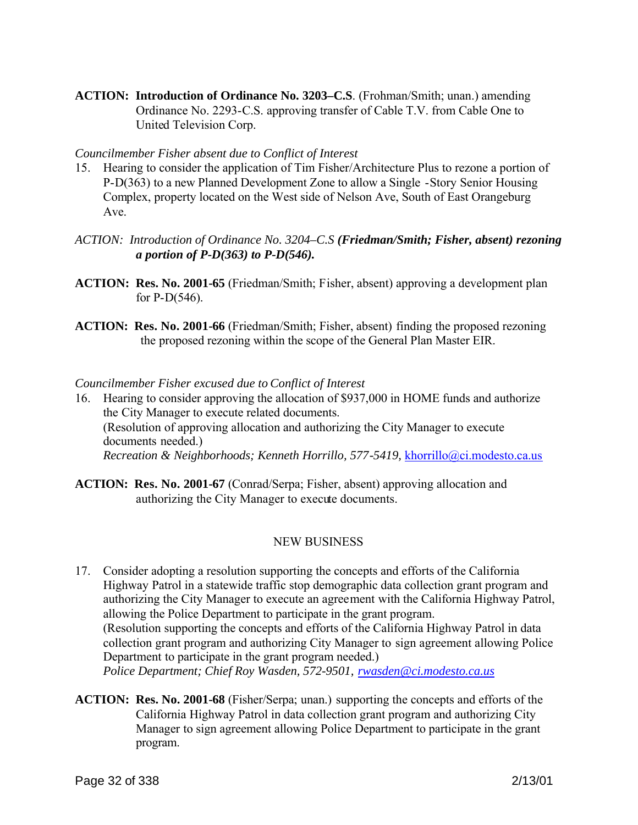**ACTION: Introduction of Ordinance No. 3203–C.S**. (Frohman/Smith; unan.) amending Ordinance No. 2293-C.S. approving transfer of Cable T.V. from Cable One to United Television Corp.

#### *Councilmember Fisher absent due to Conflict of Interest*

- 15. Hearing to consider the application of Tim Fisher/Architecture Plus to rezone a portion of P-D(363) to a new Planned Development Zone to allow a Single -Story Senior Housing Complex, property located on the West side of Nelson Ave, South of East Orangeburg Ave.
- *ACTION: Introduction of Ordinance No. 3204–C.S (Friedman/Smith; Fisher, absent) rezoning a portion of P-D(363) to P-D(546).*
- **ACTION: Res. No. 2001-65** (Friedman/Smith; Fisher, absent) approving a development plan for  $P-D(546)$ .
- **ACTION: Res. No. 2001-66** (Friedman/Smith; Fisher, absent) finding the proposed rezoning the proposed rezoning within the scope of the General Plan Master EIR.

#### *Councilmember Fisher excused due to Conflict of Interest*

- 16. Hearing to consider approving the allocation of \$937,000 in HOME funds and authorize the City Manager to execute related documents. (Resolution of approving allocation and authorizing the City Manager to execute documents needed.) *Recreation & Neighborhoods; Kenneth Horrillo, 577-5419,* khorrillo@ci.modesto.ca.us
- **ACTION: Res. No. 2001-67** (Conrad/Serpa; Fisher, absent) approving allocation and authorizing the City Manager to execute documents.

#### NEW BUSINESS

- 17. Consider adopting a resolution supporting the concepts and efforts of the California Highway Patrol in a statewide traffic stop demographic data collection grant program and authorizing the City Manager to execute an agreement with the California Highway Patrol, allowing the Police Department to participate in the grant program. (Resolution supporting the concepts and efforts of the California Highway Patrol in data collection grant program and authorizing City Manager to sign agreement allowing Police Department to participate in the grant program needed.) *Police Department; Chief Roy Wasden, 572-9501, rwasden@ci.modesto.ca.us*
- **ACTION: Res. No. 2001-68** (Fisher/Serpa; unan.) supporting the concepts and efforts of the California Highway Patrol in data collection grant program and authorizing City Manager to sign agreement allowing Police Department to participate in the grant program.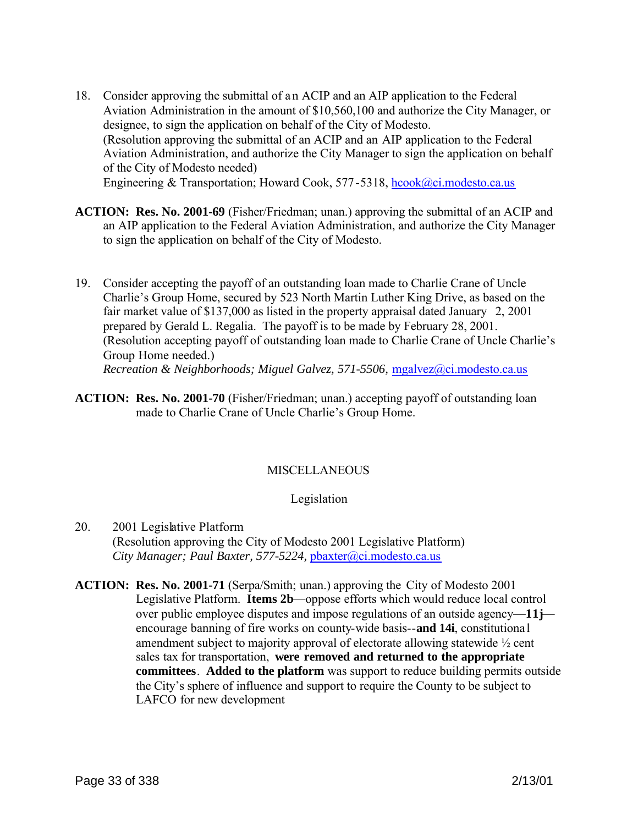- 18. Consider approving the submittal of a n ACIP and an AIP application to the Federal Aviation Administration in the amount of \$10,560,100 and authorize the City Manager, or designee, to sign the application on behalf of the City of Modesto. (Resolution approving the submittal of an ACIP and an AIP application to the Federal Aviation Administration, and authorize the City Manager to sign the application on behalf of the City of Modesto needed) Engineering & Transportation; Howard Cook, 577-5318, hcook@ci.modesto.ca.us
- **ACTION: Res. No. 2001-69** (Fisher/Friedman; unan.) approving the submittal of an ACIP and an AIP application to the Federal Aviation Administration, and authorize the City Manager to sign the application on behalf of the City of Modesto.
- 19. Consider accepting the payoff of an outstanding loan made to Charlie Crane of Uncle Charlie's Group Home, secured by 523 North Martin Luther King Drive, as based on the fair market value of \$137,000 as listed in the property appraisal dated January 2, 2001 prepared by Gerald L. Regalia. The payoff is to be made by February 28, 2001. (Resolution accepting payoff of outstanding loan made to Charlie Crane of Uncle Charlie's Group Home needed.) *Recreation & Neighborhoods; Miguel Galvez, 571-5506,* mgalvez@ci.modesto.ca.us
- **ACTION: Res. No. 2001-70** (Fisher/Friedman; unan.) accepting payoff of outstanding loan made to Charlie Crane of Uncle Charlie's Group Home.

# **MISCELLANEOUS**

#### Legislation

- 20. 2001 Legislative Platform (Resolution approving the City of Modesto 2001 Legislative Platform) *City Manager; Paul Baxter, 577-5224,* pbaxter@ci.modesto.ca.us
- **ACTION: Res. No. 2001-71** (Serpa/Smith; unan.) approving the City of Modesto 2001 Legislative Platform. **Items 2b**—oppose efforts which would reduce local control over public employee disputes and impose regulations of an outside agency—**11j** encourage banning of fire works on county-wide basis--**and 14i**, constitutiona l amendment subject to majority approval of electorate allowing statewide ½ cent sales tax for transportation, **were removed and returned to the appropriate committees**. **Added to the platform** was support to reduce building permits outside the City's sphere of influence and support to require the County to be subject to LAFCO for new development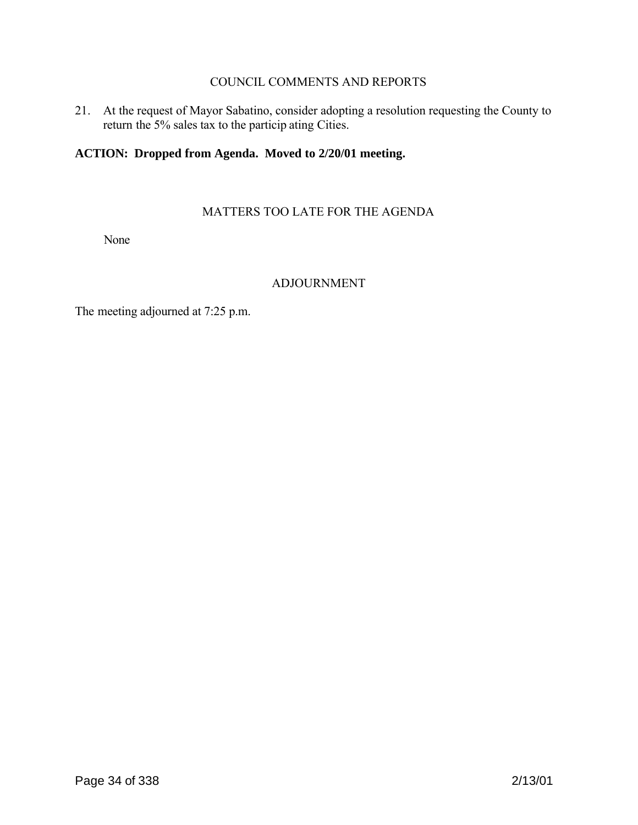### COUNCIL COMMENTS AND REPORTS

21. At the request of Mayor Sabatino, consider adopting a resolution requesting the County to return the 5% sales tax to the particip ating Cities.

### **ACTION: Dropped from Agenda. Moved to 2/20/01 meeting.**

#### MATTERS TOO LATE FOR THE AGENDA

None

### ADJOURNMENT

The meeting adjourned at 7:25 p.m.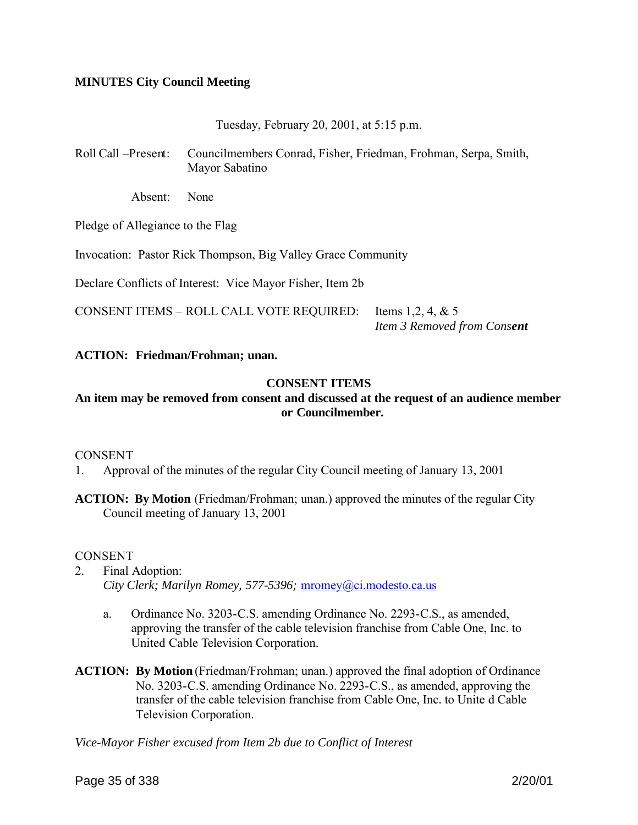### **MINUTES City Council Meeting**

Tuesday, February 20, 2001, at 5:15 p.m.

Roll Call –Present: Councilmembers Conrad, Fisher, Friedman, Frohman, Serpa, Smith, Mayor Sabatino

Absent: None

Pledge of Allegiance to the Flag

Invocation: Pastor Rick Thompson, Big Valley Grace Community

Declare Conflicts of Interest: Vice Mayor Fisher, Item 2b

CONSENT ITEMS – ROLL CALL VOTE REQUIRED: Items 1,2, 4,  $& 5$ *Item 3 Removed from Consent*

#### **ACTION: Friedman/Frohman; unan.**

#### **CONSENT ITEMS**

### **An item may be removed from consent and discussed at the request of an audience member or Councilmember.**

#### CONSENT

1. Approval of the minutes of the regular City Council meeting of January 13, 2001

**ACTION: By Motion** (Friedman/Frohman; unan.) approved the minutes of the regular City Council meeting of January 13, 2001

#### CONSENT

- 2. Final Adoption: *City Clerk; Marilyn Romey, 577-5396;* mromey@ci.modesto.ca.us
	- a. Ordinance No. 3203-C.S. amending Ordinance No. 2293-C.S., as amended, approving the transfer of the cable television franchise from Cable One, Inc. to United Cable Television Corporation.
- **ACTION: By Motion** (Friedman/Frohman; unan.) approved the final adoption of Ordinance No. 3203-C.S. amending Ordinance No. 2293-C.S., as amended, approving the transfer of the cable television franchise from Cable One, Inc. to Unite d Cable Television Corporation.

*Vice-Mayor Fisher excused from Item 2b due to Conflict of Interest*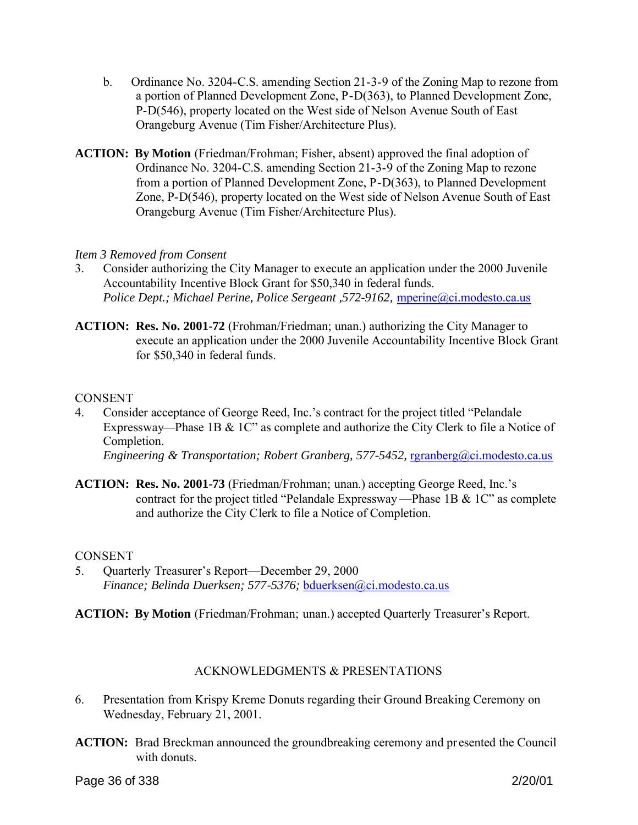- b. Ordinance No. 3204-C.S. amending Section 21-3-9 of the Zoning Map to rezone from a portion of Planned Development Zone, P-D(363), to Planned Development Zone, P-D(546), property located on the West side of Nelson Avenue South of East Orangeburg Avenue (Tim Fisher/Architecture Plus).
- **ACTION: By Motion** (Friedman/Frohman; Fisher, absent) approved the final adoption of Ordinance No. 3204-C.S. amending Section 21-3-9 of the Zoning Map to rezone from a portion of Planned Development Zone, P-D(363), to Planned Development Zone, P-D(546), property located on the West side of Nelson Avenue South of East Orangeburg Avenue (Tim Fisher/Architecture Plus).

### *Item 3 Removed from Consent*

- 3. Consider authorizing the City Manager to execute an application under the 2000 Juvenile Accountability Incentive Block Grant for \$50,340 in federal funds. *Police Dept.; Michael Perine, Police Sergeant ,572-9162, mperine@ci.modesto.ca.us*
- **ACTION: Res. No. 2001-72** (Frohman/Friedman; unan.) authorizing the City Manager to execute an application under the 2000 Juvenile Accountability Incentive Block Grant for \$50,340 in federal funds.

### **CONSENT**

- 4. Consider acceptance of George Reed, Inc.'s contract for the project titled "Pelandale Expressway—Phase 1B & 1C" as complete and authorize the City Clerk to file a Notice of Completion. *Engineering & Transportation; Robert Granberg, 577-5452, rgranberg@ci.modesto.ca.us*
- **ACTION: Res. No. 2001-73** (Friedman/Frohman; unan.) accepting George Reed, Inc.'s contract for the project titled "Pelandale Expressway—Phase 1B & 1C" as complete and authorize the City Clerk to file a Notice of Completion.

#### **CONSENT**

5. Quarterly Treasurer's Report—December 29, 2000 *Finance; Belinda Duerksen; 577-5376;* bduerksen@ci.modesto.ca.us

**ACTION: By Motion** (Friedman/Frohman; unan.) accepted Quarterly Treasurer's Report.

# ACKNOWLEDGMENTS & PRESENTATIONS

- 6. Presentation from Krispy Kreme Donuts regarding their Ground Breaking Ceremony on Wednesday, February 21, 2001.
- **ACTION:** Brad Breckman announced the groundbreaking ceremony and presented the Council with donuts.

Page 36 of 338 2/20/01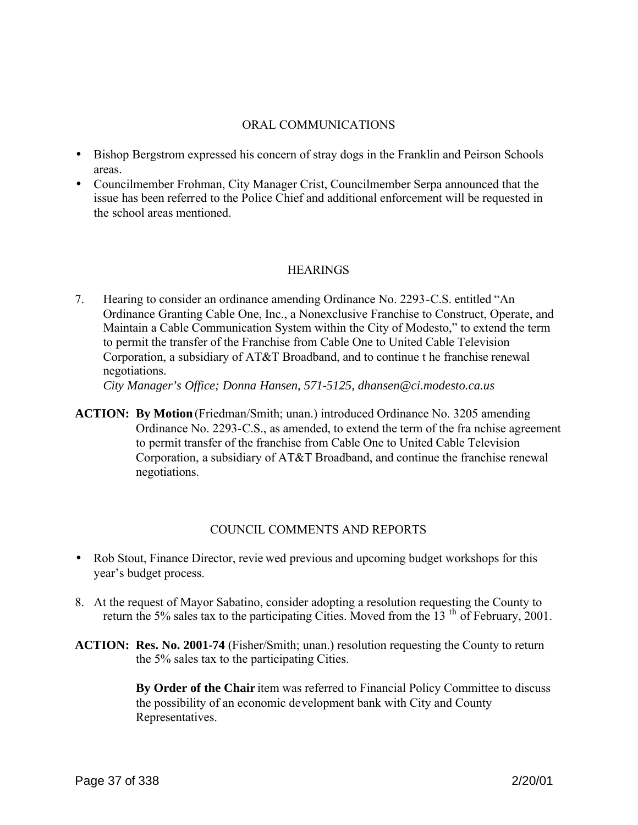## ORAL COMMUNICATIONS

- Bishop Bergstrom expressed his concern of stray dogs in the Franklin and Peirson Schools areas.
- Councilmember Frohman, City Manager Crist, Councilmember Serpa announced that the issue has been referred to the Police Chief and additional enforcement will be requested in the school areas mentioned.

## **HEARINGS**

7. Hearing to consider an ordinance amending Ordinance No. 2293-C.S. entitled "An Ordinance Granting Cable One, Inc., a Nonexclusive Franchise to Construct, Operate, and Maintain a Cable Communication System within the City of Modesto," to extend the term to permit the transfer of the Franchise from Cable One to United Cable Television Corporation, a subsidiary of AT&T Broadband, and to continue t he franchise renewal negotiations.

*City Manager's Office; Donna Hansen, 571-5125, dhansen@ci.modesto.ca.us*

**ACTION: By Motion** (Friedman/Smith; unan.) introduced Ordinance No. 3205 amending Ordinance No. 2293-C.S., as amended, to extend the term of the fra nchise agreement to permit transfer of the franchise from Cable One to United Cable Television Corporation, a subsidiary of AT&T Broadband, and continue the franchise renewal negotiations.

## COUNCIL COMMENTS AND REPORTS

- Rob Stout, Finance Director, revie wed previous and upcoming budget workshops for this year's budget process.
- 8. At the request of Mayor Sabatino, consider adopting a resolution requesting the County to return the 5% sales tax to the participating Cities. Moved from the 13<sup>th</sup> of February, 2001.
- **ACTION: Res. No. 2001-74** (Fisher/Smith; unan.) resolution requesting the County to return the 5% sales tax to the participating Cities.

**By Order of the Chair** item was referred to Financial Policy Committee to discuss the possibility of an economic development bank with City and County Representatives.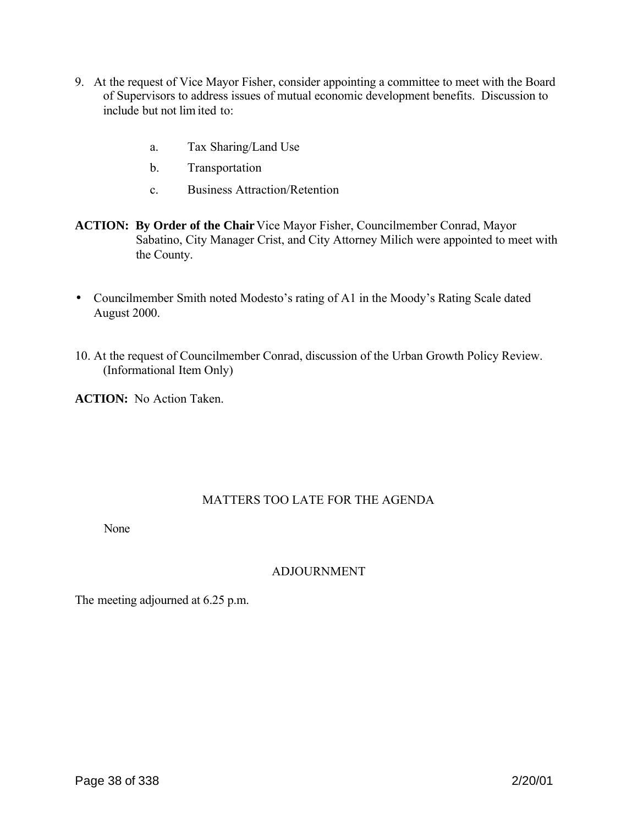- 9. At the request of Vice Mayor Fisher, consider appointing a committee to meet with the Board of Supervisors to address issues of mutual economic development benefits. Discussion to include but not lim ited to:
	- a. Tax Sharing/Land Use
	- b. Transportation
	- c. Business Attraction/Retention
- **ACTION: By Order of the Chair** Vice Mayor Fisher, Councilmember Conrad, Mayor Sabatino, City Manager Crist, and City Attorney Milich were appointed to meet with the County.
- Councilmember Smith noted Modesto's rating of A1 in the Moody's Rating Scale dated August 2000.
- 10. At the request of Councilmember Conrad, discussion of the Urban Growth Policy Review. (Informational Item Only)

**ACTION:** No Action Taken.

# MATTERS TOO LATE FOR THE AGENDA

None

# ADJOURNMENT

The meeting adjourned at 6.25 p.m.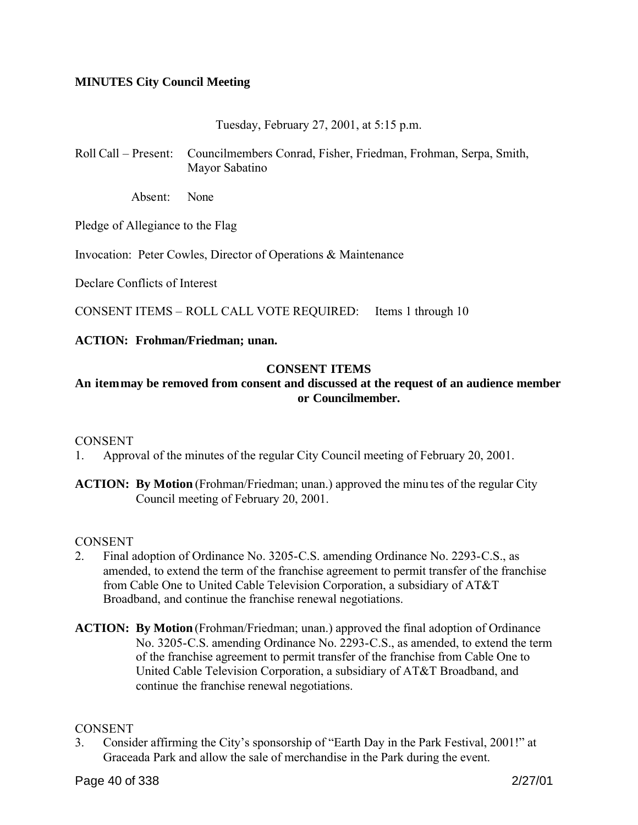## **MINUTES City Council Meeting**

Tuesday, February 27, 2001, at 5:15 p.m.

Roll Call – Present: Councilmembers Conrad, Fisher, Friedman, Frohman, Serpa, Smith, Mayor Sabatino

Absent: None

Pledge of Allegiance to the Flag

Invocation: Peter Cowles, Director of Operations & Maintenance

Declare Conflicts of Interest

CONSENT ITEMS – ROLL CALL VOTE REQUIRED: Items 1 through 10

### **ACTION: Frohman/Friedman; unan.**

### **CONSENT ITEMS**

# **An item may be removed from consent and discussed at the request of an audience member or Councilmember.**

## **CONSENT**

1. Approval of the minutes of the regular City Council meeting of February 20, 2001.

**ACTION:** By Motion (Frohman/Friedman; unan.) approved the minu tes of the regular City Council meeting of February 20, 2001.

#### CONSENT

- 2. Final adoption of Ordinance No. 3205-C.S. amending Ordinance No. 2293-C.S., as amended, to extend the term of the franchise agreement to permit transfer of the franchise from Cable One to United Cable Television Corporation, a subsidiary of AT&T Broadband, and continue the franchise renewal negotiations.
- **ACTION: By Motion** (Frohman/Friedman; unan.) approved the final adoption of Ordinance No. 3205-C.S. amending Ordinance No. 2293-C.S., as amended, to extend the term of the franchise agreement to permit transfer of the franchise from Cable One to United Cable Television Corporation, a subsidiary of AT&T Broadband, and continue the franchise renewal negotiations.

#### **CONSENT**

3. Consider affirming the City's sponsorship of "Earth Day in the Park Festival, 2001!" at Graceada Park and allow the sale of merchandise in the Park during the event.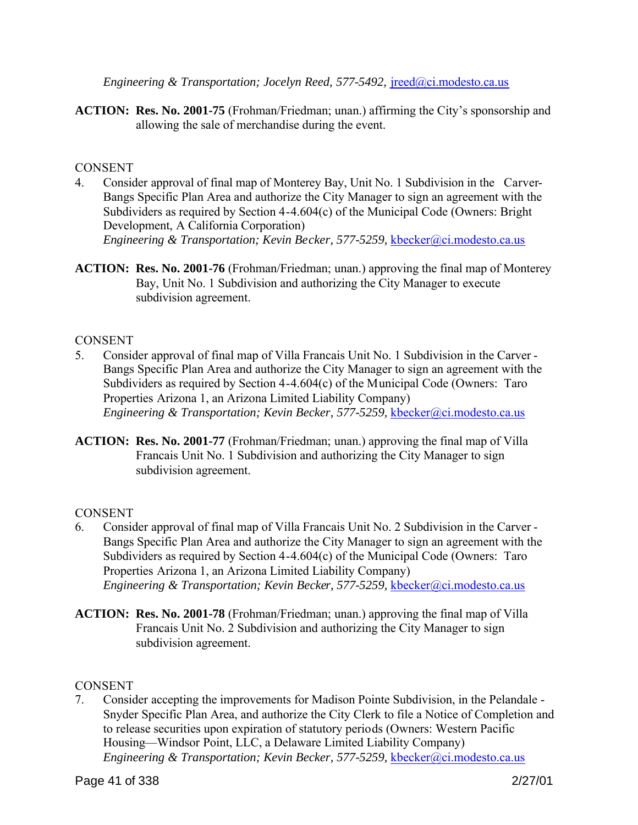*Engineering & Transportation; Jocelyn Reed, 577-5492, ireed@ci.modesto.ca.us* 

**ACTION: Res. No. 2001-75** (Frohman/Friedman; unan.) affirming the City's sponsorship and allowing the sale of merchandise during the event.

# **CONSENT**

- 4. Consider approval of final map of Monterey Bay, Unit No. 1 Subdivision in the Carver-Bangs Specific Plan Area and authorize the City Manager to sign an agreement with the Subdividers as required by Section 4-4.604(c) of the Municipal Code (Owners: Bright Development, A California Corporation) *Engineering & Transportation; Kevin Becker, 577-5259, kbecker@ci.modesto.ca.us*
- **ACTION: Res. No. 2001-76** (Frohman/Friedman; unan.) approving the final map of Monterey Bay, Unit No. 1 Subdivision and authorizing the City Manager to execute subdivision agreement.

## **CONSENT**

- 5. Consider approval of final map of Villa Francais Unit No. 1 Subdivision in the Carver Bangs Specific Plan Area and authorize the City Manager to sign an agreement with the Subdividers as required by Section 4-4.604(c) of the Municipal Code (Owners: Taro Properties Arizona 1, an Arizona Limited Liability Company) *Engineering & Transportation; Kevin Becker, 577-5259, kbecker@ci.modesto.ca.us*
- **ACTION: Res. No. 2001-77** (Frohman/Friedman; unan.) approving the final map of Villa Francais Unit No. 1 Subdivision and authorizing the City Manager to sign subdivision agreement.

# **CONSENT**

- 6. Consider approval of final map of Villa Francais Unit No. 2 Subdivision in the Carver Bangs Specific Plan Area and authorize the City Manager to sign an agreement with the Subdividers as required by Section 4-4.604(c) of the Municipal Code (Owners: Taro Properties Arizona 1, an Arizona Limited Liability Company) *Engineering & Transportation; Kevin Becker, 577-5259, kbecker@ci.modesto.ca.us*
- **ACTION: Res. No. 2001-78** (Frohman/Friedman; unan.) approving the final map of Villa Francais Unit No. 2 Subdivision and authorizing the City Manager to sign subdivision agreement.

## **CONSENT**

7. Consider accepting the improvements for Madison Pointe Subdivision, in the Pelandale - Snyder Specific Plan Area, and authorize the City Clerk to file a Notice of Completion and to release securities upon expiration of statutory periods (Owners: Western Pacific Housing—Windsor Point, LLC, a Delaware Limited Liability Company) *Engineering & Transportation; Kevin Becker, 577-5259, kbecker@ci.modesto.ca.us*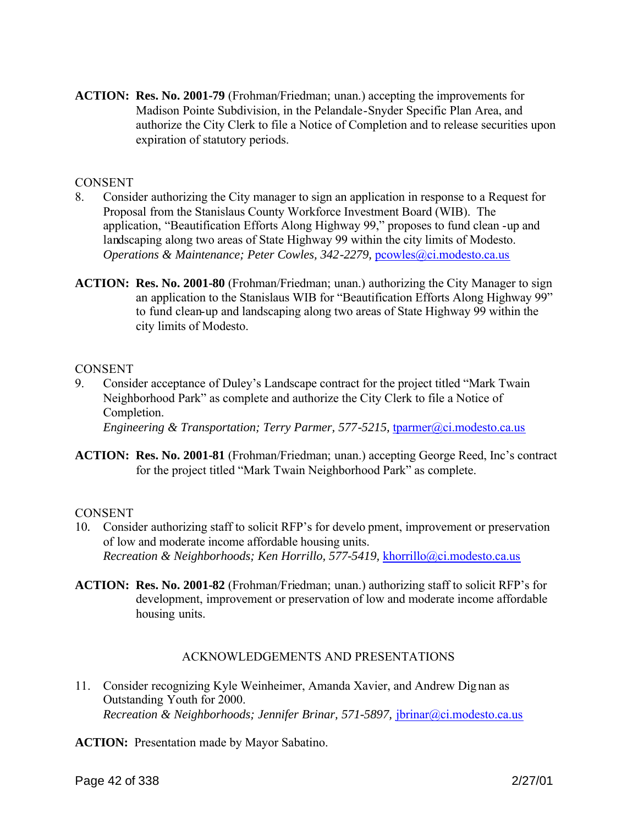**ACTION: Res. No. 2001-79** (Frohman/Friedman; unan.) accepting the improvements for Madison Pointe Subdivision, in the Pelandale-Snyder Specific Plan Area, and authorize the City Clerk to file a Notice of Completion and to release securities upon expiration of statutory periods.

## **CONSENT**

- 8. Consider authorizing the City manager to sign an application in response to a Request for Proposal from the Stanislaus County Workforce Investment Board (WIB). The application, "Beautification Efforts Along Highway 99," proposes to fund clean -up and landscaping along two areas of State Highway 99 within the city limits of Modesto. *Operations & Maintenance; Peter Cowles, 342-2279, pcowles@ci.modesto.ca.us*
- **ACTION: Res. No. 2001-80** (Frohman/Friedman; unan.) authorizing the City Manager to sign an application to the Stanislaus WIB for "Beautification Efforts Along Highway 99" to fund clean-up and landscaping along two areas of State Highway 99 within the city limits of Modesto.

## CONSENT

- 9. Consider acceptance of Duley's Landscape contract for the project titled "Mark Twain Neighborhood Park" as complete and authorize the City Clerk to file a Notice of Completion. *Engineering & Transportation; Terry Parmer, 577-5215,* tparmer@ci.modesto.ca.us
- **ACTION: Res. No. 2001-81** (Frohman/Friedman; unan.) accepting George Reed, Inc's contract for the project titled "Mark Twain Neighborhood Park" as complete.

## **CONSENT**

- 10*.* Consider authorizing staff to solicit RFP's for develo pment, improvement or preservation of low and moderate income affordable housing units. *Recreation & Neighborhoods; Ken Horrillo, 577-5419,* khorrillo@ci.modesto.ca.us
- **ACTION: Res. No. 2001-82** (Frohman/Friedman; unan.) authorizing staff to solicit RFP's for development, improvement or preservation of low and moderate income affordable housing units.

## ACKNOWLEDGEMENTS AND PRESENTATIONS

- 11. Consider recognizing Kyle Weinheimer, Amanda Xavier, and Andrew Dignan as Outstanding Youth for 2000. *Recreation & Neighborhoods; Jennifer Brinar, 571-5897, <i>jbrinar@ci.modesto.ca.us*
- **ACTION:** Presentation made by Mayor Sabatino.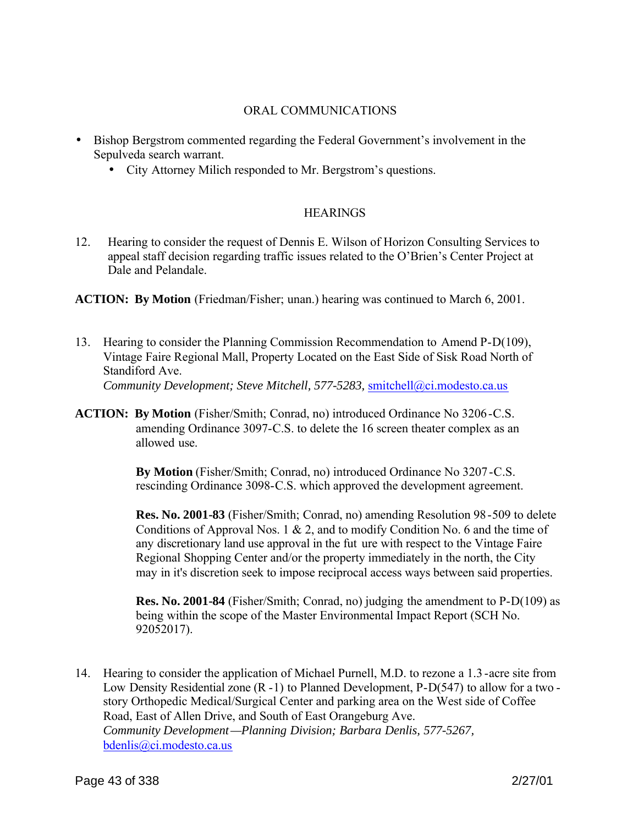## ORAL COMMUNICATIONS

- Bishop Bergstrom commented regarding the Federal Government's involvement in the Sepulveda search warrant.
	- City Attorney Milich responded to Mr. Bergstrom's questions.

## **HEARINGS**

- 12. Hearing to consider the request of Dennis E. Wilson of Horizon Consulting Services to appeal staff decision regarding traffic issues related to the O'Brien's Center Project at Dale and Pelandale.
- **ACTION: By Motion** (Friedman/Fisher; unan.) hearing was continued to March 6, 2001.
- 13. Hearing to consider the Planning Commission Recommendation to Amend P-D(109), Vintage Faire Regional Mall, Property Located on the East Side of Sisk Road North of Standiford Ave.

*Community Development; Steve Mitchell, 577-5283,* smitchell@ci.modesto.ca.us

**ACTION: By Motion** (Fisher/Smith; Conrad, no) introduced Ordinance No 3206-C.S. amending Ordinance 3097-C.S. to delete the 16 screen theater complex as an allowed use.

> **By Motion** (Fisher/Smith; Conrad, no) introduced Ordinance No 3207-C.S. rescinding Ordinance 3098-C.S. which approved the development agreement.

**Res. No. 2001-83** (Fisher/Smith; Conrad, no) amending Resolution 98-509 to delete Conditions of Approval Nos. 1 & 2, and to modify Condition No. 6 and the time of any discretionary land use approval in the fut ure with respect to the Vintage Faire Regional Shopping Center and/or the property immediately in the north, the City may in it's discretion seek to impose reciprocal access ways between said properties.

**Res. No. 2001-84** (Fisher/Smith; Conrad, no) judging the amendment to P-D(109) as being within the scope of the Master Environmental Impact Report (SCH No. 92052017).

14. Hearing to consider the application of Michael Purnell, M.D. to rezone a 1.3 -acre site from Low Density Residential zone (R -1) to Planned Development, P-D(547) to allow for a two story Orthopedic Medical/Surgical Center and parking area on the West side of Coffee Road, East of Allen Drive, and South of East Orangeburg Ave. *Community Development—Planning Division; Barbara Denlis, 577-5267,*  bdenlis@ci.modesto.ca.us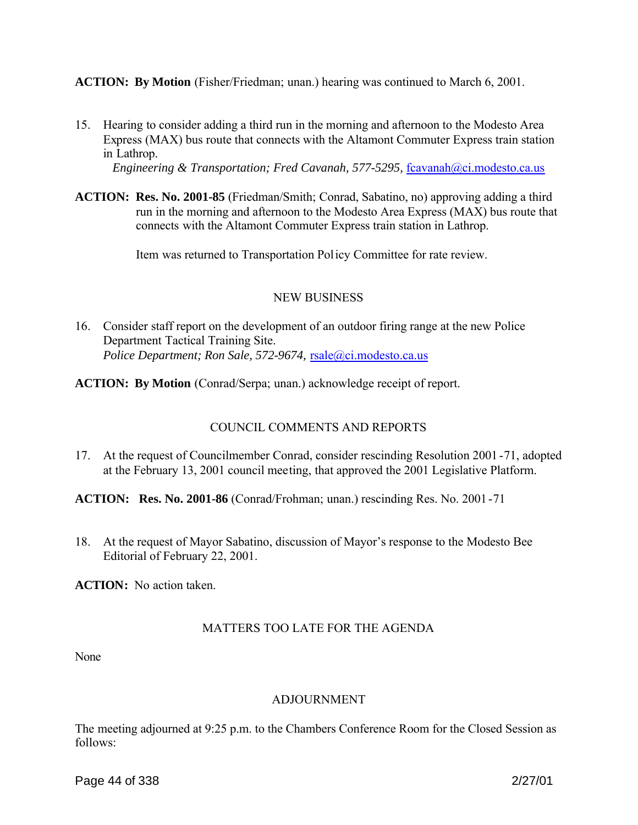**ACTION: By Motion** (Fisher/Friedman; unan.) hearing was continued to March 6, 2001.

15. Hearing to consider adding a third run in the morning and afternoon to the Modesto Area Express (MAX) bus route that connects with the Altamont Commuter Express train station in Lathrop.

*Engineering & Transportation; Fred Cavanah, 577-5295, fcavanah@ci.modesto.ca.us* 

**ACTION: Res. No. 2001-85** (Friedman/Smith; Conrad, Sabatino, no) approving adding a third run in the morning and afternoon to the Modesto Area Express (MAX) bus route that connects with the Altamont Commuter Express train station in Lathrop.

Item was returned to Transportation Policy Committee for rate review.

# NEW BUSINESS

- 16. Consider staff report on the development of an outdoor firing range at the new Police Department Tactical Training Site. *Police Department; Ron Sale, 572-9674, rsale@ci.modesto.ca.us*
- **ACTION: By Motion** (Conrad/Serpa; unan.) acknowledge receipt of report.

# COUNCIL COMMENTS AND REPORTS

17. At the request of Councilmember Conrad, consider rescinding Resolution 2001 -71, adopted at the February 13, 2001 council meeting, that approved the 2001 Legislative Platform.

**ACTION: Res. No. 2001-86** (Conrad/Frohman; unan.) rescinding Res. No. 2001-71

18. At the request of Mayor Sabatino, discussion of Mayor's response to the Modesto Bee Editorial of February 22, 2001.

**ACTION:** No action taken.

# MATTERS TOO LATE FOR THE AGENDA

None

# ADJOURNMENT

The meeting adjourned at 9:25 p.m. to the Chambers Conference Room for the Closed Session as follows: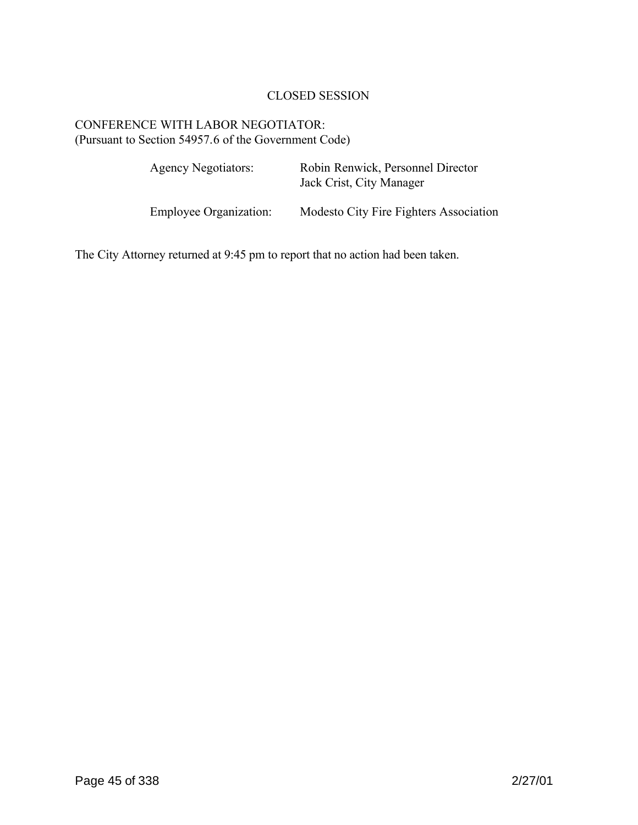# CLOSED SESSION

# CONFERENCE WITH LABOR NEGOTIATOR: (Pursuant to Section 54957.6 of the Government Code)

| <b>Agency Negotiators:</b>    | Robin Renwick, Personnel Director<br>Jack Crist, City Manager |
|-------------------------------|---------------------------------------------------------------|
| <b>Employee Organization:</b> | Modesto City Fire Fighters Association                        |

The City Attorney returned at 9:45 pm to report that no action had been taken.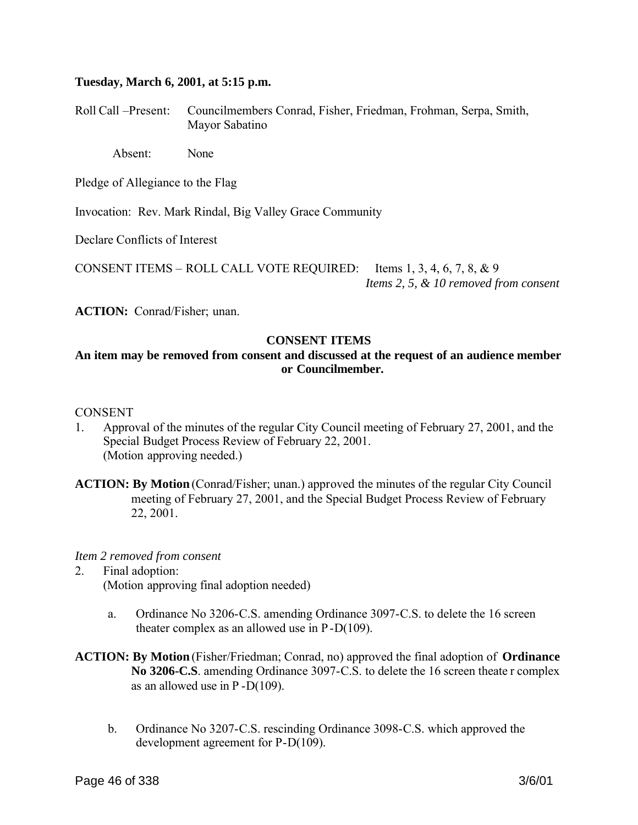### **Tuesday, March 6, 2001, at 5:15 p.m.**

Roll Call –Present: Councilmembers Conrad, Fisher, Friedman, Frohman, Serpa, Smith, Mayor Sabatino

Absent: None

Pledge of Allegiance to the Flag

Invocation: Rev. Mark Rindal, Big Valley Grace Community

Declare Conflicts of Interest

CONSENT ITEMS – ROLL CALL VOTE REQUIRED: Items 1, 3, 4, 6, 7, 8, & 9 *Items 2, 5, & 10 removed from consent*

**ACTION:** Conrad/Fisher; unan.

## **CONSENT ITEMS**

## **An item may be removed from consent and discussed at the request of an audience member or Councilmember.**

#### CONSENT

- 1. Approval of the minutes of the regular City Council meeting of February 27, 2001, and the Special Budget Process Review of February 22, 2001. (Motion approving needed.)
- **ACTION: By Motion** (Conrad/Fisher; unan.) approved the minutes of the regular City Council meeting of February 27, 2001, and the Special Budget Process Review of February 22, 2001.

*Item 2 removed from consent*

- 2. Final adoption: (Motion approving final adoption needed)
	- a. Ordinance No 3206-C.S. amending Ordinance 3097-C.S. to delete the 16 screen theater complex as an allowed use in P-D(109).
- **ACTION: By Motion** (Fisher/Friedman; Conrad, no) approved the final adoption of **Ordinance No 3206-C.S**. amending Ordinance 3097-C.S. to delete the 16 screen theate r complex as an allowed use in P -D(109).
	- b. Ordinance No 3207-C.S. rescinding Ordinance 3098-C.S. which approved the development agreement for P-D(109).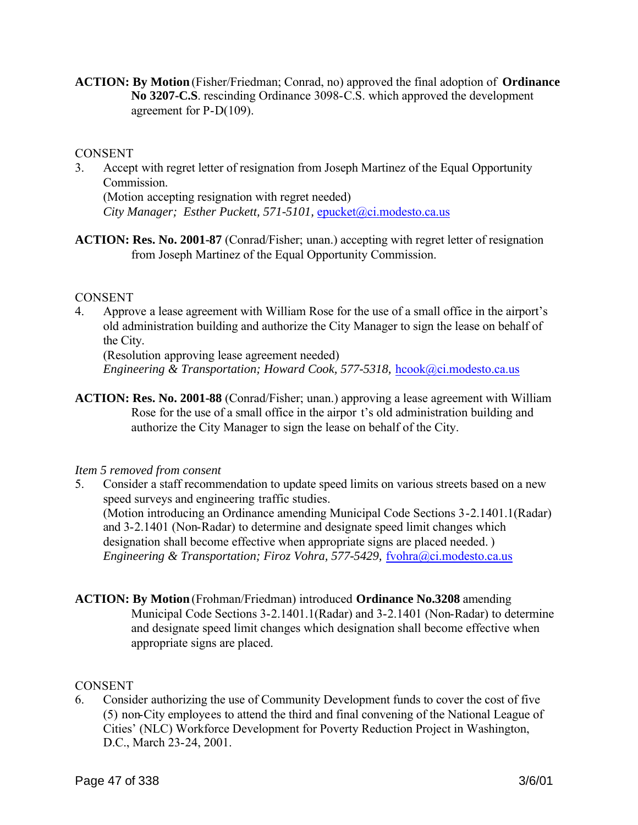**ACTION: By Motion** (Fisher/Friedman; Conrad, no) approved the final adoption of **Ordinance No 3207-C.S**. rescinding Ordinance 3098-C.S. which approved the development agreement for P-D(109).

## **CONSENT**

- 3. Accept with regret letter of resignation from Joseph Martinez of the Equal Opportunity **Commission** (Motion accepting resignation with regret needed) *City Manager; Esther Puckett, 571-5101, epucket@ci.modesto.ca.us*
- **ACTION: Res. No. 2001-87** (Conrad/Fisher; unan.) accepting with regret letter of resignation from Joseph Martinez of the Equal Opportunity Commission.

## CONSENT

4. Approve a lease agreement with William Rose for the use of a small office in the airport's old administration building and authorize the City Manager to sign the lease on behalf of the City.

(Resolution approving lease agreement needed) *Engineering & Transportation; Howard Cook, 577-5318, hcook@ci.modesto.ca.us* 

**ACTION: Res. No. 2001-88** (Conrad/Fisher; unan.) approving a lease agreement with William Rose for the use of a small office in the airpor t's old administration building and authorize the City Manager to sign the lease on behalf of the City.

## *Item 5 removed from consent*

- 5. Consider a staff recommendation to update speed limits on various streets based on a new speed surveys and engineering traffic studies. (Motion introducing an Ordinance amending Municipal Code Sections 3-2.1401.1(Radar) and 3-2.1401 (Non-Radar) to determine and designate speed limit changes which designation shall become effective when appropriate signs are placed needed. ) *Engineering & Transportation; Firoz Vohra, 577-5429, fvohra@ci.modesto.ca.us*
- **ACTION: By Motion** (Frohman/Friedman) introduced **Ordinance No.3208** amending Municipal Code Sections 3-2.1401.1(Radar) and 3-2.1401 (Non-Radar) to determine and designate speed limit changes which designation shall become effective when appropriate signs are placed.

## **CONSENT**

6. Consider authorizing the use of Community Development funds to cover the cost of five (5) non-City employees to attend the third and final convening of the National League of Cities' (NLC) Workforce Development for Poverty Reduction Project in Washington, D.C., March 23-24, 2001.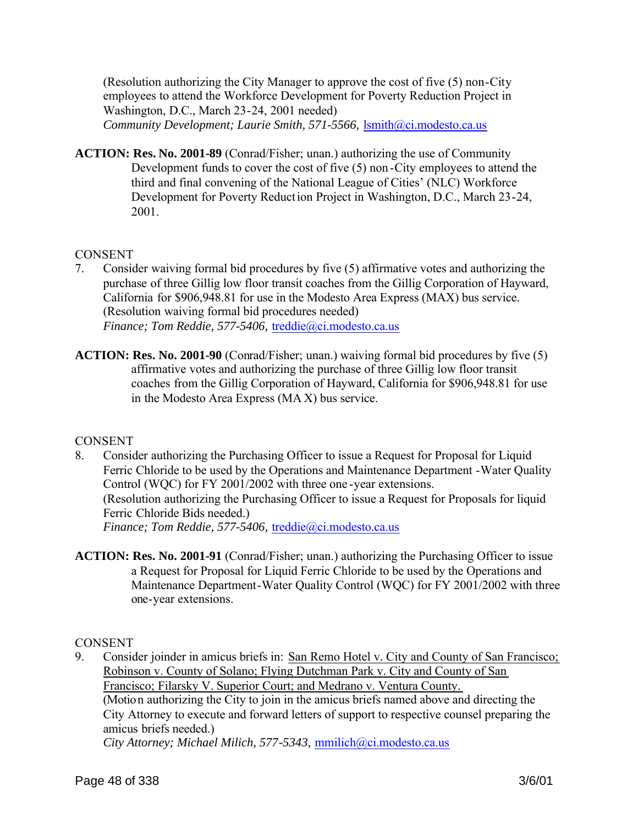(Resolution authorizing the City Manager to approve the cost of five (5) non-City employees to attend the Workforce Development for Poverty Reduction Project in Washington, D.C., March 23-24, 2001 needed) *Community Development; Laurie Smith, 571-5566,* lsmith@ci.modesto.ca.us

**ACTION: Res. No. 2001-89** (Conrad/Fisher; unan.) authorizing the use of Community Development funds to cover the cost of five (5) non -City employees to attend the third and final convening of the National League of Cities' (NLC) Workforce Development for Poverty Reduction Project in Washington, D.C., March 23-24, 2001.

## **CONSENT**

- 7. Consider waiving formal bid procedures by five (5) affirmative votes and authorizing the purchase of three Gillig low floor transit coaches from the Gillig Corporation of Hayward, California for \$906,948.81 for use in the Modesto Area Express (MAX) bus service. (Resolution waiving formal bid procedures needed) *Finance; Tom Reddie, 577-5406,* treddie@ci.modesto.ca.us
- **ACTION: Res. No. 2001-90** (Conrad/Fisher; unan.) waiving formal bid procedures by five (5) affirmative votes and authorizing the purchase of three Gillig low floor transit coaches from the Gillig Corporation of Hayward, California for \$906,948.81 for use in the Modesto Area Express (MA X) bus service.

## **CONSENT**

- 8. Consider authorizing the Purchasing Officer to issue a Request for Proposal for Liquid Ferric Chloride to be used by the Operations and Maintenance Department -Water Quality Control (WQC) for FY 2001/2002 with three one -year extensions. (Resolution authorizing the Purchasing Officer to issue a Request for Proposals for liquid Ferric Chloride Bids needed.) *Finance; Tom Reddie, 577-5406,* treddie@ci.modesto.ca.us
- **ACTION: Res. No. 2001-91** (Conrad/Fisher; unan.) authorizing the Purchasing Officer to issue a Request for Proposal for Liquid Ferric Chloride to be used by the Operations and Maintenance Department-Water Quality Control (WQC) for FY 2001/2002 with three one-year extensions.

**CONSENT** 

9. Consider joinder in amicus briefs in: San Remo Hotel v. City and County of San Francisco; Robinson v. County of Solano; Flying Dutchman Park v. City and County of San Francisco; Filarsky V. Superior Court; and Medrano v. Ventura County. (Motion authorizing the City to join in the amicus briefs named above and directing the City Attorney to execute and forward letters of support to respective counsel preparing the amicus briefs needed.) *City Attorney; Michael Milich, 577-5343,* mmilich@ci.modesto.ca.us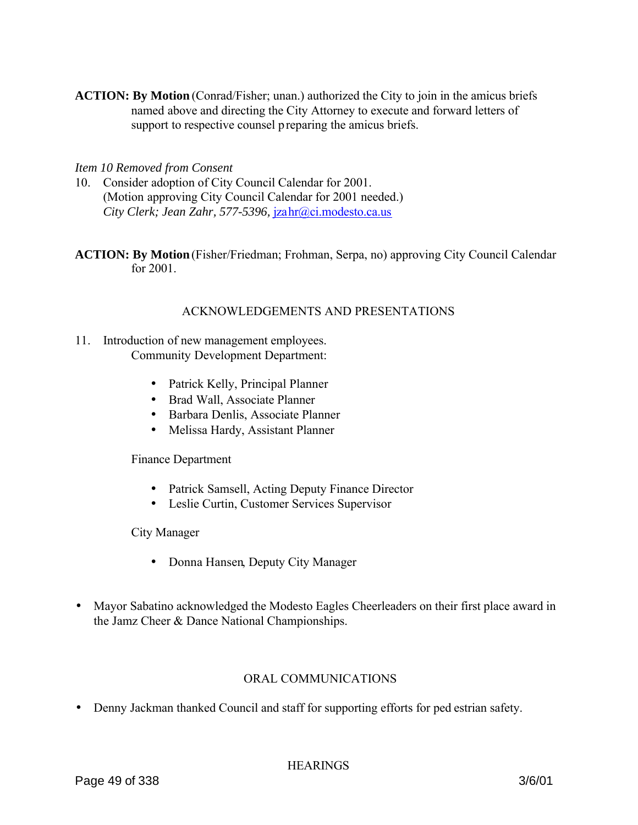**ACTION: By Motion** (Conrad/Fisher; unan.) authorized the City to join in the amicus briefs named above and directing the City Attorney to execute and forward letters of support to respective counsel preparing the amicus briefs.

## *Item 10 Removed from Consent*

- 10. Consider adoption of City Council Calendar for 2001. (Motion approving City Council Calendar for 2001 needed.) *City Clerk; Jean Zahr, 577-5396,* jzahr@ci.modesto.ca.us
- **ACTION: By Motion** (Fisher/Friedman; Frohman, Serpa, no) approving City Council Calendar for 2001.

### ACKNOWLEDGEMENTS AND PRESENTATIONS

- 11. Introduction of new management employees. Community Development Department:
	- Patrick Kelly, Principal Planner
	- Brad Wall, Associate Planner
	- Barbara Denlis, Associate Planner
	- Melissa Hardy, Assistant Planner

Finance Department

- Patrick Samsell, Acting Deputy Finance Director
- Leslie Curtin, Customer Services Supervisor

City Manager

- Donna Hansen, Deputy City Manager
- Mayor Sabatino acknowledged the Modesto Eagles Cheerleaders on their first place award in the Jamz Cheer & Dance National Championships.

## ORAL COMMUNICATIONS

• Denny Jackman thanked Council and staff for supporting efforts for ped estrian safety.

**HEARINGS**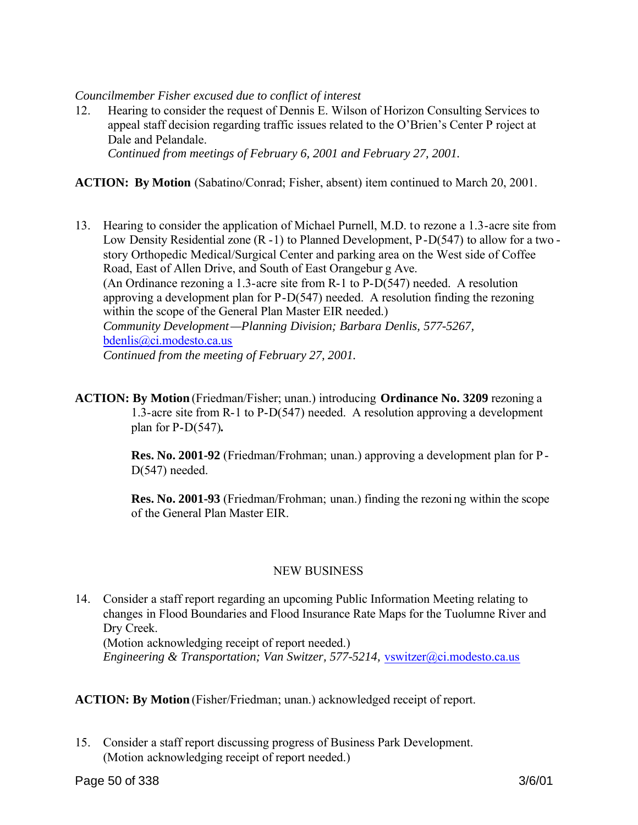## *Councilmember Fisher excused due to conflict of interest*

12. Hearing to consider the request of Dennis E. Wilson of Horizon Consulting Services to appeal staff decision regarding traffic issues related to the O'Brien's Center P roject at Dale and Pelandale. *Continued from meetings of February 6, 2001 and February 27, 2001.*

**ACTION: By Motion** (Sabatino/Conrad; Fisher, absent) item continued to March 20, 2001.

- 13. Hearing to consider the application of Michael Purnell, M.D. to rezone a 1.3-acre site from Low Density Residential zone (R -1) to Planned Development, P-D(547) to allow for a two story Orthopedic Medical/Surgical Center and parking area on the West side of Coffee Road, East of Allen Drive, and South of East Orangebur g Ave. (An Ordinance rezoning a 1.3-acre site from R-1 to P-D(547) needed. A resolution approving a development plan for P-D(547) needed. A resolution finding the rezoning within the scope of the General Plan Master EIR needed.) *Community Development—Planning Division; Barbara Denlis, 577-5267,*  bdenlis@ci.modesto.ca.us *Continued from the meeting of February 27, 2001.*
- **ACTION: By Motion** (Friedman/Fisher; unan.) introducing **Ordinance No. 3209** rezoning a 1.3-acre site from R-1 to P-D(547) needed. A resolution approving a development plan for P-D(547)**.**

**Res. No. 2001-92** (Friedman/Frohman; unan.) approving a development plan for P-D(547) needed.

**Res. No. 2001-93** (Friedman/Frohman; unan.) finding the rezoni ng within the scope of the General Plan Master EIR.

## NEW BUSINESS

14. Consider a staff report regarding an upcoming Public Information Meeting relating to changes in Flood Boundaries and Flood Insurance Rate Maps for the Tuolumne River and Dry Creek.

(Motion acknowledging receipt of report needed.)

*Engineering & Transportation; Van Switzer, 577-5214, vswitzer@ci.modesto.ca.us* 

**ACTION: By Motion** (Fisher/Friedman; unan.) acknowledged receipt of report.

15. Consider a staff report discussing progress of Business Park Development. (Motion acknowledging receipt of report needed.)

Page 50 of 338 3/6/01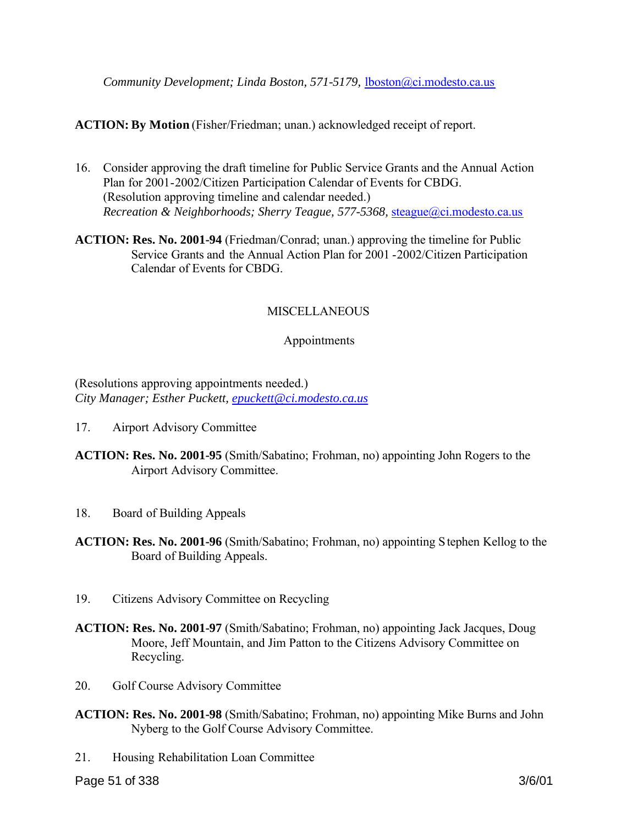## **ACTION: By Motion** (Fisher/Friedman; unan.) acknowledged receipt of report.

- 16. Consider approving the draft timeline for Public Service Grants and the Annual Action Plan for 2001-2002/Citizen Participation Calendar of Events for CBDG. (Resolution approving timeline and calendar needed.) *Recreation & Neighborhoods; Sherry Teague, 577-5368,* steague@ci.modesto.ca.us
- **ACTION: Res. No. 2001-94** (Friedman/Conrad; unan.) approving the timeline for Public Service Grants and the Annual Action Plan for 2001 -2002/Citizen Participation Calendar of Events for CBDG.

## **MISCELLANEOUS**

## Appointments

## (Resolutions approving appointments needed.) *City Manager; Esther Puckett, epuckett@ci.modesto.ca.us*

- 17. Airport Advisory Committee
- **ACTION: Res. No. 2001-95** (Smith/Sabatino; Frohman, no) appointing John Rogers to the Airport Advisory Committee.
- 18. Board of Building Appeals
- **ACTION: Res. No. 2001-96** (Smith/Sabatino; Frohman, no) appointing Stephen Kellog to the Board of Building Appeals.
- 19. Citizens Advisory Committee on Recycling
- **ACTION: Res. No. 2001-97** (Smith/Sabatino; Frohman, no) appointing Jack Jacques, Doug Moore, Jeff Mountain, and Jim Patton to the Citizens Advisory Committee on Recycling.
- 20. Golf Course Advisory Committee
- **ACTION: Res. No. 2001-98** (Smith/Sabatino; Frohman, no) appointing Mike Burns and John Nyberg to the Golf Course Advisory Committee.
- 21. Housing Rehabilitation Loan Committee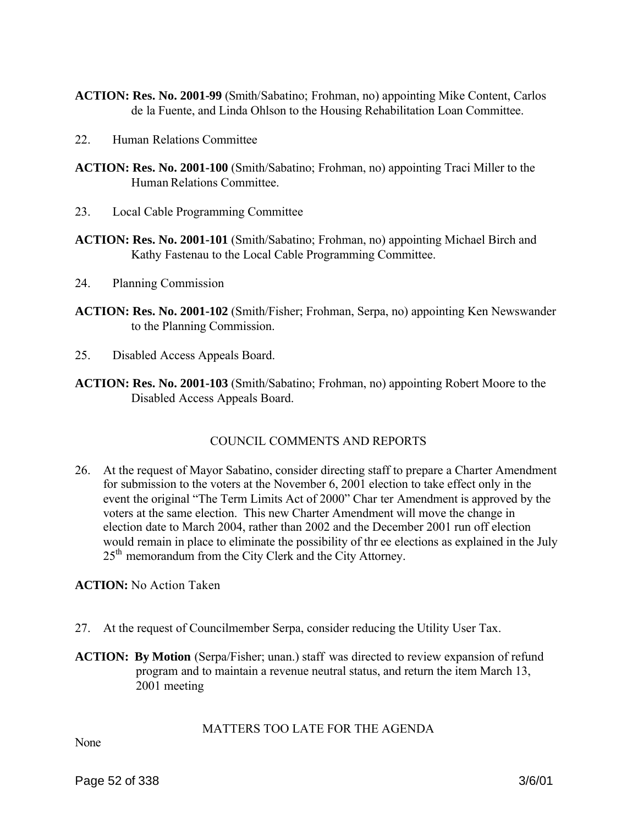- **ACTION: Res. No. 2001-99** (Smith/Sabatino; Frohman, no) appointing Mike Content, Carlos de la Fuente, and Linda Ohlson to the Housing Rehabilitation Loan Committee.
- 22. Human Relations Committee
- **ACTION: Res. No. 2001-100** (Smith/Sabatino; Frohman, no) appointing Traci Miller to the Human Relations Committee.
- 23. Local Cable Programming Committee
- **ACTION: Res. No. 2001-101** (Smith/Sabatino; Frohman, no) appointing Michael Birch and Kathy Fastenau to the Local Cable Programming Committee.
- 24. Planning Commission
- **ACTION: Res. No. 2001-102** (Smith/Fisher; Frohman, Serpa, no) appointing Ken Newswander to the Planning Commission.
- 25. Disabled Access Appeals Board.
- **ACTION: Res. No. 2001-103** (Smith/Sabatino; Frohman, no) appointing Robert Moore to the Disabled Access Appeals Board.

# COUNCIL COMMENTS AND REPORTS

26. At the request of Mayor Sabatino, consider directing staff to prepare a Charter Amendment for submission to the voters at the November 6, 2001 election to take effect only in the event the original "The Term Limits Act of 2000" Char ter Amendment is approved by the voters at the same election. This new Charter Amendment will move the change in election date to March 2004, rather than 2002 and the December 2001 run off election would remain in place to eliminate the possibility of thr ee elections as explained in the July 25<sup>th</sup> memorandum from the City Clerk and the City Attorney.

**ACTION:** No Action Taken

- 27. At the request of Councilmember Serpa, consider reducing the Utility User Tax.
- **ACTION: By Motion** (Serpa/Fisher; unan.) staff was directed to review expansion of refund program and to maintain a revenue neutral status, and return the item March 13, 2001 meeting

## MATTERS TOO LATE FOR THE AGENDA

None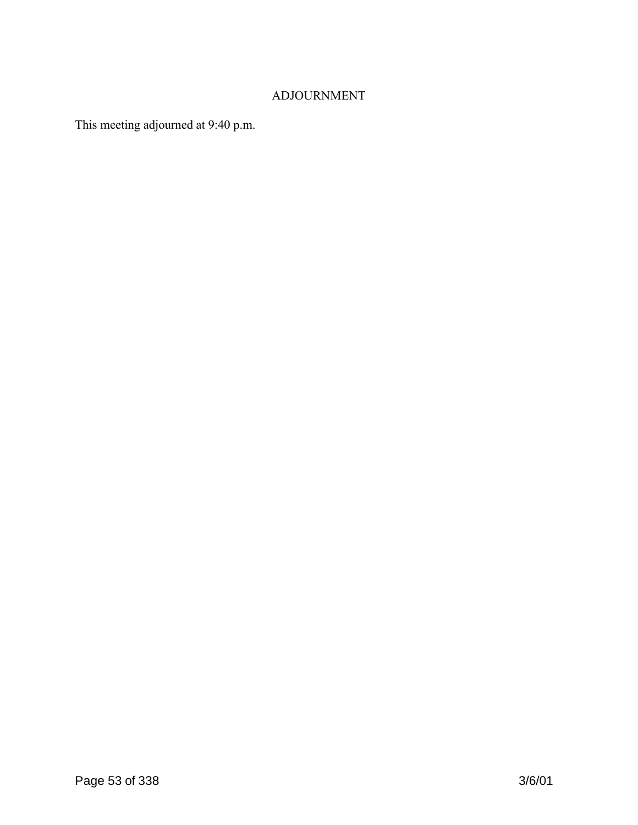# ADJOURNMENT

This meeting adjourned at 9:40 p.m.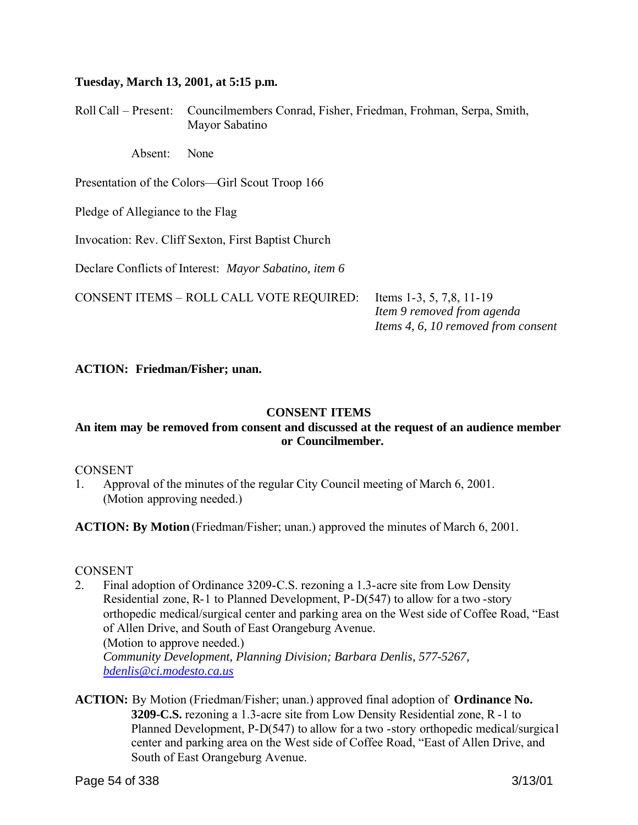### **Tuesday, March 13, 2001, at 5:15 p.m.**

Roll Call – Present: Councilmembers Conrad, Fisher, Friedman, Frohman, Serpa, Smith, Mayor Sabatino

Absent: None

Presentation of the Colors—Girl Scout Troop 166

Pledge of Allegiance to the Flag

Invocation: Rev. Cliff Sexton, First Baptist Church

Declare Conflicts of Interest: *Mayor Sabatino, item 6*

CONSENT ITEMS – ROLL CALL VOTE REQUIRED: Items 1-3, 5, 7,8, 11-19

 *Item 9 removed from agenda Items 4, 6, 10 removed from consent*

### **ACTION: Friedman/Fisher; unan.**

### **CONSENT ITEMS**

## **An item may be removed from consent and discussed at the request of an audience member or Councilmember.**

#### **CONSENT**

1. Approval of the minutes of the regular City Council meeting of March 6, 2001. (Motion approving needed.)

**ACTION: By Motion** (Friedman/Fisher; unan.) approved the minutes of March 6, 2001.

#### **CONSENT**

- 2. Final adoption of Ordinance 3209-C.S. rezoning a 1.3-acre site from Low Density Residential zone, R-1 to Planned Development, P-D(547) to allow for a two -story orthopedic medical/surgical center and parking area on the West side of Coffee Road, "East of Allen Drive, and South of East Orangeburg Avenue. (Motion to approve needed.) *Community Development, Planning Division; Barbara Denlis, 577-5267, bdenlis@ci.modesto.ca.us*
- **ACTION:** By Motion (Friedman/Fisher; unan.) approved final adoption of **Ordinance No. 3209-C.S.** rezoning a 1.3-acre site from Low Density Residential zone, R -1 to Planned Development, P-D(547) to allow for a two -story orthopedic medical/surgical center and parking area on the West side of Coffee Road, "East of Allen Drive, and South of East Orangeburg Avenue.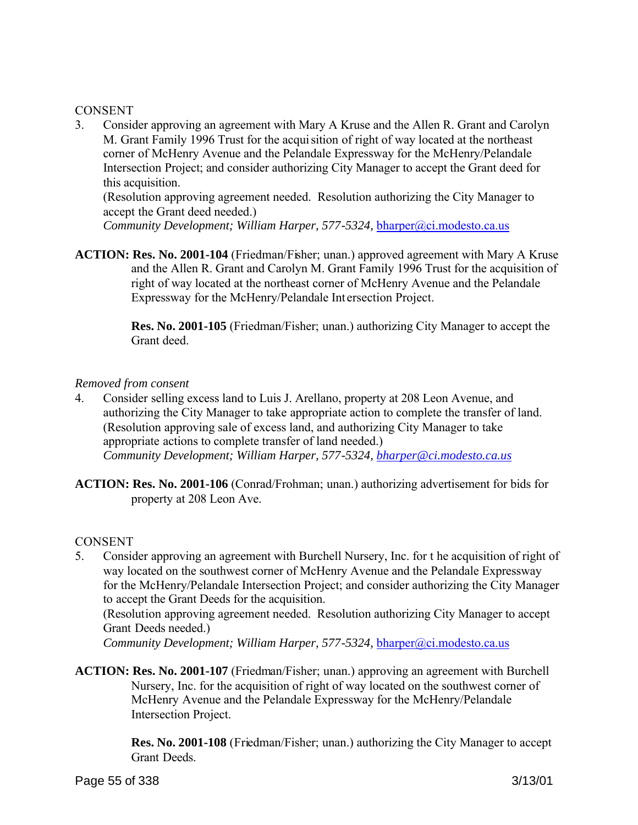## **CONSENT**

3. Consider approving an agreement with Mary A Kruse and the Allen R. Grant and Carolyn M. Grant Family 1996 Trust for the acquisition of right of way located at the northeast corner of McHenry Avenue and the Pelandale Expressway for the McHenry/Pelandale Intersection Project; and consider authorizing City Manager to accept the Grant deed for this acquisition.

(Resolution approving agreement needed. Resolution authorizing the City Manager to accept the Grant deed needed.)

*Community Development; William Harper, 577-5324, bharper@ci.modesto.ca.us* 

**ACTION: Res. No. 2001-104** (Friedman/Fisher; unan.) approved agreement with Mary A Kruse and the Allen R. Grant and Carolyn M. Grant Family 1996 Trust for the acquisition of right of way located at the northeast corner of McHenry Avenue and the Pelandale Expressway for the McHenry/Pelandale Int ersection Project.

> **Res. No. 2001-105** (Friedman/Fisher; unan.) authorizing City Manager to accept the Grant deed.

## *Removed from consent*

- 4. Consider selling excess land to Luis J. Arellano, property at 208 Leon Avenue, and authorizing the City Manager to take appropriate action to complete the transfer of land. (Resolution approving sale of excess land, and authorizing City Manager to take appropriate actions to complete transfer of land needed.) *Community Development; William Harper, 577-5324, bharper@ci.modesto.ca.us*
- **ACTION: Res. No. 2001-106** (Conrad/Frohman; unan.) authorizing advertisement for bids for property at 208 Leon Ave.

## CONSENT

5. Consider approving an agreement with Burchell Nursery, Inc. for t he acquisition of right of way located on the southwest corner of McHenry Avenue and the Pelandale Expressway for the McHenry/Pelandale Intersection Project; and consider authorizing the City Manager to accept the Grant Deeds for the acquisition.

(Resolution approving agreement needed. Resolution authorizing City Manager to accept Grant Deeds needed.)

*Community Development; William Harper, 577-5324, bharper@ci.modesto.ca.us* 

**ACTION: Res. No. 2001-107** (Friedman/Fisher; unan.) approving an agreement with Burchell Nursery, Inc. for the acquisition of right of way located on the southwest corner of McHenry Avenue and the Pelandale Expressway for the McHenry/Pelandale Intersection Project.

> **Res. No. 2001-108** (Friedman/Fisher; unan.) authorizing the City Manager to accept Grant Deeds.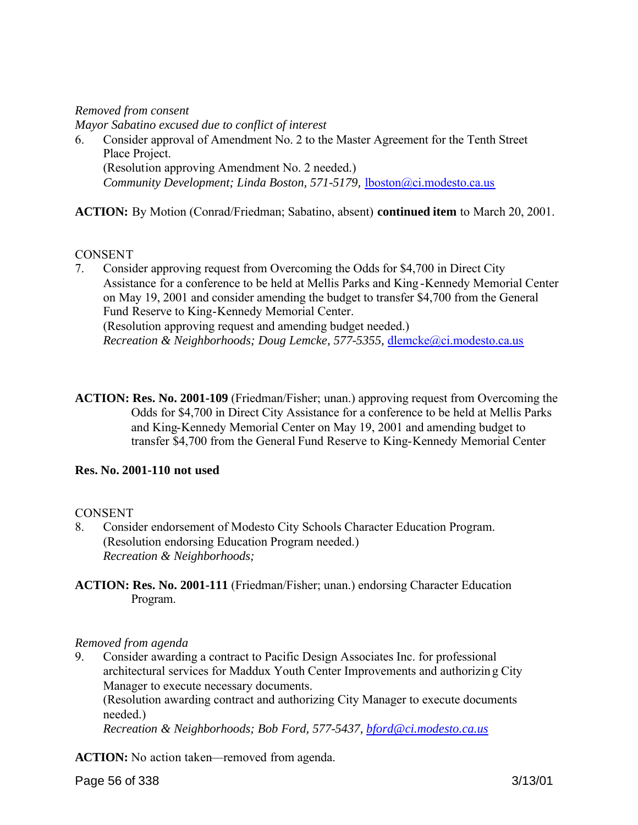## *Removed from consent*

*Mayor Sabatino excused due to conflict of interest*

6. Consider approval of Amendment No. 2 to the Master Agreement for the Tenth Street Place Project. (Resolution approving Amendment No. 2 needed.) *Community Development; Linda Boston, 571-5179,* lboston@ci.modesto.ca.us

**ACTION:** By Motion (Conrad/Friedman; Sabatino, absent) **continued item** to March 20, 2001.

## **CONSENT**

- 7. Consider approving request from Overcoming the Odds for \$4,700 in Direct City Assistance for a conference to be held at Mellis Parks and King -Kennedy Memorial Center on May 19, 2001 and consider amending the budget to transfer \$4,700 from the General Fund Reserve to King-Kennedy Memorial Center. (Resolution approving request and amending budget needed.) *Recreation & Neighborhoods; Doug Lemcke, 577-5355,* dlemcke@ci.modesto.ca.us
- **ACTION: Res. No. 2001-109** (Friedman/Fisher; unan.) approving request from Overcoming the Odds for \$4,700 in Direct City Assistance for a conference to be held at Mellis Parks and King-Kennedy Memorial Center on May 19, 2001 and amending budget to transfer \$4,700 from the General Fund Reserve to King-Kennedy Memorial Center

# **Res. No. 2001-110 not used**

## **CONSENT**

- 8. Consider endorsement of Modesto City Schools Character Education Program. (Resolution endorsing Education Program needed.) *Recreation & Neighborhoods;*
- **ACTION: Res. No. 2001-111** (Friedman/Fisher; unan.) endorsing Character Education Program.

## *Removed from agenda*

9. Consider awarding a contract to Pacific Design Associates Inc. for professional architectural services for Maddux Youth Center Improvements and authorizing City Manager to execute necessary documents.

(Resolution awarding contract and authorizing City Manager to execute documents needed.)

*Recreation & Neighborhoods; Bob Ford, 577-5437, bford@ci.modesto.ca.us*

**ACTION:** No action taken—removed from agenda.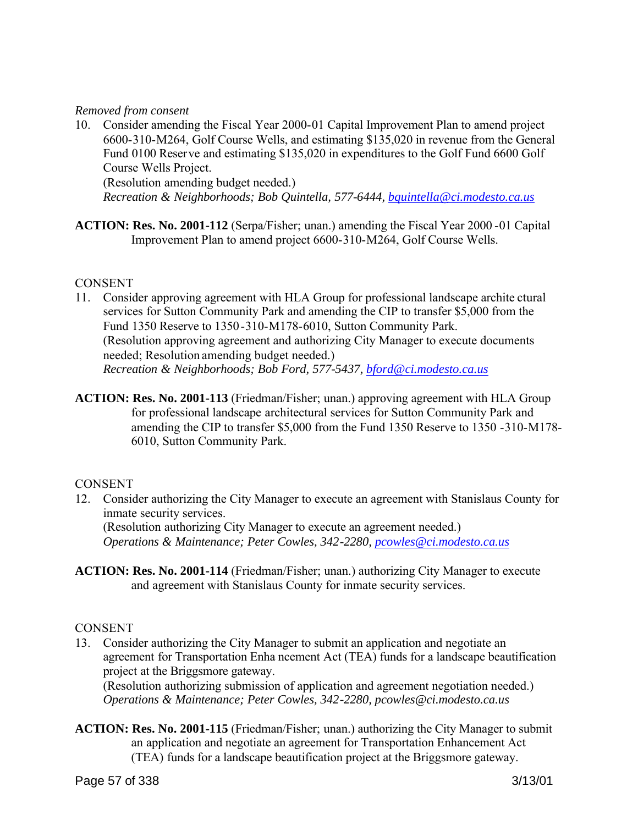## *Removed from consent*

10. Consider amending the Fiscal Year 2000-01 Capital Improvement Plan to amend project 6600-310-M264, Golf Course Wells, and estimating \$135,020 in revenue from the General Fund 0100 Reserve and estimating \$135,020 in expenditures to the Golf Fund 6600 Golf Course Wells Project.

(Resolution amending budget needed.)

*Recreation & Neighborhoods; Bob Quintella, 577-6444, bquintella@ci.modesto.ca.us*

**ACTION: Res. No. 2001-112** (Serpa/Fisher; unan.) amending the Fiscal Year 2000 -01 Capital Improvement Plan to amend project 6600-310-M264, Golf Course Wells.

### **CONSENT**

- 11. Consider approving agreement with HLA Group for professional landscape archite ctural services for Sutton Community Park and amending the CIP to transfer \$5,000 from the Fund 1350 Reserve to 1350-310-M178-6010, Sutton Community Park. (Resolution approving agreement and authorizing City Manager to execute documents needed; Resolution amending budget needed.) *Recreation & Neighborhoods; Bob Ford, 577-5437, bford@ci.modesto.ca.us*
- **ACTION: Res. No. 2001-113** (Friedman/Fisher; unan.) approving agreement with HLA Group for professional landscape architectural services for Sutton Community Park and amending the CIP to transfer \$5,000 from the Fund 1350 Reserve to 1350 -310-M178- 6010, Sutton Community Park.

## **CONSENT**

- 12. Consider authorizing the City Manager to execute an agreement with Stanislaus County for inmate security services. (Resolution authorizing City Manager to execute an agreement needed.) *Operations & Maintenance; Peter Cowles, 342-2280, pcowles@ci.modesto.ca.us*
- **ACTION: Res. No. 2001-114** (Friedman/Fisher; unan.) authorizing City Manager to execute and agreement with Stanislaus County for inmate security services.

## **CONSENT**

13. Consider authorizing the City Manager to submit an application and negotiate an agreement for Transportation Enha ncement Act (TEA) funds for a landscape beautification project at the Briggsmore gateway.

(Resolution authorizing submission of application and agreement negotiation needed.) *Operations & Maintenance; Peter Cowles, 342-2280, pcowles@ci.modesto.ca.us*

**ACTION: Res. No. 2001-115** (Friedman/Fisher; unan.) authorizing the City Manager to submit an application and negotiate an agreement for Transportation Enhancement Act (TEA) funds for a landscape beautification project at the Briggsmore gateway.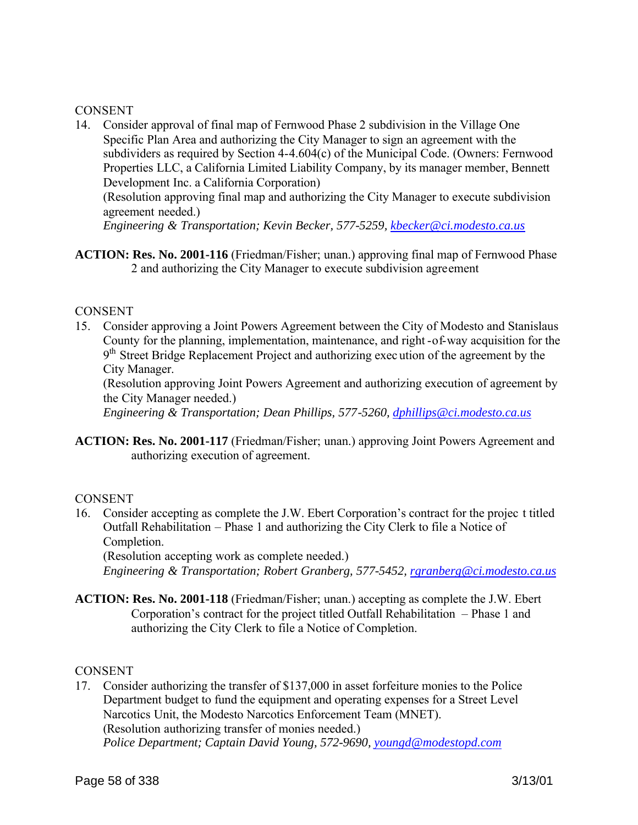## **CONSENT**

14. Consider approval of final map of Fernwood Phase 2 subdivision in the Village One Specific Plan Area and authorizing the City Manager to sign an agreement with the subdividers as required by Section 4-4.604(c) of the Municipal Code. (Owners: Fernwood Properties LLC, a California Limited Liability Company, by its manager member, Bennett Development Inc. a California Corporation)

(Resolution approving final map and authorizing the City Manager to execute subdivision agreement needed.)

*Engineering & Transportation; Kevin Becker, 577-5259, kbecker@ci.modesto.ca.us*

**ACTION: Res. No. 2001-116** (Friedman/Fisher; unan.) approving final map of Fernwood Phase 2 and authorizing the City Manager to execute subdivision agreement

### **CONSENT**

15. Consider approving a Joint Powers Agreement between the City of Modesto and Stanislaus County for the planning, implementation, maintenance, and right -of-way acquisition for the 9<sup>th</sup> Street Bridge Replacement Project and authorizing execution of the agreement by the City Manager.

(Resolution approving Joint Powers Agreement and authorizing execution of agreement by the City Manager needed.)

*Engineering & Transportation; Dean Phillips, 577-5260, dphillips@ci.modesto.ca.us*

**ACTION: Res. No. 2001-117** (Friedman/Fisher; unan.) approving Joint Powers Agreement and authorizing execution of agreement.

### **CONSENT**

16. Consider accepting as complete the J.W. Ebert Corporation's contract for the projec t titled Outfall Rehabilitation – Phase 1 and authorizing the City Clerk to file a Notice of Completion.

(Resolution accepting work as complete needed.) *Engineering & Transportation; Robert Granberg, 577-5452, rgranberg@ci.modesto.ca.us*

**ACTION: Res. No. 2001-118** (Friedman/Fisher; unan.) accepting as complete the J.W. Ebert Corporation's contract for the project titled Outfall Rehabilitation – Phase 1 and authorizing the City Clerk to file a Notice of Completion.

## **CONSENT**

17. Consider authorizing the transfer of \$137,000 in asset forfeiture monies to the Police Department budget to fund the equipment and operating expenses for a Street Level Narcotics Unit, the Modesto Narcotics Enforcement Team (MNET). (Resolution authorizing transfer of monies needed.) *Police Department; Captain David Young, 572-9690, youngd@modestopd.com*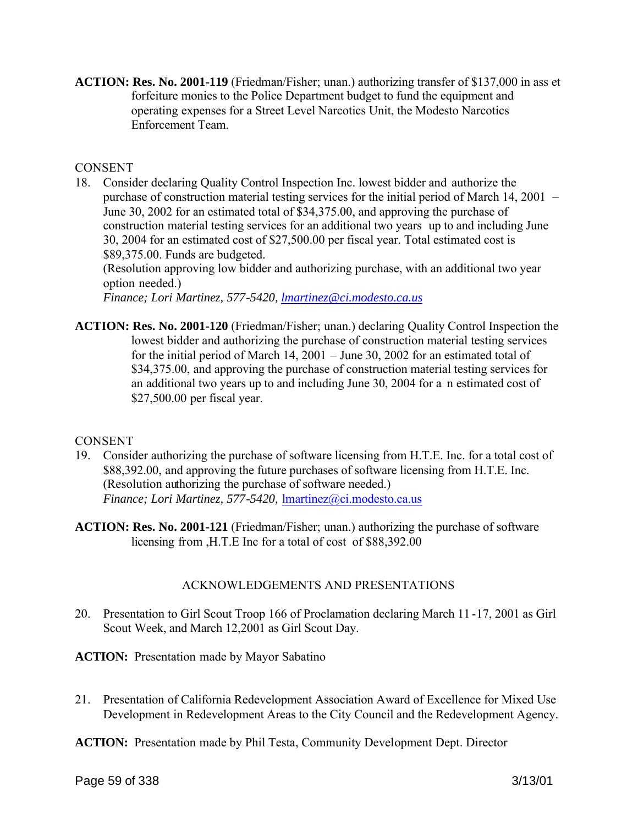**ACTION: Res. No. 2001-119** (Friedman/Fisher; unan.) authorizing transfer of \$137,000 in ass et forfeiture monies to the Police Department budget to fund the equipment and operating expenses for a Street Level Narcotics Unit, the Modesto Narcotics Enforcement Team.

## **CONSENT**

18. Consider declaring Quality Control Inspection Inc. lowest bidder and authorize the purchase of construction material testing services for the initial period of March 14, 2001 – June 30, 2002 for an estimated total of \$34,375.00, and approving the purchase of construction material testing services for an additional two years up to and including June 30, 2004 for an estimated cost of \$27,500.00 per fiscal year. Total estimated cost is \$89,375.00. Funds are budgeted.

(Resolution approving low bidder and authorizing purchase, with an additional two year option needed.)

*Finance; Lori Martinez, 577-5420, lmartinez@ci.modesto.ca.us*

**ACTION: Res. No. 2001-120** (Friedman/Fisher; unan.) declaring Quality Control Inspection the lowest bidder and authorizing the purchase of construction material testing services for the initial period of March 14, 2001 – June 30, 2002 for an estimated total of \$34,375.00, and approving the purchase of construction material testing services for an additional two years up to and including June 30, 2004 for a n estimated cost of \$27,500.00 per fiscal year.

# **CONSENT**

- 19. Consider authorizing the purchase of software licensing from H.T.E. Inc. for a total cost of \$88,392.00, and approving the future purchases of software licensing from H.T.E. Inc. (Resolution authorizing the purchase of software needed.) *Finance; Lori Martinez, 577-5420,* lmartinez@ci.modesto.ca.us
- **ACTION: Res. No. 2001-121** (Friedman/Fisher; unan.) authorizing the purchase of software licensing from ,H.T.E Inc for a total of cost of \$88,392.00

# ACKNOWLEDGEMENTS AND PRESENTATIONS

- 20. Presentation to Girl Scout Troop 166 of Proclamation declaring March 11 -17, 2001 as Girl Scout Week, and March 12,2001 as Girl Scout Day.
- **ACTION:** Presentation made by Mayor Sabatino
- 21. Presentation of California Redevelopment Association Award of Excellence for Mixed Use Development in Redevelopment Areas to the City Council and the Redevelopment Agency.
- **ACTION:** Presentation made by Phil Testa, Community Development Dept. Director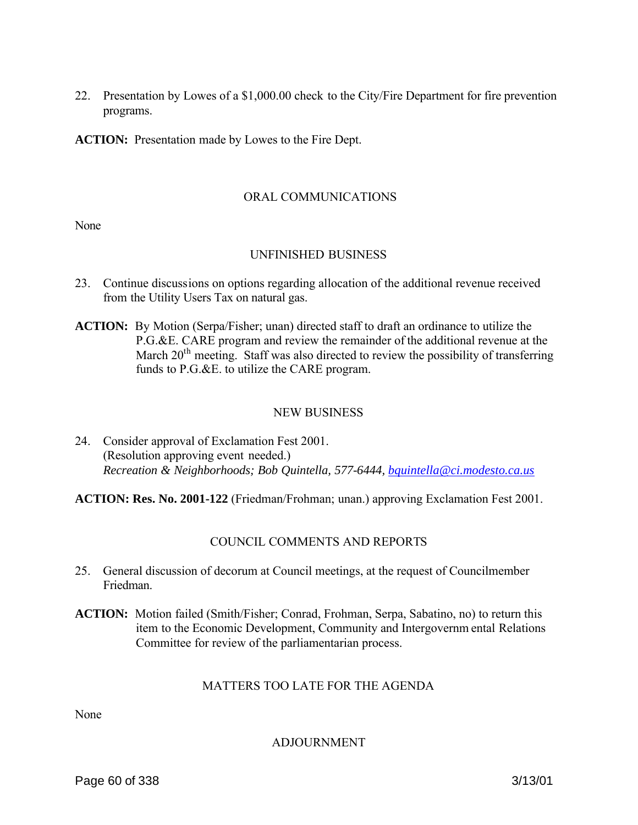22. Presentation by Lowes of a \$1,000.00 check to the City/Fire Department for fire prevention programs.

**ACTION:** Presentation made by Lowes to the Fire Dept.

## ORAL COMMUNICATIONS

None

## UNFINISHED BUSINESS

- 23. Continue discussions on options regarding allocation of the additional revenue received from the Utility Users Tax on natural gas.
- **ACTION:** By Motion (Serpa/Fisher; unan) directed staff to draft an ordinance to utilize the P.G.&E. CARE program and review the remainder of the additional revenue at the March 20<sup>th</sup> meeting. Staff was also directed to review the possibility of transferring funds to P.G.&E. to utilize the CARE program.

## NEW BUSINESS

24. Consider approval of Exclamation Fest 2001. (Resolution approving event needed.) *Recreation & Neighborhoods; Bob Quintella, 577-6444, bquintella@ci.modesto.ca.us*

**ACTION: Res. No. 2001-122** (Friedman/Frohman; unan.) approving Exclamation Fest 2001.

# COUNCIL COMMENTS AND REPORTS

- 25. General discussion of decorum at Council meetings, at the request of Councilmember Friedman.
- **ACTION:** Motion failed (Smith/Fisher; Conrad, Frohman, Serpa, Sabatino, no) to return this item to the Economic Development, Community and Intergovernm ental Relations Committee for review of the parliamentarian process.

## MATTERS TOO LATE FOR THE AGENDA

None

## ADJOURNMENT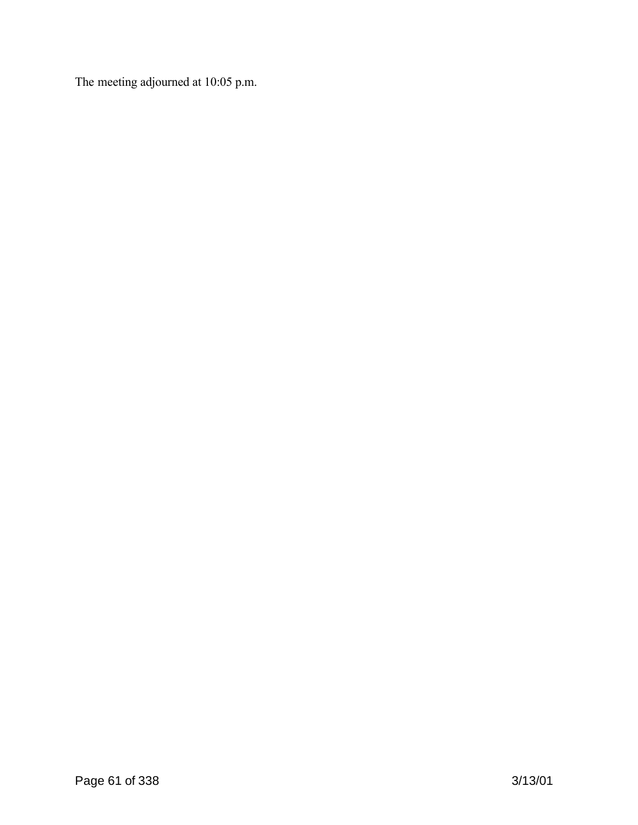The meeting adjourned at 10:05 p.m.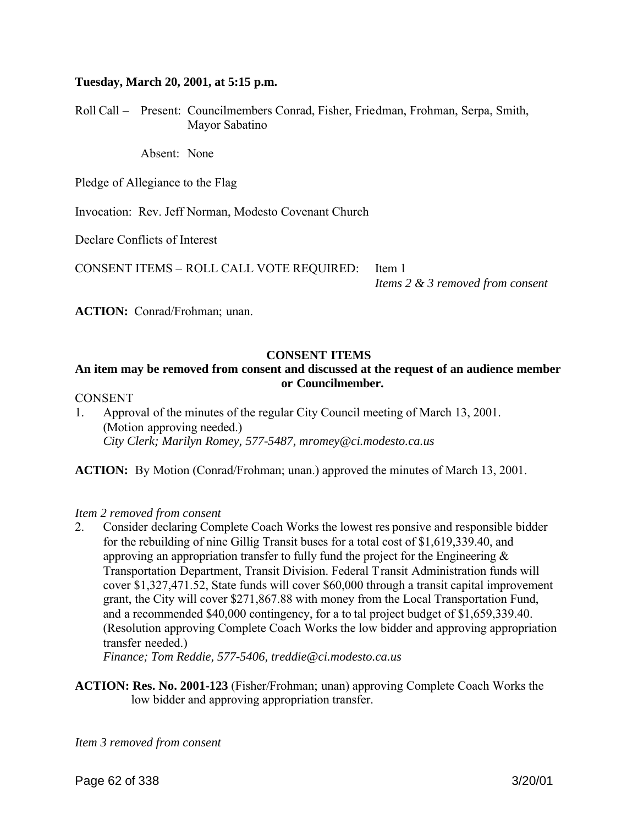### **Tuesday, March 20, 2001, at 5:15 p.m.**

Roll Call – Present: Councilmembers Conrad, Fisher, Friedman, Frohman, Serpa, Smith, Mayor Sabatino

Absent: None

Pledge of Allegiance to the Flag

Invocation: Rev. Jeff Norman, Modesto Covenant Church

Declare Conflicts of Interest

CONSENT ITEMS – ROLL CALL VOTE REQUIRED: Item 1

*Items 2 & 3 removed from consent*

ACTION: Conrad/Frohman; unan.

### **CONSENT ITEMS**

## **An item may be removed from consent and discussed at the request of an audience member or Councilmember.**

#### **CONSENT**

1. Approval of the minutes of the regular City Council meeting of March 13, 2001. (Motion approving needed.) *City Clerk; Marilyn Romey, 577-5487, mromey@ci.modesto.ca.us*

**ACTION:** By Motion (Conrad/Frohman; unan.) approved the minutes of March 13, 2001.

#### *Item 2 removed from consent*

2. Consider declaring Complete Coach Works the lowest res ponsive and responsible bidder for the rebuilding of nine Gillig Transit buses for a total cost of \$1,619,339.40, and approving an appropriation transfer to fully fund the project for the Engineering  $\&$ Transportation Department, Transit Division. Federal Transit Administration funds will cover \$1,327,471.52, State funds will cover \$60,000 through a transit capital improvement grant, the City will cover \$271,867.88 with money from the Local Transportation Fund, and a recommended \$40,000 contingency, for a to tal project budget of \$1,659,339.40. (Resolution approving Complete Coach Works the low bidder and approving appropriation transfer needed.)

*Finance; Tom Reddie, 577-5406, treddie@ci.modesto.ca.us*

**ACTION: Res. No. 2001-123** (Fisher/Frohman; unan) approving Complete Coach Works the low bidder and approving appropriation transfer.

*Item 3 removed from consent*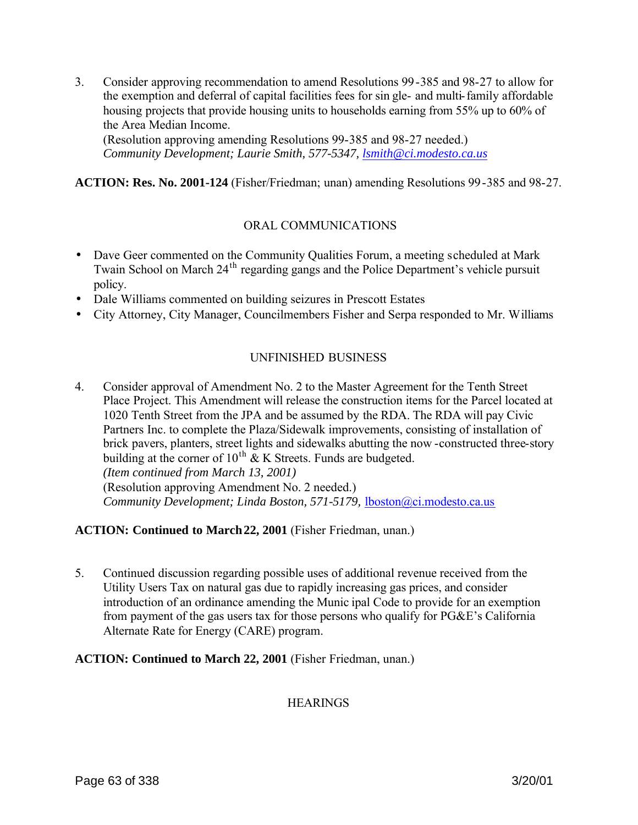3. Consider approving recommendation to amend Resolutions 99-385 and 98-27 to allow for the exemption and deferral of capital facilities fees for sin gle- and multi-family affordable housing projects that provide housing units to households earning from 55% up to 60% of the Area Median Income.

(Resolution approving amending Resolutions 99-385 and 98-27 needed.) *Community Development; Laurie Smith, 577-5347, lsmith@ci.modesto.ca.us*

**ACTION: Res. No. 2001-124** (Fisher/Friedman; unan) amending Resolutions 99-385 and 98-27.

## ORAL COMMUNICATIONS

- Dave Geer commented on the Community Qualities Forum, a meeting scheduled at Mark Twain School on March 24<sup>th</sup> regarding gangs and the Police Department's vehicle pursuit policy.
- Dale Williams commented on building seizures in Prescott Estates
- City Attorney, City Manager, Councilmembers Fisher and Serpa responded to Mr. Williams

# UNFINISHED BUSINESS

4. Consider approval of Amendment No. 2 to the Master Agreement for the Tenth Street Place Project. This Amendment will release the construction items for the Parcel located at 1020 Tenth Street from the JPA and be assumed by the RDA. The RDA will pay Civic Partners Inc. to complete the Plaza/Sidewalk improvements, consisting of installation of brick pavers, planters, street lights and sidewalks abutting the now -constructed three-story building at the corner of  $10^{th}$  & K Streets. Funds are budgeted. *(Item continued from March 13, 2001)* (Resolution approving Amendment No. 2 needed.) *Community Development; Linda Boston, 571-5179,* lboston@ci.modesto.ca.us

## **ACTION: Continued to March 22, 2001** (Fisher Friedman, unan.)

5. Continued discussion regarding possible uses of additional revenue received from the Utility Users Tax on natural gas due to rapidly increasing gas prices, and consider introduction of an ordinance amending the Munic ipal Code to provide for an exemption from payment of the gas users tax for those persons who qualify for PG&E's California Alternate Rate for Energy (CARE) program.

## **ACTION: Continued to March 22, 2001** (Fisher Friedman, unan.)

## **HEARINGS**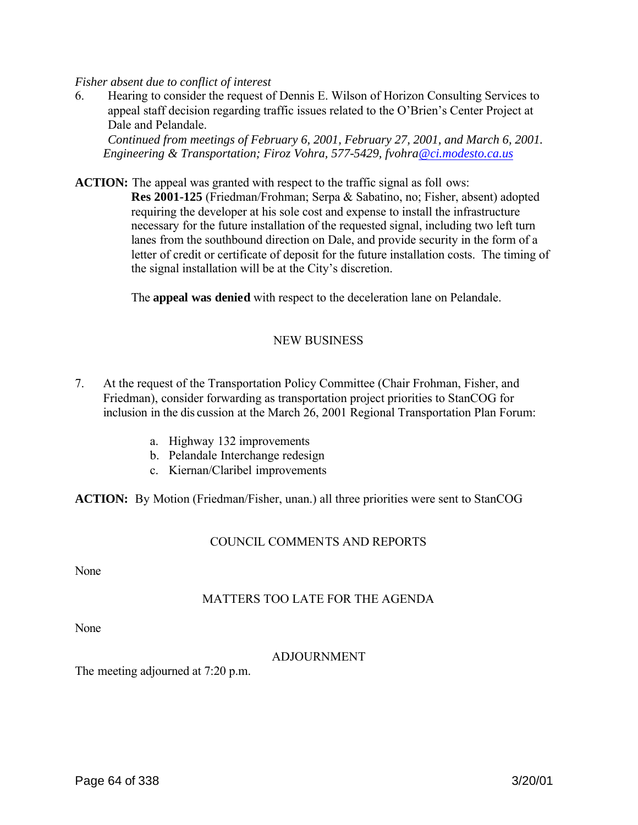*Fisher absent due to conflict of interest* 

6. Hearing to consider the request of Dennis E. Wilson of Horizon Consulting Services to appeal staff decision regarding traffic issues related to the O'Brien's Center Project at Dale and Pelandale.

*Continued from meetings of February 6, 2001, February 27, 2001, and March 6, 2001. Engineering & Transportation; Firoz Vohra, 577-5429, fvohra@ci.modesto.ca.us*

**ACTION:** The appeal was granted with respect to the traffic signal as foll ows:

**Res 2001-125** (Friedman/Frohman; Serpa & Sabatino, no; Fisher, absent) adopted requiring the developer at his sole cost and expense to install the infrastructure necessary for the future installation of the requested signal, including two left turn lanes from the southbound direction on Dale, and provide security in the form of a letter of credit or certificate of deposit for the future installation costs. The timing of the signal installation will be at the City's discretion.

The **appeal was denied** with respect to the deceleration lane on Pelandale.

## NEW BUSINESS

- 7. At the request of the Transportation Policy Committee (Chair Frohman, Fisher, and Friedman), consider forwarding as transportation project priorities to StanCOG for inclusion in the dis cussion at the March 26, 2001 Regional Transportation Plan Forum:
	- a. Highway 132 improvements
	- b. Pelandale Interchange redesign
	- c. Kiernan/Claribel improvements

**ACTION:** By Motion (Friedman/Fisher, unan.) all three priorities were sent to StanCOG

## COUNCIL COMMENTS AND REPORTS

None

## MATTERS TOO LATE FOR THE AGENDA

None

## ADJOURNMENT

The meeting adjourned at 7:20 p.m.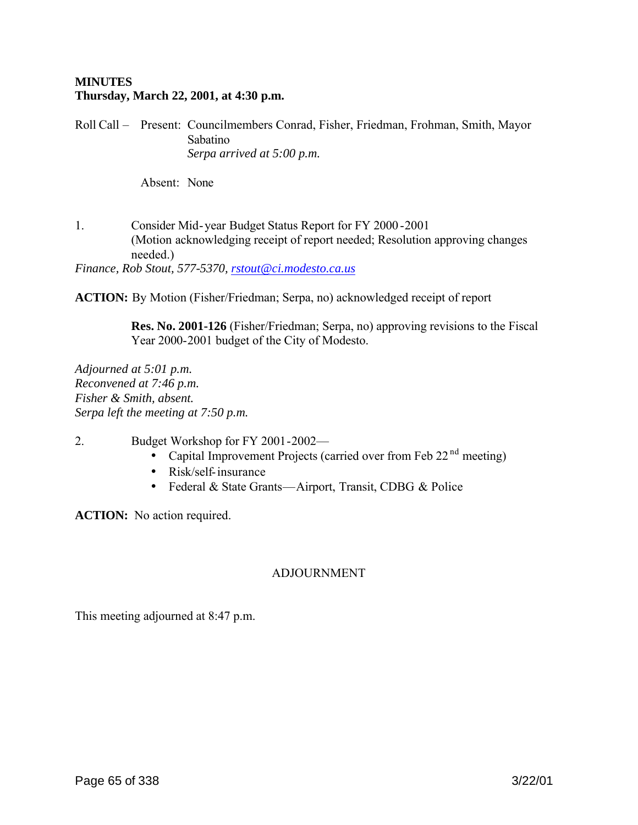## **MINUTES Thursday, March 22, 2001, at 4:30 p.m.**

Roll Call – Present: Councilmembers Conrad, Fisher, Friedman, Frohman, Smith, Mayor Sabatino *Serpa arrived at 5:00 p.m.*

Absent: None

1. Consider Mid-year Budget Status Report for FY 2000 -2001 (Motion acknowledging receipt of report needed; Resolution approving changes needed.)

*Finance, Rob Stout, 577-5370, rstout@ci.modesto.ca.us*

**ACTION:** By Motion (Fisher/Friedman; Serpa, no) acknowledged receipt of report

**Res. No. 2001-126** (Fisher/Friedman; Serpa, no) approving revisions to the Fiscal Year 2000-2001 budget of the City of Modesto.

*Adjourned at 5:01 p.m. Reconvened at 7:46 p.m. Fisher & Smith, absent. Serpa left the meeting at 7:50 p.m.*

2. Budget Workshop for FY 2001-2002—

- Capital Improvement Projects (carried over from Feb  $22<sup>nd</sup>$  meeting)
- Risk/self-insurance
- Federal & State Grants—Airport, Transit, CDBG & Police

**ACTION:** No action required.

# ADJOURNMENT

This meeting adjourned at 8:47 p.m.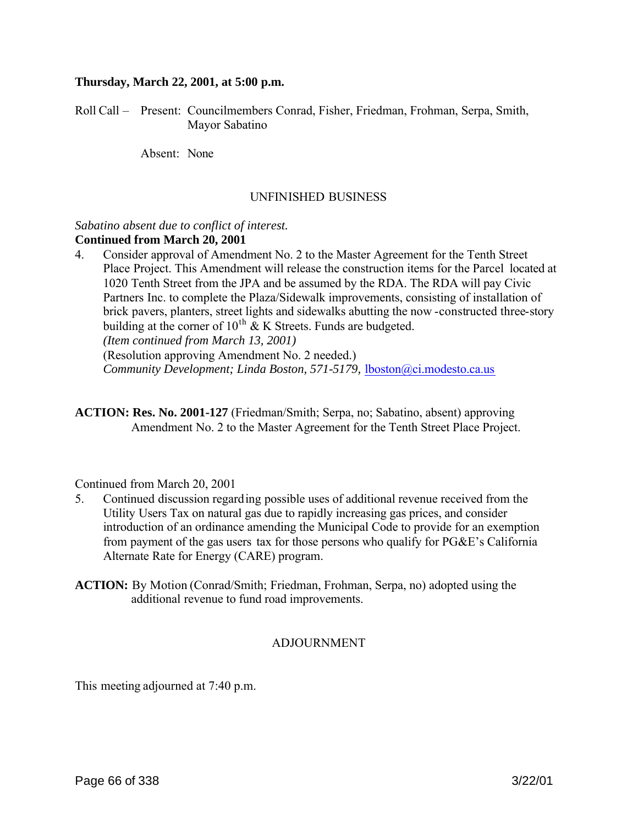#### **Thursday, March 22, 2001, at 5:00 p.m.**

Roll Call – Present: Councilmembers Conrad, Fisher, Friedman, Frohman, Serpa, Smith, Mayor Sabatino

Absent: None

#### UNFINISHED BUSINESS

#### *Sabatino absent due to conflict of interest.* **Continued from March 20, 2001**

4. Consider approval of Amendment No. 2 to the Master Agreement for the Tenth Street Place Project. This Amendment will release the construction items for the Parcel located at 1020 Tenth Street from the JPA and be assumed by the RDA. The RDA will pay Civic Partners Inc. to complete the Plaza/Sidewalk improvements, consisting of installation of brick pavers, planters, street lights and sidewalks abutting the now -constructed three-story building at the corner of  $10^{th}$  & K Streets. Funds are budgeted. *(Item continued from March 13, 2001)*

(Resolution approving Amendment No. 2 needed.)

*Community Development; Linda Boston, 571-5179,* lboston@ci.modesto.ca.us

**ACTION: Res. No. 2001-127** (Friedman/Smith; Serpa, no; Sabatino, absent) approving Amendment No. 2 to the Master Agreement for the Tenth Street Place Project.

Continued from March 20, 2001

- 5. Continued discussion regarding possible uses of additional revenue received from the Utility Users Tax on natural gas due to rapidly increasing gas prices, and consider introduction of an ordinance amending the Municipal Code to provide for an exemption from payment of the gas users tax for those persons who qualify for PG&E's California Alternate Rate for Energy (CARE) program.
- **ACTION:** By Motion (Conrad/Smith; Friedman, Frohman, Serpa, no) adopted using the additional revenue to fund road improvements.

## ADJOURNMENT

This meeting adjourned at 7:40 p.m.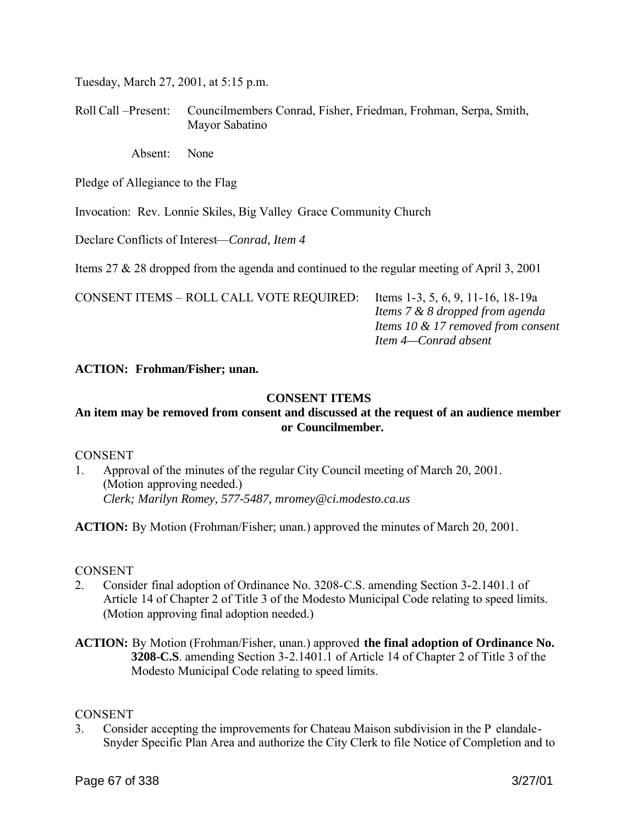Tuesday, March 27, 2001, at 5:15 p.m.

Roll Call –Present: Councilmembers Conrad, Fisher, Friedman, Frohman, Serpa, Smith, Mayor Sabatino

Absent: None

Pledge of Allegiance to the Flag

Invocation: Rev. Lonnie Skiles, Big Valley Grace Community Church

Declare Conflicts of Interest—*Conrad, Item 4*

Items 27 & 28 dropped from the agenda and continued to the regular meeting of April 3, 2001

CONSENT ITEMS – ROLL CALL VOTE REQUIRED: Items 1-3, 5, 6, 9, 11-16, 18-19a

 *Items 7 & 8 dropped from agenda Items 10 & 17 removed from consent Item 4—Conrad absent*

## **ACTION: Frohman/Fisher; unan.**

## **CONSENT ITEMS**

# **An item may be removed from consent and discussed at the request of an audience member or Councilmember.**

## CONSENT

1. Approval of the minutes of the regular City Council meeting of March 20, 2001. (Motion approving needed.) *Clerk; Marilyn Romey, 577-5487, mromey@ci.modesto.ca.us*

**ACTION:** By Motion (Frohman/Fisher; unan.) approved the minutes of March 20, 2001.

## **CONSENT**

- 2. Consider final adoption of Ordinance No. 3208-C.S. amending Section 3-2.1401.1 of Article 14 of Chapter 2 of Title 3 of the Modesto Municipal Code relating to speed limits. (Motion approving final adoption needed.)
- **ACTION:** By Motion (Frohman/Fisher, unan.) approved **the final adoption of Ordinance No. 3208-C.S**. amending Section 3-2.1401.1 of Article 14 of Chapter 2 of Title 3 of the Modesto Municipal Code relating to speed limits.

## **CONSENT**

3. Consider accepting the improvements for Chateau Maison subdivision in the P elandale-Snyder Specific Plan Area and authorize the City Clerk to file Notice of Completion and to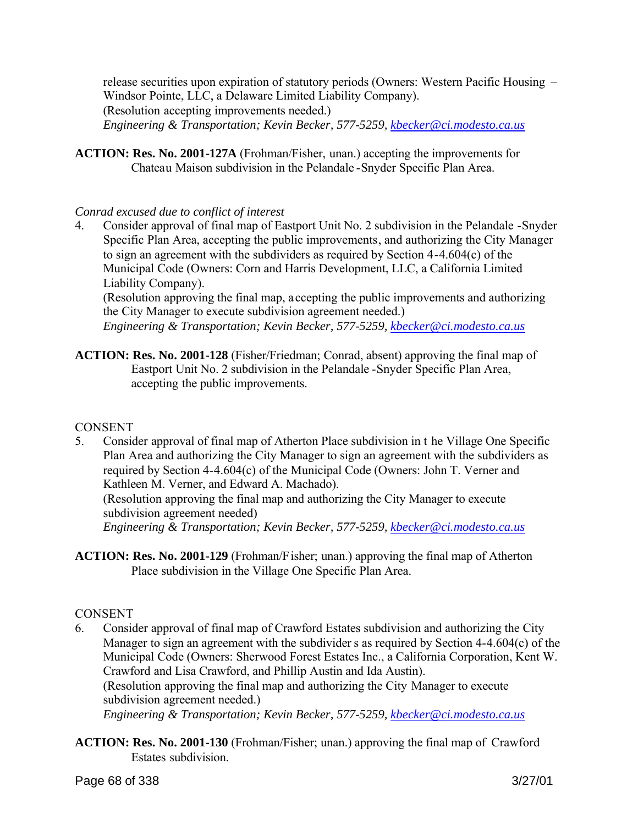release securities upon expiration of statutory periods (Owners: Western Pacific Housing – Windsor Pointe, LLC, a Delaware Limited Liability Company). (Resolution accepting improvements needed.) *Engineering & Transportation; Kevin Becker, 577-5259, kbecker@ci.modesto.ca.us*

**ACTION: Res. No. 2001-127A** (Frohman/Fisher, unan.) accepting the improvements for Chateau Maison subdivision in the Pelandale -Snyder Specific Plan Area.

## *Conrad excused due to conflict of interest*

4. Consider approval of final map of Eastport Unit No. 2 subdivision in the Pelandale -Snyder Specific Plan Area, accepting the public improvements, and authorizing the City Manager to sign an agreement with the subdividers as required by Section 4-4.604(c) of the Municipal Code (Owners: Corn and Harris Development, LLC, a California Limited Liability Company).

(Resolution approving the final map, a ccepting the public improvements and authorizing the City Manager to execute subdivision agreement needed.)

*Engineering & Transportation; Kevin Becker, 577-5259, kbecker@ci.modesto.ca.us*

**ACTION: Res. No. 2001-128** (Fisher/Friedman; Conrad, absent) approving the final map of Eastport Unit No. 2 subdivision in the Pelandale -Snyder Specific Plan Area, accepting the public improvements.

## **CONSENT**

5. Consider approval of final map of Atherton Place subdivision in t he Village One Specific Plan Area and authorizing the City Manager to sign an agreement with the subdividers as required by Section 4-4.604(c) of the Municipal Code (Owners: John T. Verner and Kathleen M. Verner, and Edward A. Machado).

(Resolution approving the final map and authorizing the City Manager to execute subdivision agreement needed)

*Engineering & Transportation; Kevin Becker, 577-5259, kbecker@ci.modesto.ca.us*

**ACTION: Res. No. 2001-129** (Frohman/Fisher; unan.) approving the final map of Atherton Place subdivision in the Village One Specific Plan Area.

# **CONSENT**

- 6. Consider approval of final map of Crawford Estates subdivision and authorizing the City Manager to sign an agreement with the subdivider s as required by Section 4-4.604(c) of the Municipal Code (Owners: Sherwood Forest Estates Inc., a California Corporation, Kent W. Crawford and Lisa Crawford, and Phillip Austin and Ida Austin). (Resolution approving the final map and authorizing the City Manager to execute subdivision agreement needed.) *Engineering & Transportation; Kevin Becker, 577-5259, kbecker@ci.modesto.ca.us*
- **ACTION: Res. No. 2001-130** (Frohman/Fisher; unan.) approving the final map of Crawford Estates subdivision.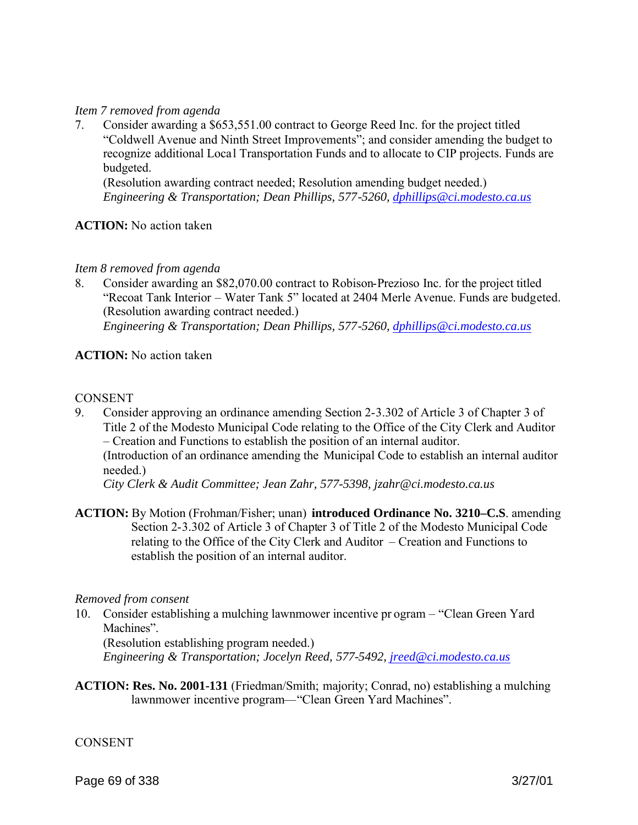### *Item 7 removed from agenda*

7. Consider awarding a \$653,551.00 contract to George Reed Inc. for the project titled "Coldwell Avenue and Ninth Street Improvements"; and consider amending the budget to recognize additional Local Transportation Funds and to allocate to CIP projects. Funds are budgeted.

(Resolution awarding contract needed; Resolution amending budget needed.) *Engineering & Transportation; Dean Phillips, 577-5260, dphillips@ci.modesto.ca.us* 

### **ACTION:** No action taken

### *Item 8 removed from agenda*

8. Consider awarding an \$82,070.00 contract to Robison-Prezioso Inc. for the project titled "Recoat Tank Interior – Water Tank 5" located at 2404 Merle Avenue. Funds are budgeted. (Resolution awarding contract needed.) *Engineering & Transportation; Dean Phillips, 577-5260, dphillips@ci.modesto.ca.us* 

## **ACTION:** No action taken

### **CONSENT**

9. Consider approving an ordinance amending Section 2-3.302 of Article 3 of Chapter 3 of Title 2 of the Modesto Municipal Code relating to the Office of the City Clerk and Auditor – Creation and Functions to establish the position of an internal auditor. (Introduction of an ordinance amending the Municipal Code to establish an internal auditor needed.)

*City Clerk & Audit Committee; Jean Zahr, 577-5398, jzahr@ci.modesto.ca.us*

**ACTION:** By Motion (Frohman/Fisher; unan) **introduced Ordinance No. 3210–C.S**. amending Section 2-3.302 of Article 3 of Chapter 3 of Title 2 of the Modesto Municipal Code relating to the Office of the City Clerk and Auditor – Creation and Functions to establish the position of an internal auditor.

#### *Removed from consent*

10. Consider establishing a mulching lawnmower incentive pr ogram – "Clean Green Yard Machines".

(Resolution establishing program needed.)

*Engineering & Transportation; Jocelyn Reed, 577-5492, jreed@ci.modesto.ca.us*

**ACTION: Res. No. 2001-131** (Friedman/Smith; majority; Conrad, no) establishing a mulching lawnmower incentive program—"Clean Green Yard Machines".

#### **CONSENT**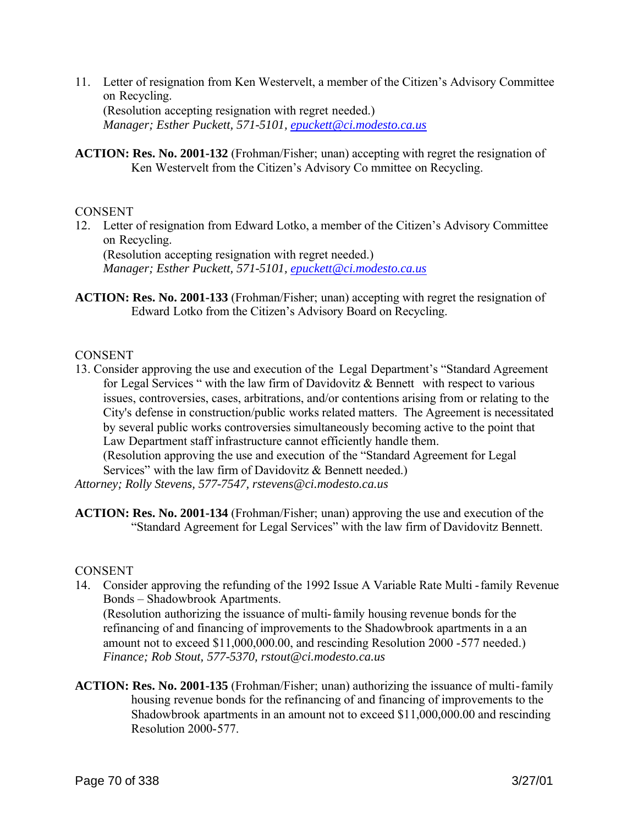- 11. Letter of resignation from Ken Westervelt, a member of the Citizen's Advisory Committee on Recycling. (Resolution accepting resignation with regret needed.) *Manager; Esther Puckett, 571-5101, epuckett@ci.modesto.ca.us*
- **ACTION: Res. No. 2001-132** (Frohman/Fisher; unan) accepting with regret the resignation of Ken Westervelt from the Citizen's Advisory Co mmittee on Recycling.

### **CONSENT**

12. Letter of resignation from Edward Lotko, a member of the Citizen's Advisory Committee on Recycling.

(Resolution accepting resignation with regret needed.) *Manager; Esther Puckett, 571-5101, epuckett@ci.modesto.ca.us*

**ACTION: Res. No. 2001-133** (Frohman/Fisher; unan) accepting with regret the resignation of Edward Lotko from the Citizen's Advisory Board on Recycling.

### **CONSENT**

13. Consider approving the use and execution of the Legal Department's "Standard Agreement for Legal Services " with the law firm of Davidovitz & Bennett with respect to various issues, controversies, cases, arbitrations, and/or contentions arising from or relating to the City's defense in construction/public works related matters. The Agreement is necessitated by several public works controversies simultaneously becoming active to the point that Law Department staff infrastructure cannot efficiently handle them. (Resolution approving the use and execution of the "Standard Agreement for Legal Services" with the law firm of Davidovitz & Bennett needed.)

*Attorney; Rolly Stevens, 577-7547, rstevens@ci.modesto.ca.us*

**ACTION: Res. No. 2001-134** (Frohman/Fisher; unan) approving the use and execution of the "Standard Agreement for Legal Services" with the law firm of Davidovitz Bennett.

#### **CONSENT**

14. Consider approving the refunding of the 1992 Issue A Variable Rate Multi -family Revenue Bonds – Shadowbrook Apartments.

(Resolution authorizing the issuance of multi-family housing revenue bonds for the refinancing of and financing of improvements to the Shadowbrook apartments in a an amount not to exceed \$11,000,000.00, and rescinding Resolution 2000 -577 needed.) *Finance; Rob Stout, 577-5370, rstout@ci.modesto.ca.us*

**ACTION: Res. No. 2001-135** (Frohman/Fisher; unan) authorizing the issuance of multi-family housing revenue bonds for the refinancing of and financing of improvements to the Shadowbrook apartments in an amount not to exceed \$11,000,000.00 and rescinding Resolution 2000-577.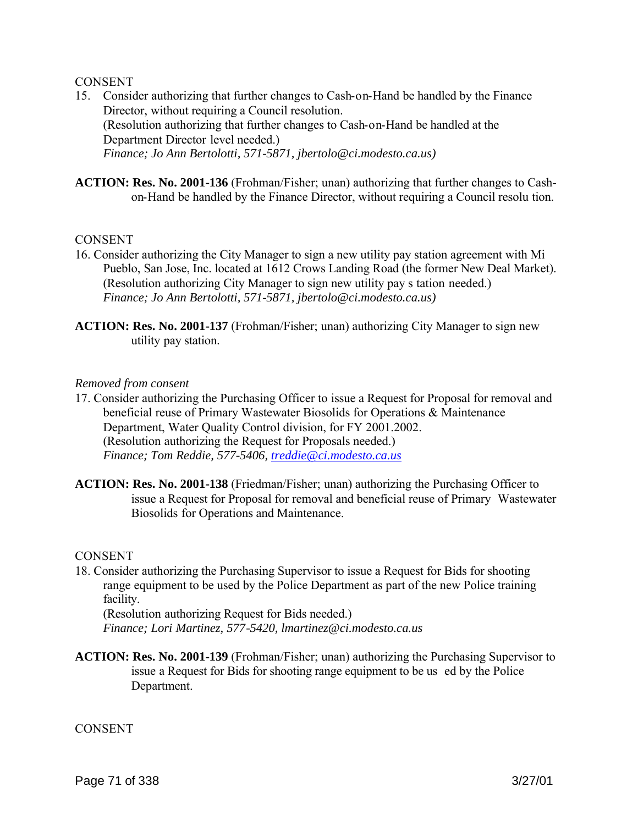### **CONSENT**

- 15. Consider authorizing that further changes to Cash-on-Hand be handled by the Finance Director, without requiring a Council resolution. (Resolution authorizing that further changes to Cash-on-Hand be handled at the Department Director level needed.) *Finance; Jo Ann Bertolotti, 571-5871, jbertolo@ci.modesto.ca.us)*
- **ACTION: Res. No. 2001-136** (Frohman/Fisher; unan) authorizing that further changes to Cashon-Hand be handled by the Finance Director, without requiring a Council resolu tion.

### **CONSENT**

- 16. Consider authorizing the City Manager to sign a new utility pay station agreement with Mi Pueblo, San Jose, Inc. located at 1612 Crows Landing Road (the former New Deal Market). (Resolution authorizing City Manager to sign new utility pay s tation needed.) *Finance; Jo Ann Bertolotti, 571-5871, jbertolo@ci.modesto.ca.us)*
- **ACTION: Res. No. 2001-137** (Frohman/Fisher; unan) authorizing City Manager to sign new utility pay station.

#### *Removed from consent*

- 17. Consider authorizing the Purchasing Officer to issue a Request for Proposal for removal and beneficial reuse of Primary Wastewater Biosolids for Operations & Maintenance Department, Water Quality Control division, for FY 2001.2002. (Resolution authorizing the Request for Proposals needed.) *Finance; Tom Reddie, 577-5406, treddie@ci.modesto.ca.us*
- **ACTION: Res. No. 2001-138** (Friedman/Fisher; unan) authorizing the Purchasing Officer to issue a Request for Proposal for removal and beneficial reuse of Primary Wastewater Biosolids for Operations and Maintenance.

#### **CONSENT**

18. Consider authorizing the Purchasing Supervisor to issue a Request for Bids for shooting range equipment to be used by the Police Department as part of the new Police training facility.

(Resolution authorizing Request for Bids needed.) *Finance; Lori Martinez, 577-5420, lmartinez@ci.modesto.ca.us*

**ACTION: Res. No. 2001-139** (Frohman/Fisher; unan) authorizing the Purchasing Supervisor to issue a Request for Bids for shooting range equipment to be us ed by the Police Department.

#### **CONSENT**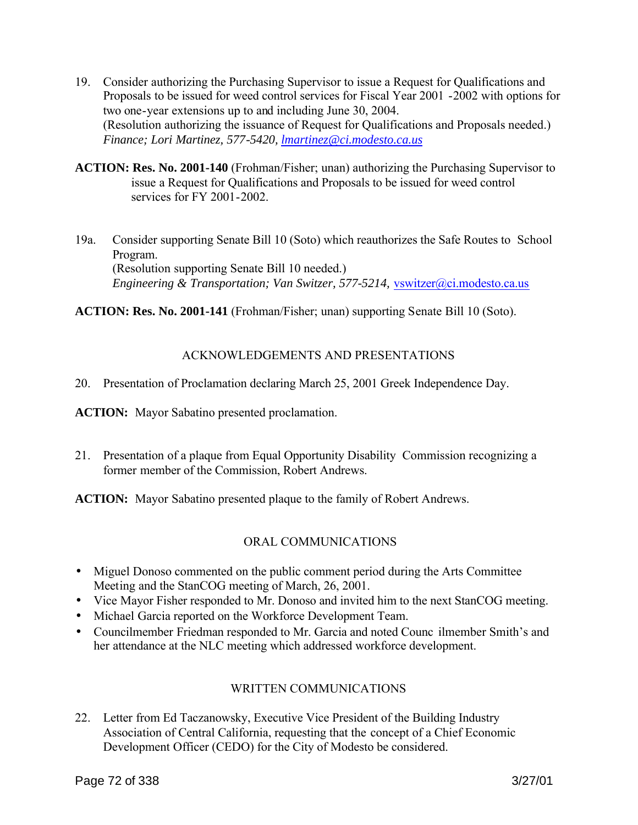- 19. Consider authorizing the Purchasing Supervisor to issue a Request for Qualifications and Proposals to be issued for weed control services for Fiscal Year 2001 -2002 with options for two one-year extensions up to and including June 30, 2004. (Resolution authorizing the issuance of Request for Qualifications and Proposals needed.) *Finance; Lori Martinez, 577-5420, lmartinez@ci.modesto.ca.us*
- **ACTION: Res. No. 2001-140** (Frohman/Fisher; unan) authorizing the Purchasing Supervisor to issue a Request for Qualifications and Proposals to be issued for weed control services for FY 2001-2002.
- 19a. Consider supporting Senate Bill 10 (Soto) which reauthorizes the Safe Routes to School Program. (Resolution supporting Senate Bill 10 needed.) *Engineering & Transportation; Van Switzer, 577-5214,* vswitzer@ci.modesto.ca.us

**ACTION: Res. No. 2001-141** (Frohman/Fisher; unan) supporting Senate Bill 10 (Soto).

# ACKNOWLEDGEMENTS AND PRESENTATIONS

20. Presentation of Proclamation declaring March 25, 2001 Greek Independence Day.

**ACTION:** Mayor Sabatino presented proclamation.

21. Presentation of a plaque from Equal Opportunity Disability Commission recognizing a former member of the Commission, Robert Andrews.

**ACTION:** Mayor Sabatino presented plaque to the family of Robert Andrews.

# ORAL COMMUNICATIONS

- Miguel Donoso commented on the public comment period during the Arts Committee Meeting and the StanCOG meeting of March, 26, 2001.
- Vice Mayor Fisher responded to Mr. Donoso and invited him to the next StanCOG meeting.
- Michael Garcia reported on the Workforce Development Team.
- Councilmember Friedman responded to Mr. Garcia and noted Councilmember Smith's and her attendance at the NLC meeting which addressed workforce development.

# WRITTEN COMMUNICATIONS

22. Letter from Ed Taczanowsky, Executive Vice President of the Building Industry Association of Central California, requesting that the concept of a Chief Economic Development Officer (CEDO) for the City of Modesto be considered.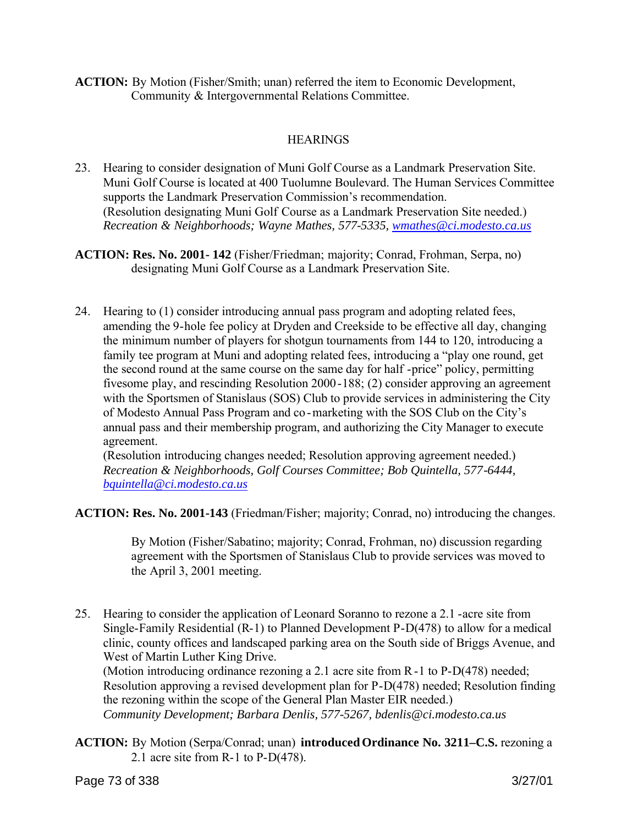**ACTION:** By Motion (Fisher/Smith; unan) referred the item to Economic Development, Community & Intergovernmental Relations Committee.

# **HEARINGS**

- 23. Hearing to consider designation of Muni Golf Course as a Landmark Preservation Site. Muni Golf Course is located at 400 Tuolumne Boulevard. The Human Services Committee supports the Landmark Preservation Commission's recommendation. (Resolution designating Muni Golf Course as a Landmark Preservation Site needed.) *Recreation & Neighborhoods; Wayne Mathes, 577-5335, wmathes@ci.modesto.ca.us*
- **ACTION: Res. No. 2001- 142** (Fisher/Friedman; majority; Conrad, Frohman, Serpa, no) designating Muni Golf Course as a Landmark Preservation Site.
- 24. Hearing to (1) consider introducing annual pass program and adopting related fees, amending the 9-hole fee policy at Dryden and Creekside to be effective all day, changing the minimum number of players for shotgun tournaments from 144 to 120, introducing a family tee program at Muni and adopting related fees, introducing a "play one round, get the second round at the same course on the same day for half -price" policy, permitting fivesome play, and rescinding Resolution 2000-188; (2) consider approving an agreement with the Sportsmen of Stanislaus (SOS) Club to provide services in administering the City of Modesto Annual Pass Program and co -marketing with the SOS Club on the City's annual pass and their membership program, and authorizing the City Manager to execute agreement.

(Resolution introducing changes needed; Resolution approving agreement needed.) *Recreation & Neighborhoods, Golf Courses Committee; Bob Quintella, 577-6444, bquintella@ci.modesto.ca.us*

**ACTION: Res. No. 2001-143** (Friedman/Fisher; majority; Conrad, no) introducing the changes.

By Motion (Fisher/Sabatino; majority; Conrad, Frohman, no) discussion regarding agreement with the Sportsmen of Stanislaus Club to provide services was moved to the April 3, 2001 meeting.

25. Hearing to consider the application of Leonard Soranno to rezone a 2.1 -acre site from Single-Family Residential (R-1) to Planned Development P-D(478) to allow for a medical clinic, county offices and landscaped parking area on the South side of Briggs Avenue, and West of Martin Luther King Drive.

(Motion introducing ordinance rezoning a 2.1 acre site from R-1 to P-D(478) needed; Resolution approving a revised development plan for P-D(478) needed; Resolution finding the rezoning within the scope of the General Plan Master EIR needed.) *Community Development; Barbara Denlis, 577-5267, bdenlis@ci.modesto.ca.us*

**ACTION:** By Motion (Serpa/Conrad; unan) **introduced Ordinance No. 3211–C.S.** rezoning a 2.1 acre site from R-1 to P-D(478).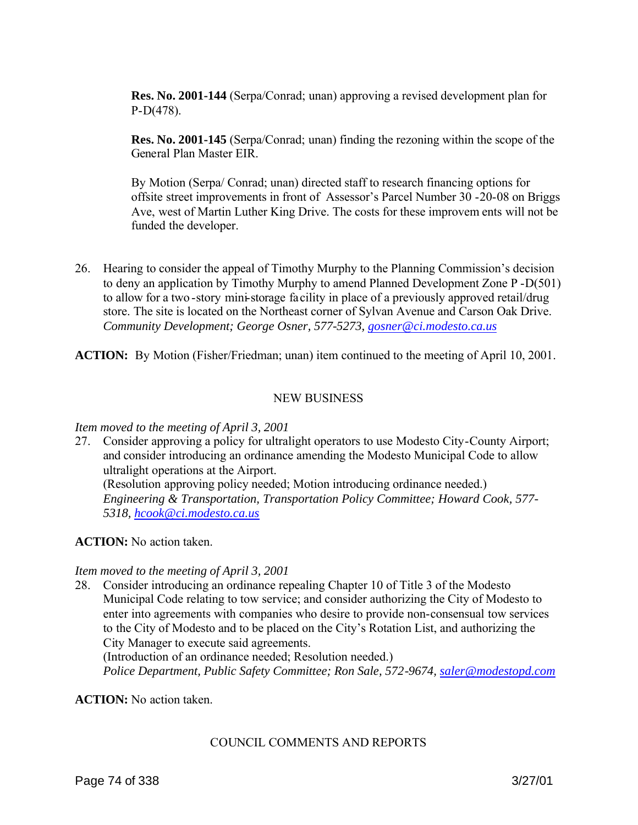**Res. No. 2001-144** (Serpa/Conrad; unan) approving a revised development plan for P-D(478).

 **Res. No. 2001-145** (Serpa/Conrad; unan) finding the rezoning within the scope of the General Plan Master EIR.

By Motion (Serpa/ Conrad; unan) directed staff to research financing options for offsite street improvements in front of Assessor's Parcel Number 30 -20-08 on Briggs Ave, west of Martin Luther King Drive. The costs for these improvem ents will not be funded the developer.

26. Hearing to consider the appeal of Timothy Murphy to the Planning Commission's decision to deny an application by Timothy Murphy to amend Planned Development Zone P -D(501) to allow for a two -story mini-storage facility in place of a previously approved retail/drug store. The site is located on the Northeast corner of Sylvan Avenue and Carson Oak Drive. *Community Development; George Osner, 577-5273, gosner@ci.modesto.ca.us* 

**ACTION:** By Motion (Fisher/Friedman; unan) item continued to the meeting of April 10, 2001.

## NEW BUSINESS

#### *Item moved to the meeting of April 3, 2001*

27. Consider approving a policy for ultralight operators to use Modesto City-County Airport; and consider introducing an ordinance amending the Modesto Municipal Code to allow ultralight operations at the Airport. (Resolution approving policy needed; Motion introducing ordinance needed.) *Engineering & Transportation, Transportation Policy Committee; Howard Cook, 577- 5318, hcook@ci.modesto.ca.us*

#### **ACTION:** No action taken.

#### *Item moved to the meeting of April 3, 2001*

28. Consider introducing an ordinance repealing Chapter 10 of Title 3 of the Modesto Municipal Code relating to tow service; and consider authorizing the City of Modesto to enter into agreements with companies who desire to provide non-consensual tow services to the City of Modesto and to be placed on the City's Rotation List, and authorizing the City Manager to execute said agreements. (Introduction of an ordinance needed; Resolution needed.) *Police Department, Public Safety Committee; Ron Sale, 572-9674, saler@modestopd.com*

**ACTION:** No action taken.

#### COUNCIL COMMENTS AND REPORTS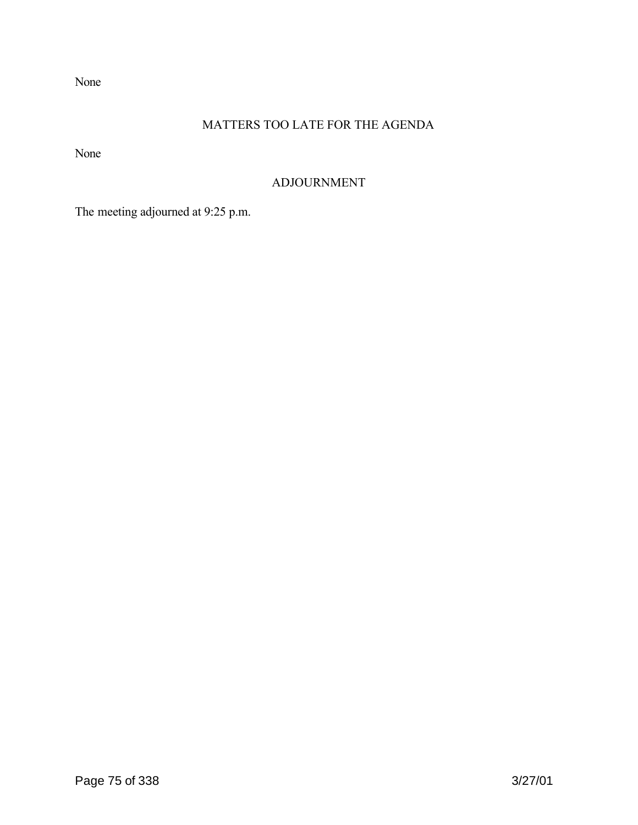None

# MATTERS TOO LATE FOR THE AGENDA

None

# ADJOURNMENT

The meeting adjourned at 9:25 p.m.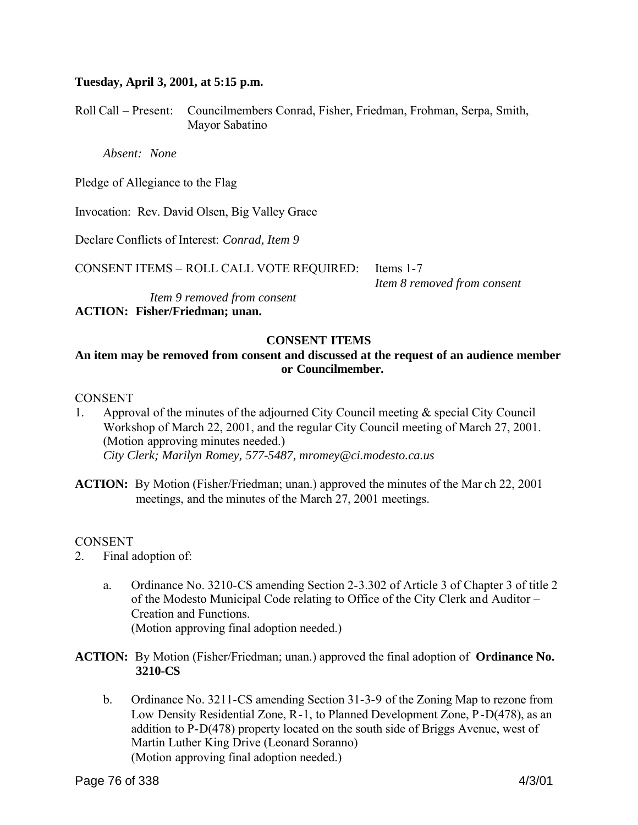#### **Tuesday, April 3, 2001, at 5:15 p.m.**

Roll Call – Present: Councilmembers Conrad, Fisher, Friedman, Frohman, Serpa, Smith, Mayor Sabatino

*Absent: None*

Pledge of Allegiance to the Flag

Invocation: Rev. David Olsen, Big Valley Grace

Declare Conflicts of Interest: *Conrad, Item 9*

CONSENT ITEMS – ROLL CALL VOTE REQUIRED: Items 1-7

*Item 8 removed from consent*

 *Item 9 removed from consent* **ACTION: Fisher/Friedman; unan.**

# **CONSENT ITEMS**

# **An item may be removed from consent and discussed at the request of an audience member or Councilmember.**

#### **CONSENT**

- 1. Approval of the minutes of the adjourned City Council meeting & special City Council Workshop of March 22, 2001, and the regular City Council meeting of March 27, 2001. (Motion approving minutes needed.) *City Clerk; Marilyn Romey, 577-5487, mromey@ci.modesto.ca.us*
- **ACTION:** By Motion (Fisher/Friedman; unan.) approved the minutes of the Mar ch 22, 2001 meetings, and the minutes of the March 27, 2001 meetings.

#### **CONSENT**

- 2. Final adoption of:
	- a. Ordinance No. 3210-CS amending Section 2-3.302 of Article 3 of Chapter 3 of title 2 of the Modesto Municipal Code relating to Office of the City Clerk and Auditor – Creation and Functions. (Motion approving final adoption needed.)
- **ACTION:** By Motion (Fisher/Friedman; unan.) approved the final adoption of **Ordinance No. 3210-CS**
	- b. Ordinance No. 3211-CS amending Section 31-3-9 of the Zoning Map to rezone from Low Density Residential Zone, R-1, to Planned Development Zone, P-D(478), as an addition to P-D(478) property located on the south side of Briggs Avenue, west of Martin Luther King Drive (Leonard Soranno) (Motion approving final adoption needed.)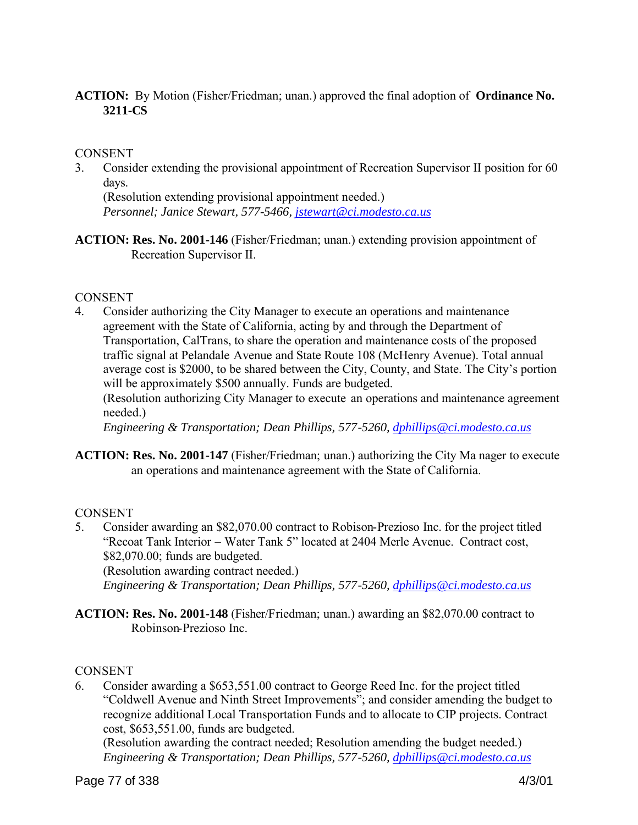# **ACTION:** By Motion (Fisher/Friedman; unan.) approved the final adoption of **Ordinance No. 3211-CS**

#### **CONSENT**

3. Consider extending the provisional appointment of Recreation Supervisor II position for 60 days.

(Resolution extending provisional appointment needed.) *Personnel; Janice Stewart, 577-5466, jstewart@ci.modesto.ca.us*

**ACTION: Res. No. 2001-146** (Fisher/Friedman; unan.) extending provision appointment of Recreation Supervisor II.

## CONSENT

4. Consider authorizing the City Manager to execute an operations and maintenance agreement with the State of California, acting by and through the Department of Transportation, CalTrans, to share the operation and maintenance costs of the proposed traffic signal at Pelandale Avenue and State Route 108 (McHenry Avenue). Total annual average cost is \$2000, to be shared between the City, County, and State. The City's portion will be approximately \$500 annually. Funds are budgeted.

(Resolution authorizing City Manager to execute an operations and maintenance agreement needed.)

*Engineering & Transportation; Dean Phillips, 577-5260, dphillips@ci.modesto.ca.us*

**ACTION: Res. No. 2001-147** (Fisher/Friedman; unan.) authorizing the City Ma nager to execute an operations and maintenance agreement with the State of California.

# **CONSENT**

5. Consider awarding an \$82,070.00 contract to Robison-Prezioso Inc. for the project titled "Recoat Tank Interior – Water Tank 5" located at 2404 Merle Avenue. Contract cost, \$82,070.00; funds are budgeted.

(Resolution awarding contract needed.)

*Engineering & Transportation; Dean Phillips, 577-5260, dphillips@ci.modesto.ca.us*

**ACTION: Res. No. 2001-148** (Fisher/Friedman; unan.) awarding an \$82,070.00 contract to Robinson-Prezioso Inc.

#### CONSENT

6. Consider awarding a \$653,551.00 contract to George Reed Inc. for the project titled "Coldwell Avenue and Ninth Street Improvements"; and consider amending the budget to recognize additional Local Transportation Funds and to allocate to CIP projects. Contract cost, \$653,551.00, funds are budgeted.

(Resolution awarding the contract needed; Resolution amending the budget needed.) *Engineering & Transportation; Dean Phillips, 577-5260, dphillips@ci.modesto.ca.us*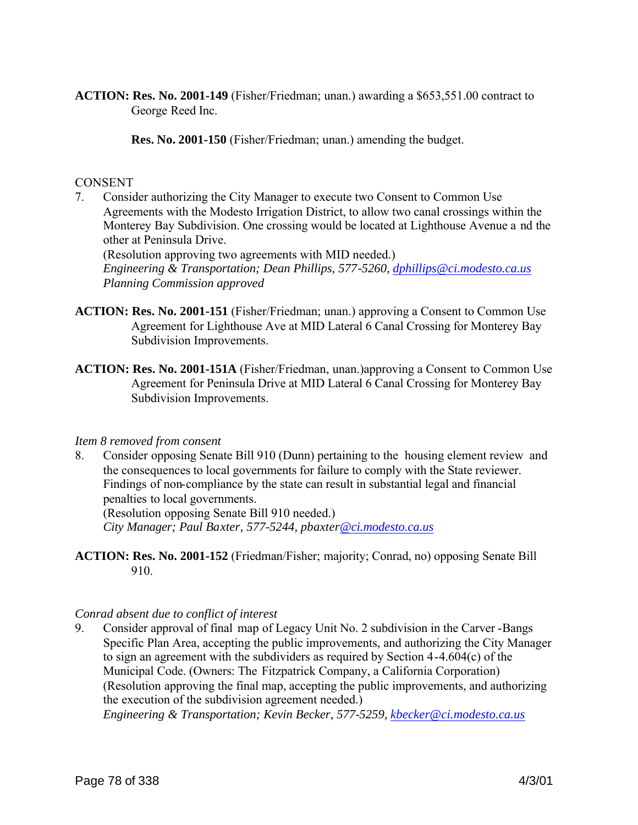**ACTION: Res. No. 2001-149** (Fisher/Friedman; unan.) awarding a \$653,551.00 contract to George Reed Inc.

**Res. No. 2001-150** (Fisher/Friedman; unan.) amending the budget.

#### **CONSENT**

7. Consider authorizing the City Manager to execute two Consent to Common Use Agreements with the Modesto Irrigation District, to allow two canal crossings within the Monterey Bay Subdivision. One crossing would be located at Lighthouse Avenue a nd the other at Peninsula Drive.

(Resolution approving two agreements with MID needed.) *Engineering & Transportation; Dean Phillips, 577-5260, dphillips@ci.modesto.ca.us Planning Commission approved*

- **ACTION: Res. No. 2001-151** (Fisher/Friedman; unan.) approving a Consent to Common Use Agreement for Lighthouse Ave at MID Lateral 6 Canal Crossing for Monterey Bay Subdivision Improvements.
- **ACTION: Res. No. 2001-151A** (Fisher/Friedman, unan.)approving a Consent to Common Use Agreement for Peninsula Drive at MID Lateral 6 Canal Crossing for Monterey Bay Subdivision Improvements.

#### *Item 8 removed from consent*

8. Consider opposing Senate Bill 910 (Dunn) pertaining to the housing element review and the consequences to local governments for failure to comply with the State reviewer. Findings of non-compliance by the state can result in substantial legal and financial penalties to local governments.

(Resolution opposing Senate Bill 910 needed.) *City Manager; Paul Baxter, 577-5244, pbaxter@ci.modesto.ca.us*

**ACTION: Res. No. 2001-152** (Friedman/Fisher; majority; Conrad, no) opposing Senate Bill 910.

#### *Conrad absent due to conflict of interest*

9. Consider approval of final map of Legacy Unit No. 2 subdivision in the Carver -Bangs Specific Plan Area, accepting the public improvements, and authorizing the City Manager to sign an agreement with the subdividers as required by Section 4-4.604(c) of the Municipal Code. (Owners: The Fitzpatrick Company, a California Corporation) (Resolution approving the final map, accepting the public improvements, and authorizing the execution of the subdivision agreement needed.)

*Engineering & Transportation; Kevin Becker, 577-5259, kbecker@ci.modesto.ca.us*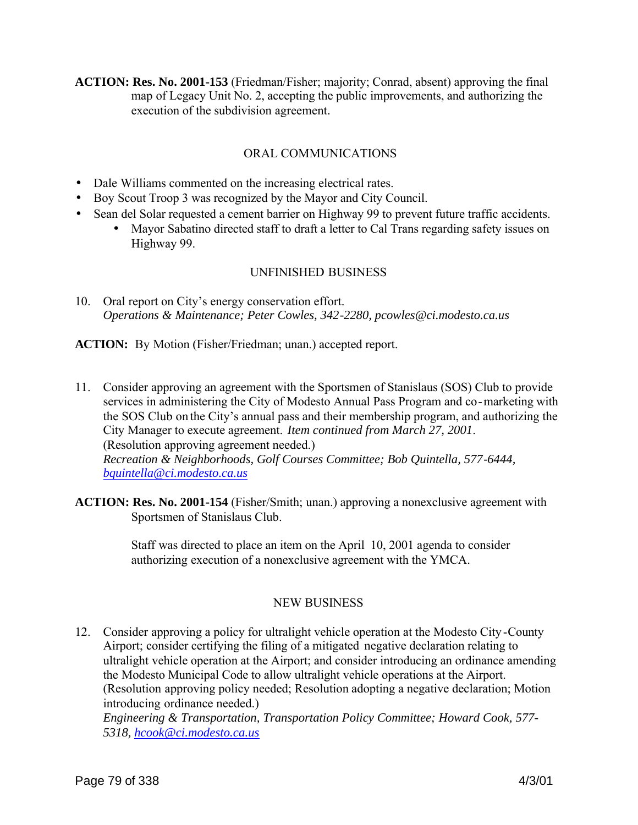**ACTION: Res. No. 2001-153** (Friedman/Fisher; majority; Conrad, absent) approving the final map of Legacy Unit No. 2, accepting the public improvements, and authorizing the execution of the subdivision agreement.

# ORAL COMMUNICATIONS

- Dale Williams commented on the increasing electrical rates.
- Boy Scout Troop 3 was recognized by the Mayor and City Council.
- Sean del Solar requested a cement barrier on Highway 99 to prevent future traffic accidents.
	- Mayor Sabatino directed staff to draft a letter to Cal Trans regarding safety issues on Highway 99.

# UNFINISHED BUSINESS

10. Oral report on City's energy conservation effort. *Operations & Maintenance; Peter Cowles, 342-2280, pcowles@ci.modesto.ca.us*

ACTION: By Motion (Fisher/Friedman; unan.) accepted report.

- 11. Consider approving an agreement with the Sportsmen of Stanislaus (SOS) Club to provide services in administering the City of Modesto Annual Pass Program and co-marketing with the SOS Club on the City's annual pass and their membership program, and authorizing the City Manager to execute agreement. *Item continued from March 27, 2001*. (Resolution approving agreement needed.) *Recreation & Neighborhoods, Golf Courses Committee; Bob Quintella, 577-6444, bquintella@ci.modesto.ca.us*
- **ACTION: Res. No. 2001-154** (Fisher/Smith; unan.) approving a nonexclusive agreement with Sportsmen of Stanislaus Club.

Staff was directed to place an item on the April 10, 2001 agenda to consider authorizing execution of a nonexclusive agreement with the YMCA.

# NEW BUSINESS

12. Consider approving a policy for ultralight vehicle operation at the Modesto City-County Airport; consider certifying the filing of a mitigated negative declaration relating to ultralight vehicle operation at the Airport; and consider introducing an ordinance amending the Modesto Municipal Code to allow ultralight vehicle operations at the Airport. (Resolution approving policy needed; Resolution adopting a negative declaration; Motion introducing ordinance needed.) *Engineering & Transportation, Transportation Policy Committee; Howard Cook, 577-*

*5318, hcook@ci.modesto.ca.us*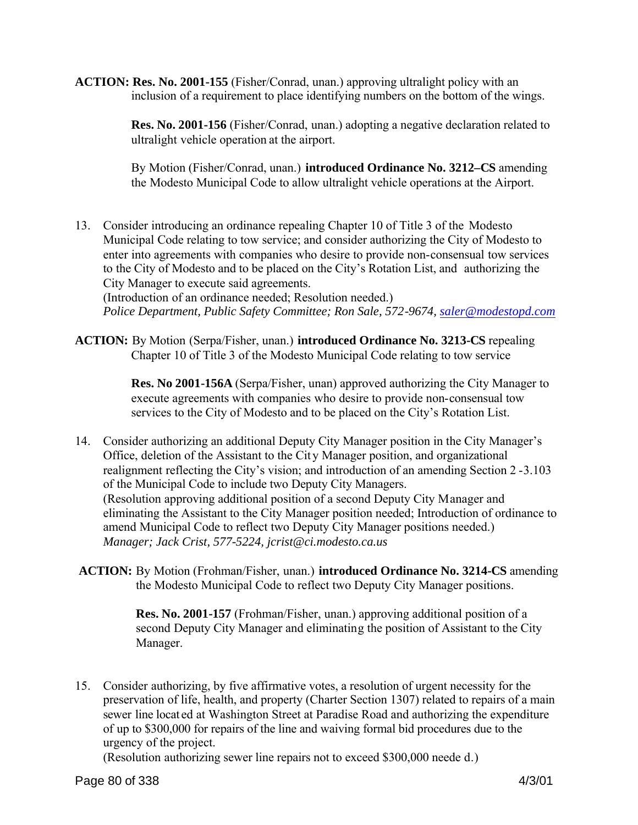**ACTION: Res. No. 2001-155** (Fisher/Conrad, unan.) approving ultralight policy with an inclusion of a requirement to place identifying numbers on the bottom of the wings.

> **Res. No. 2001-156** (Fisher/Conrad, unan.) adopting a negative declaration related to ultralight vehicle operation at the airport.

> By Motion (Fisher/Conrad, unan.) **introduced Ordinance No. 3212–CS** amending the Modesto Municipal Code to allow ultralight vehicle operations at the Airport.

13. Consider introducing an ordinance repealing Chapter 10 of Title 3 of the Modesto Municipal Code relating to tow service; and consider authorizing the City of Modesto to enter into agreements with companies who desire to provide non-consensual tow services to the City of Modesto and to be placed on the City's Rotation List, and authorizing the City Manager to execute said agreements.

(Introduction of an ordinance needed; Resolution needed.) *Police Department, Public Safety Committee; Ron Sale, 572-9674, saler@modestopd.com*

**ACTION:** By Motion (Serpa/Fisher, unan.) **introduced Ordinance No. 3213-CS** repealing Chapter 10 of Title 3 of the Modesto Municipal Code relating to tow service

> **Res. No 2001-156A** (Serpa/Fisher, unan) approved authorizing the City Manager to execute agreements with companies who desire to provide non-consensual tow services to the City of Modesto and to be placed on the City's Rotation List.

- 14. Consider authorizing an additional Deputy City Manager position in the City Manager's Office, deletion of the Assistant to the Cit y Manager position, and organizational realignment reflecting the City's vision; and introduction of an amending Section 2 -3.103 of the Municipal Code to include two Deputy City Managers. (Resolution approving additional position of a second Deputy City Manager and eliminating the Assistant to the City Manager position needed; Introduction of ordinance to amend Municipal Code to reflect two Deputy City Manager positions needed.) *Manager; Jack Crist, 577-5224, jcrist@ci.modesto.ca.us*
- **ACTION:** By Motion (Frohman/Fisher, unan.) **introduced Ordinance No. 3214-CS** amending the Modesto Municipal Code to reflect two Deputy City Manager positions.

**Res. No. 2001-157** (Frohman/Fisher, unan.) approving additional position of a second Deputy City Manager and eliminating the position of Assistant to the City Manager.

15. Consider authorizing, by five affirmative votes, a resolution of urgent necessity for the preservation of life, health, and property (Charter Section 1307) related to repairs of a main sewer line locat ed at Washington Street at Paradise Road and authorizing the expenditure of up to \$300,000 for repairs of the line and waiving formal bid procedures due to the urgency of the project.

(Resolution authorizing sewer line repairs not to exceed \$300,000 neede d.)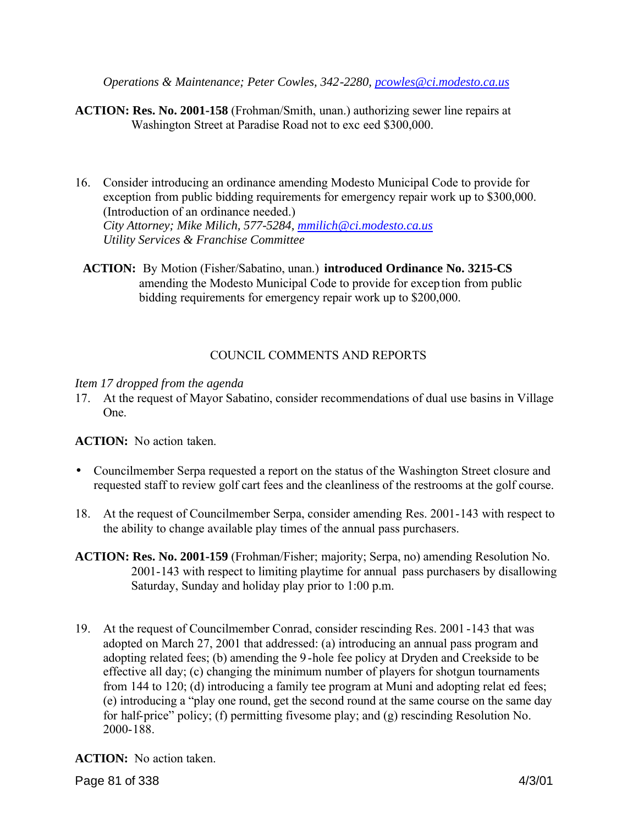*Operations & Maintenance; Peter Cowles, 342-2280, pcowles@ci.modesto.ca.us*

- **ACTION: Res. No. 2001-158** (Frohman/Smith, unan.) authorizing sewer line repairs at Washington Street at Paradise Road not to exc eed \$300,000.
- 16. Consider introducing an ordinance amending Modesto Municipal Code to provide for exception from public bidding requirements for emergency repair work up to \$300,000. (Introduction of an ordinance needed.) *City Attorney; Mike Milich, 577-5284, mmilich@ci.modesto.ca.us Utility Services & Franchise Committee*
- **ACTION:** By Motion (Fisher/Sabatino, unan.) **introduced Ordinance No. 3215-CS** amending the Modesto Municipal Code to provide for excep tion from public bidding requirements for emergency repair work up to \$200,000.

# COUNCIL COMMENTS AND REPORTS

## *Item 17 dropped from the agenda*

17. At the request of Mayor Sabatino, consider recommendations of dual use basins in Village One.

**ACTION:** No action taken.

- Councilmember Serpa requested a report on the status of the Washington Street closure and requested staff to review golf cart fees and the cleanliness of the restrooms at the golf course.
- 18. At the request of Councilmember Serpa, consider amending Res. 2001-143 with respect to the ability to change available play times of the annual pass purchasers.
- **ACTION: Res. No. 2001-159** (Frohman/Fisher; majority; Serpa, no) amending Resolution No. 2001-143 with respect to limiting playtime for annual pass purchasers by disallowing Saturday, Sunday and holiday play prior to 1:00 p.m.
- 19. At the request of Councilmember Conrad, consider rescinding Res. 2001 -143 that was adopted on March 27, 2001 that addressed: (a) introducing an annual pass program and adopting related fees; (b) amending the 9 -hole fee policy at Dryden and Creekside to be effective all day; (c) changing the minimum number of players for shotgun tournaments from 144 to 120; (d) introducing a family tee program at Muni and adopting relat ed fees; (e) introducing a "play one round, get the second round at the same course on the same day for half-price" policy; (f) permitting fivesome play; and (g) rescinding Resolution No. 2000-188.

**ACTION:** No action taken.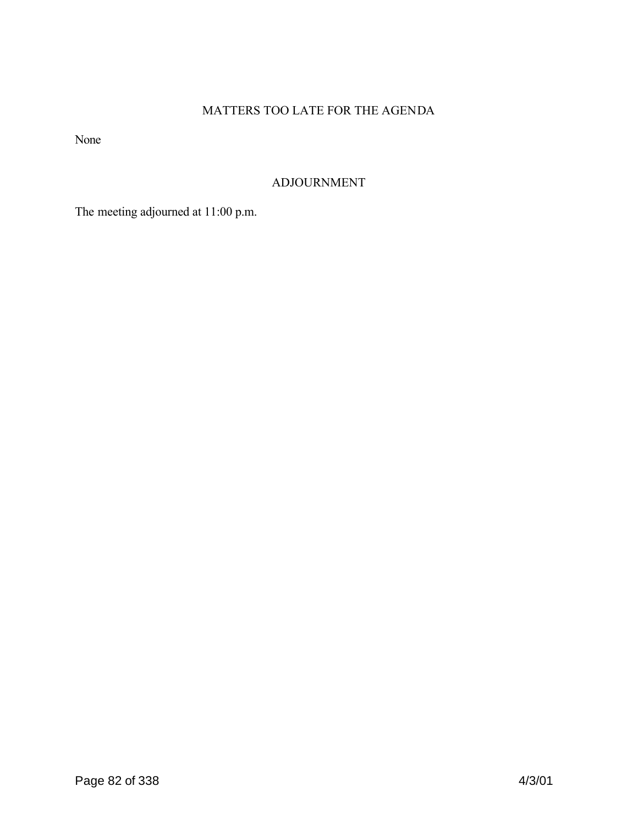# MATTERS TOO LATE FOR THE AGENDA

None

# ADJOURNMENT

The meeting adjourned at 11:00 p.m.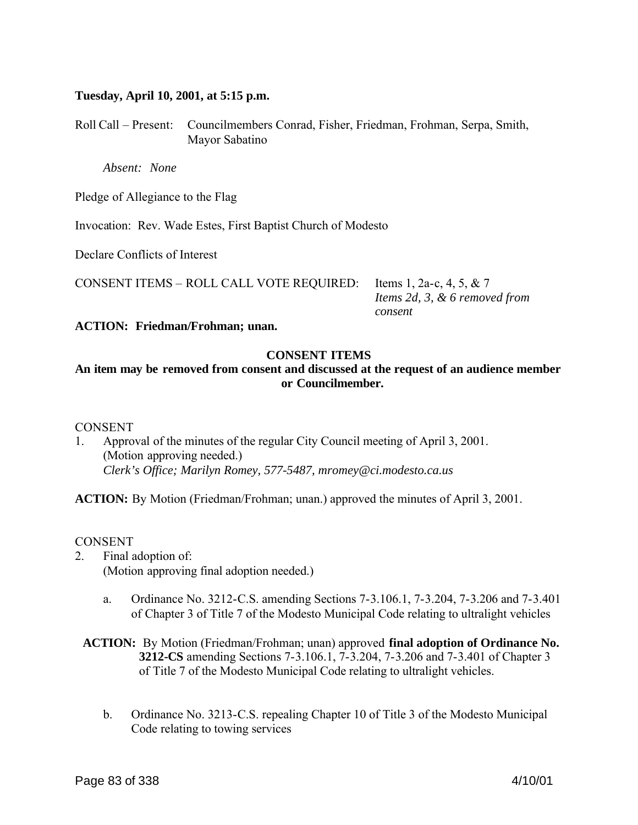#### **Tuesday, April 10, 2001, at 5:15 p.m.**

Roll Call – Present: Councilmembers Conrad, Fisher, Friedman, Frohman, Serpa, Smith, Mayor Sabatino

*Absent: None*

Pledge of Allegiance to the Flag

Invocation: Rev. Wade Estes, First Baptist Church of Modesto

Declare Conflicts of Interest

CONSENT ITEMS – ROLL CALL VOTE REQUIRED: Items 1, 2a-c, 4, 5, & 7

 *Items 2d, 3, & 6 removed from consent*

**ACTION: Friedman/Frohman; unan.**

#### **CONSENT ITEMS**

# **An item may be removed from consent and discussed at the request of an audience member or Councilmember.**

#### **CONSENT**

1. Approval of the minutes of the regular City Council meeting of April 3, 2001. (Motion approving needed.) *Clerk's Office; Marilyn Romey, 577-5487, mromey@ci.modesto.ca.us*

**ACTION:** By Motion (Friedman/Frohman; unan.) approved the minutes of April 3, 2001.

#### CONSENT

- 2. Final adoption of: (Motion approving final adoption needed.)
	- a. Ordinance No. 3212-C.S. amending Sections 7-3.106.1, 7-3.204, 7-3.206 and 7-3.401 of Chapter 3 of Title 7 of the Modesto Municipal Code relating to ultralight vehicles

# **ACTION:** By Motion (Friedman/Frohman; unan) approved **final adoption of Ordinance No. 3212-CS** amending Sections 7-3.106.1, 7-3.204, 7-3.206 and 7-3.401 of Chapter 3 of Title 7 of the Modesto Municipal Code relating to ultralight vehicles.

b. Ordinance No. 3213-C.S. repealing Chapter 10 of Title 3 of the Modesto Municipal Code relating to towing services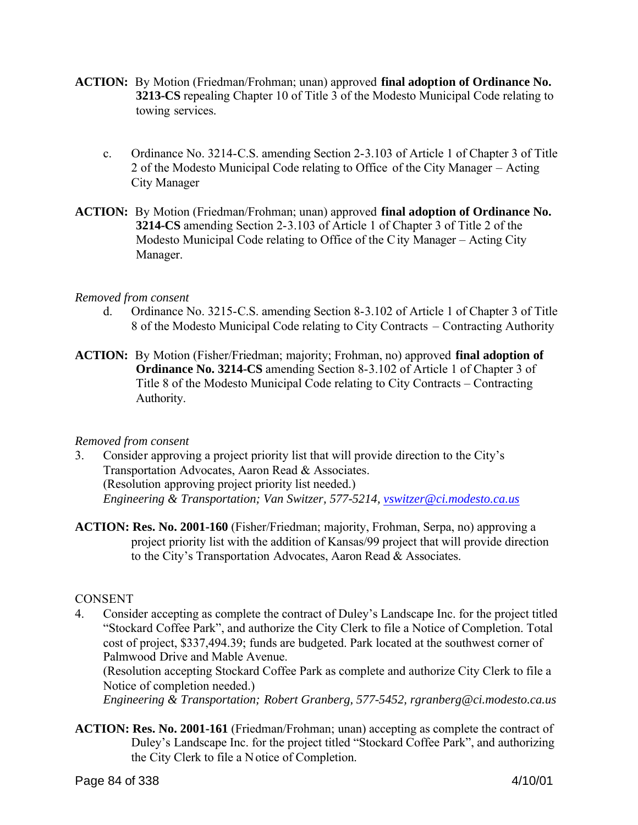- **ACTION:** By Motion (Friedman/Frohman; unan) approved **final adoption of Ordinance No. 3213-CS** repealing Chapter 10 of Title 3 of the Modesto Municipal Code relating to towing services.
	- c. Ordinance No. 3214-C.S. amending Section 2-3.103 of Article 1 of Chapter 3 of Title 2 of the Modesto Municipal Code relating to Office of the City Manager – Acting City Manager
- **ACTION:** By Motion (Friedman/Frohman; unan) approved **final adoption of Ordinance No. 3214-CS** amending Section 2-3.103 of Article 1 of Chapter 3 of Title 2 of the Modesto Municipal Code relating to Office of the City Manager – Acting City Manager.

## *Removed from consent*

- d. Ordinance No. 3215-C.S. amending Section 8-3.102 of Article 1 of Chapter 3 of Title 8 of the Modesto Municipal Code relating to City Contracts – Contracting Authority
- **ACTION:** By Motion (Fisher/Friedman; majority; Frohman, no) approved **final adoption of Ordinance No. 3214-CS** amending Section 8-3.102 of Article 1 of Chapter 3 of Title 8 of the Modesto Municipal Code relating to City Contracts – Contracting Authority.

#### *Removed from consent*

- 3. Consider approving a project priority list that will provide direction to the City's Transportation Advocates, Aaron Read & Associates. (Resolution approving project priority list needed.) *Engineering & Transportation; Van Switzer, 577-5214, vswitzer@ci.modesto.ca.us*
- **ACTION: Res. No. 2001-160** (Fisher/Friedman; majority, Frohman, Serpa, no) approving a project priority list with the addition of Kansas/99 project that will provide direction to the City's Transportation Advocates, Aaron Read & Associates.

# **CONSENT**

4. Consider accepting as complete the contract of Duley's Landscape Inc. for the project titled "Stockard Coffee Park", and authorize the City Clerk to file a Notice of Completion. Total cost of project, \$337,494.39; funds are budgeted. Park located at the southwest corner of Palmwood Drive and Mable Avenue.

(Resolution accepting Stockard Coffee Park as complete and authorize City Clerk to file a Notice of completion needed.)

*Engineering & Transportation; Robert Granberg, 577-5452, rgranberg@ci.modesto.ca.us*

**ACTION: Res. No. 2001-161** (Friedman/Frohman; unan) accepting as complete the contract of Duley's Landscape Inc. for the project titled "Stockard Coffee Park", and authorizing the City Clerk to file a Notice of Completion.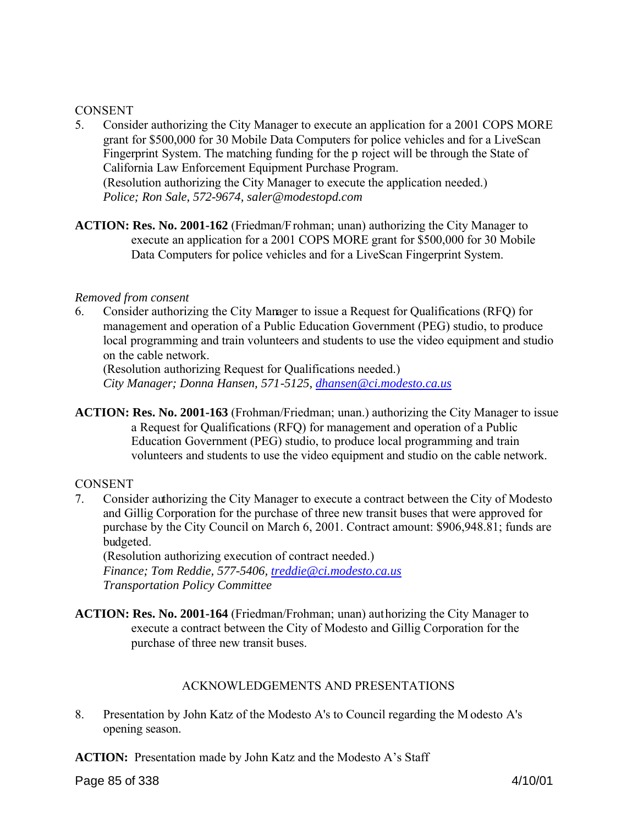#### **CONSENT**

- 5. Consider authorizing the City Manager to execute an application for a 2001 COPS MORE grant for \$500,000 for 30 Mobile Data Computers for police vehicles and for a LiveScan Fingerprint System. The matching funding for the p roject will be through the State of California Law Enforcement Equipment Purchase Program. (Resolution authorizing the City Manager to execute the application needed.) *Police; Ron Sale, 572-9674, saler@modestopd.com*
- **ACTION: Res. No. 2001-162** (Friedman/Frohman; unan) authorizing the City Manager to execute an application for a 2001 COPS MORE grant for \$500,000 for 30 Mobile Data Computers for police vehicles and for a LiveScan Fingerprint System.

#### *Removed from consent*

6. Consider authorizing the City Manager to issue a Request for Qualifications (RFQ) for management and operation of a Public Education Government (PEG) studio, to produce local programming and train volunteers and students to use the video equipment and studio on the cable network.

(Resolution authorizing Request for Qualifications needed.) *City Manager; Donna Hansen, 571-5125, dhansen@ci.modesto.ca.us*

**ACTION: Res. No. 2001-163** (Frohman/Friedman; unan.) authorizing the City Manager to issue a Request for Qualifications (RFQ) for management and operation of a Public Education Government (PEG) studio, to produce local programming and train volunteers and students to use the video equipment and studio on the cable network.

#### **CONSENT**

7. Consider authorizing the City Manager to execute a contract between the City of Modesto and Gillig Corporation for the purchase of three new transit buses that were approved for purchase by the City Council on March 6, 2001. Contract amount: \$906,948.81; funds are budgeted.

(Resolution authorizing execution of contract needed.)

*Finance; Tom Reddie, 577-5406, treddie@ci.modesto.ca.us Transportation Policy Committee*

**ACTION: Res. No. 2001-164** (Friedman/Frohman; unan) authorizing the City Manager to execute a contract between the City of Modesto and Gillig Corporation for the purchase of three new transit buses.

#### ACKNOWLEDGEMENTS AND PRESENTATIONS

8. Presentation by John Katz of the Modesto A's to Council regarding the M odesto A's opening season.

**ACTION:** Presentation made by John Katz and the Modesto A's Staff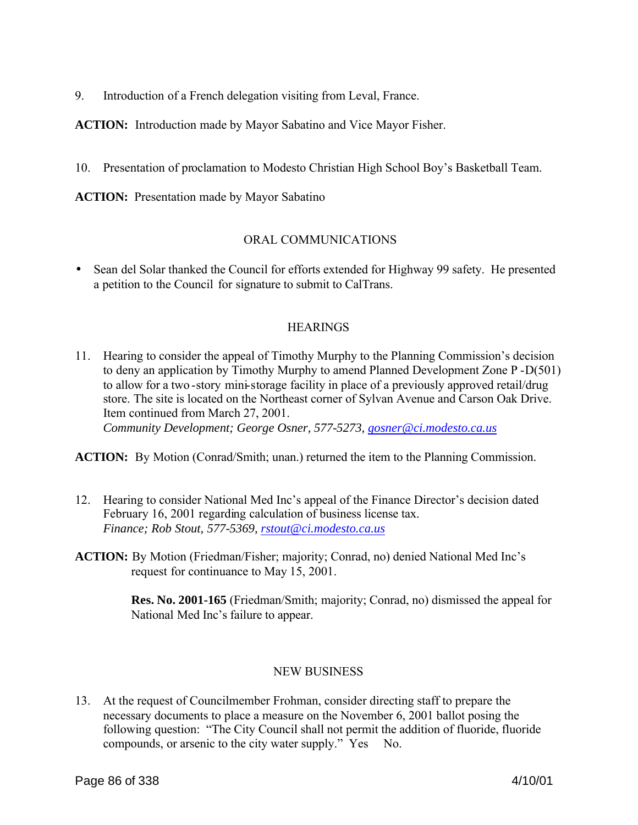9. Introduction of a French delegation visiting from Leval, France.

**ACTION:** Introduction made by Mayor Sabatino and Vice Mayor Fisher.

10. Presentation of proclamation to Modesto Christian High School Boy's Basketball Team.

**ACTION:** Presentation made by Mayor Sabatino

#### ORAL COMMUNICATIONS

• Sean del Solar thanked the Council for efforts extended for Highway 99 safety. He presented a petition to the Council for signature to submit to CalTrans.

#### **HEARINGS**

11. Hearing to consider the appeal of Timothy Murphy to the Planning Commission's decision to deny an application by Timothy Murphy to amend Planned Development Zone P -D(501) to allow for a two -story mini-storage facility in place of a previously approved retail/drug store. The site is located on the Northeast corner of Sylvan Avenue and Carson Oak Drive. Item continued from March 27, 2001. *Community Development; George Osner, 577-5273, gosner@ci.modesto.ca.us* 

**ACTION:** By Motion (Conrad/Smith; unan.) returned the item to the Planning Commission.

- 12. Hearing to consider National Med Inc's appeal of the Finance Director's decision dated February 16, 2001 regarding calculation of business license tax. *Finance; Rob Stout, 577-5369, rstout@ci.modesto.ca.us*
- **ACTION:** By Motion (Friedman/Fisher; majority; Conrad, no) denied National Med Inc's request for continuance to May 15, 2001.

**Res. No. 2001-165** (Friedman/Smith; majority; Conrad, no) dismissed the appeal for National Med Inc's failure to appear.

#### NEW BUSINESS

13. At the request of Councilmember Frohman, consider directing staff to prepare the necessary documents to place a measure on the November 6, 2001 ballot posing the following question: "The City Council shall not permit the addition of fluoride, fluoride compounds, or arsenic to the city water supply." Yes No.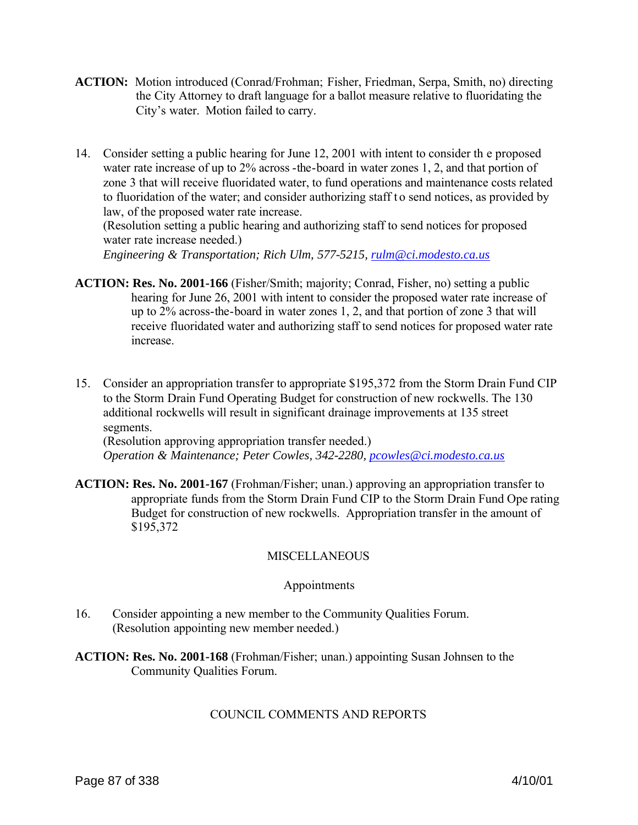- **ACTION:** Motion introduced (Conrad/Frohman; Fisher, Friedman, Serpa, Smith, no) directing the City Attorney to draft language for a ballot measure relative to fluoridating the City's water. Motion failed to carry.
- 14. Consider setting a public hearing for June 12, 2001 with intent to consider th e proposed water rate increase of up to 2% across -the-board in water zones 1, 2, and that portion of zone 3 that will receive fluoridated water, to fund operations and maintenance costs related to fluoridation of the water; and consider authorizing staff to send notices, as provided by law, of the proposed water rate increase.

(Resolution setting a public hearing and authorizing staff to send notices for proposed water rate increase needed.)

*Engineering & Transportation; Rich Ulm, 577-5215, rulm@ci.modesto.ca.us*

- **ACTION: Res. No. 2001-166** (Fisher/Smith; majority; Conrad, Fisher, no) setting a public hearing for June 26, 2001 with intent to consider the proposed water rate increase of up to 2% across-the-board in water zones 1, 2, and that portion of zone 3 that will receive fluoridated water and authorizing staff to send notices for proposed water rate increase.
- 15. Consider an appropriation transfer to appropriate \$195,372 from the Storm Drain Fund CIP to the Storm Drain Fund Operating Budget for construction of new rockwells. The 130 additional rockwells will result in significant drainage improvements at 135 street segments.

(Resolution approving appropriation transfer needed.) *Operation & Maintenance; Peter Cowles, 342-2280, pcowles@ci.modesto.ca.us*

**ACTION: Res. No. 2001-167** (Frohman/Fisher; unan.) approving an appropriation transfer to appropriate funds from the Storm Drain Fund CIP to the Storm Drain Fund Ope rating Budget for construction of new rockwells. Appropriation transfer in the amount of \$195,372

# **MISCELLANEOUS**

# Appointments

- 16. Consider appointing a new member to the Community Qualities Forum. (Resolution appointing new member needed.)
- **ACTION: Res. No. 2001-168** (Frohman/Fisher; unan.) appointing Susan Johnsen to the Community Qualities Forum.

# COUNCIL COMMENTS AND REPORTS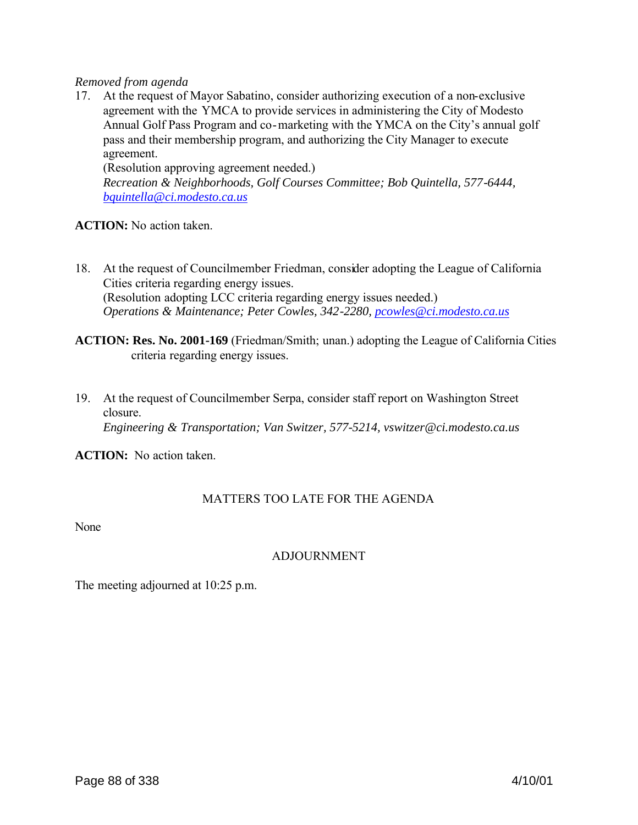#### *Removed from agenda*

17. At the request of Mayor Sabatino, consider authorizing execution of a non-exclusive agreement with the YMCA to provide services in administering the City of Modesto Annual Golf Pass Program and co-marketing with the YMCA on the City's annual golf pass and their membership program, and authorizing the City Manager to execute agreement.

(Resolution approving agreement needed.)

*Recreation & Neighborhoods, Golf Courses Committee; Bob Quintella, 577-6444, bquintella@ci.modesto.ca.us*

#### **ACTION:** No action taken.

- 18. At the request of Councilmember Friedman, consider adopting the League of California Cities criteria regarding energy issues. (Resolution adopting LCC criteria regarding energy issues needed.) *Operations & Maintenance; Peter Cowles, 342-2280, pcowles@ci.modesto.ca.us*
- **ACTION: Res. No. 2001-169** (Friedman/Smith; unan.) adopting the League of California Cities criteria regarding energy issues.
- 19. At the request of Councilmember Serpa, consider staff report on Washington Street closure. *Engineering & Transportation; Van Switzer, 577-5214, vswitzer@ci.modesto.ca.us*

**ACTION:** No action taken.

# MATTERS TOO LATE FOR THE AGENDA

None

# ADJOURNMENT

The meeting adjourned at 10:25 p.m.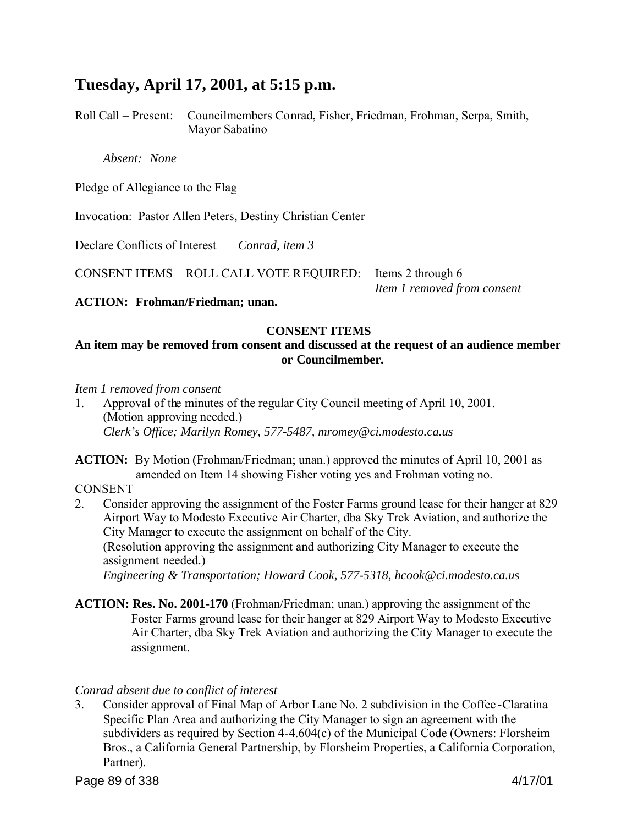# **Tuesday, April 17, 2001, at 5:15 p.m.**

Roll Call – Present: Councilmembers Conrad, Fisher, Friedman, Frohman, Serpa, Smith, Mayor Sabatino

*Absent: None*

Pledge of Allegiance to the Flag

Invocation: Pastor Allen Peters, Destiny Christian Center

Declare Conflicts of Interest *Conrad, item 3*

CONSENT ITEMS – ROLL CALL VOTE REQUIRED: Items 2 through 6

*Item 1 removed from consent*

**ACTION: Frohman/Friedman; unan.**

# **CONSENT ITEMS**

# **An item may be removed from consent and discussed at the request of an audience member or Councilmember.**

#### *Item 1 removed from consent*

1. Approval of the minutes of the regular City Council meeting of April 10, 2001. (Motion approving needed.) *Clerk's Office; Marilyn Romey, 577-5487, mromey@ci.modesto.ca.us*

**ACTION:** By Motion (Frohman/Friedman; unan.) approved the minutes of April 10, 2001 as amended on Item 14 showing Fisher voting yes and Frohman voting no.

**CONSENT** 

- 2. Consider approving the assignment of the Foster Farms ground lease for their hanger at 829 Airport Way to Modesto Executive Air Charter, dba Sky Trek Aviation, and authorize the City Manager to execute the assignment on behalf of the City. (Resolution approving the assignment and authorizing City Manager to execute the assignment needed.) *Engineering & Transportation; Howard Cook, 577-5318, hcook@ci.modesto.ca.us*
- **ACTION: Res. No. 2001-170** (Frohman/Friedman; unan.) approving the assignment of the Foster Farms ground lease for their hanger at 829 Airport Way to Modesto Executive Air Charter, dba Sky Trek Aviation and authorizing the City Manager to execute the assignment.

# *Conrad absent due to conflict of interest*

3. Consider approval of Final Map of Arbor Lane No. 2 subdivision in the Coffee -Claratina Specific Plan Area and authorizing the City Manager to sign an agreement with the subdividers as required by Section 4-4.604(c) of the Municipal Code (Owners: Florsheim Bros., a California General Partnership, by Florsheim Properties, a California Corporation, Partner).

Page 89 of 338 4/17/01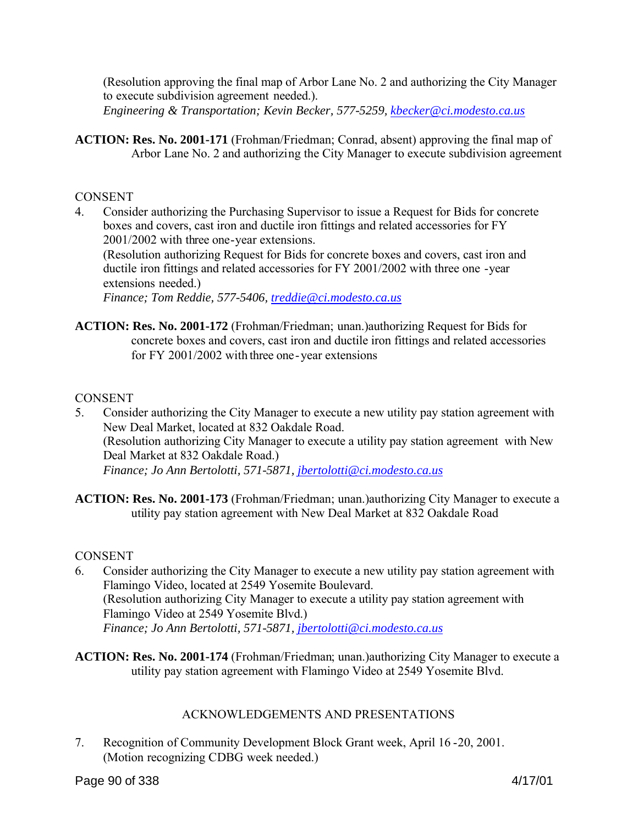(Resolution approving the final map of Arbor Lane No. 2 and authorizing the City Manager to execute subdivision agreement needed.).

*Engineering & Transportation; Kevin Becker, 577-5259, kbecker@ci.modesto.ca.us*

**ACTION: Res. No. 2001-171** (Frohman/Friedman; Conrad, absent) approving the final map of Arbor Lane No. 2 and authorizing the City Manager to execute subdivision agreement

## **CONSENT**

4. Consider authorizing the Purchasing Supervisor to issue a Request for Bids for concrete boxes and covers, cast iron and ductile iron fittings and related accessories for FY 2001/2002 with three one-year extensions.

(Resolution authorizing Request for Bids for concrete boxes and covers, cast iron and ductile iron fittings and related accessories for FY 2001/2002 with three one -year extensions needed.)

*Finance; Tom Reddie, 577-5406, treddie@ci.modesto.ca.us*

**ACTION: Res. No. 2001-172** (Frohman/Friedman; unan.)authorizing Request for Bids for concrete boxes and covers, cast iron and ductile iron fittings and related accessories for FY 2001/2002 with three one-year extensions

## CONSENT

- 5. Consider authorizing the City Manager to execute a new utility pay station agreement with New Deal Market, located at 832 Oakdale Road. (Resolution authorizing City Manager to execute a utility pay station agreement with New Deal Market at 832 Oakdale Road.)  *Finance; Jo Ann Bertolotti, 571-5871, jbertolotti@ci.modesto.ca.us*
- **ACTION: Res. No. 2001-173** (Frohman/Friedman; unan.)authorizing City Manager to execute a utility pay station agreement with New Deal Market at 832 Oakdale Road

#### **CONSENT**

- 6. Consider authorizing the City Manager to execute a new utility pay station agreement with Flamingo Video, located at 2549 Yosemite Boulevard. (Resolution authorizing City Manager to execute a utility pay station agreement with Flamingo Video at 2549 Yosemite Blvd.)  *Finance; Jo Ann Bertolotti, 571-5871, jbertolotti@ci.modesto.ca.us*
- **ACTION: Res. No. 2001-174** (Frohman/Friedman; unan.)authorizing City Manager to execute a utility pay station agreement with Flamingo Video at 2549 Yosemite Blvd.

# ACKNOWLEDGEMENTS AND PRESENTATIONS

7. Recognition of Community Development Block Grant week, April 16 -20, 2001. (Motion recognizing CDBG week needed.)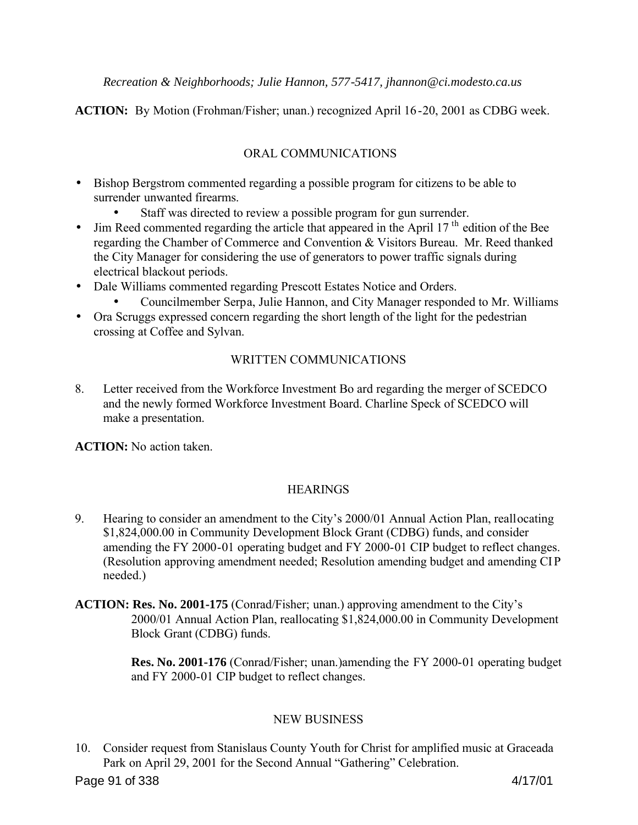*Recreation & Neighborhoods; Julie Hannon, 577-5417, jhannon@ci.modesto.ca.us*

**ACTION:** By Motion (Frohman/Fisher; unan.) recognized April 16-20, 2001 as CDBG week.

# ORAL COMMUNICATIONS

- Bishop Bergstrom commented regarding a possible program for citizens to be able to surrender unwanted firearms.
	- Staff was directed to review a possible program for gun surrender.
- Jim Reed commented regarding the article that appeared in the April  $17<sup>th</sup>$  edition of the Bee regarding the Chamber of Commerce and Convention & Visitors Bureau. Mr. Reed thanked the City Manager for considering the use of generators to power traffic signals during electrical blackout periods.
- Dale Williams commented regarding Prescott Estates Notice and Orders.
	- Councilmember Serpa, Julie Hannon, and City Manager responded to Mr. Williams
- Ora Scruggs expressed concern regarding the short length of the light for the pedestrian crossing at Coffee and Sylvan.

# WRITTEN COMMUNICATIONS

8. Letter received from the Workforce Investment Bo ard regarding the merger of SCEDCO and the newly formed Workforce Investment Board. Charline Speck of SCEDCO will make a presentation.

**ACTION:** No action taken.

# **HEARINGS**

- 9. Hearing to consider an amendment to the City's 2000/01 Annual Action Plan, reallocating \$1,824,000.00 in Community Development Block Grant (CDBG) funds, and consider amending the FY 2000-01 operating budget and FY 2000-01 CIP budget to reflect changes. (Resolution approving amendment needed; Resolution amending budget and amending CIP needed.)
- **ACTION: Res. No. 2001-175** (Conrad/Fisher; unan.) approving amendment to the City's 2000/01 Annual Action Plan, reallocating \$1,824,000.00 in Community Development Block Grant (CDBG) funds.

 **Res. No. 2001-176** (Conrad/Fisher; unan.)amending the FY 2000-01 operating budget and FY 2000-01 CIP budget to reflect changes.

# NEW BUSINESS

10. Consider request from Stanislaus County Youth for Christ for amplified music at Graceada Park on April 29, 2001 for the Second Annual "Gathering" Celebration.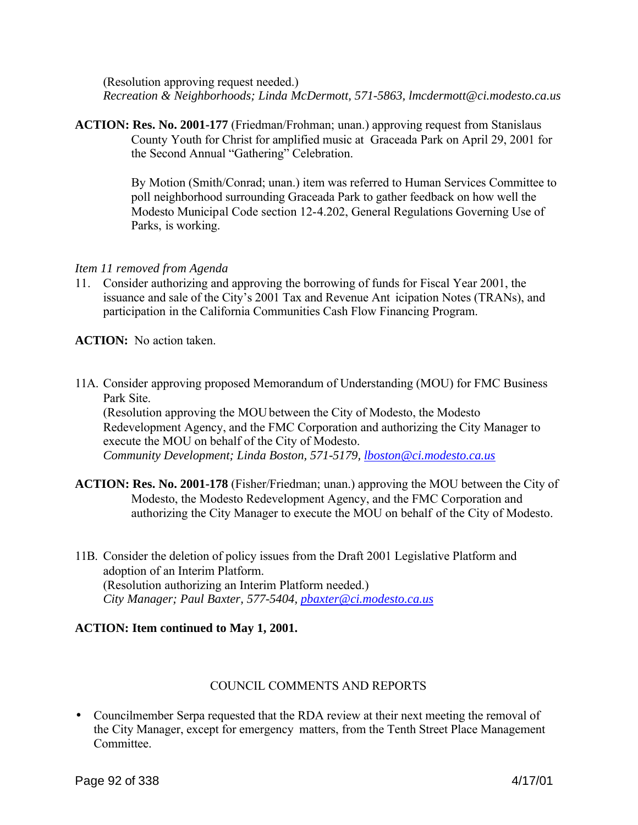(Resolution approving request needed.) *Recreation & Neighborhoods; Linda McDermott, 571-5863, lmcdermott@ci.modesto.ca.us*

**ACTION: Res. No. 2001-177** (Friedman/Frohman; unan.) approving request from Stanislaus County Youth for Christ for amplified music at Graceada Park on April 29, 2001 for the Second Annual "Gathering" Celebration.

> By Motion (Smith/Conrad; unan.) item was referred to Human Services Committee to poll neighborhood surrounding Graceada Park to gather feedback on how well the Modesto Municipal Code section 12-4.202, General Regulations Governing Use of Parks, is working.

## *Item 11 removed from Agenda*

11. Consider authorizing and approving the borrowing of funds for Fiscal Year 2001, the issuance and sale of the City's 2001 Tax and Revenue Ant icipation Notes (TRANs), and participation in the California Communities Cash Flow Financing Program.

**ACTION:** No action taken.

11A. Consider approving proposed Memorandum of Understanding (MOU) for FMC Business Park Site.

(Resolution approving the MOU between the City of Modesto, the Modesto Redevelopment Agency, and the FMC Corporation and authorizing the City Manager to execute the MOU on behalf of the City of Modesto. *Community Development; Linda Boston, 571-5179, lboston@ci.modesto.ca.us*

- **ACTION: Res. No. 2001-178** (Fisher/Friedman; unan.) approving the MOU between the City of Modesto, the Modesto Redevelopment Agency, and the FMC Corporation and authorizing the City Manager to execute the MOU on behalf of the City of Modesto.
- 11B. Consider the deletion of policy issues from the Draft 2001 Legislative Platform and adoption of an Interim Platform. (Resolution authorizing an Interim Platform needed.) *City Manager; Paul Baxter, 577-5404, pbaxter@ci.modesto.ca.us*

# **ACTION: Item continued to May 1, 2001.**

#### COUNCIL COMMENTS AND REPORTS

• Councilmember Serpa requested that the RDA review at their next meeting the removal of the City Manager, except for emergency matters, from the Tenth Street Place Management **Committee**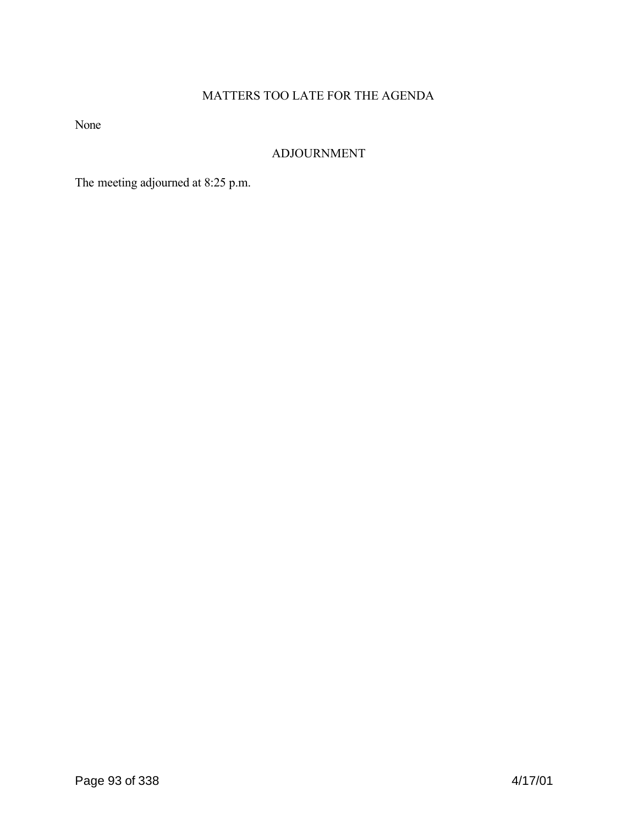# MATTERS TOO LATE FOR THE AGENDA

None

# ADJOURNMENT

The meeting adjourned at 8:25 p.m.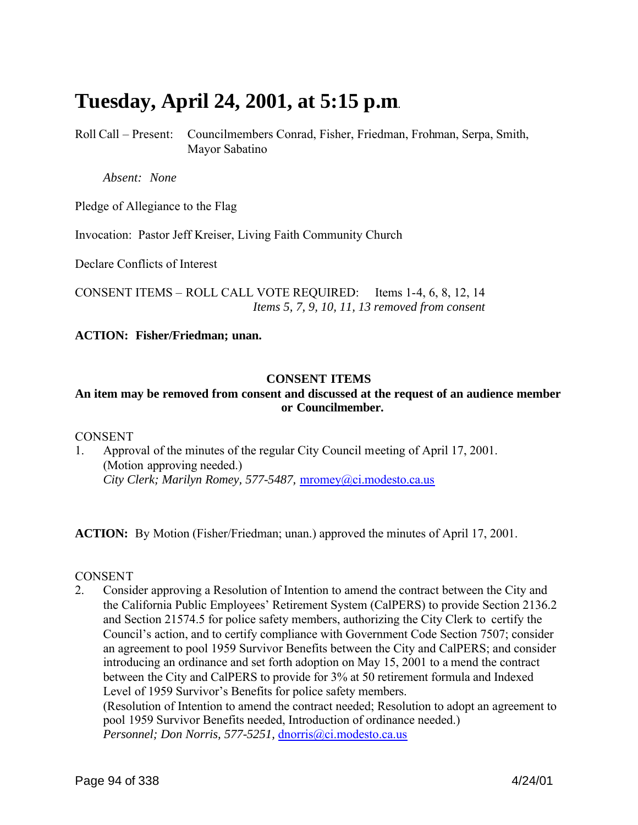# **Tuesday, April 24, 2001, at 5:15 p.m**.

Roll Call – Present: Councilmembers Conrad, Fisher, Friedman, Frohman, Serpa, Smith, Mayor Sabatino

*Absent: None*

Pledge of Allegiance to the Flag

Invocation: Pastor Jeff Kreiser, Living Faith Community Church

Declare Conflicts of Interest

CONSENT ITEMS – ROLL CALL VOTE REQUIRED: Items 1-4, 6, 8, 12, 14 *Items 5, 7, 9, 10, 11, 13 removed from consent*

**ACTION: Fisher/Friedman; unan.**

#### **CONSENT ITEMS**

#### **An item may be removed from consent and discussed at the request of an audience member or Councilmember.**

#### **CONSENT**

1. Approval of the minutes of the regular City Council meeting of April 17, 2001. (Motion approving needed.) *City Clerk; Marilyn Romey, 577-5487,* mromey@ci.modesto.ca.us

**ACTION:** By Motion (Fisher/Friedman; unan.) approved the minutes of April 17, 2001.

#### **CONSENT**

2. Consider approving a Resolution of Intention to amend the contract between the City and the California Public Employees' Retirement System (CalPERS) to provide Section 2136.2 and Section 21574.5 for police safety members, authorizing the City Clerk to certify the Council's action, and to certify compliance with Government Code Section 7507; consider an agreement to pool 1959 Survivor Benefits between the City and CalPERS; and consider introducing an ordinance and set forth adoption on May 15, 2001 to a mend the contract between the City and CalPERS to provide for 3% at 50 retirement formula and Indexed Level of 1959 Survivor's Benefits for police safety members. (Resolution of Intention to amend the contract needed; Resolution to adopt an agreement to pool 1959 Survivor Benefits needed, Introduction of ordinance needed.)

*Personnel; Don Norris, 577-5251,* dnorris@ci.modesto.ca.us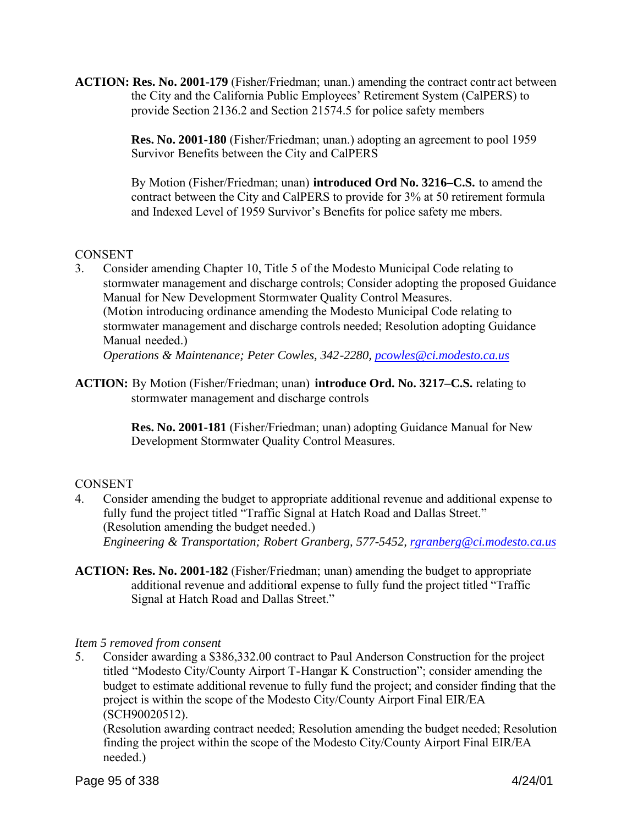**ACTION: Res. No. 2001-179** (Fisher/Friedman; unan.) amending the contract contr act between the City and the California Public Employees' Retirement System (CalPERS) to provide Section 2136.2 and Section 21574.5 for police safety members

> **Res. No. 2001-180** (Fisher/Friedman; unan.) adopting an agreement to pool 1959 Survivor Benefits between the City and CalPERS

By Motion (Fisher/Friedman; unan) **introduced Ord No. 3216–C.S.** to amend the contract between the City and CalPERS to provide for 3% at 50 retirement formula and Indexed Level of 1959 Survivor's Benefits for police safety me mbers.

## **CONSENT**

3. Consider amending Chapter 10, Title 5 of the Modesto Municipal Code relating to stormwater management and discharge controls; Consider adopting the proposed Guidance Manual for New Development Stormwater Quality Control Measures. (Motion introducing ordinance amending the Modesto Municipal Code relating to stormwater management and discharge controls needed; Resolution adopting Guidance Manual needed.)

*Operations & Maintenance; Peter Cowles, 342-2280, pcowles@ci.modesto.ca.us*

**ACTION:** By Motion (Fisher/Friedman; unan) **introduce Ord. No. 3217–C.S.** relating to stormwater management and discharge controls

> **Res. No. 2001-181** (Fisher/Friedman; unan) adopting Guidance Manual for New Development Stormwater Quality Control Measures.

# **CONSENT**

- 4. Consider amending the budget to appropriate additional revenue and additional expense to fully fund the project titled "Traffic Signal at Hatch Road and Dallas Street." (Resolution amending the budget needed.) *Engineering & Transportation; Robert Granberg, 577-5452, rgranberg@ci.modesto.ca.us*
- **ACTION: Res. No. 2001-182** (Fisher/Friedman; unan) amending the budget to appropriate additional revenue and additional expense to fully fund the project titled "Traffic Signal at Hatch Road and Dallas Street."

# *Item 5 removed from consent*

5. Consider awarding a \$386,332.00 contract to Paul Anderson Construction for the project titled "Modesto City/County Airport T-Hangar K Construction"; consider amending the budget to estimate additional revenue to fully fund the project; and consider finding that the project is within the scope of the Modesto City/County Airport Final EIR/EA (SCH90020512).

(Resolution awarding contract needed; Resolution amending the budget needed; Resolution finding the project within the scope of the Modesto City/County Airport Final EIR/EA needed.)

Page 95 of 338 4/24/01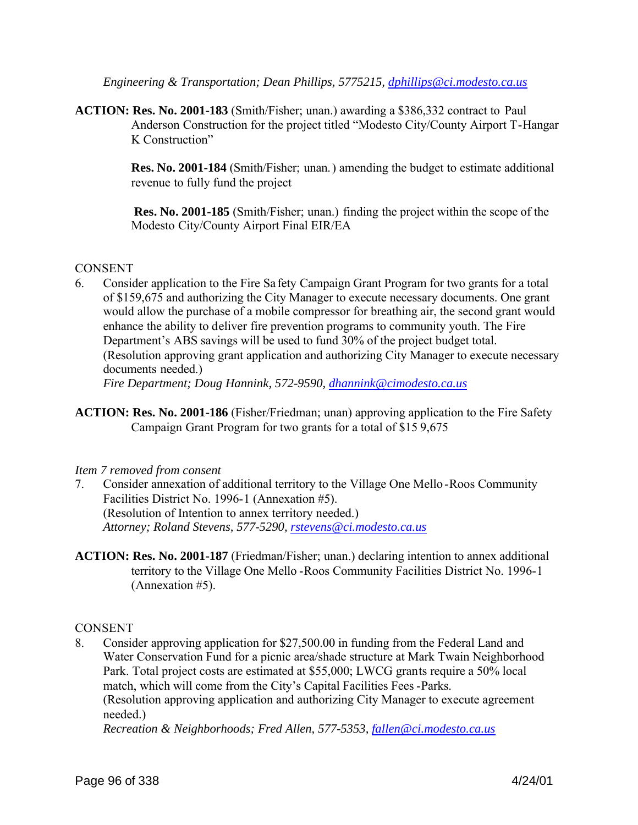*Engineering & Transportation; Dean Phillips, 5775215, dphillips@ci.modesto.ca.us*

**ACTION: Res. No. 2001-183** (Smith/Fisher; unan.) awarding a \$386,332 contract to Paul Anderson Construction for the project titled "Modesto City/County Airport T-Hangar K Construction"

> **Res. No. 2001-184** (Smith/Fisher; unan.) amending the budget to estimate additional revenue to fully fund the project

 **Res. No. 2001-185** (Smith/Fisher; unan.) finding the project within the scope of the Modesto City/County Airport Final EIR/EA

# **CONSENT**

6. Consider application to the Fire Sa fety Campaign Grant Program for two grants for a total of \$159,675 and authorizing the City Manager to execute necessary documents. One grant would allow the purchase of a mobile compressor for breathing air, the second grant would enhance the ability to deliver fire prevention programs to community youth. The Fire Department's ABS savings will be used to fund 30% of the project budget total. (Resolution approving grant application and authorizing City Manager to execute necessary documents needed.)

*Fire Department; Doug Hannink, 572-9590, dhannink@cimodesto.ca.us*

**ACTION: Res. No. 2001-186** (Fisher/Friedman; unan) approving application to the Fire Safety Campaign Grant Program for two grants for a total of \$15 9,675

#### *Item 7 removed from consent*

- 7. Consider annexation of additional territory to the Village One Mello -Roos Community Facilities District No. 1996-1 (Annexation #5). (Resolution of Intention to annex territory needed.) *Attorney; Roland Stevens, 577-5290, rstevens@ci.modesto.ca.us*
- **ACTION: Res. No. 2001-187** (Friedman/Fisher; unan.) declaring intention to annex additional territory to the Village One Mello -Roos Community Facilities District No. 1996-1 (Annexation #5).

**CONSENT** 

8. Consider approving application for \$27,500.00 in funding from the Federal Land and Water Conservation Fund for a picnic area/shade structure at Mark Twain Neighborhood Park. Total project costs are estimated at \$55,000; LWCG grants require a 50% local match, which will come from the City's Capital Facilities Fees -Parks. (Resolution approving application and authorizing City Manager to execute agreement needed.)

*Recreation & Neighborhoods; Fred Allen, 577-5353, fallen@ci.modesto.ca.us*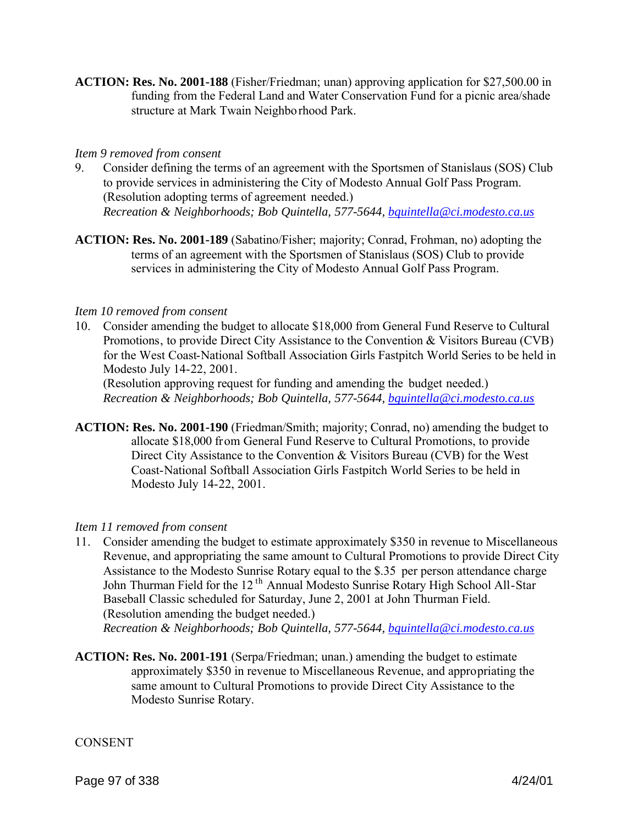**ACTION: Res. No. 2001-188** (Fisher/Friedman; unan) approving application for \$27,500.00 in funding from the Federal Land and Water Conservation Fund for a picnic area/shade structure at Mark Twain Neighborhood Park.

#### *Item 9 removed from consent*

- 9. Consider defining the terms of an agreement with the Sportsmen of Stanislaus (SOS) Club to provide services in administering the City of Modesto Annual Golf Pass Program. (Resolution adopting terms of agreement needed.) *Recreation & Neighborhoods; Bob Quintella, 577-5644, bquintella@ci.modesto.ca.us*
- **ACTION: Res. No. 2001-189** (Sabatino/Fisher; majority; Conrad, Frohman, no) adopting the terms of an agreement with the Sportsmen of Stanislaus (SOS) Club to provide services in administering the City of Modesto Annual Golf Pass Program.

#### *Item 10 removed from consent*

10. Consider amending the budget to allocate \$18,000 from General Fund Reserve to Cultural Promotions, to provide Direct City Assistance to the Convention & Visitors Bureau (CVB) for the West Coast-National Softball Association Girls Fastpitch World Series to be held in Modesto July 14-22, 2001.

(Resolution approving request for funding and amending the budget needed.) *Recreation & Neighborhoods; Bob Quintella, 577-5644, bquintella@ci.modesto.ca.us*

**ACTION: Res. No. 2001-190** (Friedman/Smith; majority; Conrad, no) amending the budget to allocate \$18,000 from General Fund Reserve to Cultural Promotions, to provide Direct City Assistance to the Convention & Visitors Bureau (CVB) for the West Coast-National Softball Association Girls Fastpitch World Series to be held in Modesto July 14-22, 2001.

#### *Item 11 removed from consent*

11. Consider amending the budget to estimate approximately \$350 in revenue to Miscellaneous Revenue, and appropriating the same amount to Cultural Promotions to provide Direct City Assistance to the Modesto Sunrise Rotary equal to the \$.35 per person attendance charge John Thurman Field for the 12<sup>th</sup> Annual Modesto Sunrise Rotary High School All-Star Baseball Classic scheduled for Saturday, June 2, 2001 at John Thurman Field. (Resolution amending the budget needed.)

*Recreation & Neighborhoods; Bob Quintella, 577-5644, bquintella@ci.modesto.ca.us*

**ACTION: Res. No. 2001-191** (Serpa/Friedman; unan.) amending the budget to estimate approximately \$350 in revenue to Miscellaneous Revenue, and appropriating the same amount to Cultural Promotions to provide Direct City Assistance to the Modesto Sunrise Rotary.

#### **CONSENT**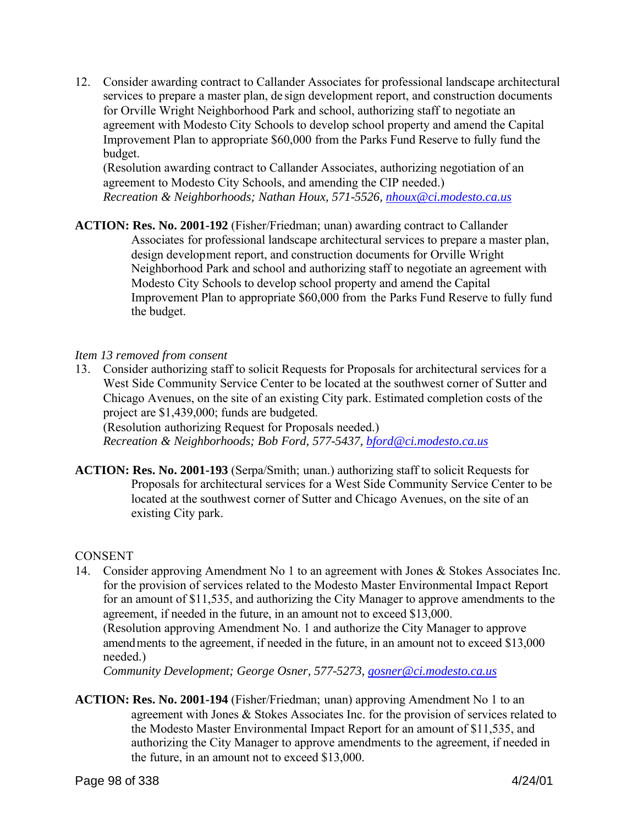12. Consider awarding contract to Callander Associates for professional landscape architectural services to prepare a master plan, de sign development report, and construction documents for Orville Wright Neighborhood Park and school, authorizing staff to negotiate an agreement with Modesto City Schools to develop school property and amend the Capital Improvement Plan to appropriate \$60,000 from the Parks Fund Reserve to fully fund the budget.

(Resolution awarding contract to Callander Associates, authorizing negotiation of an agreement to Modesto City Schools, and amending the CIP needed.) *Recreation & Neighborhoods; Nathan Houx, 571-5526, nhoux@ci.modesto.ca.us*

**ACTION: Res. No. 2001-192** (Fisher/Friedman; unan) awarding contract to Callander Associates for professional landscape architectural services to prepare a master plan, design development report, and construction documents for Orville Wright Neighborhood Park and school and authorizing staff to negotiate an agreement with Modesto City Schools to develop school property and amend the Capital Improvement Plan to appropriate \$60,000 from the Parks Fund Reserve to fully fund the budget.

#### *Item 13 removed from consent*

13. Consider authorizing staff to solicit Requests for Proposals for architectural services for a West Side Community Service Center to be located at the southwest corner of Sutter and Chicago Avenues, on the site of an existing City park. Estimated completion costs of the project are \$1,439,000; funds are budgeted.

(Resolution authorizing Request for Proposals needed.) *Recreation & Neighborhoods; Bob Ford, 577-5437, bford@ci.modesto.ca.us*

**ACTION: Res. No. 2001-193** (Serpa/Smith; unan.) authorizing staff to solicit Requests for Proposals for architectural services for a West Side Community Service Center to be located at the southwest corner of Sutter and Chicago Avenues, on the site of an existing City park.

# **CONSENT**

14. Consider approving Amendment No 1 to an agreement with Jones & Stokes Associates Inc. for the provision of services related to the Modesto Master Environmental Impact Report for an amount of \$11,535, and authorizing the City Manager to approve amendments to the agreement, if needed in the future, in an amount not to exceed \$13,000. (Resolution approving Amendment No. 1 and authorize the City Manager to approve amendments to the agreement, if needed in the future, in an amount not to exceed \$13,000 needed.)

*Community Development; George Osner, 577-5273, gosner@ci.modesto.ca.us*

**ACTION: Res. No. 2001-194** (Fisher/Friedman; unan) approving Amendment No 1 to an agreement with Jones & Stokes Associates Inc. for the provision of services related to the Modesto Master Environmental Impact Report for an amount of \$11,535, and authorizing the City Manager to approve amendments to the agreement, if needed in the future, in an amount not to exceed \$13,000.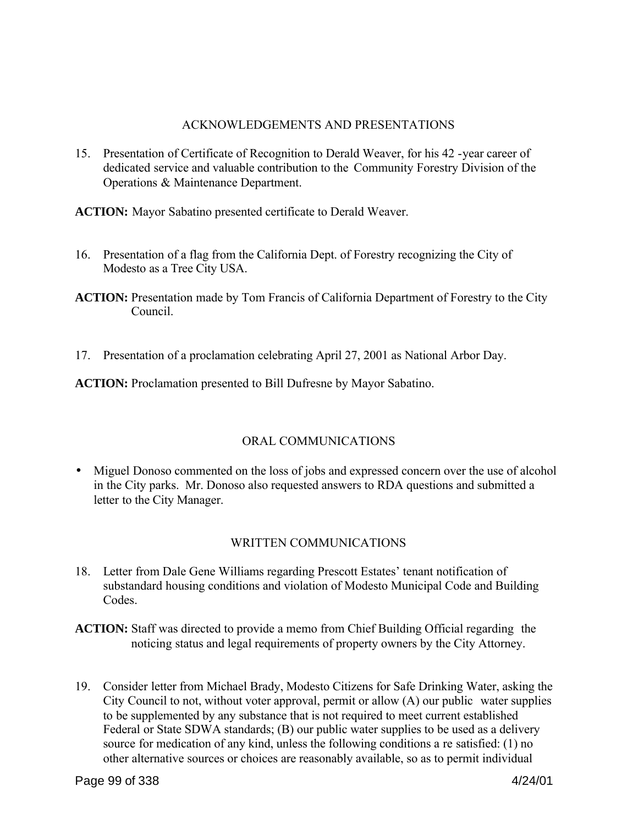## ACKNOWLEDGEMENTS AND PRESENTATIONS

15. Presentation of Certificate of Recognition to Derald Weaver, for his 42 -year career of dedicated service and valuable contribution to the Community Forestry Division of the Operations & Maintenance Department.

**ACTION:** Mayor Sabatino presented certificate to Derald Weaver.

- 16. Presentation of a flag from the California Dept. of Forestry recognizing the City of Modesto as a Tree City USA.
- **ACTION:** Presentation made by Tom Francis of California Department of Forestry to the City Council.
- 17. Presentation of a proclamation celebrating April 27, 2001 as National Arbor Day.

ACTION: Proclamation presented to Bill Dufresne by Mayor Sabatino.

# ORAL COMMUNICATIONS

• Miguel Donoso commented on the loss of jobs and expressed concern over the use of alcohol in the City parks. Mr. Donoso also requested answers to RDA questions and submitted a letter to the City Manager.

# WRITTEN COMMUNICATIONS

- 18. Letter from Dale Gene Williams regarding Prescott Estates' tenant notification of substandard housing conditions and violation of Modesto Municipal Code and Building Codes.
- **ACTION:** Staff was directed to provide a memo from Chief Building Official regarding the noticing status and legal requirements of property owners by the City Attorney.
- 19. Consider letter from Michael Brady, Modesto Citizens for Safe Drinking Water, asking the City Council to not, without voter approval, permit or allow (A) our public water supplies to be supplemented by any substance that is not required to meet current established Federal or State SDWA standards; (B) our public water supplies to be used as a delivery source for medication of any kind, unless the following conditions a re satisfied: (1) no other alternative sources or choices are reasonably available, so as to permit individual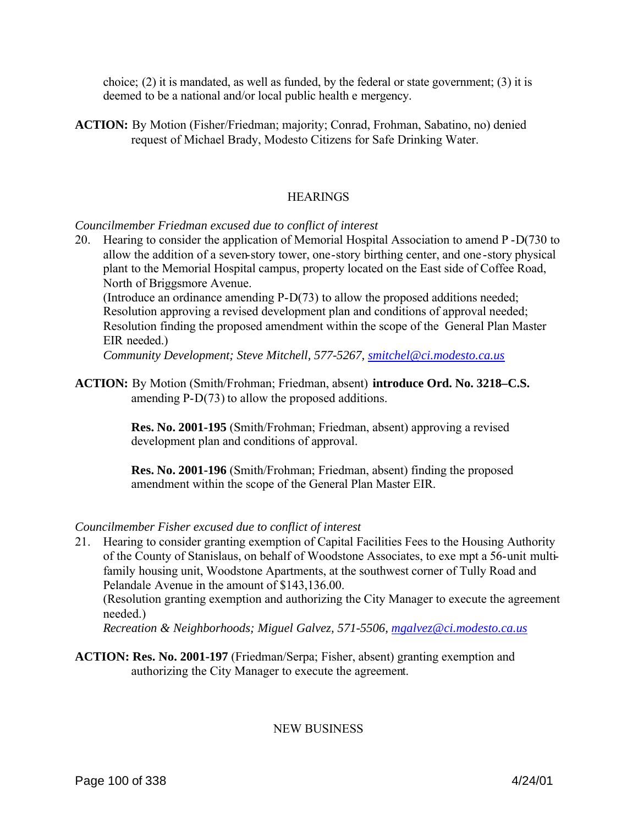choice; (2) it is mandated, as well as funded, by the federal or state government; (3) it is deemed to be a national and/or local public health e mergency.

**ACTION:** By Motion (Fisher/Friedman; majority; Conrad, Frohman, Sabatino, no) denied request of Michael Brady, Modesto Citizens for Safe Drinking Water.

## **HEARINGS**

*Councilmember Friedman excused due to conflict of interest* 

20. Hearing to consider the application of Memorial Hospital Association to amend P -D(730 to allow the addition of a seven-story tower, one-story birthing center, and one -story physical plant to the Memorial Hospital campus, property located on the East side of Coffee Road, North of Briggsmore Avenue.

(Introduce an ordinance amending P-D(73) to allow the proposed additions needed; Resolution approving a revised development plan and conditions of approval needed; Resolution finding the proposed amendment within the scope of the General Plan Master EIR needed.)

*Community Development; Steve Mitchell, 577-5267, smitchel@ci.modesto.ca.us*

**ACTION:** By Motion (Smith/Frohman; Friedman, absent) **introduce Ord. No. 3218–C.S.** amending P-D(73) to allow the proposed additions.

> **Res. No. 2001-195** (Smith/Frohman; Friedman, absent) approving a revised development plan and conditions of approval.

> **Res. No. 2001-196** (Smith/Frohman; Friedman, absent) finding the proposed amendment within the scope of the General Plan Master EIR.

#### *Councilmember Fisher excused due to conflict of interest*

21. Hearing to consider granting exemption of Capital Facilities Fees to the Housing Authority of the County of Stanislaus, on behalf of Woodstone Associates, to exe mpt a 56-unit multifamily housing unit, Woodstone Apartments, at the southwest corner of Tully Road and Pelandale Avenue in the amount of \$143,136.00.

(Resolution granting exemption and authorizing the City Manager to execute the agreement needed.)

*Recreation & Neighborhoods; Miguel Galvez, 571-5506, mgalvez@ci.modesto.ca.us*

**ACTION: Res. No. 2001-197** (Friedman/Serpa; Fisher, absent) granting exemption and authorizing the City Manager to execute the agreement.

NEW BUSINESS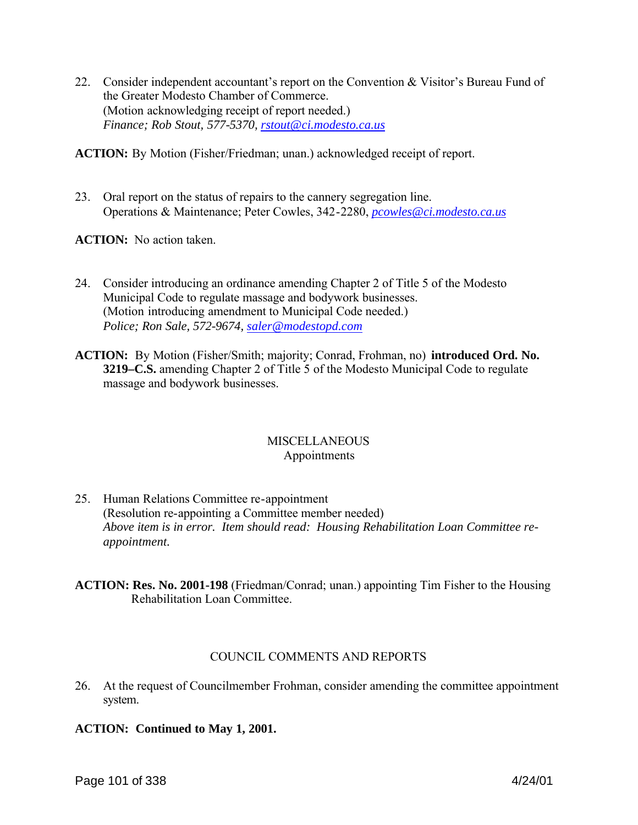22. Consider independent accountant's report on the Convention & Visitor's Bureau Fund of the Greater Modesto Chamber of Commerce. (Motion acknowledging receipt of report needed.) *Finance; Rob Stout, 577-5370, rstout@ci.modesto.ca.us*

**ACTION:** By Motion (Fisher/Friedman; unan.) acknowledged receipt of report.

23. Oral report on the status of repairs to the cannery segregation line. Operations & Maintenance; Peter Cowles, 342-2280, *pcowles@ci.modesto.ca.us*

**ACTION:** No action taken.

- 24. Consider introducing an ordinance amending Chapter 2 of Title 5 of the Modesto Municipal Code to regulate massage and bodywork businesses. (Motion introducing amendment to Municipal Code needed.) *Police; Ron Sale, 572-9674, saler@modestopd.com*
- **ACTION:** By Motion (Fisher/Smith; majority; Conrad, Frohman, no) **introduced Ord. No. 3219–C.S.** amending Chapter 2 of Title 5 of the Modesto Municipal Code to regulate massage and bodywork businesses.

## **MISCELLANEOUS** Appointments

- 25. Human Relations Committee re-appointment (Resolution re-appointing a Committee member needed) *Above item is in error. Item should read: Housing Rehabilitation Loan Committee reappointment.*
- **ACTION: Res. No. 2001-198** (Friedman/Conrad; unan.) appointing Tim Fisher to the Housing Rehabilitation Loan Committee.

# COUNCIL COMMENTS AND REPORTS

- 26. At the request of Councilmember Frohman, consider amending the committee appointment system.
- **ACTION: Continued to May 1, 2001.**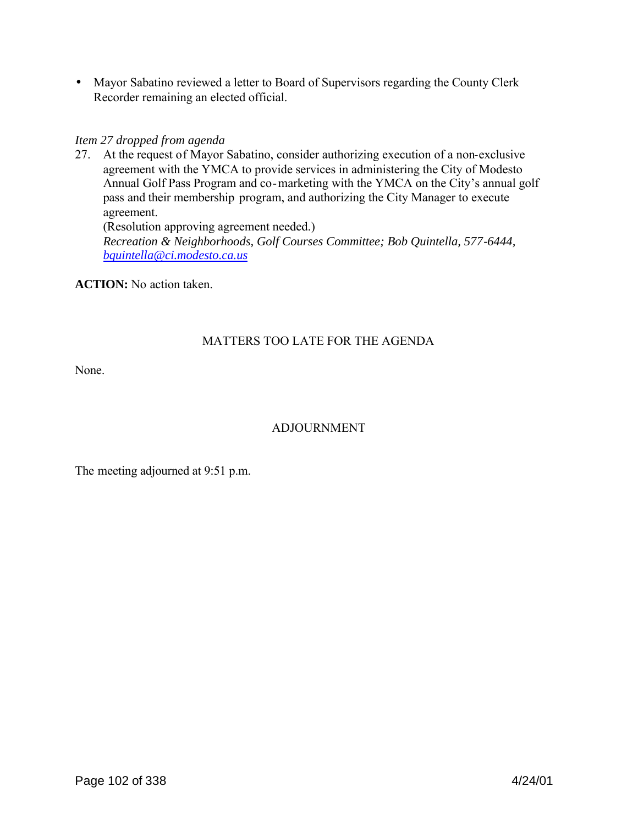• Mayor Sabatino reviewed a letter to Board of Supervisors regarding the County Clerk Recorder remaining an elected official.

# *Item 27 dropped from agenda*

27. At the request of Mayor Sabatino, consider authorizing execution of a non-exclusive agreement with the YMCA to provide services in administering the City of Modesto Annual Golf Pass Program and co-marketing with the YMCA on the City's annual golf pass and their membership program, and authorizing the City Manager to execute agreement. (Resolution approving agreement needed.)

*Recreation & Neighborhoods, Golf Courses Committee; Bob Quintella, 577-6444, bquintella@ci.modesto.ca.us*

**ACTION:** No action taken.

# MATTERS TOO LATE FOR THE AGENDA

None.

# ADJOURNMENT

The meeting adjourned at 9:51 p.m.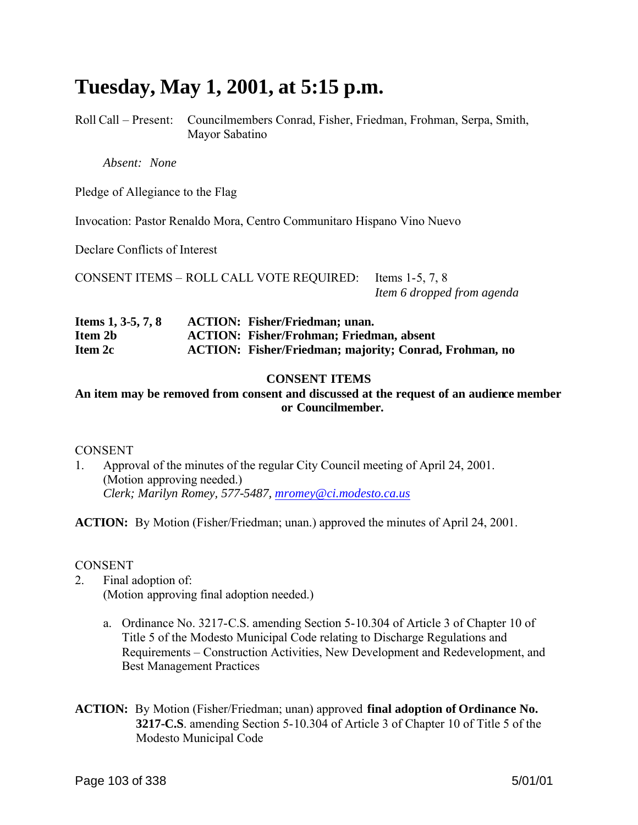# **Tuesday, May 1, 2001, at 5:15 p.m.**

Roll Call – Present: Councilmembers Conrad, Fisher, Friedman, Frohman, Serpa, Smith, Mayor Sabatino

*Absent: None*

Pledge of Allegiance to the Flag

Invocation: Pastor Renaldo Mora, Centro Communitaro Hispano Vino Nuevo

Declare Conflicts of Interest

CONSENT ITEMS – ROLL CALL VOTE REQUIRED: Items 1-5, 7, 8 *Item 6 dropped from agenda*

| Items 1, 3-5, 7, 8 | <b>ACTION: Fisher/Friedman; unan.</b>                         |
|--------------------|---------------------------------------------------------------|
| Item 2b            | <b>ACTION: Fisher/Frohman; Friedman, absent</b>               |
| Item 2c            | <b>ACTION:</b> Fisher/Friedman; majority; Conrad, Frohman, no |

## **CONSENT ITEMS**

**An item may be removed from consent and discussed at the request of an audience member or Councilmember.**

CONSENT

1. Approval of the minutes of the regular City Council meeting of April 24, 2001. (Motion approving needed.) *Clerk; Marilyn Romey, 577-5487, mromey@ci.modesto.ca.us*

**ACTION:** By Motion (Fisher/Friedman; unan.) approved the minutes of April 24, 2001.

#### CONSENT

- 2. Final adoption of: (Motion approving final adoption needed.)
	- a. Ordinance No. 3217-C.S. amending Section 5-10.304 of Article 3 of Chapter 10 of Title 5 of the Modesto Municipal Code relating to Discharge Regulations and Requirements – Construction Activities, New Development and Redevelopment, and Best Management Practices
- **ACTION:** By Motion (Fisher/Friedman; unan) approved **final adoption of Ordinance No. 3217-C.S**. amending Section 5-10.304 of Article 3 of Chapter 10 of Title 5 of the Modesto Municipal Code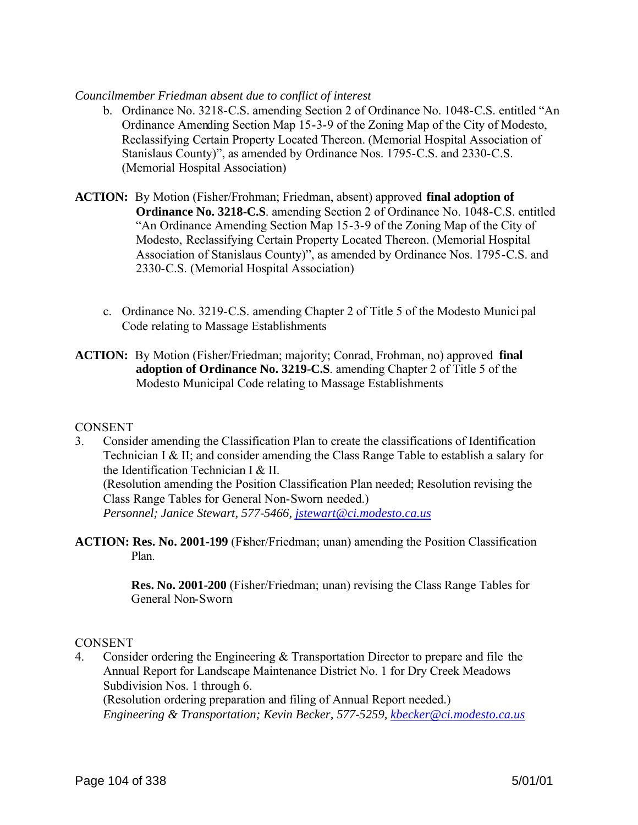#### *Councilmember Friedman absent due to conflict of interest*

- b. Ordinance No. 3218-C.S. amending Section 2 of Ordinance No. 1048-C.S. entitled "An Ordinance Amending Section Map 15-3-9 of the Zoning Map of the City of Modesto, Reclassifying Certain Property Located Thereon. (Memorial Hospital Association of Stanislaus County)", as amended by Ordinance Nos. 1795-C.S. and 2330-C.S. (Memorial Hospital Association)
- **ACTION:** By Motion (Fisher/Frohman; Friedman, absent) approved **final adoption of Ordinance No. 3218-C.S**. amending Section 2 of Ordinance No. 1048-C.S. entitled "An Ordinance Amending Section Map 15-3-9 of the Zoning Map of the City of Modesto, Reclassifying Certain Property Located Thereon. (Memorial Hospital Association of Stanislaus County)", as amended by Ordinance Nos. 1795-C.S. and 2330-C.S. (Memorial Hospital Association)
	- c. Ordinance No. 3219-C.S. amending Chapter 2 of Title 5 of the Modesto Munici pal Code relating to Massage Establishments
- **ACTION:** By Motion (Fisher/Friedman; majority; Conrad, Frohman, no) approved **final adoption of Ordinance No. 3219-C.S**. amending Chapter 2 of Title 5 of the Modesto Municipal Code relating to Massage Establishments

#### **CONSENT**

3. Consider amending the Classification Plan to create the classifications of Identification Technician I & II; and consider amending the Class Range Table to establish a salary for the Identification Technician I & II. (Resolution amending the Position Classification Plan needed; Resolution revising the Class Range Tables for General Non-Sworn needed.) *Personnel; Janice Stewart, 577-5466, jstewart@ci.modesto.ca.us*

**ACTION: Res. No. 2001-199** (Fisher/Friedman; unan) amending the Position Classification Plan.

> **Res. No. 2001-200** (Fisher/Friedman; unan) revising the Class Range Tables for General Non-Sworn

#### **CONSENT**

4. Consider ordering the Engineering & Transportation Director to prepare and file the Annual Report for Landscape Maintenance District No. 1 for Dry Creek Meadows Subdivision Nos. 1 through 6. (Resolution ordering preparation and filing of Annual Report needed.)

*Engineering & Transportation; Kevin Becker, 577-5259, kbecker@ci.modesto.ca.us*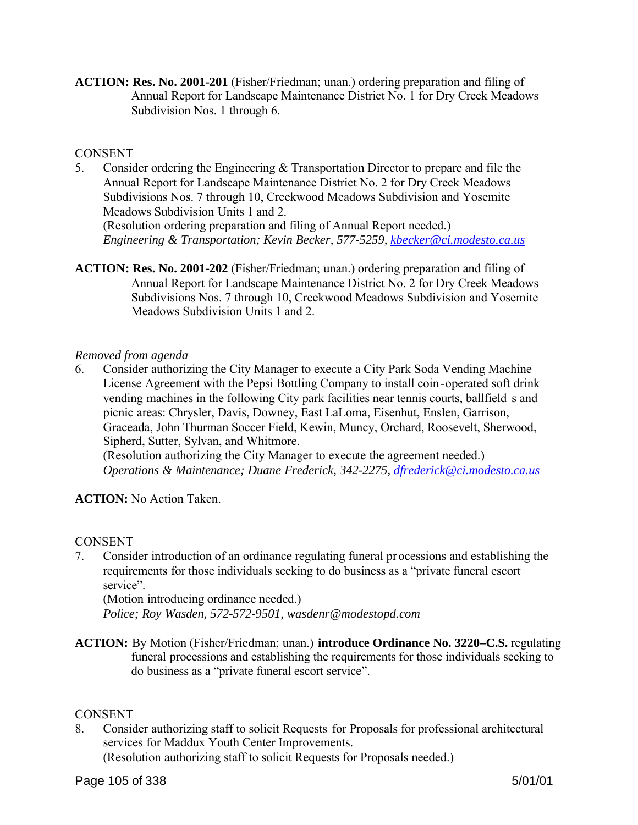**ACTION: Res. No. 2001-201** (Fisher/Friedman; unan.) ordering preparation and filing of Annual Report for Landscape Maintenance District No. 1 for Dry Creek Meadows Subdivision Nos. 1 through 6.

## **CONSENT**

5. Consider ordering the Engineering & Transportation Director to prepare and file the Annual Report for Landscape Maintenance District No. 2 for Dry Creek Meadows Subdivisions Nos. 7 through 10, Creekwood Meadows Subdivision and Yosemite Meadows Subdivision Units 1 and 2.

(Resolution ordering preparation and filing of Annual Report needed.) *Engineering & Transportation; Kevin Becker, 577-5259, kbecker@ci.modesto.ca.us*

**ACTION: Res. No. 2001-202** (Fisher/Friedman; unan.) ordering preparation and filing of Annual Report for Landscape Maintenance District No. 2 for Dry Creek Meadows Subdivisions Nos. 7 through 10, Creekwood Meadows Subdivision and Yosemite Meadows Subdivision Units 1 and 2.

#### *Removed from agenda*

6. Consider authorizing the City Manager to execute a City Park Soda Vending Machine License Agreement with the Pepsi Bottling Company to install coin -operated soft drink vending machines in the following City park facilities near tennis courts, ballfield s and picnic areas: Chrysler, Davis, Downey, East LaLoma, Eisenhut, Enslen, Garrison, Graceada, John Thurman Soccer Field, Kewin, Muncy, Orchard, Roosevelt, Sherwood, Sipherd, Sutter, Sylvan, and Whitmore.

(Resolution authorizing the City Manager to execute the agreement needed.) *Operations & Maintenance; Duane Frederick, 342-2275, dfrederick@ci.modesto.ca.us*

# **ACTION:** No Action Taken.

#### CONSENT

7. Consider introduction of an ordinance regulating funeral processions and establishing the requirements for those individuals seeking to do business as a "private funeral escort service".

(Motion introducing ordinance needed.) *Police; Roy Wasden, 572-572-9501, wasdenr@modestopd.com*

**ACTION:** By Motion (Fisher/Friedman; unan.) **introduce Ordinance No. 3220–C.S.** regulating funeral processions and establishing the requirements for those individuals seeking to do business as a "private funeral escort service".

#### **CONSENT**

8. Consider authorizing staff to solicit Requests for Proposals for professional architectural services for Maddux Youth Center Improvements.

(Resolution authorizing staff to solicit Requests for Proposals needed.)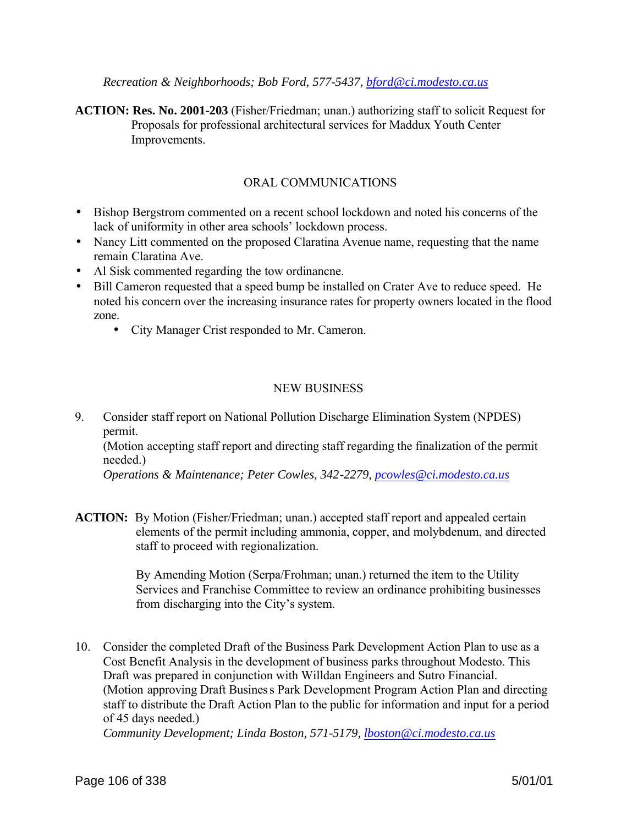*Recreation & Neighborhoods; Bob Ford, 577-5437, bford@ci.modesto.ca.us*

**ACTION: Res. No. 2001-203** (Fisher/Friedman; unan.) authorizing staff to solicit Request for Proposals for professional architectural services for Maddux Youth Center Improvements.

## ORAL COMMUNICATIONS

- Bishop Bergstrom commented on a recent school lockdown and noted his concerns of the lack of uniformity in other area schools' lockdown process.
- Nancy Litt commented on the proposed Claratina Avenue name, requesting that the name remain Claratina Ave.
- Al Sisk commented regarding the tow ordinancne.
- Bill Cameron requested that a speed bump be installed on Crater Ave to reduce speed. He noted his concern over the increasing insurance rates for property owners located in the flood zone.
	- City Manager Crist responded to Mr. Cameron.

#### NEW BUSINESS

9. Consider staff report on National Pollution Discharge Elimination System (NPDES) permit.

(Motion accepting staff report and directing staff regarding the finalization of the permit needed.)

*Operations & Maintenance; Peter Cowles, 342-2279, pcowles@ci.modesto.ca.us*

**ACTION:** By Motion (Fisher/Friedman; unan.) accepted staff report and appealed certain elements of the permit including ammonia, copper, and molybdenum, and directed staff to proceed with regionalization.

> By Amending Motion (Serpa/Frohman; unan.) returned the item to the Utility Services and Franchise Committee to review an ordinance prohibiting businesses from discharging into the City's system.

10. Consider the completed Draft of the Business Park Development Action Plan to use as a Cost Benefit Analysis in the development of business parks throughout Modesto. This Draft was prepared in conjunction with Willdan Engineers and Sutro Financial. (Motion approving Draft Business Park Development Program Action Plan and directing staff to distribute the Draft Action Plan to the public for information and input for a period of 45 days needed.)

*Community Development; Linda Boston, 571-5179, lboston@ci.modesto.ca.us*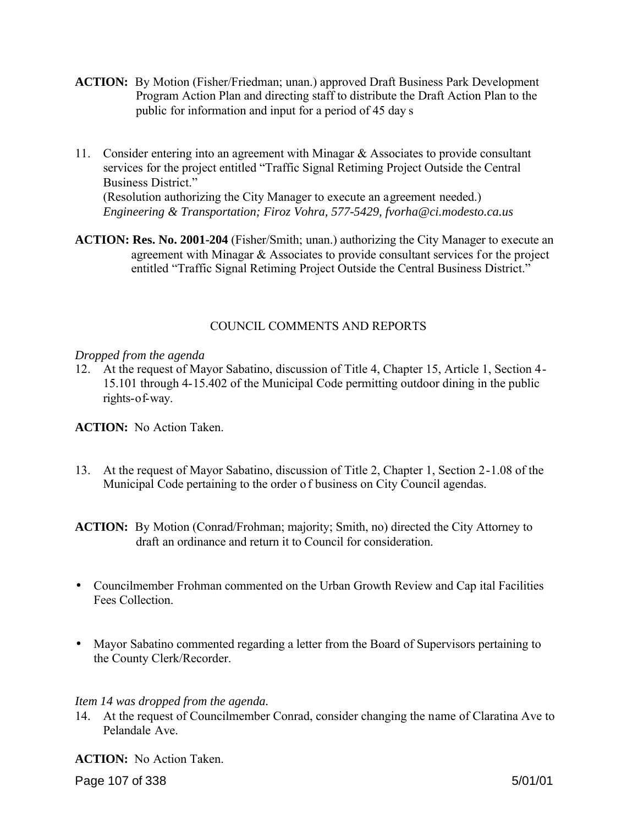- **ACTION:** By Motion (Fisher/Friedman; unan.) approved Draft Business Park Development Program Action Plan and directing staff to distribute the Draft Action Plan to the public for information and input for a period of 45 day s
- 11. Consider entering into an agreement with Minagar & Associates to provide consultant services for the project entitled "Traffic Signal Retiming Project Outside the Central Business District." (Resolution authorizing the City Manager to execute an agreement needed.) *Engineering & Transportation; Firoz Vohra, 577-5429, fvorha@ci.modesto.ca.us*
- **ACTION: Res. No. 2001-204** (Fisher/Smith; unan.) authorizing the City Manager to execute an agreement with Minagar & Associates to provide consultant services for the project entitled "Traffic Signal Retiming Project Outside the Central Business District."

# COUNCIL COMMENTS AND REPORTS

## *Dropped from the agenda*

12. At the request of Mayor Sabatino, discussion of Title 4, Chapter 15, Article 1, Section 4- 15.101 through 4-15.402 of the Municipal Code permitting outdoor dining in the public rights-of-way.

**ACTION:** No Action Taken.

13. At the request of Mayor Sabatino, discussion of Title 2, Chapter 1, Section 2-1.08 of the Municipal Code pertaining to the order o f business on City Council agendas.

**ACTION:** By Motion (Conrad/Frohman; majority; Smith, no) directed the City Attorney to draft an ordinance and return it to Council for consideration.

- Councilmember Frohman commented on the Urban Growth Review and Cap ital Facilities Fees Collection.
- Mayor Sabatino commented regarding a letter from the Board of Supervisors pertaining to the County Clerk/Recorder.

# *Item 14 was dropped from the agenda.*

14. At the request of Councilmember Conrad, consider changing the name of Claratina Ave to Pelandale Ave.

**ACTION:** No Action Taken.

Page 107 of 338 5/01/01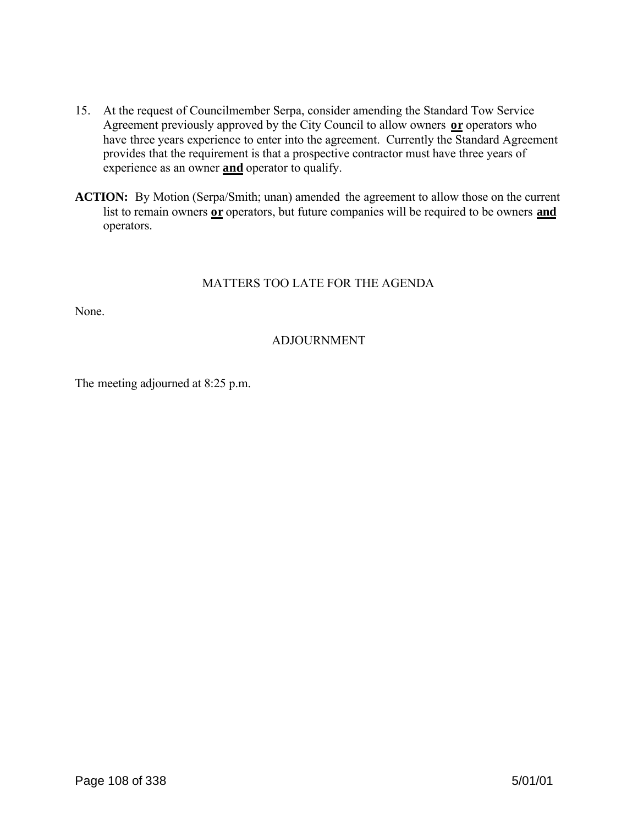- 15. At the request of Councilmember Serpa, consider amending the Standard Tow Service Agreement previously approved by the City Council to allow owners **or** operators who have three years experience to enter into the agreement. Currently the Standard Agreement provides that the requirement is that a prospective contractor must have three years of experience as an owner **and** operator to qualify.
- **ACTION:** By Motion (Serpa/Smith; unan) amended the agreement to allow those on the current list to remain owners **or** operators, but future companies will be required to be owners **and** operators.

# MATTERS TOO LATE FOR THE AGENDA

None.

# ADJOURNMENT

The meeting adjourned at 8:25 p.m.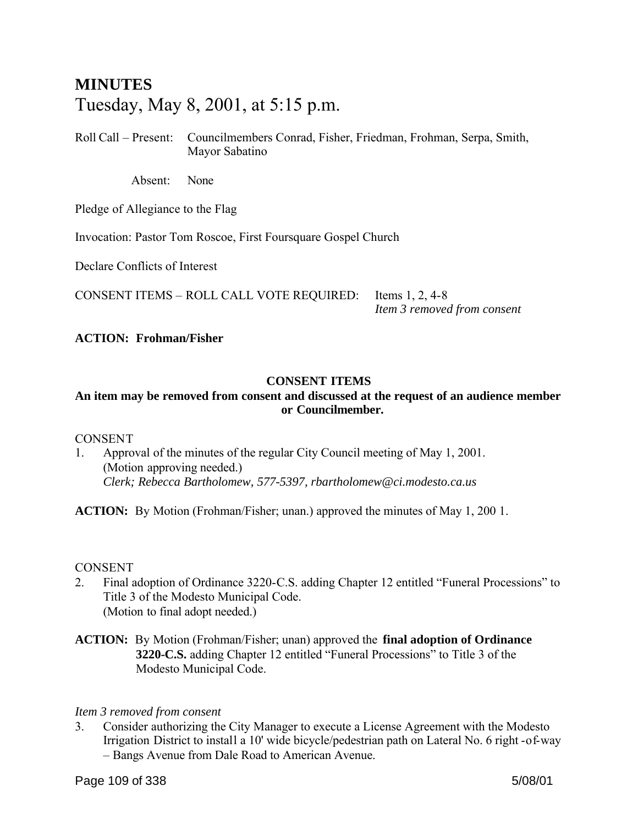# **MINUTES** Tuesday, May 8, 2001, at 5:15 p.m.

Roll Call – Present: Councilmembers Conrad, Fisher, Friedman, Frohman, Serpa, Smith, Mayor Sabatino

Absent: None

Pledge of Allegiance to the Flag

Invocation: Pastor Tom Roscoe, First Foursquare Gospel Church

Declare Conflicts of Interest

CONSENT ITEMS – ROLL CALL VOTE REQUIRED: Items 1, 2, 4-8

*Item 3 removed from consent*

# **ACTION: Frohman/Fisher**

# **CONSENT ITEMS**

# **An item may be removed from consent and discussed at the request of an audience member or Councilmember.**

### **CONSENT**

1. Approval of the minutes of the regular City Council meeting of May 1, 2001. (Motion approving needed.) *Clerk; Rebecca Bartholomew, 577-5397, rbartholomew@ci.modesto.ca.us*

**ACTION:** By Motion (Frohman/Fisher; unan.) approved the minutes of May 1, 200 1.

### CONSENT

- 2. Final adoption of Ordinance 3220-C.S. adding Chapter 12 entitled "Funeral Processions" to Title 3 of the Modesto Municipal Code. (Motion to final adopt needed.)
- **ACTION:** By Motion (Frohman/Fisher; unan) approved the **final adoption of Ordinance 3220-C.S.** adding Chapter 12 entitled "Funeral Processions" to Title 3 of the Modesto Municipal Code.

### *Item 3 removed from consent*

3. Consider authorizing the City Manager to execute a License Agreement with the Modesto Irrigation District to install a 10' wide bicycle/pedestrian path on Lateral No. 6 right -of-way – Bangs Avenue from Dale Road to American Avenue.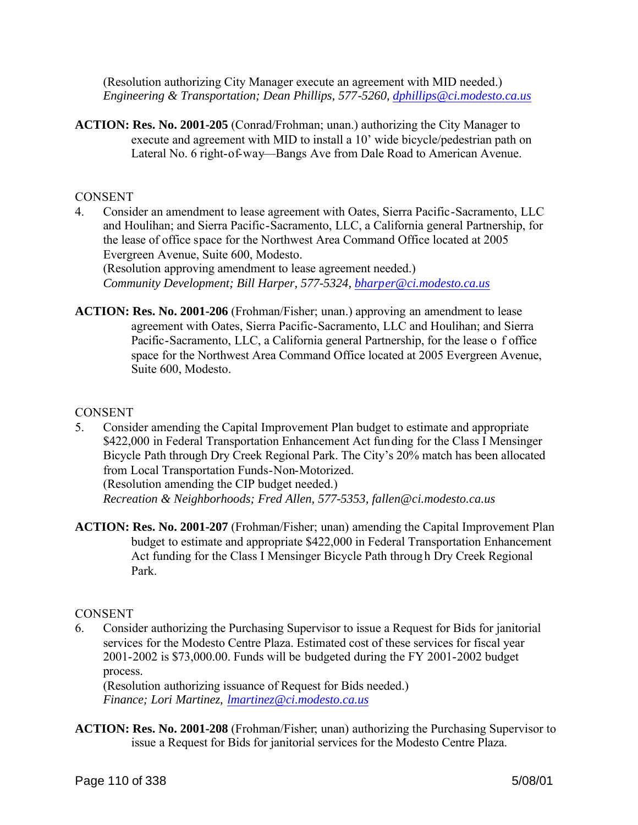(Resolution authorizing City Manager execute an agreement with MID needed.) *Engineering & Transportation; Dean Phillips, 577-5260, dphillips@ci.modesto.ca.us*

**ACTION: Res. No. 2001-205** (Conrad/Frohman; unan.) authorizing the City Manager to execute and agreement with MID to install a 10' wide bicycle/pedestrian path on Lateral No. 6 right-of-way—Bangs Ave from Dale Road to American Avenue.

### **CONSENT**

4. Consider an amendment to lease agreement with Oates, Sierra Pacific-Sacramento, LLC and Houlihan; and Sierra Pacific-Sacramento, LLC, a California general Partnership, for the lease of office space for the Northwest Area Command Office located at 2005 Evergreen Avenue, Suite 600, Modesto. (Resolution approving amendment to lease agreement needed.)

*Community Development; Bill Harper, 577-5324, bharper@ci.modesto.ca.us*

**ACTION: Res. No. 2001-206** (Frohman/Fisher; unan.) approving an amendment to lease agreement with Oates, Sierra Pacific-Sacramento, LLC and Houlihan; and Sierra Pacific-Sacramento, LLC, a California general Partnership, for the lease o f office space for the Northwest Area Command Office located at 2005 Evergreen Avenue, Suite 600, Modesto.

#### CONSENT

- 5. Consider amending the Capital Improvement Plan budget to estimate and appropriate \$422,000 in Federal Transportation Enhancement Act funding for the Class I Mensinger Bicycle Path through Dry Creek Regional Park. The City's 20% match has been allocated from Local Transportation Funds-Non-Motorized. (Resolution amending the CIP budget needed.) *Recreation & Neighborhoods; Fred Allen, 577-5353, fallen@ci.modesto.ca.us*
- **ACTION: Res. No. 2001-207** (Frohman/Fisher; unan) amending the Capital Improvement Plan budget to estimate and appropriate \$422,000 in Federal Transportation Enhancement Act funding for the Class I Mensinger Bicycle Path throug h Dry Creek Regional Park.

### **CONSENT**

6. Consider authorizing the Purchasing Supervisor to issue a Request for Bids for janitorial services for the Modesto Centre Plaza. Estimated cost of these services for fiscal year 2001-2002 is \$73,000.00. Funds will be budgeted during the FY 2001-2002 budget process.

(Resolution authorizing issuance of Request for Bids needed.) *Finance; Lori Martinez, lmartinez@ci.modesto.ca.us*

**ACTION: Res. No. 2001-208** (Frohman/Fisher; unan) authorizing the Purchasing Supervisor to issue a Request for Bids for janitorial services for the Modesto Centre Plaza.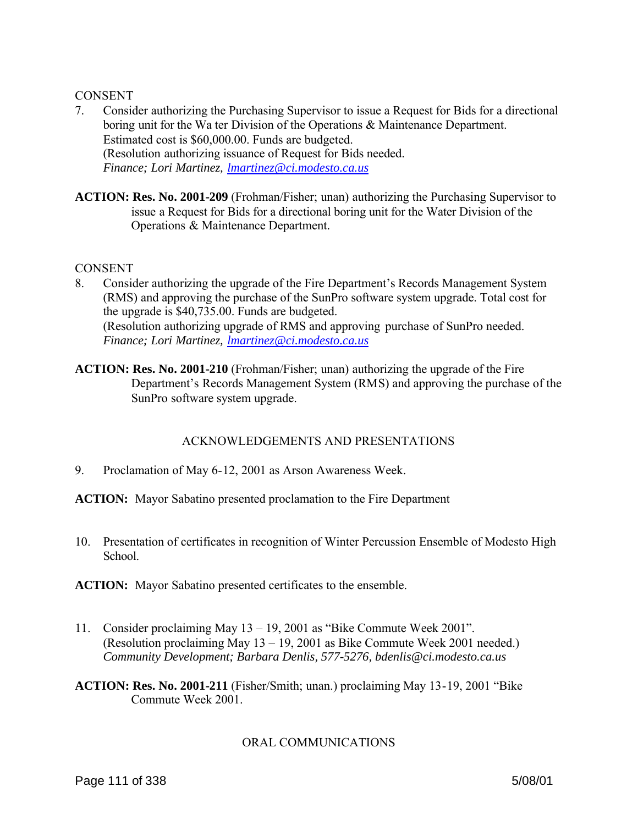### **CONSENT**

- 7. Consider authorizing the Purchasing Supervisor to issue a Request for Bids for a directional boring unit for the Wa ter Division of the Operations & Maintenance Department. Estimated cost is \$60,000.00. Funds are budgeted. (Resolution authorizing issuance of Request for Bids needed. *Finance; Lori Martinez, lmartinez@ci.modesto.ca.us*
- **ACTION: Res. No. 2001-209** (Frohman/Fisher; unan) authorizing the Purchasing Supervisor to issue a Request for Bids for a directional boring unit for the Water Division of the Operations & Maintenance Department.

#### **CONSENT**

- 8. Consider authorizing the upgrade of the Fire Department's Records Management System (RMS) and approving the purchase of the SunPro software system upgrade. Total cost for the upgrade is \$40,735.00. Funds are budgeted. (Resolution authorizing upgrade of RMS and approving purchase of SunPro needed. *Finance; Lori Martinez, lmartinez@ci.modesto.ca.us*
- **ACTION: Res. No. 2001-210** (Frohman/Fisher; unan) authorizing the upgrade of the Fire Department's Records Management System (RMS) and approving the purchase of the SunPro software system upgrade.

### ACKNOWLEDGEMENTS AND PRESENTATIONS

9. Proclamation of May 6-12, 2001 as Arson Awareness Week.

**ACTION:** Mayor Sabatino presented proclamation to the Fire Department

10. Presentation of certificates in recognition of Winter Percussion Ensemble of Modesto High School.

**ACTION:** Mayor Sabatino presented certificates to the ensemble.

- 11. Consider proclaiming May 13 19, 2001 as "Bike Commute Week 2001". (Resolution proclaiming May 13 – 19, 2001 as Bike Commute Week 2001 needed.) *Community Development; Barbara Denlis, 577-5276, bdenlis@ci.modesto.ca.us*
- **ACTION: Res. No. 2001-211** (Fisher/Smith; unan.) proclaiming May 13-19, 2001 "Bike Commute Week 2001.

### ORAL COMMUNICATIONS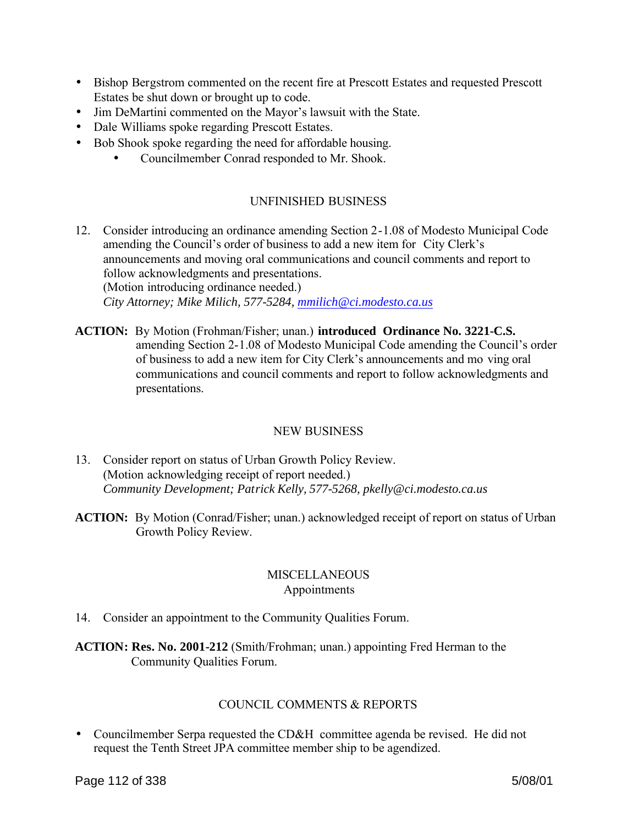- Bishop Bergstrom commented on the recent fire at Prescott Estates and requested Prescott Estates be shut down or brought up to code.
- Jim DeMartini commented on the Mayor's lawsuit with the State.
- Dale Williams spoke regarding Prescott Estates.
- Bob Shook spoke regarding the need for affordable housing.
	- Councilmember Conrad responded to Mr. Shook.

# UNFINISHED BUSINESS

- 12. Consider introducing an ordinance amending Section 2-1.08 of Modesto Municipal Code amending the Council's order of business to add a new item for City Clerk's announcements and moving oral communications and council comments and report to follow acknowledgments and presentations. (Motion introducing ordinance needed.) *City Attorney; Mike Milich, 577-5284, mmilich@ci.modesto.ca.us*
- **ACTION:** By Motion (Frohman/Fisher; unan.) **introduced Ordinance No. 3221-C.S.** amending Section 2-1.08 of Modesto Municipal Code amending the Council's order of business to add a new item for City Clerk's announcements and mo ving oral communications and council comments and report to follow acknowledgments and presentations.

# NEW BUSINESS

- 13. Consider report on status of Urban Growth Policy Review. (Motion acknowledging receipt of report needed.) *Community Development; Patrick Kelly, 577-5268, pkelly@ci.modesto.ca.us*
- **ACTION:** By Motion (Conrad/Fisher; unan.) acknowledged receipt of report on status of Urban Growth Policy Review.

## **MISCELLANEOUS** Appointments

14. Consider an appointment to the Community Qualities Forum.

**ACTION: Res. No. 2001-212** (Smith/Frohman; unan.) appointing Fred Herman to the Community Qualities Forum.

# COUNCIL COMMENTS & REPORTS

• Councilmember Serpa requested the CD&H committee agenda be revised. He did not request the Tenth Street JPA committee member ship to be agendized.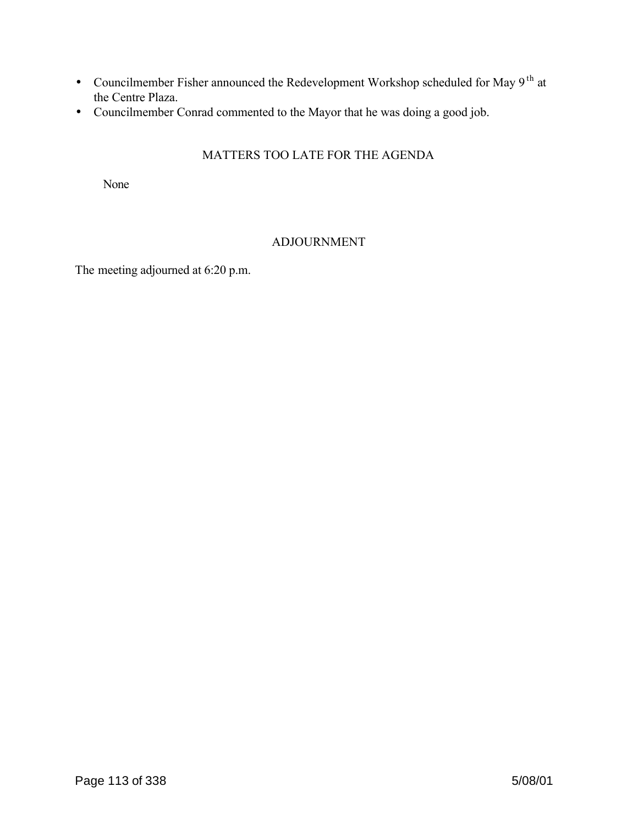- Councilmember Fisher announced the Redevelopment Workshop scheduled for May  $9<sup>th</sup>$  at the Centre Plaza.
- Councilmember Conrad commented to the Mayor that he was doing a good job.

# MATTERS TOO LATE FOR THE AGENDA

None

# ADJOURNMENT

The meeting adjourned at 6:20 p.m.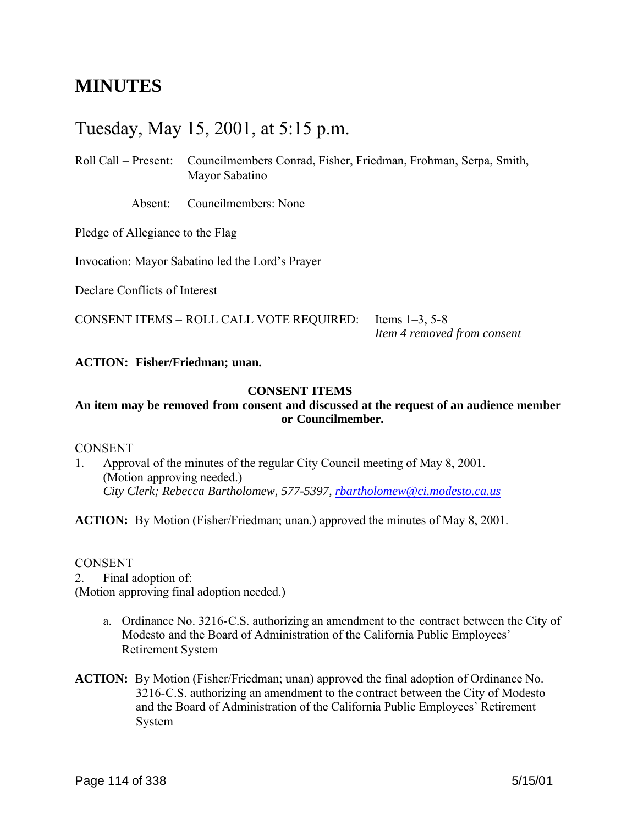# **MINUTES**

# Tuesday, May 15, 2001, at 5:15 p.m.

Roll Call – Present: Councilmembers Conrad, Fisher, Friedman, Frohman, Serpa, Smith, Mayor Sabatino

Absent: Councilmembers: None

Pledge of Allegiance to the Flag

Invocation: Mayor Sabatino led the Lord's Prayer

Declare Conflicts of Interest

CONSENT ITEMS – ROLL CALL VOTE REQUIRED: Items 1–3, 5-8

*Item 4 removed from consent*

#### **ACTION: Fisher/Friedman; unan.**

### **CONSENT ITEMS**

# **An item may be removed from consent and discussed at the request of an audience member or Councilmember.**

#### **CONSENT**

1. Approval of the minutes of the regular City Council meeting of May 8, 2001. (Motion approving needed.) *City Clerk; Rebecca Bartholomew, 577-5397, rbartholomew@ci.modesto.ca.us*

**ACTION:** By Motion (Fisher/Friedman; unan.) approved the minutes of May 8, 2001.

#### CONSENT

2. Final adoption of: (Motion approving final adoption needed.)

- a. Ordinance No. 3216-C.S. authorizing an amendment to the contract between the City of Modesto and the Board of Administration of the California Public Employees' Retirement System
- **ACTION:** By Motion (Fisher/Friedman; unan) approved the final adoption of Ordinance No. 3216-C.S. authorizing an amendment to the contract between the City of Modesto and the Board of Administration of the California Public Employees' Retirement System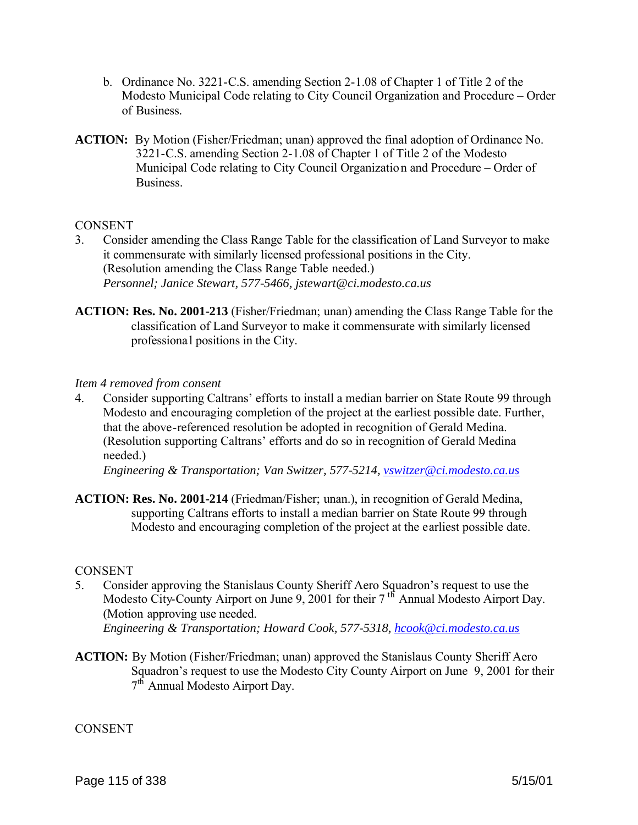- b. Ordinance No. 3221-C.S. amending Section 2-1.08 of Chapter 1 of Title 2 of the Modesto Municipal Code relating to City Council Organization and Procedure – Order of Business.
- **ACTION:** By Motion (Fisher/Friedman; unan) approved the final adoption of Ordinance No. 3221-C.S. amending Section 2-1.08 of Chapter 1 of Title 2 of the Modesto Municipal Code relating to City Council Organization and Procedure – Order of **Business**

## **CONSENT**

- 3. Consider amending the Class Range Table for the classification of Land Surveyor to make it commensurate with similarly licensed professional positions in the City. (Resolution amending the Class Range Table needed.) *Personnel; Janice Stewart, 577-5466, jstewart@ci.modesto.ca.us*
- **ACTION: Res. No. 2001-213** (Fisher/Friedman; unan) amending the Class Range Table for the classification of Land Surveyor to make it commensurate with similarly licensed professiona l positions in the City.

#### *Item 4 removed from consent*

4. Consider supporting Caltrans' efforts to install a median barrier on State Route 99 through Modesto and encouraging completion of the project at the earliest possible date. Further, that the above-referenced resolution be adopted in recognition of Gerald Medina. (Resolution supporting Caltrans' efforts and do so in recognition of Gerald Medina needed.)

*Engineering & Transportation; Van Switzer, 577-5214, vswitzer@ci.modesto.ca.us*

**ACTION: Res. No. 2001-214** (Friedman/Fisher; unan.), in recognition of Gerald Medina, supporting Caltrans efforts to install a median barrier on State Route 99 through Modesto and encouraging completion of the project at the earliest possible date.

#### **CONSENT**

- 5. Consider approving the Stanislaus County Sheriff Aero Squadron's request to use the Modesto City-County Airport on June 9, 2001 for their 7<sup>th</sup> Annual Modesto Airport Day. (Motion approving use needed. *Engineering & Transportation; Howard Cook, 577-5318, hcook@ci.modesto.ca.us*
- **ACTION:** By Motion (Fisher/Friedman; unan) approved the Stanislaus County Sheriff Aero Squadron's request to use the Modesto City County Airport on June 9, 2001 for their 7<sup>th</sup> Annual Modesto Airport Day.

**CONSENT**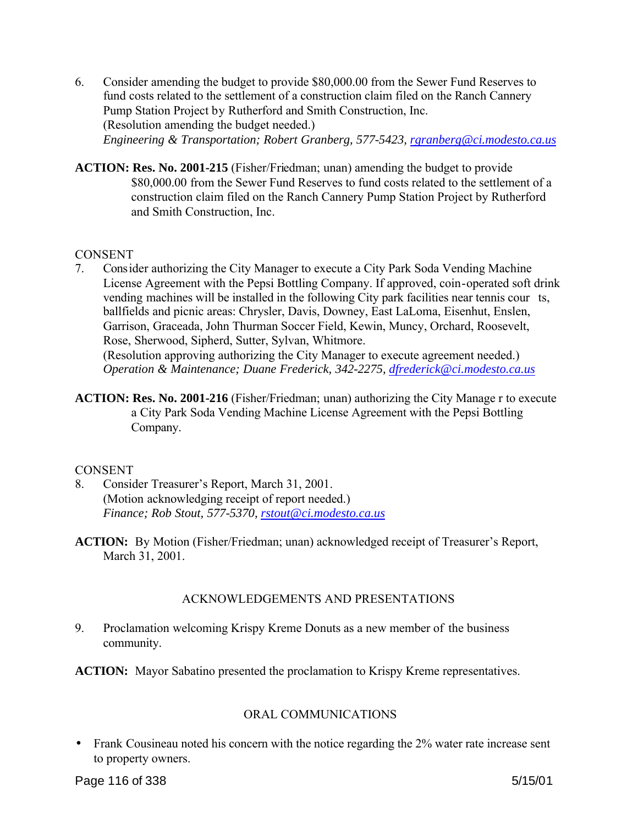- 6. Consider amending the budget to provide \$80,000.00 from the Sewer Fund Reserves to fund costs related to the settlement of a construction claim filed on the Ranch Cannery Pump Station Project by Rutherford and Smith Construction, Inc. (Resolution amending the budget needed.) *Engineering & Transportation; Robert Granberg, 577-5423, rgranberg@ci.modesto.ca.us*
- **ACTION: Res. No. 2001-215** (Fisher/Friedman; unan) amending the budget to provide \$80,000.00 from the Sewer Fund Reserves to fund costs related to the settlement of a construction claim filed on the Ranch Cannery Pump Station Project by Rutherford and Smith Construction, Inc.

## **CONSENT**

7. Consider authorizing the City Manager to execute a City Park Soda Vending Machine License Agreement with the Pepsi Bottling Company. If approved, coin-operated soft drink vending machines will be installed in the following City park facilities near tennis cour ts, ballfields and picnic areas: Chrysler, Davis, Downey, East LaLoma, Eisenhut, Enslen, Garrison, Graceada, John Thurman Soccer Field, Kewin, Muncy, Orchard, Roosevelt, Rose, Sherwood, Sipherd, Sutter, Sylvan, Whitmore.

(Resolution approving authorizing the City Manager to execute agreement needed.) *Operation & Maintenance; Duane Frederick, 342-2275, dfrederick@ci.modesto.ca.us*

**ACTION: Res. No. 2001-216** (Fisher/Friedman; unan) authorizing the City Manage r to execute a City Park Soda Vending Machine License Agreement with the Pepsi Bottling Company.

### **CONSENT**

- 8. Consider Treasurer's Report, March 31, 2001. (Motion acknowledging receipt of report needed.) *Finance; Rob Stout, 577-5370, rstout@ci.modesto.ca.us*
- **ACTION:** By Motion (Fisher/Friedman; unan) acknowledged receipt of Treasurer's Report, March 31, 2001.

# ACKNOWLEDGEMENTS AND PRESENTATIONS

- 9. Proclamation welcoming Krispy Kreme Donuts as a new member of the business community.
- **ACTION:** Mayor Sabatino presented the proclamation to Krispy Kreme representatives.

# ORAL COMMUNICATIONS

• Frank Cousineau noted his concern with the notice regarding the 2% water rate increase sent to property owners.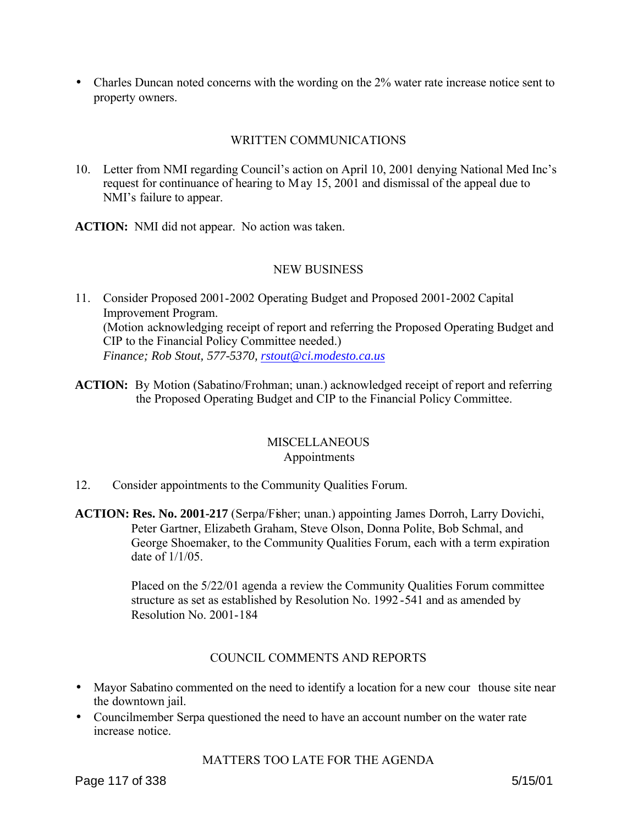• Charles Duncan noted concerns with the wording on the 2% water rate increase notice sent to property owners.

# WRITTEN COMMUNICATIONS

10. Letter from NMI regarding Council's action on April 10, 2001 denying National Med Inc's request for continuance of hearing to May 15, 2001 and dismissal of the appeal due to NMI's failure to appear.

**ACTION:** NMI did not appear. No action was taken.

## NEW BUSINESS

- 11. Consider Proposed 2001-2002 Operating Budget and Proposed 2001-2002 Capital Improvement Program. (Motion acknowledging receipt of report and referring the Proposed Operating Budget and CIP to the Financial Policy Committee needed.) *Finance; Rob Stout, 577-5370, rstout@ci.modesto.ca.us*
- **ACTION:** By Motion (Sabatino/Frohman; unan.) acknowledged receipt of report and referring the Proposed Operating Budget and CIP to the Financial Policy Committee.

### **MISCELLANEOUS** Appointments

- 12. Consider appointments to the Community Qualities Forum.
- **ACTION: Res. No. 2001-217** (Serpa/Fisher; unan.) appointing James Dorroh, Larry Dovichi, Peter Gartner, Elizabeth Graham, Steve Olson, Donna Polite, Bob Schmal, and George Shoemaker, to the Community Qualities Forum, each with a term expiration date of 1/1/05.

Placed on the 5/22/01 agenda a review the Community Qualities Forum committee structure as set as established by Resolution No. 1992 -541 and as amended by Resolution No. 2001-184

### COUNCIL COMMENTS AND REPORTS

- Mayor Sabatino commented on the need to identify a location for a new cour thouse site near the downtown jail.
- Councilmember Serpa questioned the need to have an account number on the water rate increase notice.

### MATTERS TOO LATE FOR THE AGENDA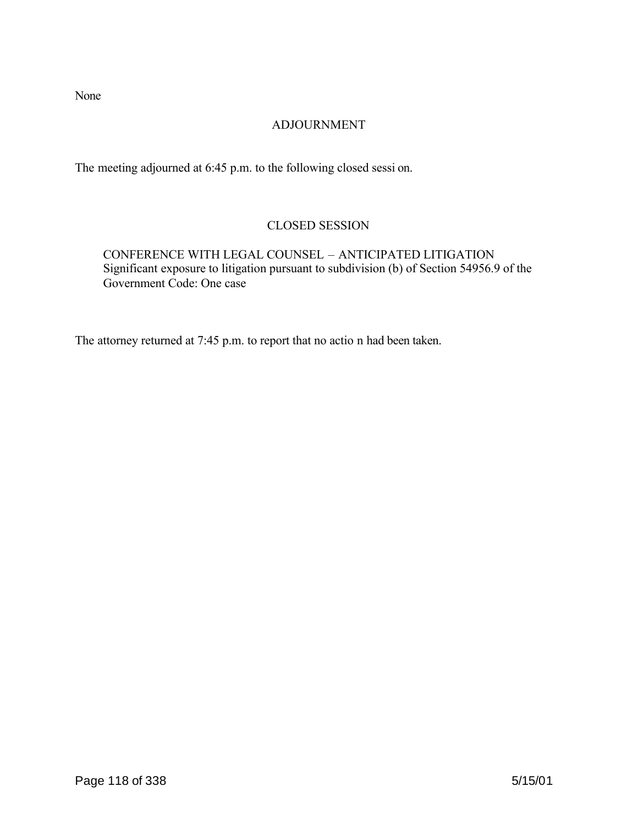None

# ADJOURNMENT

The meeting adjourned at 6:45 p.m. to the following closed sessi on.

# CLOSED SESSION

CONFERENCE WITH LEGAL COUNSEL – ANTICIPATED LITIGATION Significant exposure to litigation pursuant to subdivision (b) of Section 54956.9 of the Government Code: One case

The attorney returned at 7:45 p.m. to report that no actio n had been taken.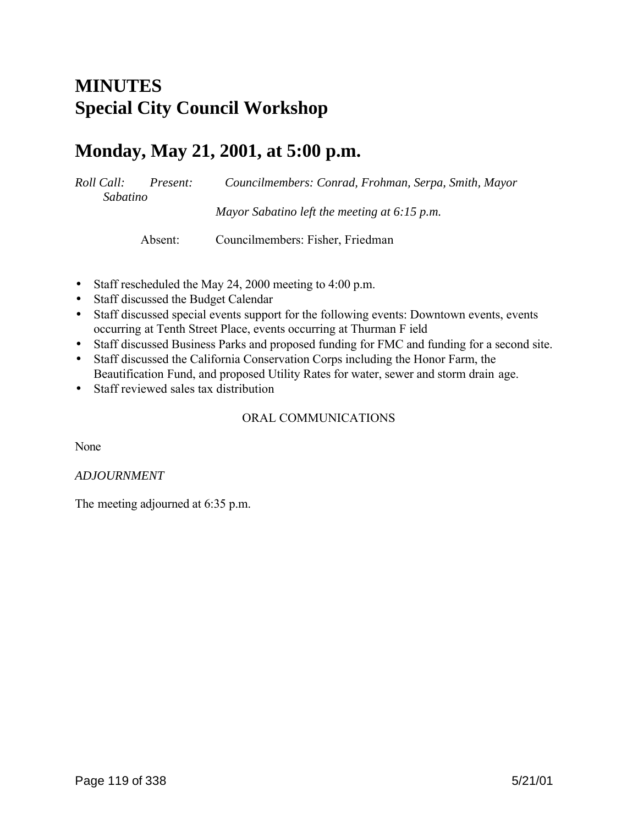# **MINUTES Special City Council Workshop**

# **Monday, May 21, 2001, at 5:00 p.m.**

*Roll Call: Present: Councilmembers: Conrad, Frohman, Serpa, Smith, Mayor Sabatino Mayor Sabatino left the meeting at 6:15 p.m.*

Absent: Councilmembers: Fisher, Friedman

- Staff rescheduled the May 24, 2000 meeting to 4:00 p.m.
- Staff discussed the Budget Calendar
- Staff discussed special events support for the following events: Downtown events, events occurring at Tenth Street Place, events occurring at Thurman F ield
- Staff discussed Business Parks and proposed funding for FMC and funding for a second site.
- Staff discussed the California Conservation Corps including the Honor Farm, the Beautification Fund, and proposed Utility Rates for water, sewer and storm drain age.
- Staff reviewed sales tax distribution

# ORAL COMMUNICATIONS

None

### *ADJOURNMENT*

The meeting adjourned at 6:35 p.m.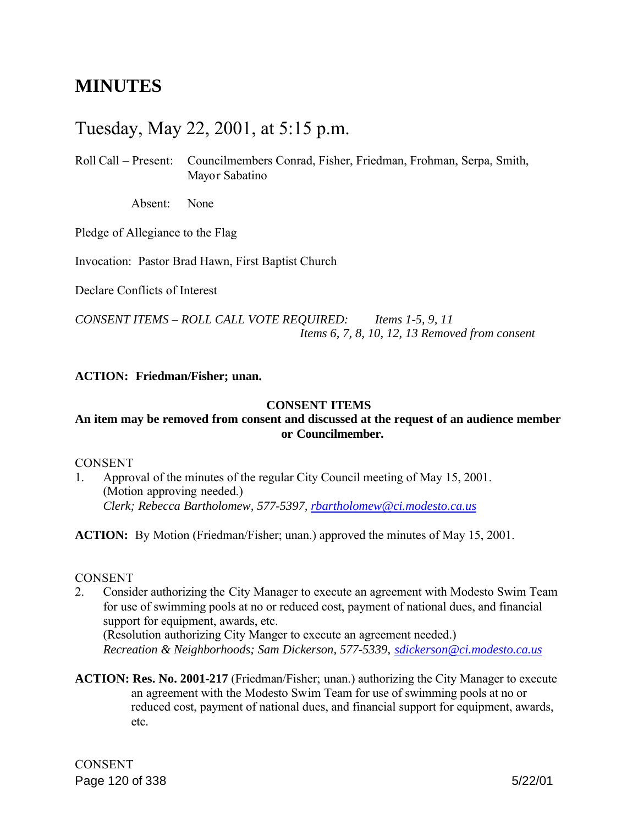# **MINUTES**

# Tuesday, May 22, 2001, at 5:15 p.m.

Roll Call – Present: Councilmembers Conrad, Fisher, Friedman, Frohman, Serpa, Smith, Mayor Sabatino

Absent: None

Pledge of Allegiance to the Flag

Invocation: Pastor Brad Hawn, First Baptist Church

Declare Conflicts of Interest

*CONSENT ITEMS – ROLL CALL VOTE REQUIRED: Items 1-5, 9, 11 Items 6, 7, 8, 10, 12, 13 Removed from consent*

#### **ACTION: Friedman/Fisher; unan.**

#### **CONSENT ITEMS**

# **An item may be removed from consent and discussed at the request of an audience member or Councilmember.**

#### **CONSENT**

1. Approval of the minutes of the regular City Council meeting of May 15, 2001. (Motion approving needed.) *Clerk; Rebecca Bartholomew, 577-5397, rbartholomew@ci.modesto.ca.us*

**ACTION:** By Motion (Friedman/Fisher; unan.) approved the minutes of May 15, 2001.

#### CONSENT

- 2. Consider authorizing the City Manager to execute an agreement with Modesto Swim Team for use of swimming pools at no or reduced cost, payment of national dues, and financial support for equipment, awards, etc. (Resolution authorizing City Manger to execute an agreement needed.) *Recreation & Neighborhoods; Sam Dickerson, 577-5339, sdickerson@ci.modesto.ca.us*
- **ACTION: Res. No. 2001-217** (Friedman/Fisher; unan.) authorizing the City Manager to execute an agreement with the Modesto Swim Team for use of swimming pools at no or reduced cost, payment of national dues, and financial support for equipment, awards, etc.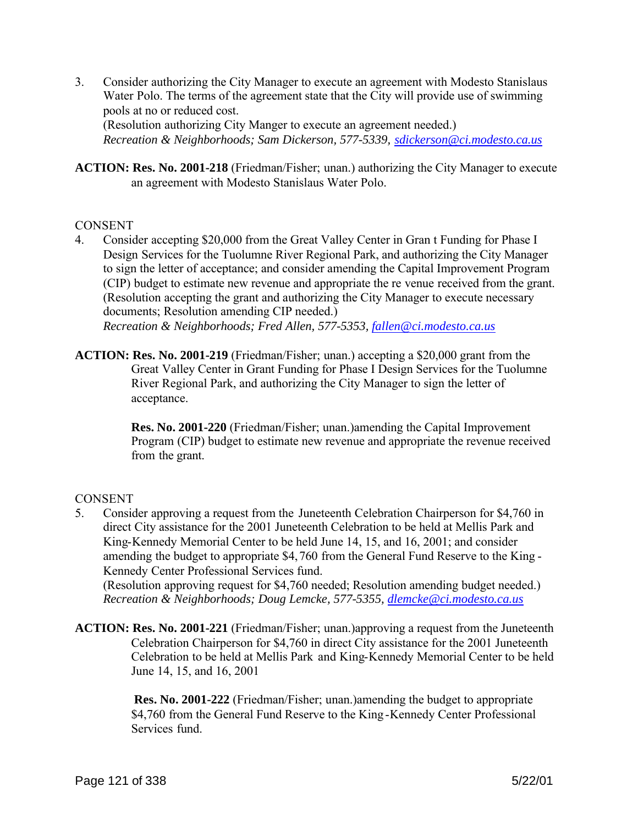3. Consider authorizing the City Manager to execute an agreement with Modesto Stanislaus Water Polo. The terms of the agreement state that the City will provide use of swimming pools at no or reduced cost. (Resolution authorizing City Manger to execute an agreement needed.)

*Recreation & Neighborhoods; Sam Dickerson, 577-5339, sdickerson@ci.modesto.ca.us*

**ACTION: Res. No. 2001-218** (Friedman/Fisher; unan.) authorizing the City Manager to execute an agreement with Modesto Stanislaus Water Polo.

## **CONSENT**

- 4. Consider accepting \$20,000 from the Great Valley Center in Gran t Funding for Phase I Design Services for the Tuolumne River Regional Park, and authorizing the City Manager to sign the letter of acceptance; and consider amending the Capital Improvement Program (CIP) budget to estimate new revenue and appropriate the re venue received from the grant. (Resolution accepting the grant and authorizing the City Manager to execute necessary documents; Resolution amending CIP needed.) *Recreation & Neighborhoods; Fred Allen, 577-5353, fallen@ci.modesto.ca.us*
- **ACTION: Res. No. 2001-219** (Friedman/Fisher; unan.) accepting a \$20,000 grant from the Great Valley Center in Grant Funding for Phase I Design Services for the Tuolumne River Regional Park, and authorizing the City Manager to sign the letter of acceptance.

 **Res. No. 2001-220** (Friedman/Fisher; unan.)amending the Capital Improvement Program (CIP) budget to estimate new revenue and appropriate the revenue received from the grant.

# **CONSENT**

5. Consider approving a request from the Juneteenth Celebration Chairperson for \$4,760 in direct City assistance for the 2001 Juneteenth Celebration to be held at Mellis Park and King-Kennedy Memorial Center to be held June 14, 15, and 16, 2001; and consider amending the budget to appropriate \$4,760 from the General Fund Reserve to the King - Kennedy Center Professional Services fund.

(Resolution approving request for \$4,760 needed; Resolution amending budget needed.) *Recreation & Neighborhoods; Doug Lemcke, 577-5355, dlemcke@ci.modesto.ca.us*

**ACTION: Res. No. 2001-221** (Friedman/Fisher; unan.)approving a request from the Juneteenth Celebration Chairperson for \$4,760 in direct City assistance for the 2001 Juneteenth Celebration to be held at Mellis Park and King-Kennedy Memorial Center to be held June 14, 15, and 16, 2001

> **Res. No. 2001-222** (Friedman/Fisher; unan.)amending the budget to appropriate \$4,760 from the General Fund Reserve to the King -Kennedy Center Professional Services fund.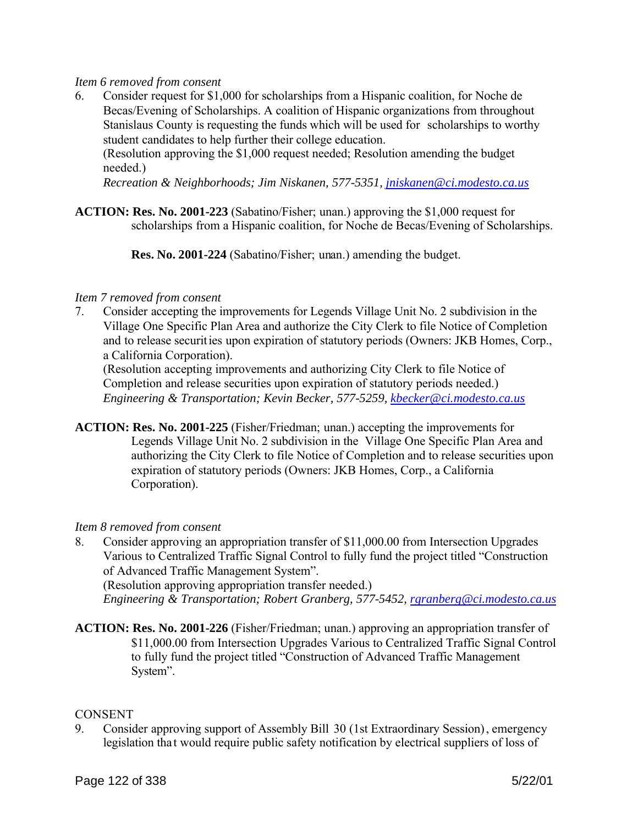### *Item 6 removed from consent*

6. Consider request for \$1,000 for scholarships from a Hispanic coalition, for Noche de Becas/Evening of Scholarships. A coalition of Hispanic organizations from throughout Stanislaus County is requesting the funds which will be used for scholarships to worthy student candidates to help further their college education.

(Resolution approving the \$1,000 request needed; Resolution amending the budget needed.)

*Recreation & Neighborhoods; Jim Niskanen, 577-5351, jniskanen@ci.modesto.ca.us*

**ACTION: Res. No. 2001-223** (Sabatino/Fisher; unan.) approving the \$1,000 request for scholarships from a Hispanic coalition, for Noche de Becas/Evening of Scholarships.

 **Res. No. 2001-224** (Sabatino/Fisher; unan.) amending the budget.

#### *Item 7 removed from consent*

7. Consider accepting the improvements for Legends Village Unit No. 2 subdivision in the Village One Specific Plan Area and authorize the City Clerk to file Notice of Completion and to release securities upon expiration of statutory periods (Owners: JKB Homes, Corp., a California Corporation).

(Resolution accepting improvements and authorizing City Clerk to file Notice of Completion and release securities upon expiration of statutory periods needed.) *Engineering & Transportation; Kevin Becker, 577-5259, kbecker@ci.modesto.ca.us*

**ACTION: Res. No. 2001-225** (Fisher/Friedman; unan.) accepting the improvements for Legends Village Unit No. 2 subdivision in the Village One Specific Plan Area and authorizing the City Clerk to file Notice of Completion and to release securities upon expiration of statutory periods (Owners: JKB Homes, Corp., a California Corporation).

### *Item 8 removed from consent*

8. Consider approving an appropriation transfer of \$11,000.00 from Intersection Upgrades Various to Centralized Traffic Signal Control to fully fund the project titled "Construction of Advanced Traffic Management System".

(Resolution approving appropriation transfer needed.) *Engineering & Transportation; Robert Granberg, 577-5452, rgranberg@ci.modesto.ca.us*

**ACTION: Res. No. 2001-226** (Fisher/Friedman; unan.) approving an appropriation transfer of \$11,000.00 from Intersection Upgrades Various to Centralized Traffic Signal Control to fully fund the project titled "Construction of Advanced Traffic Management System".

#### **CONSENT**

9. Consider approving support of Assembly Bill 30 (1st Extraordinary Session), emergency legislation tha t would require public safety notification by electrical suppliers of loss of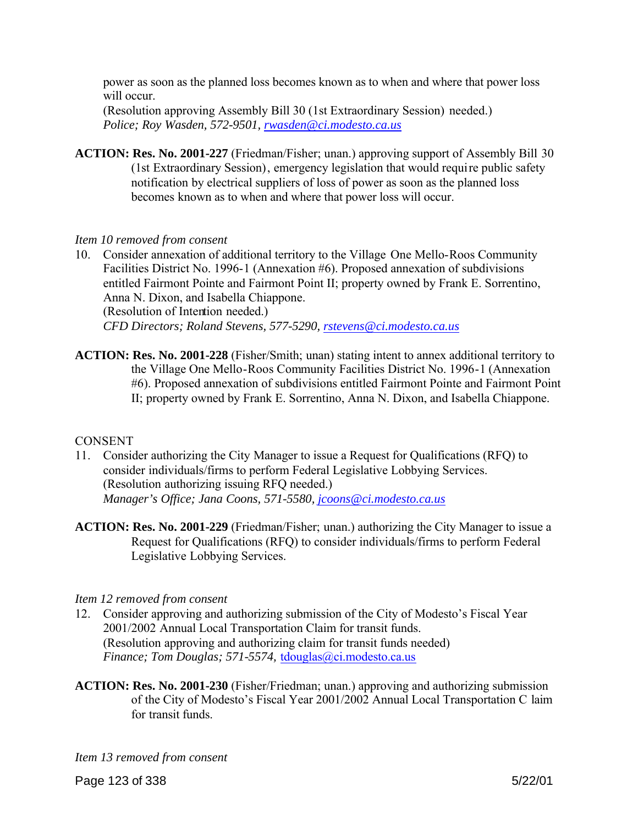power as soon as the planned loss becomes known as to when and where that power loss will occur.

(Resolution approving Assembly Bill 30 (1st Extraordinary Session) needed.) *Police; Roy Wasden, 572-9501, rwasden@ci.modesto.ca.us*

**ACTION: Res. No. 2001-227** (Friedman/Fisher; unan.) approving support of Assembly Bill 30 (1st Extraordinary Session), emergency legislation that would require public safety notification by electrical suppliers of loss of power as soon as the planned loss becomes known as to when and where that power loss will occur.

### *Item 10 removed from consent*

10. Consider annexation of additional territory to the Village One Mello-Roos Community Facilities District No. 1996-1 (Annexation #6). Proposed annexation of subdivisions entitled Fairmont Pointe and Fairmont Point II; property owned by Frank E. Sorrentino, Anna N. Dixon, and Isabella Chiappone. (Resolution of Intention needed.) *CFD Directors; Roland Stevens, 577-5290, rstevens@ci.modesto.ca.us*

**ACTION: Res. No. 2001-228** (Fisher/Smith; unan) stating intent to annex additional territory to the Village One Mello-Roos Community Facilities District No. 1996-1 (Annexation #6). Proposed annexation of subdivisions entitled Fairmont Pointe and Fairmont Point II; property owned by Frank E. Sorrentino, Anna N. Dixon, and Isabella Chiappone.

### **CONSENT**

- 11. Consider authorizing the City Manager to issue a Request for Qualifications (RFQ) to consider individuals/firms to perform Federal Legislative Lobbying Services. (Resolution authorizing issuing RFQ needed.) *Manager's Office; Jana Coons, 571-5580, jcoons@ci.modesto.ca.us*
- **ACTION: Res. No. 2001-229** (Friedman/Fisher; unan.) authorizing the City Manager to issue a Request for Qualifications (RFQ) to consider individuals/firms to perform Federal Legislative Lobbying Services.

#### *Item 12 removed from consent*

- 12. Consider approving and authorizing submission of the City of Modesto's Fiscal Year 2001/2002 Annual Local Transportation Claim for transit funds. (Resolution approving and authorizing claim for transit funds needed) *Finance; Tom Douglas; 571-5574,* tdouglas@ci.modesto.ca.us
- **ACTION: Res. No. 2001-230** (Fisher/Friedman; unan.) approving and authorizing submission of the City of Modesto's Fiscal Year 2001/2002 Annual Local Transportation C laim for transit funds.

*Item 13 removed from consent*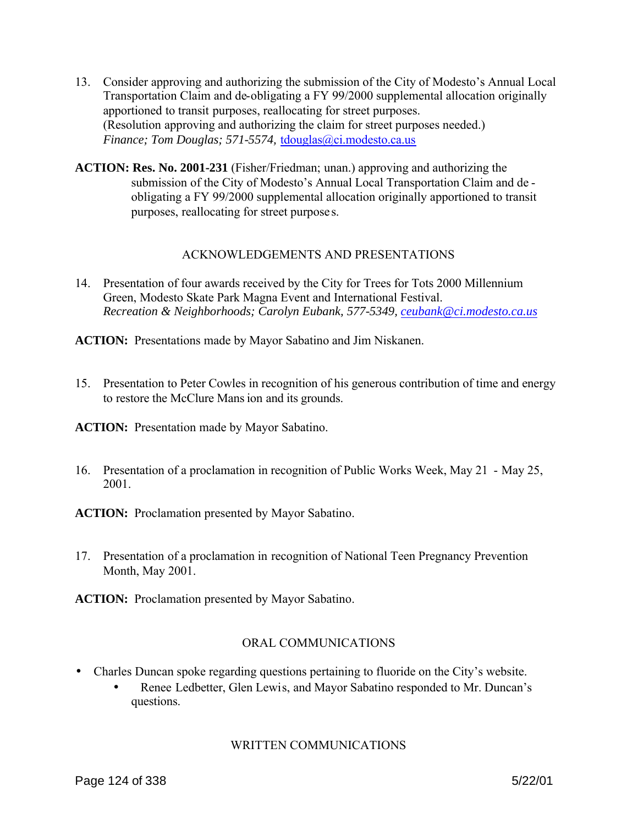- 13. Consider approving and authorizing the submission of the City of Modesto's Annual Local Transportation Claim and de-obligating a FY 99/2000 supplemental allocation originally apportioned to transit purposes, reallocating for street purposes. (Resolution approving and authorizing the claim for street purposes needed.) *Finance; Tom Douglas; 571-5574,* tdouglas@ci.modesto.ca.us
- **ACTION: Res. No. 2001-231** (Fisher/Friedman; unan.) approving and authorizing the submission of the City of Modesto's Annual Local Transportation Claim and de obligating a FY 99/2000 supplemental allocation originally apportioned to transit purposes, reallocating for street purpose s.

## ACKNOWLEDGEMENTS AND PRESENTATIONS

14. Presentation of four awards received by the City for Trees for Tots 2000 Millennium Green, Modesto Skate Park Magna Event and International Festival. *Recreation & Neighborhoods; Carolyn Eubank, 577-5349, ceubank@ci.modesto.ca.us*

**ACTION:** Presentations made by Mayor Sabatino and Jim Niskanen.

15. Presentation to Peter Cowles in recognition of his generous contribution of time and energy to restore the McClure Mansion and its grounds.

**ACTION:** Presentation made by Mayor Sabatino.

16. Presentation of a proclamation in recognition of Public Works Week, May 21 - May 25, 2001.

**ACTION:** Proclamation presented by Mayor Sabatino.

17. Presentation of a proclamation in recognition of National Teen Pregnancy Prevention Month, May 2001.

**ACTION:** Proclamation presented by Mayor Sabatino.

# ORAL COMMUNICATIONS

- Charles Duncan spoke regarding questions pertaining to fluoride on the City's website.
	- Renee Ledbetter, Glen Lewis, and Mayor Sabatino responded to Mr. Duncan's questions.

# WRITTEN COMMUNICATIONS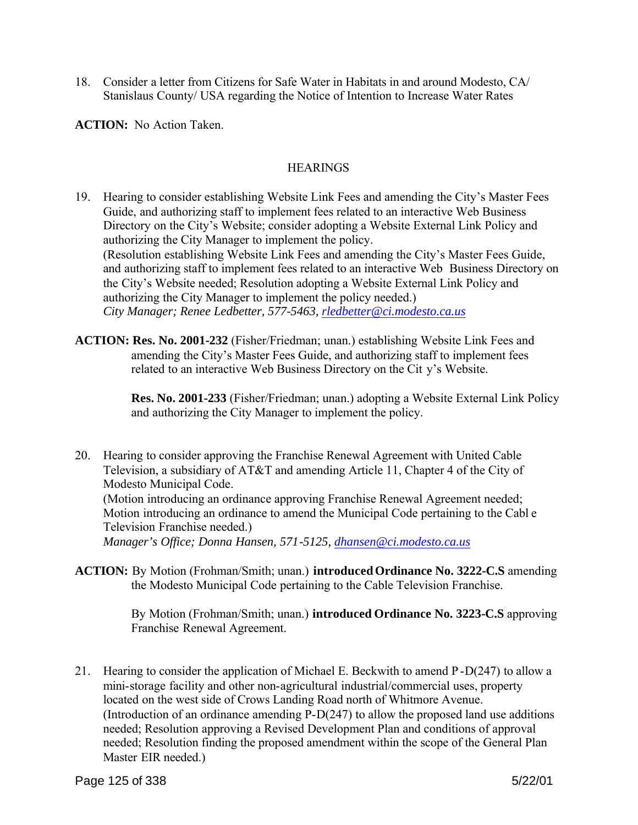18. Consider a letter from Citizens for Safe Water in Habitats in and around Modesto, CA/ Stanislaus County/ USA regarding the Notice of Intention to Increase Water Rates

**ACTION:** No Action Taken.

## **HEARINGS**

- 19. Hearing to consider establishing Website Link Fees and amending the City's Master Fees Guide, and authorizing staff to implement fees related to an interactive Web Business Directory on the City's Website; consider adopting a Website External Link Policy and authorizing the City Manager to implement the policy. (Resolution establishing Website Link Fees and amending the City's Master Fees Guide, and authorizing staff to implement fees related to an interactive Web Business Directory on the City's Website needed; Resolution adopting a Website External Link Policy and authorizing the City Manager to implement the policy needed.) *City Manager; Renee Ledbetter, 577-5463, rledbetter@ci.modesto.ca.us*
- **ACTION: Res. No. 2001-232** (Fisher/Friedman; unan.) establishing Website Link Fees and amending the City's Master Fees Guide, and authorizing staff to implement fees related to an interactive Web Business Directory on the Cit y's Website.

 **Res. No. 2001-233** (Fisher/Friedman; unan.) adopting a Website External Link Policy and authorizing the City Manager to implement the policy.

- 20. Hearing to consider approving the Franchise Renewal Agreement with United Cable Television, a subsidiary of AT&T and amending Article 11, Chapter 4 of the City of Modesto Municipal Code. (Motion introducing an ordinance approving Franchise Renewal Agreement needed; Motion introducing an ordinance to amend the Municipal Code pertaining to the Cabl e Television Franchise needed.) *Manager's Office; Donna Hansen, 571-5125, dhansen@ci.modesto.ca.us*
- ACTION: By Motion (Frohman/Smith; unan.) **introduced Ordinance No. 3222-C.S** amending the Modesto Municipal Code pertaining to the Cable Television Franchise.

 By Motion (Frohman/Smith; unan.) **introduced Ordinance No. 3223-C.S** approving Franchise Renewal Agreement.

21. Hearing to consider the application of Michael E. Beckwith to amend P -D(247) to allow a mini-storage facility and other non-agricultural industrial/commercial uses, property located on the west side of Crows Landing Road north of Whitmore Avenue. (Introduction of an ordinance amending P-D(247) to allow the proposed land use additions needed; Resolution approving a Revised Development Plan and conditions of approval needed; Resolution finding the proposed amendment within the scope of the General Plan Master EIR needed.)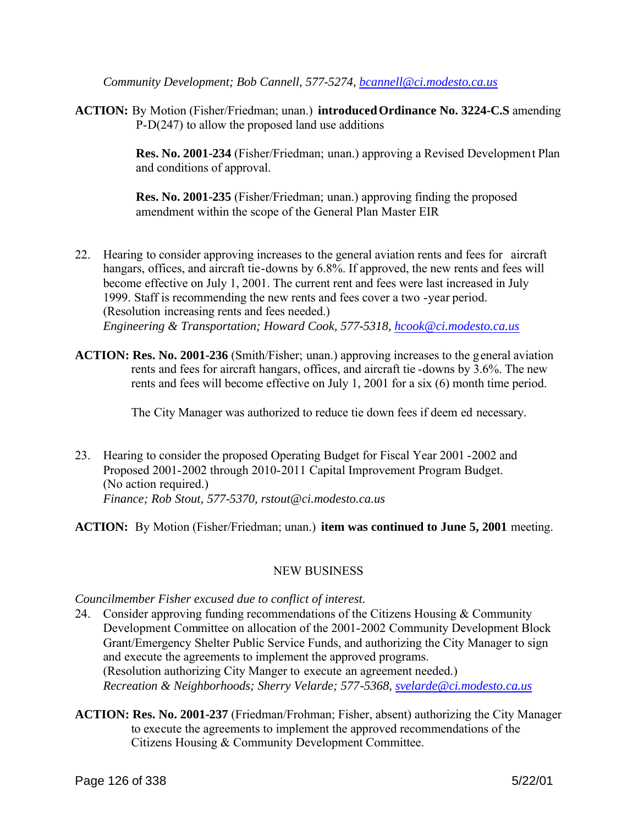*Community Development; Bob Cannell, 577-5274, bcannell@ci.modesto.ca.us*

**ACTION:** By Motion (Fisher/Friedman; unan.) **introducedOrdinance No. 3224-C.S** amending P-D(247) to allow the proposed land use additions

> **Res. No. 2001-234** (Fisher/Friedman; unan.) approving a Revised Development Plan and conditions of approval.

**Res. No. 2001-235** (Fisher/Friedman; unan.) approving finding the proposed amendment within the scope of the General Plan Master EIR

- 22. Hearing to consider approving increases to the general aviation rents and fees for aircraft hangars, offices, and aircraft tie-downs by 6.8%. If approved, the new rents and fees will become effective on July 1, 2001. The current rent and fees were last increased in July 1999. Staff is recommending the new rents and fees cover a two -year period. (Resolution increasing rents and fees needed.) *Engineering & Transportation; Howard Cook, 577-5318, hcook@ci.modesto.ca.us*
- **ACTION: Res. No. 2001-236** (Smith/Fisher; unan.) approving increases to the general aviation rents and fees for aircraft hangars, offices, and aircraft tie -downs by 3.6%. The new rents and fees will become effective on July 1, 2001 for a six (6) month time period.

The City Manager was authorized to reduce tie down fees if deem ed necessary.

23. Hearing to consider the proposed Operating Budget for Fiscal Year 2001 -2002 and Proposed 2001-2002 through 2010-2011 Capital Improvement Program Budget. (No action required.) *Finance; Rob Stout, 577-5370, rstout@ci.modesto.ca.us*

**ACTION:** By Motion (Fisher/Friedman; unan.) **item was continued to June 5, 2001** meeting.

# NEW BUSINESS

### *Councilmember Fisher excused due to conflict of interest.*

- 24. Consider approving funding recommendations of the Citizens Housing & Community Development Committee on allocation of the 2001-2002 Community Development Block Grant/Emergency Shelter Public Service Funds, and authorizing the City Manager to sign and execute the agreements to implement the approved programs. (Resolution authorizing City Manger to execute an agreement needed.) *Recreation & Neighborhoods; Sherry Velarde; 577-5368, svelarde@ci.modesto.ca.us*
- **ACTION: Res. No. 2001-237** (Friedman/Frohman; Fisher, absent) authorizing the City Manager to execute the agreements to implement the approved recommendations of the Citizens Housing & Community Development Committee.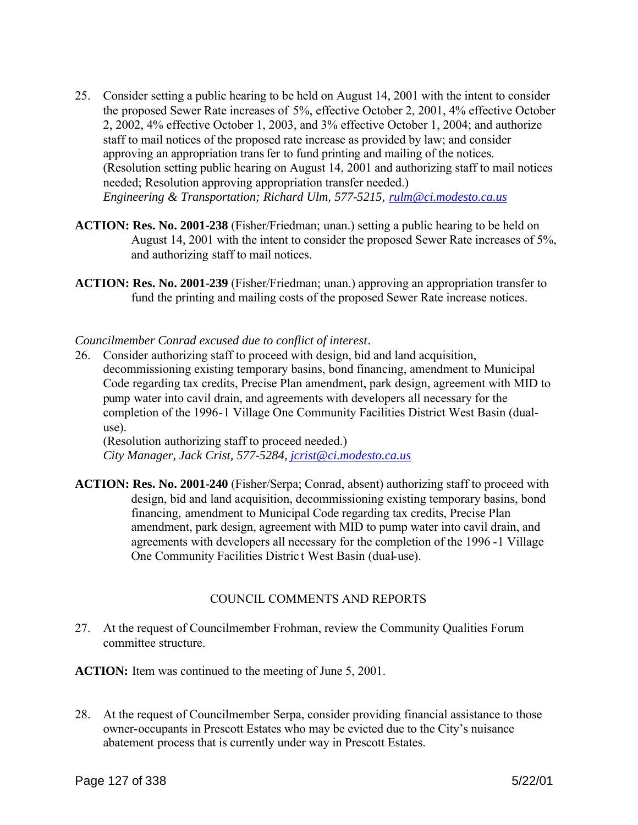- 25. Consider setting a public hearing to be held on August 14, 2001 with the intent to consider the proposed Sewer Rate increases of 5%, effective October 2, 2001, 4% effective October 2, 2002, 4% effective October 1, 2003, and 3% effective October 1, 2004; and authorize staff to mail notices of the proposed rate increase as provided by law; and consider approving an appropriation transfer to fund printing and mailing of the notices. (Resolution setting public hearing on August 14, 2001 and authorizing staff to mail notices needed; Resolution approving appropriation transfer needed.) *Engineering & Transportation; Richard Ulm, 577-5215, rulm@ci.modesto.ca.us*
- **ACTION: Res. No. 2001-238** (Fisher/Friedman; unan.) setting a public hearing to be held on August 14, 2001 with the intent to consider the proposed Sewer Rate increases of 5%, and authorizing staff to mail notices.
- **ACTION: Res. No. 2001-239** (Fisher/Friedman; unan.) approving an appropriation transfer to fund the printing and mailing costs of the proposed Sewer Rate increase notices.

#### *Councilmember Conrad excused due to conflict of interest.*

26. Consider authorizing staff to proceed with design, bid and land acquisition, decommissioning existing temporary basins, bond financing, amendment to Municipal Code regarding tax credits, Precise Plan amendment, park design, agreement with MID to pump water into cavil drain, and agreements with developers all necessary for the completion of the 1996-1 Village One Community Facilities District West Basin (dualuse).

(Resolution authorizing staff to proceed needed.) *City Manager, Jack Crist, 577-5284, jcrist@ci.modesto.ca.us*

**ACTION: Res. No. 2001-240** (Fisher/Serpa; Conrad, absent) authorizing staff to proceed with design, bid and land acquisition, decommissioning existing temporary basins, bond financing, amendment to Municipal Code regarding tax credits, Precise Plan amendment, park design, agreement with MID to pump water into cavil drain, and agreements with developers all necessary for the completion of the 1996 -1 Village One Community Facilities Distric t West Basin (dual-use).

### COUNCIL COMMENTS AND REPORTS

27. At the request of Councilmember Frohman, review the Community Qualities Forum committee structure.

**ACTION:** Item was continued to the meeting of June 5, 2001.

28. At the request of Councilmember Serpa, consider providing financial assistance to those owner-occupants in Prescott Estates who may be evicted due to the City's nuisance abatement process that is currently under way in Prescott Estates.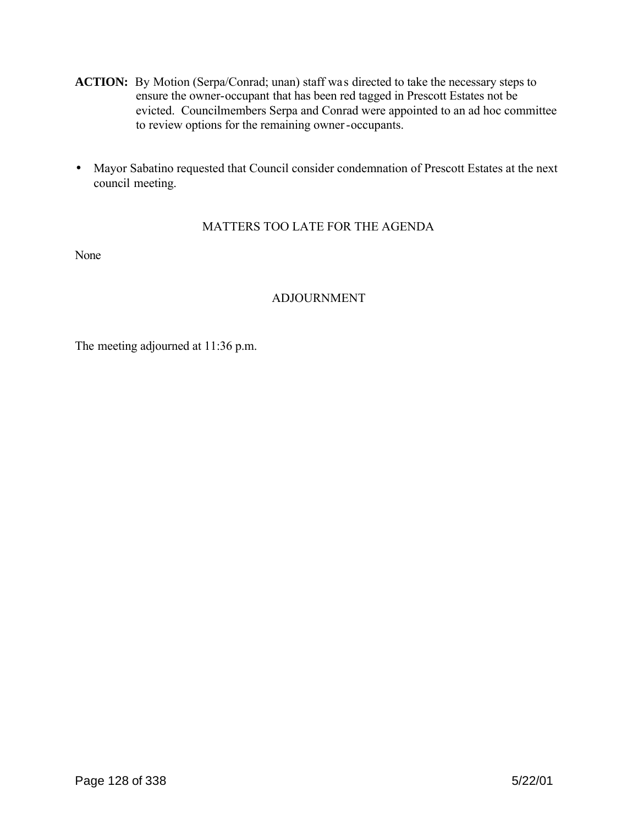- ACTION: By Motion (Serpa/Conrad; unan) staff was directed to take the necessary steps to ensure the owner-occupant that has been red tagged in Prescott Estates not be evicted. Councilmembers Serpa and Conrad were appointed to an ad hoc committee to review options for the remaining owner-occupants.
- Mayor Sabatino requested that Council consider condemnation of Prescott Estates at the next council meeting.

# MATTERS TOO LATE FOR THE AGENDA

None

# ADJOURNMENT

The meeting adjourned at 11:36 p.m.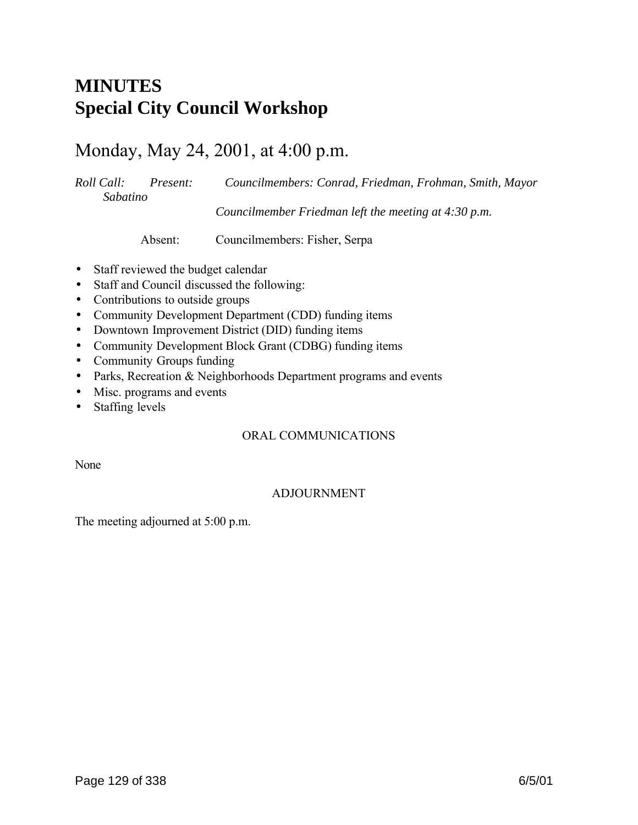# **MINUTES Special City Council Workshop**

# Monday, May 24, 2001, at 4:00 p.m.

*Roll Call: Present: Councilmembers: Conrad, Friedman, Frohman, Smith, Mayor Sabatino Councilmember Friedman left the meeting at 4:30 p.m.*

Absent: Councilmembers: Fisher, Serpa

- Staff reviewed the budget calendar
- Staff and Council discussed the following:
- Contributions to outside groups
- Community Development Department (CDD) funding items
- Downtown Improvement District (DID) funding items
- Community Development Block Grant (CDBG) funding items
- Community Groups funding
- Parks, Recreation & Neighborhoods Department programs and events
- Misc. programs and events
- Staffing levels

# ORAL COMMUNICATIONS

None

# ADJOURNMENT

The meeting adjourned at 5:00 p.m.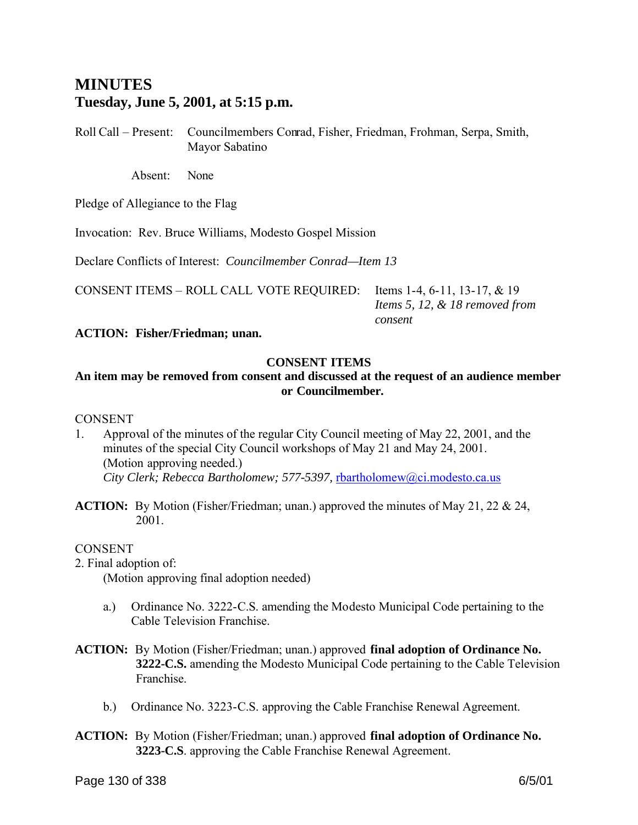# **MINUTES Tuesday, June 5, 2001, at 5:15 p.m.**

Roll Call – Present: Councilmembers Conrad, Fisher, Friedman, Frohman, Serpa, Smith, Mayor Sabatino

Absent: None

Pledge of Allegiance to the Flag

Invocation: Rev. Bruce Williams, Modesto Gospel Mission

Declare Conflicts of Interest: *Councilmember Conrad—Item 13*

CONSENT ITEMS – ROLL CALL VOTE REQUIRED: Items 1-4, 6-11, 13-17, & 19

 *Items 5, 12, & 18 removed from consent*

**ACTION: Fisher/Friedman; unan.**

# **CONSENT ITEMS**

# **An item may be removed from consent and discussed at the request of an audience member or Councilmember.**

### **CONSENT**

- 1. Approval of the minutes of the regular City Council meeting of May 22, 2001, and the minutes of the special City Council workshops of May 21 and May 24, 2001. (Motion approving needed.) *City Clerk; Rebecca Bartholomew; 577-5397,* rbartholomew@ci.modesto.ca.us
- **ACTION:** By Motion (Fisher/Friedman; unan.) approved the minutes of May 21, 22 & 24, 2001.

### CONSENT

2. Final adoption of:

(Motion approving final adoption needed)

- a.) Ordinance No. 3222-C.S. amending the Modesto Municipal Code pertaining to the Cable Television Franchise.
- **ACTION:** By Motion (Fisher/Friedman; unan.) approved **final adoption of Ordinance No. 3222-C.S.** amending the Modesto Municipal Code pertaining to the Cable Television Franchise.
	- b.) Ordinance No. 3223-C.S. approving the Cable Franchise Renewal Agreement.
- **ACTION:** By Motion (Fisher/Friedman; unan.) approved **final adoption of Ordinance No. 3223-C.S**. approving the Cable Franchise Renewal Agreement.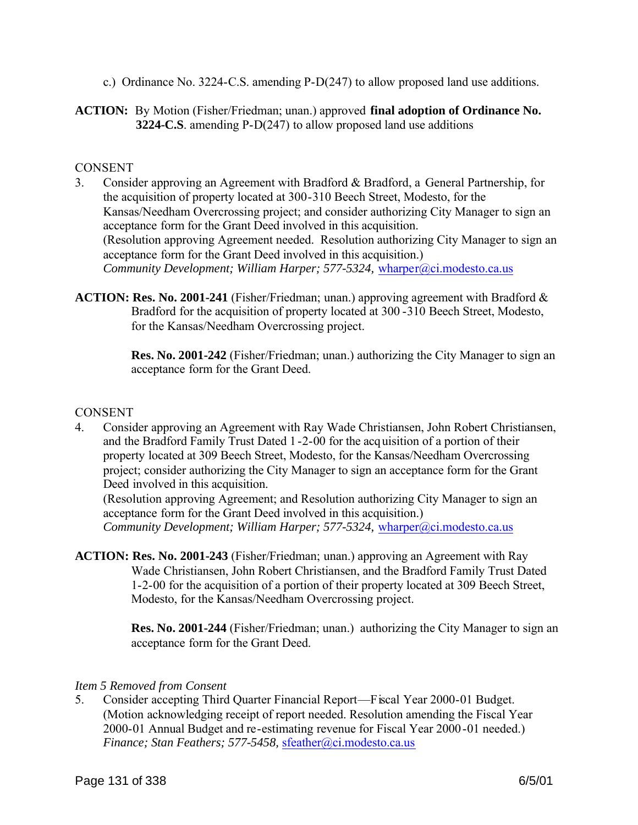- c.) Ordinance No. 3224-C.S. amending P-D(247) to allow proposed land use additions.
- **ACTION:** By Motion (Fisher/Friedman; unan.) approved **final adoption of Ordinance No. 3224-C.S**. amending P-D(247) to allow proposed land use additions

## CONSENT

- 3. Consider approving an Agreement with Bradford & Bradford, a General Partnership, for the acquisition of property located at 300-310 Beech Street, Modesto, for the Kansas/Needham Overcrossing project; and consider authorizing City Manager to sign an acceptance form for the Grant Deed involved in this acquisition. (Resolution approving Agreement needed. Resolution authorizing City Manager to sign an acceptance form for the Grant Deed involved in this acquisition.) *Community Development; William Harper; 577-5324, wharper@ci.modesto.ca.us*
- **ACTION: Res. No. 2001-241** (Fisher/Friedman; unan.) approving agreement with Bradford & Bradford for the acquisition of property located at 300 -310 Beech Street, Modesto, for the Kansas/Needham Overcrossing project.

 **Res. No. 2001-242** (Fisher/Friedman; unan.) authorizing the City Manager to sign an acceptance form for the Grant Deed.

# CONSENT

4. Consider approving an Agreement with Ray Wade Christiansen, John Robert Christiansen, and the Bradford Family Trust Dated 1 -2-00 for the acquisition of a portion of their property located at 309 Beech Street, Modesto, for the Kansas/Needham Overcrossing project; consider authorizing the City Manager to sign an acceptance form for the Grant Deed involved in this acquisition.

(Resolution approving Agreement; and Resolution authorizing City Manager to sign an acceptance form for the Grant Deed involved in this acquisition.) *Community Development; William Harper; 577-5324, wharper@ci.modesto.ca.us* 

**ACTION: Res. No. 2001-243** (Fisher/Friedman; unan.) approving an Agreement with Ray Wade Christiansen, John Robert Christiansen, and the Bradford Family Trust Dated 1-2-00 for the acquisition of a portion of their property located at 309 Beech Street, Modesto, for the Kansas/Needham Overcrossing project.

> **Res. No. 2001-244** (Fisher/Friedman; unan.) authorizing the City Manager to sign an acceptance form for the Grant Deed.

### *Item 5 Removed from Consent*

5. Consider accepting Third Quarter Financial Report—Fiscal Year 2000-01 Budget. (Motion acknowledging receipt of report needed. Resolution amending the Fiscal Year 2000-01 Annual Budget and re-estimating revenue for Fiscal Year 2000-01 needed.) *Finance; Stan Feathers; 577-5458,* sfeather@ci.modesto.ca.us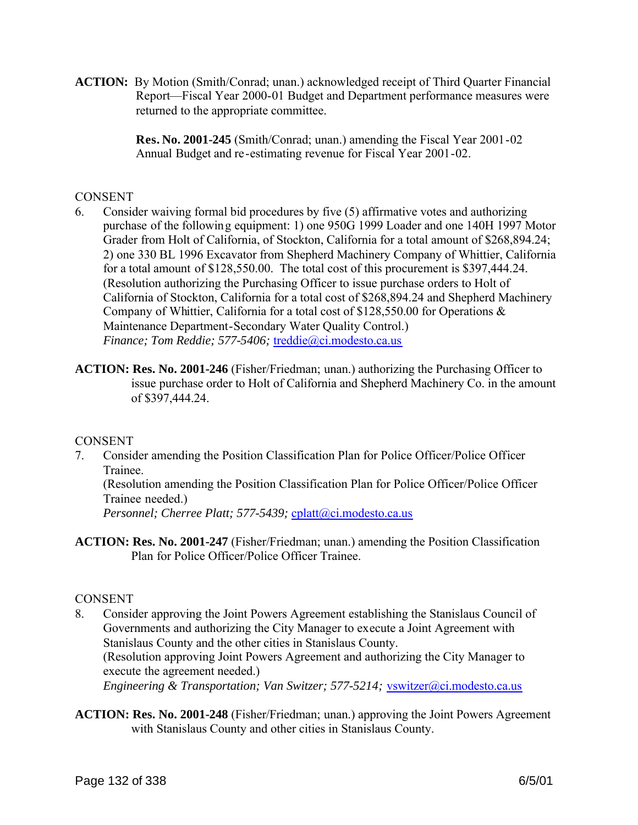**ACTION:** By Motion (Smith/Conrad; unan.) acknowledged receipt of Third Quarter Financial Report—Fiscal Year 2000-01 Budget and Department performance measures were returned to the appropriate committee.

> **Res. No. 2001-245** (Smith/Conrad; unan.) amending the Fiscal Year 2001-02 Annual Budget and re-estimating revenue for Fiscal Year 2001-02.

## **CONSENT**

- 6. Consider waiving formal bid procedures by five (5) affirmative votes and authorizing purchase of the following equipment: 1) one 950G 1999 Loader and one 140H 1997 Motor Grader from Holt of California, of Stockton, California for a total amount of \$268,894.24; 2) one 330 BL 1996 Excavator from Shepherd Machinery Company of Whittier, California for a total amount of \$128,550.00. The total cost of this procurement is \$397,444.24. (Resolution authorizing the Purchasing Officer to issue purchase orders to Holt of California of Stockton, California for a total cost of \$268,894.24 and Shepherd Machinery Company of Whittier, California for a total cost of \$128,550.00 for Operations & Maintenance Department-Secondary Water Quality Control.) *Finance; Tom Reddie; 577-5406;* treddie@ci.modesto.ca.us
- **ACTION: Res. No. 2001-246** (Fisher/Friedman; unan.) authorizing the Purchasing Officer to issue purchase order to Holt of California and Shepherd Machinery Co. in the amount of \$397,444.24.

# **CONSENT**

7. Consider amending the Position Classification Plan for Police Officer/Police Officer Trainee.

(Resolution amending the Position Classification Plan for Police Officer/Police Officer Trainee needed.)

Personnel; Cherree Platt; 577-5439; cplatt@ci.modesto.ca.us

**ACTION: Res. No. 2001-247** (Fisher/Friedman; unan.) amending the Position Classification Plan for Police Officer/Police Officer Trainee.

### **CONSENT**

- 8. Consider approving the Joint Powers Agreement establishing the Stanislaus Council of Governments and authorizing the City Manager to execute a Joint Agreement with Stanislaus County and the other cities in Stanislaus County. (Resolution approving Joint Powers Agreement and authorizing the City Manager to execute the agreement needed.) *Engineering & Transportation; Van Switzer; 577-5214;* vswitzer@ci.modesto.ca.us
- **ACTION: Res. No. 2001-248** (Fisher/Friedman; unan.) approving the Joint Powers Agreement with Stanislaus County and other cities in Stanislaus County.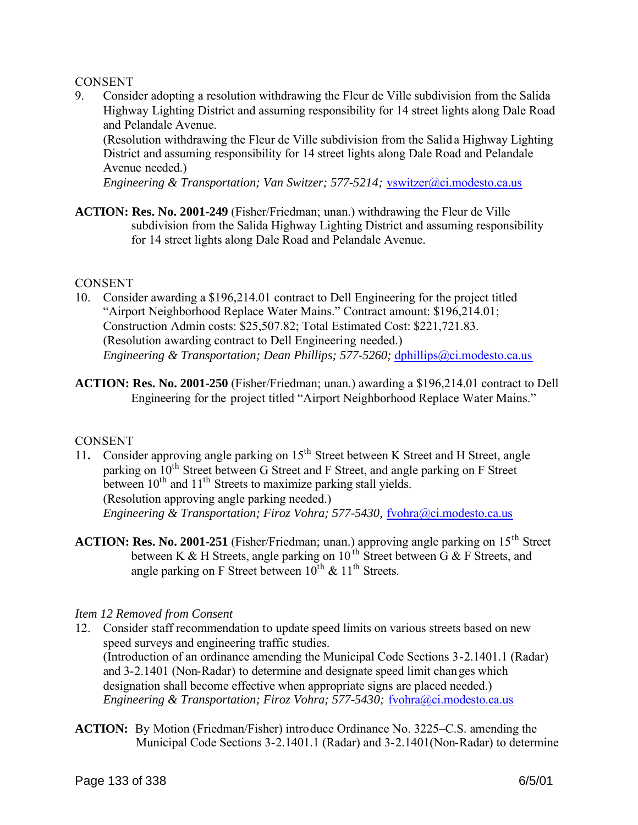### **CONSENT**

9. Consider adopting a resolution withdrawing the Fleur de Ville subdivision from the Salida Highway Lighting District and assuming responsibility for 14 street lights along Dale Road and Pelandale Avenue.

(Resolution withdrawing the Fleur de Ville subdivision from the Salid a Highway Lighting District and assuming responsibility for 14 street lights along Dale Road and Pelandale Avenue needed.)

*Engineering & Transportation; Van Switzer; 577-5214;* vswitzer@ci.modesto.ca.us

**ACTION: Res. No. 2001-249** (Fisher/Friedman; unan.) withdrawing the Fleur de Ville subdivision from the Salida Highway Lighting District and assuming responsibility for 14 street lights along Dale Road and Pelandale Avenue.

## **CONSENT**

- 10. Consider awarding a \$196,214.01 contract to Dell Engineering for the project titled "Airport Neighborhood Replace Water Mains." Contract amount: \$196,214.01; Construction Admin costs: \$25,507.82; Total Estimated Cost: \$221,721.83. (Resolution awarding contract to Dell Engineering needed.) *Engineering & Transportation; Dean Phillips; 577-5260; dphillips@ci.modesto.ca.us*
- **ACTION: Res. No. 2001-250** (Fisher/Friedman; unan.) awarding a \$196,214.01 contract to Dell Engineering for the project titled "Airport Neighborhood Replace Water Mains."

# CONSENT

- 11. Consider approving angle parking on 15<sup>th</sup> Street between K Street and H Street, angle parking on 10<sup>th</sup> Street between G Street and F Street, and angle parking on F Street between  $10^{th}$  and  $11^{th}$  Streets to maximize parking stall yields. (Resolution approving angle parking needed.) *Engineering & Transportation; Firoz Vohra; 577-5430, fvohra@ci.modesto.ca.us*
- **ACTION: Res. No. 2001-251** (Fisher/Friedman; unan.) approving angle parking on 15<sup>th</sup> Street between K & H Streets, angle parking on  $10^{th}$  Street between G & F Streets, and angle parking on F Street between  $10^{th}$  &  $11^{th}$  Streets.

### *Item 12 Removed from Consent*

- 12. Consider staff recommendation to update speed limits on various streets based on new speed surveys and engineering traffic studies. (Introduction of an ordinance amending the Municipal Code Sections 3-2.1401.1 (Radar) and 3-2.1401 (Non-Radar) to determine and designate speed limit changes which designation shall become effective when appropriate signs are placed needed.) *Engineering & Transportation; Firoz Vohra; 577-5430;* fvohra@ci.modesto.ca.us
- **ACTION:** By Motion (Friedman/Fisher) introduce Ordinance No. 3225–C.S. amending the Municipal Code Sections 3-2.1401.1 (Radar) and 3-2.1401(Non-Radar) to determine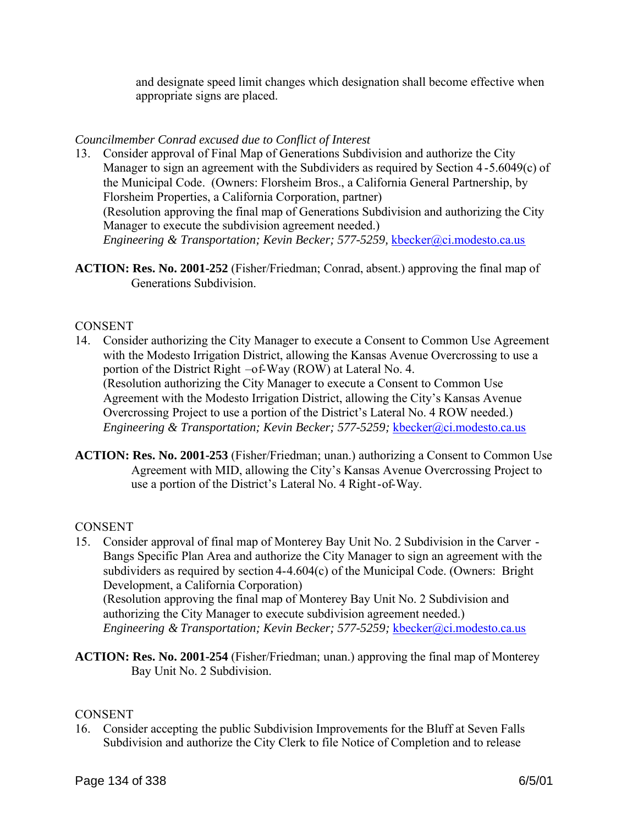and designate speed limit changes which designation shall become effective when appropriate signs are placed.

# *Councilmember Conrad excused due to Conflict of Interest*

- 13. Consider approval of Final Map of Generations Subdivision and authorize the City Manager to sign an agreement with the Subdividers as required by Section 4-5.6049(c) of the Municipal Code. (Owners: Florsheim Bros., a California General Partnership, by Florsheim Properties, a California Corporation, partner) (Resolution approving the final map of Generations Subdivision and authorizing the City Manager to execute the subdivision agreement needed.) *Engineering & Transportation; Kevin Becker; 577-5259, kbecker@ci.modesto.ca.us*
- **ACTION: Res. No. 2001-252** (Fisher/Friedman; Conrad, absent.) approving the final map of Generations Subdivision.

## **CONSENT**

- 14. Consider authorizing the City Manager to execute a Consent to Common Use Agreement with the Modesto Irrigation District, allowing the Kansas Avenue Overcrossing to use a portion of the District Right –of-Way (ROW) at Lateral No. 4. (Resolution authorizing the City Manager to execute a Consent to Common Use Agreement with the Modesto Irrigation District, allowing the City's Kansas Avenue Overcrossing Project to use a portion of the District's Lateral No. 4 ROW needed.) *Engineering & Transportation; Kevin Becker; 577-5259; kbecker@ci.modesto.ca.us*
- **ACTION: Res. No. 2001-253** (Fisher/Friedman; unan.) authorizing a Consent to Common Use Agreement with MID, allowing the City's Kansas Avenue Overcrossing Project to use a portion of the District's Lateral No. 4 Right-of-Way.

### **CONSENT**

- 15. Consider approval of final map of Monterey Bay Unit No. 2 Subdivision in the Carver Bangs Specific Plan Area and authorize the City Manager to sign an agreement with the subdividers as required by section 4-4.604(c) of the Municipal Code. (Owners: Bright Development, a California Corporation) (Resolution approving the final map of Monterey Bay Unit No. 2 Subdivision and authorizing the City Manager to execute subdivision agreement needed.) *Engineering & Transportation; Kevin Becker; 577-5259; kbecker@ci.modesto.ca.us*
- **ACTION: Res. No. 2001-254** (Fisher/Friedman; unan.) approving the final map of Monterey Bay Unit No. 2 Subdivision.

### **CONSENT**

16. Consider accepting the public Subdivision Improvements for the Bluff at Seven Falls Subdivision and authorize the City Clerk to file Notice of Completion and to release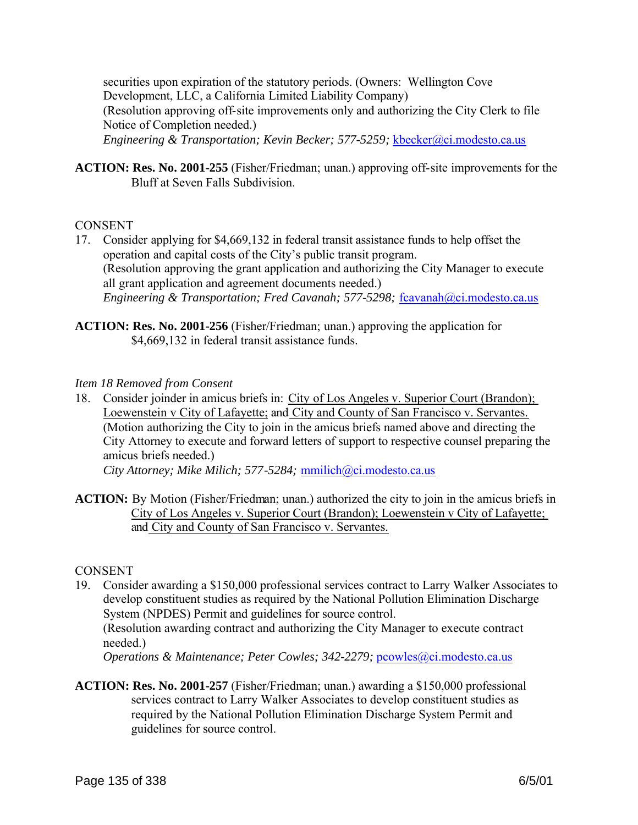securities upon expiration of the statutory periods. (Owners: Wellington Cove Development, LLC, a California Limited Liability Company) (Resolution approving off-site improvements only and authorizing the City Clerk to file Notice of Completion needed.) *Engineering & Transportation; Kevin Becker; 577-5259;* kbecker@ci.modesto.ca.us

**ACTION: Res. No. 2001-255** (Fisher/Friedman; unan.) approving off-site improvements for the Bluff at Seven Falls Subdivision.

### **CONSENT**

- 17. Consider applying for \$4,669,132 in federal transit assistance funds to help offset the operation and capital costs of the City's public transit program. (Resolution approving the grant application and authorizing the City Manager to execute all grant application and agreement documents needed.) *Engineering & Transportation; Fred Cavanah; 577-5298; fcavanah@ci.modesto.ca.us*
- **ACTION: Res. No. 2001-256** (Fisher/Friedman; unan.) approving the application for \$4,669,132 in federal transit assistance funds.

### *Item 18 Removed from Consent*

18. Consider joinder in amicus briefs in: City of Los Angeles v. Superior Court (Brandon); Loewenstein v City of Lafayette; and City and County of San Francisco v. Servantes. (Motion authorizing the City to join in the amicus briefs named above and directing the City Attorney to execute and forward letters of support to respective counsel preparing the amicus briefs needed.)

*City Attorney; Mike Milich; 577-5284;* mmilich@ci.modesto.ca.us

**ACTION:** By Motion (Fisher/Friedman; unan.) authorized the city to join in the amicus briefs in City of Los Angeles v. Superior Court (Brandon); Loewenstein v City of Lafayette; and City and County of San Francisco v. Servantes.

### **CONSENT**

19. Consider awarding a \$150,000 professional services contract to Larry Walker Associates to develop constituent studies as required by the National Pollution Elimination Discharge System (NPDES) Permit and guidelines for source control.

(Resolution awarding contract and authorizing the City Manager to execute contract needed.)

*Operations & Maintenance; Peter Cowles; 342-2279; pcowles@ci.modesto.ca.us* 

**ACTION: Res. No. 2001-257** (Fisher/Friedman; unan.) awarding a \$150,000 professional services contract to Larry Walker Associates to develop constituent studies as required by the National Pollution Elimination Discharge System Permit and guidelines for source control.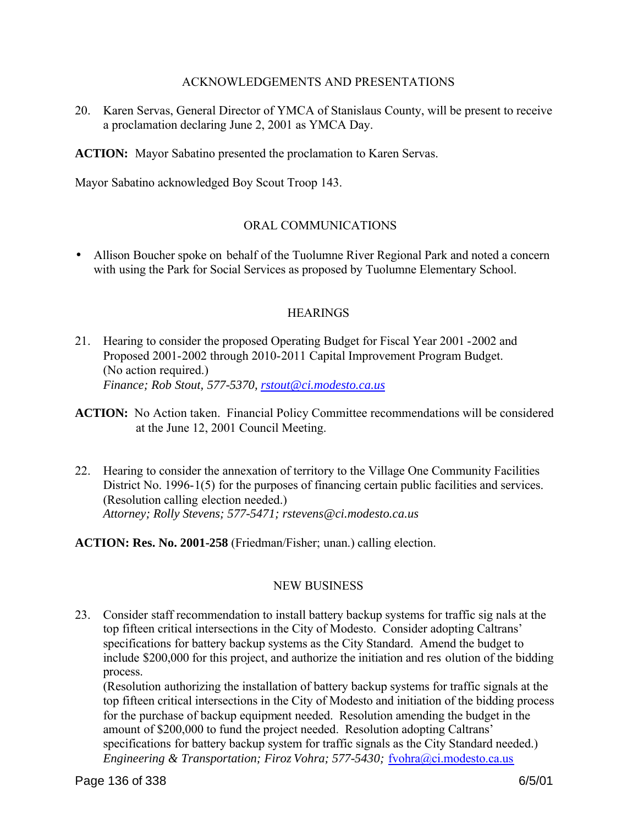### ACKNOWLEDGEMENTS AND PRESENTATIONS

20. Karen Servas, General Director of YMCA of Stanislaus County, will be present to receive a proclamation declaring June 2, 2001 as YMCA Day.

**ACTION:** Mayor Sabatino presented the proclamation to Karen Servas.

Mayor Sabatino acknowledged Boy Scout Troop 143.

## ORAL COMMUNICATIONS

• Allison Boucher spoke on behalf of the Tuolumne River Regional Park and noted a concern with using the Park for Social Services as proposed by Tuolumne Elementary School.

### **HEARINGS**

- 21. Hearing to consider the proposed Operating Budget for Fiscal Year 2001 -2002 and Proposed 2001-2002 through 2010-2011 Capital Improvement Program Budget. (No action required.) *Finance; Rob Stout, 577-5370, rstout@ci.modesto.ca.us*
- **ACTION:** No Action taken. Financial Policy Committee recommendations will be considered at the June 12, 2001 Council Meeting.
- 22. Hearing to consider the annexation of territory to the Village One Community Facilities District No. 1996-1(5) for the purposes of financing certain public facilities and services. (Resolution calling election needed.) *Attorney; Rolly Stevens; 577-5471; rstevens@ci.modesto.ca.us*

**ACTION: Res. No. 2001-258** (Friedman/Fisher; unan.) calling election.

### NEW BUSINESS

23. Consider staff recommendation to install battery backup systems for traffic sig nals at the top fifteen critical intersections in the City of Modesto. Consider adopting Caltrans' specifications for battery backup systems as the City Standard. Amend the budget to include \$200,000 for this project, and authorize the initiation and res olution of the bidding process.

(Resolution authorizing the installation of battery backup systems for traffic signals at the top fifteen critical intersections in the City of Modesto and initiation of the bidding process for the purchase of backup equipment needed. Resolution amending the budget in the amount of \$200,000 to fund the project needed. Resolution adopting Caltrans' specifications for battery backup system for traffic signals as the City Standard needed.) *Engineering & Transportation; Firoz Vohra; 577-5430; fvohra@ci.modesto.ca.us*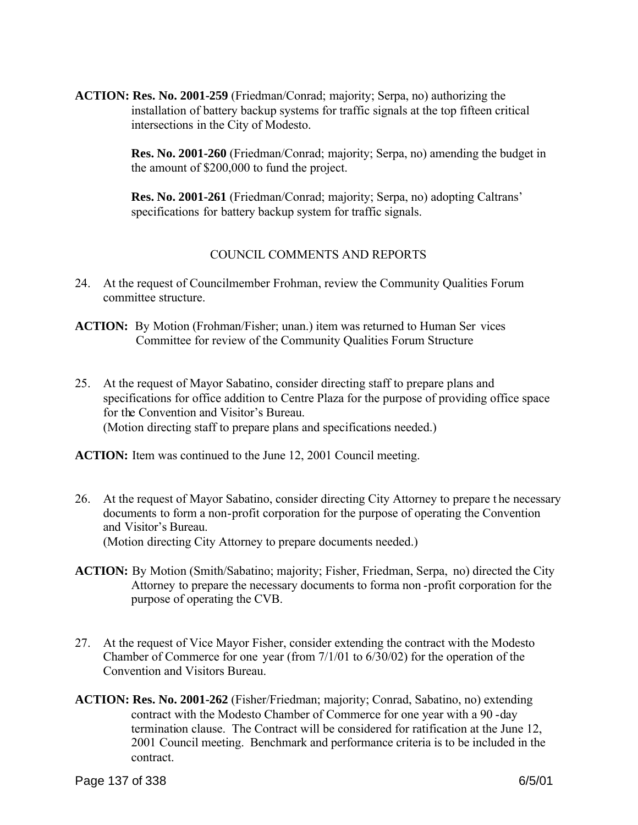**ACTION: Res. No. 2001-259** (Friedman/Conrad; majority; Serpa, no) authorizing the installation of battery backup systems for traffic signals at the top fifteen critical intersections in the City of Modesto.

> **Res. No. 2001-260** (Friedman/Conrad; majority; Serpa, no) amending the budget in the amount of \$200,000 to fund the project.

**Res. No. 2001-261** (Friedman/Conrad; majority; Serpa, no) adopting Caltrans' specifications for battery backup system for traffic signals.

## COUNCIL COMMENTS AND REPORTS

- 24. At the request of Councilmember Frohman, review the Community Qualities Forum committee structure.
- **ACTION:** By Motion (Frohman/Fisher; unan.) item was returned to Human Ser vices Committee for review of the Community Qualities Forum Structure
- 25. At the request of Mayor Sabatino, consider directing staff to prepare plans and specifications for office addition to Centre Plaza for the purpose of providing office space for the Convention and Visitor's Bureau. (Motion directing staff to prepare plans and specifications needed.)

**ACTION:** Item was continued to the June 12, 2001 Council meeting.

- 26. At the request of Mayor Sabatino, consider directing City Attorney to prepare t he necessary documents to form a non-profit corporation for the purpose of operating the Convention and Visitor's Bureau. (Motion directing City Attorney to prepare documents needed.)
- **ACTION:** By Motion (Smith/Sabatino; majority; Fisher, Friedman, Serpa, no) directed the City Attorney to prepare the necessary documents to forma non -profit corporation for the purpose of operating the CVB.
- 27. At the request of Vice Mayor Fisher, consider extending the contract with the Modesto Chamber of Commerce for one year (from 7/1/01 to 6/30/02) for the operation of the Convention and Visitors Bureau.
- **ACTION: Res. No. 2001-262** (Fisher/Friedman; majority; Conrad, Sabatino, no) extending contract with the Modesto Chamber of Commerce for one year with a 90 -day termination clause. The Contract will be considered for ratification at the June 12, 2001 Council meeting. Benchmark and performance criteria is to be included in the contract.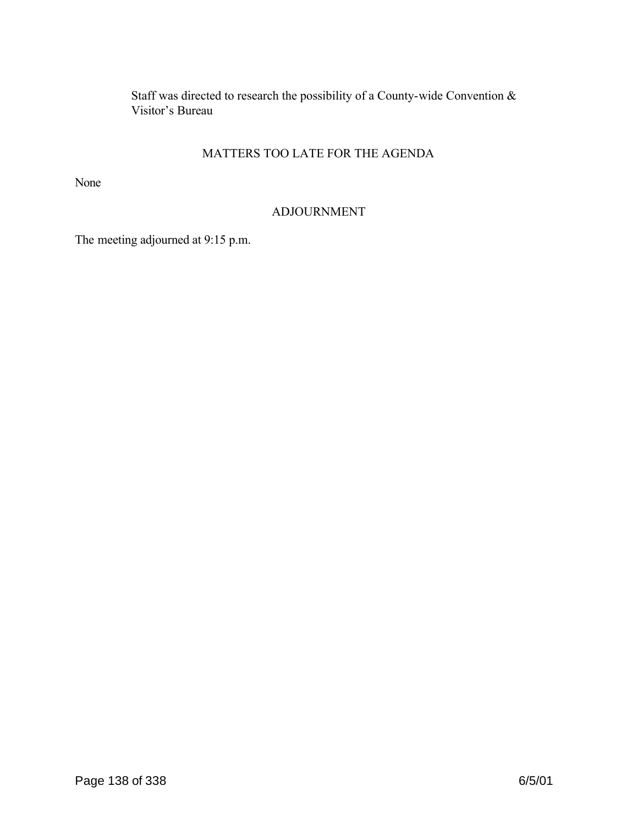Staff was directed to research the possibility of a County-wide Convention & Visitor's Bureau

# MATTERS TOO LATE FOR THE AGENDA

None

# ADJOURNMENT

The meeting adjourned at 9:15 p.m.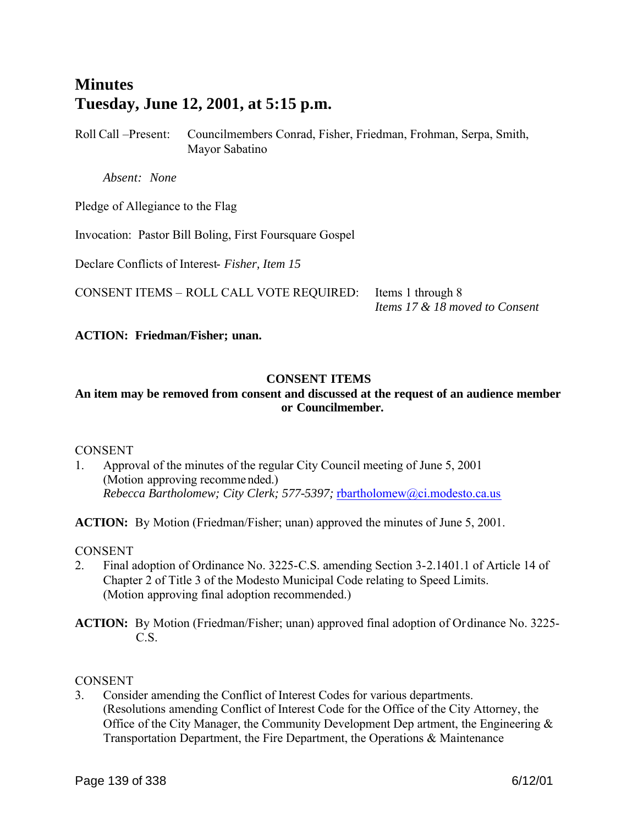# **Minutes Tuesday, June 12, 2001, at 5:15 p.m.**

Roll Call –Present: Councilmembers Conrad, Fisher, Friedman, Frohman, Serpa, Smith, Mayor Sabatino

 *Absent: None*

Pledge of Allegiance to the Flag

Invocation: Pastor Bill Boling, First Foursquare Gospel

Declare Conflicts of Interest- *Fisher, Item 15*

CONSENT ITEMS – ROLL CALL VOTE REQUIRED: Items 1 through 8

*Items 17 & 18 moved to Consent*

## **ACTION: Friedman/Fisher; unan.**

# **CONSENT ITEMS**

## **An item may be removed from consent and discussed at the request of an audience member or Councilmember.**

### **CONSENT**

1. Approval of the minutes of the regular City Council meeting of June 5, 2001 (Motion approving recomme nded.) *Rebecca Bartholomew; City Clerk; 577-5397;* rbartholomew@ci.modesto.ca.us

**ACTION:** By Motion (Friedman/Fisher; unan) approved the minutes of June 5, 2001.

#### **CONSENT**

- 2. Final adoption of Ordinance No. 3225-C.S. amending Section 3-2.1401.1 of Article 14 of Chapter 2 of Title 3 of the Modesto Municipal Code relating to Speed Limits. (Motion approving final adoption recommended.)
- **ACTION:** By Motion (Friedman/Fisher; unan) approved final adoption of Ordinance No. 3225- C.S.

### **CONSENT**

3. Consider amending the Conflict of Interest Codes for various departments. (Resolutions amending Conflict of Interest Code for the Office of the City Attorney, the Office of the City Manager, the Community Development Dep artment, the Engineering  $\&$ Transportation Department, the Fire Department, the Operations & Maintenance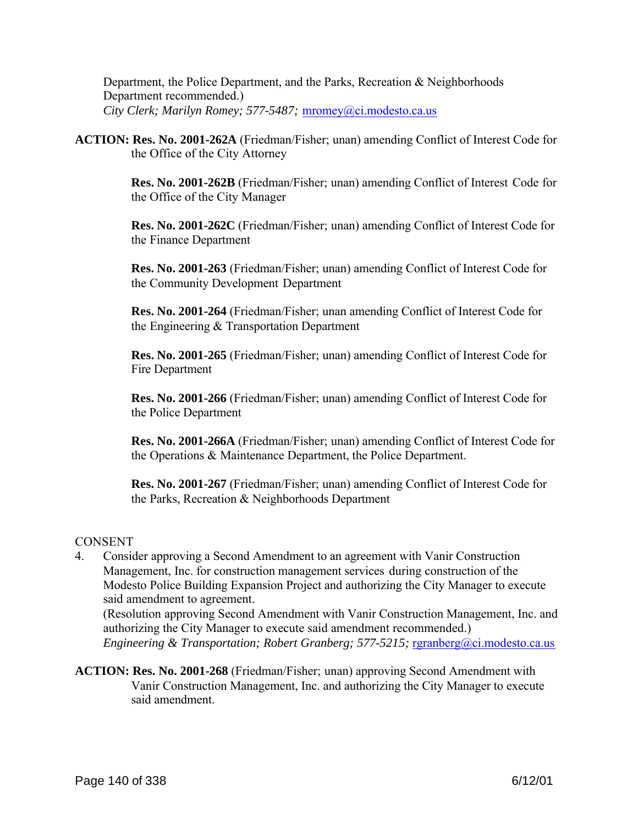Department, the Police Department, and the Parks, Recreation & Neighborhoods Department recommended.) *City Clerk; Marilyn Romey; 577-5487;* mromey@ci.modesto.ca.us

**ACTION: Res. No. 2001-262A** (Friedman/Fisher; unan) amending Conflict of Interest Code for the Office of the City Attorney

> **Res. No. 2001-262B** (Friedman/Fisher; unan) amending Conflict of Interest Code for the Office of the City Manager

> **Res. No. 2001-262C** (Friedman/Fisher; unan) amending Conflict of Interest Code for the Finance Department

**Res. No. 2001-263** (Friedman/Fisher; unan) amending Conflict of Interest Code for the Community Development Department

**Res. No. 2001-264** (Friedman/Fisher; unan amending Conflict of Interest Code for the Engineering & Transportation Department

**Res. No. 2001-265** (Friedman/Fisher; unan) amending Conflict of Interest Code for Fire Department

**Res. No. 2001-266** (Friedman/Fisher; unan) amending Conflict of Interest Code for the Police Department

**Res. No. 2001-266A** (Friedman/Fisher; unan) amending Conflict of Interest Code for the Operations & Maintenance Department, the Police Department.

**Res. No. 2001-267** (Friedman/Fisher; unan) amending Conflict of Interest Code for the Parks, Recreation & Neighborhoods Department

# **CONSENT**

4. Consider approving a Second Amendment to an agreement with Vanir Construction Management, Inc. for construction management services during construction of the Modesto Police Building Expansion Project and authorizing the City Manager to execute said amendment to agreement.

(Resolution approving Second Amendment with Vanir Construction Management, Inc. and authorizing the City Manager to execute said amendment recommended.) *Engineering & Transportation; Robert Granberg; 577-5215; rgranberg@ci.modesto.ca.us* 

**ACTION: Res. No. 2001-268** (Friedman/Fisher; unan) approving Second Amendment with Vanir Construction Management, Inc. and authorizing the City Manager to execute said amendment.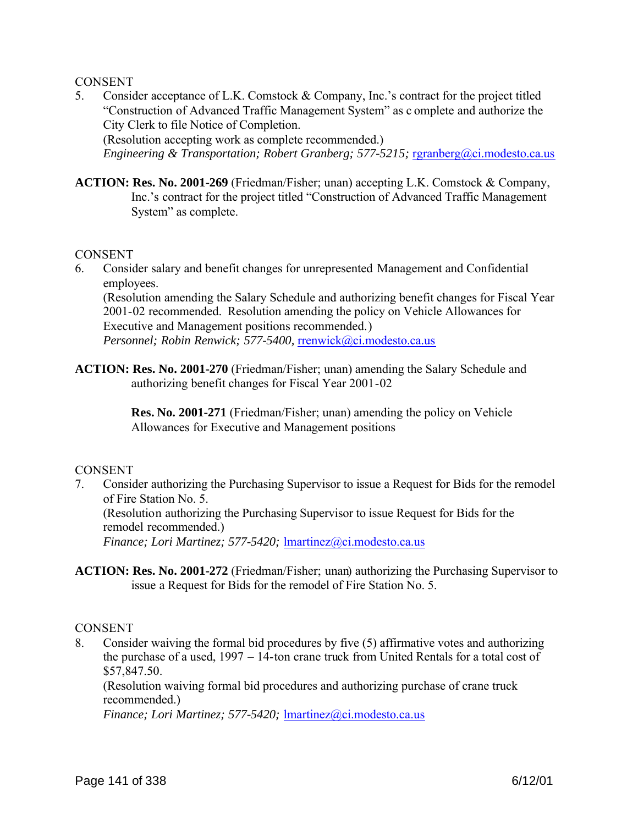### **CONSENT**

5. Consider acceptance of L.K. Comstock & Company, Inc.'s contract for the project titled "Construction of Advanced Traffic Management System" as c omplete and authorize the City Clerk to file Notice of Completion. (Resolution accepting work as complete recommended.)

*Engineering & Transportation; Robert Granberg; 577-5215; rgranberg@ci.modesto.ca.us* 

**ACTION: Res. No. 2001-269** (Friedman/Fisher; unan) accepting L.K. Comstock & Company, Inc.'s contract for the project titled "Construction of Advanced Traffic Management System" as complete.

#### **CONSENT**

6. Consider salary and benefit changes for unrepresented Management and Confidential employees.

(Resolution amending the Salary Schedule and authorizing benefit changes for Fiscal Year 2001-02 recommended. Resolution amending the policy on Vehicle Allowances for Executive and Management positions recommended.) *Personnel; Robin Renwick; 577-5400,* rrenwick@ci.modesto.ca.us

**ACTION: Res. No. 2001-270** (Friedman/Fisher; unan) amending the Salary Schedule and authorizing benefit changes for Fiscal Year 2001-02

> **Res. No. 2001-271** (Friedman/Fisher; unan) amending the policy on Vehicle Allowances for Executive and Management positions

#### **CONSENT**

7. Consider authorizing the Purchasing Supervisor to issue a Request for Bids for the remodel of Fire Station No. 5.

(Resolution authorizing the Purchasing Supervisor to issue Request for Bids for the remodel recommended.)

*Finance; Lori Martinez; 577-5420; Imartinez@ci.modesto.ca.us* 

**ACTION: Res. No. 2001-272** (Friedman/Fisher; unan) authorizing the Purchasing Supervisor to issue a Request for Bids for the remodel of Fire Station No. 5.

#### **CONSENT**

8. Consider waiving the formal bid procedures by five (5) affirmative votes and authorizing the purchase of a used, 1997 – 14-ton crane truck from United Rentals for a total cost of \$57,847.50.

(Resolution waiving formal bid procedures and authorizing purchase of crane truck recommended.)

*Finance; Lori Martinez; 577-5420;* lmartinez@ci.modesto.ca.us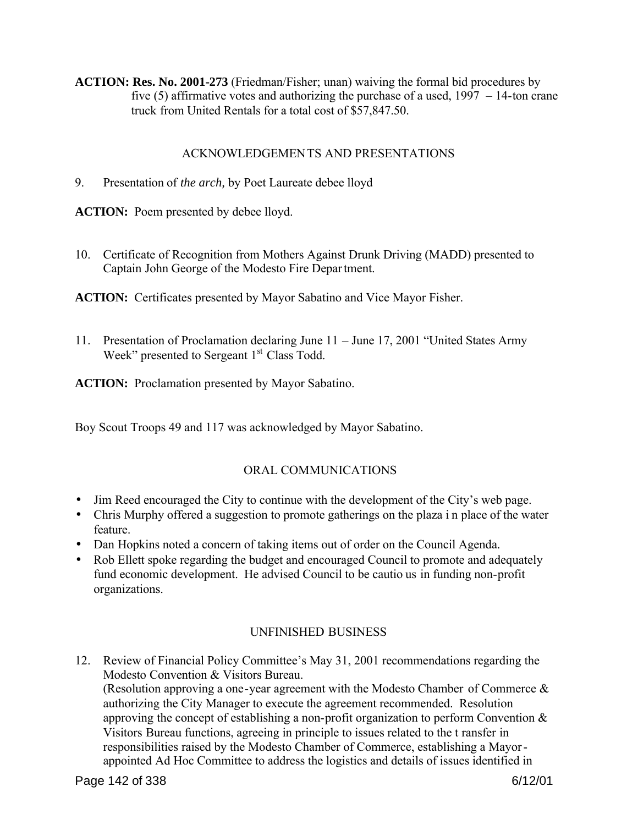**ACTION: Res. No. 2001-273** (Friedman/Fisher; unan) waiving the formal bid procedures by five  $(5)$  affirmative votes and authorizing the purchase of a used,  $1997 - 14$ -ton crane truck from United Rentals for a total cost of \$57,847.50.

# ACKNOWLEDGEMENTS AND PRESENTATIONS

9. Presentation of *the arch,* by Poet Laureate debee lloyd

**ACTION:** Poem presented by debee lloyd.

10. Certificate of Recognition from Mothers Against Drunk Driving (MADD) presented to Captain John George of the Modesto Fire Department.

**ACTION:** Certificates presented by Mayor Sabatino and Vice Mayor Fisher.

11. Presentation of Proclamation declaring June 11 – June 17, 2001 "United States Army Week" presented to Sergeant  $1<sup>st</sup>$  Class Todd.

**ACTION:** Proclamation presented by Mayor Sabatino.

Boy Scout Troops 49 and 117 was acknowledged by Mayor Sabatino.

# ORAL COMMUNICATIONS

- Jim Reed encouraged the City to continue with the development of the City's web page.
- Chris Murphy offered a suggestion to promote gatherings on the plaza i n place of the water feature.
- Dan Hopkins noted a concern of taking items out of order on the Council Agenda.
- Rob Ellett spoke regarding the budget and encouraged Council to promote and adequately fund economic development. He advised Council to be cautio us in funding non-profit organizations.

# UNFINISHED BUSINESS

12. Review of Financial Policy Committee's May 31, 2001 recommendations regarding the Modesto Convention & Visitors Bureau. (Resolution approving a one-year agreement with the Modesto Chamber of Commerce & authorizing the City Manager to execute the agreement recommended. Resolution approving the concept of establishing a non-profit organization to perform Convention & Visitors Bureau functions, agreeing in principle to issues related to the t ransfer in responsibilities raised by the Modesto Chamber of Commerce, establishing a Mayorappointed Ad Hoc Committee to address the logistics and details of issues identified in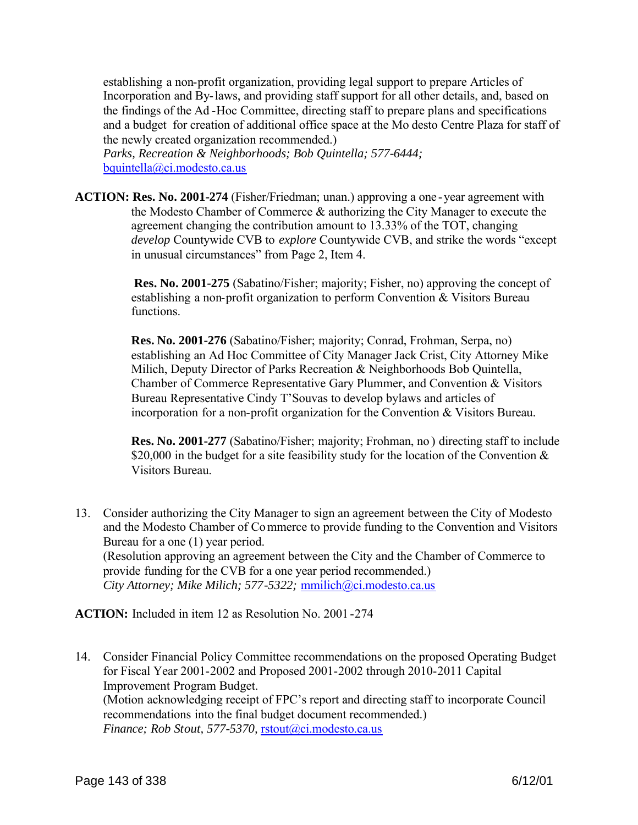establishing a non-profit organization, providing legal support to prepare Articles of Incorporation and By-laws, and providing staff support for all other details, and, based on the findings of the Ad -Hoc Committee, directing staff to prepare plans and specifications and a budget for creation of additional office space at the Mo desto Centre Plaza for staff of the newly created organization recommended.)

*Parks, Recreation & Neighborhoods; Bob Quintella; 577-6444;*  bquintella@ci.modesto.ca.us

**ACTION: Res. No. 2001-274** (Fisher/Friedman; unan.) approving a one -year agreement with the Modesto Chamber of Commerce & authorizing the City Manager to execute the agreement changing the contribution amount to 13.33% of the TOT, changing *develop* Countywide CVB to *explore* Countywide CVB, and strike the words "except in unusual circumstances" from Page 2, Item 4.

> **Res. No. 2001-275** (Sabatino/Fisher; majority; Fisher, no) approving the concept of establishing a non-profit organization to perform Convention & Visitors Bureau functions.

> **Res. No. 2001-276** (Sabatino/Fisher; majority; Conrad, Frohman, Serpa, no) establishing an Ad Hoc Committee of City Manager Jack Crist, City Attorney Mike Milich, Deputy Director of Parks Recreation & Neighborhoods Bob Quintella, Chamber of Commerce Representative Gary Plummer, and Convention & Visitors Bureau Representative Cindy T'Souvas to develop bylaws and articles of incorporation for a non-profit organization for the Convention & Visitors Bureau.

 **Res. No. 2001-277** (Sabatino/Fisher; majority; Frohman, no ) directing staff to include \$20,000 in the budget for a site feasibility study for the location of the Convention  $\&$ Visitors Bureau.

13. Consider authorizing the City Manager to sign an agreement between the City of Modesto and the Modesto Chamber of Commerce to provide funding to the Convention and Visitors Bureau for a one (1) year period. (Resolution approving an agreement between the City and the Chamber of Commerce to provide funding for the CVB for a one year period recommended.) *City Attorney; Mike Milich; 577-5322;* mmilich@ci.modesto.ca.us

**ACTION:** Included in item 12 as Resolution No. 2001 -274

14. Consider Financial Policy Committee recommendations on the proposed Operating Budget for Fiscal Year 2001-2002 and Proposed 2001-2002 through 2010-2011 Capital Improvement Program Budget. (Motion acknowledging receipt of FPC's report and directing staff to incorporate Council recommendations into the final budget document recommended.) *Finance; Rob Stout, 577-5370,* rstout@ci.modesto.ca.us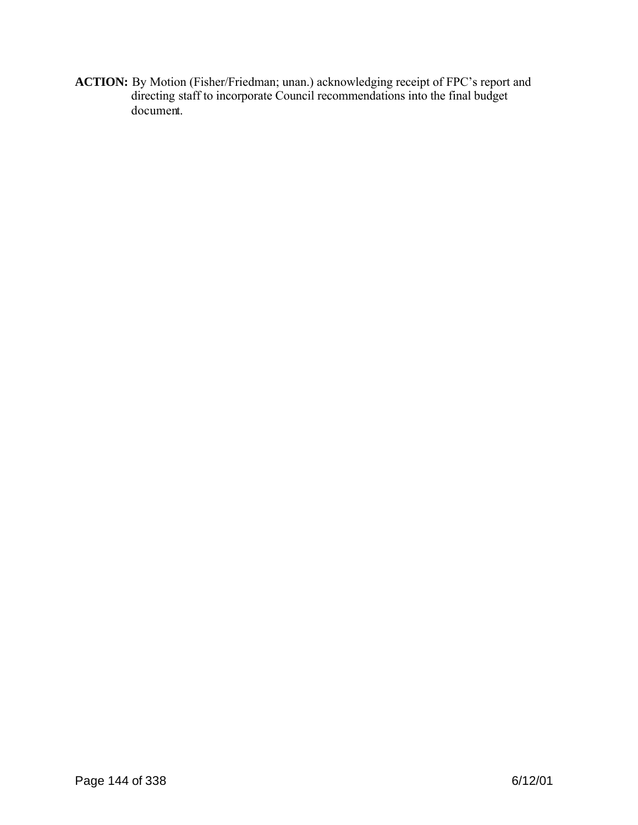**ACTION:** By Motion (Fisher/Friedman; unan.) acknowledging receipt of FPC's report and directing staff to incorporate Council recommendations into the final budget document.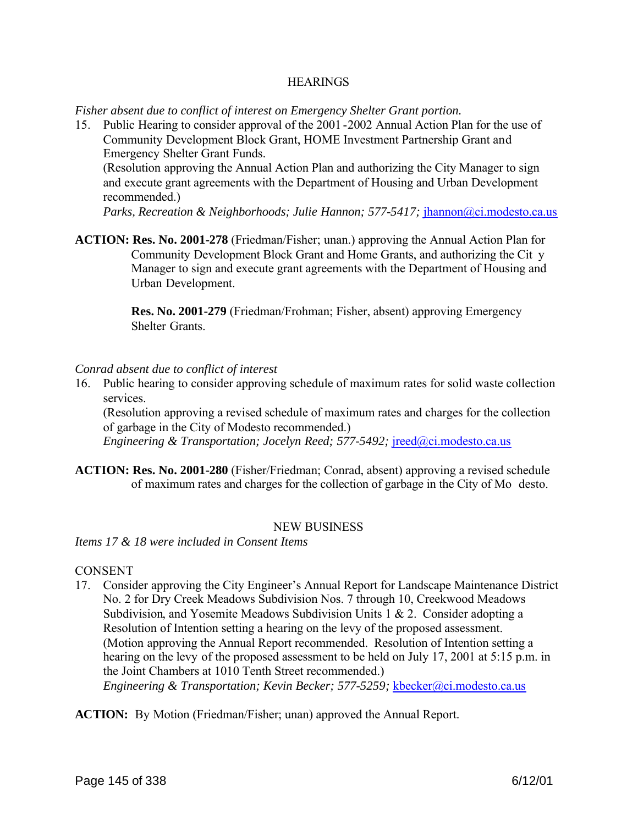#### **HEARINGS**

*Fisher absent due to conflict of interest on Emergency Shelter Grant portion.*

15. Public Hearing to consider approval of the 2001 -2002 Annual Action Plan for the use of Community Development Block Grant, HOME Investment Partnership Grant and Emergency Shelter Grant Funds.

(Resolution approving the Annual Action Plan and authorizing the City Manager to sign and execute grant agreements with the Department of Housing and Urban Development recommended.)

*Parks, Recreation & Neighborhoods; Julie Hannon; 577-5417; jhannon@ci.modesto.ca.us* 

**ACTION: Res. No. 2001-278** (Friedman/Fisher; unan.) approving the Annual Action Plan for Community Development Block Grant and Home Grants, and authorizing the Cit y Manager to sign and execute grant agreements with the Department of Housing and Urban Development.

> **Res. No. 2001-279** (Friedman/Frohman; Fisher, absent) approving Emergency Shelter Grants.

#### *Conrad absent due to conflict of interest*

16. Public hearing to consider approving schedule of maximum rates for solid waste collection services.

(Resolution approving a revised schedule of maximum rates and charges for the collection of garbage in the City of Modesto recommended.)

*Engineering & Transportation; Jocelyn Reed; 577-5492; jreed@ci.modesto.ca.us* 

**ACTION: Res. No. 2001-280** (Fisher/Friedman; Conrad, absent) approving a revised schedule of maximum rates and charges for the collection of garbage in the City of Mo desto.

#### NEW BUSINESS

*Items 17 & 18 were included in Consent Items*

#### **CONSENT**

17. Consider approving the City Engineer's Annual Report for Landscape Maintenance District No. 2 for Dry Creek Meadows Subdivision Nos. 7 through 10, Creekwood Meadows Subdivision, and Yosemite Meadows Subdivision Units 1 & 2. Consider adopting a Resolution of Intention setting a hearing on the levy of the proposed assessment. (Motion approving the Annual Report recommended. Resolution of Intention setting a hearing on the levy of the proposed assessment to be held on July 17, 2001 at 5:15 p.m. in the Joint Chambers at 1010 Tenth Street recommended.)

*Engineering & Transportation; Kevin Becker; 577-5259;* kbecker@ci.modesto.ca.us

**ACTION:** By Motion (Friedman/Fisher; unan) approved the Annual Report.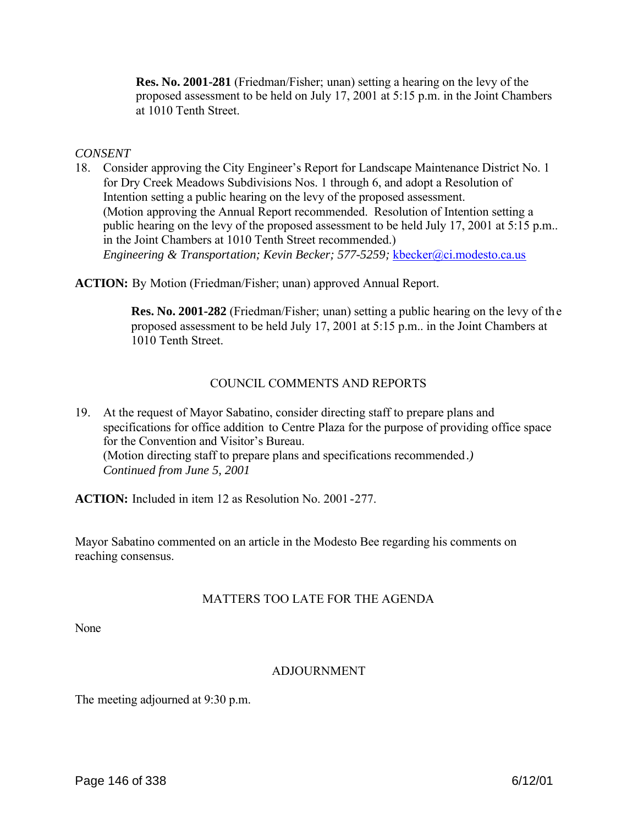**Res. No. 2001-281** (Friedman/Fisher; unan) setting a hearing on the levy of the proposed assessment to be held on July 17, 2001 at 5:15 p.m. in the Joint Chambers at 1010 Tenth Street.

#### *CONSENT*

18. Consider approving the City Engineer's Report for Landscape Maintenance District No. 1 for Dry Creek Meadows Subdivisions Nos. 1 through 6, and adopt a Resolution of Intention setting a public hearing on the levy of the proposed assessment. (Motion approving the Annual Report recommended. Resolution of Intention setting a public hearing on the levy of the proposed assessment to be held July 17, 2001 at 5:15 p.m.. in the Joint Chambers at 1010 Tenth Street recommended.) *Engineering & Transportation; Kevin Becker; 577-5259;* kbecker@ci.modesto.ca.us

**ACTION:** By Motion (Friedman/Fisher; unan) approved Annual Report.

**Res. No. 2001-282** (Friedman/Fisher; unan) setting a public hearing on the levy of the proposed assessment to be held July 17, 2001 at 5:15 p.m.. in the Joint Chambers at 1010 Tenth Street.

#### COUNCIL COMMENTS AND REPORTS

19. At the request of Mayor Sabatino, consider directing staff to prepare plans and specifications for office addition to Centre Plaza for the purpose of providing office space for the Convention and Visitor's Bureau. (Motion directing staff to prepare plans and specifications recommended *.) Continued from June 5, 2001* 

**ACTION:** Included in item 12 as Resolution No. 2001 -277.

Mayor Sabatino commented on an article in the Modesto Bee regarding his comments on reaching consensus.

#### MATTERS TOO LATE FOR THE AGENDA

None

#### ADJOURNMENT

The meeting adjourned at 9:30 p.m.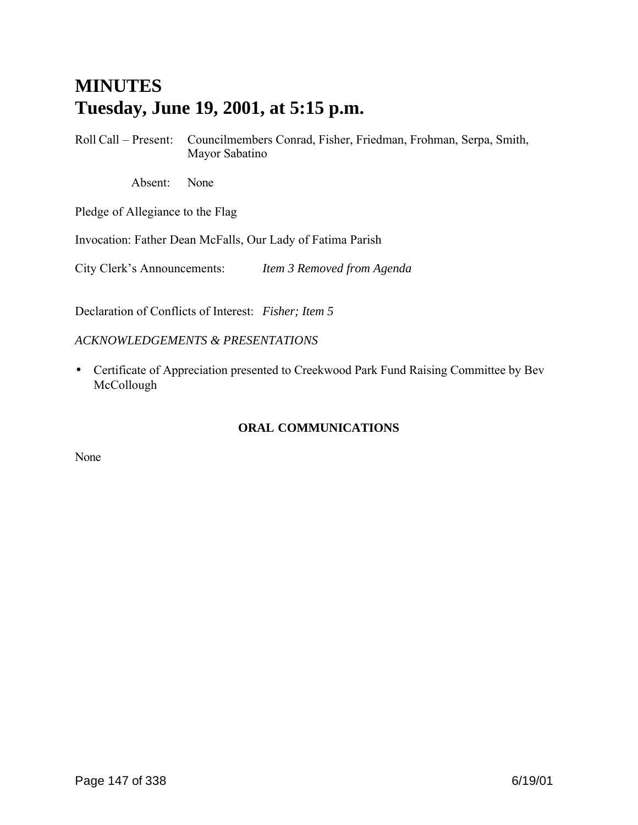# **MINUTES Tuesday, June 19, 2001, at 5:15 p.m.**

Roll Call – Present: Councilmembers Conrad, Fisher, Friedman, Frohman, Serpa, Smith, Mayor Sabatino

Absent: None

Pledge of Allegiance to the Flag

Invocation: Father Dean McFalls, Our Lady of Fatima Parish

City Clerk's Announcements: *Item 3 Removed from Agenda*

Declaration of Conflicts of Interest: *Fisher; Item 5*

#### *ACKNOWLEDGEMENTS & PRESENTATIONS*

• Certificate of Appreciation presented to Creekwood Park Fund Raising Committee by Bev McCollough

#### **ORAL COMMUNICATIONS**

None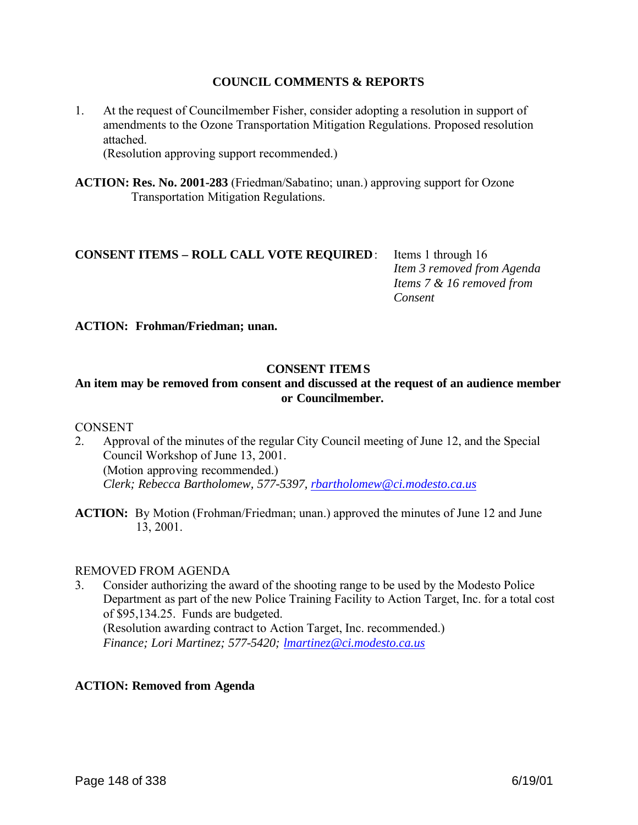#### **COUNCIL COMMENTS & REPORTS**

1. At the request of Councilmember Fisher, consider adopting a resolution in support of amendments to the Ozone Transportation Mitigation Regulations. Proposed resolution attached.

(Resolution approving support recommended.)

**ACTION: Res. No. 2001-283** (Friedman/Sabatino; unan.) approving support for Ozone Transportation Mitigation Regulations.

# **CONSENT ITEMS – ROLL CALL VOTE REQUIRED**: Items 1 through 16

 *Item 3 removed from Agenda Items 7 & 16 removed from Consent*

**ACTION: Frohman/Friedman; unan.**

#### **CONSENT ITEMS**

#### **An item may be removed from consent and discussed at the request of an audience member or Councilmember.**

#### **CONSENT**

- 2. Approval of the minutes of the regular City Council meeting of June 12, and the Special Council Workshop of June 13, 2001. (Motion approving recommended.) *Clerk; Rebecca Bartholomew, 577-5397, rbartholomew@ci.modesto.ca.us*
- **ACTION:** By Motion (Frohman/Friedman; unan.) approved the minutes of June 12 and June 13, 2001.

#### REMOVED FROM AGENDA

3. Consider authorizing the award of the shooting range to be used by the Modesto Police Department as part of the new Police Training Facility to Action Target, Inc. for a total cost of \$95,134.25. Funds are budgeted. (Resolution awarding contract to Action Target, Inc. recommended.) *Finance; Lori Martinez; 577-5420; lmartinez@ci.modesto.ca.us*

#### **ACTION: Removed from Agenda**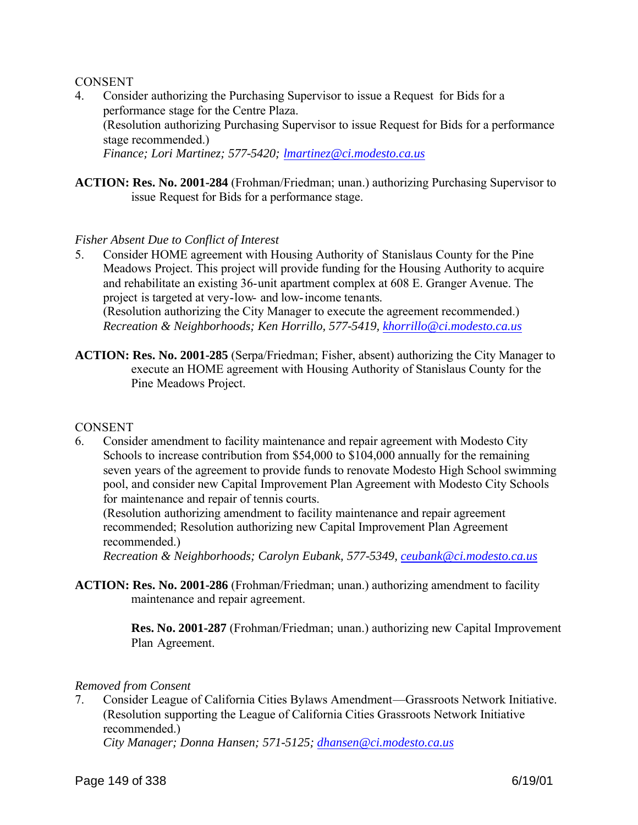#### **CONSENT**

- 4. Consider authorizing the Purchasing Supervisor to issue a Request for Bids for a performance stage for the Centre Plaza. (Resolution authorizing Purchasing Supervisor to issue Request for Bids for a performance stage recommended.) *Finance; Lori Martinez; 577-5420; lmartinez@ci.modesto.ca.us*
- **ACTION: Res. No. 2001-284** (Frohman/Friedman; unan.) authorizing Purchasing Supervisor to issue Request for Bids for a performance stage.

#### *Fisher Absent Due to Conflict of Interest*

- 5. Consider HOME agreement with Housing Authority of Stanislaus County for the Pine Meadows Project. This project will provide funding for the Housing Authority to acquire and rehabilitate an existing 36-unit apartment complex at 608 E. Granger Avenue. The project is targeted at very-low- and low-income tenants. (Resolution authorizing the City Manager to execute the agreement recommended.) *Recreation & Neighborhoods; Ken Horrillo, 577-5419, khorrillo@ci.modesto.ca.us*
- **ACTION: Res. No. 2001-285** (Serpa/Friedman; Fisher, absent) authorizing the City Manager to execute an HOME agreement with Housing Authority of Stanislaus County for the Pine Meadows Project.

#### **CONSENT**

6. Consider amendment to facility maintenance and repair agreement with Modesto City Schools to increase contribution from \$54,000 to \$104,000 annually for the remaining seven years of the agreement to provide funds to renovate Modesto High School swimming pool, and consider new Capital Improvement Plan Agreement with Modesto City Schools for maintenance and repair of tennis courts.

(Resolution authorizing amendment to facility maintenance and repair agreement recommended; Resolution authorizing new Capital Improvement Plan Agreement recommended.)

*Recreation & Neighborhoods; Carolyn Eubank, 577-5349, ceubank@ci.modesto.ca.us*

**ACTION: Res. No. 2001-286** (Frohman/Friedman; unan.) authorizing amendment to facility maintenance and repair agreement.

> **Res. No. 2001-287** (Frohman/Friedman; unan.) authorizing new Capital Improvement Plan Agreement.

#### *Removed from Consent*

7. Consider League of California Cities Bylaws Amendment—Grassroots Network Initiative. (Resolution supporting the League of California Cities Grassroots Network Initiative recommended.)

*City Manager; Donna Hansen; 571-5125; dhansen@ci.modesto.ca.us*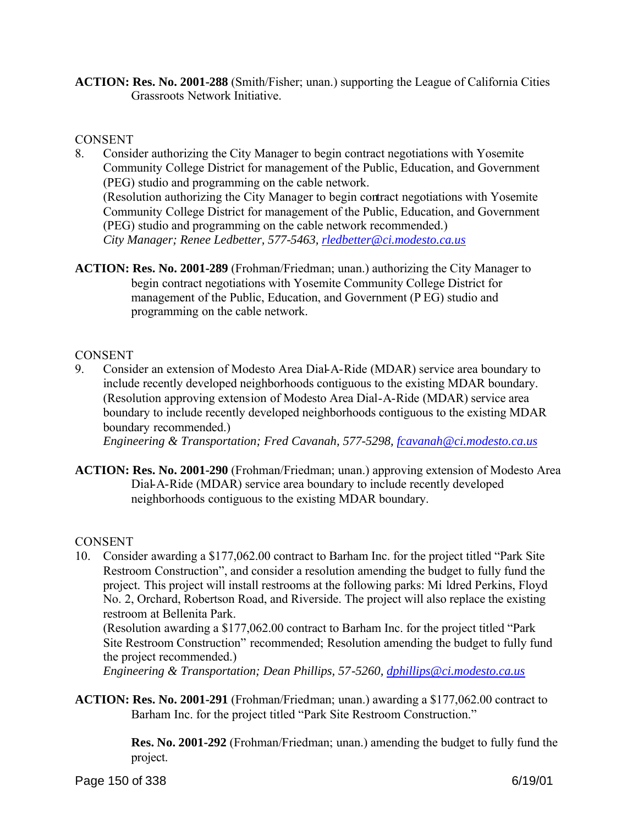**ACTION: Res. No. 2001-288** (Smith/Fisher; unan.) supporting the League of California Cities Grassroots Network Initiative.

#### **CONSENT**

- 8. Consider authorizing the City Manager to begin contract negotiations with Yosemite Community College District for management of the Public, Education, and Government (PEG) studio and programming on the cable network. (Resolution authorizing the City Manager to begin contract negotiations with Yosemite Community College District for management of the Public, Education, and Government (PEG) studio and programming on the cable network recommended.) *City Manager; Renee Ledbetter, 577-5463, rledbetter@ci.modesto.ca.us*
- **ACTION: Res. No. 2001-289** (Frohman/Friedman; unan.) authorizing the City Manager to begin contract negotiations with Yosemite Community College District for management of the Public, Education, and Government (P EG) studio and programming on the cable network.

#### **CONSENT**

9. Consider an extension of Modesto Area Dial-A-Ride (MDAR) service area boundary to include recently developed neighborhoods contiguous to the existing MDAR boundary. (Resolution approving extension of Modesto Area Dial-A-Ride (MDAR) service area boundary to include recently developed neighborhoods contiguous to the existing MDAR boundary recommended.)

*Engineering & Transportation; Fred Cavanah, 577-5298, fcavanah@ci.modesto.ca.us*

**ACTION: Res. No. 2001-290** (Frohman/Friedman; unan.) approving extension of Modesto Area Dial-A-Ride (MDAR) service area boundary to include recently developed neighborhoods contiguous to the existing MDAR boundary.

#### CONSENT

10. Consider awarding a \$177,062.00 contract to Barham Inc. for the project titled "Park Site Restroom Construction", and consider a resolution amending the budget to fully fund the project. This project will install restrooms at the following parks: Mi ldred Perkins, Floyd No. 2, Orchard, Robertson Road, and Riverside. The project will also replace the existing restroom at Bellenita Park.

(Resolution awarding a \$177,062.00 contract to Barham Inc. for the project titled "Park Site Restroom Construction" recommended; Resolution amending the budget to fully fund the project recommended.)

*Engineering & Transportation; Dean Phillips, 57-5260, dphillips@ci.modesto.ca.us*

**ACTION: Res. No. 2001-291** (Frohman/Friedman; unan.) awarding a \$177,062.00 contract to Barham Inc. for the project titled "Park Site Restroom Construction."

> **Res. No. 2001-292** (Frohman/Friedman; unan.) amending the budget to fully fund the project.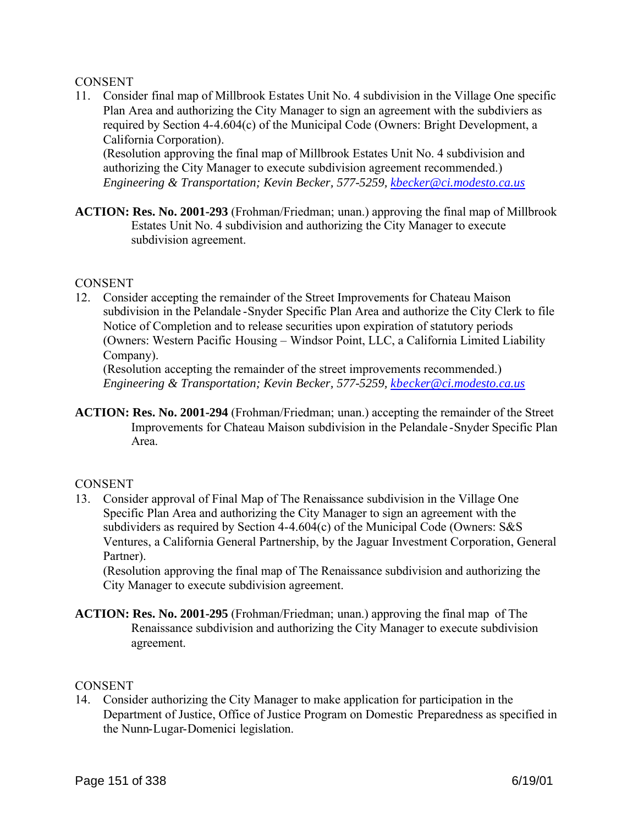#### **CONSENT**

11. Consider final map of Millbrook Estates Unit No. 4 subdivision in the Village One specific Plan Area and authorizing the City Manager to sign an agreement with the subdiviers as required by Section 4-4.604(c) of the Municipal Code (Owners: Bright Development, a California Corporation).

(Resolution approving the final map of Millbrook Estates Unit No. 4 subdivision and authorizing the City Manager to execute subdivision agreement recommended.) *Engineering & Transportation; Kevin Becker, 577-5259, kbecker@ci.modesto.ca.us*

**ACTION: Res. No. 2001-293** (Frohman/Friedman; unan.) approving the final map of Millbrook Estates Unit No. 4 subdivision and authorizing the City Manager to execute subdivision agreement.

#### **CONSENT**

12. Consider accepting the remainder of the Street Improvements for Chateau Maison subdivision in the Pelandale -Snyder Specific Plan Area and authorize the City Clerk to file Notice of Completion and to release securities upon expiration of statutory periods (Owners: Western Pacific Housing – Windsor Point, LLC, a California Limited Liability Company).

(Resolution accepting the remainder of the street improvements recommended.) *Engineering & Transportation; Kevin Becker, 577-5259, kbecker@ci.modesto.ca.us*

**ACTION: Res. No. 2001-294** (Frohman/Friedman; unan.) accepting the remainder of the Street Improvements for Chateau Maison subdivision in the Pelandale -Snyder Specific Plan Area.

#### **CONSENT**

13. Consider approval of Final Map of The Renaissance subdivision in the Village One Specific Plan Area and authorizing the City Manager to sign an agreement with the subdividers as required by Section 4-4.604(c) of the Municipal Code (Owners: S&S Ventures, a California General Partnership, by the Jaguar Investment Corporation, General Partner).

(Resolution approving the final map of The Renaissance subdivision and authorizing the City Manager to execute subdivision agreement.

**ACTION: Res. No. 2001-295** (Frohman/Friedman; unan.) approving the final map of The Renaissance subdivision and authorizing the City Manager to execute subdivision agreement.

#### **CONSENT**

14. Consider authorizing the City Manager to make application for participation in the Department of Justice, Office of Justice Program on Domestic Preparedness as specified in the Nunn-Lugar-Domenici legislation.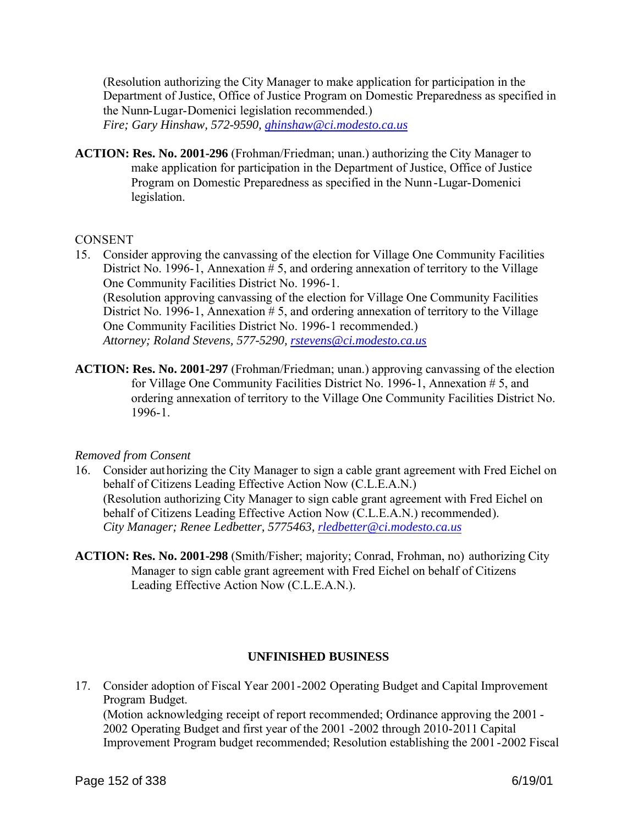(Resolution authorizing the City Manager to make application for participation in the Department of Justice, Office of Justice Program on Domestic Preparedness as specified in the Nunn-Lugar-Domenici legislation recommended.) *Fire; Gary Hinshaw, 572-9590, ghinshaw@ci.modesto.ca.us*

**ACTION: Res. No. 2001-296** (Frohman/Friedman; unan.) authorizing the City Manager to make application for participation in the Department of Justice, Office of Justice Program on Domestic Preparedness as specified in the Nunn-Lugar-Domenici legislation.

#### **CONSENT**

- 15. Consider approving the canvassing of the election for Village One Community Facilities District No. 1996-1, Annexation # 5, and ordering annexation of territory to the Village One Community Facilities District No. 1996-1. (Resolution approving canvassing of the election for Village One Community Facilities District No. 1996-1, Annexation # 5, and ordering annexation of territory to the Village One Community Facilities District No. 1996-1 recommended.) *Attorney; Roland Stevens, 577-5290, rstevens@ci.modesto.ca.us*
- **ACTION: Res. No. 2001-297** (Frohman/Friedman; unan.) approving canvassing of the election for Village One Community Facilities District No. 1996-1, Annexation # 5, and ordering annexation of territory to the Village One Community Facilities District No. 1996-1.

#### *Removed from Consent*

- 16. Consider authorizing the City Manager to sign a cable grant agreement with Fred Eichel on behalf of Citizens Leading Effective Action Now (C.L.E.A.N.) (Resolution authorizing City Manager to sign cable grant agreement with Fred Eichel on behalf of Citizens Leading Effective Action Now (C.L.E.A.N.) recommended). *City Manager; Renee Ledbetter, 5775463, rledbetter@ci.modesto.ca.us*
- **ACTION: Res. No. 2001-298** (Smith/Fisher; majority; Conrad, Frohman, no) authorizing City Manager to sign cable grant agreement with Fred Eichel on behalf of Citizens Leading Effective Action Now (C.L.E.A.N.).

#### **UNFINISHED BUSINESS**

17. Consider adoption of Fiscal Year 2001-2002 Operating Budget and Capital Improvement Program Budget. (Motion acknowledging receipt of report recommended; Ordinance approving the 2001 - 2002 Operating Budget and first year of the 2001 -2002 through 2010-2011 Capital Improvement Program budget recommended; Resolution establishing the 2001-2002 Fiscal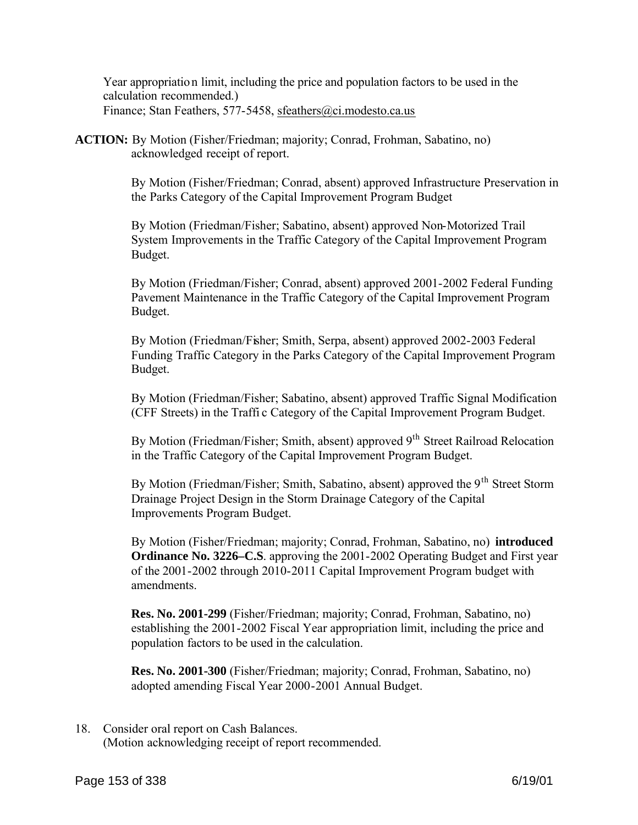Year appropriation limit, including the price and population factors to be used in the calculation recommended.) Finance; Stan Feathers, 577-5458, sfeathers@ci.modesto.ca.us

**ACTION:** By Motion (Fisher/Friedman; majority; Conrad, Frohman, Sabatino, no) acknowledged receipt of report.

> By Motion (Fisher/Friedman; Conrad, absent) approved Infrastructure Preservation in the Parks Category of the Capital Improvement Program Budget

By Motion (Friedman/Fisher; Sabatino, absent) approved Non-Motorized Trail System Improvements in the Traffic Category of the Capital Improvement Program Budget.

By Motion (Friedman/Fisher; Conrad, absent) approved 2001-2002 Federal Funding Pavement Maintenance in the Traffic Category of the Capital Improvement Program Budget.

By Motion (Friedman/Fisher; Smith, Serpa, absent) approved 2002-2003 Federal Funding Traffic Category in the Parks Category of the Capital Improvement Program Budget.

By Motion (Friedman/Fisher; Sabatino, absent) approved Traffic Signal Modification (CFF Streets) in the Traffi c Category of the Capital Improvement Program Budget.

By Motion (Friedman/Fisher; Smith, absent) approved 9<sup>th</sup> Street Railroad Relocation in the Traffic Category of the Capital Improvement Program Budget.

By Motion (Friedman/Fisher; Smith, Sabatino, absent) approved the 9<sup>th</sup> Street Storm Drainage Project Design in the Storm Drainage Category of the Capital Improvements Program Budget.

By Motion (Fisher/Friedman; majority; Conrad, Frohman, Sabatino, no) **introduced Ordinance No. 3226–C.S**. approving the 2001-2002 Operating Budget and First year of the 2001-2002 through 2010-2011 Capital Improvement Program budget with amendments.

**Res. No. 2001-299** (Fisher/Friedman; majority; Conrad, Frohman, Sabatino, no) establishing the 2001-2002 Fiscal Year appropriation limit, including the price and population factors to be used in the calculation.

**Res. No. 2001-300** (Fisher/Friedman; majority; Conrad, Frohman, Sabatino, no) adopted amending Fiscal Year 2000-2001 Annual Budget.

18. Consider oral report on Cash Balances. (Motion acknowledging receipt of report recommended.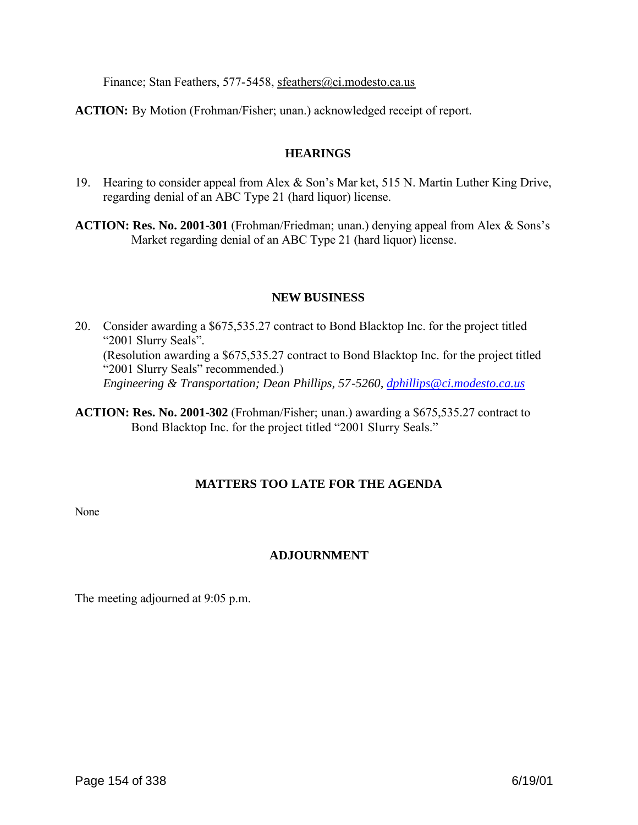Finance; Stan Feathers, 577-5458, sfeathers@ci.modesto.ca.us

**ACTION:** By Motion (Frohman/Fisher; unan.) acknowledged receipt of report.

#### **HEARINGS**

19. Hearing to consider appeal from Alex & Son's Mar ket, 515 N. Martin Luther King Drive, regarding denial of an ABC Type 21 (hard liquor) license.

**ACTION: Res. No. 2001-301** (Frohman/Friedman; unan.) denying appeal from Alex & Sons's Market regarding denial of an ABC Type 21 (hard liquor) license.

#### **NEW BUSINESS**

- 20. Consider awarding a \$675,535.27 contract to Bond Blacktop Inc. for the project titled "2001 Slurry Seals". (Resolution awarding a \$675,535.27 contract to Bond Blacktop Inc. for the project titled "2001 Slurry Seals" recommended.) *Engineering & Transportation; Dean Phillips, 57-5260, dphillips@ci.modesto.ca.us*
- **ACTION: Res. No. 2001-302** (Frohman/Fisher; unan.) awarding a \$675,535.27 contract to Bond Blacktop Inc. for the project titled "2001 Slurry Seals."

#### **MATTERS TOO LATE FOR THE AGENDA**

None

# **ADJOURNMENT**

The meeting adjourned at 9:05 p.m.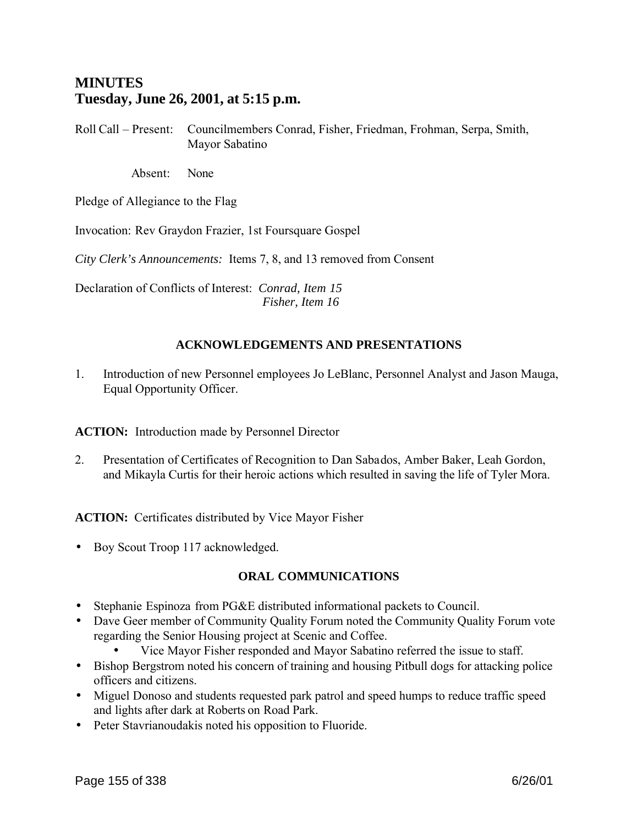# **MINUTES Tuesday, June 26, 2001, at 5:15 p.m.**

Roll Call – Present: Councilmembers Conrad, Fisher, Friedman, Frohman, Serpa, Smith, Mayor Sabatino

Absent: None

Pledge of Allegiance to the Flag

Invocation: Rev Graydon Frazier, 1st Foursquare Gospel

*City Clerk's Announcements:* Items 7, 8, and 13 removed from Consent

Declaration of Conflicts of Interest: *Conrad, Item 15 Fisher, Item 16*

# **ACKNOWLEDGEMENTS AND PRESENTATIONS**

1. Introduction of new Personnel employees Jo LeBlanc, Personnel Analyst and Jason Mauga, Equal Opportunity Officer.

**ACTION:** Introduction made by Personnel Director

2. Presentation of Certificates of Recognition to Dan Sabados, Amber Baker, Leah Gordon, and Mikayla Curtis for their heroic actions which resulted in saving the life of Tyler Mora.

ACTION: Certificates distributed by Vice Mayor Fisher

• Boy Scout Troop 117 acknowledged.

#### **ORAL COMMUNICATIONS**

- Stephanie Espinoza from PG&E distributed informational packets to Council.
- Dave Geer member of Community Quality Forum noted the Community Quality Forum vote regarding the Senior Housing project at Scenic and Coffee.
	- Vice Mayor Fisher responded and Mayor Sabatino referred the issue to staff.
- Bishop Bergstrom noted his concern of training and housing Pitbull dogs for attacking police officers and citizens.
- Miguel Donoso and students requested park patrol and speed humps to reduce traffic speed and lights after dark at Roberts on Road Park.
- Peter Stavrianoudakis noted his opposition to Fluoride.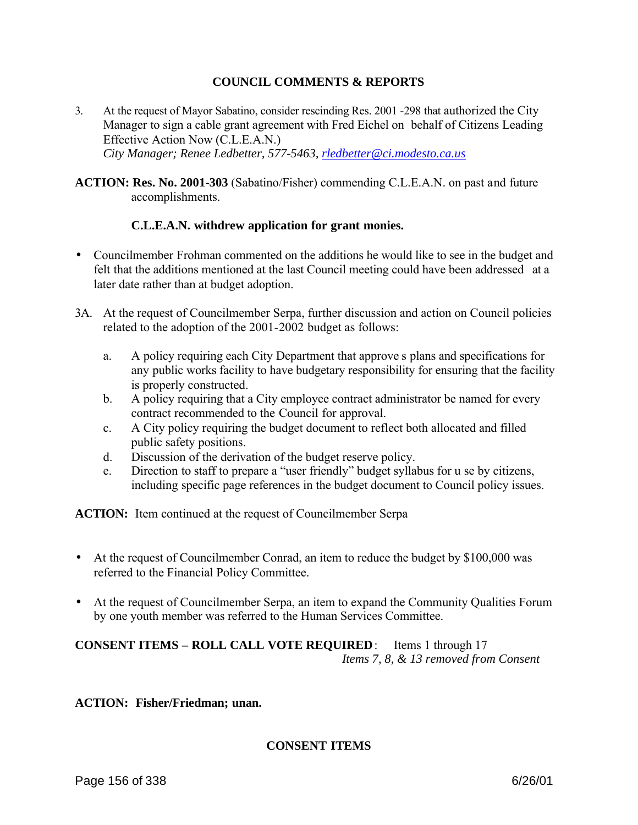#### **COUNCIL COMMENTS & REPORTS**

- 3. At the request of Mayor Sabatino, consider rescinding Res. 2001 -298 that authorized the City Manager to sign a cable grant agreement with Fred Eichel on behalf of Citizens Leading Effective Action Now (C.L.E.A.N.) *City Manager; Renee Ledbetter, 577-5463, rledbetter@ci.modesto.ca.us*
- **ACTION: Res. No. 2001-303** (Sabatino/Fisher) commending C.L.E.A.N. on past and future accomplishments.

#### **C.L.E.A.N. withdrew application for grant monies.**

- Councilmember Frohman commented on the additions he would like to see in the budget and felt that the additions mentioned at the last Council meeting could have been addressed at a later date rather than at budget adoption.
- 3A. At the request of Councilmember Serpa, further discussion and action on Council policies related to the adoption of the 2001-2002 budget as follows:
	- a. A policy requiring each City Department that approve s plans and specifications for any public works facility to have budgetary responsibility for ensuring that the facility is properly constructed.
	- b. A policy requiring that a City employee contract administrator be named for every contract recommended to the Council for approval.
	- c. A City policy requiring the budget document to reflect both allocated and filled public safety positions.
	- d. Discussion of the derivation of the budget reserve policy.
	- e. Direction to staff to prepare a "user friendly" budget syllabus for u se by citizens, including specific page references in the budget document to Council policy issues.

**ACTION:** Item continued at the request of Councilmember Serpa

- At the request of Councilmember Conrad, an item to reduce the budget by \$100,000 was referred to the Financial Policy Committee.
- At the request of Councilmember Serpa, an item to expand the Community Qualities Forum by one youth member was referred to the Human Services Committee.

# **CONSENT ITEMS – ROLL CALL VOTE REQUIRED**: Items 1 through 17 *Items 7, 8, & 13 removed from Consent*

#### **ACTION: Fisher/Friedman; unan.**

#### **CONSENT ITEMS**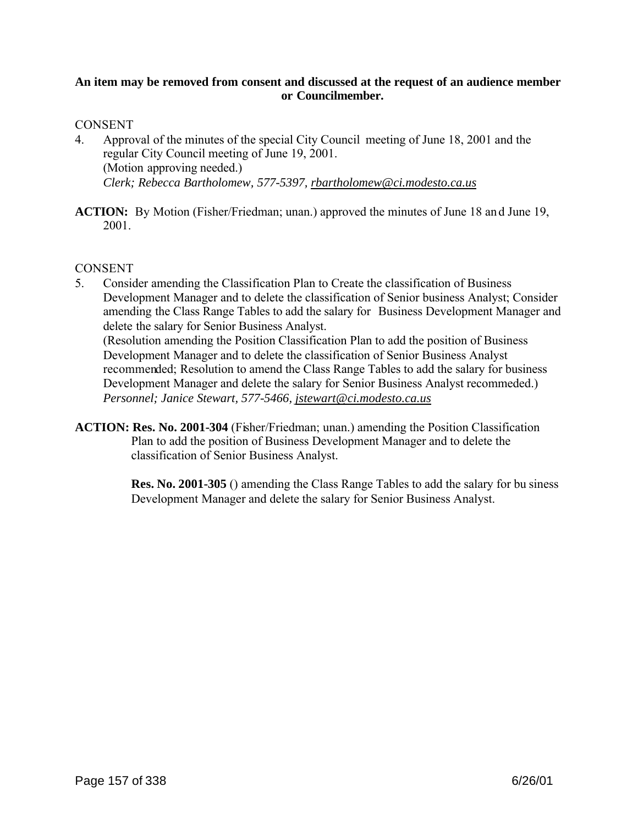#### **An item may be removed from consent and discussed at the request of an audience member or Councilmember.**

#### **CONSENT**

- 4. Approval of the minutes of the special City Council meeting of June 18, 2001 and the regular City Council meeting of June 19, 2001. (Motion approving needed.) *Clerk; Rebecca Bartholomew, 577-5397, rbartholomew@ci.modesto.ca.us*
- **ACTION:** By Motion (Fisher/Friedman; unan.) approved the minutes of June 18 and June 19, 2001.

#### **CONSENT**

5. Consider amending the Classification Plan to Create the classification of Business Development Manager and to delete the classification of Senior business Analyst; Consider amending the Class Range Tables to add the salary for Business Development Manager and delete the salary for Senior Business Analyst.

(Resolution amending the Position Classification Plan to add the position of Business Development Manager and to delete the classification of Senior Business Analyst recommended; Resolution to amend the Class Range Tables to add the salary for business Development Manager and delete the salary for Senior Business Analyst recommeded.) *Personnel; Janice Stewart, 577-5466, jstewart@ci.modesto.ca.us*

**ACTION: Res. No. 2001-304** (Fisher/Friedman; unan.) amending the Position Classification Plan to add the position of Business Development Manager and to delete the classification of Senior Business Analyst.

> **Res. No. 2001-305** () amending the Class Range Tables to add the salary for bu siness Development Manager and delete the salary for Senior Business Analyst.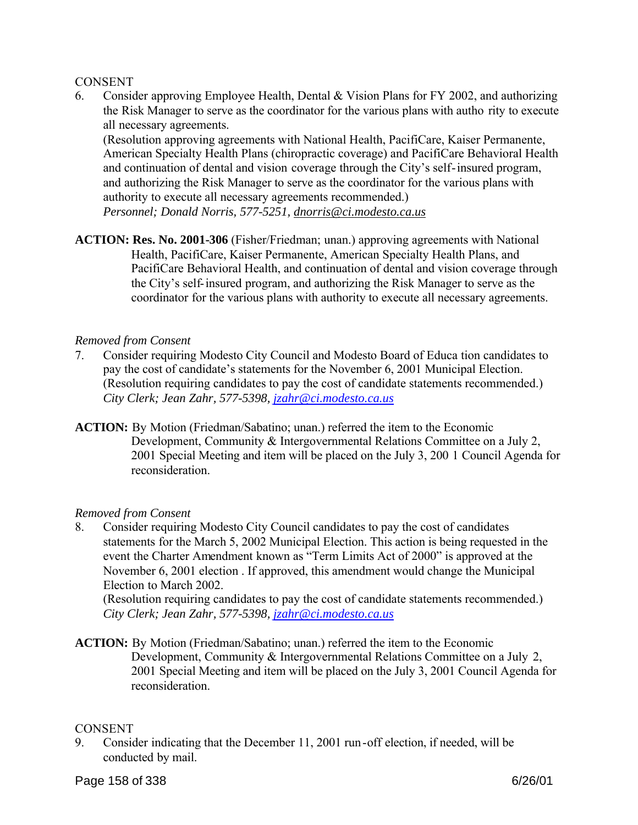#### **CONSENT**

6. Consider approving Employee Health, Dental & Vision Plans for FY 2002, and authorizing the Risk Manager to serve as the coordinator for the various plans with autho rity to execute all necessary agreements.

(Resolution approving agreements with National Health, PacifiCare, Kaiser Permanente, American Specialty Health Plans (chiropractic coverage) and PacifiCare Behavioral Health and continuation of dental and vision coverage through the City's self-insured program, and authorizing the Risk Manager to serve as the coordinator for the various plans with authority to execute all necessary agreements recommended.)

*Personnel; Donald Norris, 577-5251, dnorris@ci.modesto.ca.us*

**ACTION: Res. No. 2001-306** (Fisher/Friedman; unan.) approving agreements with National Health, PacifiCare, Kaiser Permanente, American Specialty Health Plans, and PacifiCare Behavioral Health, and continuation of dental and vision coverage through the City's self-insured program, and authorizing the Risk Manager to serve as the coordinator for the various plans with authority to execute all necessary agreements.

#### *Removed from Consent*

- 7. Consider requiring Modesto City Council and Modesto Board of Educa tion candidates to pay the cost of candidate's statements for the November 6, 2001 Municipal Election. (Resolution requiring candidates to pay the cost of candidate statements recommended.) *City Clerk; Jean Zahr, 577-5398, jzahr@ci.modesto.ca.us*
- **ACTION:** By Motion (Friedman/Sabatino; unan.) referred the item to the Economic Development, Community & Intergovernmental Relations Committee on a July 2, 2001 Special Meeting and item will be placed on the July 3, 200 1 Council Agenda for reconsideration.

#### *Removed from Consent*

8. Consider requiring Modesto City Council candidates to pay the cost of candidates statements for the March 5, 2002 Municipal Election. This action is being requested in the event the Charter Amendment known as "Term Limits Act of 2000" is approved at the November 6, 2001 election . If approved, this amendment would change the Municipal Election to March 2002.

(Resolution requiring candidates to pay the cost of candidate statements recommended.) *City Clerk; Jean Zahr, 577-5398, jzahr@ci.modesto.ca.us*

**ACTION:** By Motion (Friedman/Sabatino; unan.) referred the item to the Economic Development, Community & Intergovernmental Relations Committee on a July 2, 2001 Special Meeting and item will be placed on the July 3, 2001 Council Agenda for reconsideration.

#### **CONSENT**

9. Consider indicating that the December 11, 2001 run-off election, if needed, will be conducted by mail.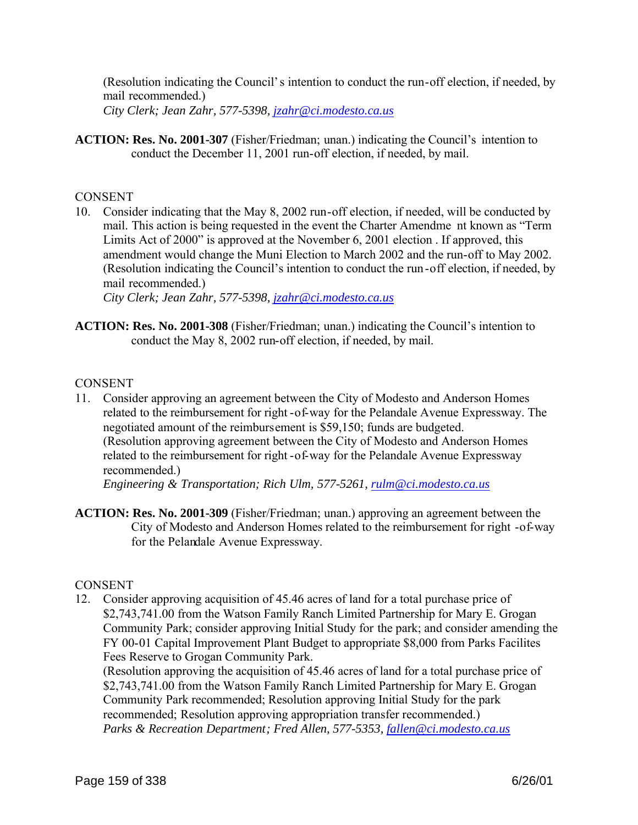(Resolution indicating the Council's intention to conduct the run-off election, if needed, by mail recommended.) *City Clerk; Jean Zahr, 577-5398, jzahr@ci.modesto.ca.us*

**ACTION: Res. No. 2001-307** (Fisher/Friedman; unan.) indicating the Council's intention to conduct the December 11, 2001 run-off election, if needed, by mail.

#### **CONSENT**

10. Consider indicating that the May 8, 2002 run-off election, if needed, will be conducted by mail. This action is being requested in the event the Charter Amendme nt known as "Term Limits Act of 2000" is approved at the November 6, 2001 election . If approved, this amendment would change the Muni Election to March 2002 and the run-off to May 2002. (Resolution indicating the Council's intention to conduct the run-off election, if needed, by mail recommended.)

*City Clerk; Jean Zahr, 577-5398, jzahr@ci.modesto.ca.us*

**ACTION: Res. No. 2001-308** (Fisher/Friedman; unan.) indicating the Council's intention to conduct the May 8, 2002 run-off election, if needed, by mail.

#### **CONSENT**

11. Consider approving an agreement between the City of Modesto and Anderson Homes related to the reimbursement for right -of-way for the Pelandale Avenue Expressway. The negotiated amount of the reimbursement is \$59,150; funds are budgeted. (Resolution approving agreement between the City of Modesto and Anderson Homes related to the reimbursement for right -of-way for the Pelandale Avenue Expressway recommended.)

*Engineering & Transportation; Rich Ulm, 577-5261, rulm@ci.modesto.ca.us*

**ACTION: Res. No. 2001-309** (Fisher/Friedman; unan.) approving an agreement between the City of Modesto and Anderson Homes related to the reimbursement for right -of-way for the Pelandale Avenue Expressway.

#### **CONSENT**

12. Consider approving acquisition of 45.46 acres of land for a total purchase price of \$2,743,741.00 from the Watson Family Ranch Limited Partnership for Mary E. Grogan Community Park; consider approving Initial Study for the park; and consider amending the FY 00-01 Capital Improvement Plant Budget to appropriate \$8,000 from Parks Facilites Fees Reserve to Grogan Community Park.

(Resolution approving the acquisition of 45.46 acres of land for a total purchase price of \$2,743,741.00 from the Watson Family Ranch Limited Partnership for Mary E. Grogan Community Park recommended; Resolution approving Initial Study for the park recommended; Resolution approving appropriation transfer recommended.) *Parks & Recreation Department; Fred Allen, 577-5353, fallen@ci.modesto.ca.us*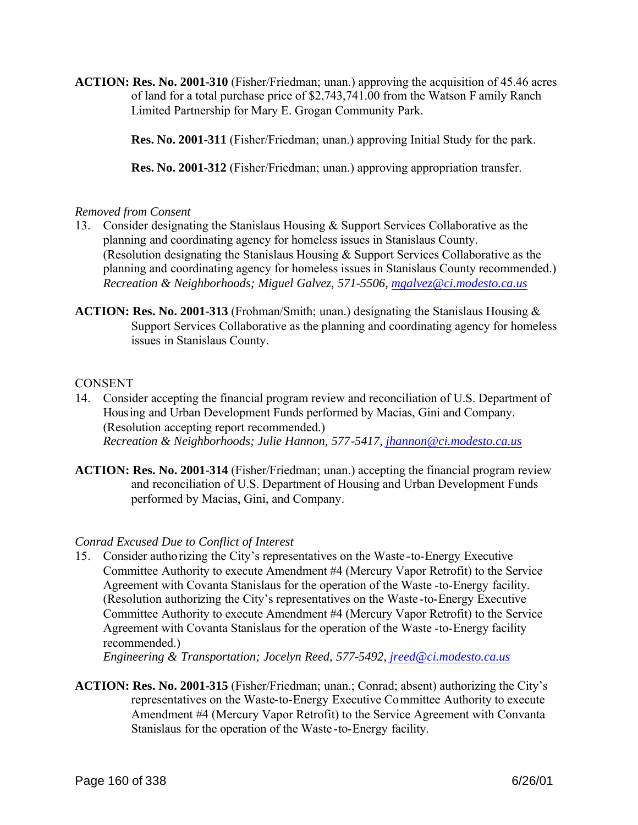**ACTION: Res. No. 2001-310** (Fisher/Friedman; unan.) approving the acquisition of 45.46 acres of land for a total purchase price of \$2,743,741.00 from the Watson F amily Ranch Limited Partnership for Mary E. Grogan Community Park.

**Res. No. 2001-311** (Fisher/Friedman; unan.) approving Initial Study for the park.

**Res. No. 2001-312** (Fisher/Friedman; unan.) approving appropriation transfer.

#### *Removed from Consent*

- 13. Consider designating the Stanislaus Housing & Support Services Collaborative as the planning and coordinating agency for homeless issues in Stanislaus County. (Resolution designating the Stanislaus Housing & Support Services Collaborative as the planning and coordinating agency for homeless issues in Stanislaus County recommended.) *Recreation & Neighborhoods; Miguel Galvez, 571-5506, mgalvez@ci.modesto.ca.us*
- **ACTION: Res. No. 2001-313** (Frohman/Smith; unan.) designating the Stanislaus Housing & Support Services Collaborative as the planning and coordinating agency for homeless issues in Stanislaus County.

#### **CONSENT**

- 14. Consider accepting the financial program review and reconciliation of U.S. Department of Housing and Urban Development Funds performed by Macias, Gini and Company. (Resolution accepting report recommended.) *Recreation & Neighborhoods; Julie Hannon, 577-5417, jhannon@ci.modesto.ca.us*
- **ACTION: Res. No. 2001-314** (Fisher/Friedman; unan.) accepting the financial program review and reconciliation of U.S. Department of Housing and Urban Development Funds performed by Macias, Gini, and Company.

#### *Conrad Excused Due to Conflict of Interest*

15. Consider authorizing the City's representatives on the Waste -to-Energy Executive Committee Authority to execute Amendment #4 (Mercury Vapor Retrofit) to the Service Agreement with Covanta Stanislaus for the operation of the Waste -to-Energy facility. (Resolution authorizing the City's representatives on the Waste -to-Energy Executive Committee Authority to execute Amendment #4 (Mercury Vapor Retrofit) to the Service Agreement with Covanta Stanislaus for the operation of the Waste -to-Energy facility recommended.)

*Engineering & Transportation; Jocelyn Reed, 577-5492, jreed@ci.modesto.ca.us*

**ACTION: Res. No. 2001-315** (Fisher/Friedman; unan.; Conrad; absent) authorizing the City's representatives on the Waste-to-Energy Executive Committee Authority to execute Amendment #4 (Mercury Vapor Retrofit) to the Service Agreement with Convanta Stanislaus for the operation of the Waste -to-Energy facility.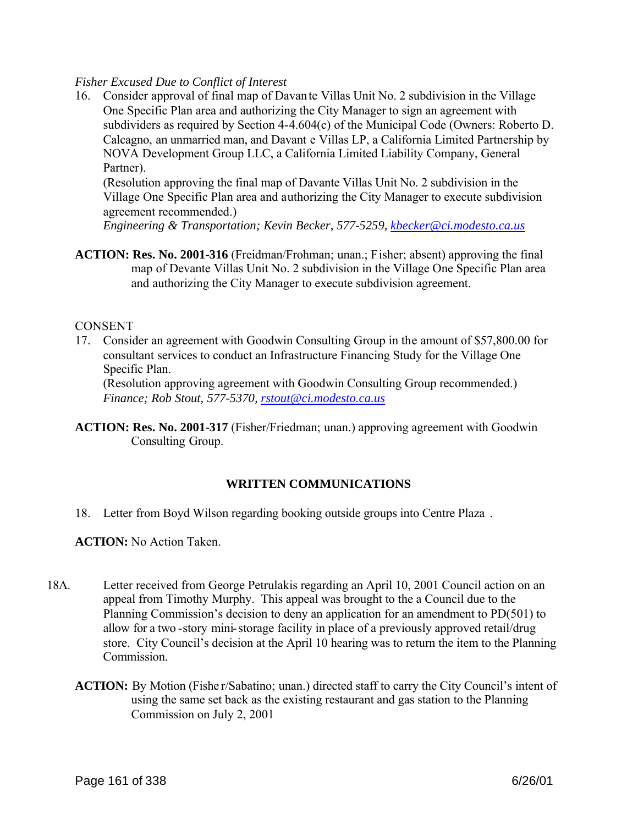#### *Fisher Excused Due to Conflict of Interest*

16. Consider approval of final map of Davante Villas Unit No. 2 subdivision in the Village One Specific Plan area and authorizing the City Manager to sign an agreement with subdividers as required by Section 4-4.604(c) of the Municipal Code (Owners: Roberto D. Calcagno, an unmarried man, and Davant e Villas LP, a California Limited Partnership by NOVA Development Group LLC, a California Limited Liability Company, General Partner).

(Resolution approving the final map of Davante Villas Unit No. 2 subdivision in the Village One Specific Plan area and authorizing the City Manager to execute subdivision agreement recommended.)

*Engineering & Transportation; Kevin Becker, 577-5259, kbecker@ci.modesto.ca.us*

**ACTION: Res. No. 2001-316** (Freidman/Frohman; unan.; Fisher; absent) approving the final map of Devante Villas Unit No. 2 subdivision in the Village One Specific Plan area and authorizing the City Manager to execute subdivision agreement.

#### **CONSENT**

17. Consider an agreement with Goodwin Consulting Group in the amount of \$57,800.00 for consultant services to conduct an Infrastructure Financing Study for the Village One Specific Plan.

(Resolution approving agreement with Goodwin Consulting Group recommended.) *Finance; Rob Stout, 577-5370, rstout@ci.modesto.ca.us*

**ACTION: Res. No. 2001-317** (Fisher/Friedman; unan.) approving agreement with Goodwin Consulting Group.

#### **WRITTEN COMMUNICATIONS**

18. Letter from Boyd Wilson regarding booking outside groups into Centre Plaza .

**ACTION:** No Action Taken.

- 18A. Letter received from George Petrulakis regarding an April 10, 2001 Council action on an appeal from Timothy Murphy. This appeal was brought to the a Council due to the Planning Commission's decision to deny an application for an amendment to PD(501) to allow for a two -story mini-storage facility in place of a previously approved retail/drug store. City Council's decision at the April 10 hearing was to return the item to the Planning **Commission** 
	- **ACTION:** By Motion (Fishe r/Sabatino; unan.) directed staff to carry the City Council's intent of using the same set back as the existing restaurant and gas station to the Planning Commission on July 2, 2001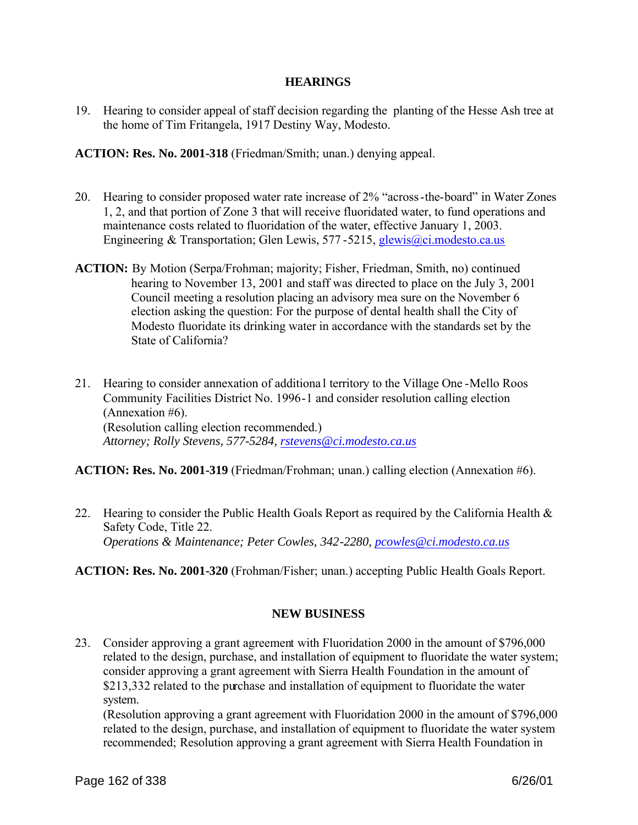#### **HEARINGS**

19. Hearing to consider appeal of staff decision regarding the planting of the Hesse Ash tree at the home of Tim Fritangela, 1917 Destiny Way, Modesto.

**ACTION: Res. No. 2001-318** (Friedman/Smith; unan.) denying appeal.

- 20. Hearing to consider proposed water rate increase of 2% "across-the-board" in Water Zones 1, 2, and that portion of Zone 3 that will receive fluoridated water, to fund operations and maintenance costs related to fluoridation of the water, effective January 1, 2003. Engineering & Transportation; Glen Lewis, 577-5215, glewis@ci.modesto.ca.us
- **ACTION:** By Motion (Serpa/Frohman; majority; Fisher, Friedman, Smith, no) continued hearing to November 13, 2001 and staff was directed to place on the July 3, 2001 Council meeting a resolution placing an advisory mea sure on the November 6 election asking the question: For the purpose of dental health shall the City of Modesto fluoridate its drinking water in accordance with the standards set by the State of California?
- 21. Hearing to consider annexation of additiona l territory to the Village One -Mello Roos Community Facilities District No. 1996-1 and consider resolution calling election (Annexation #6). (Resolution calling election recommended.) *Attorney; Rolly Stevens, 577-5284, rstevens@ci.modesto.ca.us*

#### **ACTION: Res. No. 2001-319** (Friedman/Frohman; unan.) calling election (Annexation #6).

22. Hearing to consider the Public Health Goals Report as required by the California Health  $\&$ Safety Code, Title 22. *Operations & Maintenance; Peter Cowles, 342-2280, pcowles@ci.modesto.ca.us*

#### **ACTION: Res. No. 2001-320** (Frohman/Fisher; unan.) accepting Public Health Goals Report.

#### **NEW BUSINESS**

23. Consider approving a grant agreement with Fluoridation 2000 in the amount of \$796,000 related to the design, purchase, and installation of equipment to fluoridate the water system; consider approving a grant agreement with Sierra Health Foundation in the amount of \$213,332 related to the purchase and installation of equipment to fluoridate the water system.

(Resolution approving a grant agreement with Fluoridation 2000 in the amount of \$796,000 related to the design, purchase, and installation of equipment to fluoridate the water system recommended; Resolution approving a grant agreement with Sierra Health Foundation in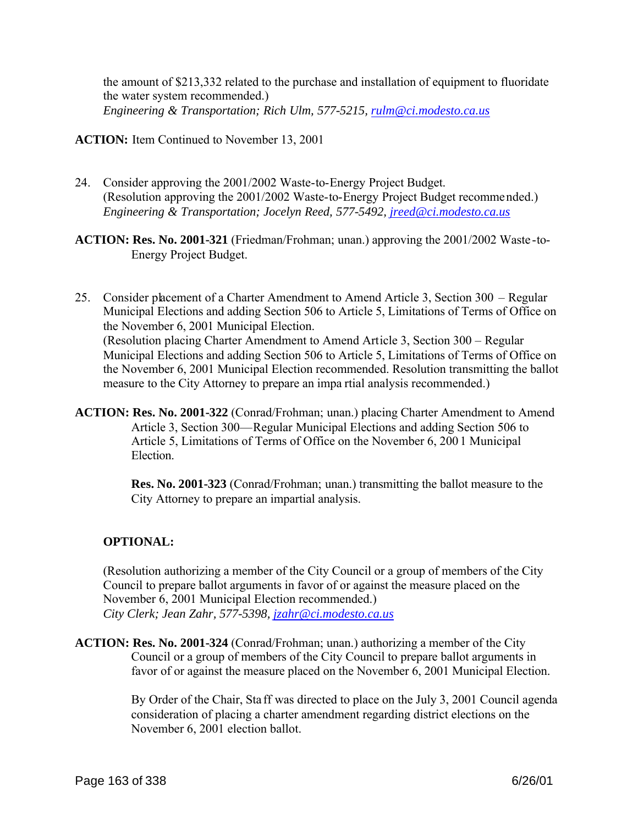the amount of \$213,332 related to the purchase and installation of equipment to fluoridate the water system recommended.) *Engineering & Transportation; Rich Ulm, 577-5215, rulm@ci.modesto.ca.us*

**ACTION:** Item Continued to November 13, 2001

- 24. Consider approving the 2001/2002 Waste-to-Energy Project Budget. (Resolution approving the 2001/2002 Waste-to-Energy Project Budget recommended.) *Engineering & Transportation; Jocelyn Reed, 577-5492, jreed@ci.modesto.ca.us*
- **ACTION: Res. No. 2001-321** (Friedman/Frohman; unan.) approving the 2001/2002 Waste -to-Energy Project Budget.
- 25. Consider placement of a Charter Amendment to Amend Article 3, Section 300 Regular Municipal Elections and adding Section 506 to Article 5, Limitations of Terms of Office on the November 6, 2001 Municipal Election. (Resolution placing Charter Amendment to Amend Article 3, Section 300 – Regular Municipal Elections and adding Section 506 to Article 5, Limitations of Terms of Office on the November 6, 2001 Municipal Election recommended. Resolution transmitting the ballot measure to the City Attorney to prepare an impa rtial analysis recommended.)
- **ACTION: Res. No. 2001-322** (Conrad/Frohman; unan.) placing Charter Amendment to Amend Article 3, Section 300—Regular Municipal Elections and adding Section 506 to Article 5, Limitations of Terms of Office on the November 6, 200 1 Municipal **Election**

**Res. No. 2001-323** (Conrad/Frohman; unan.) transmitting the ballot measure to the City Attorney to prepare an impartial analysis.

#### **OPTIONAL:**

(Resolution authorizing a member of the City Council or a group of members of the City Council to prepare ballot arguments in favor of or against the measure placed on the November 6, 2001 Municipal Election recommended.) *City Clerk; Jean Zahr, 577-5398, jzahr@ci.modesto.ca.us*

**ACTION: Res. No. 2001-324** (Conrad/Frohman; unan.) authorizing a member of the City Council or a group of members of the City Council to prepare ballot arguments in favor of or against the measure placed on the November 6, 2001 Municipal Election.

> By Order of the Chair, Sta ff was directed to place on the July 3, 2001 Council agenda consideration of placing a charter amendment regarding district elections on the November 6, 2001 election ballot.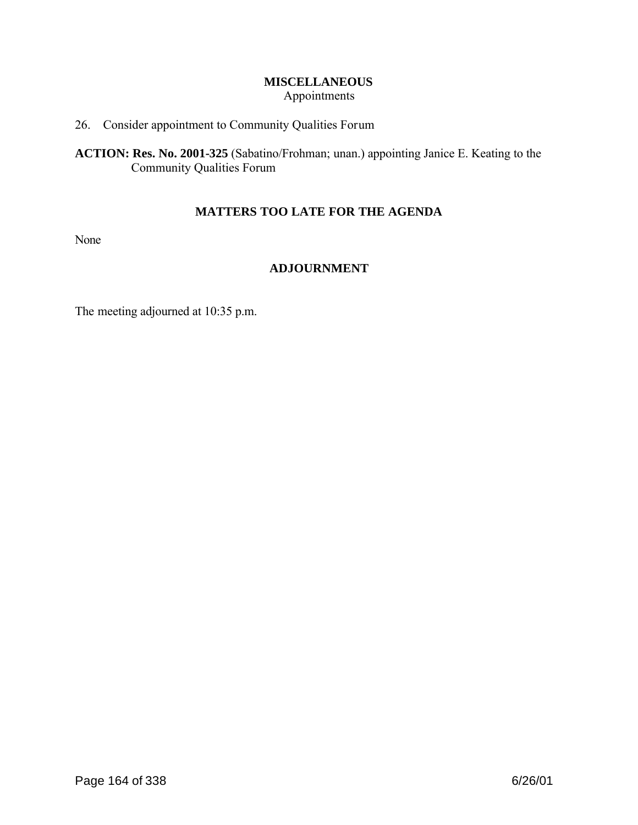#### **MISCELLANEOUS** Appointments

#### 26. Consider appointment to Community Qualities Forum

**ACTION: Res. No. 2001-325** (Sabatino/Frohman; unan.) appointing Janice E. Keating to the Community Qualities Forum

#### **MATTERS TOO LATE FOR THE AGENDA**

None

#### **ADJOURNMENT**

The meeting adjourned at 10:35 p.m.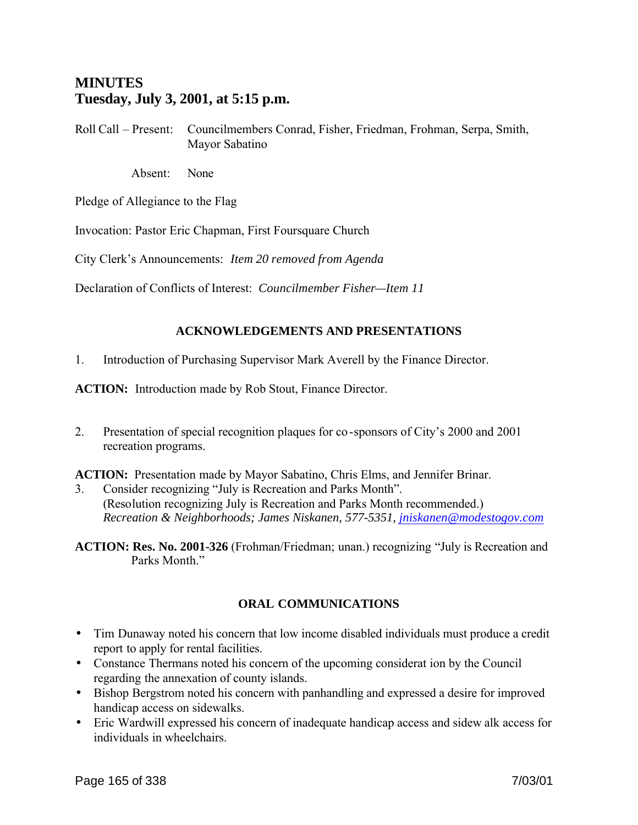# **MINUTES Tuesday, July 3, 2001, at 5:15 p.m.**

Roll Call – Present: Councilmembers Conrad, Fisher, Friedman, Frohman, Serpa, Smith, Mayor Sabatino

Absent: None

Pledge of Allegiance to the Flag

Invocation: Pastor Eric Chapman, First Foursquare Church

City Clerk's Announcements: *Item 20 removed from Agenda*

Declaration of Conflicts of Interest: *Councilmember Fisher—Item 11*

#### **ACKNOWLEDGEMENTS AND PRESENTATIONS**

1. Introduction of Purchasing Supervisor Mark Averell by the Finance Director.

**ACTION:** Introduction made by Rob Stout, Finance Director.

2. Presentation of special recognition plaques for co-sponsors of City's 2000 and 2001 recreation programs.

**ACTION:** Presentation made by Mayor Sabatino, Chris Elms, and Jennifer Brinar.

- 3. Consider recognizing "July is Recreation and Parks Month". (Resolution recognizing July is Recreation and Parks Month recommended.) *Recreation & Neighborhoods; James Niskanen, 577-5351, jniskanen@modestogov.com*
- **ACTION: Res. No. 2001-326** (Frohman/Friedman; unan.) recognizing "July is Recreation and Parks Month"

#### **ORAL COMMUNICATIONS**

- Tim Dunaway noted his concern that low income disabled individuals must produce a credit report to apply for rental facilities.
- Constance Thermans noted his concern of the upcoming considerat ion by the Council regarding the annexation of county islands.
- Bishop Bergstrom noted his concern with panhandling and expressed a desire for improved handicap access on sidewalks.
- Eric Wardwill expressed his concern of inadequate handicap access and sidew alk access for individuals in wheelchairs.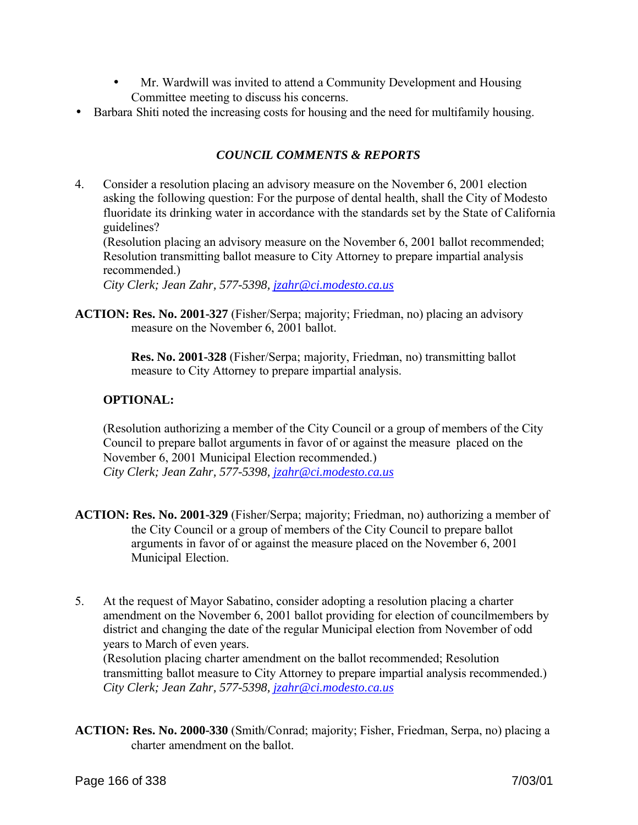- Mr. Wardwill was invited to attend a Community Development and Housing Committee meeting to discuss his concerns.
- Barbara Shiti noted the increasing costs for housing and the need for multifamily housing.

# *COUNCIL COMMENTS & REPORTS*

4. Consider a resolution placing an advisory measure on the November 6, 2001 election asking the following question: For the purpose of dental health, shall the City of Modesto fluoridate its drinking water in accordance with the standards set by the State of California guidelines?

(Resolution placing an advisory measure on the November 6, 2001 ballot recommended; Resolution transmitting ballot measure to City Attorney to prepare impartial analysis recommended.)

*City Clerk; Jean Zahr, 577-5398, jzahr@ci.modesto.ca.us*

**ACTION: Res. No. 2001-327** (Fisher/Serpa; majority; Friedman, no) placing an advisory measure on the November 6, 2001 ballot.

> **Res. No. 2001-328** (Fisher/Serpa; majority, Friedman, no) transmitting ballot measure to City Attorney to prepare impartial analysis.

#### **OPTIONAL:**

(Resolution authorizing a member of the City Council or a group of members of the City Council to prepare ballot arguments in favor of or against the measure placed on the November 6, 2001 Municipal Election recommended.) *City Clerk; Jean Zahr, 577-5398, jzahr@ci.modesto.ca.us*

- **ACTION: Res. No. 2001-329** (Fisher/Serpa; majority; Friedman, no) authorizing a member of the City Council or a group of members of the City Council to prepare ballot arguments in favor of or against the measure placed on the November 6, 2001 Municipal Election.
- 5. At the request of Mayor Sabatino, consider adopting a resolution placing a charter amendment on the November 6, 2001 ballot providing for election of councilmembers by district and changing the date of the regular Municipal election from November of odd years to March of even years.

(Resolution placing charter amendment on the ballot recommended; Resolution transmitting ballot measure to City Attorney to prepare impartial analysis recommended.) *City Clerk; Jean Zahr, 577-5398, jzahr@ci.modesto.ca.us*

**ACTION: Res. No. 2000-330** (Smith/Conrad; majority; Fisher, Friedman, Serpa, no) placing a charter amendment on the ballot.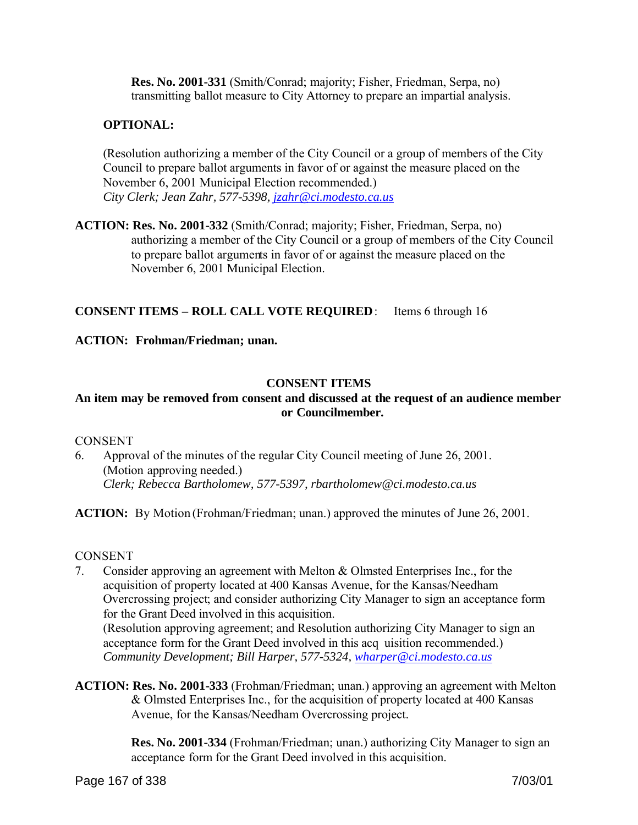**Res. No. 2001-331** (Smith/Conrad; majority; Fisher, Friedman, Serpa, no) transmitting ballot measure to City Attorney to prepare an impartial analysis.

#### **OPTIONAL:**

(Resolution authorizing a member of the City Council or a group of members of the City Council to prepare ballot arguments in favor of or against the measure placed on the November 6, 2001 Municipal Election recommended.) *City Clerk; Jean Zahr, 577-5398, jzahr@ci.modesto.ca.us*

**ACTION: Res. No. 2001-332** (Smith/Conrad; majority; Fisher, Friedman, Serpa, no) authorizing a member of the City Council or a group of members of the City Council to prepare ballot arguments in favor of or against the measure placed on the November 6, 2001 Municipal Election.

#### **CONSENT ITEMS – ROLL CALL VOTE REQUIRED**: Items 6 through 16

**ACTION: Frohman/Friedman; unan.**

#### **CONSENT ITEMS**

#### **An item may be removed from consent and discussed at the request of an audience member or Councilmember.**

#### **CONSENT**

6. Approval of the minutes of the regular City Council meeting of June 26, 2001. (Motion approving needed.) *Clerk; Rebecca Bartholomew, 577-5397, rbartholomew@ci.modesto.ca.us*

**ACTION:** By Motion (Frohman/Friedman; unan.) approved the minutes of June 26, 2001.

#### **CONSENT**

- 7. Consider approving an agreement with Melton & Olmsted Enterprises Inc., for the acquisition of property located at 400 Kansas Avenue, for the Kansas/Needham Overcrossing project; and consider authorizing City Manager to sign an acceptance form for the Grant Deed involved in this acquisition. (Resolution approving agreement; and Resolution authorizing City Manager to sign an acceptance form for the Grant Deed involved in this acq uisition recommended.) *Community Development; Bill Harper, 577-5324, wharper@ci.modesto.ca.us*
- **ACTION: Res. No. 2001-333** (Frohman/Friedman; unan.) approving an agreement with Melton & Olmsted Enterprises Inc., for the acquisition of property located at 400 Kansas Avenue, for the Kansas/Needham Overcrossing project.

**Res. No. 2001-334** (Frohman/Friedman; unan.) authorizing City Manager to sign an acceptance form for the Grant Deed involved in this acquisition.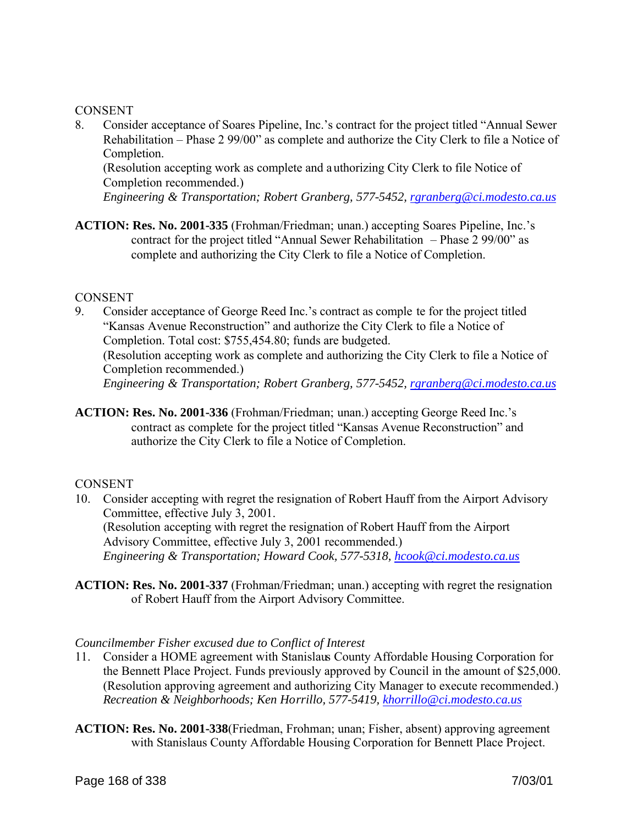#### **CONSENT**

8. Consider acceptance of Soares Pipeline, Inc.'s contract for the project titled "Annual Sewer Rehabilitation – Phase 2 99/00" as complete and authorize the City Clerk to file a Notice of Completion.

(Resolution accepting work as complete and a uthorizing City Clerk to file Notice of Completion recommended.)

*Engineering & Transportation; Robert Granberg, 577-5452, rgranberg@ci.modesto.ca.us*

**ACTION: Res. No. 2001-335** (Frohman/Friedman; unan.) accepting Soares Pipeline, Inc.'s contract for the project titled "Annual Sewer Rehabilitation – Phase 2 99/00" as complete and authorizing the City Clerk to file a Notice of Completion.

#### **CONSENT**

- 9. Consider acceptance of George Reed Inc.'s contract as comple te for the project titled "Kansas Avenue Reconstruction" and authorize the City Clerk to file a Notice of Completion. Total cost: \$755,454.80; funds are budgeted. (Resolution accepting work as complete and authorizing the City Clerk to file a Notice of Completion recommended.) *Engineering & Transportation; Robert Granberg, 577-5452, rgranberg@ci.modesto.ca.us*
- **ACTION: Res. No. 2001-336** (Frohman/Friedman; unan.) accepting George Reed Inc.'s contract as complete for the project titled "Kansas Avenue Reconstruction" and authorize the City Clerk to file a Notice of Completion.

#### **CONSENT**

- 10. Consider accepting with regret the resignation of Robert Hauff from the Airport Advisory Committee, effective July 3, 2001. (Resolution accepting with regret the resignation of Robert Hauff from the Airport Advisory Committee, effective July 3, 2001 recommended.) *Engineering & Transportation; Howard Cook, 577-5318, hcook@ci.modesto.ca.us*
- **ACTION: Res. No. 2001-337** (Frohman/Friedman; unan.) accepting with regret the resignation of Robert Hauff from the Airport Advisory Committee.

#### *Councilmember Fisher excused due to Conflict of Interest*

- 11. Consider a HOME agreement with Stanislaus County Affordable Housing Corporation for the Bennett Place Project. Funds previously approved by Council in the amount of \$25,000. (Resolution approving agreement and authorizing City Manager to execute recommended.) *Recreation & Neighborhoods; Ken Horrillo, 577-5419, khorrillo@ci.modesto.ca.us*
- **ACTION: Res. No. 2001-338**(Friedman, Frohman; unan; Fisher, absent) approving agreement with Stanislaus County Affordable Housing Corporation for Bennett Place Project.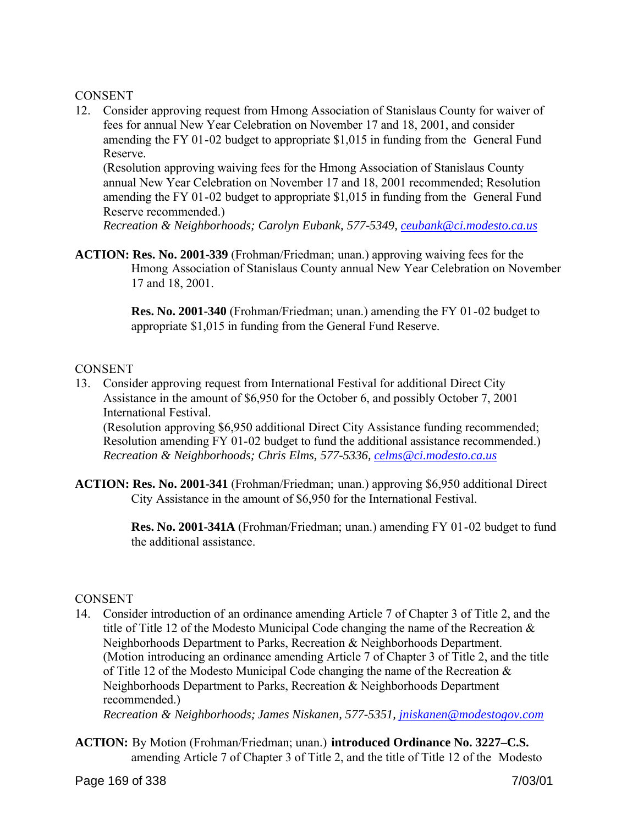#### **CONSENT**

12. Consider approving request from Hmong Association of Stanislaus County for waiver of fees for annual New Year Celebration on November 17 and 18, 2001, and consider amending the FY 01-02 budget to appropriate \$1,015 in funding from the General Fund Reserve.

(Resolution approving waiving fees for the Hmong Association of Stanislaus County annual New Year Celebration on November 17 and 18, 2001 recommended; Resolution amending the FY 01-02 budget to appropriate \$1,015 in funding from the General Fund Reserve recommended.)

*Recreation & Neighborhoods; Carolyn Eubank, 577-5349, ceubank@ci.modesto.ca.us*

**ACTION: Res. No. 2001-339** (Frohman/Friedman; unan.) approving waiving fees for the Hmong Association of Stanislaus County annual New Year Celebration on November 17 and 18, 2001.

> **Res. No. 2001-340** (Frohman/Friedman; unan.) amending the FY 01-02 budget to appropriate \$1,015 in funding from the General Fund Reserve.

#### **CONSENT**

13. Consider approving request from International Festival for additional Direct City Assistance in the amount of \$6,950 for the October 6, and possibly October 7, 2001 International Festival.

(Resolution approving \$6,950 additional Direct City Assistance funding recommended; Resolution amending FY 01-02 budget to fund the additional assistance recommended.) *Recreation & Neighborhoods; Chris Elms, 577-5336, celms@ci.modesto.ca.us*

**ACTION: Res. No. 2001-341** (Frohman/Friedman; unan.) approving \$6,950 additional Direct City Assistance in the amount of \$6,950 for the International Festival.

> **Res. No. 2001-341A** (Frohman/Friedman; unan.) amending FY 01-02 budget to fund the additional assistance.

#### CONSENT

14. Consider introduction of an ordinance amending Article 7 of Chapter 3 of Title 2, and the title of Title 12 of the Modesto Municipal Code changing the name of the Recreation & Neighborhoods Department to Parks, Recreation & Neighborhoods Department. (Motion introducing an ordinance amending Article 7 of Chapter 3 of Title 2, and the title of Title 12 of the Modesto Municipal Code changing the name of the Recreation & Neighborhoods Department to Parks, Recreation & Neighborhoods Department recommended.)

*Recreation & Neighborhoods; James Niskanen, 577-5351, jniskanen@modestogov.com*

**ACTION:** By Motion (Frohman/Friedman; unan.) **introduced Ordinance No. 3227–C.S.** amending Article 7 of Chapter 3 of Title 2, and the title of Title 12 of the Modesto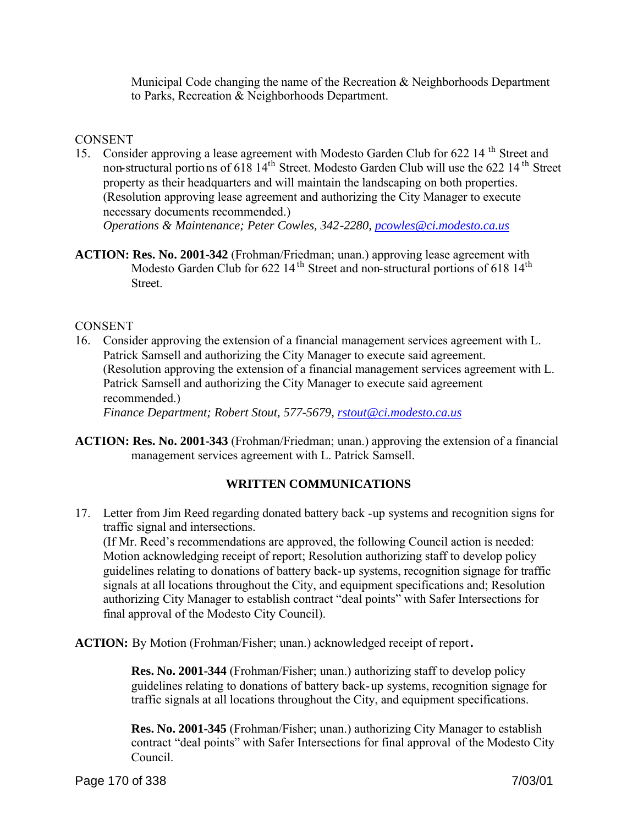Municipal Code changing the name of the Recreation & Neighborhoods Department to Parks, Recreation & Neighborhoods Department.

#### **CONSENT**

15. Consider approving a lease agreement with Modesto Garden Club for 622 14 th Street and non-structural portions of 618 14<sup>th</sup> Street. Modesto Garden Club will use the 622 14<sup>th</sup> Street property as their headquarters and will maintain the landscaping on both properties. (Resolution approving lease agreement and authorizing the City Manager to execute necessary documents recommended.)

*Operations & Maintenance; Peter Cowles, 342-2280, pcowles@ci.modesto.ca.us*

**ACTION: Res. No. 2001-342** (Frohman/Friedman; unan.) approving lease agreement with Modesto Garden Club for 622 14<sup>th</sup> Street and non-structural portions of 618 14<sup>th</sup> **Street**.

#### CONSENT

16. Consider approving the extension of a financial management services agreement with L. Patrick Samsell and authorizing the City Manager to execute said agreement. (Resolution approving the extension of a financial management services agreement with L. Patrick Samsell and authorizing the City Manager to execute said agreement recommended.)

*Finance Department; Robert Stout, 577-5679, rstout@ci.modesto.ca.us*

**ACTION: Res. No. 2001-343** (Frohman/Friedman; unan.) approving the extension of a financial management services agreement with L. Patrick Samsell.

#### **WRITTEN COMMUNICATIONS**

17. Letter from Jim Reed regarding donated battery back -up systems and recognition signs for traffic signal and intersections. (If Mr. Reed's recommendations are approved, the following Council action is needed: Motion acknowledging receipt of report; Resolution authorizing staff to develop policy guidelines relating to donations of battery back-up systems, recognition signage for traffic signals at all locations throughout the City, and equipment specifications and; Resolution authorizing City Manager to establish contract "deal points" with Safer Intersections for final approval of the Modesto City Council).

**ACTION:** By Motion (Frohman/Fisher; unan.) acknowledged receipt of report**.** 

 **Res. No. 2001-344** (Frohman/Fisher; unan.) authorizing staff to develop policy guidelines relating to donations of battery back-up systems, recognition signage for traffic signals at all locations throughout the City, and equipment specifications.

 **Res. No. 2001-345** (Frohman/Fisher; unan.) authorizing City Manager to establish contract "deal points" with Safer Intersections for final approval of the Modesto City Council.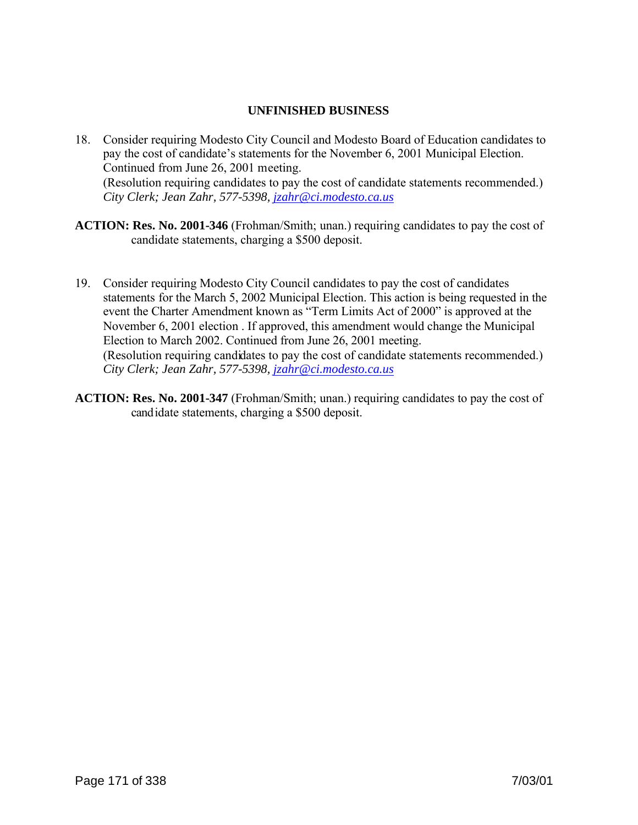#### **UNFINISHED BUSINESS**

- 18. Consider requiring Modesto City Council and Modesto Board of Education candidates to pay the cost of candidate's statements for the November 6, 2001 Municipal Election. Continued from June 26, 2001 meeting. (Resolution requiring candidates to pay the cost of candidate statements recommended.) *City Clerk; Jean Zahr, 577-5398, jzahr@ci.modesto.ca.us*
- **ACTION: Res. No. 2001-346** (Frohman/Smith; unan.) requiring candidates to pay the cost of candidate statements, charging a \$500 deposit.
- 19. Consider requiring Modesto City Council candidates to pay the cost of candidates statements for the March 5, 2002 Municipal Election. This action is being requested in the event the Charter Amendment known as "Term Limits Act of 2000" is approved at the November 6, 2001 election . If approved, this amendment would change the Municipal Election to March 2002. Continued from June 26, 2001 meeting. (Resolution requiring candidates to pay the cost of candidate statements recommended.) *City Clerk; Jean Zahr, 577-5398, jzahr@ci.modesto.ca.us*
- **ACTION: Res. No. 2001-347** (Frohman/Smith; unan.) requiring candidates to pay the cost of candidate statements, charging a \$500 deposit.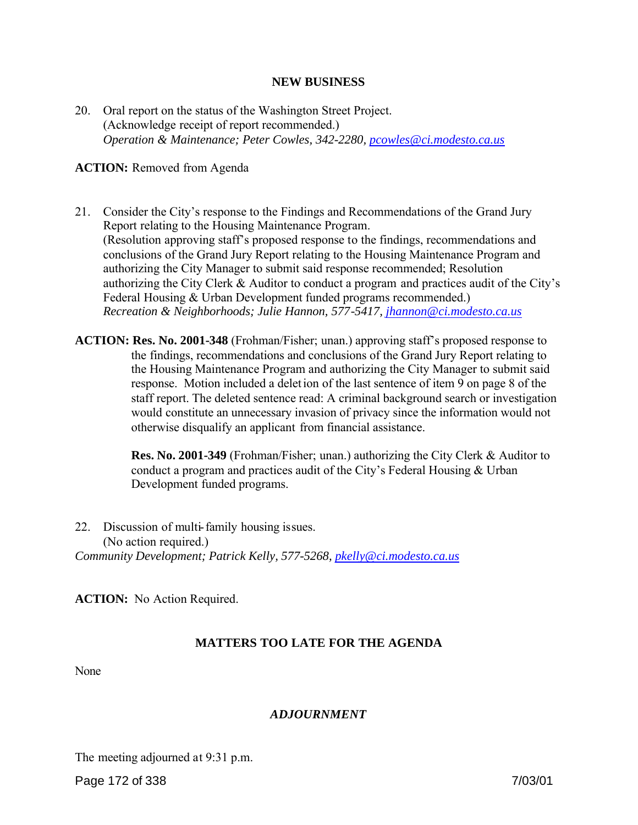#### **NEW BUSINESS**

20. Oral report on the status of the Washington Street Project. (Acknowledge receipt of report recommended.) *Operation & Maintenance; Peter Cowles, 342-2280, pcowles@ci.modesto.ca.us*

#### **ACTION:** Removed from Agenda

- 21. Consider the City's response to the Findings and Recommendations of the Grand Jury Report relating to the Housing Maintenance Program. (Resolution approving staff's proposed response to the findings, recommendations and conclusions of the Grand Jury Report relating to the Housing Maintenance Program and authorizing the City Manager to submit said response recommended; Resolution authorizing the City Clerk & Auditor to conduct a program and practices audit of the City's Federal Housing & Urban Development funded programs recommended.) *Recreation & Neighborhoods; Julie Hannon, 577-5417, jhannon@ci.modesto.ca.us*
- **ACTION: Res. No. 2001-348** (Frohman/Fisher; unan.) approving staff's proposed response to the findings, recommendations and conclusions of the Grand Jury Report relating to the Housing Maintenance Program and authorizing the City Manager to submit said response. Motion included a deletion of the last sentence of item 9 on page 8 of the staff report. The deleted sentence read: A criminal background search or investigation would constitute an unnecessary invasion of privacy since the information would not otherwise disqualify an applicant from financial assistance.

**Res. No. 2001-349** (Frohman/Fisher; unan.) authorizing the City Clerk & Auditor to conduct a program and practices audit of the City's Federal Housing & Urban Development funded programs.

22. Discussion of multi-family housing issues. (No action required.) *Community Development; Patrick Kelly, 577-5268, pkelly@ci.modesto.ca.us*

**ACTION:** No Action Required.

#### **MATTERS TOO LATE FOR THE AGENDA**

None

#### *ADJOURNMENT*

The meeting adjourned at 9:31 p.m.

Page 172 of 338 7/03/01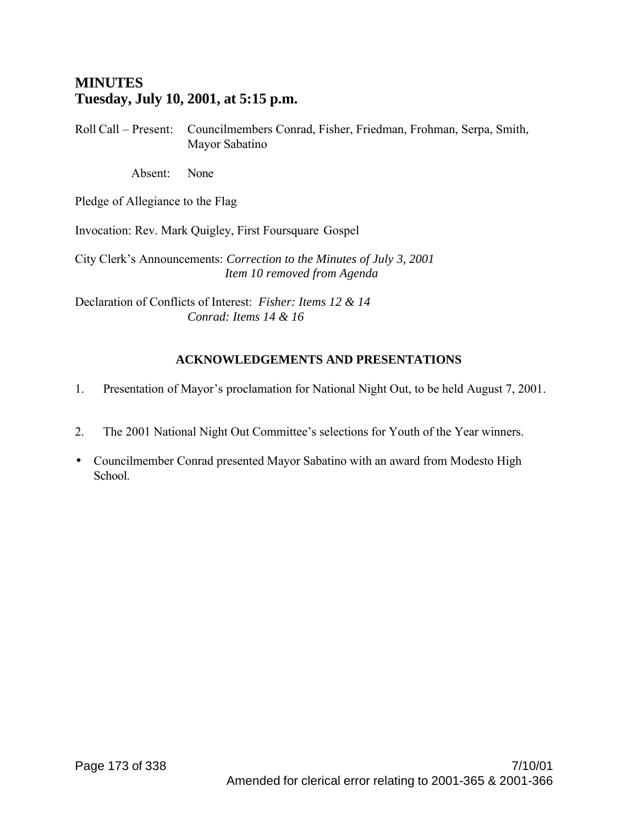# **MINUTES Tuesday, July 10, 2001, at 5:15 p.m.**

Roll Call – Present: Councilmembers Conrad, Fisher, Friedman, Frohman, Serpa, Smith, Mayor Sabatino

Absent: None

Pledge of Allegiance to the Flag

Invocation: Rev. Mark Quigley, First Foursquare Gospel

City Clerk's Announcements: *Correction to the Minutes of July 3, 2001 Item 10 removed from Agenda*

Declaration of Conflicts of Interest: *Fisher: Items 12 & 14 Conrad: Items 14 & 16*

# **ACKNOWLEDGEMENTS AND PRESENTATIONS**

- 1. Presentation of Mayor's proclamation for National Night Out, to be held August 7, 2001.
- 2. The 2001 National Night Out Committee's selections for Youth of the Year winners.
- Councilmember Conrad presented Mayor Sabatino with an award from Modesto High School.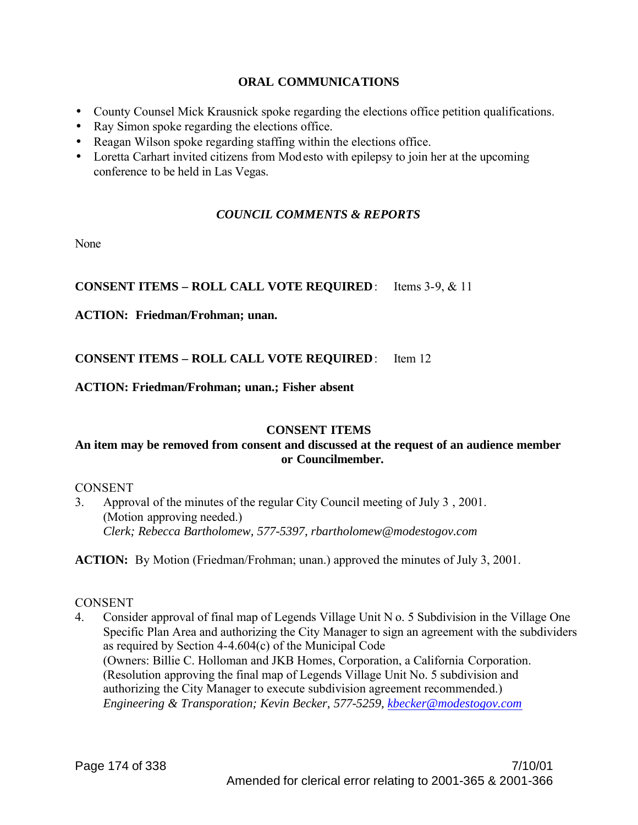#### **ORAL COMMUNICATIONS**

- County Counsel Mick Krausnick spoke regarding the elections office petition qualifications.
- Ray Simon spoke regarding the elections office.
- Reagan Wilson spoke regarding staffing within the elections office.
- Loretta Carhart invited citizens from Modesto with epilepsy to join her at the upcoming conference to be held in Las Vegas.

# *COUNCIL COMMENTS & REPORTS*

None

# **CONSENT ITEMS – ROLL CALL VOTE REQUIRED**: Items 3-9, & 11

#### **ACTION: Friedman/Frohman; unan.**

# **CONSENT ITEMS – ROLL CALL VOTE REQUIRED**: Item 12

#### **ACTION: Friedman/Frohman; unan.; Fisher absent**

#### **CONSENT ITEMS**

#### **An item may be removed from consent and discussed at the request of an audience member or Councilmember.**

#### **CONSENT**

3. Approval of the minutes of the regular City Council meeting of July 3 , 2001. (Motion approving needed.) *Clerk; Rebecca Bartholomew, 577-5397, rbartholomew@modestogov.com*

**ACTION:** By Motion (Friedman/Frohman; unan.) approved the minutes of July 3, 2001.

#### **CONSENT**

4. Consider approval of final map of Legends Village Unit N o. 5 Subdivision in the Village One Specific Plan Area and authorizing the City Manager to sign an agreement with the subdividers as required by Section 4-4.604(c) of the Municipal Code (Owners: Billie C. Holloman and JKB Homes, Corporation, a California Corporation. (Resolution approving the final map of Legends Village Unit No. 5 subdivision and authorizing the City Manager to execute subdivision agreement recommended.) *Engineering & Transporation; Kevin Becker, 577-5259, kbecker@modestogov.com*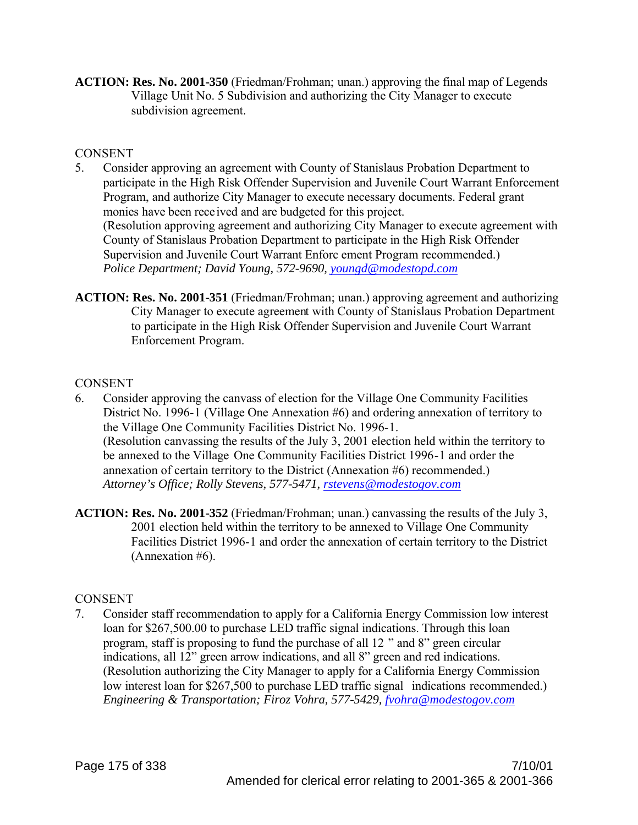**ACTION: Res. No. 2001-350** (Friedman/Frohman; unan.) approving the final map of Legends Village Unit No. 5 Subdivision and authorizing the City Manager to execute subdivision agreement.

#### **CONSENT**

- 5. Consider approving an agreement with County of Stanislaus Probation Department to participate in the High Risk Offender Supervision and Juvenile Court Warrant Enforcement Program, and authorize City Manager to execute necessary documents. Federal grant monies have been rece ived and are budgeted for this project. (Resolution approving agreement and authorizing City Manager to execute agreement with County of Stanislaus Probation Department to participate in the High Risk Offender Supervision and Juvenile Court Warrant Enforc ement Program recommended.) *Police Department; David Young, 572-9690, youngd@modestopd.com*
- **ACTION: Res. No. 2001-351** (Friedman/Frohman; unan.) approving agreement and authorizing City Manager to execute agreement with County of Stanislaus Probation Department to participate in the High Risk Offender Supervision and Juvenile Court Warrant Enforcement Program.

#### **CONSENT**

- 6. Consider approving the canvass of election for the Village One Community Facilities District No. 1996-1 (Village One Annexation #6) and ordering annexation of territory to the Village One Community Facilities District No. 1996-1. (Resolution canvassing the results of the July 3, 2001 election held within the territory to be annexed to the Village One Community Facilities District 1996-1 and order the annexation of certain territory to the District (Annexation #6) recommended.) *Attorney's Office; Rolly Stevens, 577-5471, rstevens@modestogov.com*
- **ACTION: Res. No. 2001-352** (Friedman/Frohman; unan.) canvassing the results of the July 3, 2001 election held within the territory to be annexed to Village One Community Facilities District 1996-1 and order the annexation of certain territory to the District (Annexation #6).

# **CONSENT**

7. Consider staff recommendation to apply for a California Energy Commission low interest loan for \$267,500.00 to purchase LED traffic signal indications. Through this loan program, staff is proposing to fund the purchase of all 12 " and 8" green circular indications, all 12" green arrow indications, and all 8" green and red indications. (Resolution authorizing the City Manager to apply for a California Energy Commission low interest loan for \$267,500 to purchase LED traffic signal indications recommended.) *Engineering & Transportation; Firoz Vohra, 577-5429, fvohra@modestogov.com*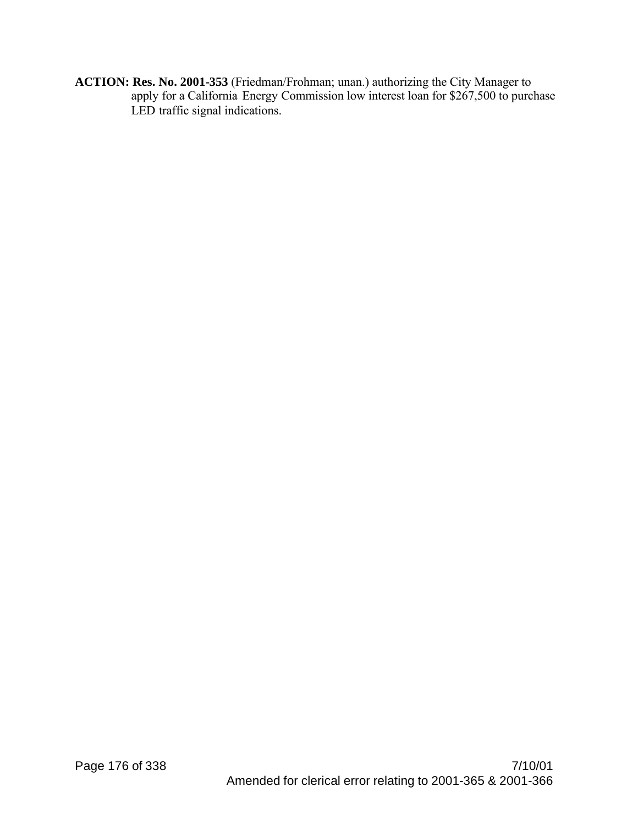**ACTION: Res. No. 2001-353** (Friedman/Frohman; unan.) authorizing the City Manager to apply for a California Energy Commission low interest loan for \$267,500 to purchase LED traffic signal indications.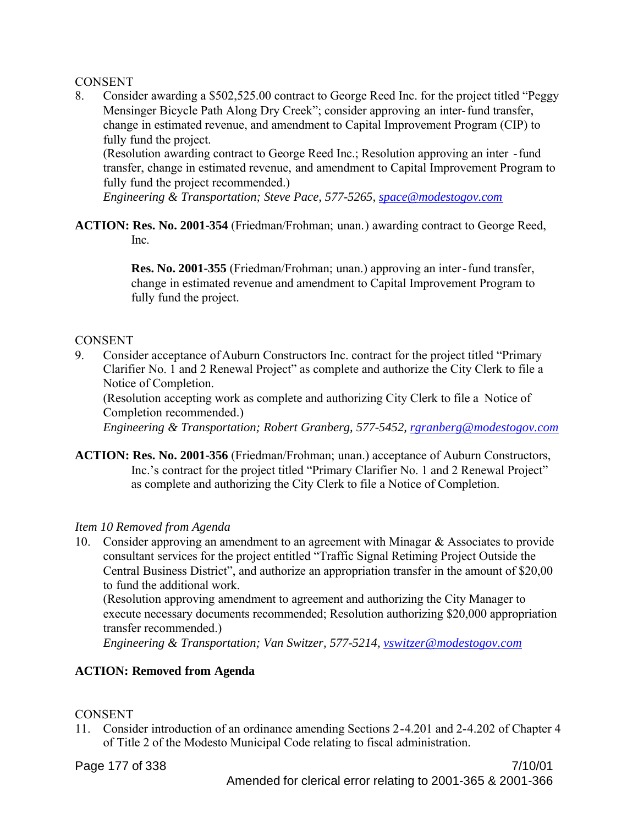#### CONSENT

8. Consider awarding a \$502,525.00 contract to George Reed Inc. for the project titled "Peggy Mensinger Bicycle Path Along Dry Creek"; consider approving an inter-fund transfer, change in estimated revenue, and amendment to Capital Improvement Program (CIP) to fully fund the project.

(Resolution awarding contract to George Reed Inc.; Resolution approving an inter -fund transfer, change in estimated revenue, and amendment to Capital Improvement Program to fully fund the project recommended.)

*Engineering & Transportation; Steve Pace, 577-5265, space@modestogov.com*

**ACTION: Res. No. 2001-354** (Friedman/Frohman; unan.) awarding contract to George Reed, Inc.

> **Res. No. 2001-355** (Friedman/Frohman; unan.) approving an inter-fund transfer, change in estimated revenue and amendment to Capital Improvement Program to fully fund the project.

#### **CONSENT**

9. Consider acceptance of Auburn Constructors Inc. contract for the project titled "Primary Clarifier No. 1 and 2 Renewal Project" as complete and authorize the City Clerk to file a Notice of Completion.

(Resolution accepting work as complete and authorizing City Clerk to file a Notice of Completion recommended.)

*Engineering & Transportation; Robert Granberg, 577-5452, rgranberg@modestogov.com*

**ACTION: Res. No. 2001-356** (Friedman/Frohman; unan.) acceptance of Auburn Constructors, Inc.'s contract for the project titled "Primary Clarifier No. 1 and 2 Renewal Project" as complete and authorizing the City Clerk to file a Notice of Completion.

#### *Item 10 Removed from Agenda*

10. Consider approving an amendment to an agreement with Minagar & Associates to provide consultant services for the project entitled "Traffic Signal Retiming Project Outside the Central Business District", and authorize an appropriation transfer in the amount of \$20,00 to fund the additional work.

(Resolution approving amendment to agreement and authorizing the City Manager to execute necessary documents recommended; Resolution authorizing \$20,000 appropriation transfer recommended.)

*Engineering & Transportation; Van Switzer, 577-5214, vswitzer@modestogov.com*

#### **ACTION: Removed from Agenda**

#### CONSENT

11. Consider introduction of an ordinance amending Sections 2-4.201 and 2-4.202 of Chapter 4 of Title 2 of the Modesto Municipal Code relating to fiscal administration.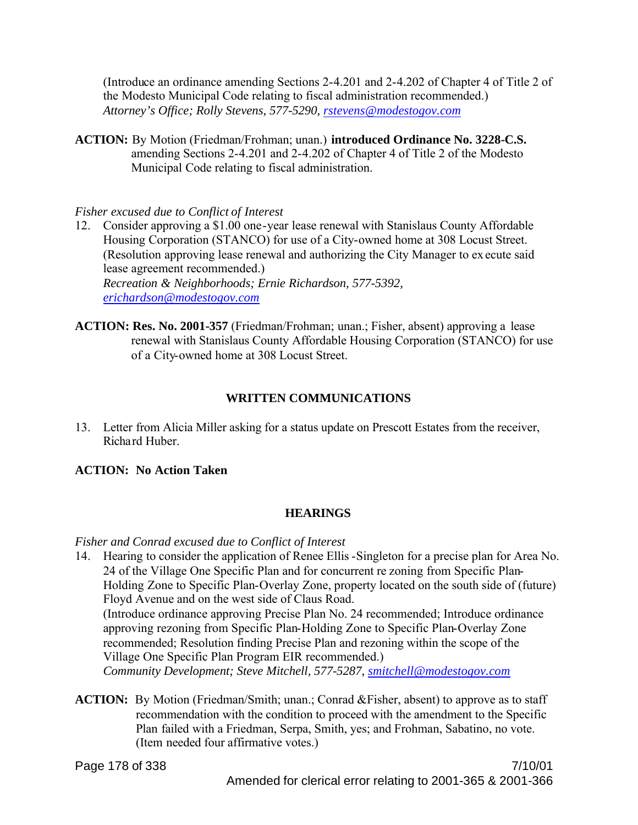(Introduce an ordinance amending Sections 2-4.201 and 2-4.202 of Chapter 4 of Title 2 of the Modesto Municipal Code relating to fiscal administration recommended.) *Attorney's Office; Rolly Stevens, 577-5290, rstevens@modestogov.com*

**ACTION:** By Motion (Friedman/Frohman; unan.) **introduced Ordinance No. 3228-C.S.** amending Sections 2-4.201 and 2-4.202 of Chapter 4 of Title 2 of the Modesto Municipal Code relating to fiscal administration.

#### *Fisher excused due to Conflict of Interest*

- 12. Consider approving a \$1.00 one-year lease renewal with Stanislaus County Affordable Housing Corporation (STANCO) for use of a City-owned home at 308 Locust Street. (Resolution approving lease renewal and authorizing the City Manager to execute said lease agreement recommended.) *Recreation & Neighborhoods; Ernie Richardson, 577-5392, erichardson@modestogov.com*
- **ACTION: Res. No. 2001-357** (Friedman/Frohman; unan.; Fisher, absent) approving a lease renewal with Stanislaus County Affordable Housing Corporation (STANCO) for use of a City-owned home at 308 Locust Street.

# **WRITTEN COMMUNICATIONS**

13. Letter from Alicia Miller asking for a status update on Prescott Estates from the receiver, Richard Huber.

# **ACTION: No Action Taken**

# **HEARINGS**

# *Fisher and Conrad excused due to Conflict of Interest*

- 14. Hearing to consider the application of Renee Ellis-Singleton for a precise plan for Area No. 24 of the Village One Specific Plan and for concurrent re zoning from Specific Plan-Holding Zone to Specific Plan-Overlay Zone, property located on the south side of (future) Floyd Avenue and on the west side of Claus Road. (Introduce ordinance approving Precise Plan No. 24 recommended; Introduce ordinance approving rezoning from Specific Plan-Holding Zone to Specific Plan-Overlay Zone recommended; Resolution finding Precise Plan and rezoning within the scope of the Village One Specific Plan Program EIR recommended.) *Community Development; Steve Mitchell, 577-5287, smitchell@modestogov.com*
- **ACTION:** By Motion (Friedman/Smith; unan.; Conrad &Fisher, absent) to approve as to staff recommendation with the condition to proceed with the amendment to the Specific Plan failed with a Friedman, Serpa, Smith, yes; and Frohman, Sabatino, no vote. (Item needed four affirmative votes.)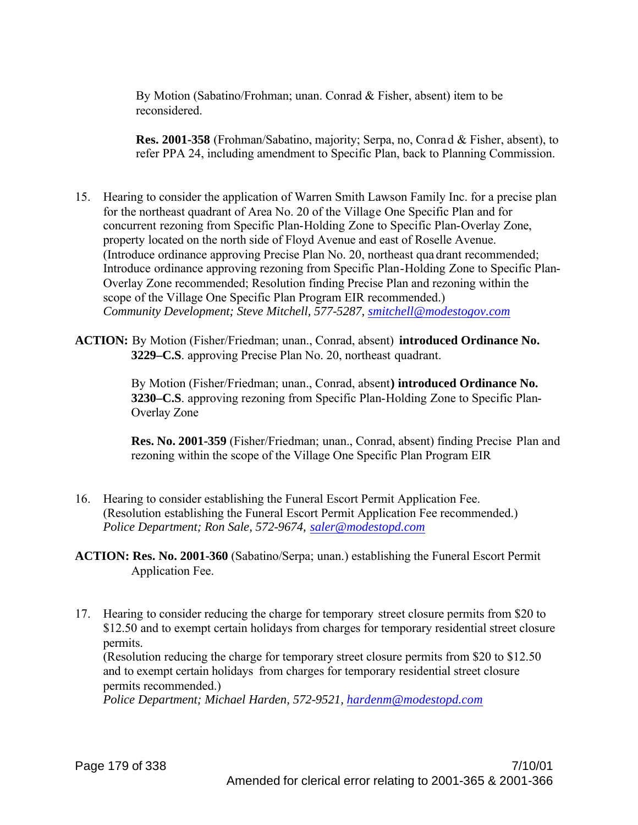By Motion (Sabatino/Frohman; unan. Conrad & Fisher, absent) item to be reconsidered.

**Res. 2001-358** (Frohman/Sabatino, majority; Serpa, no, Conrad & Fisher, absent), to refer PPA 24, including amendment to Specific Plan, back to Planning Commission.

- 15. Hearing to consider the application of Warren Smith Lawson Family Inc. for a precise plan for the northeast quadrant of Area No. 20 of the Village One Specific Plan and for concurrent rezoning from Specific Plan-Holding Zone to Specific Plan-Overlay Zone, property located on the north side of Floyd Avenue and east of Roselle Avenue. (Introduce ordinance approving Precise Plan No. 20, northeast qua drant recommended; Introduce ordinance approving rezoning from Specific Plan-Holding Zone to Specific Plan-Overlay Zone recommended; Resolution finding Precise Plan and rezoning within the scope of the Village One Specific Plan Program EIR recommended.) *Community Development; Steve Mitchell, 577-5287, smitchell@modestogov.com*
- **ACTION:** By Motion (Fisher/Friedman; unan., Conrad, absent) **introduced Ordinance No. 3229–C.S**. approving Precise Plan No. 20, northeast quadrant.

By Motion (Fisher/Friedman; unan., Conrad, absent**) introduced Ordinance No. 3230–C.S**. approving rezoning from Specific Plan-Holding Zone to Specific Plan-Overlay Zone

**Res. No. 2001-359** (Fisher/Friedman; unan., Conrad, absent) finding Precise Plan and rezoning within the scope of the Village One Specific Plan Program EIR

- 16. Hearing to consider establishing the Funeral Escort Permit Application Fee. (Resolution establishing the Funeral Escort Permit Application Fee recommended.) *Police Department; Ron Sale, 572-9674, saler@modestopd.com*
- **ACTION: Res. No. 2001-360** (Sabatino/Serpa; unan.) establishing the Funeral Escort Permit Application Fee.
- 17. Hearing to consider reducing the charge for temporary street closure permits from \$20 to \$12.50 and to exempt certain holidays from charges for temporary residential street closure permits.

(Resolution reducing the charge for temporary street closure permits from \$20 to \$12.50 and to exempt certain holidays from charges for temporary residential street closure permits recommended.)

*Police Department; Michael Harden, 572-9521, hardenm@modestopd.com*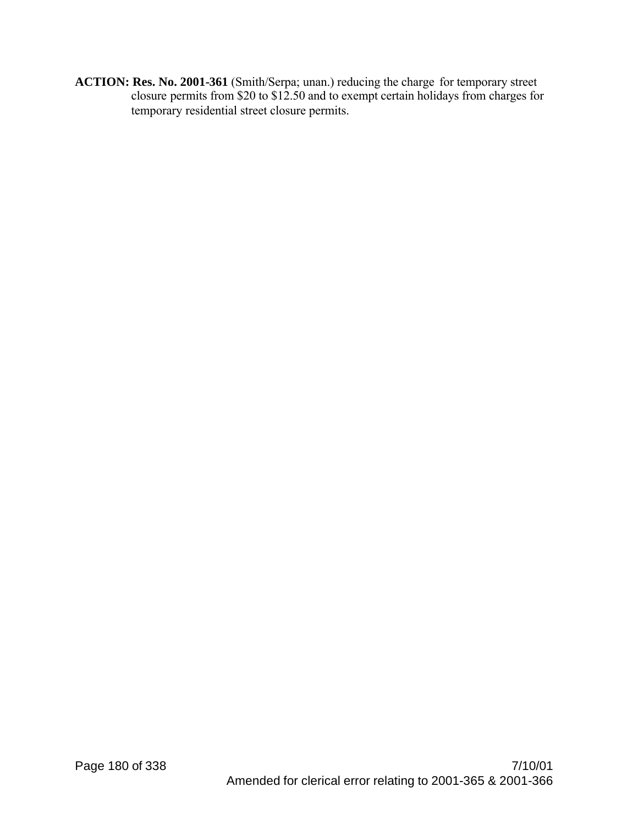**ACTION: Res. No. 2001-361** (Smith/Serpa; unan.) reducing the charge for temporary street closure permits from \$20 to \$12.50 and to exempt certain holidays from charges for temporary residential street closure permits.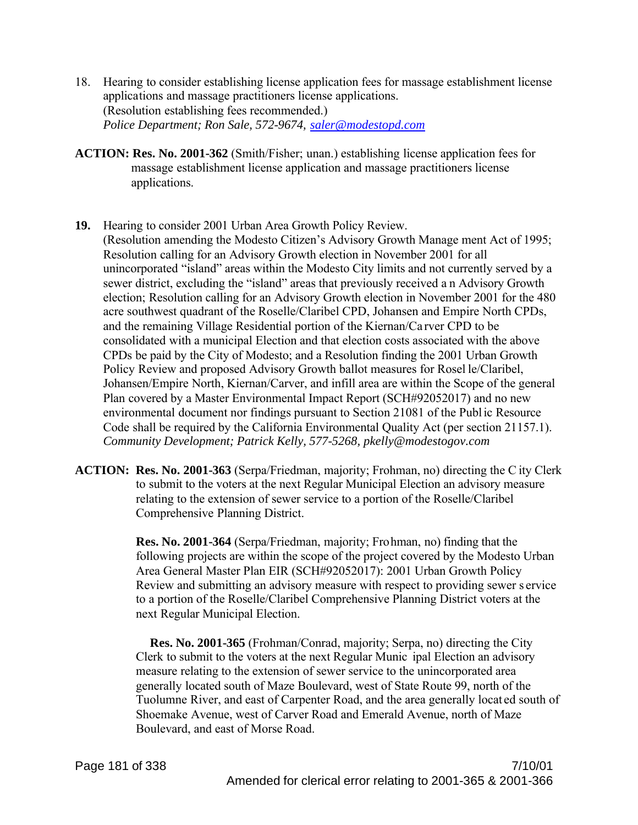- 18. Hearing to consider establishing license application fees for massage establishment license applications and massage practitioners license applications. (Resolution establishing fees recommended.) *Police Department; Ron Sale, 572-9674, saler@modestopd.com*
- **ACTION: Res. No. 2001-362** (Smith/Fisher; unan.) establishing license application fees for massage establishment license application and massage practitioners license applications.
- **19.** Hearing to consider 2001 Urban Area Growth Policy Review.

(Resolution amending the Modesto Citizen's Advisory Growth Manage ment Act of 1995; Resolution calling for an Advisory Growth election in November 2001 for all unincorporated "island" areas within the Modesto City limits and not currently served by a sewer district, excluding the "island" areas that previously received a n Advisory Growth election; Resolution calling for an Advisory Growth election in November 2001 for the 480 acre southwest quadrant of the Roselle/Claribel CPD, Johansen and Empire North CPDs, and the remaining Village Residential portion of the Kiernan/Ca rver CPD to be consolidated with a municipal Election and that election costs associated with the above CPDs be paid by the City of Modesto; and a Resolution finding the 2001 Urban Growth Policy Review and proposed Advisory Growth ballot measures for Rosel le/Claribel, Johansen/Empire North, Kiernan/Carver, and infill area are within the Scope of the general Plan covered by a Master Environmental Impact Report (SCH#92052017) and no new environmental document nor findings pursuant to Section 21081 of the Public Resource Code shall be required by the California Environmental Quality Act (per section 21157.1). *Community Development; Patrick Kelly, 577-5268, pkelly@modestogov.com*

**ACTION: Res. No. 2001-363** (Serpa/Friedman, majority; Frohman, no) directing the C ity Clerk to submit to the voters at the next Regular Municipal Election an advisory measure relating to the extension of sewer service to a portion of the Roselle/Claribel Comprehensive Planning District.

> **Res. No. 2001-364** (Serpa/Friedman, majority; Frohman, no) finding that the following projects are within the scope of the project covered by the Modesto Urban Area General Master Plan EIR (SCH#92052017): 2001 Urban Growth Policy Review and submitting an advisory measure with respect to providing sewer s ervice to a portion of the Roselle/Claribel Comprehensive Planning District voters at the next Regular Municipal Election.

> **Res. No. 2001-365** (Frohman/Conrad, majority; Serpa, no) directing the City Clerk to submit to the voters at the next Regular Munic ipal Election an advisory measure relating to the extension of sewer service to the unincorporated area generally located south of Maze Boulevard, west of State Route 99, north of the Tuolumne River, and east of Carpenter Road, and the area generally locat ed south of Shoemake Avenue, west of Carver Road and Emerald Avenue, north of Maze Boulevard, and east of Morse Road.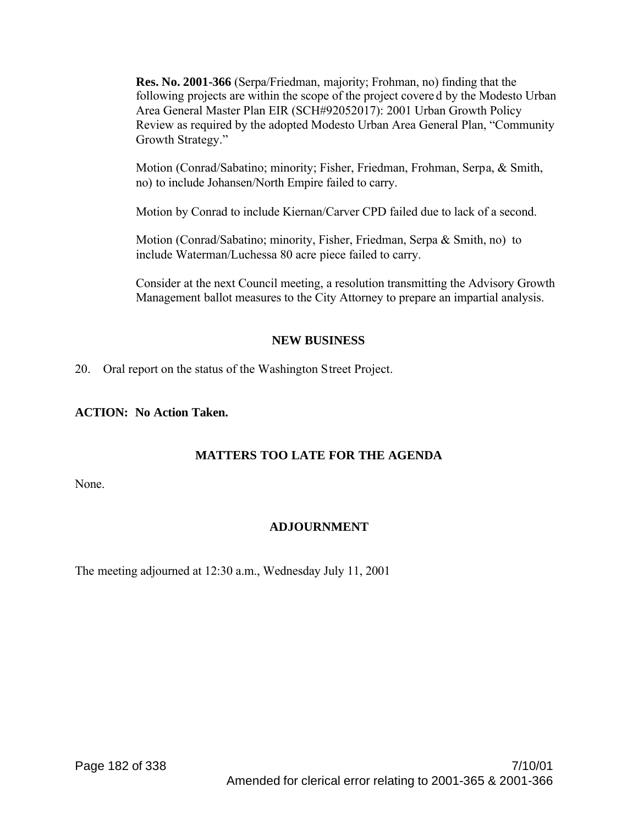**Res. No. 2001-366** (Serpa/Friedman, majority; Frohman, no) finding that the following projects are within the scope of the project covere d by the Modesto Urban Area General Master Plan EIR (SCH#92052017): 2001 Urban Growth Policy Review as required by the adopted Modesto Urban Area General Plan, "Community Growth Strategy."

Motion (Conrad/Sabatino; minority; Fisher, Friedman, Frohman, Serpa, & Smith, no) to include Johansen/North Empire failed to carry.

Motion by Conrad to include Kiernan/Carver CPD failed due to lack of a second.

Motion (Conrad/Sabatino; minority, Fisher, Friedman, Serpa & Smith, no) to include Waterman/Luchessa 80 acre piece failed to carry.

Consider at the next Council meeting, a resolution transmitting the Advisory Growth Management ballot measures to the City Attorney to prepare an impartial analysis.

# **NEW BUSINESS**

20. Oral report on the status of the Washington Street Project.

# **ACTION: No Action Taken.**

# **MATTERS TOO LATE FOR THE AGENDA**

None.

# **ADJOURNMENT**

The meeting adjourned at 12:30 a.m., Wednesday July 11, 2001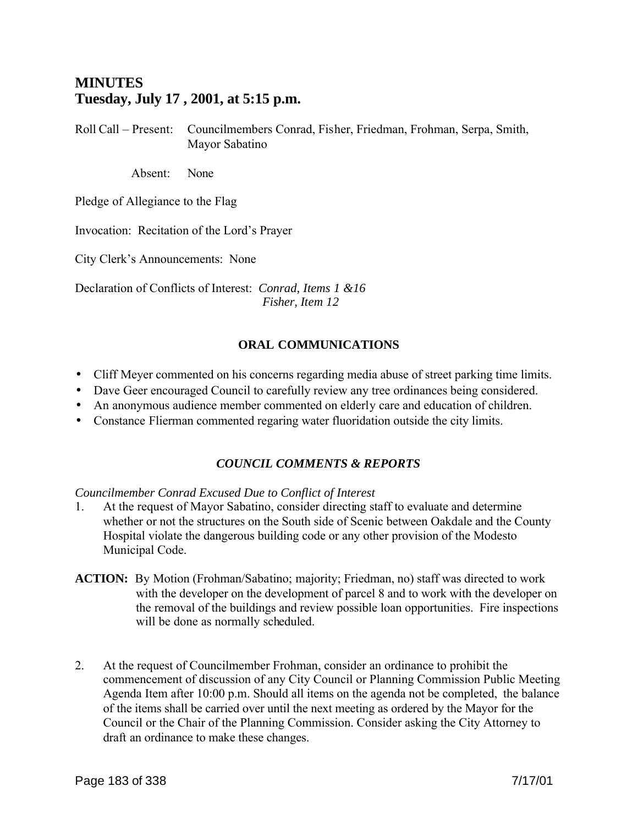# **MINUTES Tuesday, July 17 , 2001, at 5:15 p.m.**

Roll Call – Present: Councilmembers Conrad, Fisher, Friedman, Frohman, Serpa, Smith, Mayor Sabatino

Absent: None

Pledge of Allegiance to the Flag

Invocation: Recitation of the Lord's Prayer

City Clerk's Announcements: None

Declaration of Conflicts of Interest: *Conrad, Items 1 &16 Fisher, Item 12*

# **ORAL COMMUNICATIONS**

- Cliff Meyer commented on his concerns regarding media abuse of street parking time limits.
- Dave Geer encouraged Council to carefully review any tree ordinances being considered.
- An anonymous audience member commented on elderly care and education of children.
- Constance Flierman commented regaring water fluoridation outside the city limits.

# *COUNCIL COMMENTS & REPORTS*

#### *Councilmember Conrad Excused Due to Conflict of Interest*

- 1. At the request of Mayor Sabatino, consider directing staff to evaluate and determine whether or not the structures on the South side of Scenic between Oakdale and the County Hospital violate the dangerous building code or any other provision of the Modesto Municipal Code.
- **ACTION:** By Motion (Frohman/Sabatino; majority; Friedman, no) staff was directed to work with the developer on the development of parcel 8 and to work with the developer on the removal of the buildings and review possible loan opportunities. Fire inspections will be done as normally scheduled.
- 2. At the request of Councilmember Frohman, consider an ordinance to prohibit the commencement of discussion of any City Council or Planning Commission Public Meeting Agenda Item after 10:00 p.m. Should all items on the agenda not be completed, the balance of the items shall be carried over until the next meeting as ordered by the Mayor for the Council or the Chair of the Planning Commission. Consider asking the City Attorney to draft an ordinance to make these changes.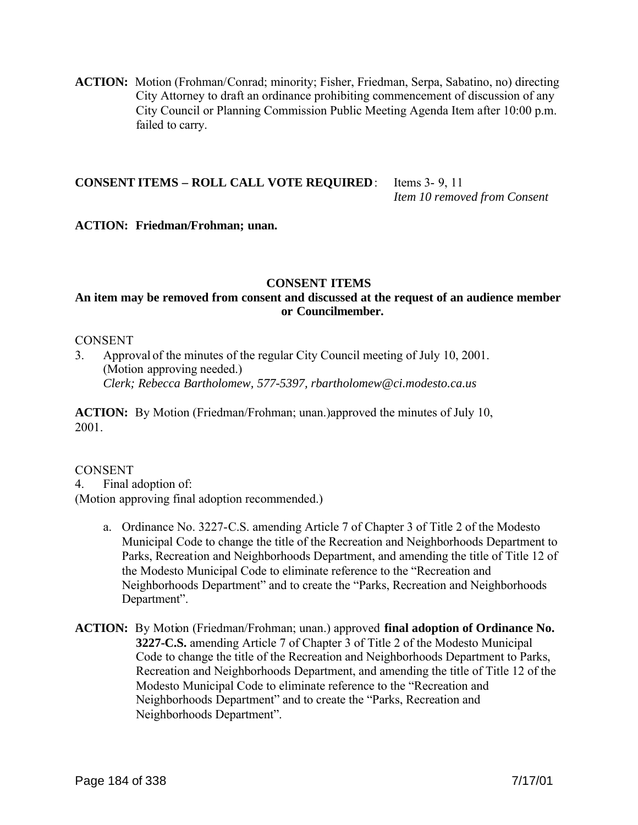**ACTION:** Motion (Frohman/Conrad; minority; Fisher, Friedman, Serpa, Sabatino, no) directing City Attorney to draft an ordinance prohibiting commencement of discussion of any City Council or Planning Commission Public Meeting Agenda Item after 10:00 p.m. failed to carry.

#### **CONSENT ITEMS – ROLL CALL VOTE REQUIRED**: Items 3- 9, 11 *Item 10 removed from Consent*

#### **ACTION: Friedman/Frohman; unan.**

#### **CONSENT ITEMS**

## **An item may be removed from consent and discussed at the request of an audience member or Councilmember.**

#### **CONSENT**

3. Approval of the minutes of the regular City Council meeting of July 10, 2001. (Motion approving needed.) *Clerk; Rebecca Bartholomew, 577-5397, rbartholomew@ci.modesto.ca.us*

**ACTION:** By Motion (Friedman/Frohman; unan.)approved the minutes of July 10, 2001.

#### **CONSENT**

4. Final adoption of:

(Motion approving final adoption recommended.)

- a. Ordinance No. 3227-C.S. amending Article 7 of Chapter 3 of Title 2 of the Modesto Municipal Code to change the title of the Recreation and Neighborhoods Department to Parks, Recreation and Neighborhoods Department, and amending the title of Title 12 of the Modesto Municipal Code to eliminate reference to the "Recreation and Neighborhoods Department" and to create the "Parks, Recreation and Neighborhoods Department".
- **ACTION:** By Motion (Friedman/Frohman; unan.) approved **final adoption of Ordinance No. 3227-C.S.** amending Article 7 of Chapter 3 of Title 2 of the Modesto Municipal Code to change the title of the Recreation and Neighborhoods Department to Parks, Recreation and Neighborhoods Department, and amending the title of Title 12 of the Modesto Municipal Code to eliminate reference to the "Recreation and Neighborhoods Department" and to create the "Parks, Recreation and Neighborhoods Department".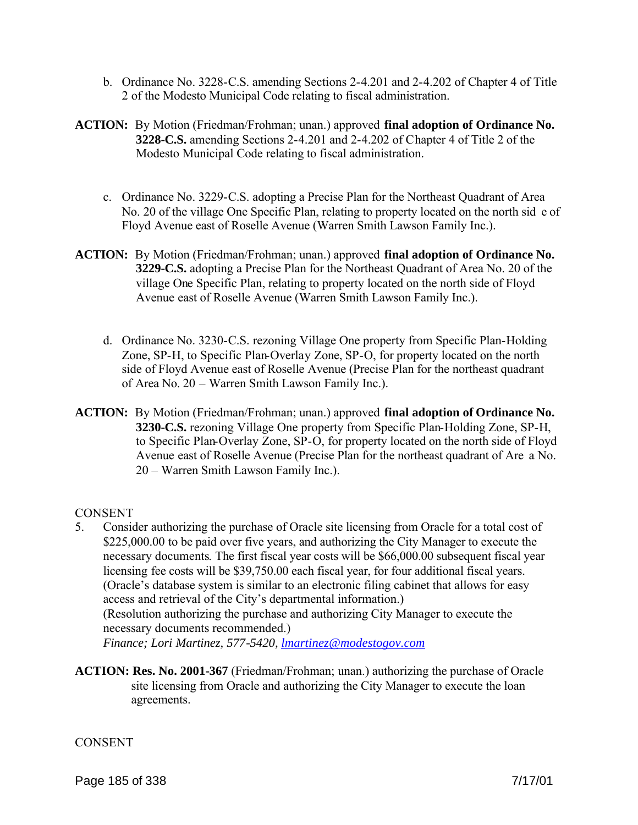- b. Ordinance No. 3228-C.S. amending Sections 2-4.201 and 2-4.202 of Chapter 4 of Title 2 of the Modesto Municipal Code relating to fiscal administration.
- **ACTION:** By Motion (Friedman/Frohman; unan.) approved **final adoption of Ordinance No. 3228-C.S.** amending Sections 2-4.201 and 2-4.202 of Chapter 4 of Title 2 of the Modesto Municipal Code relating to fiscal administration.
	- c. Ordinance No. 3229-C.S. adopting a Precise Plan for the Northeast Quadrant of Area No. 20 of the village One Specific Plan, relating to property located on the north sid e of Floyd Avenue east of Roselle Avenue (Warren Smith Lawson Family Inc.).
- **ACTION:** By Motion (Friedman/Frohman; unan.) approved **final adoption of Ordinance No. 3229-C.S.** adopting a Precise Plan for the Northeast Quadrant of Area No. 20 of the village One Specific Plan, relating to property located on the north side of Floyd Avenue east of Roselle Avenue (Warren Smith Lawson Family Inc.).
	- d. Ordinance No. 3230-C.S. rezoning Village One property from Specific Plan-Holding Zone, SP-H, to Specific Plan-Overlay Zone, SP-O, for property located on the north side of Floyd Avenue east of Roselle Avenue (Precise Plan for the northeast quadrant of Area No. 20 – Warren Smith Lawson Family Inc.).
- **ACTION:** By Motion (Friedman/Frohman; unan.) approved **final adoption of Ordinance No. 3230-C.S.** rezoning Village One property from Specific Plan-Holding Zone, SP-H, to Specific Plan-Overlay Zone, SP-O, for property located on the north side of Floyd Avenue east of Roselle Avenue (Precise Plan for the northeast quadrant of Are a No. 20 – Warren Smith Lawson Family Inc.).

# **CONSENT**

5. Consider authorizing the purchase of Oracle site licensing from Oracle for a total cost of \$225,000.00 to be paid over five years, and authorizing the City Manager to execute the necessary documents. The first fiscal year costs will be \$66,000.00 subsequent fiscal year licensing fee costs will be \$39,750.00 each fiscal year, for four additional fiscal years. (Oracle's database system is similar to an electronic filing cabinet that allows for easy access and retrieval of the City's departmental information.) (Resolution authorizing the purchase and authorizing City Manager to execute the necessary documents recommended.)

*Finance; Lori Martinez, 577-5420, lmartinez@modestogov.com*

**ACTION: Res. No. 2001-367** (Friedman/Frohman; unan.) authorizing the purchase of Oracle site licensing from Oracle and authorizing the City Manager to execute the loan agreements.

**CONSENT**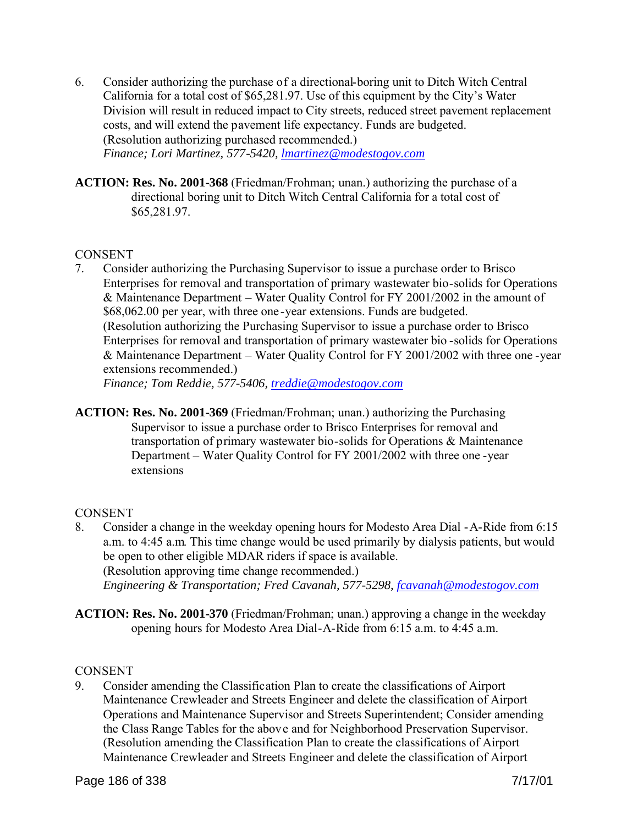- 6. Consider authorizing the purchase of a directional-boring unit to Ditch Witch Central California for a total cost of \$65,281.97. Use of this equipment by the City's Water Division will result in reduced impact to City streets, reduced street pavement replacement costs, and will extend the pavement life expectancy. Funds are budgeted. (Resolution authorizing purchased recommended.) *Finance; Lori Martinez, 577-5420, lmartinez@modestogov.com*
- **ACTION: Res. No. 2001-368** (Friedman/Frohman; unan.) authorizing the purchase of a directional boring unit to Ditch Witch Central California for a total cost of \$65,281.97.

### **CONSENT**

7. Consider authorizing the Purchasing Supervisor to issue a purchase order to Brisco Enterprises for removal and transportation of primary wastewater bio-solids for Operations & Maintenance Department – Water Quality Control for FY 2001/2002 in the amount of \$68,062.00 per year, with three one -year extensions. Funds are budgeted. (Resolution authorizing the Purchasing Supervisor to issue a purchase order to Brisco Enterprises for removal and transportation of primary wastewater bio -solids for Operations & Maintenance Department – Water Quality Control for FY 2001/2002 with three one -year extensions recommended.)

*Finance; Tom Reddie, 577-5406, treddie@modestogov.com*

**ACTION: Res. No. 2001-369** (Friedman/Frohman; unan.) authorizing the Purchasing Supervisor to issue a purchase order to Brisco Enterprises for removal and transportation of primary wastewater bio-solids for Operations & Maintenance Department – Water Quality Control for FY 2001/2002 with three one -year extensions

# **CONSENT**

- 8. Consider a change in the weekday opening hours for Modesto Area Dial -A-Ride from 6:15 a.m. to 4:45 a.m. This time change would be used primarily by dialysis patients, but would be open to other eligible MDAR riders if space is available. (Resolution approving time change recommended.) *Engineering & Transportation; Fred Cavanah, 577-5298, fcavanah@modestogov.com*
- **ACTION: Res. No. 2001-370** (Friedman/Frohman; unan.) approving a change in the weekday opening hours for Modesto Area Dial-A-Ride from 6:15 a.m. to 4:45 a.m.

# CONSENT

9. Consider amending the Classification Plan to create the classifications of Airport Maintenance Crewleader and Streets Engineer and delete the classification of Airport Operations and Maintenance Supervisor and Streets Superintendent; Consider amending the Class Range Tables for the above and for Neighborhood Preservation Supervisor. (Resolution amending the Classification Plan to create the classifications of Airport Maintenance Crewleader and Streets Engineer and delete the classification of Airport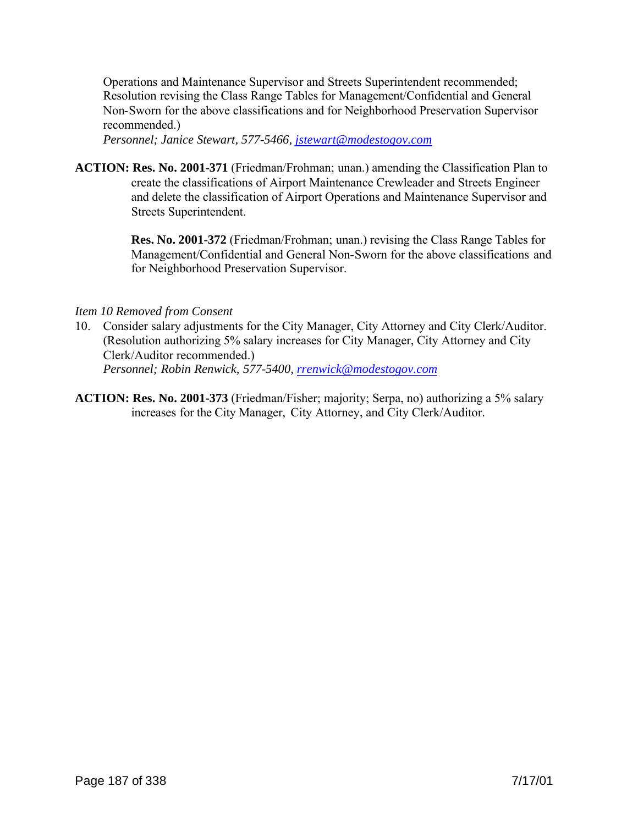Operations and Maintenance Supervisor and Streets Superintendent recommended; Resolution revising the Class Range Tables for Management/Confidential and General Non-Sworn for the above classifications and for Neighborhood Preservation Supervisor recommended.)

*Personnel; Janice Stewart, 577-5466, jstewart@modestogov.com*

**ACTION: Res. No. 2001-371** (Friedman/Frohman; unan.) amending the Classification Plan to create the classifications of Airport Maintenance Crewleader and Streets Engineer and delete the classification of Airport Operations and Maintenance Supervisor and Streets Superintendent.

> **Res. No. 2001-372** (Friedman/Frohman; unan.) revising the Class Range Tables for Management/Confidential and General Non-Sworn for the above classifications and for Neighborhood Preservation Supervisor.

#### *Item 10 Removed from Consent*

- 10. Consider salary adjustments for the City Manager, City Attorney and City Clerk/Auditor. (Resolution authorizing 5% salary increases for City Manager, City Attorney and City Clerk/Auditor recommended.) *Personnel; Robin Renwick, 577-5400, rrenwick@modestogov.com*
- **ACTION: Res. No. 2001-373** (Friedman/Fisher; majority; Serpa, no) authorizing a 5% salary increases for the City Manager, City Attorney, and City Clerk/Auditor.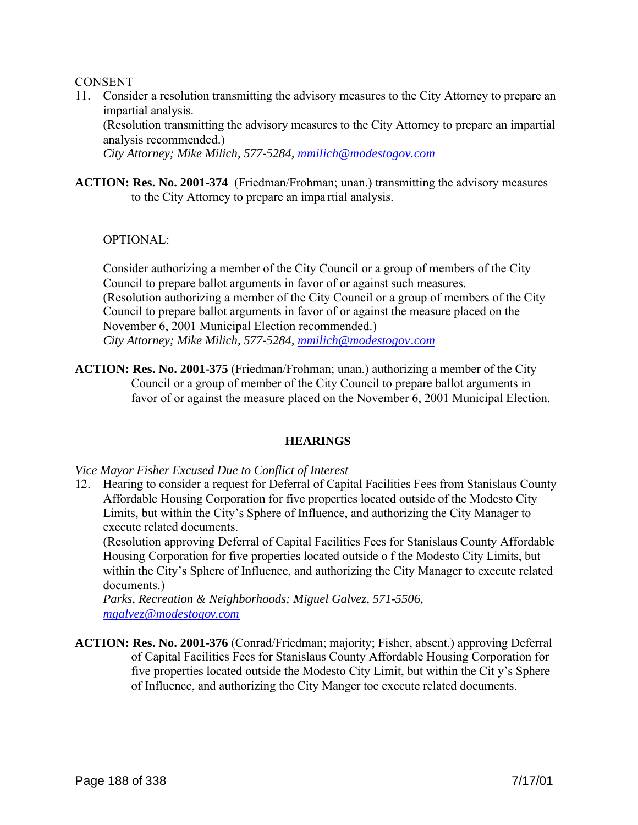#### **CONSENT**

11. Consider a resolution transmitting the advisory measures to the City Attorney to prepare an impartial analysis.

(Resolution transmitting the advisory measures to the City Attorney to prepare an impartial analysis recommended.)

*City Attorney; Mike Milich, 577-5284, mmilich@modestogov.com*

**ACTION: Res. No. 2001-374** (Friedman/Frohman; unan.) transmitting the advisory measures to the City Attorney to prepare an impa rtial analysis.

OPTIONAL:

Consider authorizing a member of the City Council or a group of members of the City Council to prepare ballot arguments in favor of or against such measures. (Resolution authorizing a member of the City Council or a group of members of the City Council to prepare ballot arguments in favor of or against the measure placed on the November 6, 2001 Municipal Election recommended.) *City Attorney; Mike Milich, 577-5284, mmilich@modestogov.com*

**ACTION: Res. No. 2001-375** (Friedman/Frohman; unan.) authorizing a member of the City Council or a group of member of the City Council to prepare ballot arguments in favor of or against the measure placed on the November 6, 2001 Municipal Election.

#### **HEARINGS**

*Vice Mayor Fisher Excused Due to Conflict of Interest*

12. Hearing to consider a request for Deferral of Capital Facilities Fees from Stanislaus County Affordable Housing Corporation for five properties located outside of the Modesto City Limits, but within the City's Sphere of Influence, and authorizing the City Manager to execute related documents.

(Resolution approving Deferral of Capital Facilities Fees for Stanislaus County Affordable Housing Corporation for five properties located outside o f the Modesto City Limits, but within the City's Sphere of Influence, and authorizing the City Manager to execute related documents.)

*Parks, Recreation & Neighborhoods; Miguel Galvez, 571-5506, mgalvez@modestogov.com*

**ACTION: Res. No. 2001-376** (Conrad/Friedman; majority; Fisher, absent.) approving Deferral of Capital Facilities Fees for Stanislaus County Affordable Housing Corporation for five properties located outside the Modesto City Limit, but within the Cit y's Sphere of Influence, and authorizing the City Manger toe execute related documents.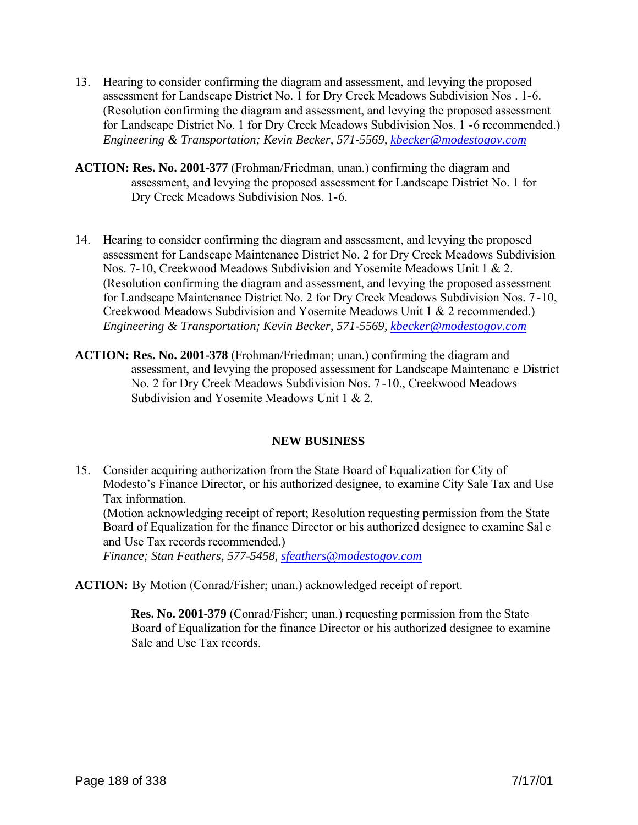- 13. Hearing to consider confirming the diagram and assessment, and levying the proposed assessment for Landscape District No. 1 for Dry Creek Meadows Subdivision Nos . 1-6. (Resolution confirming the diagram and assessment, and levying the proposed assessment for Landscape District No. 1 for Dry Creek Meadows Subdivision Nos. 1 -6 recommended.) *Engineering & Transportation; Kevin Becker, 571-5569, kbecker@modestogov.com*
- **ACTION: Res. No. 2001-377** (Frohman/Friedman, unan.) confirming the diagram and assessment, and levying the proposed assessment for Landscape District No. 1 for Dry Creek Meadows Subdivision Nos. 1-6.
- 14. Hearing to consider confirming the diagram and assessment, and levying the proposed assessment for Landscape Maintenance District No. 2 for Dry Creek Meadows Subdivision Nos. 7-10, Creekwood Meadows Subdivision and Yosemite Meadows Unit 1 & 2. (Resolution confirming the diagram and assessment, and levying the proposed assessment for Landscape Maintenance District No. 2 for Dry Creek Meadows Subdivision Nos. 7 -10, Creekwood Meadows Subdivision and Yosemite Meadows Unit 1 & 2 recommended.) *Engineering & Transportation; Kevin Becker, 571-5569, kbecker@modestogov.com*
- **ACTION: Res. No. 2001-378** (Frohman/Friedman; unan.) confirming the diagram and assessment, and levying the proposed assessment for Landscape Maintenanc e District No. 2 for Dry Creek Meadows Subdivision Nos. 7 -10., Creekwood Meadows Subdivision and Yosemite Meadows Unit 1 & 2.

#### **NEW BUSINESS**

15. Consider acquiring authorization from the State Board of Equalization for City of Modesto's Finance Director, or his authorized designee, to examine City Sale Tax and Use Tax information. (Motion acknowledging receipt of report; Resolution requesting permission from the State Board of Equalization for the finance Director or his authorized designee to examine Sal e and Use Tax records recommended.)

*Finance; Stan Feathers, 577-5458, sfeathers@modestogov.com*

**ACTION:** By Motion (Conrad/Fisher; unan.) acknowledged receipt of report.

**Res. No. 2001-379** (Conrad/Fisher; unan.) requesting permission from the State Board of Equalization for the finance Director or his authorized designee to examine Sale and Use Tax records.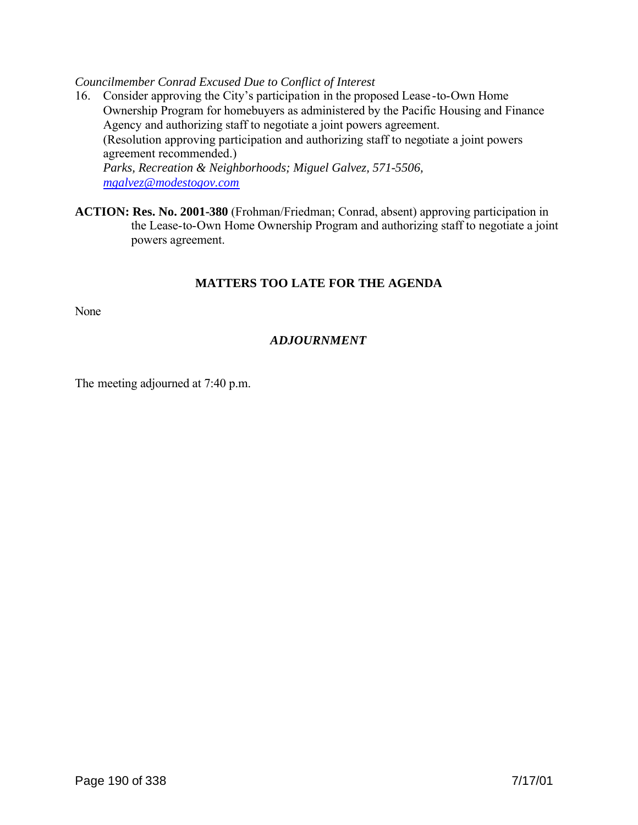*Councilmember Conrad Excused Due to Conflict of Interest*

- 16. Consider approving the City's participation in the proposed Lease-to-Own Home Ownership Program for homebuyers as administered by the Pacific Housing and Finance Agency and authorizing staff to negotiate a joint powers agreement. (Resolution approving participation and authorizing staff to negotiate a joint powers agreement recommended.) *Parks, Recreation & Neighborhoods; Miguel Galvez, 571-5506, mgalvez@modestogov.com*
- **ACTION: Res. No. 2001-380** (Frohman/Friedman; Conrad, absent) approving participation in the Lease-to-Own Home Ownership Program and authorizing staff to negotiate a joint powers agreement.

# **MATTERS TOO LATE FOR THE AGENDA**

None

# *ADJOURNMENT*

The meeting adjourned at 7:40 p.m.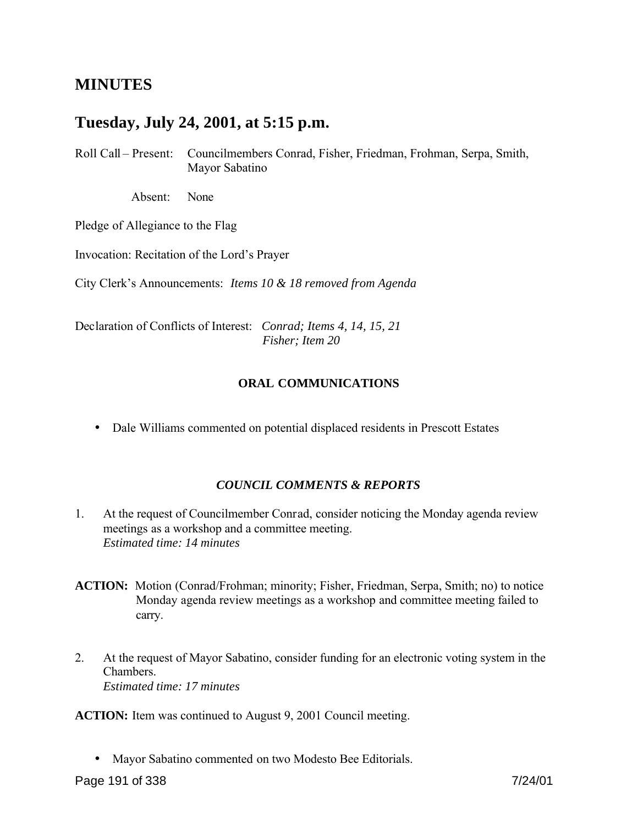# **MINUTES**

# **Tuesday, July 24, 2001, at 5:15 p.m.**

Roll Call – Present: Councilmembers Conrad, Fisher, Friedman, Frohman, Serpa, Smith, Mayor Sabatino

Absent: None

Pledge of Allegiance to the Flag

Invocation: Recitation of the Lord's Prayer

City Clerk's Announcements: *Items 10 & 18 removed from Agenda* 

Declaration of Conflicts of Interest: *Conrad; Items 4, 14, 15, 21 Fisher; Item 20*

#### **ORAL COMMUNICATIONS**

• Dale Williams commented on potential displaced residents in Prescott Estates

#### *COUNCIL COMMENTS & REPORTS*

1. At the request of Councilmember Conrad, consider noticing the Monday agenda review meetings as a workshop and a committee meeting. *Estimated time: 14 minutes*

**ACTION:** Motion (Conrad/Frohman; minority; Fisher, Friedman, Serpa, Smith; no) to notice Monday agenda review meetings as a workshop and committee meeting failed to carry.

2. At the request of Mayor Sabatino, consider funding for an electronic voting system in the Chambers. *Estimated time: 17 minutes*

**ACTION:** Item was continued to August 9, 2001 Council meeting.

• Mayor Sabatino commented on two Modesto Bee Editorials.

Page 191 of 338 7/24/01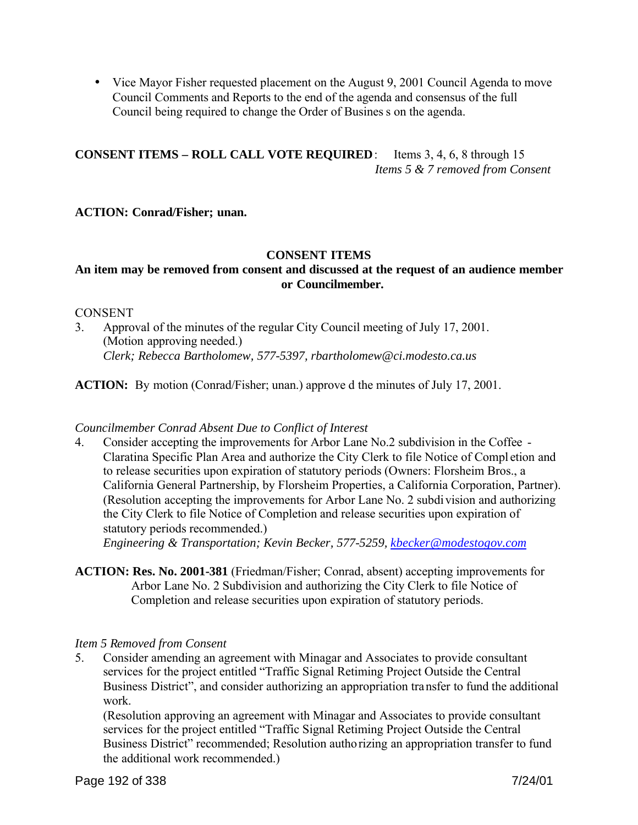• Vice Mayor Fisher requested placement on the August 9, 2001 Council Agenda to move Council Comments and Reports to the end of the agenda and consensus of the full Council being required to change the Order of Busines s on the agenda.

**CONSENT ITEMS – ROLL CALL VOTE REQUIRED**: Items 3, 4, 6, 8 through 15 *Items 5 & 7 removed from Consent*

**ACTION: Conrad/Fisher; unan.**

### **CONSENT ITEMS**

# **An item may be removed from consent and discussed at the request of an audience member or Councilmember.**

#### **CONSENT**

3. Approval of the minutes of the regular City Council meeting of July 17, 2001. (Motion approving needed.) *Clerk; Rebecca Bartholomew, 577-5397, rbartholomew@ci.modesto.ca.us*

**ACTION:** By motion (Conrad/Fisher; unan.) approve d the minutes of July 17, 2001.

#### *Councilmember Conrad Absent Due to Conflict of Interest*

4. Consider accepting the improvements for Arbor Lane No.2 subdivision in the Coffee - Claratina Specific Plan Area and authorize the City Clerk to file Notice of Compl etion and to release securities upon expiration of statutory periods (Owners: Florsheim Bros., a California General Partnership, by Florsheim Properties, a California Corporation, Partner). (Resolution accepting the improvements for Arbor Lane No. 2 subdivision and authorizing the City Clerk to file Notice of Completion and release securities upon expiration of statutory periods recommended.)

*Engineering & Transportation; Kevin Becker, 577-5259, kbecker@modestogov.com*

**ACTION: Res. No. 2001-381** (Friedman/Fisher; Conrad, absent) accepting improvements for Arbor Lane No. 2 Subdivision and authorizing the City Clerk to file Notice of Completion and release securities upon expiration of statutory periods.

#### *Item 5 Removed from Consent*

5. Consider amending an agreement with Minagar and Associates to provide consultant services for the project entitled "Traffic Signal Retiming Project Outside the Central Business District", and consider authorizing an appropriation transfer to fund the additional work.

(Resolution approving an agreement with Minagar and Associates to provide consultant services for the project entitled "Traffic Signal Retiming Project Outside the Central Business District" recommended; Resolution authorizing an appropriation transfer to fund the additional work recommended.)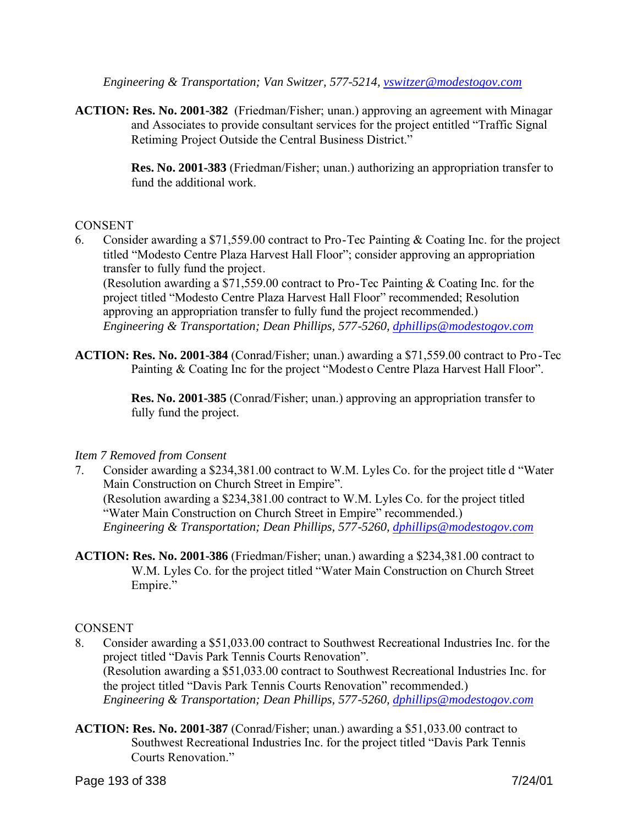*Engineering & Transportation; Van Switzer, 577-5214, vswitzer@modestogov.com*

**ACTION: Res. No. 2001-382** (Friedman/Fisher; unan.) approving an agreement with Minagar and Associates to provide consultant services for the project entitled "Traffic Signal Retiming Project Outside the Central Business District."

> **Res. No. 2001-383** (Friedman/Fisher; unan.) authorizing an appropriation transfer to fund the additional work.

### CONSENT

6. Consider awarding a \$71,559.00 contract to Pro-Tec Painting & Coating Inc. for the project titled "Modesto Centre Plaza Harvest Hall Floor"; consider approving an appropriation transfer to fully fund the project.

(Resolution awarding a \$71,559.00 contract to Pro-Tec Painting & Coating Inc. for the project titled "Modesto Centre Plaza Harvest Hall Floor" recommended; Resolution approving an appropriation transfer to fully fund the project recommended.) *Engineering & Transportation; Dean Phillips, 577-5260, dphillips@modestogov.com*

**ACTION: Res. No. 2001-384** (Conrad/Fisher; unan.) awarding a \$71,559.00 contract to Pro -Tec Painting & Coating Inc for the project "Modesto Centre Plaza Harvest Hall Floor".

> **Res. No. 2001-385** (Conrad/Fisher; unan.) approving an appropriation transfer to fully fund the project.

#### *Item 7 Removed from Consent*

- 7. Consider awarding a \$234,381.00 contract to W.M. Lyles Co. for the project title d "Water Main Construction on Church Street in Empire". (Resolution awarding a \$234,381.00 contract to W.M. Lyles Co. for the project titled "Water Main Construction on Church Street in Empire" recommended.) *Engineering & Transportation; Dean Phillips, 577-5260, dphillips@modestogov.com*
- **ACTION: Res. No. 2001-386** (Friedman/Fisher; unan.) awarding a \$234,381.00 contract to W.M. Lyles Co. for the project titled "Water Main Construction on Church Street Empire."

#### CONSENT

- 8. Consider awarding a \$51,033.00 contract to Southwest Recreational Industries Inc. for the project titled "Davis Park Tennis Courts Renovation". (Resolution awarding a \$51,033.00 contract to Southwest Recreational Industries Inc. for the project titled "Davis Park Tennis Courts Renovation" recommended.) *Engineering & Transportation; Dean Phillips, 577-5260, dphillips@modestogov.com*
- **ACTION: Res. No. 2001-387** (Conrad/Fisher; unan.) awarding a \$51,033.00 contract to Southwest Recreational Industries Inc. for the project titled "Davis Park Tennis Courts Renovation."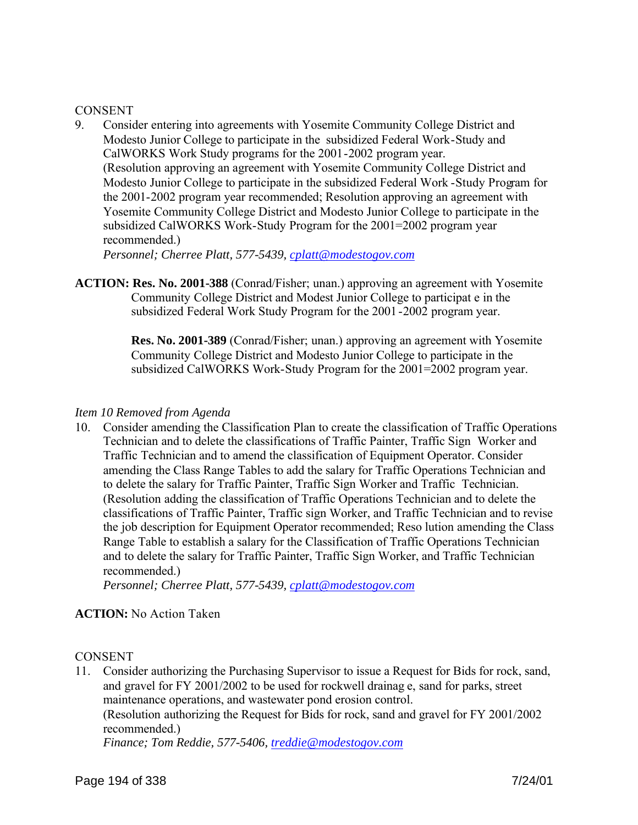#### **CONSENT**

9. Consider entering into agreements with Yosemite Community College District and Modesto Junior College to participate in the subsidized Federal Work-Study and CalWORKS Work Study programs for the 2001-2002 program year. (Resolution approving an agreement with Yosemite Community College District and Modesto Junior College to participate in the subsidized Federal Work -Study Program for the 2001-2002 program year recommended; Resolution approving an agreement with Yosemite Community College District and Modesto Junior College to participate in the subsidized CalWORKS Work-Study Program for the 2001=2002 program year recommended.)

*Personnel; Cherree Platt, 577-5439, cplatt@modestogov.com*

**ACTION: Res. No. 2001-388** (Conrad/Fisher; unan.) approving an agreement with Yosemite Community College District and Modest Junior College to participat e in the subsidized Federal Work Study Program for the 2001 -2002 program year.

> **Res. No. 2001-389** (Conrad/Fisher; unan.) approving an agreement with Yosemite Community College District and Modesto Junior College to participate in the subsidized CalWORKS Work-Study Program for the 2001=2002 program year.

#### *Item 10 Removed from Agenda*

10. Consider amending the Classification Plan to create the classification of Traffic Operations Technician and to delete the classifications of Traffic Painter, Traffic Sign Worker and Traffic Technician and to amend the classification of Equipment Operator. Consider amending the Class Range Tables to add the salary for Traffic Operations Technician and to delete the salary for Traffic Painter, Traffic Sign Worker and Traffic Technician. (Resolution adding the classification of Traffic Operations Technician and to delete the classifications of Traffic Painter, Traffic sign Worker, and Traffic Technician and to revise the job description for Equipment Operator recommended; Reso lution amending the Class Range Table to establish a salary for the Classification of Traffic Operations Technician and to delete the salary for Traffic Painter, Traffic Sign Worker, and Traffic Technician recommended.)

*Personnel; Cherree Platt, 577-5439, cplatt@modestogov.com*

# **ACTION:** No Action Taken

#### **CONSENT**

11. Consider authorizing the Purchasing Supervisor to issue a Request for Bids for rock, sand, and gravel for FY 2001/2002 to be used for rockwell drainag e, sand for parks, street maintenance operations, and wastewater pond erosion control. (Resolution authorizing the Request for Bids for rock, sand and gravel for FY 2001/2002 recommended.) *Finance; Tom Reddie, 577-5406, treddie@modestogov.com*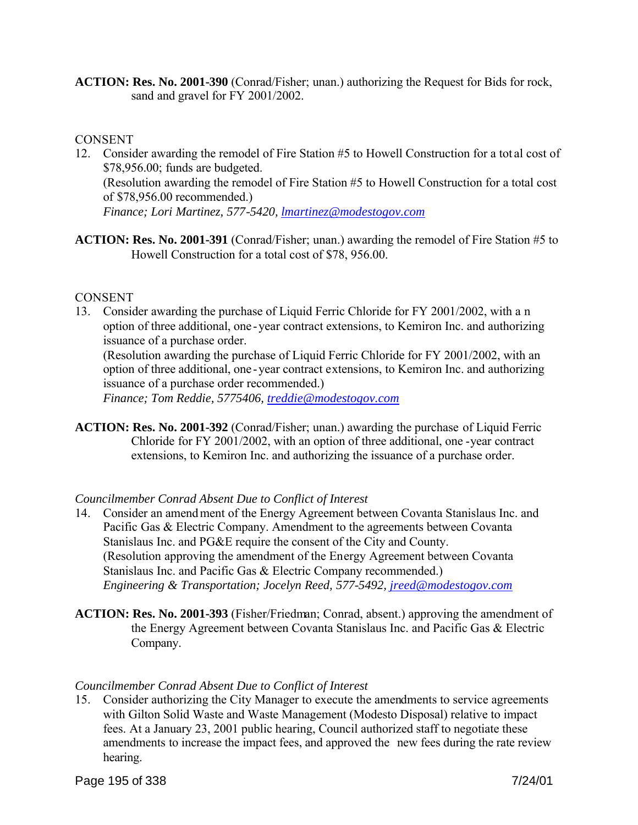**ACTION: Res. No. 2001-390** (Conrad/Fisher; unan.) authorizing the Request for Bids for rock, sand and gravel for FY 2001/2002.

#### **CONSENT**

- 12. Consider awarding the remodel of Fire Station #5 to Howell Construction for a tot al cost of \$78,956.00; funds are budgeted. (Resolution awarding the remodel of Fire Station #5 to Howell Construction for a total cost of \$78,956.00 recommended.) *Finance; Lori Martinez, 577-5420, lmartinez@modestogov.com*
- **ACTION: Res. No. 2001-391** (Conrad/Fisher; unan.) awarding the remodel of Fire Station #5 to Howell Construction for a total cost of \$78, 956.00.

#### CONSENT

13. Consider awarding the purchase of Liquid Ferric Chloride for FY 2001/2002, with a n option of three additional, one -year contract extensions, to Kemiron Inc. and authorizing issuance of a purchase order.

(Resolution awarding the purchase of Liquid Ferric Chloride for FY 2001/2002, with an option of three additional, one -year contract extensions, to Kemiron Inc. and authorizing issuance of a purchase order recommended.)

*Finance; Tom Reddie, 5775406, treddie@modestogov.com*

**ACTION: Res. No. 2001-392** (Conrad/Fisher; unan.) awarding the purchase of Liquid Ferric Chloride for FY 2001/2002, with an option of three additional, one -year contract extensions, to Kemiron Inc. and authorizing the issuance of a purchase order.

# *Councilmember Conrad Absent Due to Conflict of Interest*

- 14. Consider an amendment of the Energy Agreement between Covanta Stanislaus Inc. and Pacific Gas & Electric Company. Amendment to the agreements between Covanta Stanislaus Inc. and PG&E require the consent of the City and County. (Resolution approving the amendment of the Energy Agreement between Covanta Stanislaus Inc. and Pacific Gas & Electric Company recommended.) *Engineering & Transportation; Jocelyn Reed, 577-5492, jreed@modestogov.com*
- **ACTION: Res. No. 2001-393** (Fisher/Friedman; Conrad, absent.) approving the amendment of the Energy Agreement between Covanta Stanislaus Inc. and Pacific Gas & Electric Company.

#### *Councilmember Conrad Absent Due to Conflict of Interest*

15. Consider authorizing the City Manager to execute the amendments to service agreements with Gilton Solid Waste and Waste Management (Modesto Disposal) relative to impact fees. At a January 23, 2001 public hearing, Council authorized staff to negotiate these amendments to increase the impact fees, and approved the new fees during the rate review hearing.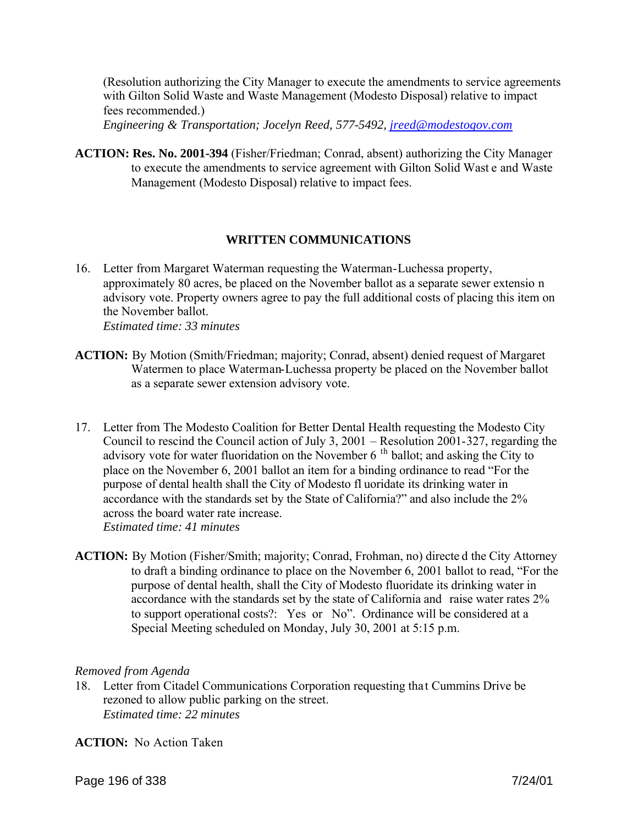(Resolution authorizing the City Manager to execute the amendments to service agreements with Gilton Solid Waste and Waste Management (Modesto Disposal) relative to impact fees recommended.)

*Engineering & Transportation; Jocelyn Reed, 577-5492, jreed@modestogov.com*

**ACTION: Res. No. 2001-394** (Fisher/Friedman; Conrad, absent) authorizing the City Manager to execute the amendments to service agreement with Gilton Solid Wast e and Waste Management (Modesto Disposal) relative to impact fees.

### **WRITTEN COMMUNICATIONS**

- 16. Letter from Margaret Waterman requesting the Waterman-Luchessa property, approximately 80 acres, be placed on the November ballot as a separate sewer extensio n advisory vote. Property owners agree to pay the full additional costs of placing this item on the November ballot. *Estimated time: 33 minutes*
- **ACTION:** By Motion (Smith/Friedman; majority; Conrad, absent) denied request of Margaret Watermen to place Waterman-Luchessa property be placed on the November ballot as a separate sewer extension advisory vote.
- 17. Letter from The Modesto Coalition for Better Dental Health requesting the Modesto City Council to rescind the Council action of July 3, 2001 – Resolution 2001-327, regarding the advisory vote for water fluoridation on the November  $6<sup>th</sup>$  ballot; and asking the City to place on the November 6, 2001 ballot an item for a binding ordinance to read "For the purpose of dental health shall the City of Modesto fl uoridate its drinking water in accordance with the standards set by the State of California?" and also include the 2% across the board water rate increase. *Estimated time: 41 minutes*
- **ACTION:** By Motion (Fisher/Smith; majority; Conrad, Frohman, no) directe d the City Attorney to draft a binding ordinance to place on the November 6, 2001 ballot to read, "For the purpose of dental health, shall the City of Modesto fluoridate its drinking water in accordance with the standards set by the state of California and raise water rates 2% to support operational costs?: Yes or No". Ordinance will be considered at a Special Meeting scheduled on Monday, July 30, 2001 at 5:15 p.m.

#### *Removed from Agenda*

18. Letter from Citadel Communications Corporation requesting tha t Cummins Drive be rezoned to allow public parking on the street. *Estimated time: 22 minutes*

**ACTION:** No Action Taken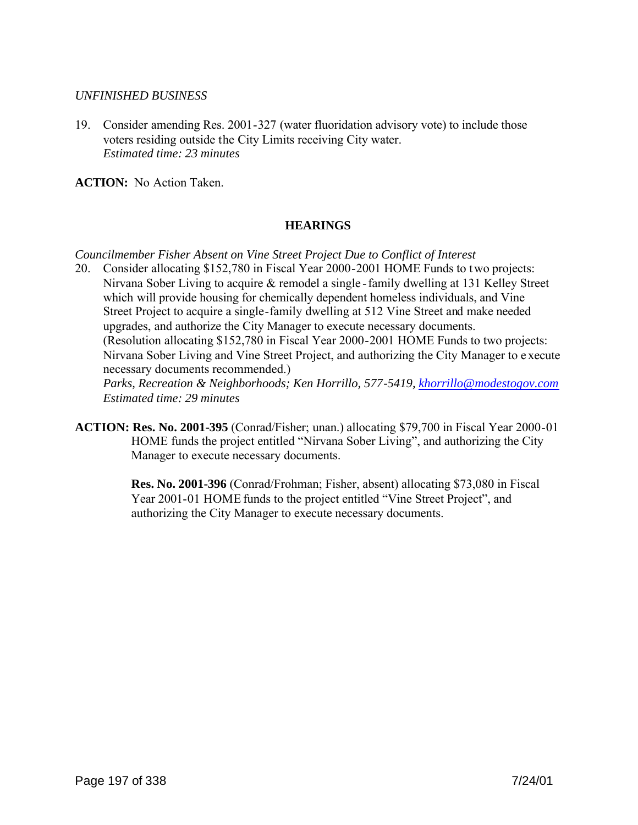#### *UNFINISHED BUSINESS*

19. Consider amending Res. 2001-327 (water fluoridation advisory vote) to include those voters residing outside the City Limits receiving City water. *Estimated time: 23 minutes*

**ACTION:** No Action Taken.

# **HEARINGS**

*Councilmember Fisher Absent on Vine Street Project Due to Conflict of Interest*

20. Consider allocating \$152,780 in Fiscal Year 2000-2001 HOME Funds to two projects: Nirvana Sober Living to acquire & remodel a single -family dwelling at 131 Kelley Street which will provide housing for chemically dependent homeless individuals, and Vine Street Project to acquire a single-family dwelling at 512 Vine Street and make needed upgrades, and authorize the City Manager to execute necessary documents. (Resolution allocating \$152,780 in Fiscal Year 2000-2001 HOME Funds to two projects: Nirvana Sober Living and Vine Street Project, and authorizing the City Manager to e xecute necessary documents recommended.)

*Parks, Recreation & Neighborhoods; Ken Horrillo, 577-5419, khorrillo@modestogov.com Estimated time: 29 minutes*

**ACTION: Res. No. 2001-395** (Conrad/Fisher; unan.) allocating \$79,700 in Fiscal Year 2000-01 HOME funds the project entitled "Nirvana Sober Living", and authorizing the City Manager to execute necessary documents.

> **Res. No. 2001-396** (Conrad/Frohman; Fisher, absent) allocating \$73,080 in Fiscal Year 2001-01 HOME funds to the project entitled "Vine Street Project", and authorizing the City Manager to execute necessary documents.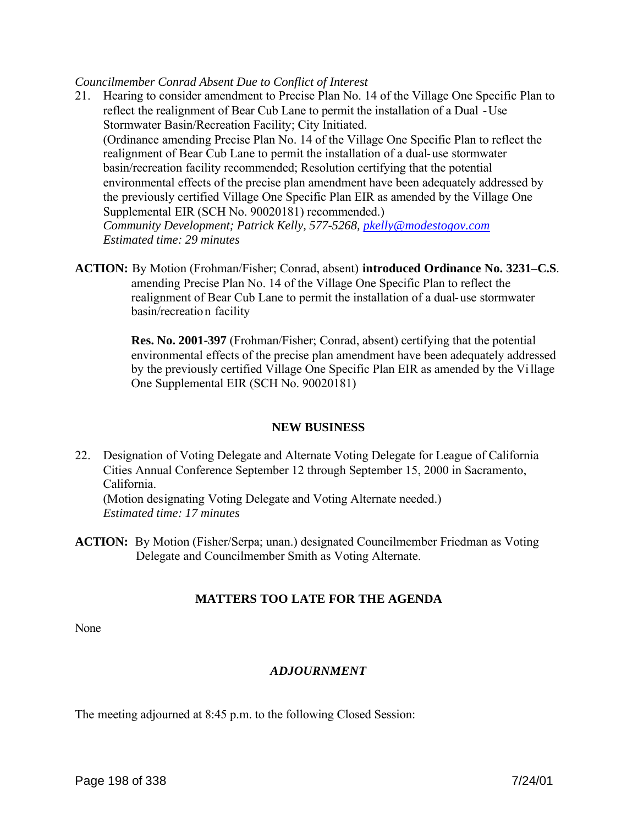#### *Councilmember Conrad Absent Due to Conflict of Interest*

- 21. Hearing to consider amendment to Precise Plan No. 14 of the Village One Specific Plan to reflect the realignment of Bear Cub Lane to permit the installation of a Dual -Use Stormwater Basin/Recreation Facility; City Initiated. (Ordinance amending Precise Plan No. 14 of the Village One Specific Plan to reflect the realignment of Bear Cub Lane to permit the installation of a dual-use stormwater basin/recreation facility recommended; Resolution certifying that the potential environmental effects of the precise plan amendment have been adequately addressed by the previously certified Village One Specific Plan EIR as amended by the Village One Supplemental EIR (SCH No. 90020181) recommended.) *Community Development; Patrick Kelly, 577-5268, pkelly@modestogov.com Estimated time: 29 minutes*
- **ACTION:** By Motion (Frohman/Fisher; Conrad, absent) **introduced Ordinance No. 3231–C.S**. amending Precise Plan No. 14 of the Village One Specific Plan to reflect the realignment of Bear Cub Lane to permit the installation of a dual-use stormwater basin/recreation facility

 **Res. No. 2001-397** (Frohman/Fisher; Conrad, absent) certifying that the potential environmental effects of the precise plan amendment have been adequately addressed by the previously certified Village One Specific Plan EIR as amended by the Village One Supplemental EIR (SCH No. 90020181)

#### **NEW BUSINESS**

22. Designation of Voting Delegate and Alternate Voting Delegate for League of California Cities Annual Conference September 12 through September 15, 2000 in Sacramento, California.

(Motion designating Voting Delegate and Voting Alternate needed.) *Estimated time: 17 minutes*

**ACTION:** By Motion (Fisher/Serpa; unan.) designated Councilmember Friedman as Voting Delegate and Councilmember Smith as Voting Alternate.

# **MATTERS TOO LATE FOR THE AGENDA**

None

# *ADJOURNMENT*

The meeting adjourned at 8:45 p.m. to the following Closed Session: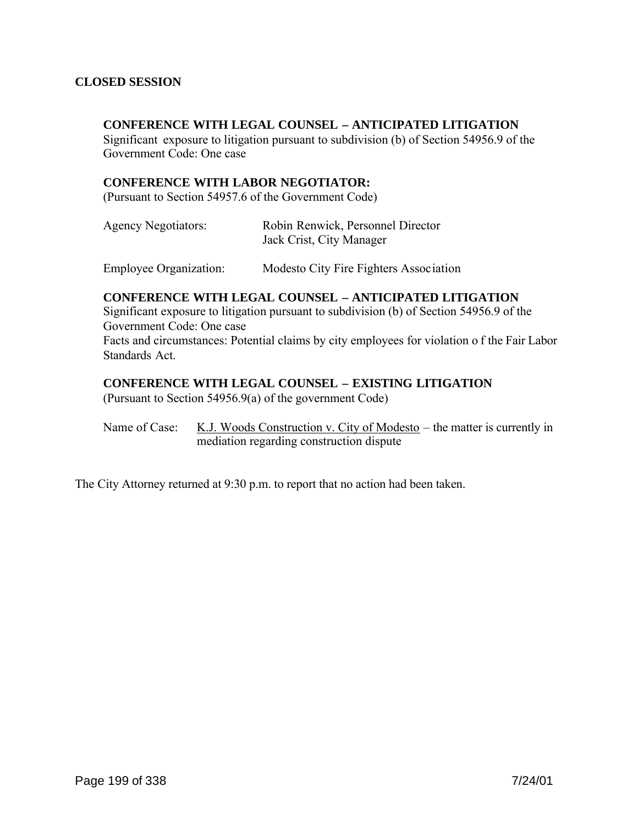#### **CLOSED SESSION**

#### **CONFERENCE WITH LEGAL COUNSEL – ANTICIPATED LITIGATION**

Significant exposure to litigation pursuant to subdivision (b) of Section 54956.9 of the Government Code: One case

#### **CONFERENCE WITH LABOR NEGOTIATOR:**

(Pursuant to Section 54957.6 of the Government Code)

| <b>Agency Negotiators:</b>    | Robin Renwick, Personnel Director<br>Jack Crist, City Manager |
|-------------------------------|---------------------------------------------------------------|
| <b>Employee Organization:</b> | Modesto City Fire Fighters Association                        |

#### **CONFERENCE WITH LEGAL COUNSEL – ANTICIPATED LITIGATION**

Significant exposure to litigation pursuant to subdivision (b) of Section 54956.9 of the Government Code: One case Facts and circumstances: Potential claims by city employees for violation o f the Fair Labor Standards Act.

#### **CONFERENCE WITH LEGAL COUNSEL – EXISTING LITIGATION**

(Pursuant to Section 54956.9(a) of the government Code)

Name of Case: K.J. Woods Construction v. City of Modesto – the matter is currently in mediation regarding construction dispute

The City Attorney returned at 9:30 p.m. to report that no action had been taken.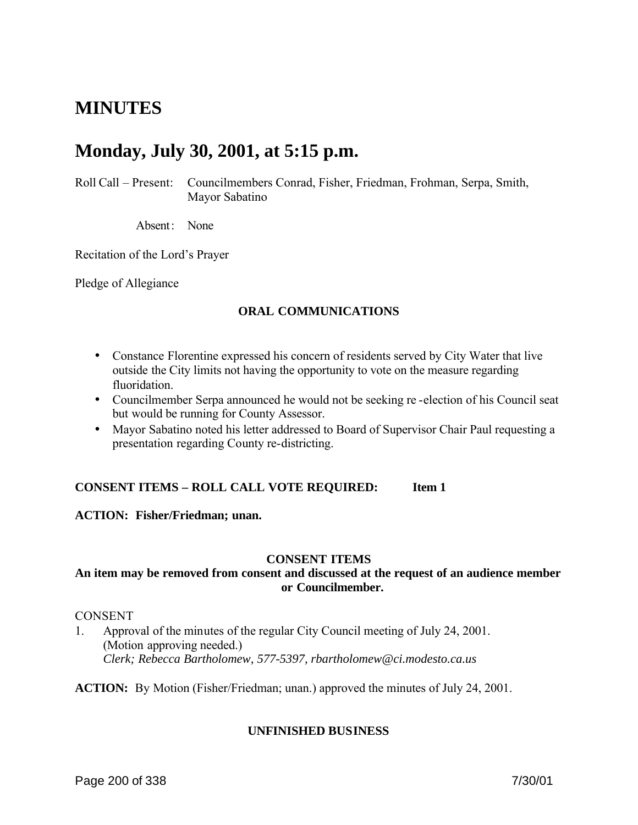# **MINUTES**

# **Monday, July 30, 2001, at 5:15 p.m.**

Roll Call – Present: Councilmembers Conrad, Fisher, Friedman, Frohman, Serpa, Smith, Mayor Sabatino

Absent: None

Recitation of the Lord's Prayer

Pledge of Allegiance

### **ORAL COMMUNICATIONS**

- Constance Florentine expressed his concern of residents served by City Water that live outside the City limits not having the opportunity to vote on the measure regarding fluoridation.
- Councilmember Serpa announced he would not be seeking re-election of his Council seat but would be running for County Assessor.
- Mayor Sabatino noted his letter addressed to Board of Supervisor Chair Paul requesting a presentation regarding County re-districting.

#### **CONSENT ITEMS – ROLL CALL VOTE REQUIRED: Item 1**

#### **ACTION: Fisher/Friedman; unan.**

#### **CONSENT ITEMS**

#### **An item may be removed from consent and discussed at the request of an audience member or Councilmember.**

#### CONSENT

1. Approval of the minutes of the regular City Council meeting of July 24, 2001. (Motion approving needed.) *Clerk; Rebecca Bartholomew, 577-5397, rbartholomew@ci.modesto.ca.us*

**ACTION:** By Motion (Fisher/Friedman; unan.) approved the minutes of July 24, 2001.

#### **UNFINISHED BUSINESS**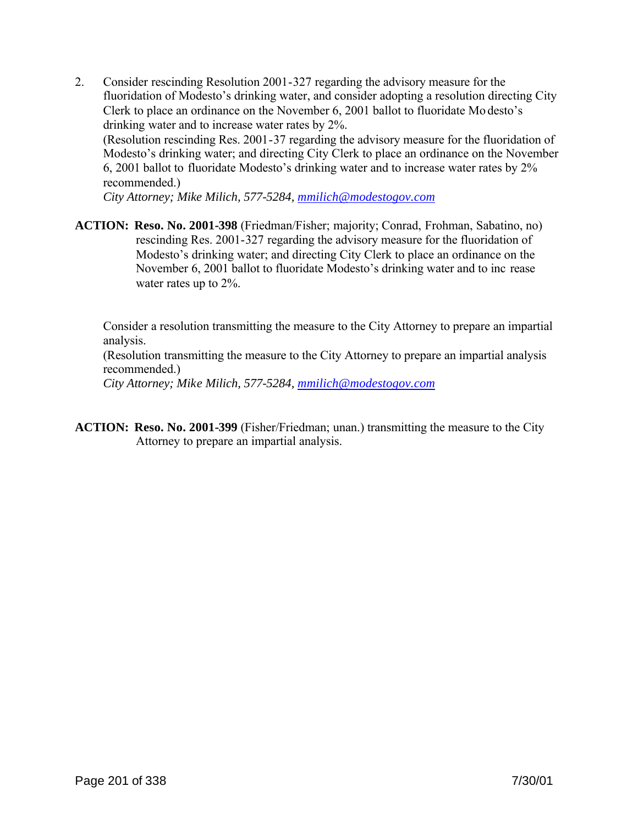2. Consider rescinding Resolution 2001-327 regarding the advisory measure for the fluoridation of Modesto's drinking water, and consider adopting a resolution directing City Clerk to place an ordinance on the November 6, 2001 ballot to fluoridate Mo desto's drinking water and to increase water rates by 2%. (Resolution rescinding Res. 2001-37 regarding the advisory measure for the fluoridation of Modesto's drinking water; and directing City Clerk to place an ordinance on the November 6, 2001 ballot to fluoridate Modesto's drinking water and to increase water rates by 2% recommended.)

*City Attorney; Mike Milich, 577-5284, mmilich@modestogov.com*

**ACTION: Reso. No. 2001-398** (Friedman/Fisher; majority; Conrad, Frohman, Sabatino, no) rescinding Res. 2001-327 regarding the advisory measure for the fluoridation of Modesto's drinking water; and directing City Clerk to place an ordinance on the November 6, 2001 ballot to fluoridate Modesto's drinking water and to inc rease water rates up to 2%.

Consider a resolution transmitting the measure to the City Attorney to prepare an impartial analysis.

(Resolution transmitting the measure to the City Attorney to prepare an impartial analysis recommended.)

*City Attorney; Mike Milich, 577-5284, mmilich@modestogov.com*

**ACTION: Reso. No. 2001-399** (Fisher/Friedman; unan.) transmitting the measure to the City Attorney to prepare an impartial analysis.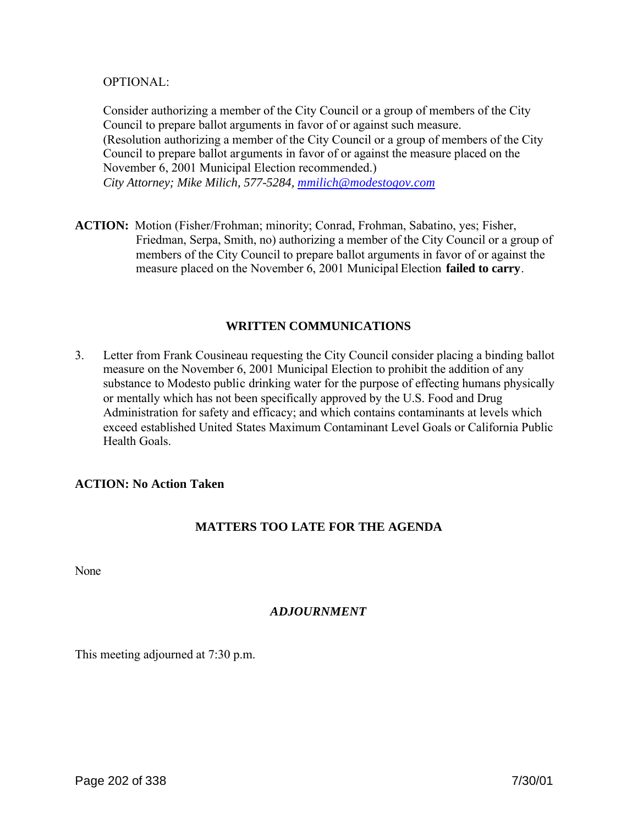#### OPTIONAL:

Consider authorizing a member of the City Council or a group of members of the City Council to prepare ballot arguments in favor of or against such measure. (Resolution authorizing a member of the City Council or a group of members of the City Council to prepare ballot arguments in favor of or against the measure placed on the November 6, 2001 Municipal Election recommended.) *City Attorney; Mike Milich, 577-5284, mmilich@modestogov.com*

**ACTION:** Motion (Fisher/Frohman; minority; Conrad, Frohman, Sabatino, yes; Fisher, Friedman, Serpa, Smith, no) authorizing a member of the City Council or a group of members of the City Council to prepare ballot arguments in favor of or against the measure placed on the November 6, 2001 Municipal Election **failed to carry**.

### **WRITTEN COMMUNICATIONS**

3. Letter from Frank Cousineau requesting the City Council consider placing a binding ballot measure on the November 6, 2001 Municipal Election to prohibit the addition of any substance to Modesto public drinking water for the purpose of effecting humans physically or mentally which has not been specifically approved by the U.S. Food and Drug Administration for safety and efficacy; and which contains contaminants at levels which exceed established United States Maximum Contaminant Level Goals or California Public Health Goals.

#### **ACTION: No Action Taken**

# **MATTERS TOO LATE FOR THE AGENDA**

None

# *ADJOURNMENT*

This meeting adjourned at 7:30 p.m.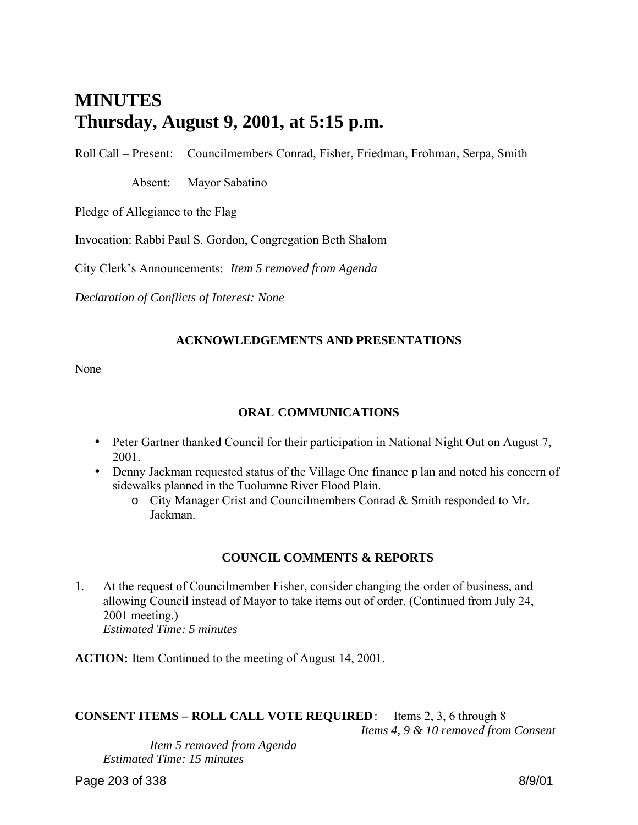# **MINUTES Thursday, August 9, 2001, at 5:15 p.m.**

Roll Call – Present: Councilmembers Conrad, Fisher, Friedman, Frohman, Serpa, Smith

Absent: Mayor Sabatino

Pledge of Allegiance to the Flag

Invocation: Rabbi Paul S. Gordon, Congregation Beth Shalom

City Clerk's Announcements: *Item 5 removed from Agenda*

*Declaration of Conflicts of Interest: None*

### **ACKNOWLEDGEMENTS AND PRESENTATIONS**

None

## **ORAL COMMUNICATIONS**

- Peter Gartner thanked Council for their participation in National Night Out on August 7, 2001.
- Denny Jackman requested status of the Village One finance p lan and noted his concern of sidewalks planned in the Tuolumne River Flood Plain.
	- o City Manager Crist and Councilmembers Conrad & Smith responded to Mr. Jackman.

#### **COUNCIL COMMENTS & REPORTS**

1. At the request of Councilmember Fisher, consider changing the order of business, and allowing Council instead of Mayor to take items out of order. (Continued from July 24, 2001 meeting.) *Estimated Time: 5 minutes*

**ACTION:** Item Continued to the meeting of August 14, 2001.

**CONSENT ITEMS – ROLL CALL VOTE REQUIRED**: Items 2, 3, 6 through 8 *Items 4, 9 & 10 removed from Consent*

 *Item 5 removed from Agenda Estimated Time: 15 minutes*

Page 203 of 338 8/9/01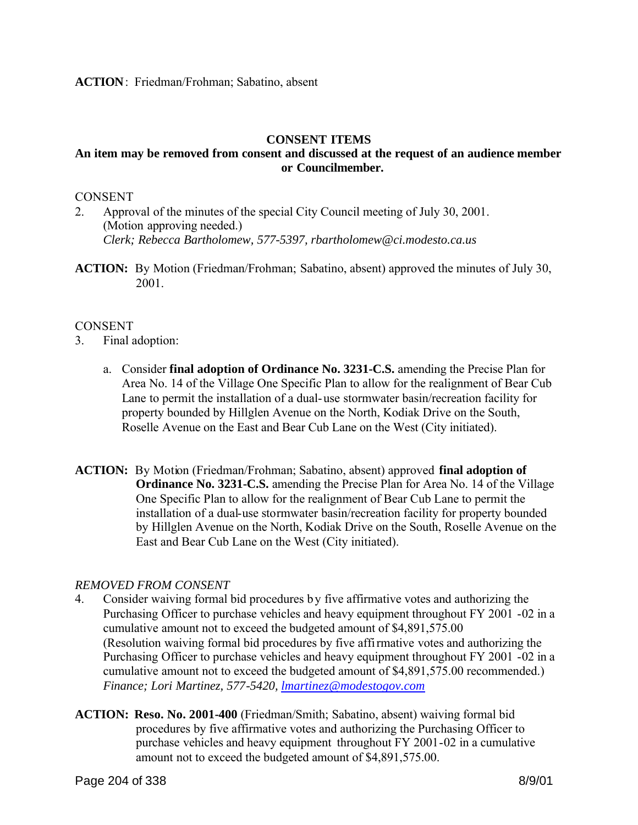### **CONSENT ITEMS**

# **An item may be removed from consent and discussed at the request of an audience member or Councilmember.**

## CONSENT

- 2. Approval of the minutes of the special City Council meeting of July 30, 2001. (Motion approving needed.) *Clerk; Rebecca Bartholomew, 577-5397, rbartholomew@ci.modesto.ca.us*
- **ACTION:** By Motion (Friedman/Frohman; Sabatino, absent) approved the minutes of July 30, 2001.

#### **CONSENT**

- 3. Final adoption:
	- a. Consider **final adoption of Ordinance No. 3231-C.S.** amending the Precise Plan for Area No. 14 of the Village One Specific Plan to allow for the realignment of Bear Cub Lane to permit the installation of a dual-use stormwater basin/recreation facility for property bounded by Hillglen Avenue on the North, Kodiak Drive on the South, Roselle Avenue on the East and Bear Cub Lane on the West (City initiated).
- **ACTION:** By Motion (Friedman/Frohman; Sabatino, absent) approved **final adoption of Ordinance No. 3231-C.S.** amending the Precise Plan for Area No. 14 of the Village One Specific Plan to allow for the realignment of Bear Cub Lane to permit the installation of a dual-use stormwater basin/recreation facility for property bounded by Hillglen Avenue on the North, Kodiak Drive on the South, Roselle Avenue on the East and Bear Cub Lane on the West (City initiated).

#### *REMOVED FROM CONSENT*

- 4. Consider waiving formal bid procedures by five affirmative votes and authorizing the Purchasing Officer to purchase vehicles and heavy equipment throughout FY 2001 -02 in a cumulative amount not to exceed the budgeted amount of \$4,891,575.00 (Resolution waiving formal bid procedures by five affirmative votes and authorizing the Purchasing Officer to purchase vehicles and heavy equipment throughout FY 2001 -02 in a cumulative amount not to exceed the budgeted amount of \$4,891,575.00 recommended.) *Finance; Lori Martinez, 577-5420, lmartinez@modestogov.com*
- **ACTION: Reso. No. 2001-400** (Friedman/Smith; Sabatino, absent) waiving formal bid procedures by five affirmative votes and authorizing the Purchasing Officer to purchase vehicles and heavy equipment throughout FY 2001-02 in a cumulative amount not to exceed the budgeted amount of \$4,891,575.00.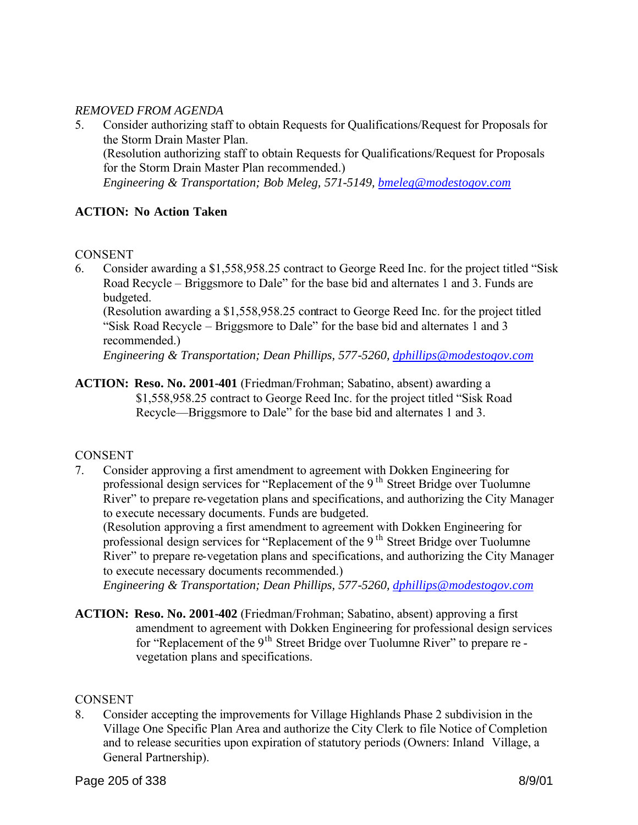# *REMOVED FROM AGENDA*

5. Consider authorizing staff to obtain Requests for Qualifications/Request for Proposals for the Storm Drain Master Plan. (Resolution authorizing staff to obtain Requests for Qualifications/Request for Proposals for the Storm Drain Master Plan recommended.) *Engineering & Transportation; Bob Meleg, 571-5149, bmeleg@modestogov.com*

# **ACTION: No Action Taken**

#### **CONSENT**

6. Consider awarding a \$1,558,958.25 contract to George Reed Inc. for the project titled "Sisk Road Recycle – Briggsmore to Dale" for the base bid and alternates 1 and 3. Funds are budgeted.

(Resolution awarding a \$1,558,958.25 contract to George Reed Inc. for the project titled "Sisk Road Recycle – Briggsmore to Dale" for the base bid and alternates 1 and 3 recommended.)

*Engineering & Transportation; Dean Phillips, 577-5260, dphillips@modestogov.com*

**ACTION: Reso. No. 2001-401** (Friedman/Frohman; Sabatino, absent) awarding a \$1,558,958.25 contract to George Reed Inc. for the project titled "Sisk Road Recycle—Briggsmore to Dale" for the base bid and alternates 1 and 3.

# CONSENT

7. Consider approving a first amendment to agreement with Dokken Engineering for professional design services for "Replacement of the 9<sup>th</sup> Street Bridge over Tuolumne River" to prepare re-vegetation plans and specifications, and authorizing the City Manager to execute necessary documents. Funds are budgeted.

(Resolution approving a first amendment to agreement with Dokken Engineering for professional design services for "Replacement of the 9 th Street Bridge over Tuolumne River" to prepare re-vegetation plans and specifications, and authorizing the City Manager to execute necessary documents recommended.)

*Engineering & Transportation; Dean Phillips, 577-5260, dphillips@modestogov.com*

**ACTION: Reso. No. 2001-402** (Friedman/Frohman; Sabatino, absent) approving a first amendment to agreement with Dokken Engineering for professional design services for "Replacement of the 9<sup>th</sup> Street Bridge over Tuolumne River" to prepare re vegetation plans and specifications.

#### **CONSENT**

8. Consider accepting the improvements for Village Highlands Phase 2 subdivision in the Village One Specific Plan Area and authorize the City Clerk to file Notice of Completion and to release securities upon expiration of statutory periods (Owners: Inland Village, a General Partnership).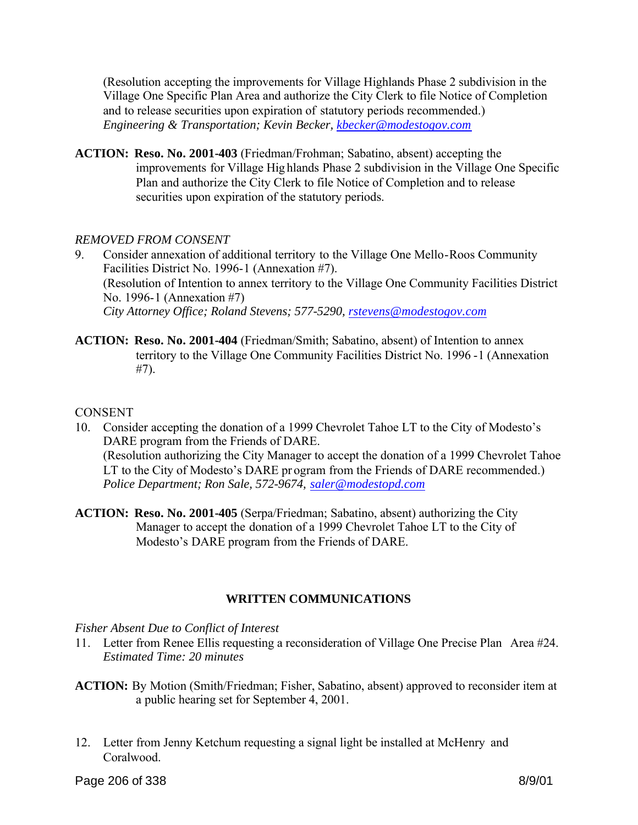(Resolution accepting the improvements for Village Highlands Phase 2 subdivision in the Village One Specific Plan Area and authorize the City Clerk to file Notice of Completion and to release securities upon expiration of statutory periods recommended.) *Engineering & Transportation; Kevin Becker, kbecker@modestogov.com*

**ACTION: Reso. No. 2001-403** (Friedman/Frohman; Sabatino, absent) accepting the improvements for Village Hig hlands Phase 2 subdivision in the Village One Specific Plan and authorize the City Clerk to file Notice of Completion and to release securities upon expiration of the statutory periods.

### *REMOVED FROM CONSENT*

- 9. Consider annexation of additional territory to the Village One Mello-Roos Community Facilities District No. 1996-1 (Annexation #7). (Resolution of Intention to annex territory to the Village One Community Facilities District No. 1996-1 (Annexation #7) *City Attorney Office; Roland Stevens; 577-5290, rstevens@modestogov.com*
- **ACTION: Reso. No. 2001-404** (Friedman/Smith; Sabatino, absent) of Intention to annex territory to the Village One Community Facilities District No. 1996 -1 (Annexation #7).

#### CONSENT

- 10. Consider accepting the donation of a 1999 Chevrolet Tahoe LT to the City of Modesto's DARE program from the Friends of DARE. (Resolution authorizing the City Manager to accept the donation of a 1999 Chevrolet Tahoe LT to the City of Modesto's DARE pr ogram from the Friends of DARE recommended.) *Police Department; Ron Sale, 572-9674, saler@modestopd.com*
- **ACTION: Reso. No. 2001-405** (Serpa/Friedman; Sabatino, absent) authorizing the City Manager to accept the donation of a 1999 Chevrolet Tahoe LT to the City of Modesto's DARE program from the Friends of DARE.

# **WRITTEN COMMUNICATIONS**

#### *Fisher Absent Due to Conflict of Interest*

- 11. Letter from Renee Ellis requesting a reconsideration of Village One Precise Plan Area #24. *Estimated Time: 20 minutes*
- **ACTION:** By Motion (Smith/Friedman; Fisher, Sabatino, absent) approved to reconsider item at a public hearing set for September 4, 2001.
- 12. Letter from Jenny Ketchum requesting a signal light be installed at McHenry and Coralwood.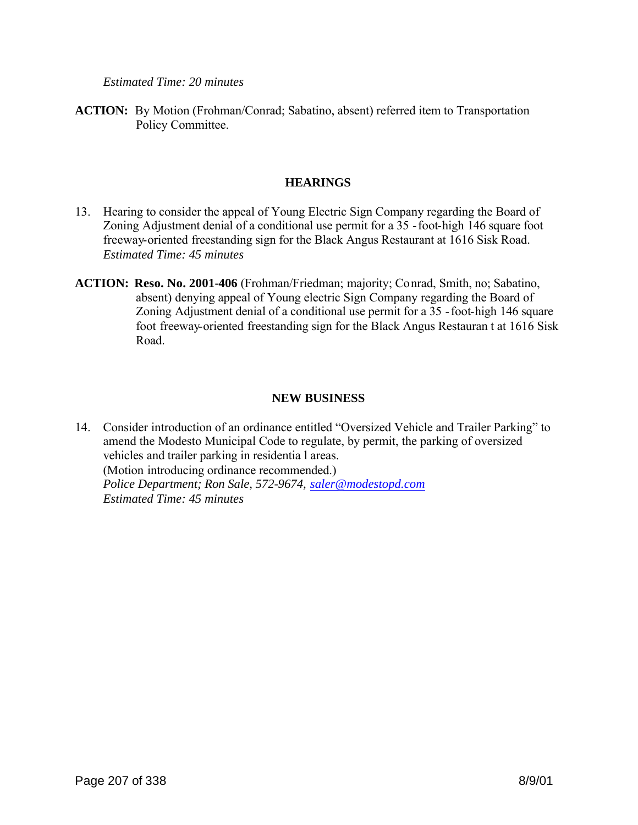*Estimated Time: 20 minutes*

**ACTION:** By Motion (Frohman/Conrad; Sabatino, absent) referred item to Transportation Policy Committee.

## **HEARINGS**

- 13. Hearing to consider the appeal of Young Electric Sign Company regarding the Board of Zoning Adjustment denial of a conditional use permit for a 35 -foot-high 146 square foot freeway-oriented freestanding sign for the Black Angus Restaurant at 1616 Sisk Road. *Estimated Time: 45 minutes*
- **ACTION: Reso. No. 2001-406** (Frohman/Friedman; majority; Conrad, Smith, no; Sabatino, absent) denying appeal of Young electric Sign Company regarding the Board of Zoning Adjustment denial of a conditional use permit for a 35 -foot-high 146 square foot freeway-oriented freestanding sign for the Black Angus Restauran t at 1616 Sisk Road.

# **NEW BUSINESS**

14. Consider introduction of an ordinance entitled "Oversized Vehicle and Trailer Parking" to amend the Modesto Municipal Code to regulate, by permit, the parking of oversized vehicles and trailer parking in residentia l areas. (Motion introducing ordinance recommended.) *Police Department; Ron Sale, 572-9674, saler@modestopd.com Estimated Time: 45 minutes*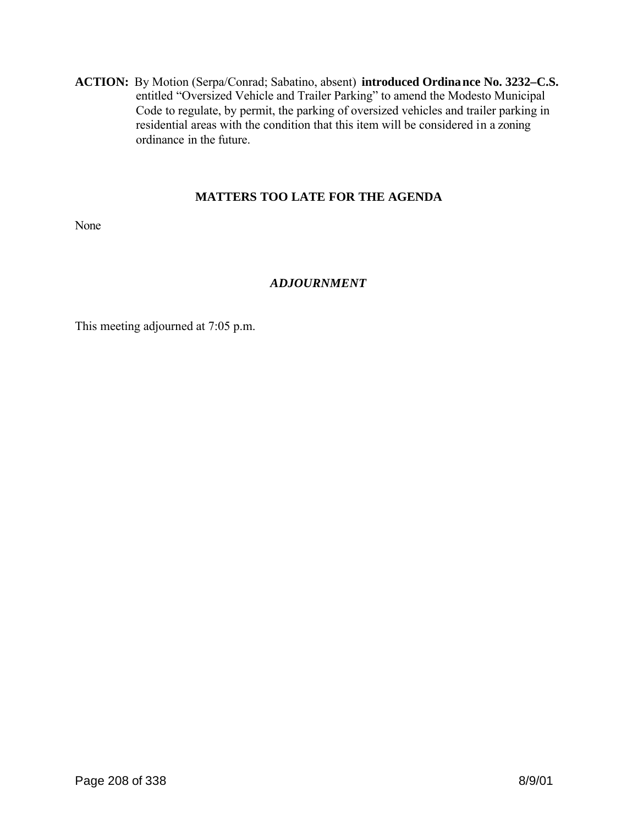**ACTION:** By Motion (Serpa/Conrad; Sabatino, absent) **introduced Ordinance No. 3232–C.S.** entitled "Oversized Vehicle and Trailer Parking" to amend the Modesto Municipal Code to regulate, by permit, the parking of oversized vehicles and trailer parking in residential areas with the condition that this item will be considered in a zoning ordinance in the future.

# **MATTERS TOO LATE FOR THE AGENDA**

None

# *ADJOURNMENT*

This meeting adjourned at 7:05 p.m.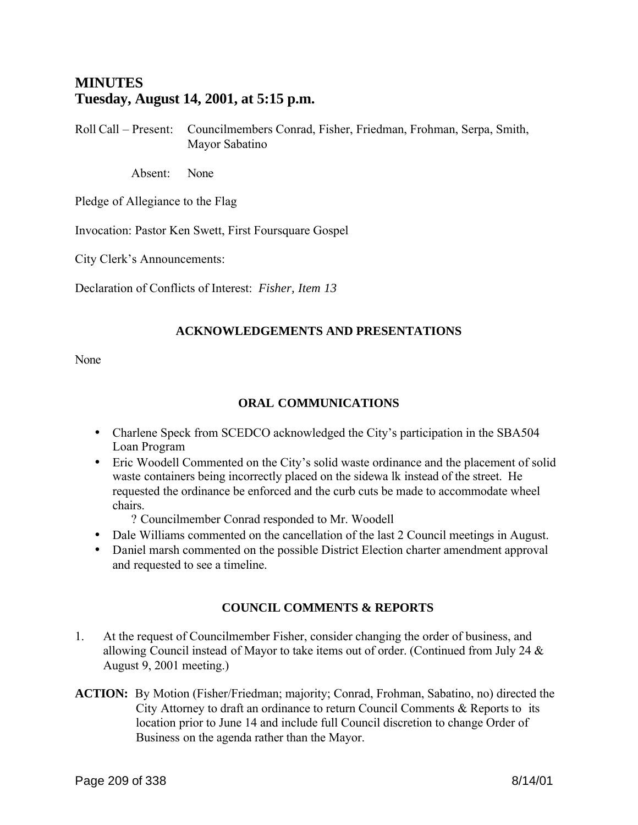# **MINUTES Tuesday, August 14, 2001, at 5:15 p.m.**

Roll Call – Present: Councilmembers Conrad, Fisher, Friedman, Frohman, Serpa, Smith, Mayor Sabatino

Absent: None

Pledge of Allegiance to the Flag

Invocation: Pastor Ken Swett, First Foursquare Gospel

City Clerk's Announcements:

Declaration of Conflicts of Interest: *Fisher, Item 13*

### **ACKNOWLEDGEMENTS AND PRESENTATIONS**

None

## **ORAL COMMUNICATIONS**

- Charlene Speck from SCEDCO acknowledged the City's participation in the SBA504 Loan Program
- Eric Woodell Commented on the City's solid waste ordinance and the placement of solid waste containers being incorrectly placed on the sidewa lk instead of the street. He requested the ordinance be enforced and the curb cuts be made to accommodate wheel chairs.

? Councilmember Conrad responded to Mr. Woodell

- Dale Williams commented on the cancellation of the last 2 Council meetings in August.
- Daniel marsh commented on the possible District Election charter amendment approval and requested to see a timeline.

# **COUNCIL COMMENTS & REPORTS**

- 1. At the request of Councilmember Fisher, consider changing the order of business, and allowing Council instead of Mayor to take items out of order. (Continued from July 24 & August 9, 2001 meeting.)
- **ACTION:** By Motion (Fisher/Friedman; majority; Conrad, Frohman, Sabatino, no) directed the City Attorney to draft an ordinance to return Council Comments & Reports to its location prior to June 14 and include full Council discretion to change Order of Business on the agenda rather than the Mayor.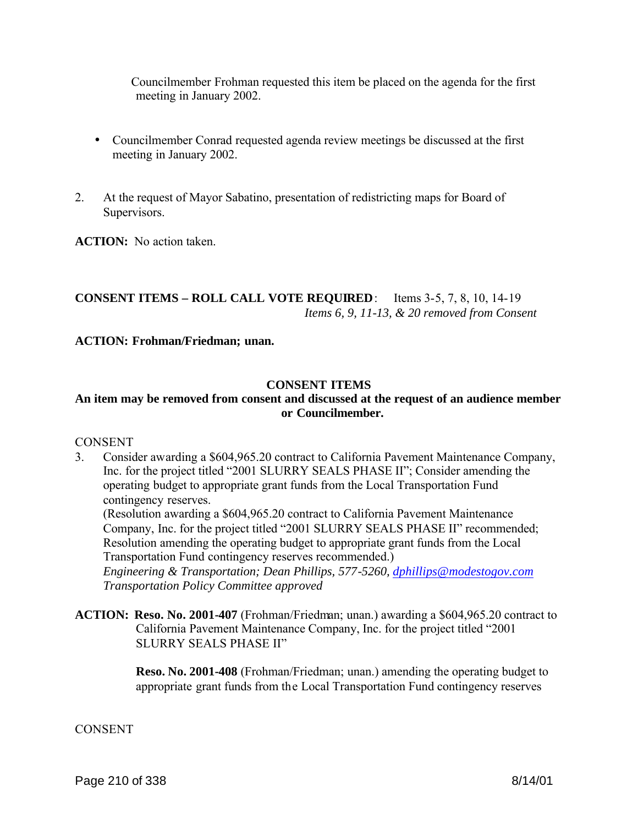Councilmember Frohman requested this item be placed on the agenda for the first meeting in January 2002.

- Councilmember Conrad requested agenda review meetings be discussed at the first meeting in January 2002.
- 2. At the request of Mayor Sabatino, presentation of redistricting maps for Board of Supervisors.

**ACTION:** No action taken.

# **CONSENT ITEMS – ROLL CALL VOTE REQUIRED**: Items 3-5, 7, 8, 10, 14-19 *Items 6, 9, 11-13, & 20 removed from Consent*

### **ACTION: Frohman/Friedman; unan.**

#### **CONSENT ITEMS**

# **An item may be removed from consent and discussed at the request of an audience member or Councilmember.**

#### **CONSENT**

3. Consider awarding a \$604,965.20 contract to California Pavement Maintenance Company, Inc. for the project titled "2001 SLURRY SEALS PHASE II"; Consider amending the operating budget to appropriate grant funds from the Local Transportation Fund contingency reserves.

(Resolution awarding a \$604,965.20 contract to California Pavement Maintenance Company, Inc. for the project titled "2001 SLURRY SEALS PHASE II" recommended; Resolution amending the operating budget to appropriate grant funds from the Local Transportation Fund contingency reserves recommended.)

*Engineering & Transportation; Dean Phillips, 577-5260, dphillips@modestogov.com Transportation Policy Committee approved*

**ACTION: Reso. No. 2001-407** (Frohman/Friedman; unan.) awarding a \$604,965.20 contract to California Pavement Maintenance Company, Inc. for the project titled "2001 SLURRY SEALS PHASE II"

> **Reso. No. 2001-408** (Frohman/Friedman; unan.) amending the operating budget to appropriate grant funds from the Local Transportation Fund contingency reserves

#### **CONSENT**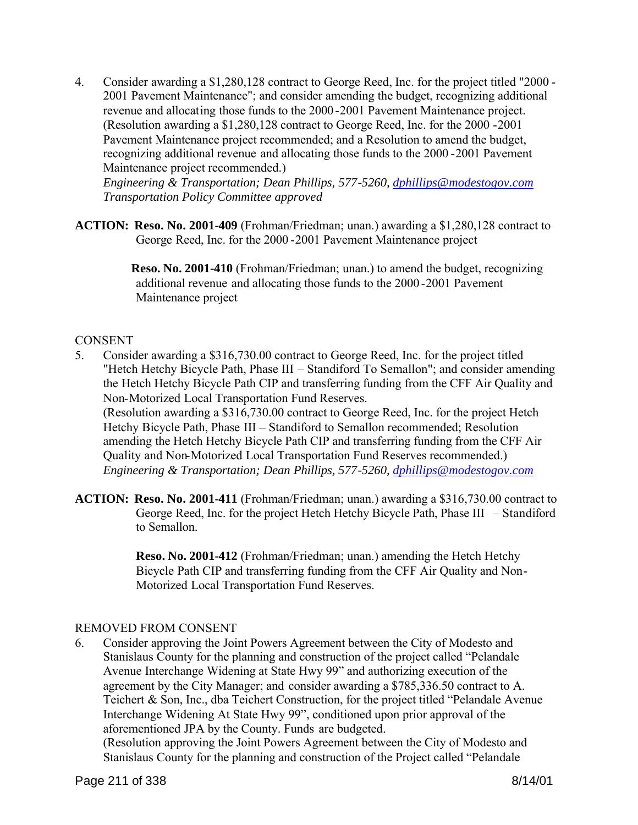4. Consider awarding a \$1,280,128 contract to George Reed, Inc. for the project titled "2000 - 2001 Pavement Maintenance"; and consider amending the budget, recognizing additional revenue and allocating those funds to the 2000-2001 Pavement Maintenance project. (Resolution awarding a \$1,280,128 contract to George Reed, Inc. for the 2000 -2001 Pavement Maintenance project recommended; and a Resolution to amend the budget, recognizing additional revenue and allocating those funds to the 2000 -2001 Pavement Maintenance project recommended.)

*Engineering & Transportation; Dean Phillips, 577-5260, dphillips@modestogov.com Transportation Policy Committee approved*

**ACTION: Reso. No. 2001-409** (Frohman/Friedman; unan.) awarding a \$1,280,128 contract to George Reed, Inc. for the 2000 -2001 Pavement Maintenance project

> **Reso. No. 2001-410** (Frohman/Friedman; unan.) to amend the budget, recognizing additional revenue and allocating those funds to the 2000 -2001 Pavement Maintenance project

### **CONSENT**

- 5. Consider awarding a \$316,730.00 contract to George Reed, Inc. for the project titled "Hetch Hetchy Bicycle Path, Phase III – Standiford To Semallon"; and consider amending the Hetch Hetchy Bicycle Path CIP and transferring funding from the CFF Air Quality and Non-Motorized Local Transportation Fund Reserves. (Resolution awarding a \$316,730.00 contract to George Reed, Inc. for the project Hetch Hetchy Bicycle Path, Phase III – Standiford to Semallon recommended; Resolution amending the Hetch Hetchy Bicycle Path CIP and transferring funding from the CFF Air Quality and Non-Motorized Local Transportation Fund Reserves recommended.) *Engineering & Transportation; Dean Phillips, 577-5260, dphillips@modestogov.com*
- **ACTION: Reso. No. 2001-411** (Frohman/Friedman; unan.) awarding a \$316,730.00 contract to George Reed, Inc. for the project Hetch Hetchy Bicycle Path, Phase III – Standiford to Semallon.

**Reso. No. 2001-412** (Frohman/Friedman; unan.) amending the Hetch Hetchy Bicycle Path CIP and transferring funding from the CFF Air Quality and Non-Motorized Local Transportation Fund Reserves.

#### REMOVED FROM CONSENT

6. Consider approving the Joint Powers Agreement between the City of Modesto and Stanislaus County for the planning and construction of the project called "Pelandale Avenue Interchange Widening at State Hwy 99" and authorizing execution of the agreement by the City Manager; and consider awarding a \$785,336.50 contract to A. Teichert & Son, Inc., dba Teichert Construction, for the project titled "Pelandale Avenue Interchange Widening At State Hwy 99", conditioned upon prior approval of the aforementioned JPA by the County. Funds are budgeted.

(Resolution approving the Joint Powers Agreement between the City of Modesto and Stanislaus County for the planning and construction of the Project called "Pelandale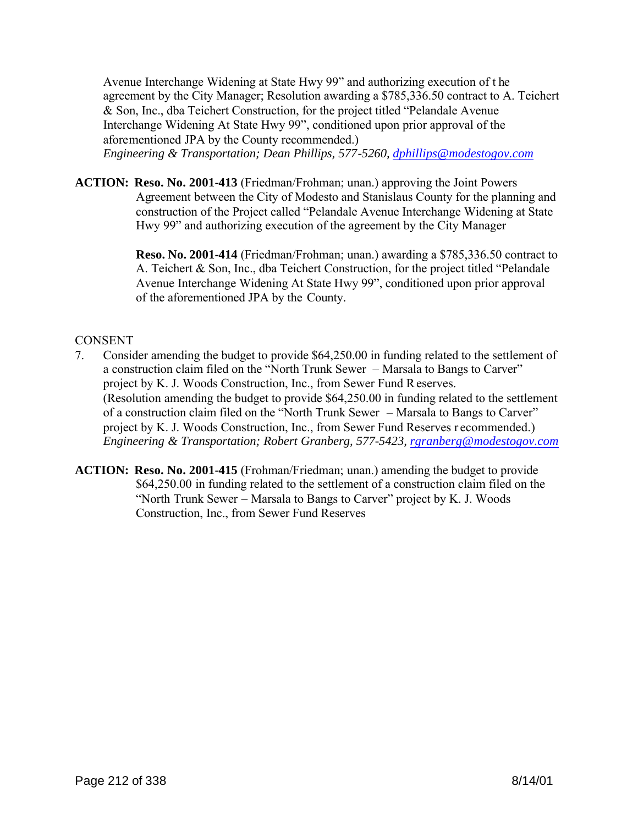Avenue Interchange Widening at State Hwy 99" and authorizing execution of t he agreement by the City Manager; Resolution awarding a \$785,336.50 contract to A. Teichert & Son, Inc., dba Teichert Construction, for the project titled "Pelandale Avenue Interchange Widening At State Hwy 99", conditioned upon prior approval of the aforementioned JPA by the County recommended.) *Engineering & Transportation; Dean Phillips, 577-5260, dphillips@modestogov.com*

**ACTION: Reso. No. 2001-413** (Friedman/Frohman; unan.) approving the Joint Powers Agreement between the City of Modesto and Stanislaus County for the planning and construction of the Project called "Pelandale Avenue Interchange Widening at State Hwy 99" and authorizing execution of the agreement by the City Manager

> **Reso. No. 2001-414** (Friedman/Frohman; unan.) awarding a \$785,336.50 contract to A. Teichert & Son, Inc., dba Teichert Construction, for the project titled "Pelandale Avenue Interchange Widening At State Hwy 99", conditioned upon prior approval of the aforementioned JPA by the County.

### **CONSENT**

- 7. Consider amending the budget to provide \$64,250.00 in funding related to the settlement of a construction claim filed on the "North Trunk Sewer – Marsala to Bangs to Carver" project by K. J. Woods Construction, Inc., from Sewer Fund Reserves. (Resolution amending the budget to provide \$64,250.00 in funding related to the settlement of a construction claim filed on the "North Trunk Sewer – Marsala to Bangs to Carver" project by K. J. Woods Construction, Inc., from Sewer Fund Reserves r ecommended.) *Engineering & Transportation; Robert Granberg, 577-5423, rgranberg@modestogov.com*
- **ACTION: Reso. No. 2001-415** (Frohman/Friedman; unan.) amending the budget to provide \$64,250.00 in funding related to the settlement of a construction claim filed on the "North Trunk Sewer – Marsala to Bangs to Carver" project by K. J. Woods Construction, Inc., from Sewer Fund Reserves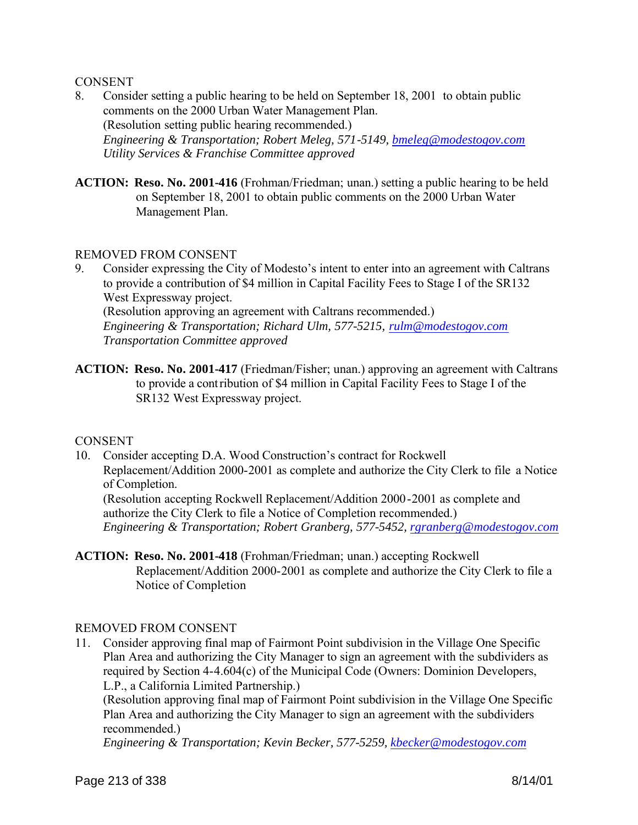#### **CONSENT**

- 8. Consider setting a public hearing to be held on September 18, 2001 to obtain public comments on the 2000 Urban Water Management Plan. (Resolution setting public hearing recommended.) *Engineering & Transportation; Robert Meleg, 571-5149, bmeleg@modestogov.com Utility Services & Franchise Committee approved*
- **ACTION: Reso. No. 2001-416** (Frohman/Friedman; unan.) setting a public hearing to be held on September 18, 2001 to obtain public comments on the 2000 Urban Water Management Plan.

#### REMOVED FROM CONSENT

- 9. Consider expressing the City of Modesto's intent to enter into an agreement with Caltrans to provide a contribution of \$4 million in Capital Facility Fees to Stage I of the SR132 West Expressway project. (Resolution approving an agreement with Caltrans recommended.) *Engineering & Transportation; Richard Ulm, 577-5215, rulm@modestogov.com Transportation Committee approved*
- **ACTION: Reso. No. 2001-417** (Friedman/Fisher; unan.) approving an agreement with Caltrans to provide a contribution of \$4 million in Capital Facility Fees to Stage I of the SR132 West Expressway project.

#### **CONSENT**

10. Consider accepting D.A. Wood Construction's contract for Rockwell Replacement/Addition 2000-2001 as complete and authorize the City Clerk to file a Notice of Completion.

(Resolution accepting Rockwell Replacement/Addition 2000-2001 as complete and authorize the City Clerk to file a Notice of Completion recommended.) *Engineering & Transportation; Robert Granberg, 577-5452, rgranberg@modestogov.com*

**ACTION: Reso. No. 2001-418** (Frohman/Friedman; unan.) accepting Rockwell Replacement/Addition 2000-2001 as complete and authorize the City Clerk to file a Notice of Completion

#### REMOVED FROM CONSENT

11. Consider approving final map of Fairmont Point subdivision in the Village One Specific Plan Area and authorizing the City Manager to sign an agreement with the subdividers as required by Section 4-4.604(c) of the Municipal Code (Owners: Dominion Developers, L.P., a California Limited Partnership.)

(Resolution approving final map of Fairmont Point subdivision in the Village One Specific Plan Area and authorizing the City Manager to sign an agreement with the subdividers recommended.)

*Engineering & Transportation; Kevin Becker, 577-5259, kbecker@modestogov.com*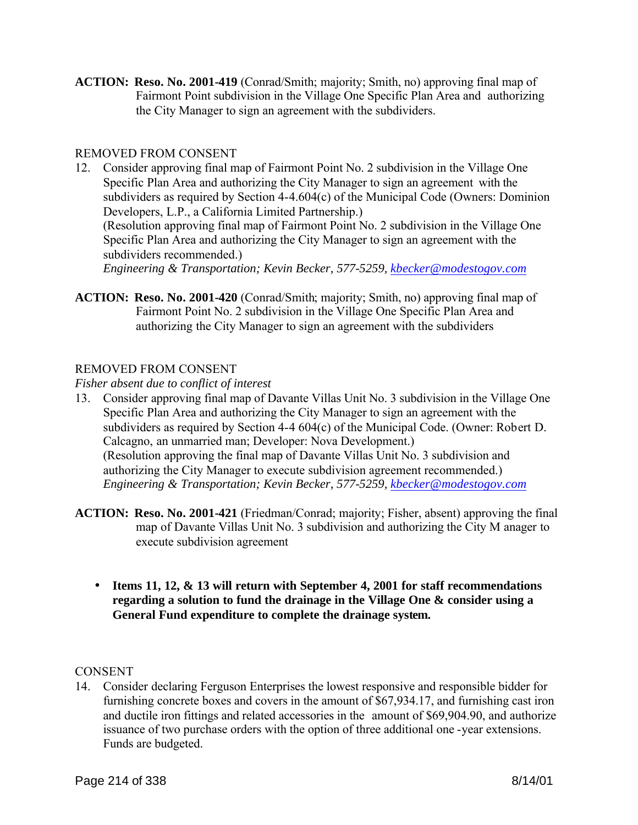**ACTION: Reso. No. 2001-419** (Conrad/Smith; majority; Smith, no) approving final map of Fairmont Point subdivision in the Village One Specific Plan Area and authorizing the City Manager to sign an agreement with the subdividers.

# REMOVED FROM CONSENT

- 12. Consider approving final map of Fairmont Point No. 2 subdivision in the Village One Specific Plan Area and authorizing the City Manager to sign an agreement with the subdividers as required by Section 4-4.604(c) of the Municipal Code (Owners: Dominion Developers, L.P., a California Limited Partnership.) (Resolution approving final map of Fairmont Point No. 2 subdivision in the Village One Specific Plan Area and authorizing the City Manager to sign an agreement with the subdividers recommended.) *Engineering & Transportation; Kevin Becker, 577-5259, kbecker@modestogov.com*
- **ACTION: Reso. No. 2001-420** (Conrad/Smith; majority; Smith, no) approving final map of Fairmont Point No. 2 subdivision in the Village One Specific Plan Area and authorizing the City Manager to sign an agreement with the subdividers

# REMOVED FROM CONSENT

*Fisher absent due to conflict of interest*

- 13. Consider approving final map of Davante Villas Unit No. 3 subdivision in the Village One Specific Plan Area and authorizing the City Manager to sign an agreement with the subdividers as required by Section 4-4 604(c) of the Municipal Code. (Owner: Robert D. Calcagno, an unmarried man; Developer: Nova Development.) (Resolution approving the final map of Davante Villas Unit No. 3 subdivision and authorizing the City Manager to execute subdivision agreement recommended.) *Engineering & Transportation; Kevin Becker, 577-5259, kbecker@modestogov.com*
- **ACTION: Reso. No. 2001-421** (Friedman/Conrad; majority; Fisher, absent) approving the final map of Davante Villas Unit No. 3 subdivision and authorizing the City M anager to execute subdivision agreement
	- **Items 11, 12, & 13 will return with September 4, 2001 for staff recommendations regarding a solution to fund the drainage in the Village One & consider using a General Fund expenditure to complete the drainage system.**

# **CONSENT**

14. Consider declaring Ferguson Enterprises the lowest responsive and responsible bidder for furnishing concrete boxes and covers in the amount of \$67,934.17, and furnishing cast iron and ductile iron fittings and related accessories in the amount of \$69,904.90, and authorize issuance of two purchase orders with the option of three additional one -year extensions. Funds are budgeted.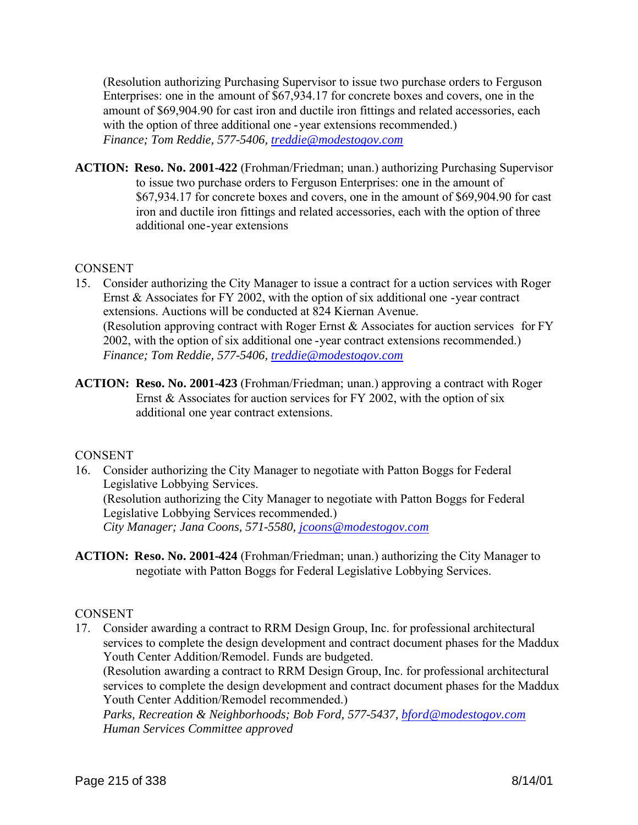(Resolution authorizing Purchasing Supervisor to issue two purchase orders to Ferguson Enterprises: one in the amount of \$67,934.17 for concrete boxes and covers, one in the amount of \$69,904.90 for cast iron and ductile iron fittings and related accessories, each with the option of three additional one - year extensions recommended.) *Finance; Tom Reddie, 577-5406, treddie@modestogov.com*

**ACTION: Reso. No. 2001-422** (Frohman/Friedman; unan.) authorizing Purchasing Supervisor to issue two purchase orders to Ferguson Enterprises: one in the amount of \$67,934.17 for concrete boxes and covers, one in the amount of \$69,904.90 for cast iron and ductile iron fittings and related accessories, each with the option of three additional one-year extensions

### **CONSENT**

- 15. Consider authorizing the City Manager to issue a contract for a uction services with Roger Ernst & Associates for FY 2002, with the option of six additional one -year contract extensions. Auctions will be conducted at 824 Kiernan Avenue. (Resolution approving contract with Roger Ernst & Associates for auction services for FY 2002, with the option of six additional one -year contract extensions recommended.) *Finance; Tom Reddie, 577-5406, treddie@modestogov.com*
- **ACTION: Reso. No. 2001-423** (Frohman/Friedman; unan.) approving a contract with Roger Ernst & Associates for auction services for FY 2002, with the option of six additional one year contract extensions.

# CONSENT

- 16. Consider authorizing the City Manager to negotiate with Patton Boggs for Federal Legislative Lobbying Services. (Resolution authorizing the City Manager to negotiate with Patton Boggs for Federal Legislative Lobbying Services recommended.) *City Manager; Jana Coons, 571-5580, jcoons@modestogov.com*
- **ACTION: Reso. No. 2001-424** (Frohman/Friedman; unan.) authorizing the City Manager to negotiate with Patton Boggs for Federal Legislative Lobbying Services.

# **CONSENT**

17. Consider awarding a contract to RRM Design Group, Inc. for professional architectural services to complete the design development and contract document phases for the Maddux Youth Center Addition/Remodel. Funds are budgeted.

(Resolution awarding a contract to RRM Design Group, Inc. for professional architectural services to complete the design development and contract document phases for the Maddux Youth Center Addition/Remodel recommended.)

*Parks, Recreation & Neighborhoods; Bob Ford, 577-5437, bford@modestogov.com Human Services Committee approved*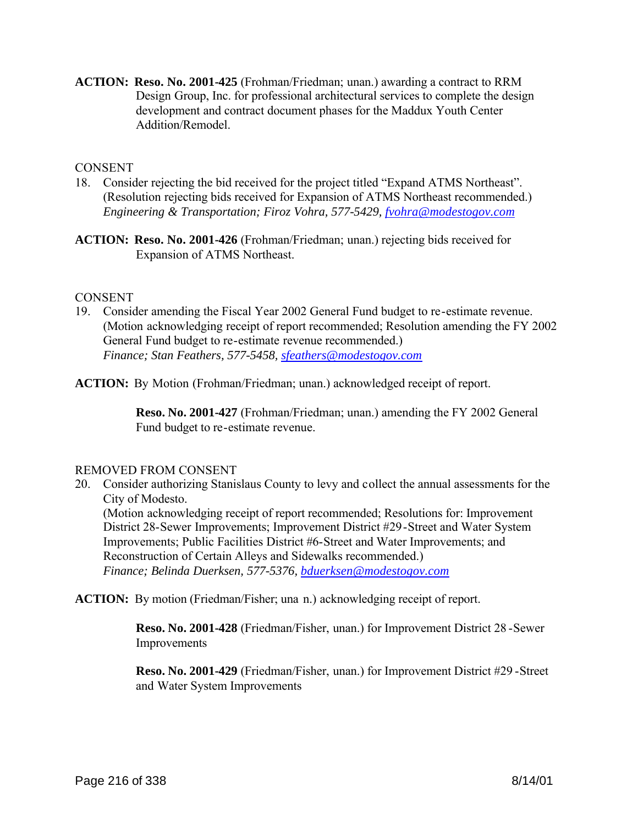**ACTION: Reso. No. 2001-425** (Frohman/Friedman; unan.) awarding a contract to RRM Design Group, Inc. for professional architectural services to complete the design development and contract document phases for the Maddux Youth Center Addition/Remodel.

#### **CONSENT**

- 18. Consider rejecting the bid received for the project titled "Expand ATMS Northeast". (Resolution rejecting bids received for Expansion of ATMS Northeast recommended.) *Engineering & Transportation; Firoz Vohra, 577-5429, fvohra@modestogov.com*
- **ACTION: Reso. No. 2001-426** (Frohman/Friedman; unan.) rejecting bids received for Expansion of ATMS Northeast.

#### CONSENT

19. Consider amending the Fiscal Year 2002 General Fund budget to re-estimate revenue. (Motion acknowledging receipt of report recommended; Resolution amending the FY 2002 General Fund budget to re-estimate revenue recommended.) *Finance; Stan Feathers, 577-5458, sfeathers@modestogov.com*

**ACTION:** By Motion (Frohman/Friedman; unan.) acknowledged receipt of report.

**Reso. No. 2001-427** (Frohman/Friedman; unan.) amending the FY 2002 General Fund budget to re-estimate revenue.

#### REMOVED FROM CONSENT

20. Consider authorizing Stanislaus County to levy and collect the annual assessments for the City of Modesto.

(Motion acknowledging receipt of report recommended; Resolutions for: Improvement District 28-Sewer Improvements; Improvement District #29-Street and Water System Improvements; Public Facilities District #6-Street and Water Improvements; and Reconstruction of Certain Alleys and Sidewalks recommended.) *Finance; Belinda Duerksen, 577-5376, bduerksen@modestogov.com*

**ACTION:** By motion (Friedman/Fisher; una n.) acknowledging receipt of report.

**Reso. No. 2001-428** (Friedman/Fisher, unan.) for Improvement District 28 -Sewer Improvements

**Reso. No. 2001-429** (Friedman/Fisher, unan.) for Improvement District #29 -Street and Water System Improvements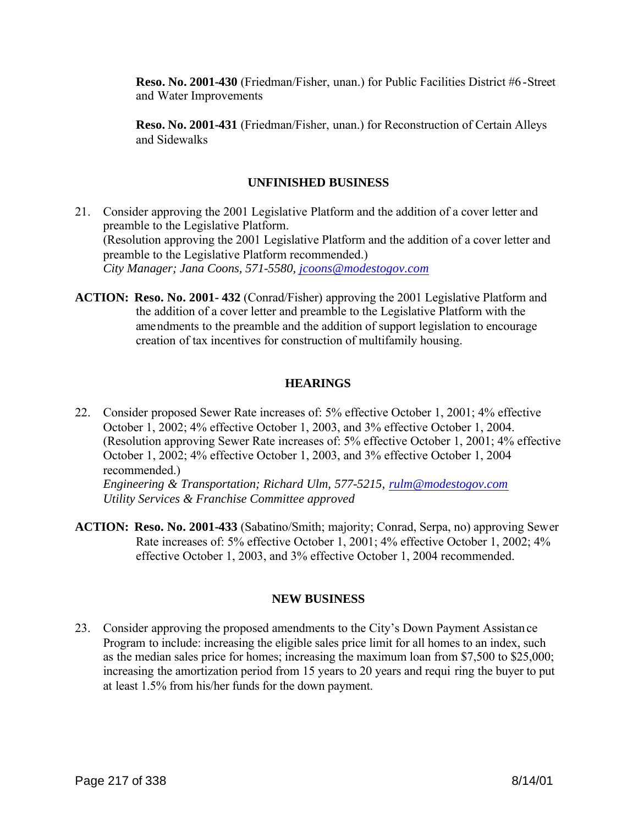**Reso. No. 2001-430** (Friedman/Fisher, unan.) for Public Facilities District #6-Street and Water Improvements

**Reso. No. 2001-431** (Friedman/Fisher, unan.) for Reconstruction of Certain Alleys and Sidewalks

## **UNFINISHED BUSINESS**

- 21. Consider approving the 2001 Legislative Platform and the addition of a cover letter and preamble to the Legislative Platform. (Resolution approving the 2001 Legislative Platform and the addition of a cover letter and preamble to the Legislative Platform recommended.) *City Manager; Jana Coons, 571-5580, jcoons@modestogov.com*
- **ACTION: Reso. No. 2001- 432** (Conrad/Fisher) approving the 2001 Legislative Platform and the addition of a cover letter and preamble to the Legislative Platform with the amendments to the preamble and the addition of support legislation to encourage creation of tax incentives for construction of multifamily housing.

# **HEARINGS**

22. Consider proposed Sewer Rate increases of: 5% effective October 1, 2001; 4% effective October 1, 2002; 4% effective October 1, 2003, and 3% effective October 1, 2004. (Resolution approving Sewer Rate increases of: 5% effective October 1, 2001; 4% effective October 1, 2002; 4% effective October 1, 2003, and 3% effective October 1, 2004 recommended.)

*Engineering & Transportation; Richard Ulm, 577-5215, rulm@modestogov.com Utility Services & Franchise Committee approved*

**ACTION: Reso. No. 2001-433** (Sabatino/Smith; majority; Conrad, Serpa, no) approving Sewer Rate increases of: 5% effective October 1, 2001; 4% effective October 1, 2002; 4% effective October 1, 2003, and 3% effective October 1, 2004 recommended.

# **NEW BUSINESS**

23. Consider approving the proposed amendments to the City's Down Payment Assistance Program to include: increasing the eligible sales price limit for all homes to an index, such as the median sales price for homes; increasing the maximum loan from \$7,500 to \$25,000; increasing the amortization period from 15 years to 20 years and requi ring the buyer to put at least 1.5% from his/her funds for the down payment.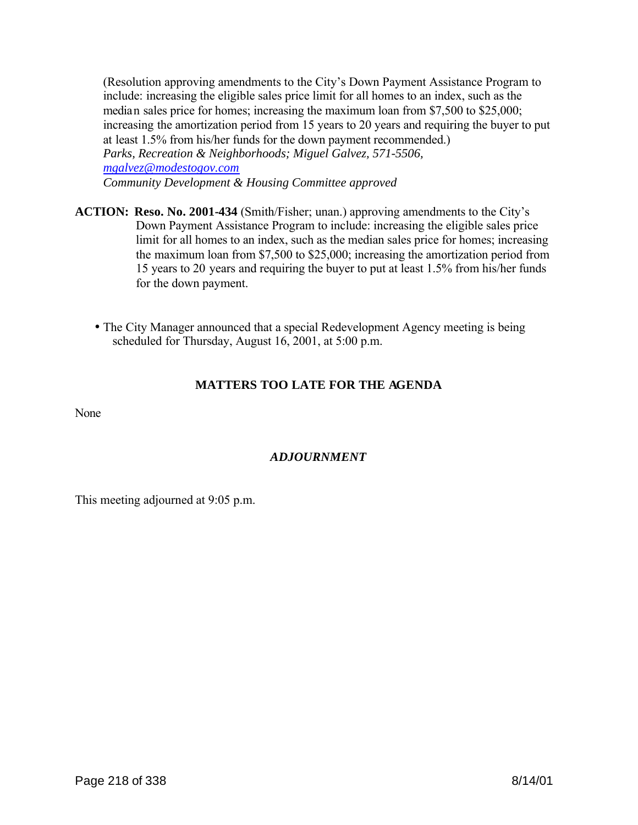(Resolution approving amendments to the City's Down Payment Assistance Program to include: increasing the eligible sales price limit for all homes to an index, such as the median sales price for homes; increasing the maximum loan from \$7,500 to \$25,000; increasing the amortization period from 15 years to 20 years and requiring the buyer to put at least 1.5% from his/her funds for the down payment recommended.) *Parks, Recreation & Neighborhoods; Miguel Galvez, 571-5506, mgalvez@modestogov.com Community Development & Housing Committee approved*

- **ACTION: Reso. No. 2001-434** (Smith/Fisher; unan.) approving amendments to the City's Down Payment Assistance Program to include: increasing the eligible sales price limit for all homes to an index, such as the median sales price for homes; increasing the maximum loan from \$7,500 to \$25,000; increasing the amortization period from 15 years to 20 years and requiring the buyer to put at least 1.5% from his/her funds for the down payment.
	- The City Manager announced that a special Redevelopment Agency meeting is being scheduled for Thursday, August 16, 2001, at 5:00 p.m.

# **MATTERS TOO LATE FOR THE AGENDA**

None

# *ADJOURNMENT*

This meeting adjourned at 9:05 p.m.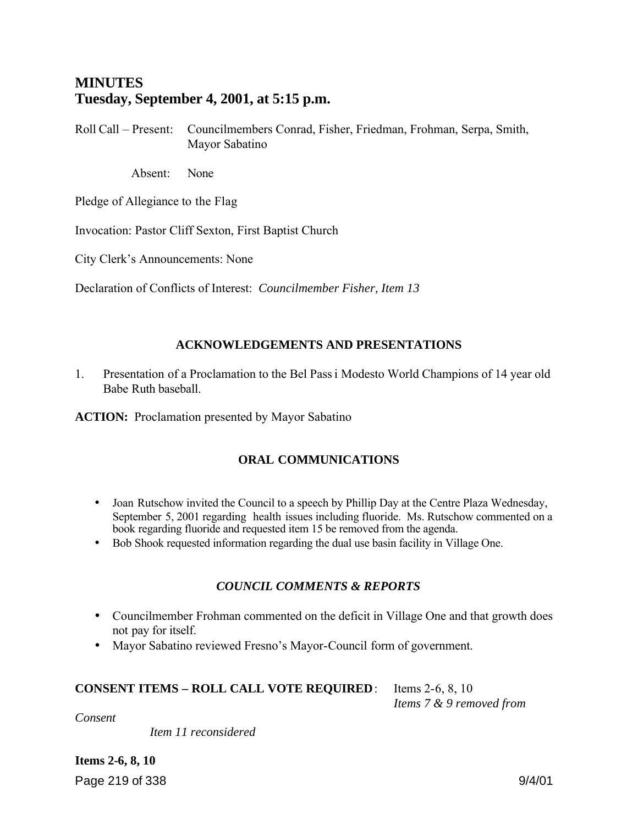# **MINUTES Tuesday, September 4, 2001, at 5:15 p.m.**

Roll Call – Present: Councilmembers Conrad, Fisher, Friedman, Frohman, Serpa, Smith, Mayor Sabatino

Absent: None

Pledge of Allegiance to the Flag

Invocation: Pastor Cliff Sexton, First Baptist Church

City Clerk's Announcements: None

Declaration of Conflicts of Interest: *Councilmember Fisher, Item 13*

### **ACKNOWLEDGEMENTS AND PRESENTATIONS**

1. Presentation of a Proclamation to the Bel Passi Modesto World Champions of 14 year old Babe Ruth baseball.

**ACTION:** Proclamation presented by Mayor Sabatino

### **ORAL COMMUNICATIONS**

- Joan Rutschow invited the Council to a speech by Phillip Day at the Centre Plaza Wednesday, September 5, 2001 regarding health issues including fluoride. Ms. Rutschow commented on a book regarding fluoride and requested item 15 be removed from the agenda.
- Bob Shook requested information regarding the dual use basin facility in Village One.

### *COUNCIL COMMENTS & REPORTS*

- Councilmember Frohman commented on the deficit in Village One and that growth does not pay for itself.
- Mayor Sabatino reviewed Fresno's Mayor-Council form of government.

#### **CONSENT ITEMS – ROLL CALL VOTE REQUIRED**: Items 2-6, 8, 10

*Items 7 & 9 removed from* 

*Consent*

 *Item 11 reconsidered*

Page 219 of 338 9/4/01 **Items 2-6, 8, 10**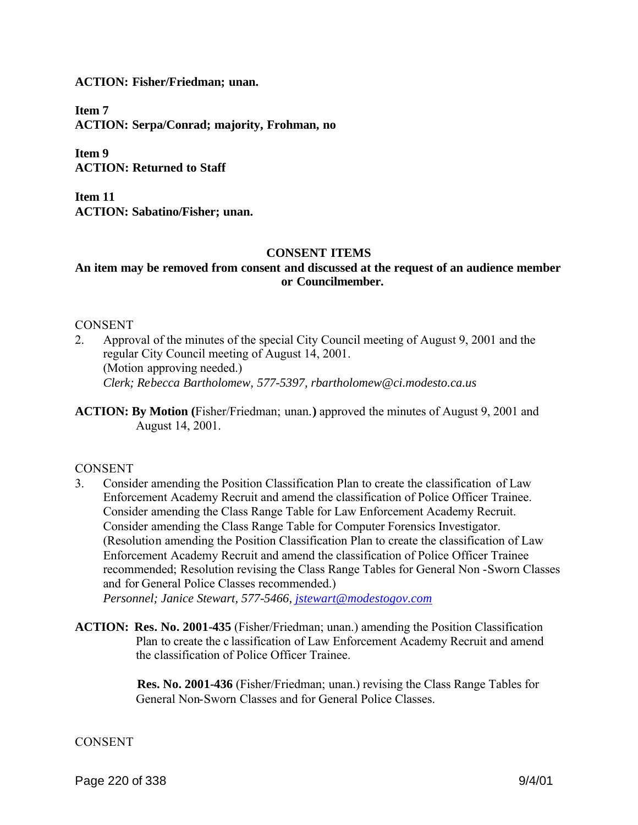**ACTION: Fisher/Friedman; unan.**

**Item 7 ACTION: Serpa/Conrad; majority, Frohman, no**

**Item 9 ACTION: Returned to Staff**

**Item 11 ACTION: Sabatino/Fisher; unan.**

#### **CONSENT ITEMS**

## **An item may be removed from consent and discussed at the request of an audience member or Councilmember.**

#### CONSENT

- 2. Approval of the minutes of the special City Council meeting of August 9, 2001 and the regular City Council meeting of August 14, 2001. (Motion approving needed.) *Clerk; Rebecca Bartholomew, 577-5397, rbartholomew@ci.modesto.ca.us*
- **ACTION: By Motion (**Fisher/Friedman; unan.**)** approved the minutes of August 9, 2001 and August 14, 2001.

#### CONSENT

3. Consider amending the Position Classification Plan to create the classification of Law Enforcement Academy Recruit and amend the classification of Police Officer Trainee. Consider amending the Class Range Table for Law Enforcement Academy Recruit. Consider amending the Class Range Table for Computer Forensics Investigator. (Resolution amending the Position Classification Plan to create the classification of Law Enforcement Academy Recruit and amend the classification of Police Officer Trainee recommended; Resolution revising the Class Range Tables for General Non -Sworn Classes and for General Police Classes recommended.)

*Personnel; Janice Stewart, 577-5466, jstewart@modestogov.com*

**ACTION: Res. No. 2001-435** (Fisher/Friedman; unan.) amending the Position Classification Plan to create the c lassification of Law Enforcement Academy Recruit and amend the classification of Police Officer Trainee.

> **Res. No. 2001-436** (Fisher/Friedman; unan.) revising the Class Range Tables for General Non-Sworn Classes and for General Police Classes.

#### **CONSENT**

Page 220 of 338 9/4/01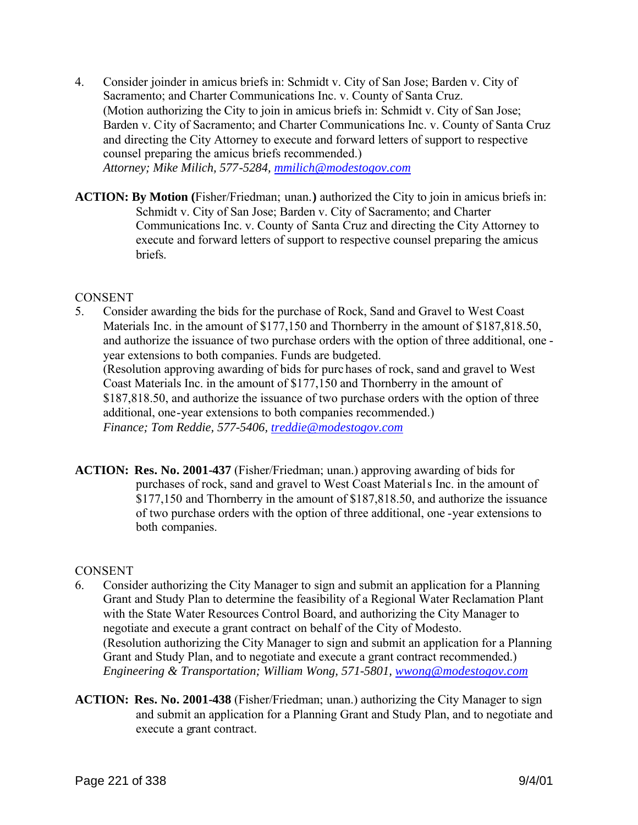4. Consider joinder in amicus briefs in: Schmidt v. City of San Jose; Barden v. City of Sacramento; and Charter Communications Inc. v. County of Santa Cruz. (Motion authorizing the City to join in amicus briefs in: Schmidt v. City of San Jose; Barden v. City of Sacramento; and Charter Communications Inc. v. County of Santa Cruz and directing the City Attorney to execute and forward letters of support to respective counsel preparing the amicus briefs recommended.) *Attorney; Mike Milich, 577-5284, mmilich@modestogov.com*

**ACTION: By Motion (**Fisher/Friedman; unan.**)** authorized the City to join in amicus briefs in: Schmidt v. City of San Jose; Barden v. City of Sacramento; and Charter Communications Inc. v. County of Santa Cruz and directing the City Attorney to execute and forward letters of support to respective counsel preparing the amicus briefs.

### CONSENT

- 5. Consider awarding the bids for the purchase of Rock, Sand and Gravel to West Coast Materials Inc. in the amount of \$177,150 and Thornberry in the amount of \$187,818.50, and authorize the issuance of two purchase orders with the option of three additional, one year extensions to both companies. Funds are budgeted. (Resolution approving awarding of bids for purc hases of rock, sand and gravel to West Coast Materials Inc. in the amount of \$177,150 and Thornberry in the amount of \$187,818.50, and authorize the issuance of two purchase orders with the option of three additional, one-year extensions to both companies recommended.) *Finance; Tom Reddie, 577-5406, treddie@modestogov.com*
- **ACTION: Res. No. 2001-437** (Fisher/Friedman; unan.) approving awarding of bids for purchases of rock, sand and gravel to West Coast Materials Inc. in the amount of \$177,150 and Thornberry in the amount of \$187,818.50, and authorize the issuance of two purchase orders with the option of three additional, one -year extensions to both companies.

### **CONSENT**

- 6. Consider authorizing the City Manager to sign and submit an application for a Planning Grant and Study Plan to determine the feasibility of a Regional Water Reclamation Plant with the State Water Resources Control Board, and authorizing the City Manager to negotiate and execute a grant contract on behalf of the City of Modesto. (Resolution authorizing the City Manager to sign and submit an application for a Planning Grant and Study Plan, and to negotiate and execute a grant contract recommended.) *Engineering & Transportation; William Wong, 571-5801, wwong@modestogov.com*
- **ACTION: Res. No. 2001-438** (Fisher/Friedman; unan.) authorizing the City Manager to sign and submit an application for a Planning Grant and Study Plan, and to negotiate and execute a grant contract.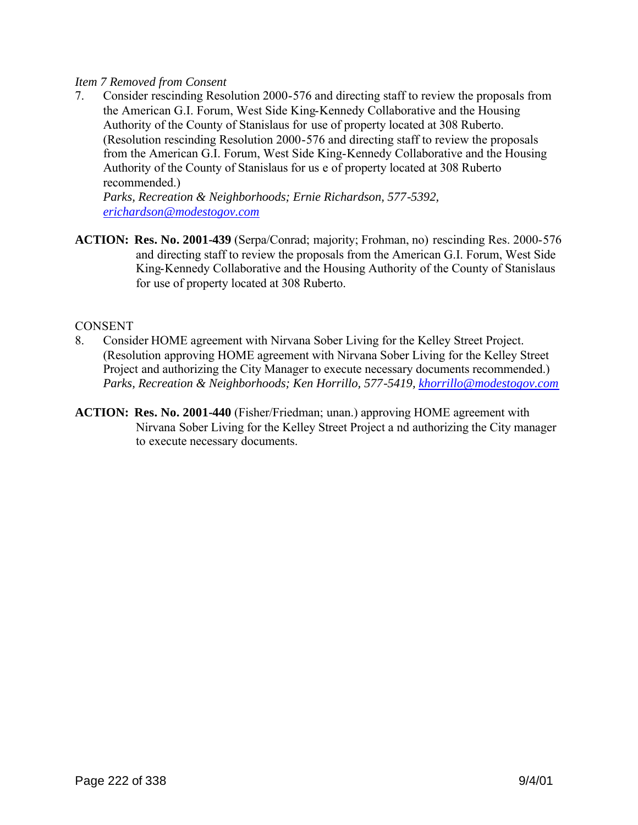### *Item 7 Removed from Consent*

7. Consider rescinding Resolution 2000-576 and directing staff to review the proposals from the American G.I. Forum, West Side King-Kennedy Collaborative and the Housing Authority of the County of Stanislaus for use of property located at 308 Ruberto. (Resolution rescinding Resolution 2000-576 and directing staff to review the proposals from the American G.I. Forum, West Side King-Kennedy Collaborative and the Housing Authority of the County of Stanislaus for us e of property located at 308 Ruberto recommended.)

*Parks, Recreation & Neighborhoods; Ernie Richardson, 577-5392, erichardson@modestogov.com*

**ACTION: Res. No. 2001-439** (Serpa/Conrad; majority; Frohman, no) rescinding Res. 2000-576 and directing staff to review the proposals from the American G.I. Forum, West Side King-Kennedy Collaborative and the Housing Authority of the County of Stanislaus for use of property located at 308 Ruberto.

#### CONSENT

- 8. Consider HOME agreement with Nirvana Sober Living for the Kelley Street Project. (Resolution approving HOME agreement with Nirvana Sober Living for the Kelley Street Project and authorizing the City Manager to execute necessary documents recommended.) *Parks, Recreation & Neighborhoods; Ken Horrillo, 577-5419, khorrillo@modestogov.com*
- **ACTION: Res. No. 2001-440** (Fisher/Friedman; unan.) approving HOME agreement with Nirvana Sober Living for the Kelley Street Project a nd authorizing the City manager to execute necessary documents.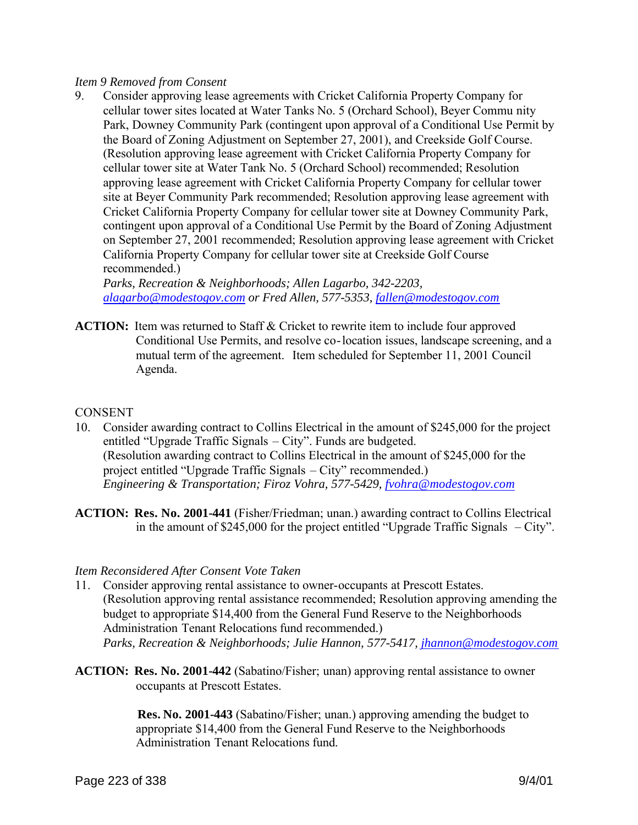#### *Item 9 Removed from Consent*

9. Consider approving lease agreements with Cricket California Property Company for cellular tower sites located at Water Tanks No. 5 (Orchard School), Beyer Commu nity Park, Downey Community Park (contingent upon approval of a Conditional Use Permit by the Board of Zoning Adjustment on September 27, 2001), and Creekside Golf Course. (Resolution approving lease agreement with Cricket California Property Company for cellular tower site at Water Tank No. 5 (Orchard School) recommended; Resolution approving lease agreement with Cricket California Property Company for cellular tower site at Beyer Community Park recommended; Resolution approving lease agreement with Cricket California Property Company for cellular tower site at Downey Community Park, contingent upon approval of a Conditional Use Permit by the Board of Zoning Adjustment on September 27, 2001 recommended; Resolution approving lease agreement with Cricket California Property Company for cellular tower site at Creekside Golf Course recommended.)

*Parks, Recreation & Neighborhoods; Allen Lagarbo, 342-2203, alagarbo@modestogov.com or Fred Allen, 577-5353, fallen@modestogov.com*

**ACTION:** Item was returned to Staff & Cricket to rewrite item to include four approved Conditional Use Permits, and resolve co-location issues, landscape screening, and a mutual term of the agreement. Item scheduled for September 11, 2001 Council Agenda.

#### **CONSENT**

- 10. Consider awarding contract to Collins Electrical in the amount of \$245,000 for the project entitled "Upgrade Traffic Signals – City". Funds are budgeted. (Resolution awarding contract to Collins Electrical in the amount of \$245,000 for the project entitled "Upgrade Traffic Signals – City" recommended.) *Engineering & Transportation; Firoz Vohra, 577-5429, fvohra@modestogov.com*
- **ACTION: Res. No. 2001-441** (Fisher/Friedman; unan.) awarding contract to Collins Electrical in the amount of \$245,000 for the project entitled "Upgrade Traffic Signals – City".

#### *Item Reconsidered After Consent Vote Taken*

- 11. Consider approving rental assistance to owner-occupants at Prescott Estates. (Resolution approving rental assistance recommended; Resolution approving amending the budget to appropriate \$14,400 from the General Fund Reserve to the Neighborhoods Administration Tenant Relocations fund recommended.)  *Parks, Recreation & Neighborhoods; Julie Hannon, 577-5417, jhannon@modestogov.com*
- **ACTION: Res. No. 2001-442** (Sabatino/Fisher; unan) approving rental assistance to owner occupants at Prescott Estates.

 **Res. No. 2001-443** (Sabatino/Fisher; unan.) approving amending the budget to appropriate \$14,400 from the General Fund Reserve to the Neighborhoods Administration Tenant Relocations fund.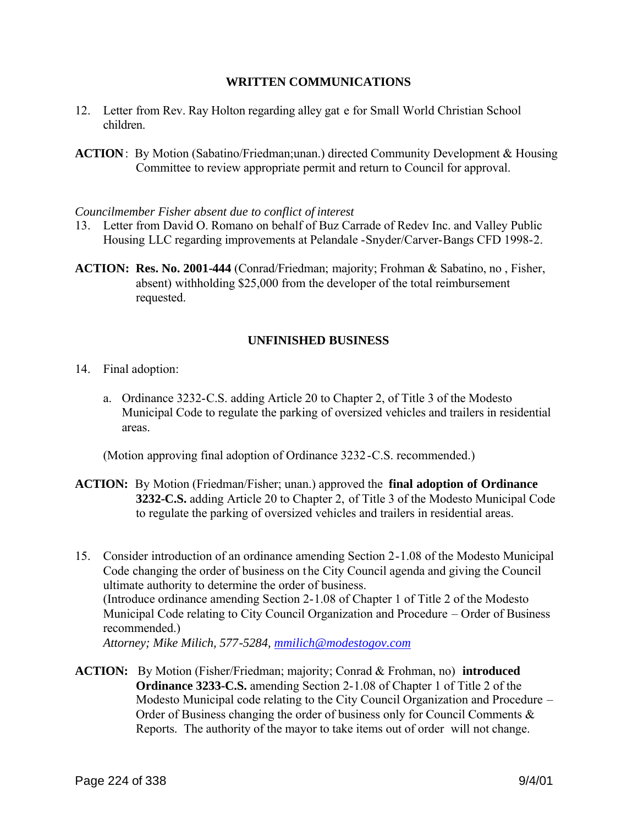#### **WRITTEN COMMUNICATIONS**

- 12. Letter from Rev. Ray Holton regarding alley gat e for Small World Christian School children.
- **ACTION**: By Motion (Sabatino/Friedman;unan.) directed Community Development & Housing Committee to review appropriate permit and return to Council for approval.

#### *Councilmember Fisher absent due to conflict of interest*

- 13. Letter from David O. Romano on behalf of Buz Carrade of Redev Inc. and Valley Public Housing LLC regarding improvements at Pelandale -Snyder/Carver-Bangs CFD 1998-2.
- **ACTION: Res. No. 2001-444** (Conrad/Friedman; majority; Frohman & Sabatino, no , Fisher, absent) withholding \$25,000 from the developer of the total reimbursement requested.

### **UNFINISHED BUSINESS**

- 14. Final adoption:
	- a. Ordinance 3232-C.S. adding Article 20 to Chapter 2, of Title 3 of the Modesto Municipal Code to regulate the parking of oversized vehicles and trailers in residential areas.

(Motion approving final adoption of Ordinance 3232-C.S. recommended.)

- **ACTION:** By Motion (Friedman/Fisher; unan.) approved the **final adoption of Ordinance 3232-C.S.** adding Article 20 to Chapter 2, of Title 3 of the Modesto Municipal Code to regulate the parking of oversized vehicles and trailers in residential areas.
- 15. Consider introduction of an ordinance amending Section 2-1.08 of the Modesto Municipal Code changing the order of business on the City Council agenda and giving the Council ultimate authority to determine the order of business. (Introduce ordinance amending Section 2-1.08 of Chapter 1 of Title 2 of the Modesto Municipal Code relating to City Council Organization and Procedure – Order of Business recommended.) *Attorney; Mike Milich, 577-5284, mmilich@modestogov.com*
- **ACTION:** By Motion (Fisher/Friedman; majority; Conrad & Frohman, no) **introduced Ordinance 3233-C.S.** amending Section 2-1.08 of Chapter 1 of Title 2 of the Modesto Municipal code relating to the City Council Organization and Procedure – Order of Business changing the order of business only for Council Comments & Reports. The authority of the mayor to take items out of order will not change.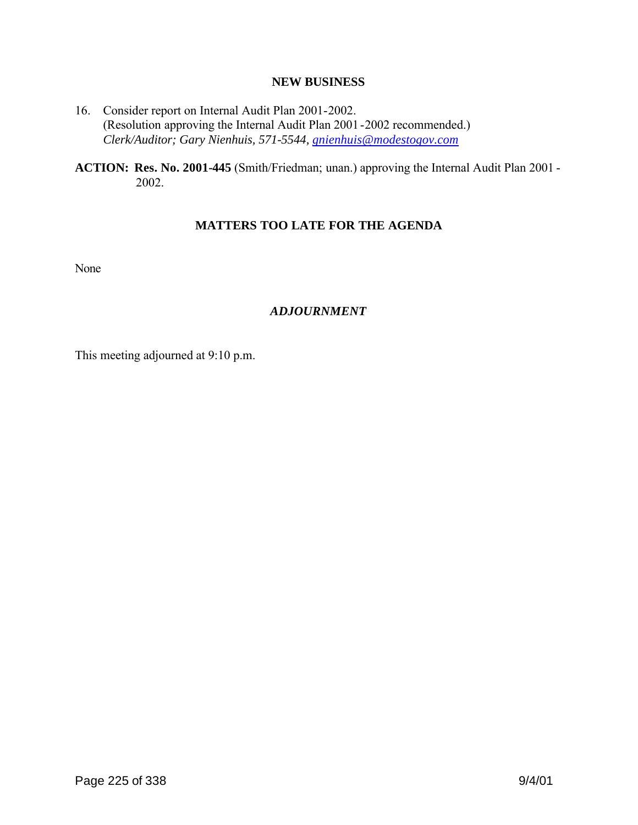#### **NEW BUSINESS**

- 16. Consider report on Internal Audit Plan 2001-2002. (Resolution approving the Internal Audit Plan 2001-2002 recommended.) *Clerk/Auditor; Gary Nienhuis, 571-5544, gnienhuis@modestogov.com*
- **ACTION: Res. No. 2001-445** (Smith/Friedman; unan.) approving the Internal Audit Plan 2001 2002.

# **MATTERS TOO LATE FOR THE AGENDA**

None

# *ADJOURNMENT*

This meeting adjourned at 9:10 p.m.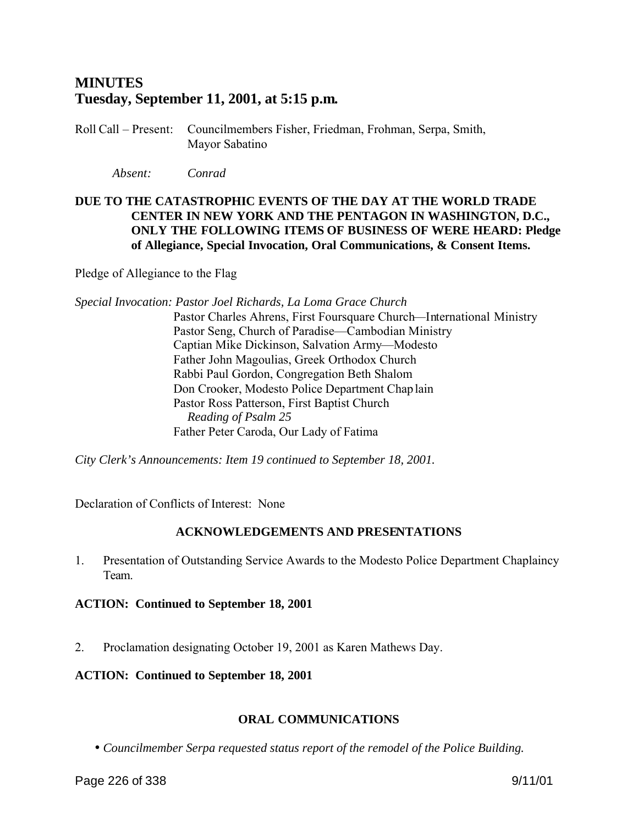# **MINUTES Tuesday, September 11, 2001, at 5:15 p.m.**

Roll Call – Present: Councilmembers Fisher, Friedman, Frohman, Serpa, Smith, Mayor Sabatino

*Absent: Conrad*

# **DUE TO THE CATASTROPHIC EVENTS OF THE DAY AT THE WORLD TRADE CENTER IN NEW YORK AND THE PENTAGON IN WASHINGTON, D.C., ONLY THE FOLLOWING ITEMS OF BUSINESS OF WERE HEARD: Pledge of Allegiance, Special Invocation, Oral Communications, & Consent Items.**

Pledge of Allegiance to the Flag

*Special Invocation: Pastor Joel Richards, La Loma Grace Church*

Pastor Charles Ahrens, First Foursquare Church—International Ministry Pastor Seng, Church of Paradise—Cambodian Ministry Captian Mike Dickinson, Salvation Army—Modesto Father John Magoulias, Greek Orthodox Church Rabbi Paul Gordon, Congregation Beth Shalom Don Crooker, Modesto Police Department Chaplain Pastor Ross Patterson, First Baptist Church *Reading of Psalm 25* Father Peter Caroda, Our Lady of Fatima

*City Clerk's Announcements: Item 19 continued to September 18, 2001.*

Declaration of Conflicts of Interest: None

# **ACKNOWLEDGEMENTS AND PRESENTATIONS**

1. Presentation of Outstanding Service Awards to the Modesto Police Department Chaplaincy Team.

# **ACTION: Continued to September 18, 2001**

2. Proclamation designating October 19, 2001 as Karen Mathews Day.

# **ACTION: Continued to September 18, 2001**

# **ORAL COMMUNICATIONS**

• *Councilmember Serpa requested status report of the remodel of the Police Building.*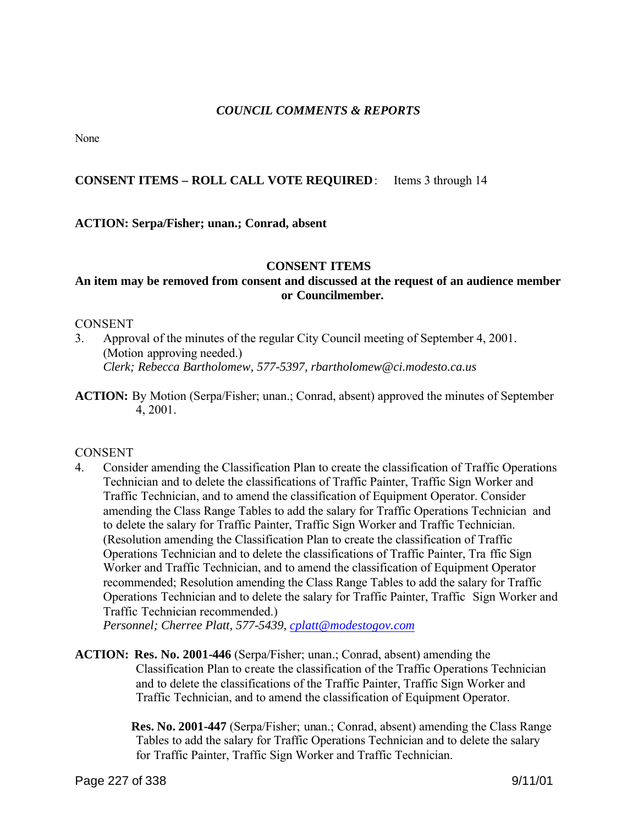### *COUNCIL COMMENTS & REPORTS*

None

## **CONSENT ITEMS – ROLL CALL VOTE REQUIRED**: Items 3 through 14

### **ACTION: Serpa/Fisher; unan.; Conrad, absent**

#### **CONSENT ITEMS**

## **An item may be removed from consent and discussed at the request of an audience member or Councilmember.**

#### CONSENT

- 3. Approval of the minutes of the regular City Council meeting of September 4, 2001. (Motion approving needed.) *Clerk; Rebecca Bartholomew, 577-5397, rbartholomew@ci.modesto.ca.us*
- **ACTION:** By Motion (Serpa/Fisher; unan.; Conrad, absent) approved the minutes of September 4, 2001.

#### CONSENT

4. Consider amending the Classification Plan to create the classification of Traffic Operations Technician and to delete the classifications of Traffic Painter, Traffic Sign Worker and Traffic Technician, and to amend the classification of Equipment Operator. Consider amending the Class Range Tables to add the salary for Traffic Operations Technician and to delete the salary for Traffic Painter, Traffic Sign Worker and Traffic Technician. (Resolution amending the Classification Plan to create the classification of Traffic Operations Technician and to delete the classifications of Traffic Painter, Tra ffic Sign Worker and Traffic Technician, and to amend the classification of Equipment Operator recommended; Resolution amending the Class Range Tables to add the salary for Traffic Operations Technician and to delete the salary for Traffic Painter, Traffic Sign Worker and Traffic Technician recommended.)

*Personnel; Cherree Platt, 577-5439, cplatt@modestogov.com*

**ACTION: Res. No. 2001-446** (Serpa/Fisher; unan.; Conrad, absent) amending the Classification Plan to create the classification of the Traffic Operations Technician and to delete the classifications of the Traffic Painter, Traffic Sign Worker and Traffic Technician, and to amend the classification of Equipment Operator.

> **Res. No. 2001-447** (Serpa/Fisher; unan.; Conrad, absent) amending the Class Range Tables to add the salary for Traffic Operations Technician and to delete the salary for Traffic Painter, Traffic Sign Worker and Traffic Technician.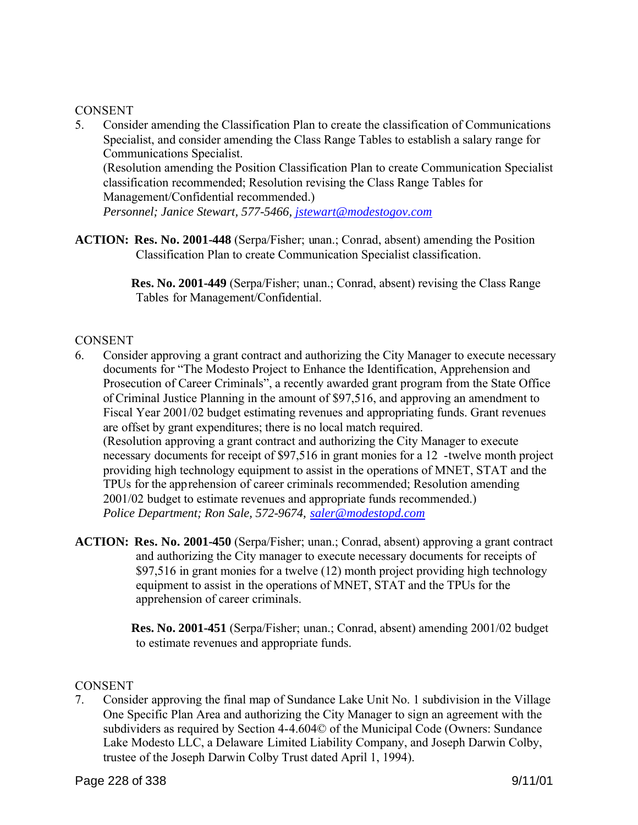### **CONSENT**

5. Consider amending the Classification Plan to create the classification of Communications Specialist, and consider amending the Class Range Tables to establish a salary range for Communications Specialist. (Resolution amending the Position Classification Plan to create Communication Specialist classification recommended; Resolution revising the Class Range Tables for Management/Confidential recommended.)

*Personnel; Janice Stewart, 577-5466, jstewart@modestogov.com*

**ACTION: Res. No. 2001-448** (Serpa/Fisher; unan.; Conrad, absent) amending the Position Classification Plan to create Communication Specialist classification.

> **Res. No. 2001-449** (Serpa/Fisher; unan.; Conrad, absent) revising the Class Range Tables for Management/Confidential.

# **CONSENT**

- 6. Consider approving a grant contract and authorizing the City Manager to execute necessary documents for "The Modesto Project to Enhance the Identification, Apprehension and Prosecution of Career Criminals", a recently awarded grant program from the State Office of Criminal Justice Planning in the amount of \$97,516, and approving an amendment to Fiscal Year 2001/02 budget estimating revenues and appropriating funds. Grant revenues are offset by grant expenditures; there is no local match required. (Resolution approving a grant contract and authorizing the City Manager to execute necessary documents for receipt of \$97,516 in grant monies for a 12 -twelve month project providing high technology equipment to assist in the operations of MNET, STAT and the TPUs for the apprehension of career criminals recommended; Resolution amending 2001/02 budget to estimate revenues and appropriate funds recommended.) *Police Department; Ron Sale, 572-9674, saler@modestopd.com*
- **ACTION: Res. No. 2001-450** (Serpa/Fisher; unan.; Conrad, absent) approving a grant contract and authorizing the City manager to execute necessary documents for receipts of \$97,516 in grant monies for a twelve (12) month project providing high technology equipment to assist in the operations of MNET, STAT and the TPUs for the apprehension of career criminals.

**Res. No. 2001-451** (Serpa/Fisher; unan.; Conrad, absent) amending 2001/02 budget to estimate revenues and appropriate funds.

# **CONSENT**

7. Consider approving the final map of Sundance Lake Unit No. 1 subdivision in the Village One Specific Plan Area and authorizing the City Manager to sign an agreement with the subdividers as required by Section 4-4.604© of the Municipal Code (Owners: Sundance Lake Modesto LLC, a Delaware Limited Liability Company, and Joseph Darwin Colby, trustee of the Joseph Darwin Colby Trust dated April 1, 1994).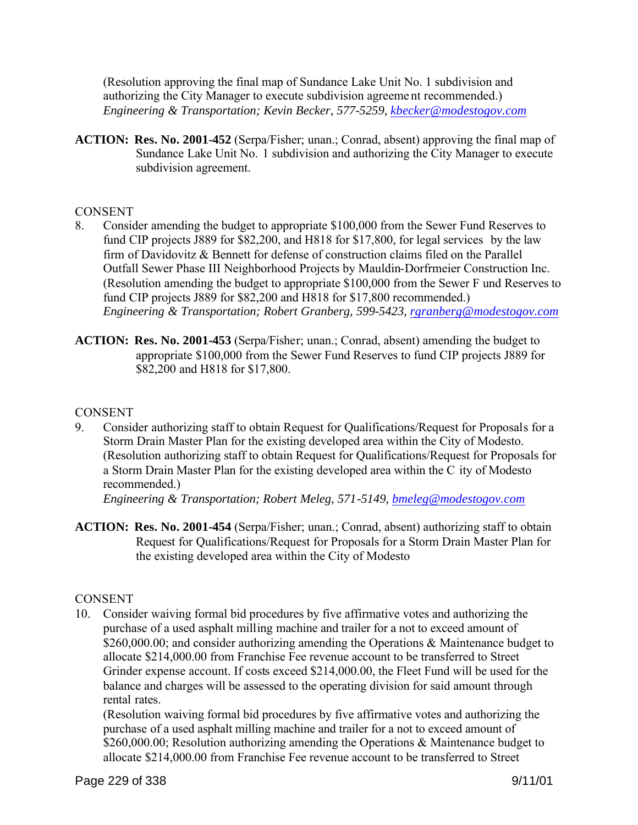(Resolution approving the final map of Sundance Lake Unit No. 1 subdivision and authorizing the City Manager to execute subdivision agreeme nt recommended.) *Engineering & Transportation; Kevin Becker, 577-5259, kbecker@modestogov.com*

**ACTION: Res. No. 2001-452** (Serpa/Fisher; unan.; Conrad, absent) approving the final map of Sundance Lake Unit No. 1 subdivision and authorizing the City Manager to execute subdivision agreement.

## **CONSENT**

- 8. Consider amending the budget to appropriate \$100,000 from the Sewer Fund Reserves to fund CIP projects J889 for \$82,200, and H818 for \$17,800, for legal services by the law firm of Davidovitz & Bennett for defense of construction claims filed on the Parallel Outfall Sewer Phase III Neighborhood Projects by Mauldin-Dorfrmeier Construction Inc. (Resolution amending the budget to appropriate \$100,000 from the Sewer F und Reserves to fund CIP projects J889 for \$82,200 and H818 for \$17,800 recommended.) *Engineering & Transportation; Robert Granberg, 599-5423, rgranberg@modestogov.com*
- **ACTION: Res. No. 2001-453** (Serpa/Fisher; unan.; Conrad, absent) amending the budget to appropriate \$100,000 from the Sewer Fund Reserves to fund CIP projects J889 for \$82,200 and H818 for \$17,800.

### CONSENT

9. Consider authorizing staff to obtain Request for Qualifications/Request for Proposals for a Storm Drain Master Plan for the existing developed area within the City of Modesto. (Resolution authorizing staff to obtain Request for Qualifications/Request for Proposals for a Storm Drain Master Plan for the existing developed area within the C ity of Modesto recommended.)

*Engineering & Transportation; Robert Meleg, 571-5149, bmeleg@modestogov.com*

**ACTION: Res. No. 2001-454** (Serpa/Fisher; unan.; Conrad, absent) authorizing staff to obtain Request for Qualifications/Request for Proposals for a Storm Drain Master Plan for the existing developed area within the City of Modesto

# **CONSENT**

10. Consider waiving formal bid procedures by five affirmative votes and authorizing the purchase of a used asphalt milling machine and trailer for a not to exceed amount of \$260,000.00; and consider authorizing amending the Operations & Maintenance budget to allocate \$214,000.00 from Franchise Fee revenue account to be transferred to Street Grinder expense account. If costs exceed \$214,000.00, the Fleet Fund will be used for the balance and charges will be assessed to the operating division for said amount through rental rates.

(Resolution waiving formal bid procedures by five affirmative votes and authorizing the purchase of a used asphalt milling machine and trailer for a not to exceed amount of \$260,000.00; Resolution authorizing amending the Operations & Maintenance budget to allocate \$214,000.00 from Franchise Fee revenue account to be transferred to Street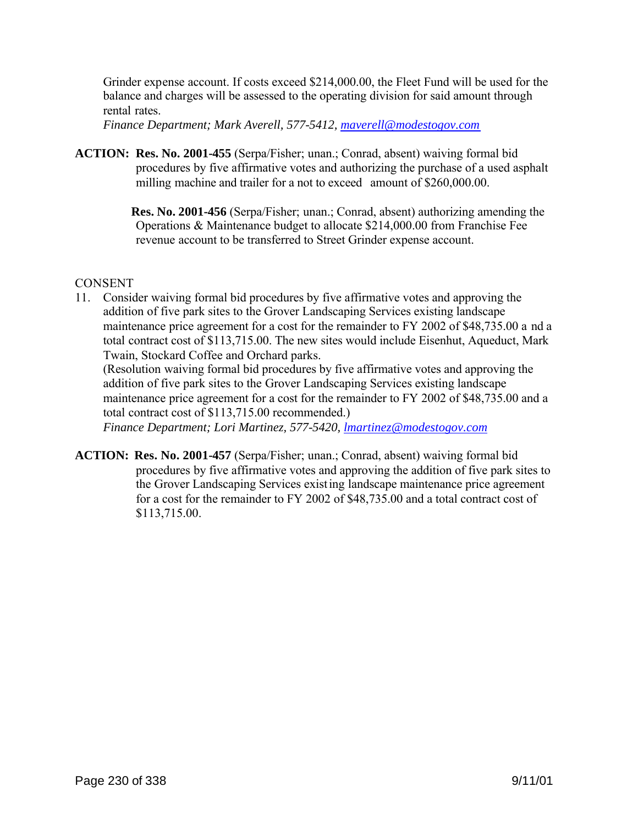Grinder expense account. If costs exceed \$214,000.00, the Fleet Fund will be used for the balance and charges will be assessed to the operating division for said amount through rental rates.

*Finance Department; Mark Averell, 577-5412, maverell@modestogov.com*

**ACTION: Res. No. 2001-455** (Serpa/Fisher; unan.; Conrad, absent) waiving formal bid procedures by five affirmative votes and authorizing the purchase of a used asphalt milling machine and trailer for a not to exceed amount of \$260,000.00.

> **Res. No. 2001-456** (Serpa/Fisher; unan.; Conrad, absent) authorizing amending the Operations & Maintenance budget to allocate \$214,000.00 from Franchise Fee revenue account to be transferred to Street Grinder expense account.

# **CONSENT**

11. Consider waiving formal bid procedures by five affirmative votes and approving the addition of five park sites to the Grover Landscaping Services existing landscape maintenance price agreement for a cost for the remainder to FY 2002 of \$48,735.00 a nd a total contract cost of \$113,715.00. The new sites would include Eisenhut, Aqueduct, Mark Twain, Stockard Coffee and Orchard parks.

(Resolution waiving formal bid procedures by five affirmative votes and approving the addition of five park sites to the Grover Landscaping Services existing landscape maintenance price agreement for a cost for the remainder to FY 2002 of \$48,735.00 and a total contract cost of \$113,715.00 recommended.)

*Finance Department; Lori Martinez, 577-5420, lmartinez@modestogov.com*

**ACTION: Res. No. 2001-457** (Serpa/Fisher; unan.; Conrad, absent) waiving formal bid procedures by five affirmative votes and approving the addition of five park sites to the Grover Landscaping Services existing landscape maintenance price agreement for a cost for the remainder to FY 2002 of \$48,735.00 and a total contract cost of \$113,715.00.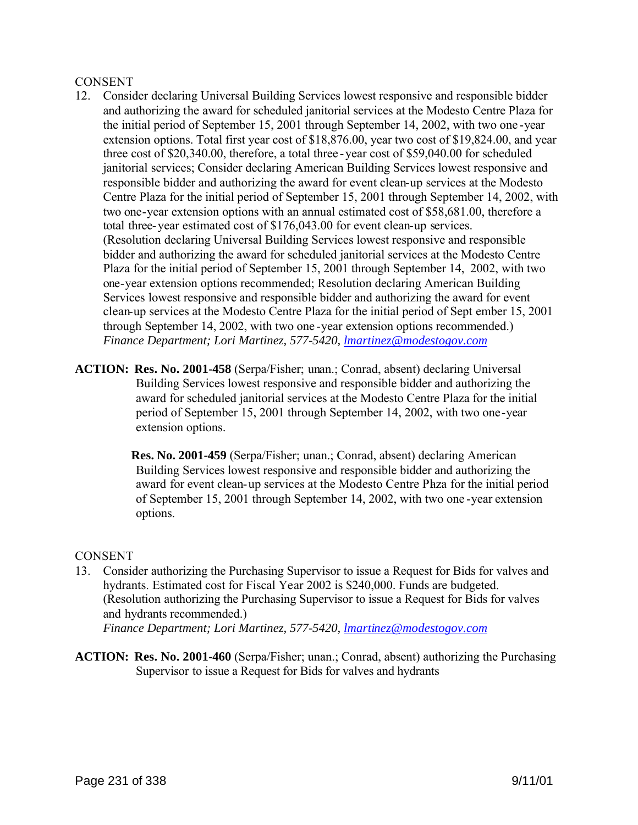#### CONSENT

- 12. Consider declaring Universal Building Services lowest responsive and responsible bidder and authorizing the award for scheduled janitorial services at the Modesto Centre Plaza for the initial period of September 15, 2001 through September 14, 2002, with two one -year extension options. Total first year cost of \$18,876.00, year two cost of \$19,824.00, and year three cost of \$20,340.00, therefore, a total three -year cost of \$59,040.00 for scheduled janitorial services; Consider declaring American Building Services lowest responsive and responsible bidder and authorizing the award for event clean-up services at the Modesto Centre Plaza for the initial period of September 15, 2001 through September 14, 2002, with two one-year extension options with an annual estimated cost of \$58,681.00, therefore a total three-year estimated cost of \$176,043.00 for event clean-up services. (Resolution declaring Universal Building Services lowest responsive and responsible bidder and authorizing the award for scheduled janitorial services at the Modesto Centre Plaza for the initial period of September 15, 2001 through September 14, 2002, with two one-year extension options recommended; Resolution declaring American Building Services lowest responsive and responsible bidder and authorizing the award for event clean-up services at the Modesto Centre Plaza for the initial period of Sept ember 15, 2001 through September 14, 2002, with two one -year extension options recommended.) *Finance Department; Lori Martinez, 577-5420, lmartinez@modestogov.com*
- **ACTION: Res. No. 2001-458** (Serpa/Fisher; unan.; Conrad, absent) declaring Universal Building Services lowest responsive and responsible bidder and authorizing the award for scheduled janitorial services at the Modesto Centre Plaza for the initial period of September 15, 2001 through September 14, 2002, with two one-year extension options.

**Res. No. 2001-459** (Serpa/Fisher; unan.; Conrad, absent) declaring American Building Services lowest responsive and responsible bidder and authorizing the award for event clean-up services at the Modesto Centre Plaza for the initial period of September 15, 2001 through September 14, 2002, with two one -year extension options.

### CONSENT

- 13. Consider authorizing the Purchasing Supervisor to issue a Request for Bids for valves and hydrants. Estimated cost for Fiscal Year 2002 is \$240,000. Funds are budgeted. (Resolution authorizing the Purchasing Supervisor to issue a Request for Bids for valves and hydrants recommended.) *Finance Department; Lori Martinez, 577-5420, lmartinez@modestogov.com*
- **ACTION: Res. No. 2001-460** (Serpa/Fisher; unan.; Conrad, absent) authorizing the Purchasing Supervisor to issue a Request for Bids for valves and hydrants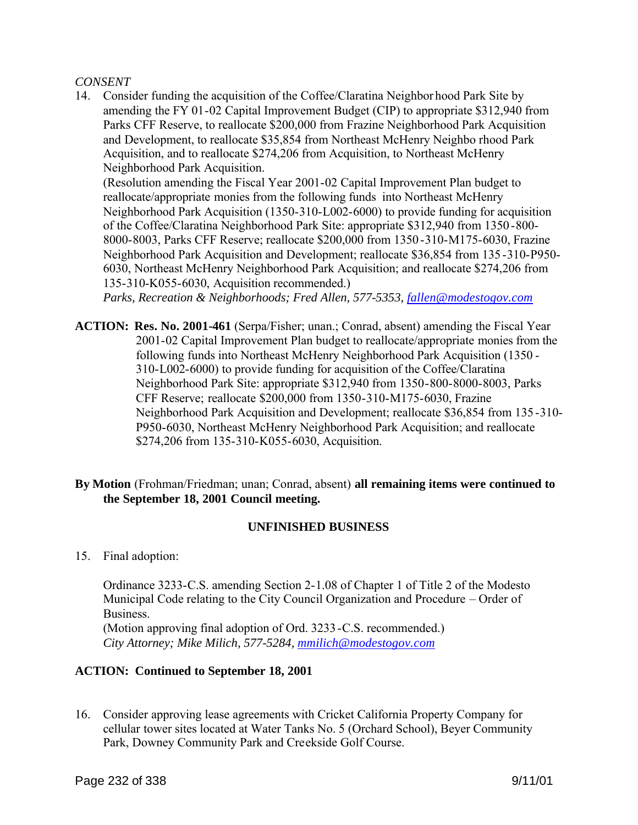#### *CONSENT*

14. Consider funding the acquisition of the Coffee/Claratina Neighbor hood Park Site by amending the FY 01-02 Capital Improvement Budget (CIP) to appropriate \$312,940 from Parks CFF Reserve, to reallocate \$200,000 from Frazine Neighborhood Park Acquisition and Development, to reallocate \$35,854 from Northeast McHenry Neighbo rhood Park Acquisition, and to reallocate \$274,206 from Acquisition, to Northeast McHenry Neighborhood Park Acquisition.

(Resolution amending the Fiscal Year 2001-02 Capital Improvement Plan budget to reallocate/appropriate monies from the following funds into Northeast McHenry Neighborhood Park Acquisition (1350-310-L002-6000) to provide funding for acquisition of the Coffee/Claratina Neighborhood Park Site: appropriate \$312,940 from 1350 -800- 8000-8003, Parks CFF Reserve; reallocate \$200,000 from 1350 -310-M175-6030, Frazine Neighborhood Park Acquisition and Development; reallocate \$36,854 from 135-310-P950- 6030, Northeast McHenry Neighborhood Park Acquisition; and reallocate \$274,206 from 135-310-K055-6030, Acquisition recommended.)

*Parks, Recreation & Neighborhoods; Fred Allen, 577-5353, fallen@modestogov.com*

- **ACTION: Res. No. 2001-461** (Serpa/Fisher; unan.; Conrad, absent) amending the Fiscal Year 2001-02 Capital Improvement Plan budget to reallocate/appropriate monies from the following funds into Northeast McHenry Neighborhood Park Acquisition (1350 - 310-L002-6000) to provide funding for acquisition of the Coffee/Claratina Neighborhood Park Site: appropriate \$312,940 from 1350-800-8000-8003, Parks CFF Reserve; reallocate \$200,000 from 1350-310-M175-6030, Frazine Neighborhood Park Acquisition and Development; reallocate \$36,854 from 135-310- P950-6030, Northeast McHenry Neighborhood Park Acquisition; and reallocate \$274,206 from 135-310-K055-6030, Acquisition.
- **By Motion** (Frohman/Friedman; unan; Conrad, absent) **all remaining items were continued to the September 18, 2001 Council meeting.**

### **UNFINISHED BUSINESS**

15. Final adoption:

Ordinance 3233-C.S. amending Section 2-1.08 of Chapter 1 of Title 2 of the Modesto Municipal Code relating to the City Council Organization and Procedure – Order of **Business** (Motion approving final adoption of Ord. 3233-C.S. recommended.)

*City Attorney; Mike Milich, 577-5284, mmilich@modestogov.com*

### **ACTION: Continued to September 18, 2001**

16. Consider approving lease agreements with Cricket California Property Company for cellular tower sites located at Water Tanks No. 5 (Orchard School), Beyer Community Park, Downey Community Park and Creekside Golf Course.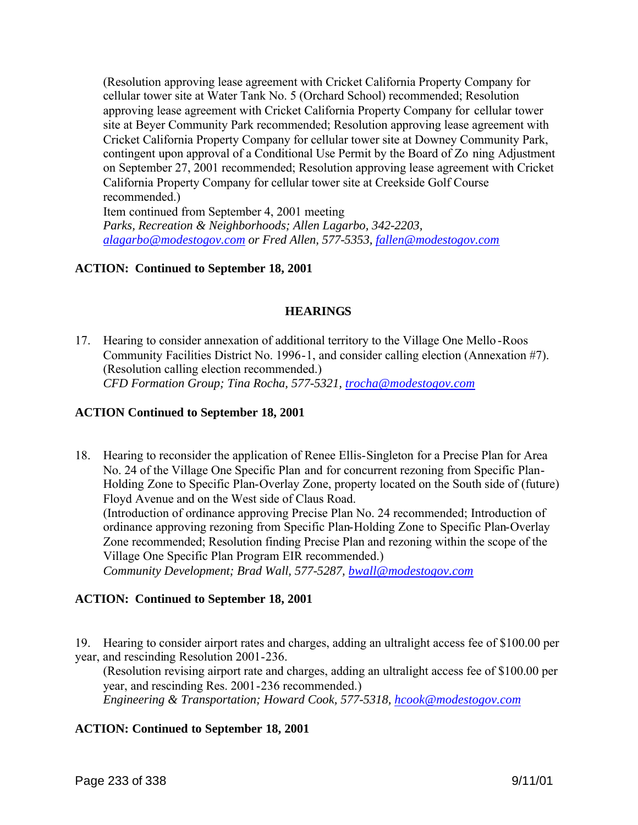(Resolution approving lease agreement with Cricket California Property Company for cellular tower site at Water Tank No. 5 (Orchard School) recommended; Resolution approving lease agreement with Cricket California Property Company for cellular tower site at Beyer Community Park recommended; Resolution approving lease agreement with Cricket California Property Company for cellular tower site at Downey Community Park, contingent upon approval of a Conditional Use Permit by the Board of Zo ning Adjustment on September 27, 2001 recommended; Resolution approving lease agreement with Cricket California Property Company for cellular tower site at Creekside Golf Course recommended.)

Item continued from September 4, 2001 meeting *Parks, Recreation & Neighborhoods; Allen Lagarbo, 342-2203, alagarbo@modestogov.com or Fred Allen, 577-5353, fallen@modestogov.com*

# **ACTION: Continued to September 18, 2001**

### **HEARINGS**

17. Hearing to consider annexation of additional territory to the Village One Mello -Roos Community Facilities District No. 1996-1, and consider calling election (Annexation #7). (Resolution calling election recommended.) *CFD Formation Group; Tina Rocha, 577-5321, trocha@modestogov.com*

### **ACTION Continued to September 18, 2001**

18. Hearing to reconsider the application of Renee Ellis-Singleton for a Precise Plan for Area No. 24 of the Village One Specific Plan and for concurrent rezoning from Specific Plan-Holding Zone to Specific Plan-Overlay Zone, property located on the South side of (future) Floyd Avenue and on the West side of Claus Road. (Introduction of ordinance approving Precise Plan No. 24 recommended; Introduction of ordinance approving rezoning from Specific Plan-Holding Zone to Specific Plan-Overlay Zone recommended; Resolution finding Precise Plan and rezoning within the scope of the Village One Specific Plan Program EIR recommended.) *Community Development; Brad Wall, 577-5287, bwall@modestogov.com*

# **ACTION: Continued to September 18, 2001**

19. Hearing to consider airport rates and charges, adding an ultralight access fee of \$100.00 per year, and rescinding Resolution 2001-236.

(Resolution revising airport rate and charges, adding an ultralight access fee of \$100.00 per year, and rescinding Res. 2001-236 recommended.) *Engineering & Transportation; Howard Cook, 577-5318, hcook@modestogov.com*

### **ACTION: Continued to September 18, 2001**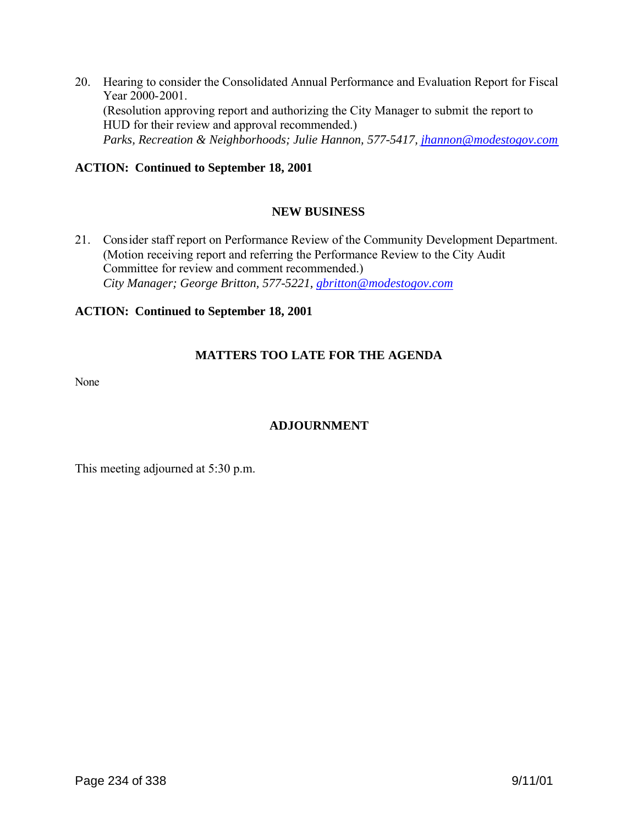20. Hearing to consider the Consolidated Annual Performance and Evaluation Report for Fiscal Year 2000-2001. (Resolution approving report and authorizing the City Manager to submit the report to HUD for their review and approval recommended.) *Parks, Recreation & Neighborhoods; Julie Hannon, 577-5417, jhannon@modestogov.com*

# **ACTION: Continued to September 18, 2001**

# **NEW BUSINESS**

21. Consider staff report on Performance Review of the Community Development Department. (Motion receiving report and referring the Performance Review to the City Audit Committee for review and comment recommended.)  *City Manager; George Britton, 577-5221, gbritton@modestogov.com*

### **ACTION: Continued to September 18, 2001**

# **MATTERS TOO LATE FOR THE AGENDA**

None

# **ADJOURNMENT**

This meeting adjourned at 5:30 p.m.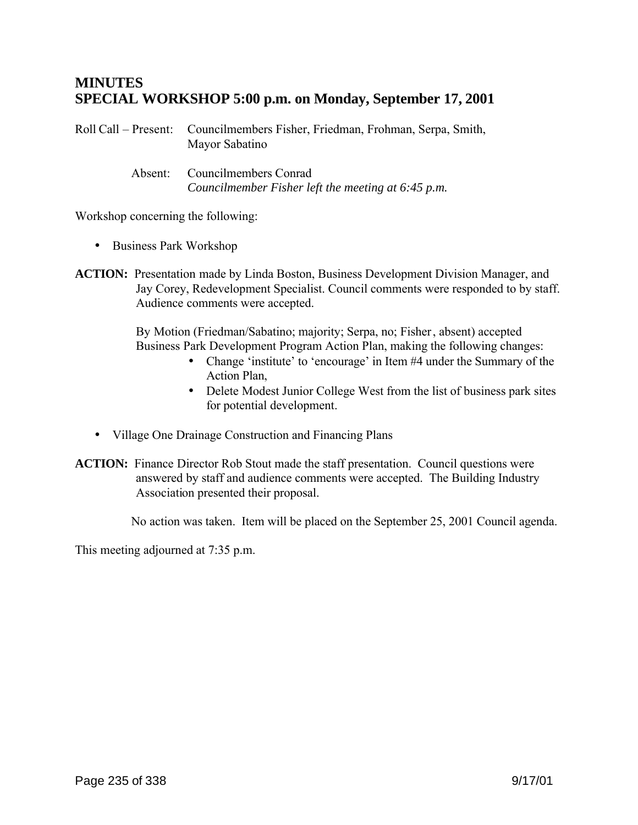# **MINUTES SPECIAL WORKSHOP 5:00 p.m. on Monday, September 17, 2001**

Roll Call – Present: Councilmembers Fisher, Friedman, Frohman, Serpa, Smith, Mayor Sabatino

> Absent: Councilmembers Conrad *Councilmember Fisher left the meeting at 6:45 p.m.*

Workshop concerning the following:

- Business Park Workshop
- **ACTION:** Presentation made by Linda Boston, Business Development Division Manager, and Jay Corey, Redevelopment Specialist. Council comments were responded to by staff. Audience comments were accepted.

By Motion (Friedman/Sabatino; majority; Serpa, no; Fisher, absent) accepted Business Park Development Program Action Plan, making the following changes:

- Change 'institute' to 'encourage' in Item #4 under the Summary of the Action Plan,
- Delete Modest Junior College West from the list of business park sites for potential development.
- Village One Drainage Construction and Financing Plans
- **ACTION:** Finance Director Rob Stout made the staff presentation. Council questions were answered by staff and audience comments were accepted. The Building Industry Association presented their proposal.

No action was taken. Item will be placed on the September 25, 2001 Council agenda.

This meeting adjourned at 7:35 p.m.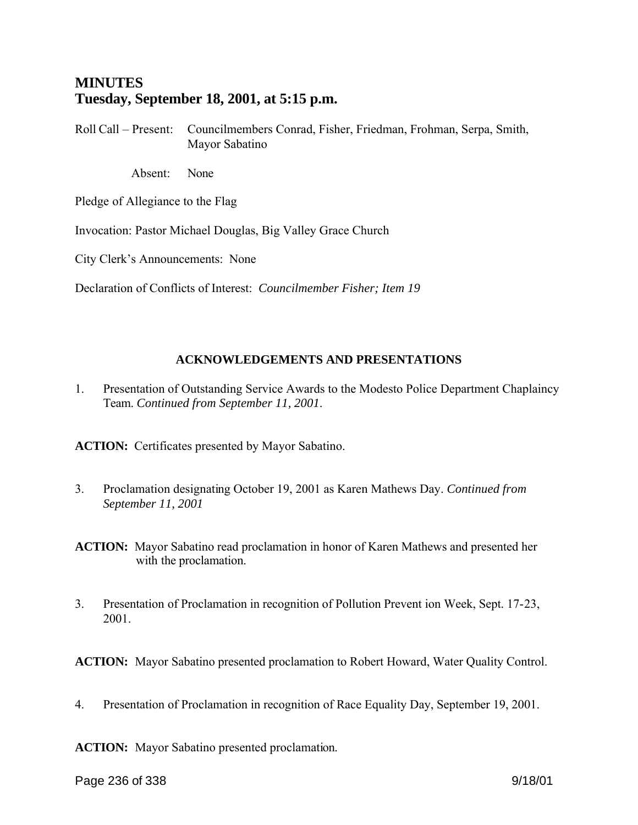# **MINUTES Tuesday, September 18, 2001, at 5:15 p.m.**

Roll Call – Present: Councilmembers Conrad, Fisher, Friedman, Frohman, Serpa, Smith, Mayor Sabatino

Absent: None

Pledge of Allegiance to the Flag

Invocation: Pastor Michael Douglas, Big Valley Grace Church

City Clerk's Announcements: None

Declaration of Conflicts of Interest: *Councilmember Fisher; Item 19*

# **ACKNOWLEDGEMENTS AND PRESENTATIONS**

1. Presentation of Outstanding Service Awards to the Modesto Police Department Chaplaincy Team. *Continued from September 11, 2001*.

**ACTION:** Certificates presented by Mayor Sabatino.

- 3. Proclamation designating October 19, 2001 as Karen Mathews Day. *Continued from September 11, 2001*
- **ACTION:** Mayor Sabatino read proclamation in honor of Karen Mathews and presented her with the proclamation.
- 3. Presentation of Proclamation in recognition of Pollution Prevent ion Week, Sept. 17-23, 2001.

**ACTION:** Mayor Sabatino presented proclamation to Robert Howard, Water Quality Control.

4. Presentation of Proclamation in recognition of Race Equality Day, September 19, 2001.

**ACTION:** Mayor Sabatino presented proclamation.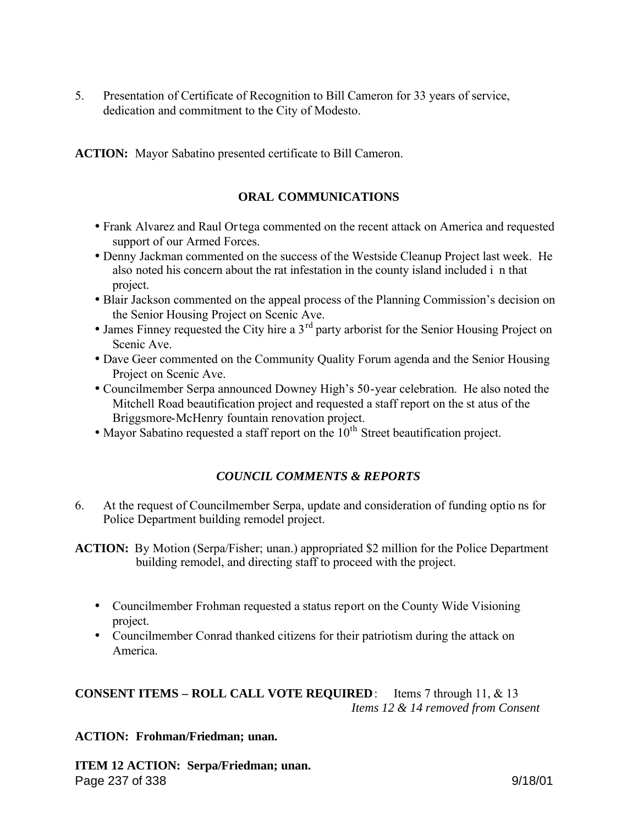5. Presentation of Certificate of Recognition to Bill Cameron for 33 years of service, dedication and commitment to the City of Modesto.

**ACTION:** Mayor Sabatino presented certificate to Bill Cameron.

# **ORAL COMMUNICATIONS**

- Frank Alvarez and Raul Ortega commented on the recent attack on America and requested support of our Armed Forces.
- Denny Jackman commented on the success of the Westside Cleanup Project last week. He also noted his concern about the rat infestation in the county island included i n that project.
- Blair Jackson commented on the appeal process of the Planning Commission's decision on the Senior Housing Project on Scenic Ave.
- James Finney requested the City hire a  $3<sup>rd</sup>$  party arborist for the Senior Housing Project on Scenic Ave.
- Dave Geer commented on the Community Quality Forum agenda and the Senior Housing Project on Scenic Ave.
- Councilmember Serpa announced Downey High's 50-year celebration. He also noted the Mitchell Road beautification project and requested a staff report on the st atus of the Briggsmore-McHenry fountain renovation project.
- $\bullet$  Mayor Sabatino requested a staff report on the  $10^{th}$  Street beautification project.

# *COUNCIL COMMENTS & REPORTS*

6. At the request of Councilmember Serpa, update and consideration of funding optio ns for Police Department building remodel project.

**ACTION:** By Motion (Serpa/Fisher; unan.) appropriated \$2 million for the Police Department building remodel, and directing staff to proceed with the project.

- Councilmember Frohman requested a status report on the County Wide Visioning project.
- Councilmember Conrad thanked citizens for their patriotism during the attack on America.

**CONSENT ITEMS – ROLL CALL VOTE REQUIRED**: Items 7 through 11, & 13 *Items 12 & 14 removed from Consent*

# **ACTION: Frohman/Friedman; unan.**

Page 237 of 338 9/18/01 **ITEM 12 ACTION: Serpa/Friedman; unan.**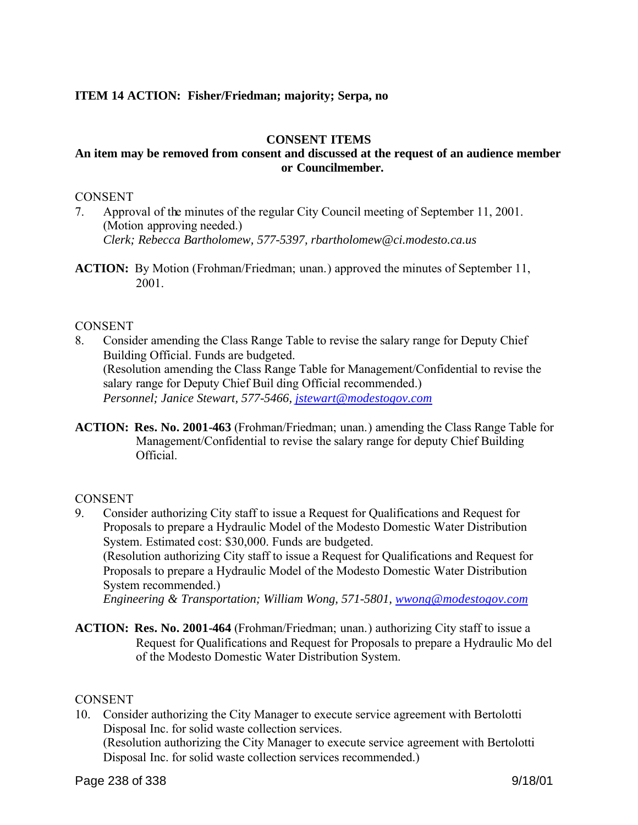## **ITEM 14 ACTION: Fisher/Friedman; majority; Serpa, no**

#### **CONSENT ITEMS**

### **An item may be removed from consent and discussed at the request of an audience member or Councilmember.**

### CONSENT

- 7. Approval of the minutes of the regular City Council meeting of September 11, 2001. (Motion approving needed.) *Clerk; Rebecca Bartholomew, 577-5397, rbartholomew@ci.modesto.ca.us*
- **ACTION:** By Motion (Frohman/Friedman; unan.) approved the minutes of September 11, 2001.

#### **CONSENT**

- 8. Consider amending the Class Range Table to revise the salary range for Deputy Chief Building Official. Funds are budgeted. (Resolution amending the Class Range Table for Management/Confidential to revise the salary range for Deputy Chief Buil ding Official recommended.) *Personnel; Janice Stewart, 577-5466, jstewart@modestogov.com*
- **ACTION: Res. No. 2001-463** (Frohman/Friedman; unan.) amending the Class Range Table for Management/Confidential to revise the salary range for deputy Chief Building **Official**

#### CONSENT

- 9. Consider authorizing City staff to issue a Request for Qualifications and Request for Proposals to prepare a Hydraulic Model of the Modesto Domestic Water Distribution System. Estimated cost: \$30,000. Funds are budgeted. (Resolution authorizing City staff to issue a Request for Qualifications and Request for Proposals to prepare a Hydraulic Model of the Modesto Domestic Water Distribution System recommended.) *Engineering & Transportation; William Wong, 571-5801, wwong@modestogov.com*
- **ACTION: Res. No. 2001-464** (Frohman/Friedman; unan.) authorizing City staff to issue a Request for Qualifications and Request for Proposals to prepare a Hydraulic Mo del of the Modesto Domestic Water Distribution System.

#### **CONSENT**

10. Consider authorizing the City Manager to execute service agreement with Bertolotti Disposal Inc. for solid waste collection services. (Resolution authorizing the City Manager to execute service agreement with Bertolotti Disposal Inc. for solid waste collection services recommended.)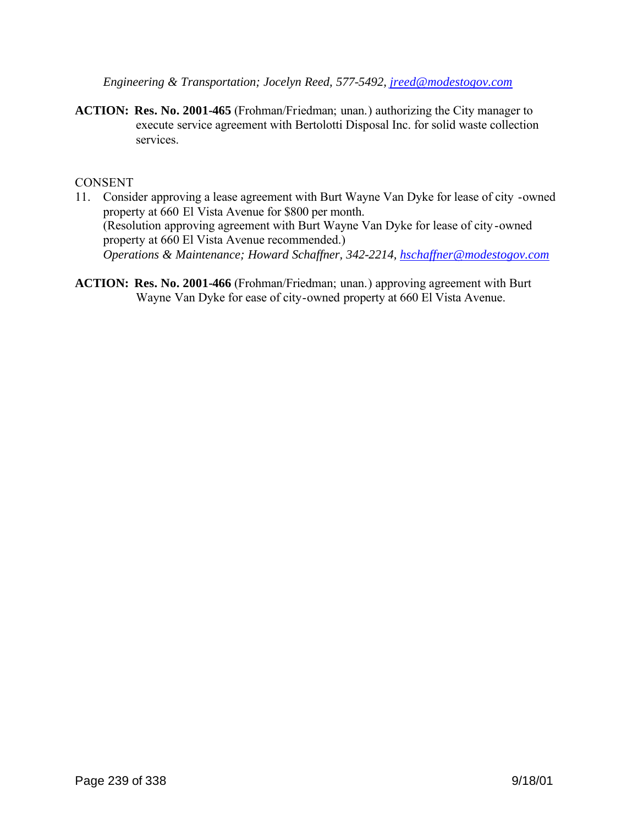*Engineering & Transportation; Jocelyn Reed, 577-5492, jreed@modestogov.com*

**ACTION: Res. No. 2001-465** (Frohman/Friedman; unan.) authorizing the City manager to execute service agreement with Bertolotti Disposal Inc. for solid waste collection services.

### **CONSENT**

- 11. Consider approving a lease agreement with Burt Wayne Van Dyke for lease of city -owned property at 660 El Vista Avenue for \$800 per month. (Resolution approving agreement with Burt Wayne Van Dyke for lease of city -owned property at 660 El Vista Avenue recommended.) *Operations & Maintenance; Howard Schaffner, 342-2214, hschaffner@modestogov.com*
- **ACTION: Res. No. 2001-466** (Frohman/Friedman; unan.) approving agreement with Burt Wayne Van Dyke for ease of city-owned property at 660 El Vista Avenue.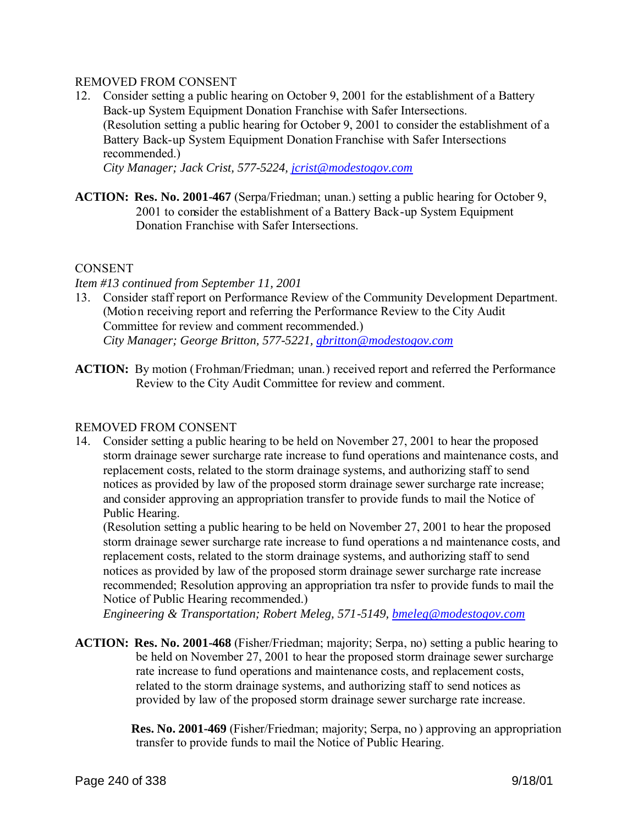### REMOVED FROM CONSENT

12. Consider setting a public hearing on October 9, 2001 for the establishment of a Battery Back-up System Equipment Donation Franchise with Safer Intersections. (Resolution setting a public hearing for October 9, 2001 to consider the establishment of a Battery Back-up System Equipment Donation Franchise with Safer Intersections recommended.)

 *City Manager; Jack Crist, 577-5224, jcrist@modestogov.com*

**ACTION: Res. No. 2001-467** (Serpa/Friedman; unan.) setting a public hearing for October 9, 2001 to consider the establishment of a Battery Back-up System Equipment Donation Franchise with Safer Intersections.

#### **CONSENT**

#### *Item #13 continued from September 11, 2001*

- 13. Consider staff report on Performance Review of the Community Development Department. (Motion receiving report and referring the Performance Review to the City Audit Committee for review and comment recommended.)  *City Manager; George Britton, 577-5221, gbritton@modestogov.com*
- **ACTION:** By motion (Frohman/Friedman; unan.) received report and referred the Performance Review to the City Audit Committee for review and comment.

### REMOVED FROM CONSENT

14. Consider setting a public hearing to be held on November 27, 2001 to hear the proposed storm drainage sewer surcharge rate increase to fund operations and maintenance costs, and replacement costs, related to the storm drainage systems, and authorizing staff to send notices as provided by law of the proposed storm drainage sewer surcharge rate increase; and consider approving an appropriation transfer to provide funds to mail the Notice of Public Hearing.

(Resolution setting a public hearing to be held on November 27, 2001 to hear the proposed storm drainage sewer surcharge rate increase to fund operations a nd maintenance costs, and replacement costs, related to the storm drainage systems, and authorizing staff to send notices as provided by law of the proposed storm drainage sewer surcharge rate increase recommended; Resolution approving an appropriation tra nsfer to provide funds to mail the Notice of Public Hearing recommended.)

*Engineering & Transportation; Robert Meleg, 571-5149, bmeleg@modestogov.com*

**ACTION: Res. No. 2001-468** (Fisher/Friedman; majority; Serpa, no) setting a public hearing to be held on November 27, 2001 to hear the proposed storm drainage sewer surcharge rate increase to fund operations and maintenance costs, and replacement costs, related to the storm drainage systems, and authorizing staff to send notices as provided by law of the proposed storm drainage sewer surcharge rate increase.

> **Res. No. 2001-469** (Fisher/Friedman; majority; Serpa, no ) approving an appropriation transfer to provide funds to mail the Notice of Public Hearing.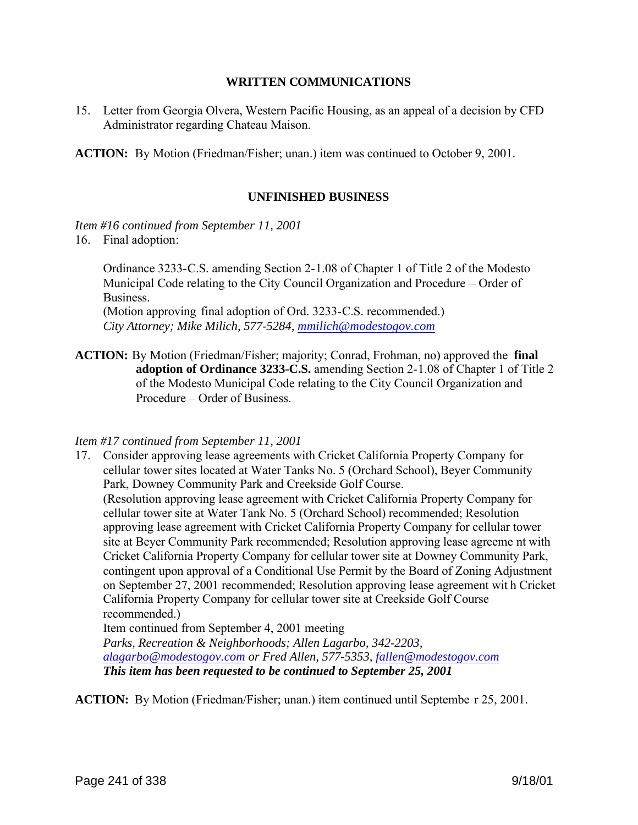#### **WRITTEN COMMUNICATIONS**

15. Letter from Georgia Olvera, Western Pacific Housing, as an appeal of a decision by CFD Administrator regarding Chateau Maison.

**ACTION:** By Motion (Friedman/Fisher; unan.) item was continued to October 9, 2001.

### **UNFINISHED BUSINESS**

*Item #16 continued from September 11, 2001*

16. Final adoption:

Ordinance 3233-C.S. amending Section 2-1.08 of Chapter 1 of Title 2 of the Modesto Municipal Code relating to the City Council Organization and Procedure – Order of Business.

(Motion approving final adoption of Ord. 3233-C.S. recommended.) *City Attorney; Mike Milich, 577-5284, mmilich@modestogov.com*

**ACTION:** By Motion (Friedman/Fisher; majority; Conrad, Frohman, no) approved the **final adoption of Ordinance 3233-C.S.** amending Section 2-1.08 of Chapter 1 of Title 2 of the Modesto Municipal Code relating to the City Council Organization and Procedure – Order of Business.

### *Item #17 continued from September 11, 2001*

17. Consider approving lease agreements with Cricket California Property Company for cellular tower sites located at Water Tanks No. 5 (Orchard School), Beyer Community Park, Downey Community Park and Creekside Golf Course. (Resolution approving lease agreement with Cricket California Property Company for cellular tower site at Water Tank No. 5 (Orchard School) recommended; Resolution approving lease agreement with Cricket California Property Company for cellular tower site at Beyer Community Park recommended; Resolution approving lease agreeme nt with Cricket California Property Company for cellular tower site at Downey Community Park, contingent upon approval of a Conditional Use Permit by the Board of Zoning Adjustment on September 27, 2001 recommended; Resolution approving lease agreement wit h Cricket California Property Company for cellular tower site at Creekside Golf Course recommended.) Item continued from September 4, 2001 meeting *Parks, Recreation & Neighborhoods; Allen Lagarbo, 342-2203, alagarbo@modestogov.com or Fred Allen, 577-5353, fallen@modestogov.com*

**ACTION:** By Motion (Friedman/Fisher; unan.) item continued until Septembe r 25, 2001.

*This item has been requested to be continued to September 25, 2001*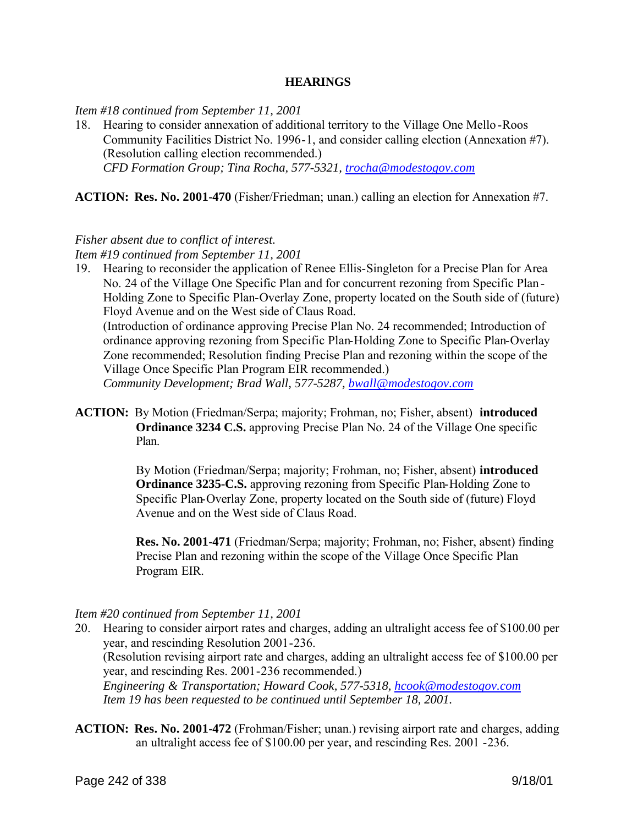#### **HEARINGS**

*Item #18 continued from September 11, 2001*

18. Hearing to consider annexation of additional territory to the Village One Mello -Roos Community Facilities District No. 1996-1, and consider calling election (Annexation #7). (Resolution calling election recommended.) *CFD Formation Group; Tina Rocha, 577-5321, trocha@modestogov.com*

**ACTION: Res. No. 2001-470** (Fisher/Friedman; unan.) calling an election for Annexation #7.

#### *Fisher absent due to conflict of interest.*

*Item #19 continued from September 11, 2001*

19. Hearing to reconsider the application of Renee Ellis-Singleton for a Precise Plan for Area No. 24 of the Village One Specific Plan and for concurrent rezoning from Specific Plan - Holding Zone to Specific Plan-Overlay Zone, property located on the South side of (future) Floyd Avenue and on the West side of Claus Road.

(Introduction of ordinance approving Precise Plan No. 24 recommended; Introduction of ordinance approving rezoning from Specific Plan-Holding Zone to Specific Plan-Overlay Zone recommended; Resolution finding Precise Plan and rezoning within the scope of the Village Once Specific Plan Program EIR recommended.)

*Community Development; Brad Wall, 577-5287, bwall@modestogov.com*

**ACTION:** By Motion (Friedman/Serpa; majority; Frohman, no; Fisher, absent) **introduced Ordinance 3234 C.S.** approving Precise Plan No. 24 of the Village One specific Plan.

> By Motion (Friedman/Serpa; majority; Frohman, no; Fisher, absent) **introduced Ordinance 3235-C.S.** approving rezoning from Specific Plan-Holding Zone to Specific Plan-Overlay Zone, property located on the South side of (future) Floyd Avenue and on the West side of Claus Road.

 **Res. No. 2001-471** (Friedman/Serpa; majority; Frohman, no; Fisher, absent) finding Precise Plan and rezoning within the scope of the Village Once Specific Plan Program EIR.

#### *Item #20 continued from September 11, 2001*

- 20. Hearing to consider airport rates and charges, adding an ultralight access fee of \$100.00 per year, and rescinding Resolution 2001-236. (Resolution revising airport rate and charges, adding an ultralight access fee of \$100.00 per year, and rescinding Res. 2001-236 recommended.) *Engineering & Transportation; Howard Cook, 577-5318, hcook@modestogov.com Item 19 has been requested to be continued until September 18, 2001.*
- **ACTION: Res. No. 2001-472** (Frohman/Fisher; unan.) revising airport rate and charges, adding an ultralight access fee of \$100.00 per year, and rescinding Res. 2001 -236.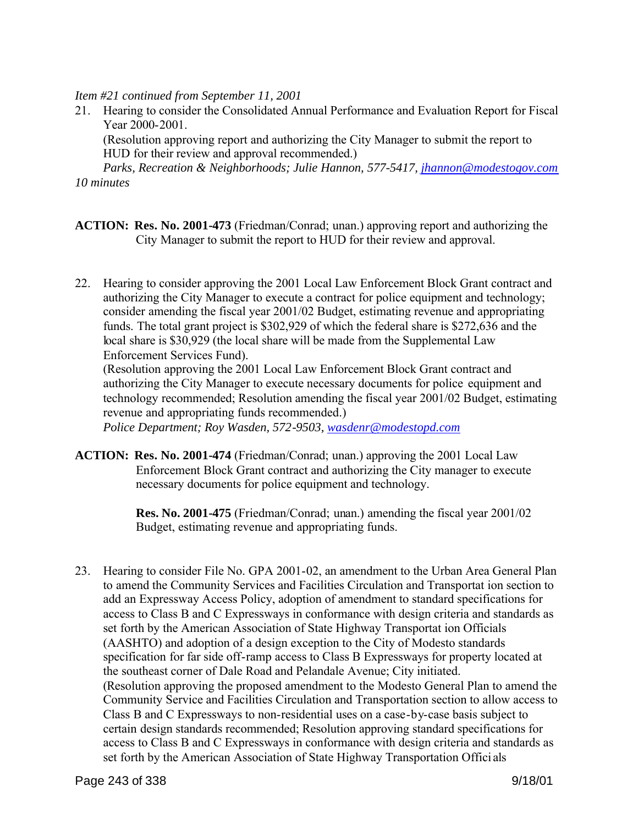*Item #21 continued from September 11, 2001*

21. Hearing to consider the Consolidated Annual Performance and Evaluation Report for Fiscal Year 2000-2001.

(Resolution approving report and authorizing the City Manager to submit the report to HUD for their review and approval recommended.)

*Parks, Recreation & Neighborhoods; Julie Hannon, 577-5417, jhannon@modestogov.com 10 minutes*

- **ACTION: Res. No. 2001-473** (Friedman/Conrad; unan.) approving report and authorizing the City Manager to submit the report to HUD for their review and approval.
- 22. Hearing to consider approving the 2001 Local Law Enforcement Block Grant contract and authorizing the City Manager to execute a contract for police equipment and technology; consider amending the fiscal year 2001/02 Budget, estimating revenue and appropriating funds. The total grant project is \$302,929 of which the federal share is \$272,636 and the local share is \$30,929 (the local share will be made from the Supplemental Law Enforcement Services Fund).

(Resolution approving the 2001 Local Law Enforcement Block Grant contract and authorizing the City Manager to execute necessary documents for police equipment and technology recommended; Resolution amending the fiscal year 2001/02 Budget, estimating revenue and appropriating funds recommended.)

*Police Department; Roy Wasden, 572-9503, wasdenr@modestopd.com*

**ACTION: Res. No. 2001-474** (Friedman/Conrad; unan.) approving the 2001 Local Law Enforcement Block Grant contract and authorizing the City manager to execute necessary documents for police equipment and technology.

> **Res. No. 2001-475** (Friedman/Conrad; unan.) amending the fiscal year 2001/02 Budget, estimating revenue and appropriating funds.

23. Hearing to consider File No. GPA 2001-02, an amendment to the Urban Area General Plan to amend the Community Services and Facilities Circulation and Transportat ion section to add an Expressway Access Policy, adoption of amendment to standard specifications for access to Class B and C Expressways in conformance with design criteria and standards as set forth by the American Association of State Highway Transportat ion Officials (AASHTO) and adoption of a design exception to the City of Modesto standards specification for far side off-ramp access to Class B Expressways for property located at the southeast corner of Dale Road and Pelandale Avenue; City initiated. (Resolution approving the proposed amendment to the Modesto General Plan to amend the Community Service and Facilities Circulation and Transportation section to allow access to Class B and C Expressways to non-residential uses on a case-by-case basis subject to certain design standards recommended; Resolution approving standard specifications for access to Class B and C Expressways in conformance with design criteria and standards as set forth by the American Association of State Highway Transportation Offici als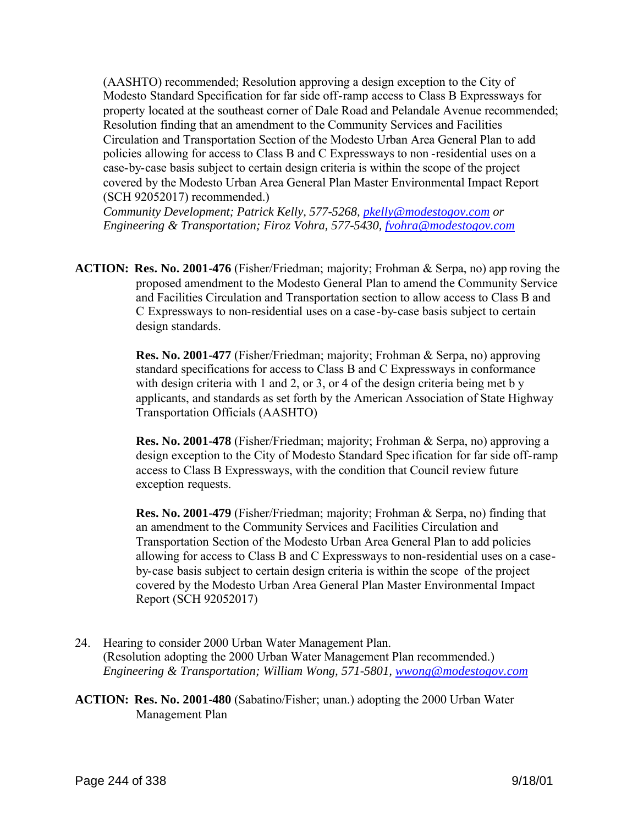(AASHTO) recommended; Resolution approving a design exception to the City of Modesto Standard Specification for far side off-ramp access to Class B Expressways for property located at the southeast corner of Dale Road and Pelandale Avenue recommended; Resolution finding that an amendment to the Community Services and Facilities Circulation and Transportation Section of the Modesto Urban Area General Plan to add policies allowing for access to Class B and C Expressways to non -residential uses on a case-by-case basis subject to certain design criteria is within the scope of the project covered by the Modesto Urban Area General Plan Master Environmental Impact Report (SCH 92052017) recommended.)

*Community Development; Patrick Kelly, 577-5268, pkelly@modestogov.com or Engineering & Transportation; Firoz Vohra, 577-5430, fvohra@modestogov.com*

**ACTION: Res. No. 2001-476** (Fisher/Friedman; majority; Frohman & Serpa, no) app roving the proposed amendment to the Modesto General Plan to amend the Community Service and Facilities Circulation and Transportation section to allow access to Class B and C Expressways to non-residential uses on a case-by-case basis subject to certain design standards.

> **Res. No. 2001-477** (Fisher/Friedman; majority; Frohman & Serpa, no) approving standard specifications for access to Class B and C Expressways in conformance with design criteria with 1 and 2, or 3, or 4 of the design criteria being met b y applicants, and standards as set forth by the American Association of State Highway Transportation Officials (AASHTO)

 **Res. No. 2001-478** (Fisher/Friedman; majority; Frohman & Serpa, no) approving a design exception to the City of Modesto Standard Spec ification for far side off-ramp access to Class B Expressways, with the condition that Council review future exception requests.

 **Res. No. 2001-479** (Fisher/Friedman; majority; Frohman & Serpa, no) finding that an amendment to the Community Services and Facilities Circulation and Transportation Section of the Modesto Urban Area General Plan to add policies allowing for access to Class B and C Expressways to non-residential uses on a caseby-case basis subject to certain design criteria is within the scope of the project covered by the Modesto Urban Area General Plan Master Environmental Impact Report (SCH 92052017)

24. Hearing to consider 2000 Urban Water Management Plan. (Resolution adopting the 2000 Urban Water Management Plan recommended.) *Engineering & Transportation; William Wong, 571-5801, wwong@modestogov.com*

**ACTION: Res. No. 2001-480** (Sabatino/Fisher; unan.) adopting the 2000 Urban Water Management Plan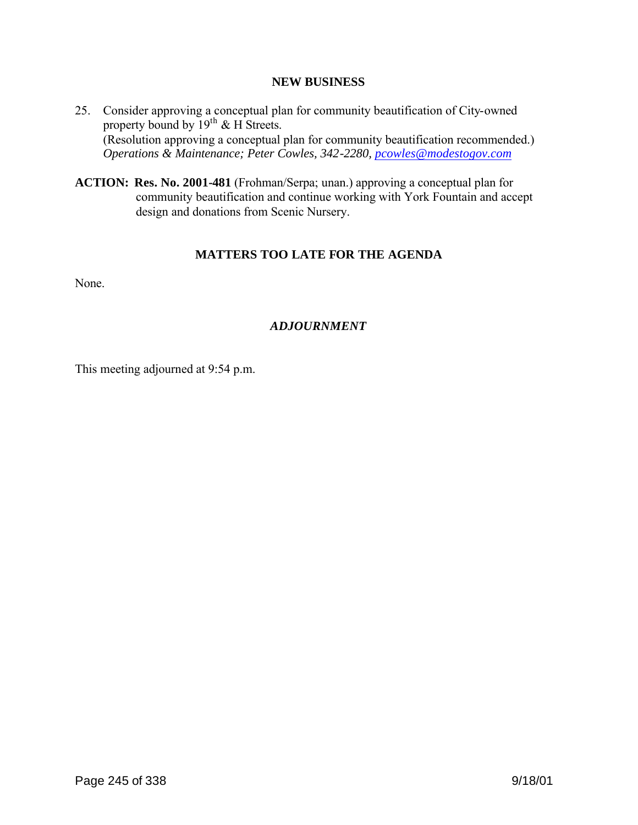#### **NEW BUSINESS**

- 25. Consider approving a conceptual plan for community beautification of City-owned property bound by  $19^{th}$  & H Streets. (Resolution approving a conceptual plan for community beautification recommended.) *Operations & Maintenance; Peter Cowles, 342-2280, pcowles@modestogov.com*
- **ACTION: Res. No. 2001-481** (Frohman/Serpa; unan.) approving a conceptual plan for community beautification and continue working with York Fountain and accept design and donations from Scenic Nursery.

### **MATTERS TOO LATE FOR THE AGENDA**

None.

# *ADJOURNMENT*

This meeting adjourned at 9:54 p.m.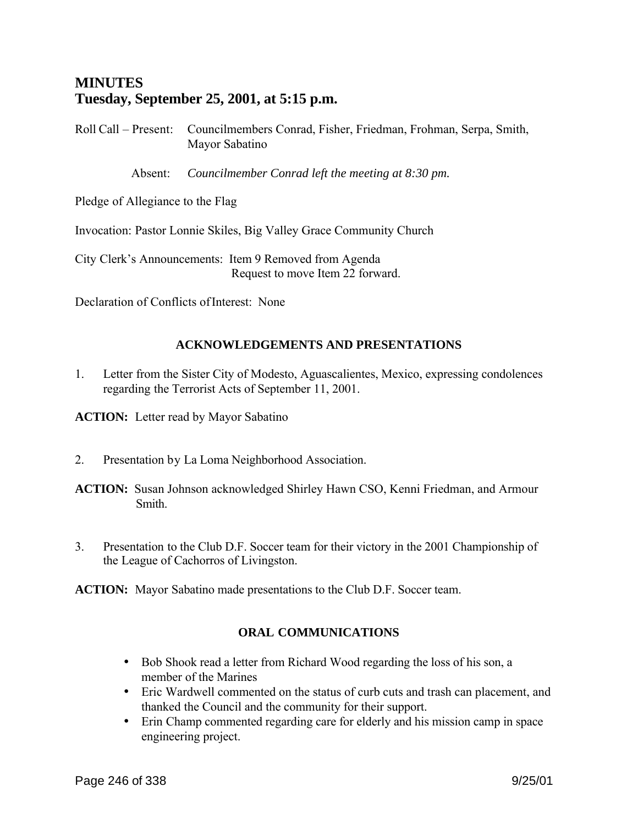# **MINUTES Tuesday, September 25, 2001, at 5:15 p.m.**

Roll Call – Present: Councilmembers Conrad, Fisher, Friedman, Frohman, Serpa, Smith, Mayor Sabatino

Absent: *Councilmember Conrad left the meeting at 8:30 pm.*

Pledge of Allegiance to the Flag

Invocation: Pastor Lonnie Skiles, Big Valley Grace Community Church

City Clerk's Announcements: Item 9 Removed from Agenda Request to move Item 22 forward.

Declaration of Conflicts of Interest: None

# **ACKNOWLEDGEMENTS AND PRESENTATIONS**

1. Letter from the Sister City of Modesto, Aguascalientes, Mexico, expressing condolences regarding the Terrorist Acts of September 11, 2001.

**ACTION:** Letter read by Mayor Sabatino

- 2. Presentation by La Loma Neighborhood Association.
- **ACTION:** Susan Johnson acknowledged Shirley Hawn CSO, Kenni Friedman, and Armour Smith.
- 3. Presentation to the Club D.F. Soccer team for their victory in the 2001 Championship of the League of Cachorros of Livingston.

**ACTION:** Mayor Sabatino made presentations to the Club D.F. Soccer team.

# **ORAL COMMUNICATIONS**

- Bob Shook read a letter from Richard Wood regarding the loss of his son, a member of the Marines
- Eric Wardwell commented on the status of curb cuts and trash can placement, and thanked the Council and the community for their support.
- Erin Champ commented regarding care for elderly and his mission camp in space engineering project.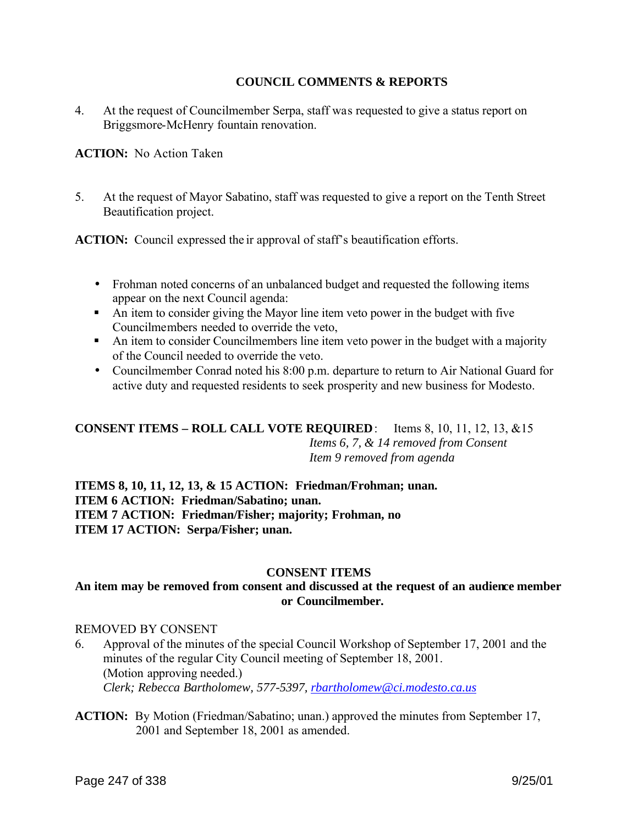### **COUNCIL COMMENTS & REPORTS**

4. At the request of Councilmember Serpa, staff was requested to give a status report on Briggsmore-McHenry fountain renovation.

**ACTION:** No Action Taken

5. At the request of Mayor Sabatino, staff was requested to give a report on the Tenth Street Beautification project.

**ACTION:** Council expressed the ir approval of staff's beautification efforts.

- Frohman noted concerns of an unbalanced budget and requested the following items appear on the next Council agenda:
- An item to consider giving the Mayor line item veto power in the budget with five Councilmembers needed to override the veto,
- An item to consider Councilmembers line item veto power in the budget with a majority of the Council needed to override the veto.
- Councilmember Conrad noted his 8:00 p.m. departure to return to Air National Guard for active duty and requested residents to seek prosperity and new business for Modesto.

### **CONSENT ITEMS – ROLL CALL VOTE REQUIRED**: Items 8, 10, 11, 12, 13, &15 *Items 6, 7, & 14 removed from Consent Item 9 removed from agenda*

# **ITEMS 8, 10, 11, 12, 13, & 15 ACTION: Friedman/Frohman; unan. ITEM 6 ACTION: Friedman/Sabatino; unan. ITEM 7 ACTION: Friedman/Fisher; majority; Frohman, no ITEM 17 ACTION: Serpa/Fisher; unan.**

### **CONSENT ITEMS**

### **An item may be removed from consent and discussed at the request of an audience member or Councilmember.**

#### REMOVED BY CONSENT

- 6. Approval of the minutes of the special Council Workshop of September 17, 2001 and the minutes of the regular City Council meeting of September 18, 2001. (Motion approving needed.) *Clerk; Rebecca Bartholomew, 577-5397, rbartholomew@ci.modesto.ca.us*
- **ACTION:** By Motion (Friedman/Sabatino; unan.) approved the minutes from September 17, 2001 and September 18, 2001 as amended.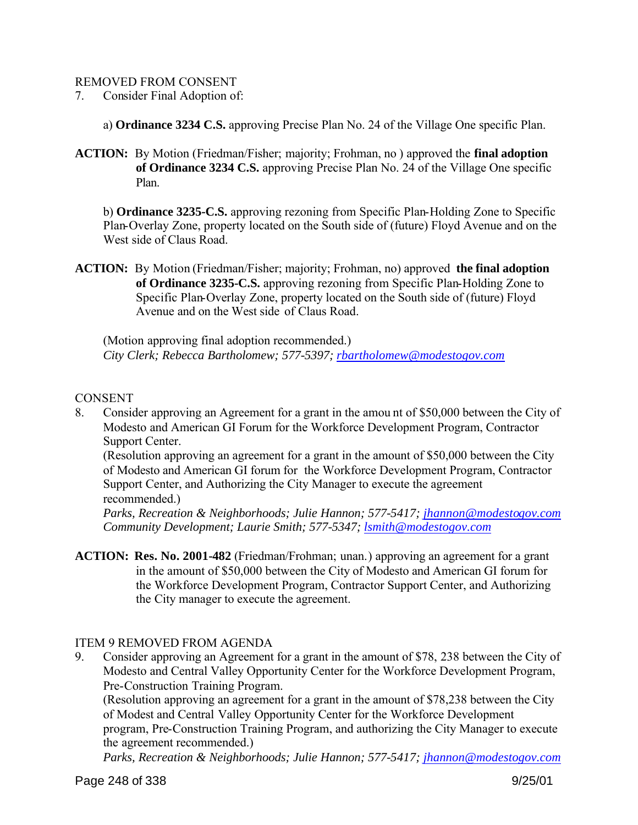#### REMOVED FROM CONSENT

7. Consider Final Adoption of:

a) **Ordinance 3234 C.S.** approving Precise Plan No. 24 of the Village One specific Plan.

**ACTION:** By Motion (Friedman/Fisher; majority; Frohman, no ) approved the **final adoption of Ordinance 3234 C.S.** approving Precise Plan No. 24 of the Village One specific Plan.

b) **Ordinance 3235-C.S.** approving rezoning from Specific Plan-Holding Zone to Specific Plan-Overlay Zone, property located on the South side of (future) Floyd Avenue and on the West side of Claus Road.

**ACTION:** By Motion (Friedman/Fisher; majority; Frohman, no) approved **the final adoption of Ordinance 3235-C.S.** approving rezoning from Specific Plan-Holding Zone to Specific Plan-Overlay Zone, property located on the South side of (future) Floyd Avenue and on the West side of Claus Road.

(Motion approving final adoption recommended.) *City Clerk; Rebecca Bartholomew; 577-5397; rbartholomew@modestogov.com*

### **CONSENT**

8. Consider approving an Agreement for a grant in the amou nt of \$50,000 between the City of Modesto and American GI Forum for the Workforce Development Program, Contractor Support Center.

(Resolution approving an agreement for a grant in the amount of \$50,000 between the City of Modesto and American GI forum for the Workforce Development Program, Contractor Support Center, and Authorizing the City Manager to execute the agreement recommended.)

*Parks, Recreation & Neighborhoods; Julie Hannon; 577-5417; jhannon@modestogov.com Community Development; Laurie Smith; 577-5347; lsmith@modestogov.com* 

**ACTION: Res. No. 2001-482** (Friedman/Frohman; unan.) approving an agreement for a grant in the amount of \$50,000 between the City of Modesto and American GI forum for the Workforce Development Program, Contractor Support Center, and Authorizing the City manager to execute the agreement.

### ITEM 9 REMOVED FROM AGENDA

9. Consider approving an Agreement for a grant in the amount of \$78, 238 between the City of Modesto and Central Valley Opportunity Center for the Workforce Development Program, Pre-Construction Training Program.

(Resolution approving an agreement for a grant in the amount of \$78,238 between the City of Modest and Central Valley Opportunity Center for the Workforce Development program, Pre-Construction Training Program, and authorizing the City Manager to execute the agreement recommended.)

*Parks, Recreation & Neighborhoods; Julie Hannon; 577-5417; jhannon@modestogov.com*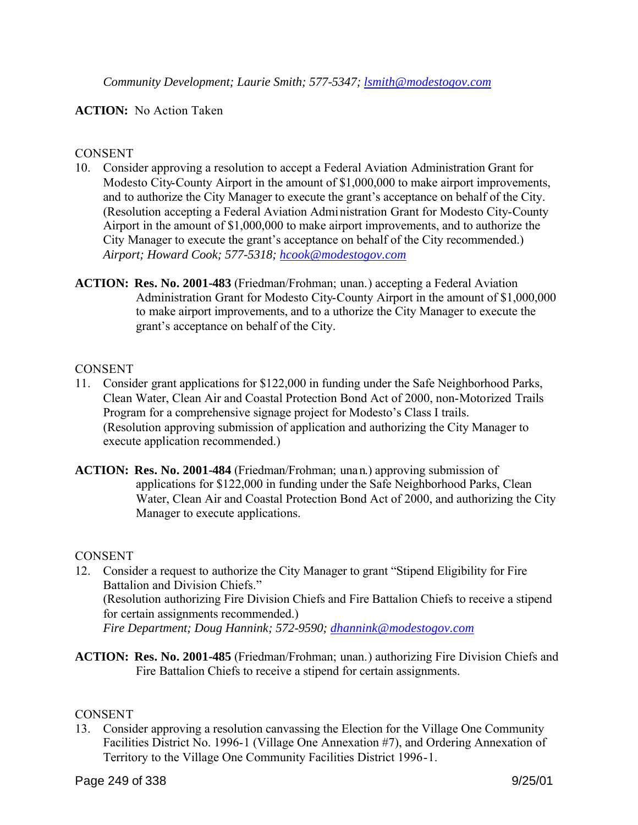## **ACTION:** No Action Taken

### **CONSENT**

- 10. Consider approving a resolution to accept a Federal Aviation Administration Grant for Modesto City-County Airport in the amount of \$1,000,000 to make airport improvements, and to authorize the City Manager to execute the grant's acceptance on behalf of the City. (Resolution accepting a Federal Aviation Administration Grant for Modesto City-County Airport in the amount of \$1,000,000 to make airport improvements, and to authorize the City Manager to execute the grant's acceptance on behalf of the City recommended.) *Airport; Howard Cook; 577-5318; hcook@modestogov.com*
- **ACTION: Res. No. 2001-483** (Friedman/Frohman; unan.) accepting a Federal Aviation Administration Grant for Modesto City-County Airport in the amount of \$1,000,000 to make airport improvements, and to a uthorize the City Manager to execute the grant's acceptance on behalf of the City.

### CONSENT

- 11. Consider grant applications for \$122,000 in funding under the Safe Neighborhood Parks, Clean Water, Clean Air and Coastal Protection Bond Act of 2000, non-Motorized Trails Program for a comprehensive signage project for Modesto's Class I trails. (Resolution approving submission of application and authorizing the City Manager to execute application recommended.)
- **ACTION: Res. No. 2001-484** (Friedman/Frohman; unan.) approving submission of applications for \$122,000 in funding under the Safe Neighborhood Parks, Clean Water, Clean Air and Coastal Protection Bond Act of 2000, and authorizing the City Manager to execute applications.

### **CONSENT**

- 12. Consider a request to authorize the City Manager to grant "Stipend Eligibility for Fire Battalion and Division Chiefs." (Resolution authorizing Fire Division Chiefs and Fire Battalion Chiefs to receive a stipend for certain assignments recommended.) *Fire Department; Doug Hannink; 572-9590; dhannink@modestogov.com*
- **ACTION: Res. No. 2001-485** (Friedman/Frohman; unan.) authorizing Fire Division Chiefs and Fire Battalion Chiefs to receive a stipend for certain assignments.

### **CONSENT**

13. Consider approving a resolution canvassing the Election for the Village One Community Facilities District No. 1996-1 (Village One Annexation #7), and Ordering Annexation of Territory to the Village One Community Facilities District 1996-1.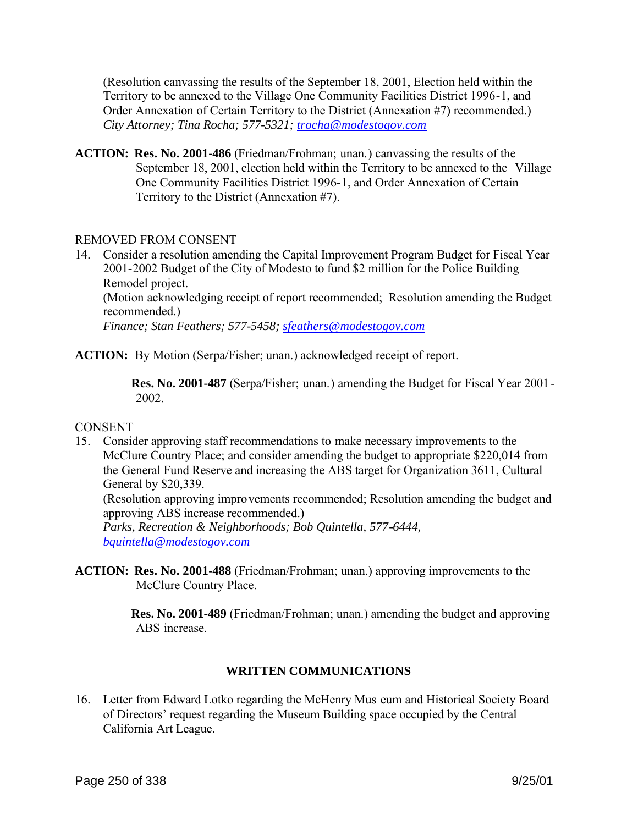(Resolution canvassing the results of the September 18, 2001, Election held within the Territory to be annexed to the Village One Community Facilities District 1996-1, and Order Annexation of Certain Territory to the District (Annexation #7) recommended.) *City Attorney; Tina Rocha; 577-5321; trocha@modestogov.com*

**ACTION: Res. No. 2001-486** (Friedman/Frohman; unan.) canvassing the results of the September 18, 2001, election held within the Territory to be annexed to the Village One Community Facilities District 1996-1, and Order Annexation of Certain Territory to the District (Annexation #7).

### REMOVED FROM CONSENT

14. Consider a resolution amending the Capital Improvement Program Budget for Fiscal Year 2001-2002 Budget of the City of Modesto to fund \$2 million for the Police Building Remodel project.

(Motion acknowledging receipt of report recommended; Resolution amending the Budget recommended.)

*Finance; Stan Feathers; 577-5458; sfeathers@modestogov.com* 

**ACTION:** By Motion (Serpa/Fisher; unan.) acknowledged receipt of report.

**Res. No. 2001-487** (Serpa/Fisher; unan.) amending the Budget for Fiscal Year 2001 - 2002.

### **CONSENT**

15. Consider approving staff recommendations to make necessary improvements to the McClure Country Place; and consider amending the budget to appropriate \$220,014 from the General Fund Reserve and increasing the ABS target for Organization 3611, Cultural General by \$20,339.

(Resolution approving improvements recommended; Resolution amending the budget and approving ABS increase recommended.)

*Parks, Recreation & Neighborhoods; Bob Quintella, 577-6444, bquintella@modestogov.com* 

**ACTION: Res. No. 2001-488** (Friedman/Frohman; unan.) approving improvements to the McClure Country Place.

> **Res. No. 2001-489** (Friedman/Frohman; unan.) amending the budget and approving ABS increase.

# **WRITTEN COMMUNICATIONS**

16. Letter from Edward Lotko regarding the McHenry Mus eum and Historical Society Board of Directors' request regarding the Museum Building space occupied by the Central California Art League.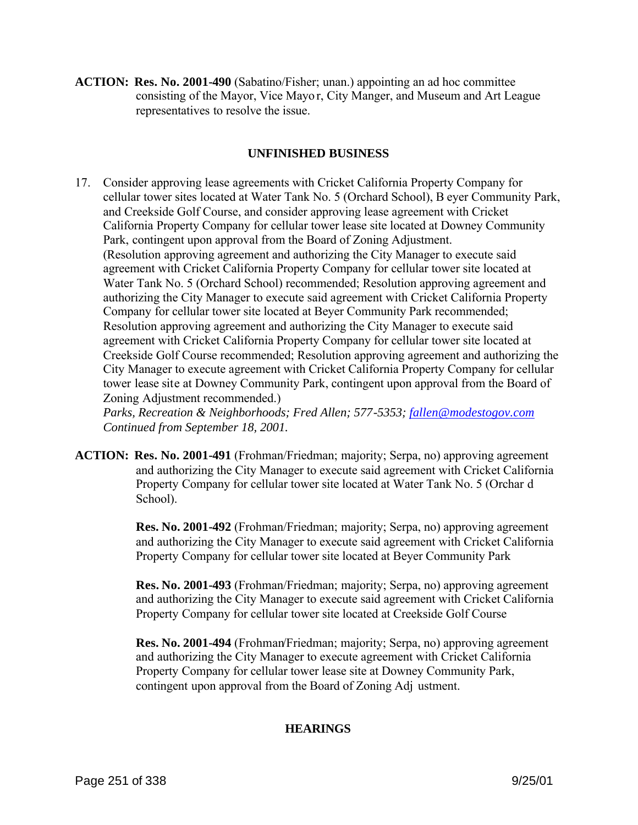**ACTION: Res. No. 2001-490** (Sabatino/Fisher; unan.) appointing an ad hoc committee consisting of the Mayor, Vice Mayo r, City Manger, and Museum and Art League representatives to resolve the issue.

### **UNFINISHED BUSINESS**

17. Consider approving lease agreements with Cricket California Property Company for cellular tower sites located at Water Tank No. 5 (Orchard School), B eyer Community Park, and Creekside Golf Course, and consider approving lease agreement with Cricket California Property Company for cellular tower lease site located at Downey Community Park, contingent upon approval from the Board of Zoning Adjustment. (Resolution approving agreement and authorizing the City Manager to execute said agreement with Cricket California Property Company for cellular tower site located at Water Tank No. 5 (Orchard School) recommended; Resolution approving agreement and authorizing the City Manager to execute said agreement with Cricket California Property Company for cellular tower site located at Beyer Community Park recommended; Resolution approving agreement and authorizing the City Manager to execute said agreement with Cricket California Property Company for cellular tower site located at Creekside Golf Course recommended; Resolution approving agreement and authorizing the City Manager to execute agreement with Cricket California Property Company for cellular tower lease site at Downey Community Park, contingent upon approval from the Board of Zoning Adjustment recommended.)

*Parks, Recreation & Neighborhoods; Fred Allen; 577-5353; fallen@modestogov.com Continued from September 18, 2001.* 

**ACTION: Res. No. 2001-491** (Frohman/Friedman; majority; Serpa, no) approving agreement and authorizing the City Manager to execute said agreement with Cricket California Property Company for cellular tower site located at Water Tank No. 5 (Orchar d School).

> **Res. No. 2001-492** (Frohman/Friedman; majority; Serpa, no) approving agreement and authorizing the City Manager to execute said agreement with Cricket California Property Company for cellular tower site located at Beyer Community Park

> **Res. No. 2001-493** (Frohman/Friedman; majority; Serpa, no) approving agreement and authorizing the City Manager to execute said agreement with Cricket California Property Company for cellular tower site located at Creekside Golf Course

**Res. No. 2001-494** (Frohman/Friedman; majority; Serpa, no) approving agreement and authorizing the City Manager to execute agreement with Cricket California Property Company for cellular tower lease site at Downey Community Park, contingent upon approval from the Board of Zoning Adj ustment.

### **HEARINGS**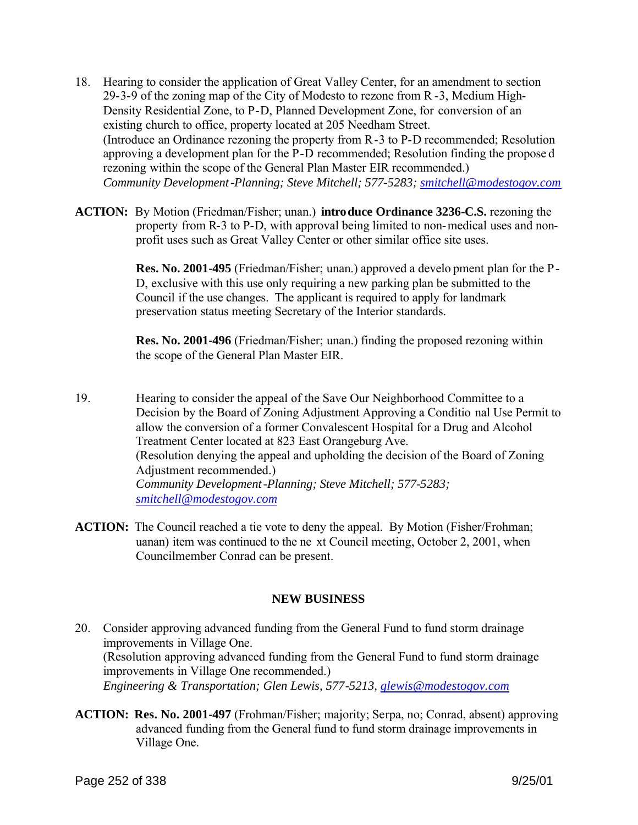- 18. Hearing to consider the application of Great Valley Center, for an amendment to section 29-3-9 of the zoning map of the City of Modesto to rezone from R -3, Medium High-Density Residential Zone, to P-D, Planned Development Zone, for conversion of an existing church to office, property located at 205 Needham Street. (Introduce an Ordinance rezoning the property from R-3 to P-D recommended; Resolution approving a development plan for the P-D recommended; Resolution finding the propose d rezoning within the scope of the General Plan Master EIR recommended.) *Community Development-Planning; Steve Mitchell; 577-5283; smitchell@modestogov.com*
- **ACTION:** By Motion (Friedman/Fisher; unan.) **introduce Ordinance 3236-C.S.** rezoning the property from R-3 to P-D, with approval being limited to non-medical uses and nonprofit uses such as Great Valley Center or other similar office site uses.

**Res. No. 2001-495** (Friedman/Fisher; unan.) approved a develo pment plan for the P-D, exclusive with this use only requiring a new parking plan be submitted to the Council if the use changes. The applicant is required to apply for landmark preservation status meeting Secretary of the Interior standards.

**Res. No. 2001-496** (Friedman/Fisher; unan.) finding the proposed rezoning within the scope of the General Plan Master EIR.

- 19. Hearing to consider the appeal of the Save Our Neighborhood Committee to a Decision by the Board of Zoning Adjustment Approving a Conditio nal Use Permit to allow the conversion of a former Convalescent Hospital for a Drug and Alcohol Treatment Center located at 823 East Orangeburg Ave. (Resolution denying the appeal and upholding the decision of the Board of Zoning Adjustment recommended.) *Community Development-Planning; Steve Mitchell; 577-5283; smitchell@modestogov.com*
- **ACTION:** The Council reached a tie vote to deny the appeal. By Motion (Fisher/Frohman; uanan) item was continued to the ne xt Council meeting, October 2, 2001, when Councilmember Conrad can be present.

### **NEW BUSINESS**

- 20. Consider approving advanced funding from the General Fund to fund storm drainage improvements in Village One. (Resolution approving advanced funding from the General Fund to fund storm drainage improvements in Village One recommended.) *Engineering & Transportation; Glen Lewis, 577-5213, glewis@modestogov.com*
- **ACTION: Res. No. 2001-497** (Frohman/Fisher; majority; Serpa, no; Conrad, absent) approving advanced funding from the General fund to fund storm drainage improvements in Village One.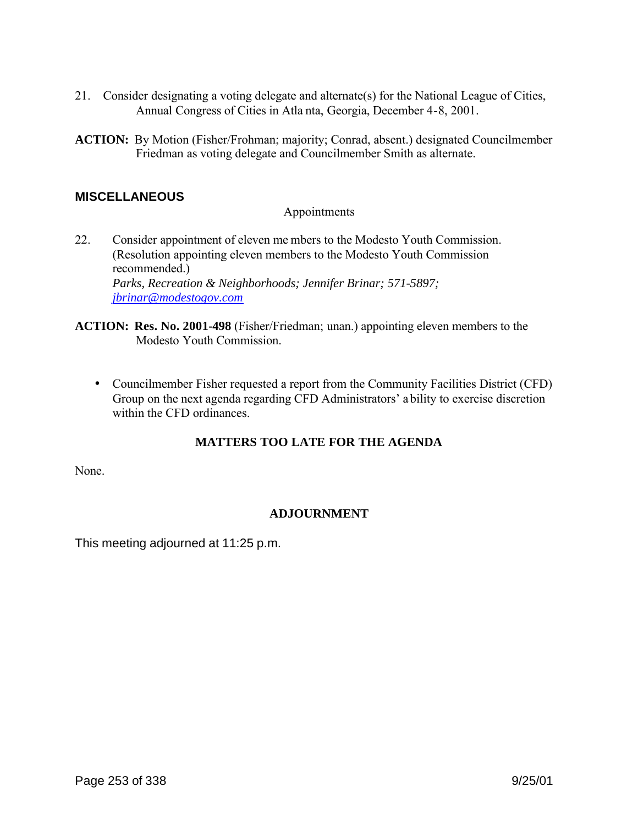- 21. Consider designating a voting delegate and alternate(s) for the National League of Cities, Annual Congress of Cities in Atla nta, Georgia, December 4-8, 2001.
- **ACTION:** By Motion (Fisher/Frohman; majority; Conrad, absent.) designated Councilmember Friedman as voting delegate and Councilmember Smith as alternate.

# **MISCELLANEOUS**

### Appointments

- 22. Consider appointment of eleven me mbers to the Modesto Youth Commission. (Resolution appointing eleven members to the Modesto Youth Commission recommended.) *Parks, Recreation & Neighborhoods; Jennifer Brinar; 571-5897; jbrinar@modestogov.com*
- **ACTION: Res. No. 2001-498** (Fisher/Friedman; unan.) appointing eleven members to the Modesto Youth Commission.
	- Councilmember Fisher requested a report from the Community Facilities District (CFD) Group on the next agenda regarding CFD Administrators' a bility to exercise discretion within the CFD ordinances

# **MATTERS TOO LATE FOR THE AGENDA**

None.

# **ADJOURNMENT**

This meeting adjourned at 11:25 p.m.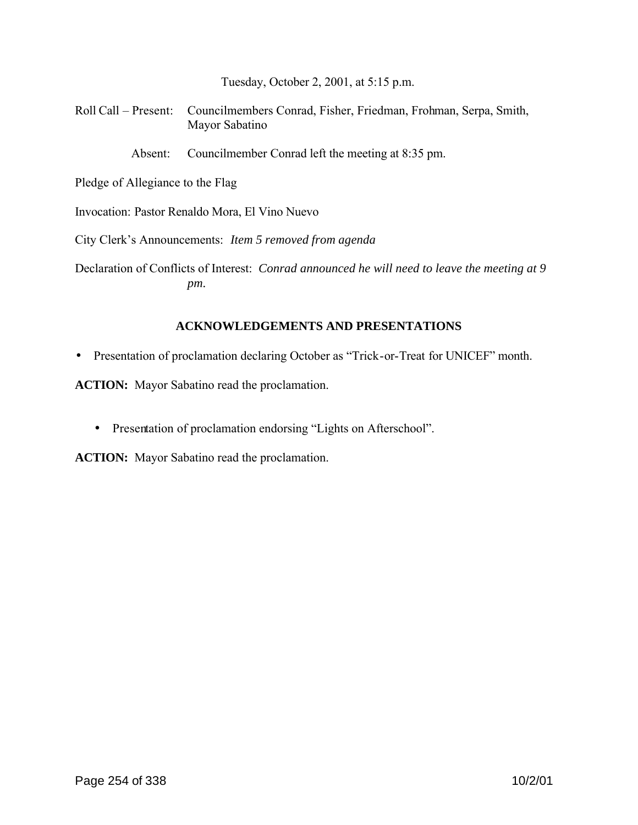Tuesday, October 2, 2001, at 5:15 p.m.

Roll Call – Present: Councilmembers Conrad, Fisher, Friedman, Frohman, Serpa, Smith, Mayor Sabatino

Absent: Councilmember Conrad left the meeting at 8:35 pm.

Pledge of Allegiance to the Flag

Invocation: Pastor Renaldo Mora, El Vino Nuevo

City Clerk's Announcements: *Item 5 removed from agenda*

Declaration of Conflicts of Interest: *Conrad announced he will need to leave the meeting at 9 pm.*

### **ACKNOWLEDGEMENTS AND PRESENTATIONS**

• Presentation of proclamation declaring October as "Trick-or-Treat for UNICEF" month.

**ACTION:** Mayor Sabatino read the proclamation.

• Presentation of proclamation endorsing "Lights on Afterschool".

**ACTION:** Mayor Sabatino read the proclamation.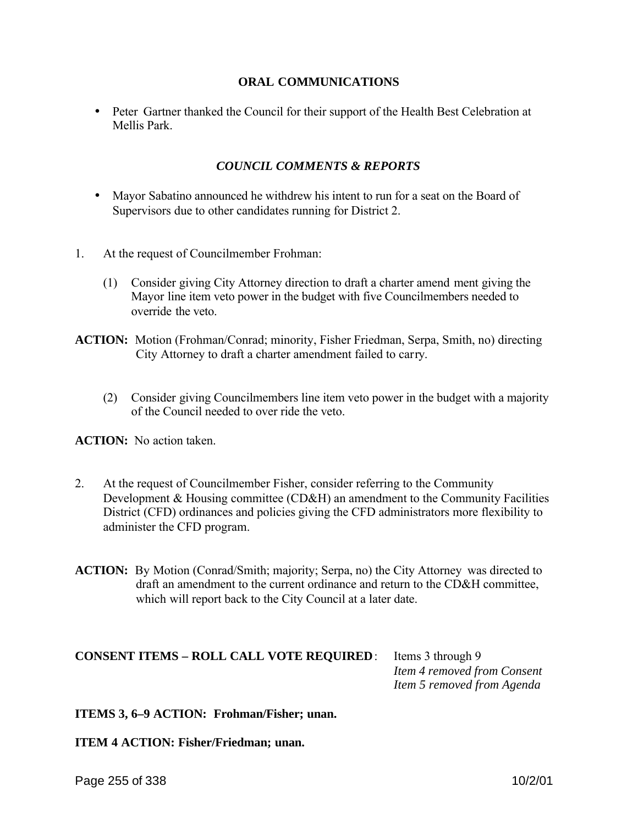### **ORAL COMMUNICATIONS**

• Peter Gartner thanked the Council for their support of the Health Best Celebration at Mellis Park.

# *COUNCIL COMMENTS & REPORTS*

- Mayor Sabatino announced he withdrew his intent to run for a seat on the Board of Supervisors due to other candidates running for District 2.
- 1. At the request of Councilmember Frohman:
	- (1) Consider giving City Attorney direction to draft a charter amend ment giving the Mayor line item veto power in the budget with five Councilmembers needed to override the veto.
- **ACTION:** Motion (Frohman/Conrad; minority, Fisher Friedman, Serpa, Smith, no) directing City Attorney to draft a charter amendment failed to carry.
	- (2) Consider giving Councilmembers line item veto power in the budget with a majority of the Council needed to over ride the veto.

**ACTION:** No action taken.

- 2. At the request of Councilmember Fisher, consider referring to the Community Development & Housing committee (CD&H) an amendment to the Community Facilities District (CFD) ordinances and policies giving the CFD administrators more flexibility to administer the CFD program.
- **ACTION:** By Motion (Conrad/Smith; majority; Serpa, no) the City Attorney was directed to draft an amendment to the current ordinance and return to the CD&H committee, which will report back to the City Council at a later date.

# **CONSENT ITEMS – ROLL CALL VOTE REQUIRED**: Items 3 through 9

 *Item 4 removed from Consent Item 5 removed from Agenda*

### **ITEMS 3, 6–9 ACTION: Frohman/Fisher; unan.**

**ITEM 4 ACTION: Fisher/Friedman; unan.**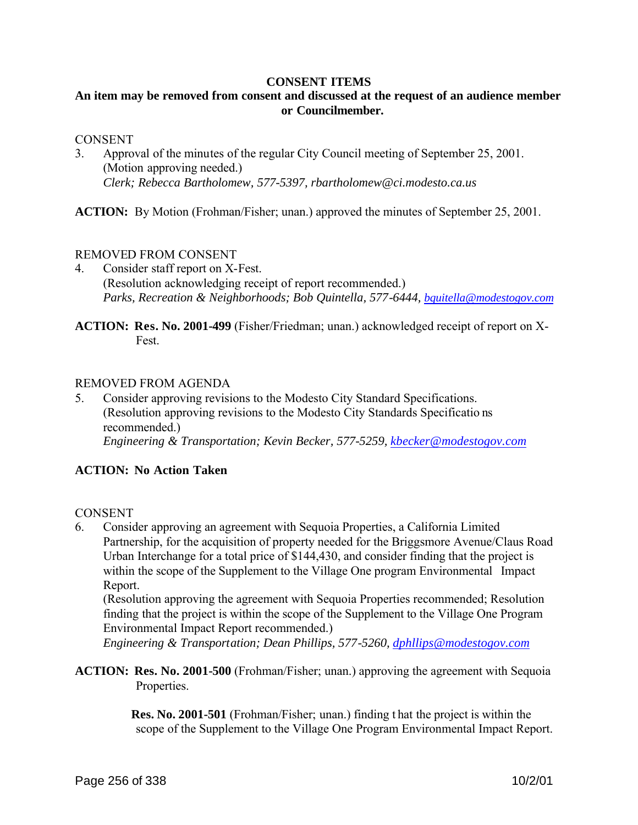#### **CONSENT ITEMS**

# **An item may be removed from consent and discussed at the request of an audience member or Councilmember.**

#### CONSENT

3. Approval of the minutes of the regular City Council meeting of September 25, 2001. (Motion approving needed.) *Clerk; Rebecca Bartholomew, 577-5397, rbartholomew@ci.modesto.ca.us*

**ACTION:** By Motion (Frohman/Fisher; unan.) approved the minutes of September 25, 2001.

### REMOVED FROM CONSENT

- 4. Consider staff report on X-Fest. (Resolution acknowledging receipt of report recommended.) *Parks, Recreation & Neighborhoods; Bob Quintella, 577-6444, bquitella@modestogov.com*
- **ACTION: Res. No. 2001-499** (Fisher/Friedman; unan.) acknowledged receipt of report on X-Fest.

### REMOVED FROM AGENDA

5. Consider approving revisions to the Modesto City Standard Specifications. (Resolution approving revisions to the Modesto City Standards Specificatio ns recommended.) *Engineering & Transportation; Kevin Becker, 577-5259, kbecker@modestogov.com*

### **ACTION: No Action Taken**

### **CONSENT**

6. Consider approving an agreement with Sequoia Properties, a California Limited Partnership, for the acquisition of property needed for the Briggsmore Avenue/Claus Road Urban Interchange for a total price of \$144,430, and consider finding that the project is within the scope of the Supplement to the Village One program Environmental Impact Report.

(Resolution approving the agreement with Sequoia Properties recommended; Resolution finding that the project is within the scope of the Supplement to the Village One Program Environmental Impact Report recommended.)

*Engineering & Transportation; Dean Phillips, 577-5260, dphllips@modestogov.com*

**ACTION: Res. No. 2001-500** (Frohman/Fisher; unan.) approving the agreement with Sequoia Properties.

> **Res. No. 2001-501** (Frohman/Fisher; unan.) finding t hat the project is within the scope of the Supplement to the Village One Program Environmental Impact Report.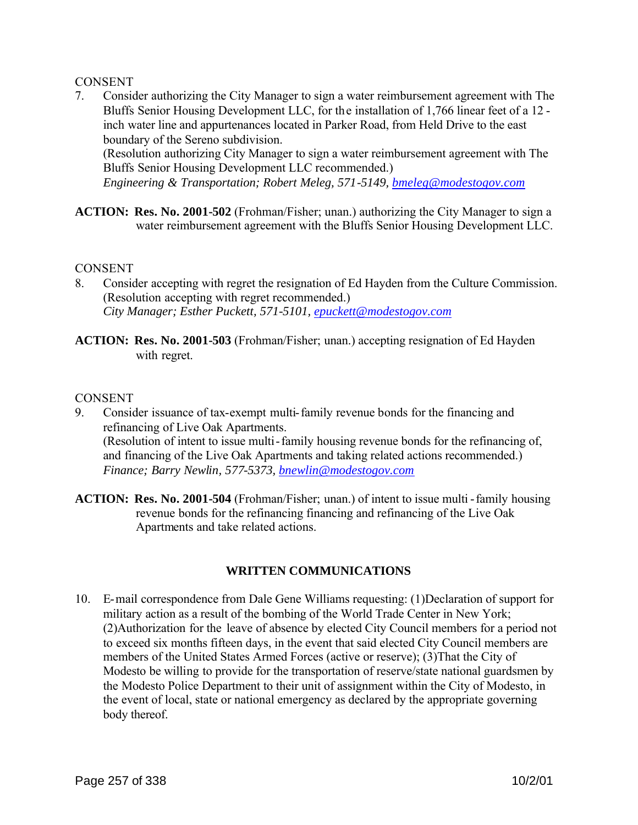### **CONSENT**

7. Consider authorizing the City Manager to sign a water reimbursement agreement with The Bluffs Senior Housing Development LLC, for the installation of 1,766 linear feet of a 12 inch water line and appurtenances located in Parker Road, from Held Drive to the east boundary of the Sereno subdivision.

(Resolution authorizing City Manager to sign a water reimbursement agreement with The Bluffs Senior Housing Development LLC recommended.)

*Engineering & Transportation; Robert Meleg, 571-5149, bmeleg@modestogov.com*

**ACTION: Res. No. 2001-502** (Frohman/Fisher; unan.) authorizing the City Manager to sign a water reimbursement agreement with the Bluffs Senior Housing Development LLC.

### **CONSENT**

- 8. Consider accepting with regret the resignation of Ed Hayden from the Culture Commission. (Resolution accepting with regret recommended.) *City Manager; Esther Puckett, 571-5101, epuckett@modestogov.com*
- **ACTION: Res. No. 2001-503** (Frohman/Fisher; unan.) accepting resignation of Ed Hayden with regret.

### **CONSENT**

- 9. Consider issuance of tax-exempt multi-family revenue bonds for the financing and refinancing of Live Oak Apartments. (Resolution of intent to issue multi-family housing revenue bonds for the refinancing of, and financing of the Live Oak Apartments and taking related actions recommended.) *Finance; Barry Newlin, 577-5373, bnewlin@modestogov.com*
- **ACTION: Res. No. 2001-504** (Frohman/Fisher; unan.) of intent to issue multi -family housing revenue bonds for the refinancing financing and refinancing of the Live Oak Apartments and take related actions.

# **WRITTEN COMMUNICATIONS**

10. E-mail correspondence from Dale Gene Williams requesting: (1)Declaration of support for military action as a result of the bombing of the World Trade Center in New York; (2)Authorization for the leave of absence by elected City Council members for a period not to exceed six months fifteen days, in the event that said elected City Council members are members of the United States Armed Forces (active or reserve); (3)That the City of Modesto be willing to provide for the transportation of reserve/state national guardsmen by the Modesto Police Department to their unit of assignment within the City of Modesto, in the event of local, state or national emergency as declared by the appropriate governing body thereof.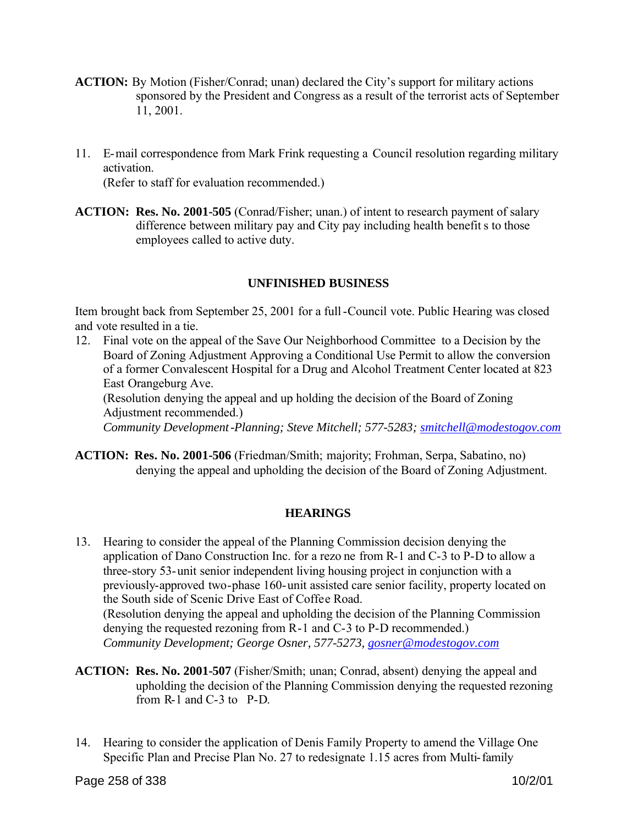- **ACTION:** By Motion (Fisher/Conrad; unan) declared the City's support for military actions sponsored by the President and Congress as a result of the terrorist acts of September 11, 2001.
- 11. E-mail correspondence from Mark Frink requesting a Council resolution regarding military activation.

(Refer to staff for evaluation recommended.)

**ACTION: Res. No. 2001-505** (Conrad/Fisher; unan.) of intent to research payment of salary difference between military pay and City pay including health benefits to those employees called to active duty.

# **UNFINISHED BUSINESS**

Item brought back from September 25, 2001 for a full-Council vote. Public Hearing was closed and vote resulted in a tie.

12. Final vote on the appeal of the Save Our Neighborhood Committee to a Decision by the Board of Zoning Adjustment Approving a Conditional Use Permit to allow the conversion of a former Convalescent Hospital for a Drug and Alcohol Treatment Center located at 823 East Orangeburg Ave. (Resolution denying the appeal and up holding the decision of the Board of Zoning

Adjustment recommended.) *Community Development-Planning; Steve Mitchell; 577-5283; smitchell@modestogov.com* 

**ACTION: Res. No. 2001-506** (Friedman/Smith; majority; Frohman, Serpa, Sabatino, no) denying the appeal and upholding the decision of the Board of Zoning Adjustment.

# **HEARINGS**

- 13. Hearing to consider the appeal of the Planning Commission decision denying the application of Dano Construction Inc. for a rezo ne from R-1 and C-3 to P-D to allow a three-story 53-unit senior independent living housing project in conjunction with a previously-approved two-phase 160-unit assisted care senior facility, property located on the South side of Scenic Drive East of Coffee Road. (Resolution denying the appeal and upholding the decision of the Planning Commission denying the requested rezoning from R-1 and C-3 to P-D recommended.) *Community Development; George Osner, 577-5273, gosner@modestogov.com*
- **ACTION: Res. No. 2001-507** (Fisher/Smith; unan; Conrad, absent) denying the appeal and upholding the decision of the Planning Commission denying the requested rezoning from R-1 and C-3 to P-D.
- 14. Hearing to consider the application of Denis Family Property to amend the Village One Specific Plan and Precise Plan No. 27 to redesignate 1.15 acres from Multi-family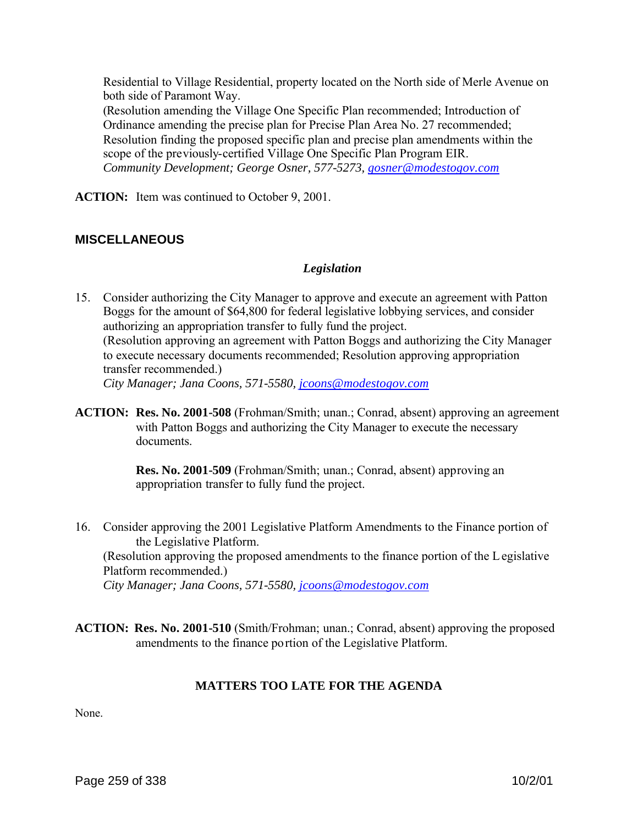Residential to Village Residential, property located on the North side of Merle Avenue on both side of Paramont Way. (Resolution amending the Village One Specific Plan recommended; Introduction of Ordinance amending the precise plan for Precise Plan Area No. 27 recommended; Resolution finding the proposed specific plan and precise plan amendments within the scope of the previously-certified Village One Specific Plan Program EIR. *Community Development; George Osner, 577-5273, gosner@modestogov.com*

**ACTION:** Item was continued to October 9, 2001.

### **MISCELLANEOUS**

#### *Legislation*

15. Consider authorizing the City Manager to approve and execute an agreement with Patton Boggs for the amount of \$64,800 for federal legislative lobbying services, and consider authorizing an appropriation transfer to fully fund the project. (Resolution approving an agreement with Patton Boggs and authorizing the City Manager to execute necessary documents recommended; Resolution approving appropriation transfer recommended.) *City Manager; Jana Coons, 571-5580, jcoons@modestogov.com*

**ACTION: Res. No. 2001-508** (Frohman/Smith; unan.; Conrad, absent) approving an agreement with Patton Boggs and authorizing the City Manager to execute the necessary documents.

> **Res. No. 2001-509** (Frohman/Smith; unan.; Conrad, absent) approving an appropriation transfer to fully fund the project.

- 16. Consider approving the 2001 Legislative Platform Amendments to the Finance portion of the Legislative Platform. (Resolution approving the proposed amendments to the finance portion of the Legislative Platform recommended.) *City Manager; Jana Coons, 571-5580, jcoons@modestogov.com*
- **ACTION: Res. No. 2001-510** (Smith/Frohman; unan.; Conrad, absent) approving the proposed amendments to the finance portion of the Legislative Platform.

### **MATTERS TOO LATE FOR THE AGENDA**

None.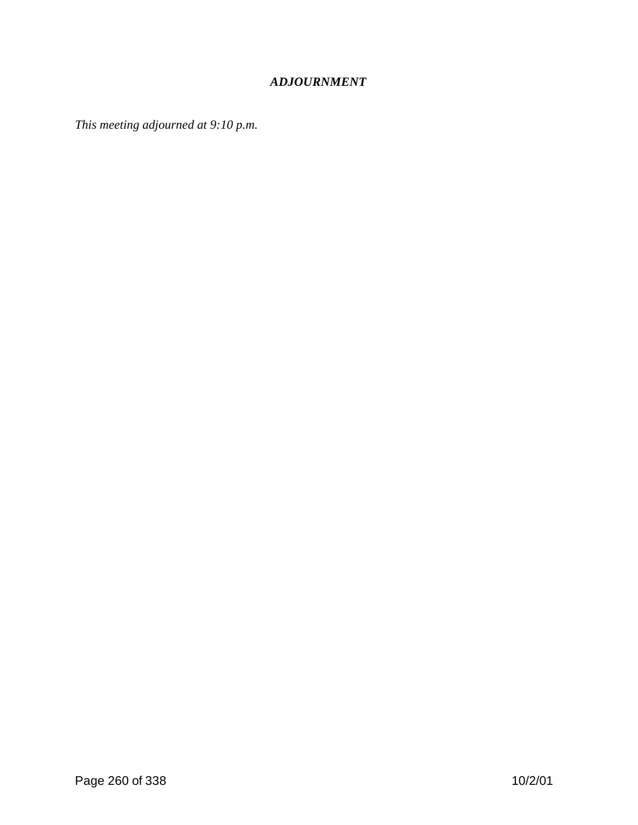# *ADJOURNMENT*

*This meeting adjourned at 9:10 p.m.*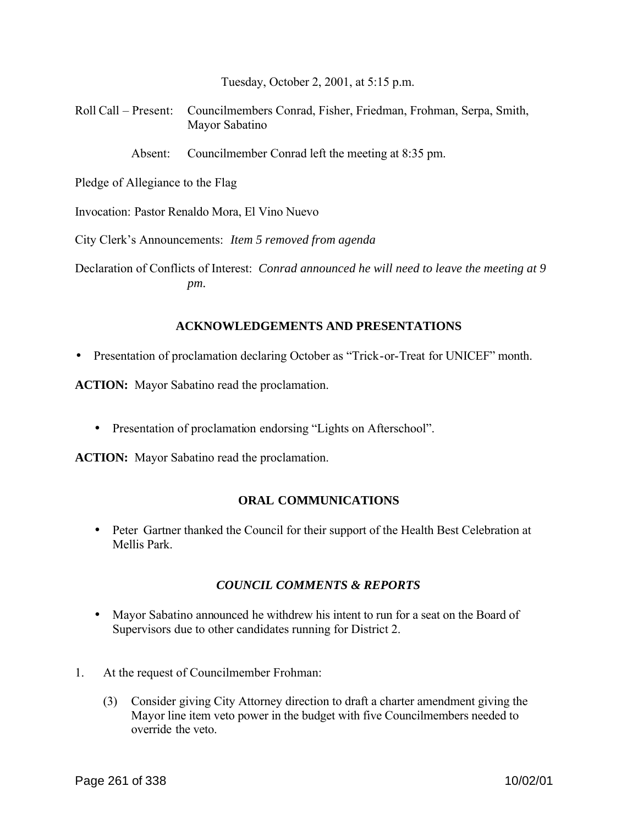Tuesday, October 2, 2001, at 5:15 p.m.

Roll Call – Present: Councilmembers Conrad, Fisher, Friedman, Frohman, Serpa, Smith, Mayor Sabatino

Absent: Councilmember Conrad left the meeting at 8:35 pm.

Pledge of Allegiance to the Flag

Invocation: Pastor Renaldo Mora, El Vino Nuevo

City Clerk's Announcements: *Item 5 removed from agenda*

Declaration of Conflicts of Interest: *Conrad announced he will need to leave the meeting at 9 pm.*

#### **ACKNOWLEDGEMENTS AND PRESENTATIONS**

• Presentation of proclamation declaring October as "Trick-or-Treat for UNICEF" month.

**ACTION:** Mayor Sabatino read the proclamation.

• Presentation of proclamation endorsing "Lights on Afterschool".

**ACTION:** Mayor Sabatino read the proclamation.

### **ORAL COMMUNICATIONS**

• Peter Gartner thanked the Council for their support of the Health Best Celebration at Mellis Park.

### *COUNCIL COMMENTS & REPORTS*

- Mayor Sabatino announced he withdrew his intent to run for a seat on the Board of Supervisors due to other candidates running for District 2.
- 1. At the request of Councilmember Frohman:
	- (3) Consider giving City Attorney direction to draft a charter amendment giving the Mayor line item veto power in the budget with five Councilmembers needed to override the veto.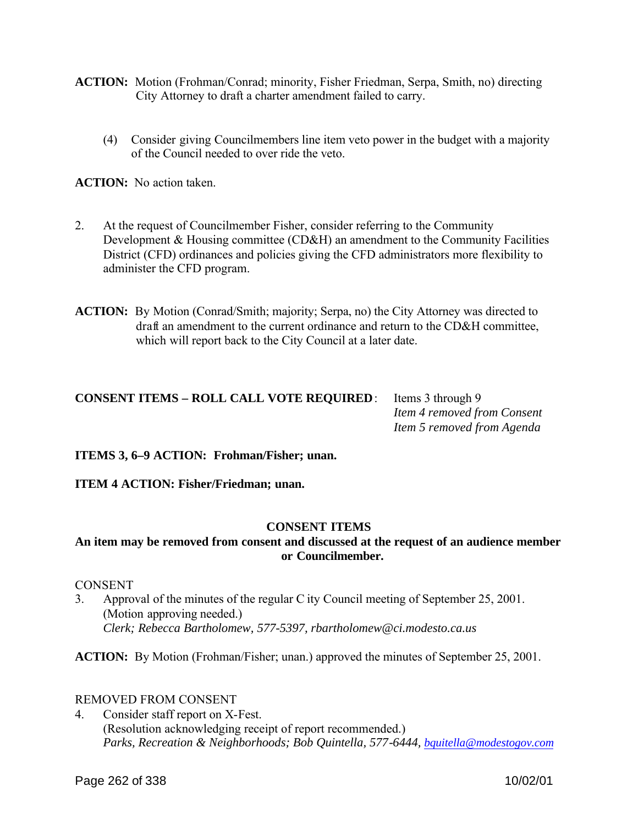- **ACTION:** Motion (Frohman/Conrad; minority, Fisher Friedman, Serpa, Smith, no) directing City Attorney to draft a charter amendment failed to carry.
	- (4) Consider giving Councilmembers line item veto power in the budget with a majority of the Council needed to over ride the veto.

**ACTION:** No action taken.

- 2. At the request of Councilmember Fisher, consider referring to the Community Development & Housing committee (CD&H) an amendment to the Community Facilities District (CFD) ordinances and policies giving the CFD administrators more flexibility to administer the CFD program.
- **ACTION:** By Motion (Conrad/Smith; majority; Serpa, no) the City Attorney was directed to draft an amendment to the current ordinance and return to the CD&H committee, which will report back to the City Council at a later date.

| <b>CONSENT ITEMS - ROLL CALL VOTE REQUIRED:</b> Ite |     |
|-----------------------------------------------------|-----|
|                                                     | Ite |
|                                                     | Ite |

ems 3 through 9 *Item 4 removed from Consent Item 5 removed from Agenda*

**ITEMS 3, 6–9 ACTION: Frohman/Fisher; unan.**

**ITEM 4 ACTION: Fisher/Friedman; unan.**

### **CONSENT ITEMS**

# **An item may be removed from consent and discussed at the request of an audience member or Councilmember.**

**CONSENT** 

3. Approval of the minutes of the regular C ity Council meeting of September 25, 2001. (Motion approving needed.) *Clerk; Rebecca Bartholomew, 577-5397, rbartholomew@ci.modesto.ca.us*

**ACTION:** By Motion (Frohman/Fisher; unan.) approved the minutes of September 25, 2001.

# REMOVED FROM CONSENT

4. Consider staff report on X-Fest. (Resolution acknowledging receipt of report recommended.) *Parks, Recreation & Neighborhoods; Bob Quintella, 577-6444, bquitella@modestogov.com*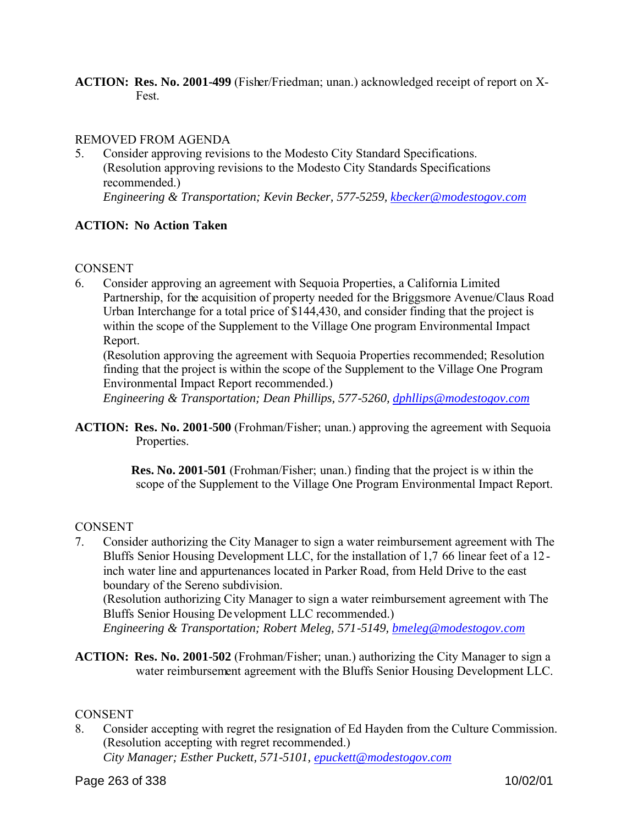**ACTION: Res. No. 2001-499** (Fisher/Friedman; unan.) acknowledged receipt of report on X-Fest.

### REMOVED FROM AGENDA

5. Consider approving revisions to the Modesto City Standard Specifications. (Resolution approving revisions to the Modesto City Standards Specifications recommended.) *Engineering & Transportation; Kevin Becker, 577-5259, kbecker@modestogov.com*

# **ACTION: No Action Taken**

### **CONSENT**

6. Consider approving an agreement with Sequoia Properties, a California Limited Partnership, for the acquisition of property needed for the Briggsmore Avenue/Claus Road Urban Interchange for a total price of \$144,430, and consider finding that the project is within the scope of the Supplement to the Village One program Environmental Impact Report.

(Resolution approving the agreement with Sequoia Properties recommended; Resolution finding that the project is within the scope of the Supplement to the Village One Program Environmental Impact Report recommended.)

*Engineering & Transportation; Dean Phillips, 577-5260, dphllips@modestogov.com*

**ACTION: Res. No. 2001-500** (Frohman/Fisher; unan.) approving the agreement with Sequoia Properties.

> **Res. No. 2001-501** (Frohman/Fisher; unan.) finding that the project is w ithin the scope of the Supplement to the Village One Program Environmental Impact Report.

### **CONSENT**

7. Consider authorizing the City Manager to sign a water reimbursement agreement with The Bluffs Senior Housing Development LLC, for the installation of 1,7 66 linear feet of a 12 inch water line and appurtenances located in Parker Road, from Held Drive to the east boundary of the Sereno subdivision.

(Resolution authorizing City Manager to sign a water reimbursement agreement with The Bluffs Senior Housing Development LLC recommended.)

*Engineering & Transportation; Robert Meleg, 571-5149, bmeleg@modestogov.com*

**ACTION: Res. No. 2001-502** (Frohman/Fisher; unan.) authorizing the City Manager to sign a water reimbursement agreement with the Bluffs Senior Housing Development LLC.

### **CONSENT**

8. Consider accepting with regret the resignation of Ed Hayden from the Culture Commission. (Resolution accepting with regret recommended.)

*City Manager; Esther Puckett, 571-5101, epuckett@modestogov.com*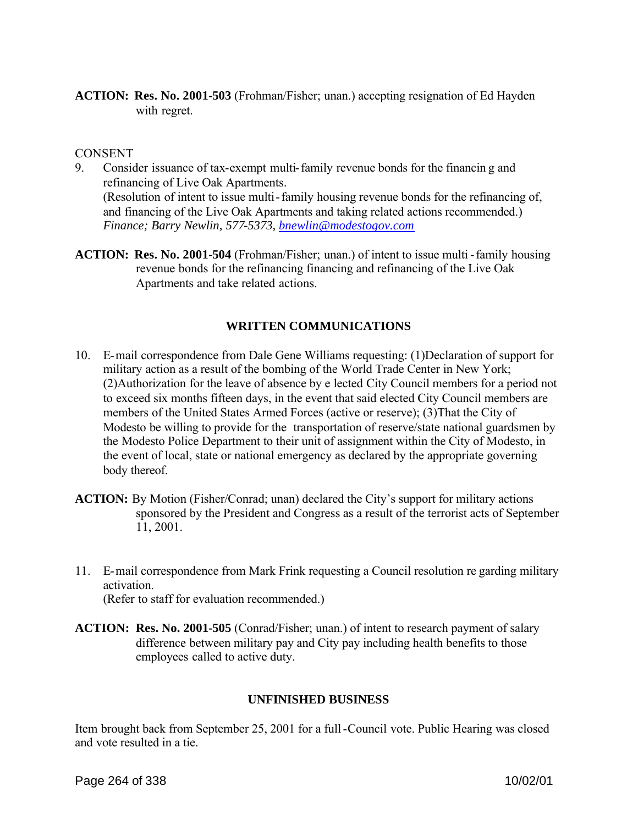**ACTION: Res. No. 2001-503** (Frohman/Fisher; unan.) accepting resignation of Ed Hayden with regret.

#### CONSENT

- 9. Consider issuance of tax-exempt multi-family revenue bonds for the financin g and refinancing of Live Oak Apartments. (Resolution of intent to issue multi-family housing revenue bonds for the refinancing of, and financing of the Live Oak Apartments and taking related actions recommended.) *Finance; Barry Newlin, 577-5373, bnewlin@modestogov.com*
- **ACTION: Res. No. 2001-504** (Frohman/Fisher; unan.) of intent to issue multi -family housing revenue bonds for the refinancing financing and refinancing of the Live Oak Apartments and take related actions.

### **WRITTEN COMMUNICATIONS**

- 10. E-mail correspondence from Dale Gene Williams requesting: (1)Declaration of support for military action as a result of the bombing of the World Trade Center in New York; (2)Authorization for the leave of absence by e lected City Council members for a period not to exceed six months fifteen days, in the event that said elected City Council members are members of the United States Armed Forces (active or reserve); (3)That the City of Modesto be willing to provide for the transportation of reserve/state national guardsmen by the Modesto Police Department to their unit of assignment within the City of Modesto, in the event of local, state or national emergency as declared by the appropriate governing body thereof.
- **ACTION:** By Motion (Fisher/Conrad; unan) declared the City's support for military actions sponsored by the President and Congress as a result of the terrorist acts of September 11, 2001.
- 11. E-mail correspondence from Mark Frink requesting a Council resolution re garding military activation. (Refer to staff for evaluation recommended.)
- **ACTION: Res. No. 2001-505** (Conrad/Fisher; unan.) of intent to research payment of salary difference between military pay and City pay including health benefits to those employees called to active duty.

### **UNFINISHED BUSINESS**

Item brought back from September 25, 2001 for a full-Council vote. Public Hearing was closed and vote resulted in a tie.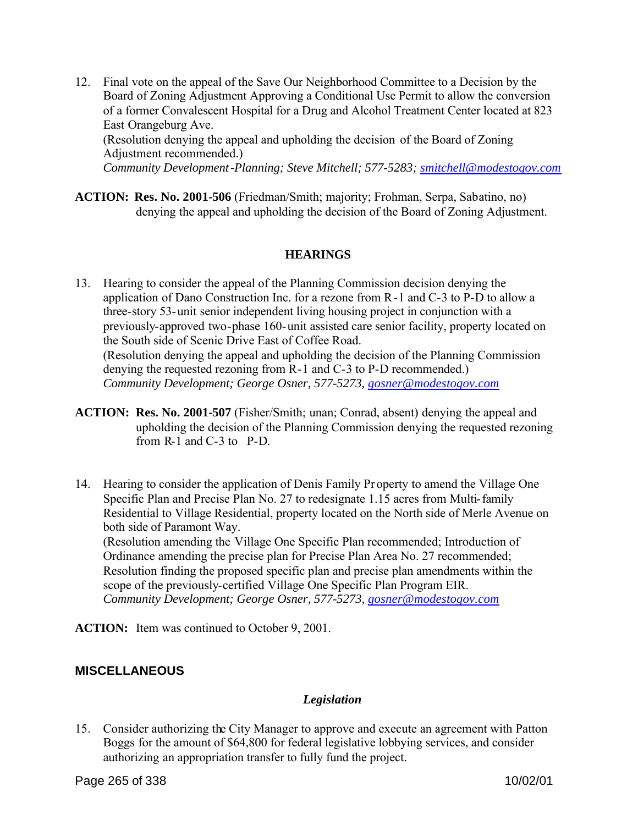12. Final vote on the appeal of the Save Our Neighborhood Committee to a Decision by the Board of Zoning Adjustment Approving a Conditional Use Permit to allow the conversion of a former Convalescent Hospital for a Drug and Alcohol Treatment Center located at 823 East Orangeburg Ave.

(Resolution denying the appeal and upholding the decision of the Board of Zoning Adjustment recommended.)

*Community Development-Planning; Steve Mitchell; 577-5283; smitchell@modestogov.com* 

**ACTION: Res. No. 2001-506** (Friedman/Smith; majority; Frohman, Serpa, Sabatino, no) denying the appeal and upholding the decision of the Board of Zoning Adjustment.

### **HEARINGS**

- 13. Hearing to consider the appeal of the Planning Commission decision denying the application of Dano Construction Inc. for a rezone from R-1 and C-3 to P-D to allow a three-story 53-unit senior independent living housing project in conjunction with a previously-approved two-phase 160-unit assisted care senior facility, property located on the South side of Scenic Drive East of Coffee Road. (Resolution denying the appeal and upholding the decision of the Planning Commission denying the requested rezoning from R-1 and C-3 to P-D recommended.) *Community Development; George Osner, 577-5273, gosner@modestogov.com*
- **ACTION: Res. No. 2001-507** (Fisher/Smith; unan; Conrad, absent) denying the appeal and upholding the decision of the Planning Commission denying the requested rezoning from R-1 and C-3 to P-D.
- 14. Hearing to consider the application of Denis Family Pr operty to amend the Village One Specific Plan and Precise Plan No. 27 to redesignate 1.15 acres from Multi-family Residential to Village Residential, property located on the North side of Merle Avenue on both side of Paramont Way.

(Resolution amending the Village One Specific Plan recommended; Introduction of Ordinance amending the precise plan for Precise Plan Area No. 27 recommended; Resolution finding the proposed specific plan and precise plan amendments within the scope of the previously-certified Village One Specific Plan Program EIR. *Community Development; George Osner, 577-5273, gosner@modestogov.com*

**ACTION:** Item was continued to October 9, 2001.

# **MISCELLANEOUS**

# *Legislation*

15. Consider authorizing the City Manager to approve and execute an agreement with Patton Boggs for the amount of \$64,800 for federal legislative lobbying services, and consider authorizing an appropriation transfer to fully fund the project.

Page 265 of 338 **10/02/01**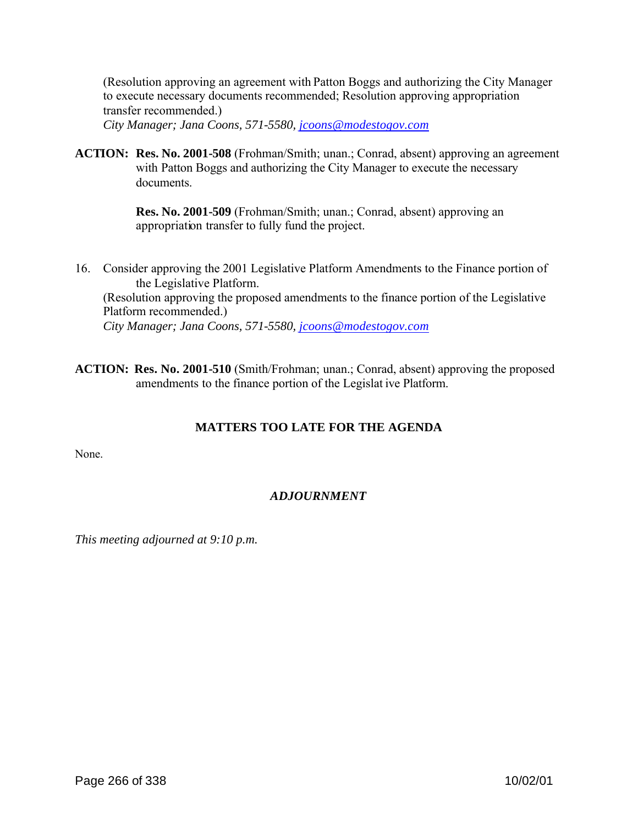(Resolution approving an agreement with Patton Boggs and authorizing the City Manager to execute necessary documents recommended; Resolution approving appropriation transfer recommended.) *City Manager; Jana Coons, 571-5580, jcoons@modestogov.com*

**ACTION: Res. No. 2001-508** (Frohman/Smith; unan.; Conrad, absent) approving an agreement with Patton Boggs and authorizing the City Manager to execute the necessary documents.

> **Res. No. 2001-509** (Frohman/Smith; unan.; Conrad, absent) approving an appropriation transfer to fully fund the project.

- 16. Consider approving the 2001 Legislative Platform Amendments to the Finance portion of the Legislative Platform. (Resolution approving the proposed amendments to the finance portion of the Legislative Platform recommended.) *City Manager; Jana Coons, 571-5580, jcoons@modestogov.com*
- **ACTION: Res. No. 2001-510** (Smith/Frohman; unan.; Conrad, absent) approving the proposed amendments to the finance portion of the Legislat ive Platform.

# **MATTERS TOO LATE FOR THE AGENDA**

None.

# *ADJOURNMENT*

*This meeting adjourned at 9:10 p.m.*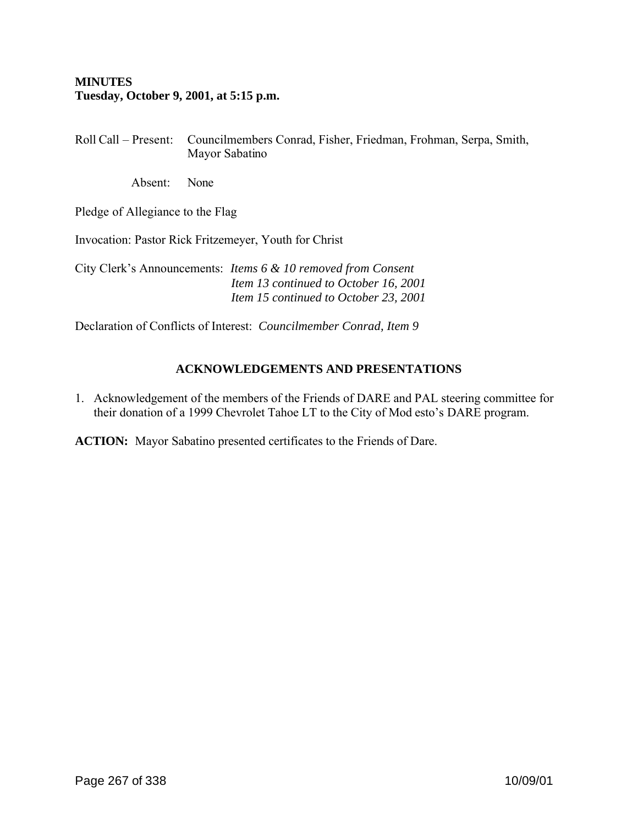# **MINUTES Tuesday, October 9, 2001, at 5:15 p.m.**

Roll Call – Present: Councilmembers Conrad, Fisher, Friedman, Frohman, Serpa, Smith, Mayor Sabatino

Absent: None

Pledge of Allegiance to the Flag

Invocation: Pastor Rick Fritzemeyer, Youth for Christ

City Clerk's Announcements: *Items 6 & 10 removed from Consent Item 13 continued to October 16, 2001 Item 15 continued to October 23, 2001*

Declaration of Conflicts of Interest: *Councilmember Conrad, Item 9*

### **ACKNOWLEDGEMENTS AND PRESENTATIONS**

1. Acknowledgement of the members of the Friends of DARE and PAL steering committee for their donation of a 1999 Chevrolet Tahoe LT to the City of Mod esto's DARE program.

**ACTION:** Mayor Sabatino presented certificates to the Friends of Dare.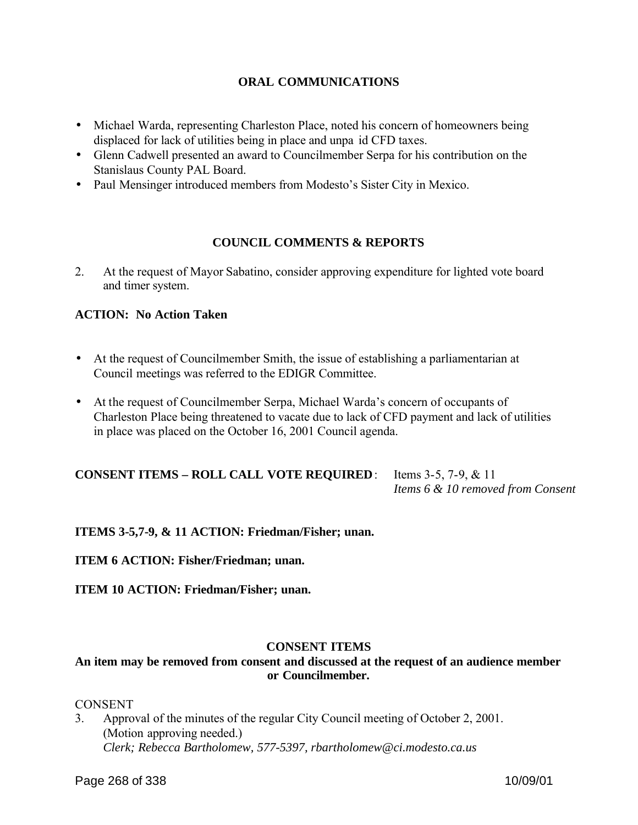### **ORAL COMMUNICATIONS**

- Michael Warda, representing Charleston Place, noted his concern of homeowners being displaced for lack of utilities being in place and unpa id CFD taxes.
- Glenn Cadwell presented an award to Councilmember Serpa for his contribution on the Stanislaus County PAL Board.
- Paul Mensinger introduced members from Modesto's Sister City in Mexico.

### **COUNCIL COMMENTS & REPORTS**

2. At the request of Mayor Sabatino, consider approving expenditure for lighted vote board and timer system.

### **ACTION: No Action Taken**

- At the request of Councilmember Smith, the issue of establishing a parliamentarian at Council meetings was referred to the EDIGR Committee.
- At the request of Councilmember Serpa, Michael Warda's concern of occupants of Charleston Place being threatened to vacate due to lack of CFD payment and lack of utilities in place was placed on the October 16, 2001 Council agenda.

**CONSENT ITEMS – ROLL CALL VOTE REQUIRED**: Items 3-5, 7-9, & 11 *Items 6 & 10 removed from Consent*

**ITEMS 3-5,7-9, & 11 ACTION: Friedman/Fisher; unan.**

**ITEM 6 ACTION: Fisher/Friedman; unan.**

**ITEM 10 ACTION: Friedman/Fisher; unan.**

### **CONSENT ITEMS**

# **An item may be removed from consent and discussed at the request of an audience member or Councilmember.**

#### **CONSENT**

3. Approval of the minutes of the regular City Council meeting of October 2, 2001. (Motion approving needed.) *Clerk; Rebecca Bartholomew, 577-5397, rbartholomew@ci.modesto.ca.us*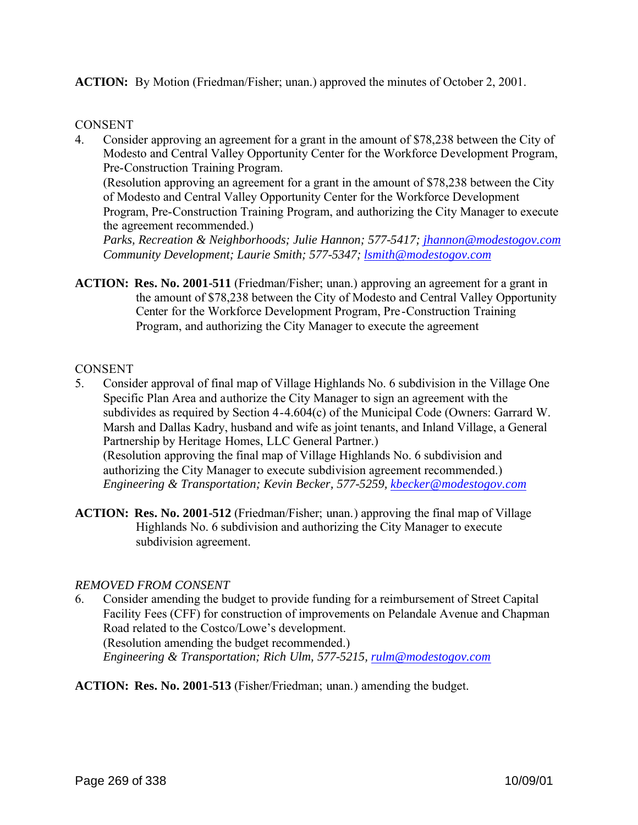**ACTION:** By Motion (Friedman/Fisher; unan.) approved the minutes of October 2, 2001.

### **CONSENT**

4. Consider approving an agreement for a grant in the amount of \$78,238 between the City of Modesto and Central Valley Opportunity Center for the Workforce Development Program, Pre-Construction Training Program.

(Resolution approving an agreement for a grant in the amount of \$78,238 between the City of Modesto and Central Valley Opportunity Center for the Workforce Development Program, Pre-Construction Training Program, and authorizing the City Manager to execute the agreement recommended.)

*Parks, Recreation & Neighborhoods; Julie Hannon; 577-5417; jhannon@modestogov.com Community Development; Laurie Smith; 577-5347; lsmith@modestogov.com* 

**ACTION: Res. No. 2001-511** (Friedman/Fisher; unan.) approving an agreement for a grant in the amount of \$78,238 between the City of Modesto and Central Valley Opportunity Center for the Workforce Development Program, Pre-Construction Training Program, and authorizing the City Manager to execute the agreement

#### **CONSENT**

- 5. Consider approval of final map of Village Highlands No. 6 subdivision in the Village One Specific Plan Area and authorize the City Manager to sign an agreement with the subdivides as required by Section 4-4.604(c) of the Municipal Code (Owners: Garrard W. Marsh and Dallas Kadry, husband and wife as joint tenants, and Inland Village, a General Partnership by Heritage Homes, LLC General Partner.) (Resolution approving the final map of Village Highlands No. 6 subdivision and authorizing the City Manager to execute subdivision agreement recommended.) *Engineering & Transportation; Kevin Becker, 577-5259, kbecker@modestogov.com*
- **ACTION: Res. No. 2001-512** (Friedman/Fisher; unan.) approving the final map of Village Highlands No. 6 subdivision and authorizing the City Manager to execute subdivision agreement.

### *REMOVED FROM CONSENT*

- 6. Consider amending the budget to provide funding for a reimbursement of Street Capital Facility Fees (CFF) for construction of improvements on Pelandale Avenue and Chapman Road related to the Costco/Lowe's development. (Resolution amending the budget recommended.) *Engineering & Transportation; Rich Ulm, 577-5215, rulm@modestogov.com*
- **ACTION: Res. No. 2001-513** (Fisher/Friedman; unan.) amending the budget.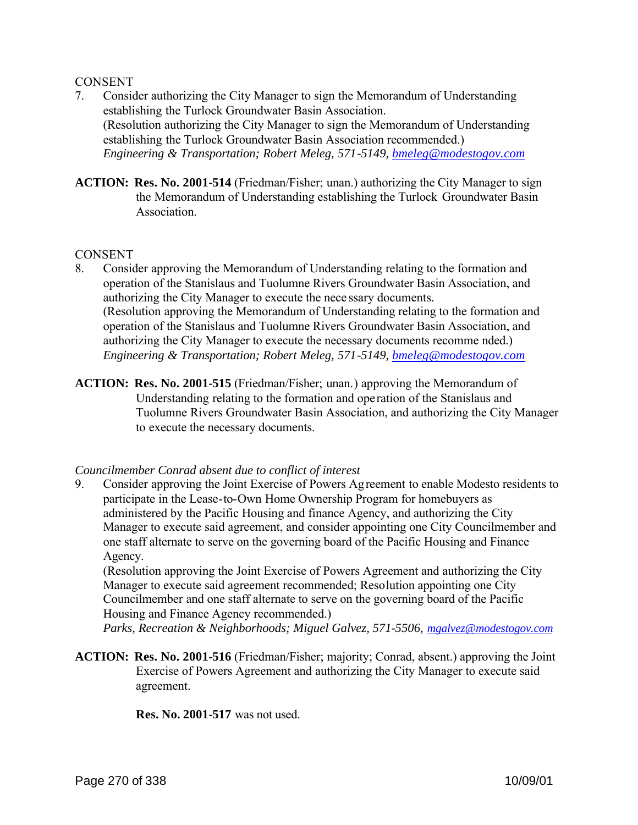### **CONSENT**

- 7. Consider authorizing the City Manager to sign the Memorandum of Understanding establishing the Turlock Groundwater Basin Association. (Resolution authorizing the City Manager to sign the Memorandum of Understanding establishing the Turlock Groundwater Basin Association recommended.) *Engineering & Transportation; Robert Meleg, 571-5149, bmeleg@modestogov.com*
- **ACTION: Res. No. 2001-514** (Friedman/Fisher; unan.) authorizing the City Manager to sign the Memorandum of Understanding establishing the Turlock Groundwater Basin **Association**

#### **CONSENT**

- 8. Consider approving the Memorandum of Understanding relating to the formation and operation of the Stanislaus and Tuolumne Rivers Groundwater Basin Association, and authorizing the City Manager to execute the nece ssary documents. (Resolution approving the Memorandum of Understanding relating to the formation and operation of the Stanislaus and Tuolumne Rivers Groundwater Basin Association, and authorizing the City Manager to execute the necessary documents recomme nded.) *Engineering & Transportation; Robert Meleg, 571-5149, bmeleg@modestogov.com*
- **ACTION: Res. No. 2001-515** (Friedman/Fisher; unan.) approving the Memorandum of Understanding relating to the formation and operation of the Stanislaus and Tuolumne Rivers Groundwater Basin Association, and authorizing the City Manager to execute the necessary documents.

#### *Councilmember Conrad absent due to conflict of interest*

9. Consider approving the Joint Exercise of Powers Agreement to enable Modesto residents to participate in the Lease-to-Own Home Ownership Program for homebuyers as administered by the Pacific Housing and finance Agency, and authorizing the City Manager to execute said agreement, and consider appointing one City Councilmember and one staff alternate to serve on the governing board of the Pacific Housing and Finance Agency.

(Resolution approving the Joint Exercise of Powers Agreement and authorizing the City Manager to execute said agreement recommended; Resolution appointing one City Councilmember and one staff alternate to serve on the governing board of the Pacific Housing and Finance Agency recommended.)

*Parks, Recreation & Neighborhoods; Miguel Galvez, 571-5506, mgalvez@modestogov.com*

**ACTION: Res. No. 2001-516** (Friedman/Fisher; majority; Conrad, absent.) approving the Joint Exercise of Powers Agreement and authorizing the City Manager to execute said agreement.

 **Res. No. 2001-517** was not used.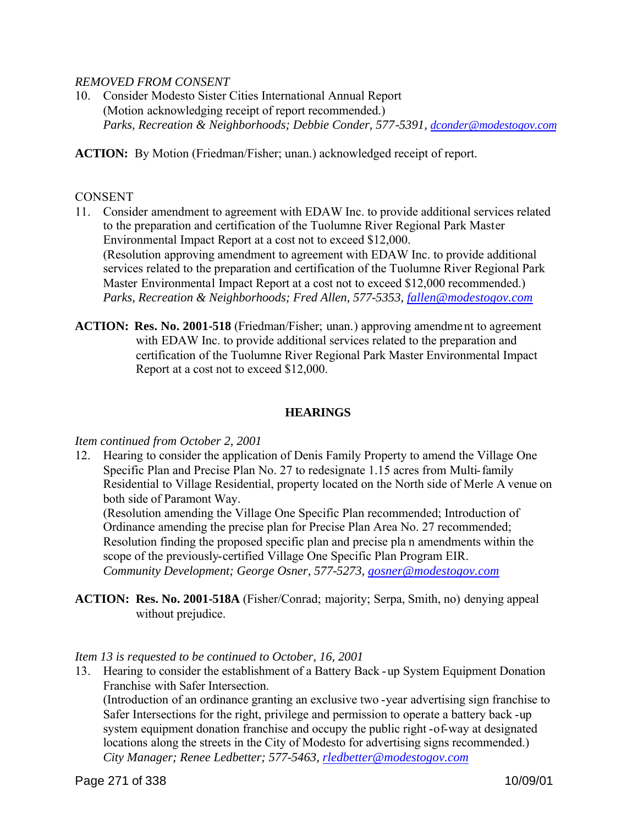### *REMOVED FROM CONSENT*

10. Consider Modesto Sister Cities International Annual Report (Motion acknowledging receipt of report recommended.) *Parks, Recreation & Neighborhoods; Debbie Conder, 577-5391, dconder@modestogov.com*

**ACTION:** By Motion (Friedman/Fisher; unan.) acknowledged receipt of report.

### **CONSENT**

- 11. Consider amendment to agreement with EDAW Inc. to provide additional services related to the preparation and certification of the Tuolumne River Regional Park Master Environmental Impact Report at a cost not to exceed \$12,000. (Resolution approving amendment to agreement with EDAW Inc. to provide additional services related to the preparation and certification of the Tuolumne River Regional Park Master Environmental Impact Report at a cost not to exceed \$12,000 recommended.) *Parks, Recreation & Neighborhoods; Fred Allen, 577-5353, fallen@modestogov.com*
- **ACTION: Res. No. 2001-518** (Friedman/Fisher; unan.) approving amendme nt to agreement with EDAW Inc. to provide additional services related to the preparation and certification of the Tuolumne River Regional Park Master Environmental Impact Report at a cost not to exceed \$12,000.

### **HEARINGS**

### *Item continued from October 2, 2001*

12. Hearing to consider the application of Denis Family Property to amend the Village One Specific Plan and Precise Plan No. 27 to redesignate 1.15 acres from Multi-family Residential to Village Residential, property located on the North side of Merle A venue on both side of Paramont Way.

(Resolution amending the Village One Specific Plan recommended; Introduction of Ordinance amending the precise plan for Precise Plan Area No. 27 recommended; Resolution finding the proposed specific plan and precise pla n amendments within the scope of the previously-certified Village One Specific Plan Program EIR. *Community Development; George Osner, 577-5273, gosner@modestogov.com*

**ACTION: Res. No. 2001-518A** (Fisher/Conrad; majority; Serpa, Smith, no) denying appeal without prejudice.

### *Item 13 is requested to be continued to October, 16, 2001*

13. Hearing to consider the establishment of a Battery Back -up System Equipment Donation Franchise with Safer Intersection.

(Introduction of an ordinance granting an exclusive two -year advertising sign franchise to Safer Intersections for the right, privilege and permission to operate a battery back -up system equipment donation franchise and occupy the public right -of-way at designated locations along the streets in the City of Modesto for advertising signs recommended.) *City Manager; Renee Ledbetter; 577-5463, rledbetter@modestogov.com*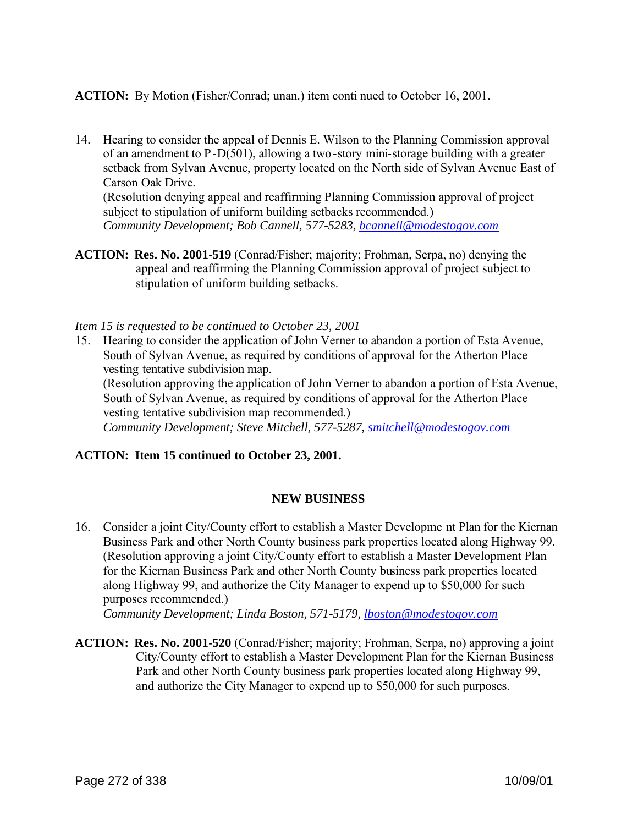**ACTION:** By Motion (Fisher/Conrad; unan.) item conti nued to October 16, 2001.

14. Hearing to consider the appeal of Dennis E. Wilson to the Planning Commission approval of an amendment to P-D(501), allowing a two-story mini-storage building with a greater setback from Sylvan Avenue, property located on the North side of Sylvan Avenue East of Carson Oak Drive. (Resolution denying appeal and reaffirming Planning Commission approval of project

subject to stipulation of uniform building setbacks recommended.) *Community Development; Bob Cannell, 577-5283, bcannell@modestogov.com*

**ACTION: Res. No. 2001-519** (Conrad/Fisher; majority; Frohman, Serpa, no) denying the appeal and reaffirming the Planning Commission approval of project subject to stipulation of uniform building setbacks.

*Item 15 is requested to be continued to October 23, 2001*

15. Hearing to consider the application of John Verner to abandon a portion of Esta Avenue, South of Sylvan Avenue, as required by conditions of approval for the Atherton Place vesting tentative subdivision map. (Resolution approving the application of John Verner to abandon a portion of Esta Avenue,

South of Sylvan Avenue, as required by conditions of approval for the Atherton Place vesting tentative subdivision map recommended.)

*Community Development; Steve Mitchell, 577-5287, smitchell@modestogov.com*

### **ACTION: Item 15 continued to October 23, 2001.**

# **NEW BUSINESS**

16. Consider a joint City/County effort to establish a Master Developme nt Plan for the Kiernan Business Park and other North County business park properties located along Highway 99. (Resolution approving a joint City/County effort to establish a Master Development Plan for the Kiernan Business Park and other North County business park properties located along Highway 99, and authorize the City Manager to expend up to \$50,000 for such purposes recommended.)

*Community Development; Linda Boston, 571-5179, lboston@modestogov.com*

**ACTION: Res. No. 2001-520** (Conrad/Fisher; majority; Frohman, Serpa, no) approving a joint City/County effort to establish a Master Development Plan for the Kiernan Business Park and other North County business park properties located along Highway 99, and authorize the City Manager to expend up to \$50,000 for such purposes.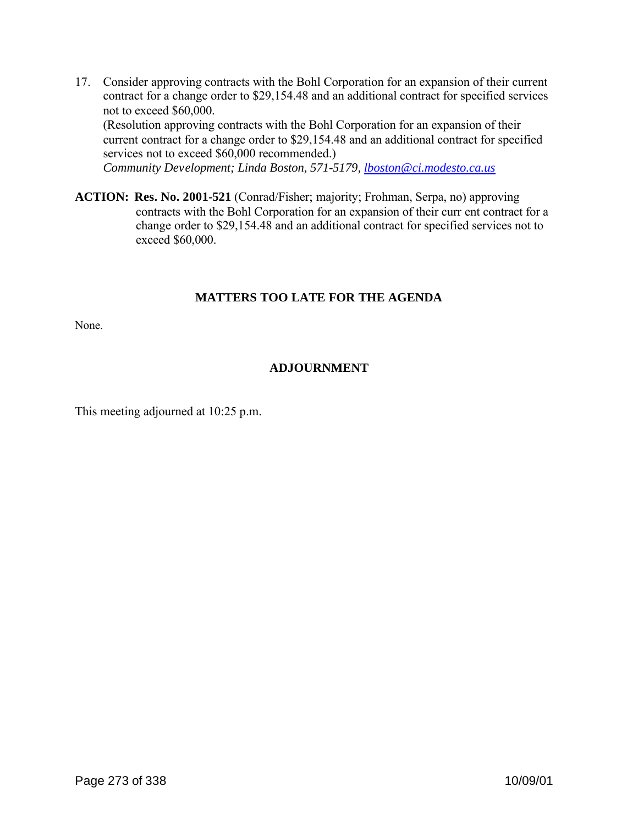17. Consider approving contracts with the Bohl Corporation for an expansion of their current contract for a change order to \$29,154.48 and an additional contract for specified services not to exceed \$60,000. (Resolution approving contracts with the Bohl Corporation for an expansion of their

current contract for a change order to \$29,154.48 and an additional contract for specified services not to exceed \$60,000 recommended.)

*Community Development; Linda Boston, 571-5179, lboston@ci.modesto.ca.us*

**ACTION: Res. No. 2001-521** (Conrad/Fisher; majority; Frohman, Serpa, no) approving contracts with the Bohl Corporation for an expansion of their curr ent contract for a change order to \$29,154.48 and an additional contract for specified services not to exceed \$60,000.

### **MATTERS TOO LATE FOR THE AGENDA**

None.

# **ADJOURNMENT**

This meeting adjourned at 10:25 p.m.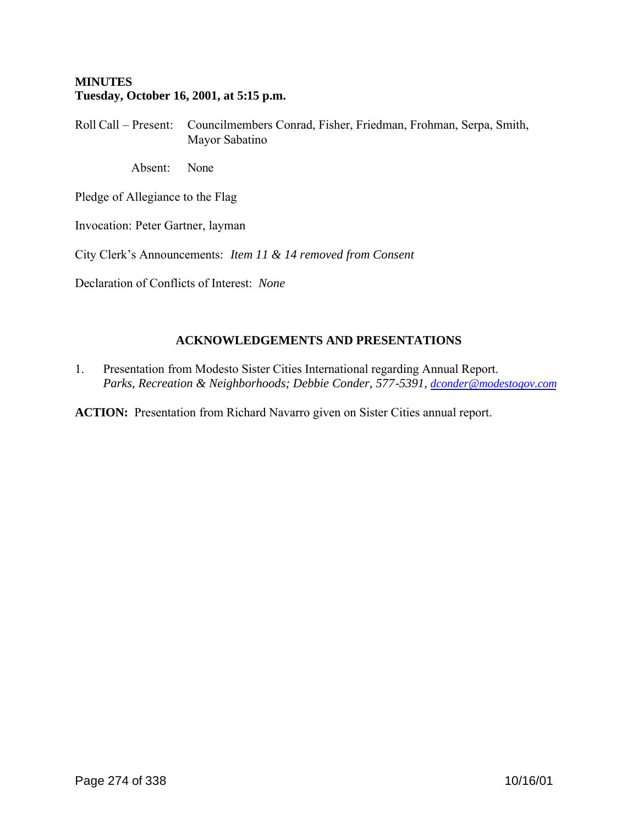### **MINUTES Tuesday, October 16, 2001, at 5:15 p.m.**

Roll Call – Present: Councilmembers Conrad, Fisher, Friedman, Frohman, Serpa, Smith, Mayor Sabatino

Absent: None

Pledge of Allegiance to the Flag

Invocation: Peter Gartner, layman

City Clerk's Announcements: *Item 11 & 14 removed from Consent*

Declaration of Conflicts of Interest: *None*

# **ACKNOWLEDGEMENTS AND PRESENTATIONS**

1. Presentation from Modesto Sister Cities International regarding Annual Report. *Parks, Recreation & Neighborhoods; Debbie Conder, 577-5391, dconder@modestogov.com*

**ACTION:** Presentation from Richard Navarro given on Sister Cities annual report.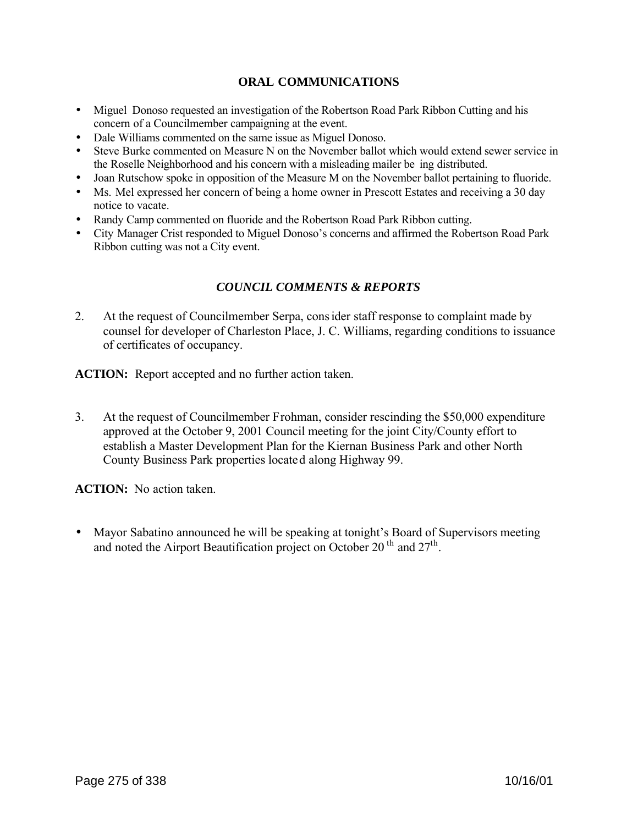### **ORAL COMMUNICATIONS**

- Miguel Donoso requested an investigation of the Robertson Road Park Ribbon Cutting and his concern of a Councilmember campaigning at the event.
- Dale Williams commented on the same issue as Miguel Donoso.
- Steve Burke commented on Measure N on the November ballot which would extend sewer service in the Roselle Neighborhood and his concern with a misleading mailer be ing distributed.
- Joan Rutschow spoke in opposition of the Measure M on the November ballot pertaining to fluoride.
- Ms. Mel expressed her concern of being a home owner in Prescott Estates and receiving a 30 day notice to vacate.
- Randy Camp commented on fluoride and the Robertson Road Park Ribbon cutting.
- City Manager Crist responded to Miguel Donoso's concerns and affirmed the Robertson Road Park Ribbon cutting was not a City event.

### *COUNCIL COMMENTS & REPORTS*

2. At the request of Councilmember Serpa, consider staff response to complaint made by counsel for developer of Charleston Place, J. C. Williams, regarding conditions to issuance of certificates of occupancy.

**ACTION:** Report accepted and no further action taken.

3. At the request of Councilmember Frohman, consider rescinding the \$50,000 expenditure approved at the October 9, 2001 Council meeting for the joint City/County effort to establish a Master Development Plan for the Kiernan Business Park and other North County Business Park properties located along Highway 99.

**ACTION:** No action taken.

• Mayor Sabatino announced he will be speaking at tonight's Board of Supervisors meeting and noted the Airport Beautification project on October 20<sup>th</sup> and  $27<sup>th</sup>$ .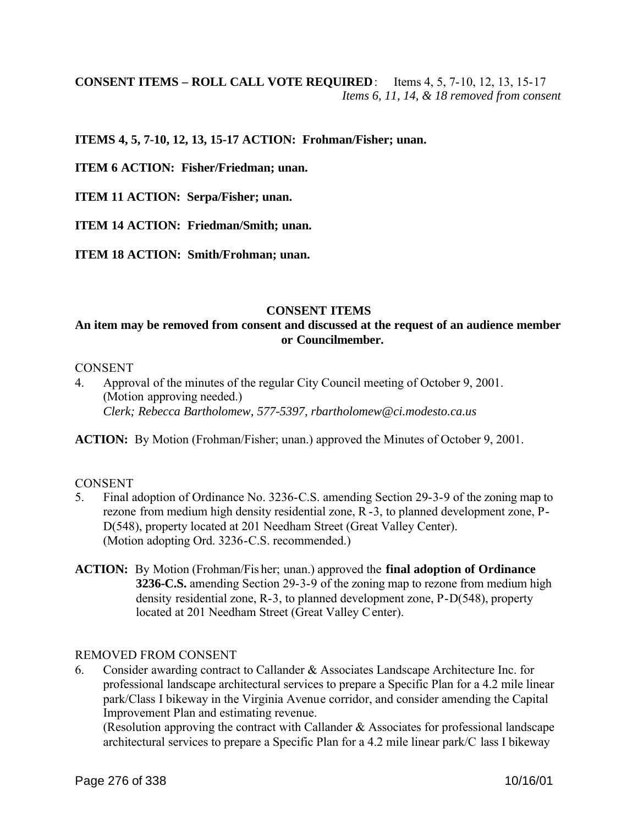# **CONSENT ITEMS – ROLL CALL VOTE REQUIRED**: Items 4, 5, 7-10, 12, 13, 15-17 *Items 6, 11, 14, & 18 removed from consent*

### **ITEMS 4, 5, 7-10, 12, 13, 15-17 ACTION: Frohman/Fisher; unan.**

**ITEM 6 ACTION: Fisher/Friedman; unan.**

**ITEM 11 ACTION: Serpa/Fisher; unan.**

**ITEM 14 ACTION: Friedman/Smith; unan.**

**ITEM 18 ACTION: Smith/Frohman; unan.** 

### **CONSENT ITEMS**

### **An item may be removed from consent and discussed at the request of an audience member or Councilmember.**

#### **CONSENT**

4. Approval of the minutes of the regular City Council meeting of October 9, 2001. (Motion approving needed.) *Clerk; Rebecca Bartholomew, 577-5397, rbartholomew@ci.modesto.ca.us*

**ACTION:** By Motion (Frohman/Fisher; unan.) approved the Minutes of October 9, 2001.

#### **CONSENT**

- 5. Final adoption of Ordinance No. 3236-C.S. amending Section 29-3-9 of the zoning map to rezone from medium high density residential zone, R -3, to planned development zone, P-D(548), property located at 201 Needham Street (Great Valley Center). (Motion adopting Ord. 3236-C.S. recommended.)
- **ACTION:** By Motion (Frohman/Fis her; unan.) approved the **final adoption of Ordinance 3236-C.S.** amending Section 29-3-9 of the zoning map to rezone from medium high density residential zone, R-3, to planned development zone, P-D(548), property located at 201 Needham Street (Great Valley Center).

#### REMOVED FROM CONSENT

6. Consider awarding contract to Callander & Associates Landscape Architecture Inc. for professional landscape architectural services to prepare a Specific Plan for a 4.2 mile linear park/Class I bikeway in the Virginia Avenue corridor, and consider amending the Capital Improvement Plan and estimating revenue.

(Resolution approving the contract with Callander & Associates for professional landscape architectural services to prepare a Specific Plan for a 4.2 mile linear park/C lass I bikeway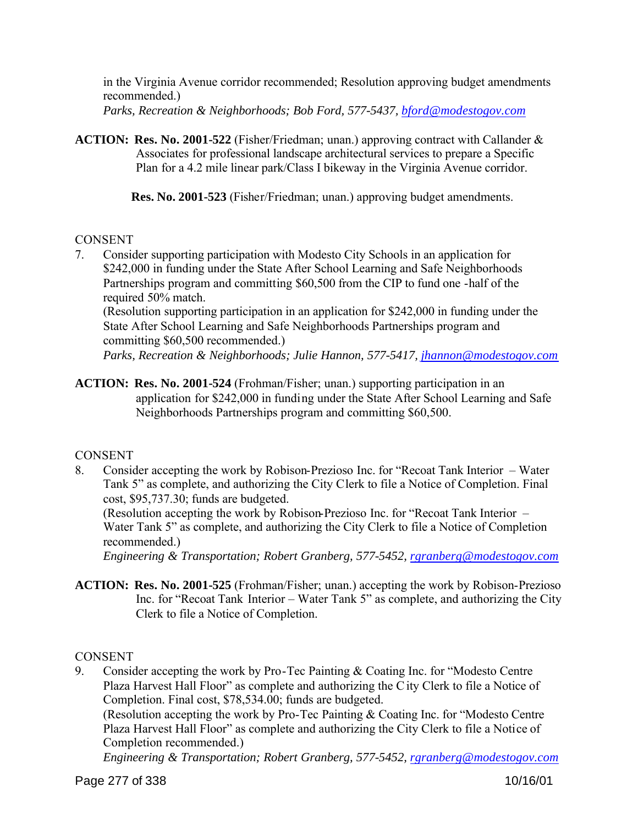in the Virginia Avenue corridor recommended; Resolution approving budget amendments recommended.)

*Parks, Recreation & Neighborhoods; Bob Ford, 577-5437, bford@modestogov.com*

**ACTION: Res. No. 2001-522** (Fisher/Friedman; unan.) approving contract with Callander & Associates for professional landscape architectural services to prepare a Specific Plan for a 4.2 mile linear park/Class I bikeway in the Virginia Avenue corridor.

**Res. No. 2001-523** (Fisher/Friedman; unan.) approving budget amendments.

# **CONSENT**

7. Consider supporting participation with Modesto City Schools in an application for \$242,000 in funding under the State After School Learning and Safe Neighborhoods Partnerships program and committing \$60,500 from the CIP to fund one -half of the required 50% match.

(Resolution supporting participation in an application for \$242,000 in funding under the State After School Learning and Safe Neighborhoods Partnerships program and committing \$60,500 recommended.)

*Parks, Recreation & Neighborhoods; Julie Hannon, 577-5417, jhannon@modestogov.com*

**ACTION: Res. No. 2001-524** (Frohman/Fisher; unan.) supporting participation in an application for \$242,000 in funding under the State After School Learning and Safe Neighborhoods Partnerships program and committing \$60,500.

# **CONSENT**

8. Consider accepting the work by Robison-Prezioso Inc. for "Recoat Tank Interior – Water Tank 5" as complete, and authorizing the City Clerk to file a Notice of Completion. Final cost, \$95,737.30; funds are budgeted.

(Resolution accepting the work by Robison-Prezioso Inc. for "Recoat Tank Interior – Water Tank 5" as complete, and authorizing the City Clerk to file a Notice of Completion recommended.)

*Engineering & Transportation; Robert Granberg, 577-5452, rgranberg@modestogov.com*

**ACTION: Res. No. 2001-525** (Frohman/Fisher; unan.) accepting the work by Robison-Prezioso Inc. for "Recoat Tank Interior – Water Tank 5" as complete, and authorizing the City Clerk to file a Notice of Completion.

### **CONSENT**

9. Consider accepting the work by Pro-Tec Painting & Coating Inc. for "Modesto Centre Plaza Harvest Hall Floor" as complete and authorizing the City Clerk to file a Notice of Completion. Final cost, \$78,534.00; funds are budgeted.

(Resolution accepting the work by Pro-Tec Painting & Coating Inc. for "Modesto Centre Plaza Harvest Hall Floor" as complete and authorizing the City Clerk to file a Notice of Completion recommended.)

*Engineering & Transportation; Robert Granberg, 577-5452, rgranberg@modestogov.com*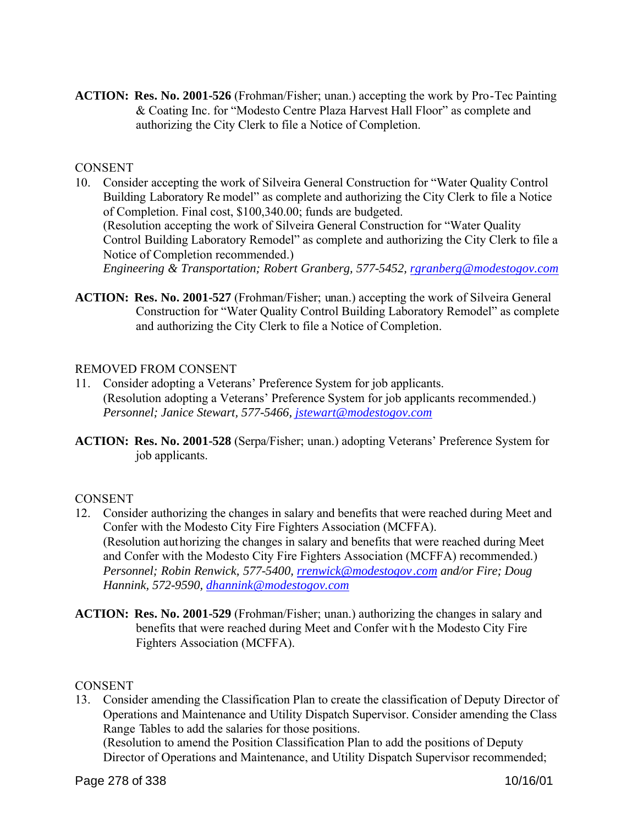**ACTION: Res. No. 2001-526** (Frohman/Fisher; unan.) accepting the work by Pro-Tec Painting & Coating Inc. for "Modesto Centre Plaza Harvest Hall Floor" as complete and authorizing the City Clerk to file a Notice of Completion.

### **CONSENT**

- 10. Consider accepting the work of Silveira General Construction for "Water Quality Control Building Laboratory Re model" as complete and authorizing the City Clerk to file a Notice of Completion. Final cost, \$100,340.00; funds are budgeted. (Resolution accepting the work of Silveira General Construction for "Water Quality Control Building Laboratory Remodel" as complete and authorizing the City Clerk to file a Notice of Completion recommended.) *Engineering & Transportation; Robert Granberg, 577-5452, rgranberg@modestogov.com*
- **ACTION: Res. No. 2001-527** (Frohman/Fisher; unan.) accepting the work of Silveira General Construction for "Water Quality Control Building Laboratory Remodel" as complete and authorizing the City Clerk to file a Notice of Completion.

### REMOVED FROM CONSENT

- 11. Consider adopting a Veterans' Preference System for job applicants. (Resolution adopting a Veterans' Preference System for job applicants recommended.) *Personnel; Janice Stewart, 577-5466, jstewart@modestogov.com*
- **ACTION: Res. No. 2001-528** (Serpa/Fisher; unan.) adopting Veterans' Preference System for job applicants.

# **CONSENT**

- 12. Consider authorizing the changes in salary and benefits that were reached during Meet and Confer with the Modesto City Fire Fighters Association (MCFFA). (Resolution authorizing the changes in salary and benefits that were reached during Meet and Confer with the Modesto City Fire Fighters Association (MCFFA) recommended.) *Personnel; Robin Renwick, 577-5400, rrenwick@modestogov .com and/or Fire; Doug Hannink, 572-9590, dhannink@modestogov.com*
- **ACTION: Res. No. 2001-529** (Frohman/Fisher; unan.) authorizing the changes in salary and benefits that were reached during Meet and Confer wit h the Modesto City Fire Fighters Association (MCFFA).

### **CONSENT**

13. Consider amending the Classification Plan to create the classification of Deputy Director of Operations and Maintenance and Utility Dispatch Supervisor. Consider amending the Class Range Tables to add the salaries for those positions.

(Resolution to amend the Position Classification Plan to add the positions of Deputy Director of Operations and Maintenance, and Utility Dispatch Supervisor recommended;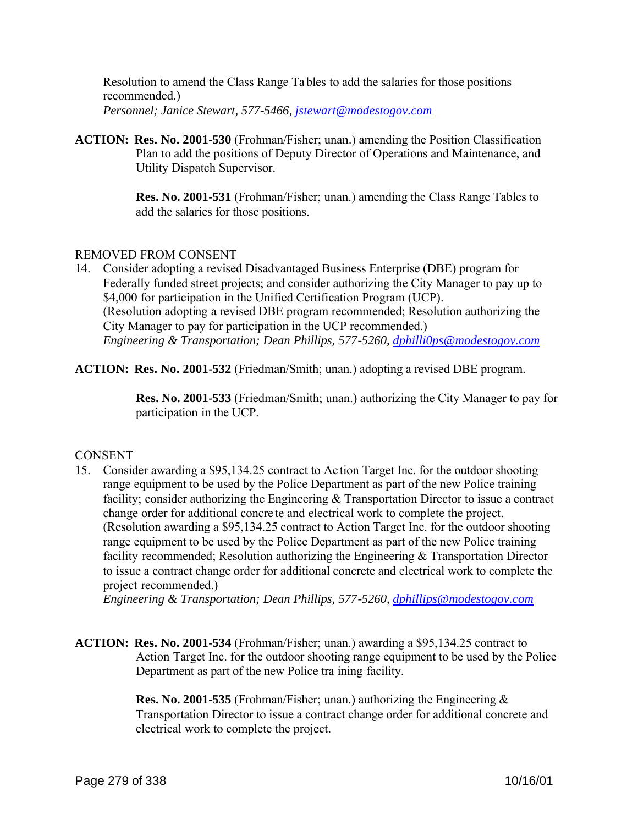Resolution to amend the Class Range Tables to add the salaries for those positions recommended.) *Personnel; Janice Stewart, 577-5466, jstewart@modestogov.com*

**ACTION: Res. No. 2001-530** (Frohman/Fisher; unan.) amending the Position Classification Plan to add the positions of Deputy Director of Operations and Maintenance, and Utility Dispatch Supervisor.

> **Res. No. 2001-531** (Frohman/Fisher; unan.) amending the Class Range Tables to add the salaries for those positions.

### REMOVED FROM CONSENT

14. Consider adopting a revised Disadvantaged Business Enterprise (DBE) program for Federally funded street projects; and consider authorizing the City Manager to pay up to \$4,000 for participation in the Unified Certification Program (UCP). (Resolution adopting a revised DBE program recommended; Resolution authorizing the City Manager to pay for participation in the UCP recommended.) *Engineering & Transportation; Dean Phillips, 577-5260, dphilli0ps@modestogov.com*

**ACTION: Res. No. 2001-532** (Friedman/Smith; unan.) adopting a revised DBE program.

 **Res. No. 2001-533** (Friedman/Smith; unan.) authorizing the City Manager to pay for participation in the UCP.

### **CONSENT**

15. Consider awarding a \$95,134.25 contract to Ac tion Target Inc. for the outdoor shooting range equipment to be used by the Police Department as part of the new Police training facility; consider authorizing the Engineering & Transportation Director to issue a contract change order for additional concre te and electrical work to complete the project. (Resolution awarding a \$95,134.25 contract to Action Target Inc. for the outdoor shooting range equipment to be used by the Police Department as part of the new Police training facility recommended; Resolution authorizing the Engineering & Transportation Director to issue a contract change order for additional concrete and electrical work to complete the project recommended.)

*Engineering & Transportation; Dean Phillips, 577-5260, dphillips@modestogov.com*

### **ACTION: Res. No. 2001-534** (Frohman/Fisher; unan.) awarding a \$95,134.25 contract to Action Target Inc. for the outdoor shooting range equipment to be used by the Police Department as part of the new Police tra ining facility.

 **Res. No. 2001-535** (Frohman/Fisher; unan.) authorizing the Engineering & Transportation Director to issue a contract change order for additional concrete and electrical work to complete the project.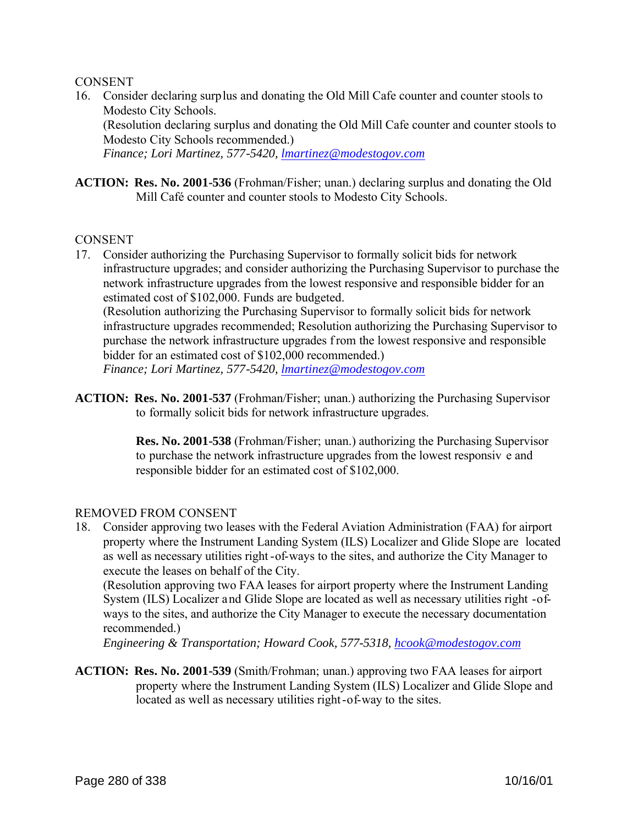#### **CONSENT**

16. Consider declaring surplus and donating the Old Mill Cafe counter and counter stools to Modesto City Schools.

(Resolution declaring surplus and donating the Old Mill Cafe counter and counter stools to Modesto City Schools recommended.)

*Finance; Lori Martinez, 577-5420, lmartinez@modestogov.com*

**ACTION: Res. No. 2001-536** (Frohman/Fisher; unan.) declaring surplus and donating the Old Mill Café counter and counter stools to Modesto City Schools.

#### **CONSENT**

17. Consider authorizing the Purchasing Supervisor to formally solicit bids for network infrastructure upgrades; and consider authorizing the Purchasing Supervisor to purchase the network infrastructure upgrades from the lowest responsive and responsible bidder for an estimated cost of \$102,000. Funds are budgeted.

(Resolution authorizing the Purchasing Supervisor to formally solicit bids for network infrastructure upgrades recommended; Resolution authorizing the Purchasing Supervisor to purchase the network infrastructure upgrades from the lowest responsive and responsible bidder for an estimated cost of \$102,000 recommended.)

*Finance; Lori Martinez, 577-5420, lmartinez@modestogov.com*

**ACTION: Res. No. 2001-537** (Frohman/Fisher; unan.) authorizing the Purchasing Supervisor to formally solicit bids for network infrastructure upgrades.

> **Res. No. 2001-538** (Frohman/Fisher; unan.) authorizing the Purchasing Supervisor to purchase the network infrastructure upgrades from the lowest responsiv e and responsible bidder for an estimated cost of \$102,000.

### REMOVED FROM CONSENT

18. Consider approving two leases with the Federal Aviation Administration (FAA) for airport property where the Instrument Landing System (ILS) Localizer and Glide Slope are located as well as necessary utilities right -of-ways to the sites, and authorize the City Manager to execute the leases on behalf of the City.

(Resolution approving two FAA leases for airport property where the Instrument Landing System (ILS) Localizer and Glide Slope are located as well as necessary utilities right -ofways to the sites, and authorize the City Manager to execute the necessary documentation recommended.)

*Engineering & Transportation; Howard Cook, 577-5318, hcook@modestogov.com*

**ACTION: Res. No. 2001-539** (Smith/Frohman; unan.) approving two FAA leases for airport property where the Instrument Landing System (ILS) Localizer and Glide Slope and located as well as necessary utilities right-of-way to the sites.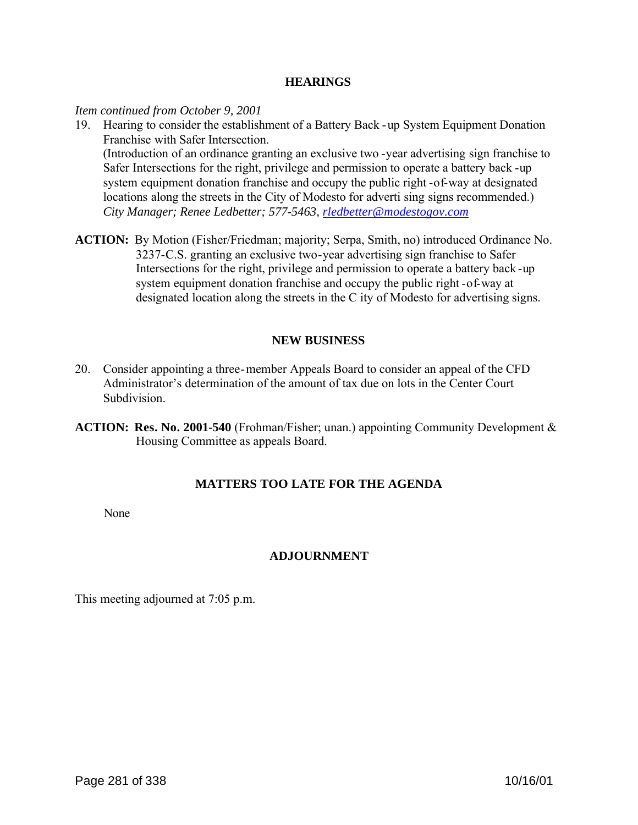#### **HEARINGS**

*Item continued from October 9, 2001*

19. Hearing to consider the establishment of a Battery Back -up System Equipment Donation Franchise with Safer Intersection.

(Introduction of an ordinance granting an exclusive two -year advertising sign franchise to Safer Intersections for the right, privilege and permission to operate a battery back -up system equipment donation franchise and occupy the public right -of-way at designated locations along the streets in the City of Modesto for adverti sing signs recommended.) *City Manager; Renee Ledbetter; 577-5463, rledbetter@modestogov.com*

**ACTION:** By Motion (Fisher/Friedman; majority; Serpa, Smith, no) introduced Ordinance No. 3237-C.S. granting an exclusive two-year advertising sign franchise to Safer Intersections for the right, privilege and permission to operate a battery back -up system equipment donation franchise and occupy the public right -of-way at designated location along the streets in the C ity of Modesto for advertising signs.

# **NEW BUSINESS**

- 20. Consider appointing a three-member Appeals Board to consider an appeal of the CFD Administrator's determination of the amount of tax due on lots in the Center Court **Subdivision**
- **ACTION: Res. No. 2001-540** (Frohman/Fisher; unan.) appointing Community Development & Housing Committee as appeals Board.

# **MATTERS TOO LATE FOR THE AGENDA**

None

# **ADJOURNMENT**

This meeting adjourned at 7:05 p.m.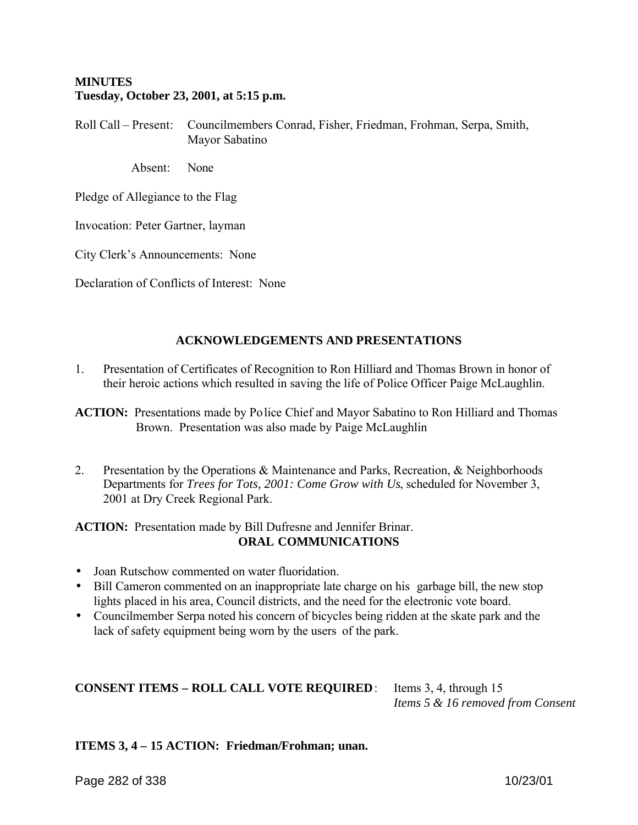### **MINUTES Tuesday, October 23, 2001, at 5:15 p.m.**

Roll Call – Present: Councilmembers Conrad, Fisher, Friedman, Frohman, Serpa, Smith, Mayor Sabatino

Absent: None

Pledge of Allegiance to the Flag

Invocation: Peter Gartner, layman

City Clerk's Announcements: None

Declaration of Conflicts of Interest: None

# **ACKNOWLEDGEMENTS AND PRESENTATIONS**

1. Presentation of Certificates of Recognition to Ron Hilliard and Thomas Brown in honor of their heroic actions which resulted in saving the life of Police Officer Paige McLaughlin.

**ACTION:** Presentations made by Police Chief and Mayor Sabatino to Ron Hilliard and Thomas Brown. Presentation was also made by Paige McLaughlin

2. Presentation by the Operations & Maintenance and Parks, Recreation, & Neighborhoods Departments for *Trees for Tots, 2001: Come Grow with Us*, scheduled for November 3, 2001 at Dry Creek Regional Park.

**ACTION:** Presentation made by Bill Dufresne and Jennifer Brinar. **ORAL COMMUNICATIONS**

- Joan Rutschow commented on water fluoridation.
- Bill Cameron commented on an inappropriate late charge on his garbage bill, the new stop lights placed in his area, Council districts, and the need for the electronic vote board.
- Councilmember Serpa noted his concern of bicycles being ridden at the skate park and the lack of safety equipment being worn by the users of the park.

# **CONSENT ITEMS – ROLL CALL VOTE REQUIRED**: Items 3, 4, through 15

*Items 5 & 16 removed from Consent*

**ITEMS 3, 4 – 15 ACTION: Friedman/Frohman; unan.**

Page 282 of 338 10/23/01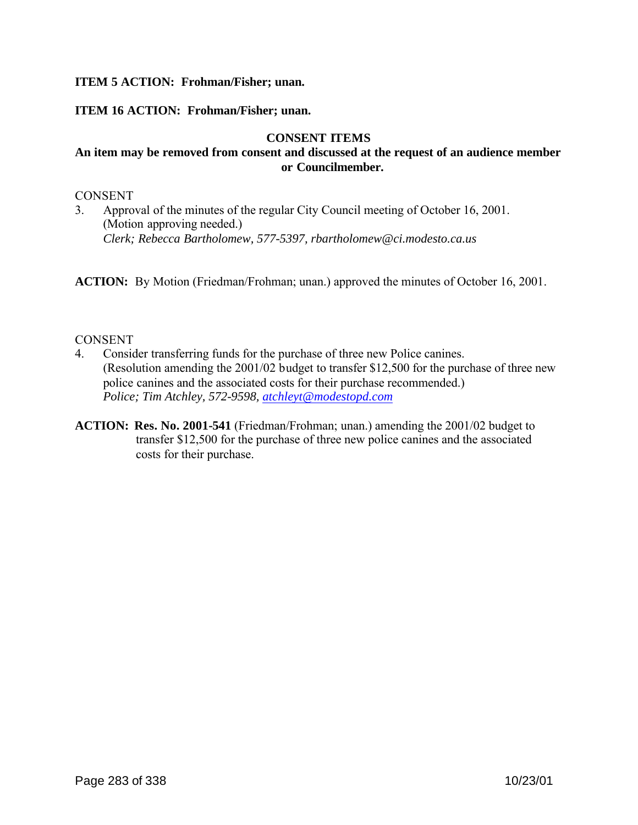### **ITEM 5 ACTION: Frohman/Fisher; unan.**

### **ITEM 16 ACTION: Frohman/Fisher; unan.**

### **CONSENT ITEMS**

### **An item may be removed from consent and discussed at the request of an audience member or Councilmember.**

#### **CONSENT**

3. Approval of the minutes of the regular City Council meeting of October 16, 2001. (Motion approving needed.) *Clerk; Rebecca Bartholomew, 577-5397, rbartholomew@ci.modesto.ca.us*

**ACTION:** By Motion (Friedman/Frohman; unan.) approved the minutes of October 16, 2001.

#### **CONSENT**

- 4. Consider transferring funds for the purchase of three new Police canines. (Resolution amending the 2001/02 budget to transfer \$12,500 for the purchase of three new police canines and the associated costs for their purchase recommended.) *Police; Tim Atchley, 572-9598, atchleyt@modestopd.com*
- **ACTION: Res. No. 2001-541** (Friedman/Frohman; unan.) amending the 2001/02 budget to transfer \$12,500 for the purchase of three new police canines and the associated costs for their purchase.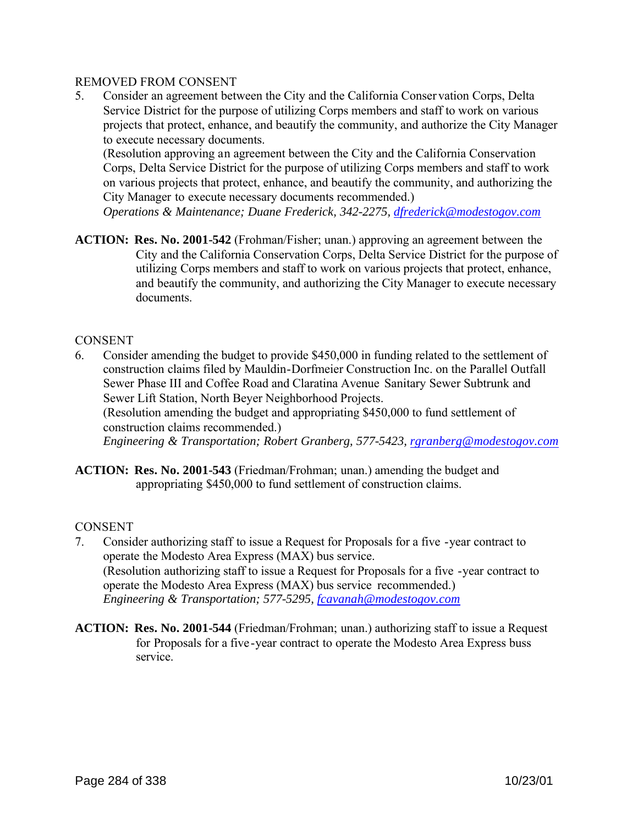### REMOVED FROM CONSENT

5. Consider an agreement between the City and the California Conser vation Corps, Delta Service District for the purpose of utilizing Corps members and staff to work on various projects that protect, enhance, and beautify the community, and authorize the City Manager to execute necessary documents.

(Resolution approving an agreement between the City and the California Conservation Corps, Delta Service District for the purpose of utilizing Corps members and staff to work on various projects that protect, enhance, and beautify the community, and authorizing the City Manager to execute necessary documents recommended.)

*Operations & Maintenance; Duane Frederick, 342-2275, dfrederick@modestogov.com*

**ACTION: Res. No. 2001-542** (Frohman/Fisher; unan.) approving an agreement between the City and the California Conservation Corps, Delta Service District for the purpose of utilizing Corps members and staff to work on various projects that protect, enhance, and beautify the community, and authorizing the City Manager to execute necessary documents.

### **CONSENT**

- 6. Consider amending the budget to provide \$450,000 in funding related to the settlement of construction claims filed by Mauldin-Dorfmeier Construction Inc. on the Parallel Outfall Sewer Phase III and Coffee Road and Claratina Avenue Sanitary Sewer Subtrunk and Sewer Lift Station, North Beyer Neighborhood Projects. (Resolution amending the budget and appropriating \$450,000 to fund settlement of construction claims recommended.) *Engineering & Transportation; Robert Granberg, 577-5423, rgranberg@modestogov.com*
- **ACTION: Res. No. 2001-543** (Friedman/Frohman; unan.) amending the budget and appropriating \$450,000 to fund settlement of construction claims.

# **CONSENT**

- 7. Consider authorizing staff to issue a Request for Proposals for a five -year contract to operate the Modesto Area Express (MAX) bus service. (Resolution authorizing staff to issue a Request for Proposals for a five -year contract to operate the Modesto Area Express (MAX) bus service recommended.) *Engineering & Transportation; 577-5295, fcavanah@modestogov.com*
- **ACTION: Res. No. 2001-544** (Friedman/Frohman; unan.) authorizing staff to issue a Request for Proposals for a five-year contract to operate the Modesto Area Express buss service.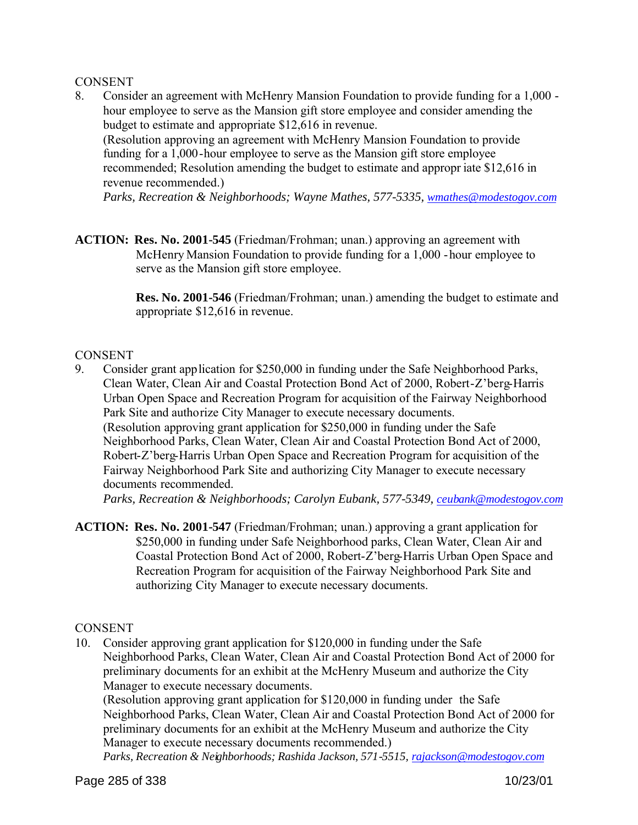### **CONSENT**

8. Consider an agreement with McHenry Mansion Foundation to provide funding for a 1,000 hour employee to serve as the Mansion gift store employee and consider amending the budget to estimate and appropriate \$12,616 in revenue. (Resolution approving an agreement with McHenry Mansion Foundation to provide funding for a 1,000-hour employee to serve as the Mansion gift store employee

recommended; Resolution amending the budget to estimate and appropr iate \$12,616 in revenue recommended.)

*Parks, Recreation & Neighborhoods; Wayne Mathes, 577-5335, wmathes@modestogov.com*

**ACTION: Res. No. 2001-545** (Friedman/Frohman; unan.) approving an agreement with McHenry Mansion Foundation to provide funding for a 1,000 -hour employee to serve as the Mansion gift store employee.

> **Res. No. 2001-546** (Friedman/Frohman; unan.) amending the budget to estimate and appropriate \$12,616 in revenue.

### **CONSENT**

9. Consider grant application for \$250,000 in funding under the Safe Neighborhood Parks, Clean Water, Clean Air and Coastal Protection Bond Act of 2000, Robert-Z'berg-Harris Urban Open Space and Recreation Program for acquisition of the Fairway Neighborhood Park Site and authorize City Manager to execute necessary documents. (Resolution approving grant application for \$250,000 in funding under the Safe Neighborhood Parks, Clean Water, Clean Air and Coastal Protection Bond Act of 2000, Robert-Z'berg-Harris Urban Open Space and Recreation Program for acquisition of the Fairway Neighborhood Park Site and authorizing City Manager to execute necessary documents recommended.

*Parks, Recreation & Neighborhoods; Carolyn Eubank, 577-5349, ceubank@modestogov.com*

**ACTION: Res. No. 2001-547** (Friedman/Frohman; unan.) approving a grant application for \$250,000 in funding under Safe Neighborhood parks, Clean Water, Clean Air and Coastal Protection Bond Act of 2000, Robert-Z'berg-Harris Urban Open Space and Recreation Program for acquisition of the Fairway Neighborhood Park Site and authorizing City Manager to execute necessary documents.

### **CONSENT**

10. Consider approving grant application for \$120,000 in funding under the Safe Neighborhood Parks, Clean Water, Clean Air and Coastal Protection Bond Act of 2000 for preliminary documents for an exhibit at the McHenry Museum and authorize the City Manager to execute necessary documents.

(Resolution approving grant application for \$120,000 in funding under the Safe Neighborhood Parks, Clean Water, Clean Air and Coastal Protection Bond Act of 2000 for preliminary documents for an exhibit at the McHenry Museum and authorize the City Manager to execute necessary documents recommended.)

*Parks, Recreation & Neighborhoods; Rashida Jackson, 571-5515, rajackson@modestogov.com*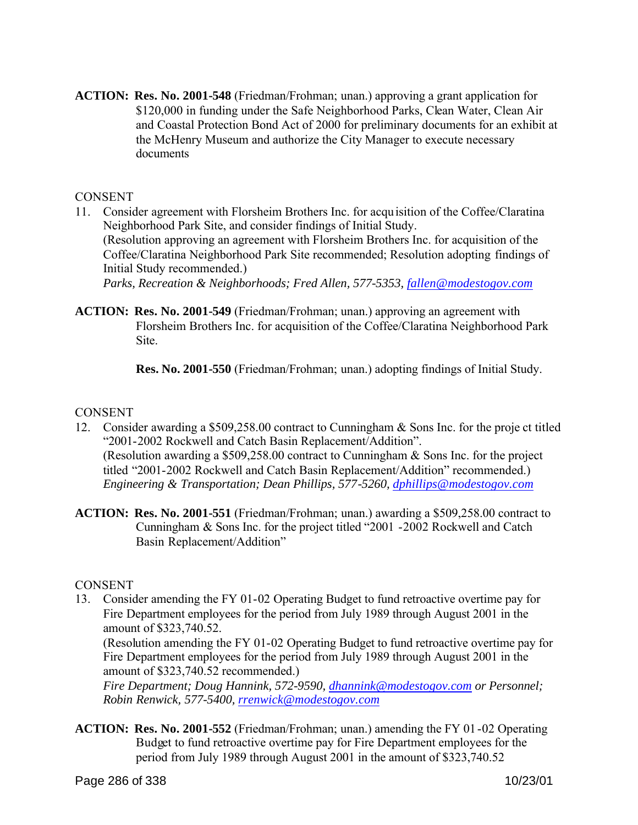**ACTION: Res. No. 2001-548** (Friedman/Frohman; unan.) approving a grant application for \$120,000 in funding under the Safe Neighborhood Parks, Clean Water, Clean Air and Coastal Protection Bond Act of 2000 for preliminary documents for an exhibit at the McHenry Museum and authorize the City Manager to execute necessary documents

### **CONSENT**

- 11. Consider agreement with Florsheim Brothers Inc. for acquisition of the Coffee/Claratina Neighborhood Park Site, and consider findings of Initial Study. (Resolution approving an agreement with Florsheim Brothers Inc. for acquisition of the Coffee/Claratina Neighborhood Park Site recommended; Resolution adopting findings of Initial Study recommended.) *Parks, Recreation & Neighborhoods; Fred Allen, 577-5353, fallen@modestogov.com*
- **ACTION: Res. No. 2001-549** (Friedman/Frohman; unan.) approving an agreement with Florsheim Brothers Inc. for acquisition of the Coffee/Claratina Neighborhood Park **Site**

 **Res. No. 2001-550** (Friedman/Frohman; unan.) adopting findings of Initial Study.

### **CONSENT**

- 12. Consider awarding a \$509,258.00 contract to Cunningham & Sons Inc. for the proje ct titled "2001-2002 Rockwell and Catch Basin Replacement/Addition". (Resolution awarding a \$509,258.00 contract to Cunningham & Sons Inc. for the project titled "2001-2002 Rockwell and Catch Basin Replacement/Addition" recommended.) *Engineering & Transportation; Dean Phillips, 577-5260, dphillips@modestogov.com*
- **ACTION: Res. No. 2001-551** (Friedman/Frohman; unan.) awarding a \$509,258.00 contract to Cunningham & Sons Inc. for the project titled "2001 -2002 Rockwell and Catch Basin Replacement/Addition"

### **CONSENT**

13. Consider amending the FY 01-02 Operating Budget to fund retroactive overtime pay for Fire Department employees for the period from July 1989 through August 2001 in the amount of \$323,740.52.

(Resolution amending the FY 01-02 Operating Budget to fund retroactive overtime pay for Fire Department employees for the period from July 1989 through August 2001 in the amount of \$323,740.52 recommended.)

*Fire Department; Doug Hannink, 572-9590, dhannink@modestogov.com or Personnel; Robin Renwick, 577-5400, rrenwick@modestogov.com*

**ACTION: Res. No. 2001-552** (Friedman/Frohman; unan.) amending the FY 01-02 Operating Budget to fund retroactive overtime pay for Fire Department employees for the period from July 1989 through August 2001 in the amount of \$323,740.52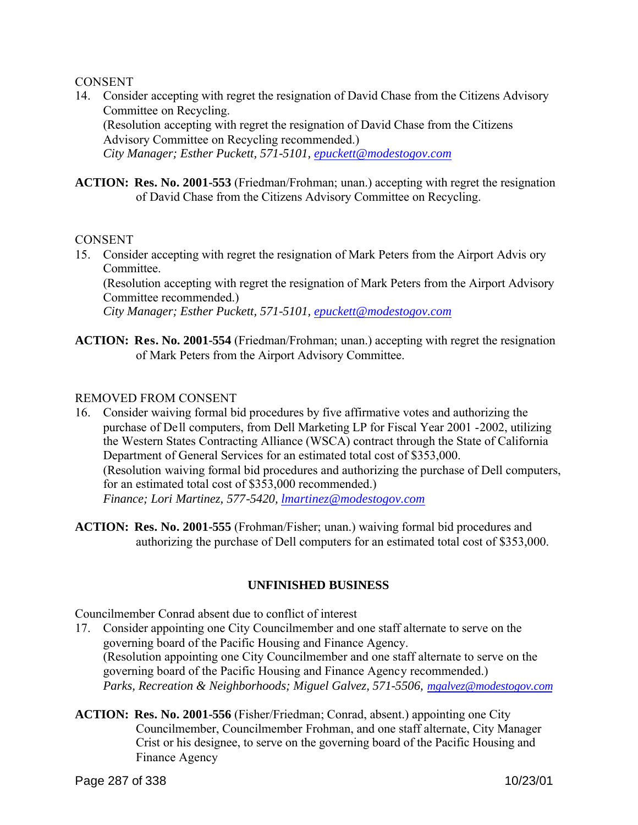#### **CONSENT**

14. Consider accepting with regret the resignation of David Chase from the Citizens Advisory Committee on Recycling.

(Resolution accepting with regret the resignation of David Chase from the Citizens Advisory Committee on Recycling recommended.)

*City Manager; Esther Puckett, 571-5101, epuckett@modestogov.com*

**ACTION: Res. No. 2001-553** (Friedman/Frohman; unan.) accepting with regret the resignation of David Chase from the Citizens Advisory Committee on Recycling.

#### **CONSENT**

15. Consider accepting with regret the resignation of Mark Peters from the Airport Advis ory Committee.

(Resolution accepting with regret the resignation of Mark Peters from the Airport Advisory Committee recommended.)

*City Manager; Esther Puckett, 571-5101, epuckett@modestogov.com*

**ACTION: Res. No. 2001-554** (Friedman/Frohman; unan.) accepting with regret the resignation of Mark Peters from the Airport Advisory Committee.

#### REMOVED FROM CONSENT

- 16. Consider waiving formal bid procedures by five affirmative votes and authorizing the purchase of Dell computers, from Dell Marketing LP for Fiscal Year 2001 -2002, utilizing the Western States Contracting Alliance (WSCA) contract through the State of California Department of General Services for an estimated total cost of \$353,000. (Resolution waiving formal bid procedures and authorizing the purchase of Dell computers, for an estimated total cost of \$353,000 recommended.) *Finance; Lori Martinez, 577-5420, lmartinez@modestogov.com*
- **ACTION: Res. No. 2001-555** (Frohman/Fisher; unan.) waiving formal bid procedures and authorizing the purchase of Dell computers for an estimated total cost of \$353,000.

### **UNFINISHED BUSINESS**

Councilmember Conrad absent due to conflict of interest

- 17. Consider appointing one City Councilmember and one staff alternate to serve on the governing board of the Pacific Housing and Finance Agency. (Resolution appointing one City Councilmember and one staff alternate to serve on the governing board of the Pacific Housing and Finance Agency recommended.) *Parks, Recreation & Neighborhoods; Miguel Galvez, 571-5506, mgalvez@modestogov.com*
- **ACTION: Res. No. 2001-556** (Fisher/Friedman; Conrad, absent.) appointing one City Councilmember, Councilmember Frohman, and one staff alternate, City Manager Crist or his designee, to serve on the governing board of the Pacific Housing and Finance Agency

Page 287 of 338 10/23/01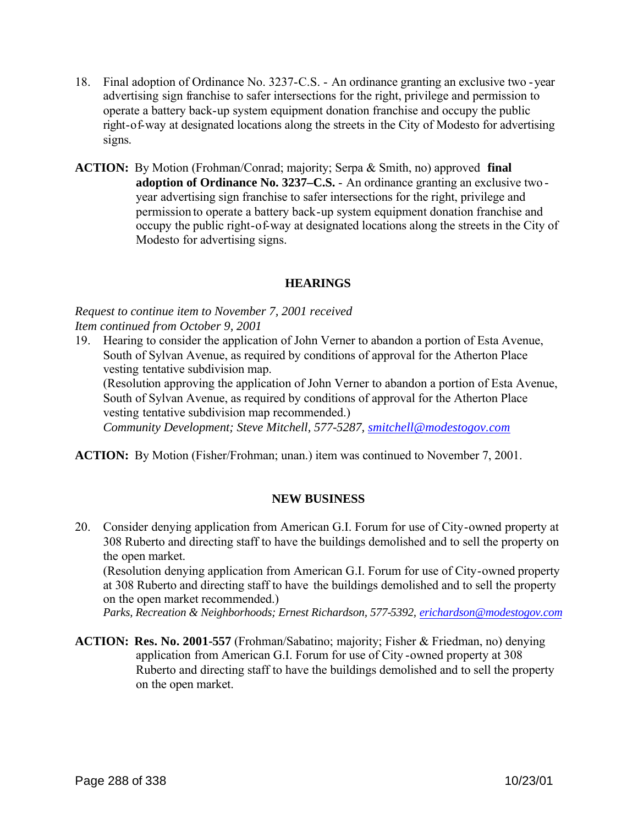- 18. Final adoption of Ordinance No. 3237-C.S. An ordinance granting an exclusive two -year advertising sign franchise to safer intersections for the right, privilege and permission to operate a battery back-up system equipment donation franchise and occupy the public right-of-way at designated locations along the streets in the City of Modesto for advertising signs.
- **ACTION:** By Motion (Frohman/Conrad; majority; Serpa & Smith, no) approved **final adoption of Ordinance No. 3237–C.S.** - An ordinance granting an exclusive two year advertising sign franchise to safer intersections for the right, privilege and permission to operate a battery back-up system equipment donation franchise and occupy the public right-of-way at designated locations along the streets in the City of Modesto for advertising signs.

### **HEARINGS**

*Request to continue item to November 7, 2001 received Item continued from October 9, 2001*

19. Hearing to consider the application of John Verner to abandon a portion of Esta Avenue, South of Sylvan Avenue, as required by conditions of approval for the Atherton Place vesting tentative subdivision map.

(Resolution approving the application of John Verner to abandon a portion of Esta Avenue, South of Sylvan Avenue, as required by conditions of approval for the Atherton Place vesting tentative subdivision map recommended.)

*Community Development; Steve Mitchell, 577-5287, smitchell@modestogov.com*

**ACTION:** By Motion (Fisher/Frohman; unan.) item was continued to November 7, 2001.

# **NEW BUSINESS**

20. Consider denying application from American G.I. Forum for use of City-owned property at 308 Ruberto and directing staff to have the buildings demolished and to sell the property on the open market.

(Resolution denying application from American G.I. Forum for use of City-owned property at 308 Ruberto and directing staff to have the buildings demolished and to sell the property on the open market recommended.)

*Parks, Recreation & Neighborhoods; Ernest Richardson, 577-5392, erichardson@modestogov.com*

**ACTION: Res. No. 2001-557** (Frohman/Sabatino; majority; Fisher & Friedman, no) denying application from American G.I. Forum for use of City -owned property at 308 Ruberto and directing staff to have the buildings demolished and to sell the property on the open market.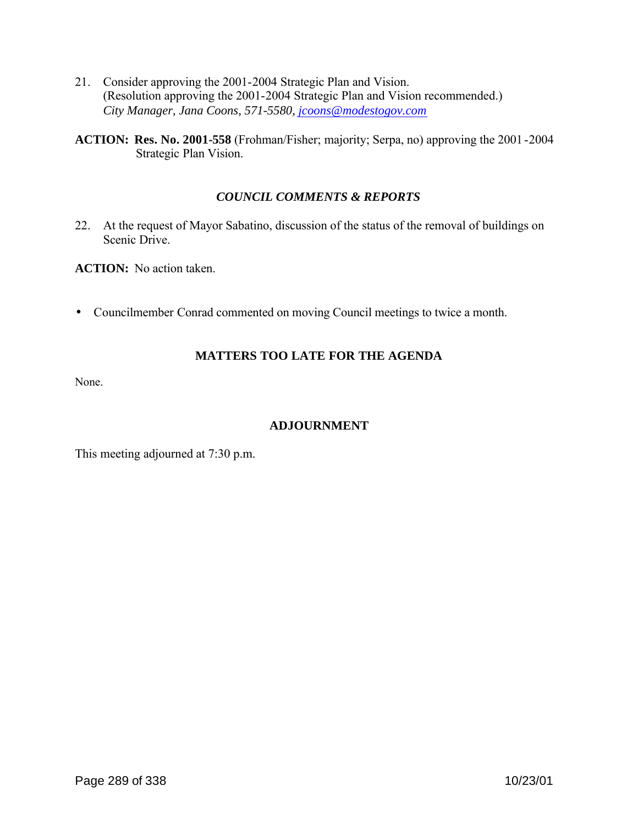- 21. Consider approving the 2001-2004 Strategic Plan and Vision. (Resolution approving the 2001-2004 Strategic Plan and Vision recommended.) *City Manager, Jana Coons, 571-5580, jcoons@modestogov.com*
- **ACTION: Res. No. 2001-558** (Frohman/Fisher; majority; Serpa, no) approving the 2001-2004 Strategic Plan Vision.

# *COUNCIL COMMENTS & REPORTS*

22. At the request of Mayor Sabatino, discussion of the status of the removal of buildings on Scenic Drive.

**ACTION:** No action taken.

• Councilmember Conrad commented on moving Council meetings to twice a month.

# **MATTERS TOO LATE FOR THE AGENDA**

None.

# **ADJOURNMENT**

This meeting adjourned at 7:30 p.m.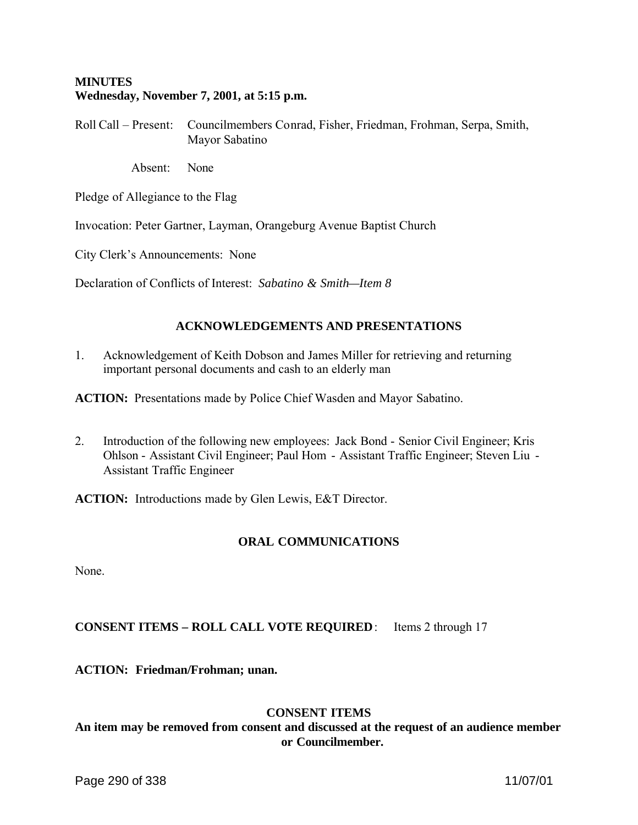#### **MINUTES Wednesday, November 7, 2001, at 5:15 p.m.**

Roll Call – Present: Councilmembers Conrad, Fisher, Friedman, Frohman, Serpa, Smith, Mayor Sabatino

Absent: None

Pledge of Allegiance to the Flag

Invocation: Peter Gartner, Layman, Orangeburg Avenue Baptist Church

City Clerk's Announcements: None

Declaration of Conflicts of Interest: *Sabatino & Smith—Item 8*

# **ACKNOWLEDGEMENTS AND PRESENTATIONS**

1. Acknowledgement of Keith Dobson and James Miller for retrieving and returning important personal documents and cash to an elderly man

**ACTION:** Presentations made by Police Chief Wasden and Mayor Sabatino.

2. Introduction of the following new employees: Jack Bond - Senior Civil Engineer; Kris Ohlson - Assistant Civil Engineer; Paul Hom - Assistant Traffic Engineer; Steven Liu - Assistant Traffic Engineer

**ACTION:** Introductions made by Glen Lewis, E&T Director.

# **ORAL COMMUNICATIONS**

None.

# **CONSENT ITEMS – ROLL CALL VOTE REQUIRED**: Items 2 through 17

**ACTION: Friedman/Frohman; unan.**

# **CONSENT ITEMS**

**An item may be removed from consent and discussed at the request of an audience member or Councilmember.**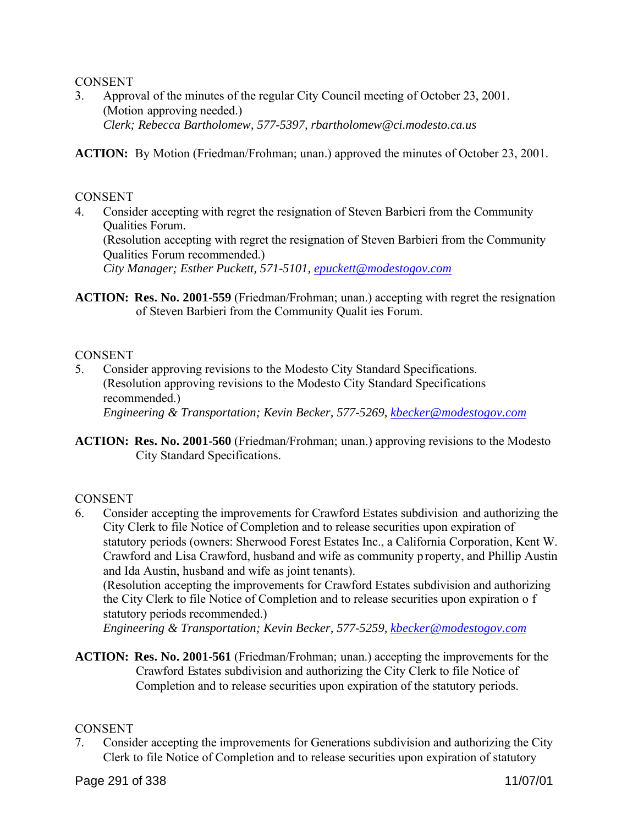#### CONSENT

3. Approval of the minutes of the regular City Council meeting of October 23, 2001. (Motion approving needed.) *Clerk; Rebecca Bartholomew, 577-5397, rbartholomew@ci.modesto.ca.us*

**ACTION:** By Motion (Friedman/Frohman; unan.) approved the minutes of October 23, 2001.

#### **CONSENT**

4. Consider accepting with regret the resignation of Steven Barbieri from the Community Qualities Forum.

(Resolution accepting with regret the resignation of Steven Barbieri from the Community Qualities Forum recommended.)

*City Manager; Esther Puckett, 571-5101, epuckett@modestogov.com*

**ACTION: Res. No. 2001-559** (Friedman/Frohman; unan.) accepting with regret the resignation of Steven Barbieri from the Community Qualit ies Forum.

# **CONSENT**

- 5. Consider approving revisions to the Modesto City Standard Specifications. (Resolution approving revisions to the Modesto City Standard Specifications recommended.) *Engineering & Transportation; Kevin Becker, 577-5269, kbecker@modestogov.com*
- **ACTION: Res. No. 2001-560** (Friedman/Frohman; unan.) approving revisions to the Modesto City Standard Specifications.

#### **CONSENT**

6. Consider accepting the improvements for Crawford Estates subdivision and authorizing the City Clerk to file Notice of Completion and to release securities upon expiration of statutory periods (owners: Sherwood Forest Estates Inc., a California Corporation, Kent W. Crawford and Lisa Crawford, husband and wife as community p roperty, and Phillip Austin and Ida Austin, husband and wife as joint tenants).

(Resolution accepting the improvements for Crawford Estates subdivision and authorizing the City Clerk to file Notice of Completion and to release securities upon expiration o f statutory periods recommended.)

*Engineering & Transportation; Kevin Becker, 577-5259, kbecker@modestogov.com*

**ACTION: Res. No. 2001-561** (Friedman/Frohman; unan.) accepting the improvements for the Crawford Estates subdivision and authorizing the City Clerk to file Notice of Completion and to release securities upon expiration of the statutory periods.

#### **CONSENT**

7. Consider accepting the improvements for Generations subdivision and authorizing the City Clerk to file Notice of Completion and to release securities upon expiration of statutory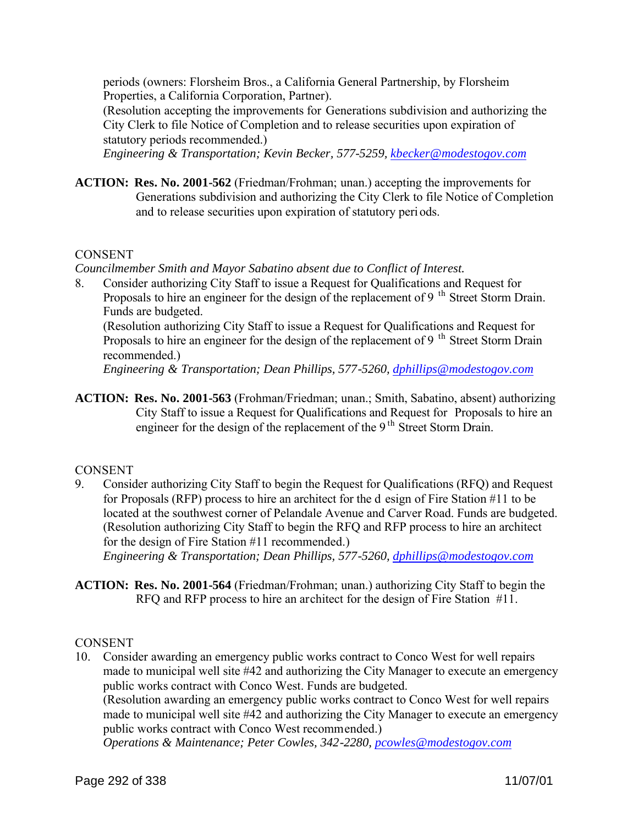periods (owners: Florsheim Bros., a California General Partnership, by Florsheim Properties, a California Corporation, Partner).

(Resolution accepting the improvements for Generations subdivision and authorizing the City Clerk to file Notice of Completion and to release securities upon expiration of statutory periods recommended.)

*Engineering & Transportation; Kevin Becker, 577-5259, kbecker@modestogov.com*

**ACTION: Res. No. 2001-562** (Friedman/Frohman; unan.) accepting the improvements for Generations subdivision and authorizing the City Clerk to file Notice of Completion and to release securities upon expiration of statutory periods.

# **CONSENT**

*Councilmember Smith and Mayor Sabatino absent due to Conflict of Interest.*

8. Consider authorizing City Staff to issue a Request for Qualifications and Request for Proposals to hire an engineer for the design of the replacement of 9<sup>th</sup> Street Storm Drain. Funds are budgeted.

(Resolution authorizing City Staff to issue a Request for Qualifications and Request for Proposals to hire an engineer for the design of the replacement of 9<sup>th</sup> Street Storm Drain recommended.)

*Engineering & Transportation; Dean Phillips, 577-5260, dphillips@modestogov.com*

**ACTION: Res. No. 2001-563** (Frohman/Friedman; unan.; Smith, Sabatino, absent) authorizing City Staff to issue a Request for Qualifications and Request for Proposals to hire an engineer for the design of the replacement of the 9<sup>th</sup> Street Storm Drain.

# **CONSENT**

- 9. Consider authorizing City Staff to begin the Request for Qualifications (RFQ) and Request for Proposals (RFP) process to hire an architect for the d esign of Fire Station #11 to be located at the southwest corner of Pelandale Avenue and Carver Road. Funds are budgeted. (Resolution authorizing City Staff to begin the RFQ and RFP process to hire an architect for the design of Fire Station #11 recommended.) *Engineering & Transportation; Dean Phillips, 577-5260, dphillips@modestogov.com*
- **ACTION: Res. No. 2001-564** (Friedman/Frohman; unan.) authorizing City Staff to begin the RFQ and RFP process to hire an architect for the design of Fire Station #11.

# **CONSENT**

10. Consider awarding an emergency public works contract to Conco West for well repairs made to municipal well site #42 and authorizing the City Manager to execute an emergency public works contract with Conco West. Funds are budgeted. (Resolution awarding an emergency public works contract to Conco West for well repairs made to municipal well site #42 and authorizing the City Manager to execute an emergency public works contract with Conco West recommended.) *Operations & Maintenance; Peter Cowles, 342-2280, pcowles@modestogov.com*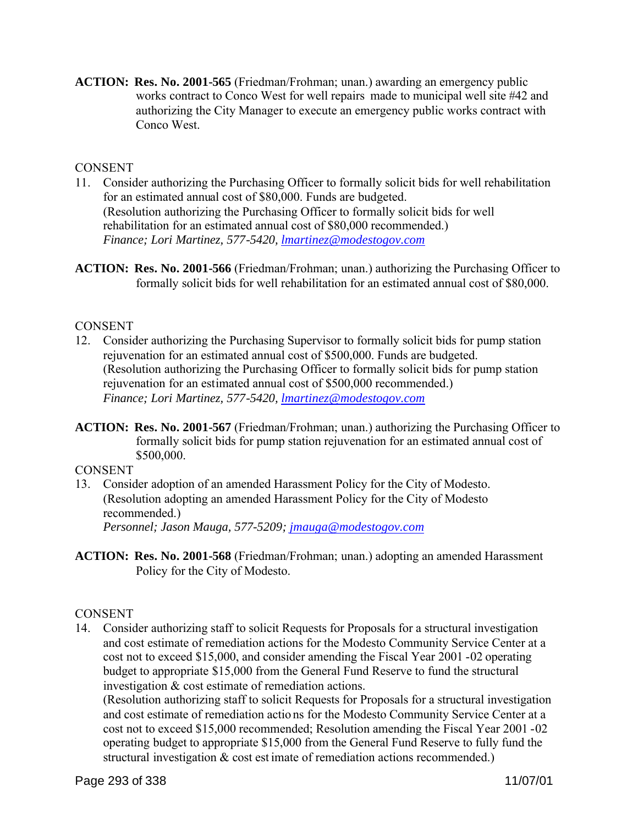**ACTION: Res. No. 2001-565** (Friedman/Frohman; unan.) awarding an emergency public works contract to Conco West for well repairs made to municipal well site #42 and authorizing the City Manager to execute an emergency public works contract with Conco West.

# CONSENT

- 11. Consider authorizing the Purchasing Officer to formally solicit bids for well rehabilitation for an estimated annual cost of \$80,000. Funds are budgeted. (Resolution authorizing the Purchasing Officer to formally solicit bids for well rehabilitation for an estimated annual cost of \$80,000 recommended.) *Finance; Lori Martinez, 577-5420, lmartinez@modestogov.com*
- **ACTION: Res. No. 2001-566** (Friedman/Frohman; unan.) authorizing the Purchasing Officer to formally solicit bids for well rehabilitation for an estimated annual cost of \$80,000.

# **CONSENT**

- 12. Consider authorizing the Purchasing Supervisor to formally solicit bids for pump station rejuvenation for an estimated annual cost of \$500,000. Funds are budgeted. (Resolution authorizing the Purchasing Officer to formally solicit bids for pump station rejuvenation for an estimated annual cost of \$500,000 recommended.) *Finance; Lori Martinez, 577-5420, lmartinez@modestogov.com*
- **ACTION: Res. No. 2001-567** (Friedman/Frohman; unan.) authorizing the Purchasing Officer to formally solicit bids for pump station rejuvenation for an estimated annual cost of \$500,000.

# CONSENT

- 13. Consider adoption of an amended Harassment Policy for the City of Modesto. (Resolution adopting an amended Harassment Policy for the City of Modesto recommended.) *Personnel; Jason Mauga, 577-5209; jmauga@modestogov.com*
- **ACTION: Res. No. 2001-568** (Friedman/Frohman; unan.) adopting an amended Harassment Policy for the City of Modesto.

# **CONSENT**

14. Consider authorizing staff to solicit Requests for Proposals for a structural investigation and cost estimate of remediation actions for the Modesto Community Service Center at a cost not to exceed \$15,000, and consider amending the Fiscal Year 2001 -02 operating budget to appropriate \$15,000 from the General Fund Reserve to fund the structural investigation & cost estimate of remediation actions.

(Resolution authorizing staff to solicit Requests for Proposals for a structural investigation and cost estimate of remediation actio ns for the Modesto Community Service Center at a cost not to exceed \$15,000 recommended; Resolution amending the Fiscal Year 2001 -02 operating budget to appropriate \$15,000 from the General Fund Reserve to fully fund the structural investigation & cost est imate of remediation actions recommended.)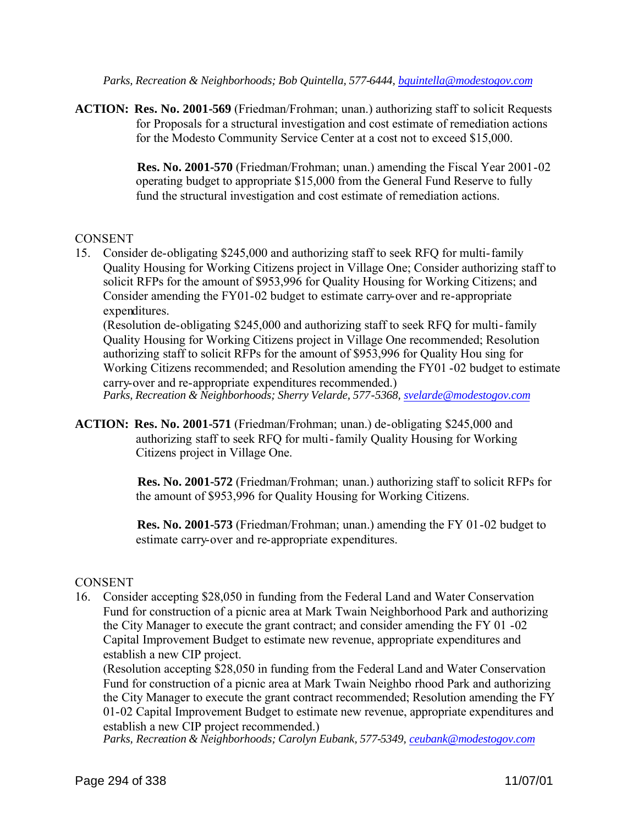*Parks, Recreation & Neighborhoods; Bob Quintella, 577-6444, bquintella@modestogov.com*

**ACTION: Res. No. 2001-569** (Friedman/Frohman; unan.) authorizing staff to solicit Requests for Proposals for a structural investigation and cost estimate of remediation actions for the Modesto Community Service Center at a cost not to exceed \$15,000.

> **Res. No. 2001-570** (Friedman/Frohman; unan.) amending the Fiscal Year 2001-02 operating budget to appropriate \$15,000 from the General Fund Reserve to fully fund the structural investigation and cost estimate of remediation actions.

# **CONSENT**

15. Consider de-obligating \$245,000 and authorizing staff to seek RFQ for multi-family Quality Housing for Working Citizens project in Village One; Consider authorizing staff to solicit RFPs for the amount of \$953,996 for Quality Housing for Working Citizens; and Consider amending the FY01-02 budget to estimate carry-over and re-appropriate expenditures.

(Resolution de-obligating \$245,000 and authorizing staff to seek RFQ for multi-family Quality Housing for Working Citizens project in Village One recommended; Resolution authorizing staff to solicit RFPs for the amount of \$953,996 for Quality Hou sing for Working Citizens recommended; and Resolution amending the FY01 -02 budget to estimate carry-over and re-appropriate expenditures recommended.) *Parks, Recreation & Neighborhoods; Sherry Velarde, 577-5368, svelarde@modestogov.com*

**ACTION: Res. No. 2001-571** (Friedman/Frohman; unan.) de-obligating \$245,000 and authorizing staff to seek RFQ for multi-family Quality Housing for Working Citizens project in Village One.

> **Res. No. 2001-572** (Friedman/Frohman; unan.) authorizing staff to solicit RFPs for the amount of \$953,996 for Quality Housing for Working Citizens.

 **Res. No. 2001-573** (Friedman/Frohman; unan.) amending the FY 01-02 budget to estimate carry-over and re-appropriate expenditures.

# **CONSENT**

16. Consider accepting \$28,050 in funding from the Federal Land and Water Conservation Fund for construction of a picnic area at Mark Twain Neighborhood Park and authorizing the City Manager to execute the grant contract; and consider amending the FY 01 -02 Capital Improvement Budget to estimate new revenue, appropriate expenditures and establish a new CIP project.

(Resolution accepting \$28,050 in funding from the Federal Land and Water Conservation Fund for construction of a picnic area at Mark Twain Neighbo rhood Park and authorizing the City Manager to execute the grant contract recommended; Resolution amending the FY 01-02 Capital Improvement Budget to estimate new revenue, appropriate expenditures and establish a new CIP project recommended.)

*Parks, Recreation & Neighborhoods; Carolyn Eubank, 577-5349, ceubank@modestogov.com*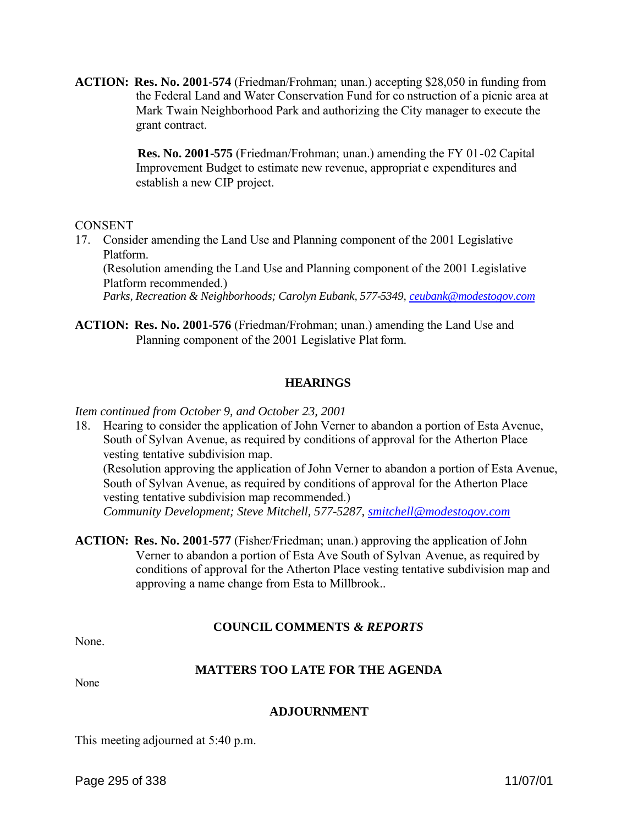**ACTION: Res. No. 2001-574** (Friedman/Frohman; unan.) accepting \$28,050 in funding from the Federal Land and Water Conservation Fund for co nstruction of a picnic area at Mark Twain Neighborhood Park and authorizing the City manager to execute the grant contract.

> **Res. No. 2001-575** (Friedman/Frohman; unan.) amending the FY 01-02 Capital Improvement Budget to estimate new revenue, appropriat e expenditures and establish a new CIP project.

CONSENT

17. Consider amending the Land Use and Planning component of the 2001 Legislative Platform.

(Resolution amending the Land Use and Planning component of the 2001 Legislative Platform recommended.)

*Parks, Recreation & Neighborhoods; Carolyn Eubank, 577-5349, ceubank@modestogov.com*

**ACTION: Res. No. 2001-576** (Friedman/Frohman; unan.) amending the Land Use and Planning component of the 2001 Legislative Plat form.

# **HEARINGS**

*Item continued from October 9, and October 23, 2001*

18. Hearing to consider the application of John Verner to abandon a portion of Esta Avenue, South of Sylvan Avenue, as required by conditions of approval for the Atherton Place vesting tentative subdivision map.

(Resolution approving the application of John Verner to abandon a portion of Esta Avenue, South of Sylvan Avenue, as required by conditions of approval for the Atherton Place vesting tentative subdivision map recommended.) *Community Development; Steve Mitchell, 577-5287, smitchell@modestogov.com*

**ACTION: Res. No. 2001-577** (Fisher/Friedman; unan.) approving the application of John Verner to abandon a portion of Esta Ave South of Sylvan Avenue, as required by conditions of approval for the Atherton Place vesting tentative subdivision map and approving a name change from Esta to Millbrook..

# **COUNCIL COMMENTS** *& REPORTS*

None.

#### **MATTERS TOO LATE FOR THE AGENDA**

None

#### **ADJOURNMENT**

This meeting adjourned at 5:40 p.m.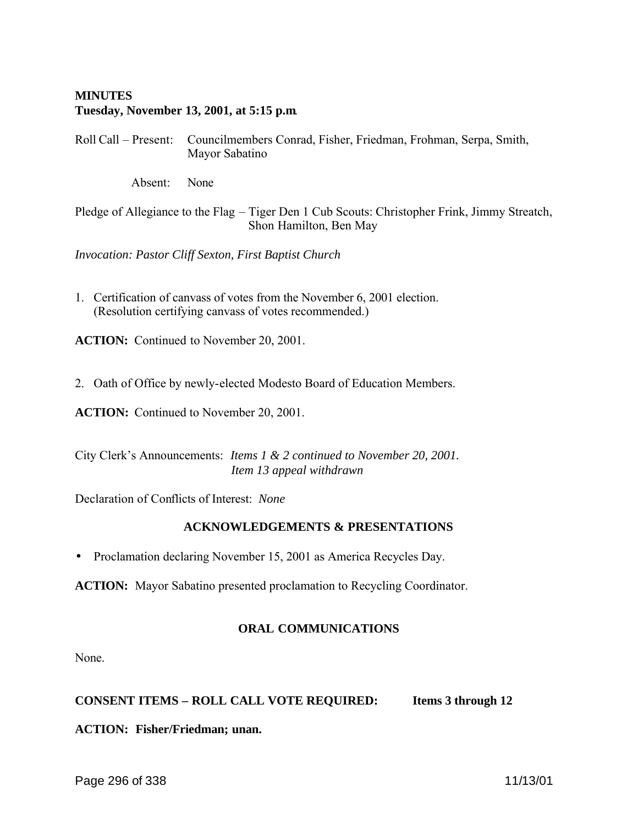# **MINUTES Tuesday, November 13, 2001, at 5:15 p.m**.

Roll Call – Present: Councilmembers Conrad, Fisher, Friedman, Frohman, Serpa, Smith, Mayor Sabatino

Absent: None

Pledge of Allegiance to the Flag – Tiger Den 1 Cub Scouts: Christopher Frink, Jimmy Streatch, Shon Hamilton, Ben May

*Invocation: Pastor Cliff Sexton, First Baptist Church*

1. Certification of canvass of votes from the November 6, 2001 election. (Resolution certifying canvass of votes recommended.)

**ACTION:** Continued to November 20, 2001.

2. Oath of Office by newly-elected Modesto Board of Education Members.

**ACTION:** Continued to November 20, 2001.

City Clerk's Announcements: *Items 1 & 2 continued to November 20, 2001. Item 13 appeal withdrawn*

Declaration of Conflicts of Interest: *None*

#### **ACKNOWLEDGEMENTS & PRESENTATIONS**

• Proclamation declaring November 15, 2001 as America Recycles Day.

**ACTION:** Mayor Sabatino presented proclamation to Recycling Coordinator.

#### **ORAL COMMUNICATIONS**

None.

**CONSENT ITEMS – ROLL CALL VOTE REQUIRED: Items 3 through 12**

#### **ACTION: Fisher/Friedman; unan.**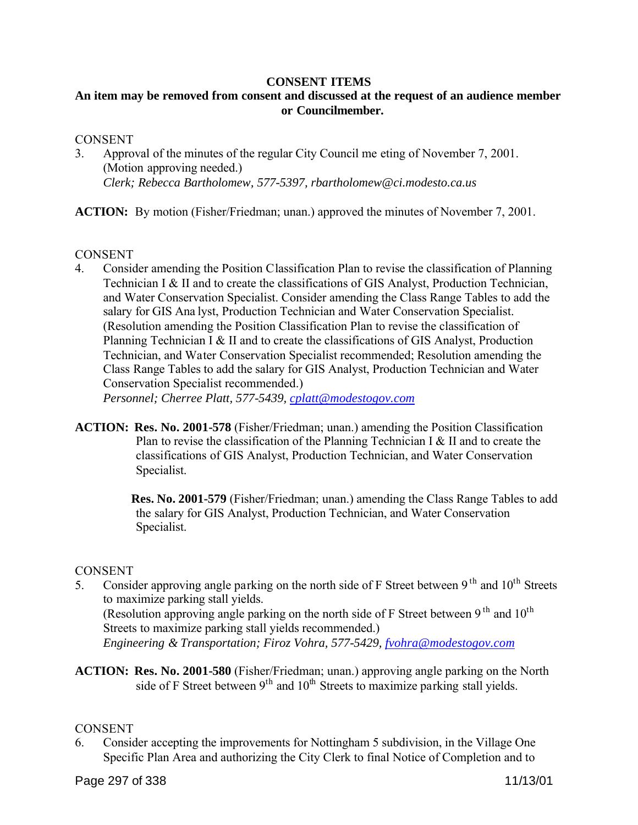#### **CONSENT ITEMS**

# **An item may be removed from consent and discussed at the request of an audience member or Councilmember.**

#### **CONSENT**

3. Approval of the minutes of the regular City Council me eting of November 7, 2001. (Motion approving needed.) *Clerk; Rebecca Bartholomew, 577-5397, rbartholomew@ci.modesto.ca.us*

**ACTION:** By motion (Fisher/Friedman; unan.) approved the minutes of November 7, 2001.

#### **CONSENT**

4. Consider amending the Position Classification Plan to revise the classification of Planning Technician I & II and to create the classifications of GIS Analyst, Production Technician, and Water Conservation Specialist. Consider amending the Class Range Tables to add the salary for GIS Ana lyst, Production Technician and Water Conservation Specialist. (Resolution amending the Position Classification Plan to revise the classification of Planning Technician I & II and to create the classifications of GIS Analyst, Production Technician, and Water Conservation Specialist recommended; Resolution amending the Class Range Tables to add the salary for GIS Analyst, Production Technician and Water Conservation Specialist recommended.)

*Personnel; Cherree Platt, 577-5439, cplatt@modestogov.com*

**ACTION: Res. No. 2001-578** (Fisher/Friedman; unan.) amending the Position Classification Plan to revise the classification of the Planning Technician I & II and to create the classifications of GIS Analyst, Production Technician, and Water Conservation Specialist.

> **Res. No. 2001-579** (Fisher/Friedman; unan.) amending the Class Range Tables to add the salary for GIS Analyst, Production Technician, and Water Conservation Specialist.

#### **CONSENT**

5. Consider approving angle parking on the north side of F Street between 9<sup>th</sup> and  $10^{th}$  Streets to maximize parking stall yields. (Resolution approving angle parking on the north side of F Street between 9<sup>th</sup> and 10<sup>th</sup>

Streets to maximize parking stall yields recommended.) *Engineering & Transportation; Firoz Vohra, 577-5429, fvohra@modestogov.com*

**ACTION: Res. No. 2001-580** (Fisher/Friedman; unan.) approving angle parking on the North side of F Street between  $9<sup>th</sup>$  and  $10<sup>th</sup>$  Streets to maximize parking stall yields.

#### **CONSENT**

6. Consider accepting the improvements for Nottingham 5 subdivision, in the Village One Specific Plan Area and authorizing the City Clerk to final Notice of Completion and to

Page 297 of 338 11/13/01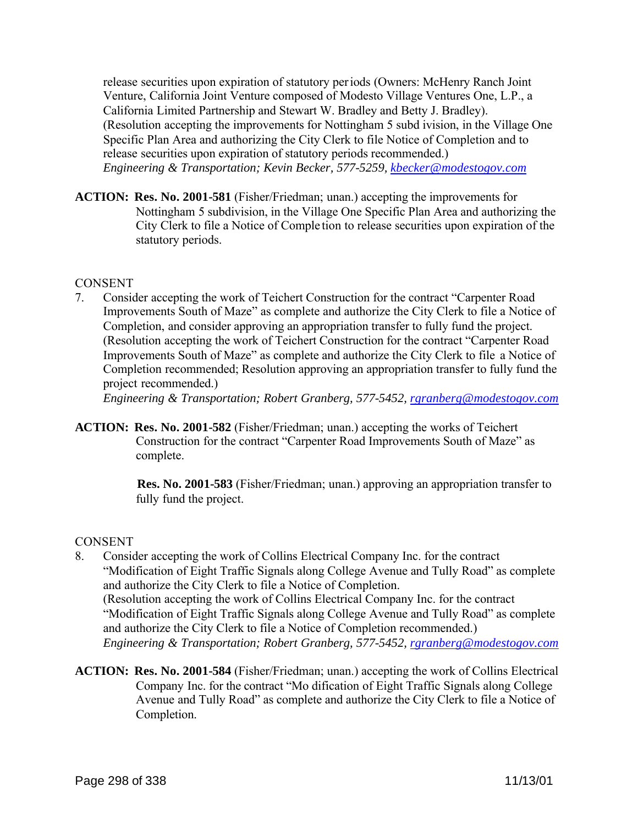release securities upon expiration of statutory periods (Owners: McHenry Ranch Joint Venture, California Joint Venture composed of Modesto Village Ventures One, L.P., a California Limited Partnership and Stewart W. Bradley and Betty J. Bradley). (Resolution accepting the improvements for Nottingham 5 subd ivision, in the Village One Specific Plan Area and authorizing the City Clerk to file Notice of Completion and to release securities upon expiration of statutory periods recommended.) *Engineering & Transportation; Kevin Becker, 577-5259, kbecker@modestogov.com*

**ACTION: Res. No. 2001-581** (Fisher/Friedman; unan.) accepting the improvements for Nottingham 5 subdivision, in the Village One Specific Plan Area and authorizing the City Clerk to file a Notice of Comple tion to release securities upon expiration of the statutory periods.

#### **CONSENT**

7. Consider accepting the work of Teichert Construction for the contract "Carpenter Road Improvements South of Maze" as complete and authorize the City Clerk to file a Notice of Completion, and consider approving an appropriation transfer to fully fund the project. (Resolution accepting the work of Teichert Construction for the contract "Carpenter Road Improvements South of Maze" as complete and authorize the City Clerk to file a Notice of Completion recommended; Resolution approving an appropriation transfer to fully fund the project recommended.)

*Engineering & Transportation; Robert Granberg, 577-5452, rgranberg@modestogov.com*

**ACTION: Res. No. 2001-582** (Fisher/Friedman; unan.) accepting the works of Teichert Construction for the contract "Carpenter Road Improvements South of Maze" as complete.

> **Res. No. 2001-583** (Fisher/Friedman; unan.) approving an appropriation transfer to fully fund the project.

# **CONSENT**

- 8. Consider accepting the work of Collins Electrical Company Inc. for the contract "Modification of Eight Traffic Signals along College Avenue and Tully Road" as complete and authorize the City Clerk to file a Notice of Completion. (Resolution accepting the work of Collins Electrical Company Inc. for the contract "Modification of Eight Traffic Signals along College Avenue and Tully Road" as complete and authorize the City Clerk to file a Notice of Completion recommended.) *Engineering & Transportation; Robert Granberg, 577-5452, rgranberg@modestogov.com*
- **ACTION: Res. No. 2001-584** (Fisher/Friedman; unan.) accepting the work of Collins Electrical Company Inc. for the contract "Mo dification of Eight Traffic Signals along College Avenue and Tully Road" as complete and authorize the City Clerk to file a Notice of Completion.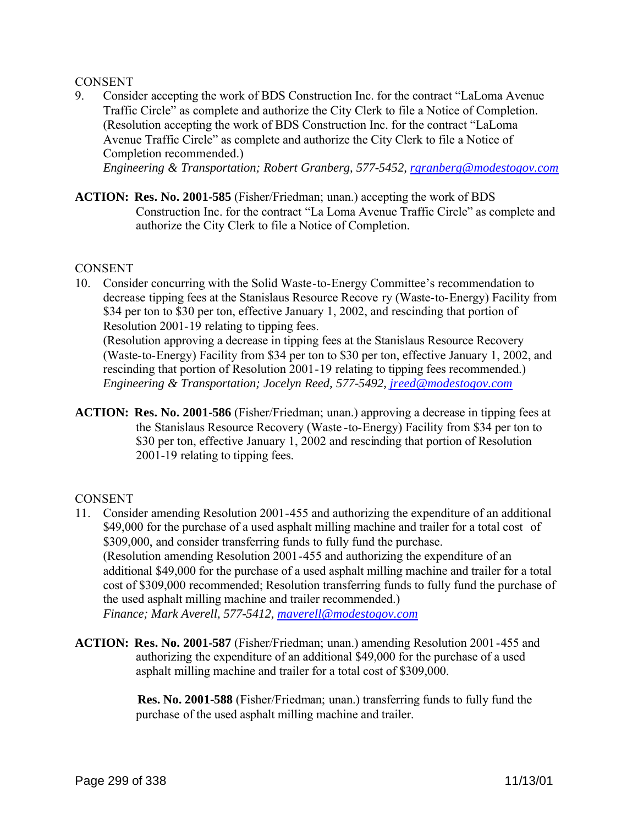#### **CONSENT**

9. Consider accepting the work of BDS Construction Inc. for the contract "LaLoma Avenue Traffic Circle" as complete and authorize the City Clerk to file a Notice of Completion. (Resolution accepting the work of BDS Construction Inc. for the contract "LaLoma Avenue Traffic Circle" as complete and authorize the City Clerk to file a Notice of Completion recommended.)

*Engineering & Transportation; Robert Granberg, 577-5452, rgranberg@modestogov.com*

**ACTION: Res. No. 2001-585** (Fisher/Friedman; unan.) accepting the work of BDS Construction Inc. for the contract "La Loma Avenue Traffic Circle" as complete and authorize the City Clerk to file a Notice of Completion.

#### **CONSENT**

10. Consider concurring with the Solid Waste-to-Energy Committee's recommendation to decrease tipping fees at the Stanislaus Resource Recove ry (Waste-to-Energy) Facility from \$34 per ton to \$30 per ton, effective January 1, 2002, and rescinding that portion of Resolution 2001-19 relating to tipping fees.

(Resolution approving a decrease in tipping fees at the Stanislaus Resource Recovery (Waste-to-Energy) Facility from \$34 per ton to \$30 per ton, effective January 1, 2002, and rescinding that portion of Resolution 2001-19 relating to tipping fees recommended.) *Engineering & Transportation; Jocelyn Reed, 577-5492, jreed@modestogov.com*

**ACTION: Res. No. 2001-586** (Fisher/Friedman; unan.) approving a decrease in tipping fees at the Stanislaus Resource Recovery (Waste -to-Energy) Facility from \$34 per ton to \$30 per ton, effective January 1, 2002 and rescinding that portion of Resolution 2001-19 relating to tipping fees.

#### **CONSENT**

- 11. Consider amending Resolution 2001-455 and authorizing the expenditure of an additional \$49,000 for the purchase of a used asphalt milling machine and trailer for a total cost of \$309,000, and consider transferring funds to fully fund the purchase. (Resolution amending Resolution 2001-455 and authorizing the expenditure of an additional \$49,000 for the purchase of a used asphalt milling machine and trailer for a total cost of \$309,000 recommended; Resolution transferring funds to fully fund the purchase of the used asphalt milling machine and trailer recommended.) *Finance; Mark Averell, 577-5412, maverell@modestogov.com*
- **ACTION: Res. No. 2001-587** (Fisher/Friedman; unan.) amending Resolution 2001-455 and authorizing the expenditure of an additional \$49,000 for the purchase of a used asphalt milling machine and trailer for a total cost of \$309,000.

 **Res. No. 2001-588** (Fisher/Friedman; unan.) transferring funds to fully fund the purchase of the used asphalt milling machine and trailer.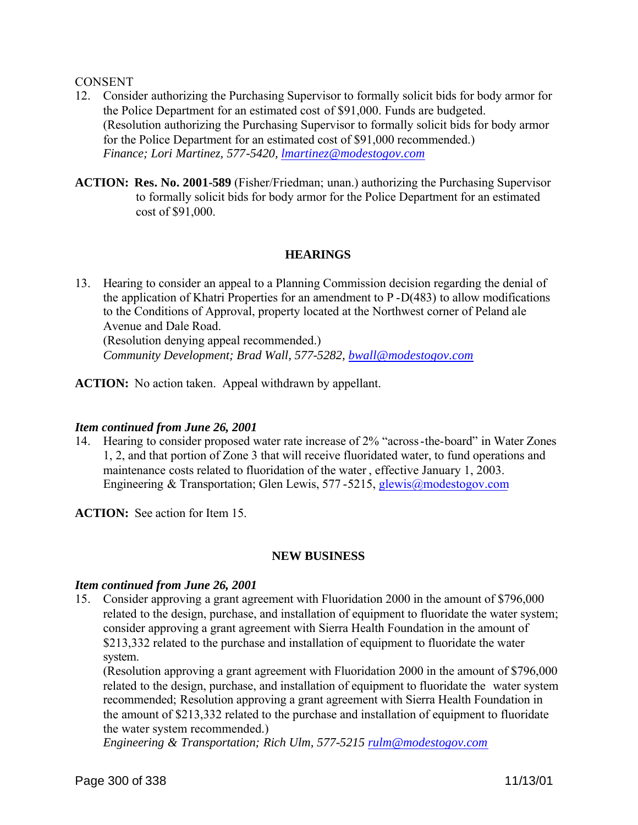#### **CONSENT**

- 12. Consider authorizing the Purchasing Supervisor to formally solicit bids for body armor for the Police Department for an estimated cost of \$91,000. Funds are budgeted. (Resolution authorizing the Purchasing Supervisor to formally solicit bids for body armor for the Police Department for an estimated cost of \$91,000 recommended.) *Finance; Lori Martinez, 577-5420, lmartinez@modestogov.com*
- **ACTION: Res. No. 2001-589** (Fisher/Friedman; unan.) authorizing the Purchasing Supervisor to formally solicit bids for body armor for the Police Department for an estimated cost of \$91,000.

#### **HEARINGS**

13. Hearing to consider an appeal to a Planning Commission decision regarding the denial of the application of Khatri Properties for an amendment to P -D(483) to allow modifications to the Conditions of Approval, property located at the Northwest corner of Peland ale Avenue and Dale Road. (Resolution denying appeal recommended.) *Community Development; Brad Wall, 577-5282, bwall@modestogov.com*

**ACTION:** No action taken. Appeal withdrawn by appellant.

#### *Item continued from June 26, 2001*

14. Hearing to consider proposed water rate increase of 2% "across-the-board" in Water Zones 1, 2, and that portion of Zone 3 that will receive fluoridated water, to fund operations and maintenance costs related to fluoridation of the water , effective January 1, 2003. Engineering & Transportation; Glen Lewis, 577 -5215, glewis@modestogov.com

**ACTION:** See action for Item 15.

# **NEW BUSINESS**

#### *Item continued from June 26, 2001*

15. Consider approving a grant agreement with Fluoridation 2000 in the amount of \$796,000 related to the design, purchase, and installation of equipment to fluoridate the water system; consider approving a grant agreement with Sierra Health Foundation in the amount of \$213,332 related to the purchase and installation of equipment to fluoridate the water system.

(Resolution approving a grant agreement with Fluoridation 2000 in the amount of \$796,000 related to the design, purchase, and installation of equipment to fluoridate the water system recommended; Resolution approving a grant agreement with Sierra Health Foundation in the amount of \$213,332 related to the purchase and installation of equipment to fluoridate the water system recommended.)

*Engineering & Transportation; Rich Ulm, 577-5215 rulm@modestogov.com*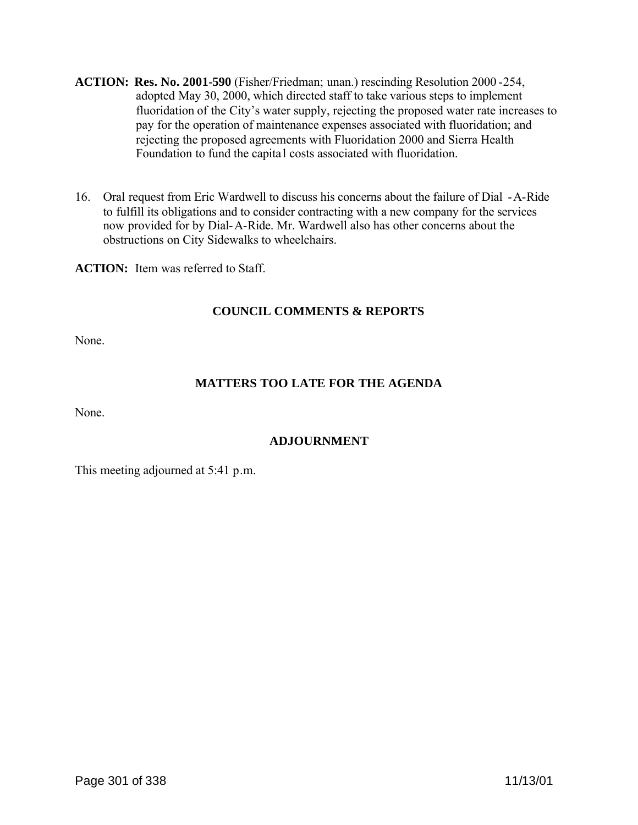- **ACTION: Res. No. 2001-590** (Fisher/Friedman; unan.) rescinding Resolution 2000 -254, adopted May 30, 2000, which directed staff to take various steps to implement fluoridation of the City's water supply, rejecting the proposed water rate increases to pay for the operation of maintenance expenses associated with fluoridation; and rejecting the proposed agreements with Fluoridation 2000 and Sierra Health Foundation to fund the capita l costs associated with fluoridation.
- 16. Oral request from Eric Wardwell to discuss his concerns about the failure of Dial -A-Ride to fulfill its obligations and to consider contracting with a new company for the services now provided for by Dial-A-Ride. Mr. Wardwell also has other concerns about the obstructions on City Sidewalks to wheelchairs.

**ACTION:** Item was referred to Staff.

# **COUNCIL COMMENTS & REPORTS**

None.

# **MATTERS TOO LATE FOR THE AGENDA**

None.

# **ADJOURNMENT**

This meeting adjourned at 5:41 p.m.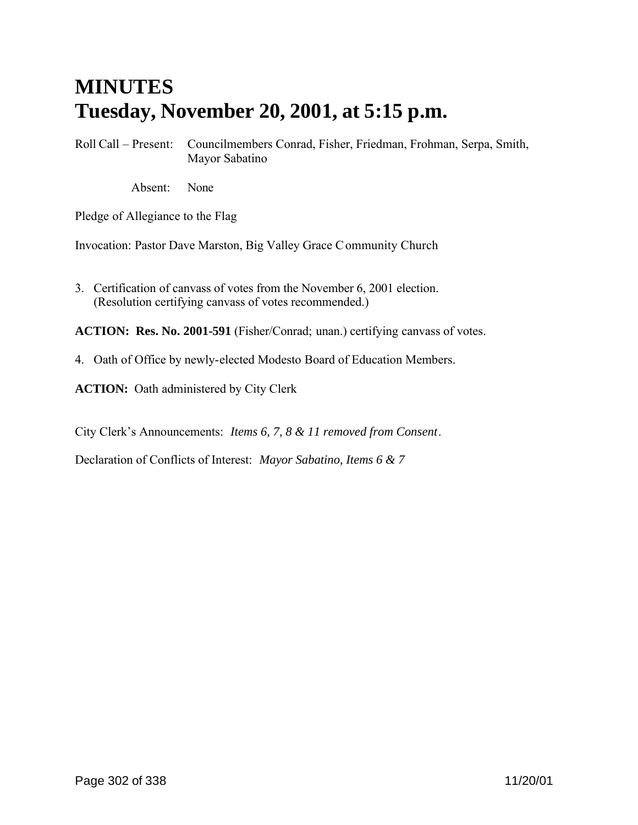# **MINUTES Tuesday, November 20, 2001, at 5:15 p.m.**

Roll Call – Present: Councilmembers Conrad, Fisher, Friedman, Frohman, Serpa, Smith, Mayor Sabatino

Absent: None

Pledge of Allegiance to the Flag

Invocation: Pastor Dave Marston, Big Valley Grace Community Church

3. Certification of canvass of votes from the November 6, 2001 election. (Resolution certifying canvass of votes recommended.)

**ACTION: Res. No. 2001-591** (Fisher/Conrad; unan.) certifying canvass of votes.

4. Oath of Office by newly-elected Modesto Board of Education Members.

**ACTION:** Oath administered by City Clerk

City Clerk's Announcements: *Items 6, 7, 8 & 11 removed from Consent*.

Declaration of Conflicts of Interest: *Mayor Sabatino, Items 6 & 7*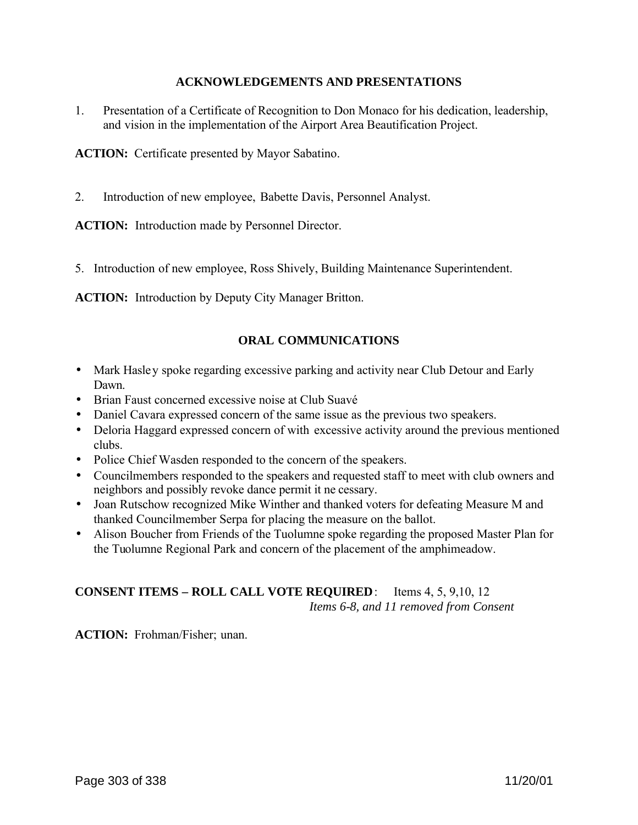# **ACKNOWLEDGEMENTS AND PRESENTATIONS**

1. Presentation of a Certificate of Recognition to Don Monaco for his dedication, leadership, and vision in the implementation of the Airport Area Beautification Project.

**ACTION:** Certificate presented by Mayor Sabatino.

2. Introduction of new employee, Babette Davis, Personnel Analyst.

**ACTION:** Introduction made by Personnel Director.

5. Introduction of new employee, Ross Shively, Building Maintenance Superintendent.

**ACTION:** Introduction by Deputy City Manager Britton.

# **ORAL COMMUNICATIONS**

- Mark Hasley spoke regarding excessive parking and activity near Club Detour and Early Dawn.
- Brian Faust concerned excessive noise at Club Suavé
- Daniel Cavara expressed concern of the same issue as the previous two speakers.
- Deloria Haggard expressed concern of with excessive activity around the previous mentioned clubs.
- Police Chief Wasden responded to the concern of the speakers.
- Councilmembers responded to the speakers and requested staff to meet with club owners and neighbors and possibly revoke dance permit it ne cessary.
- Joan Rutschow recognized Mike Winther and thanked voters for defeating Measure M and thanked Councilmember Serpa for placing the measure on the ballot.
- Alison Boucher from Friends of the Tuolumne spoke regarding the proposed Master Plan for the Tuolumne Regional Park and concern of the placement of the amphimeadow.

# **CONSENT ITEMS – ROLL CALL VOTE REQUIRED**: Items 4, 5, 9,10, 12 *Items 6-8, and 11 removed from Consent*

**ACTION:** Frohman/Fisher; unan.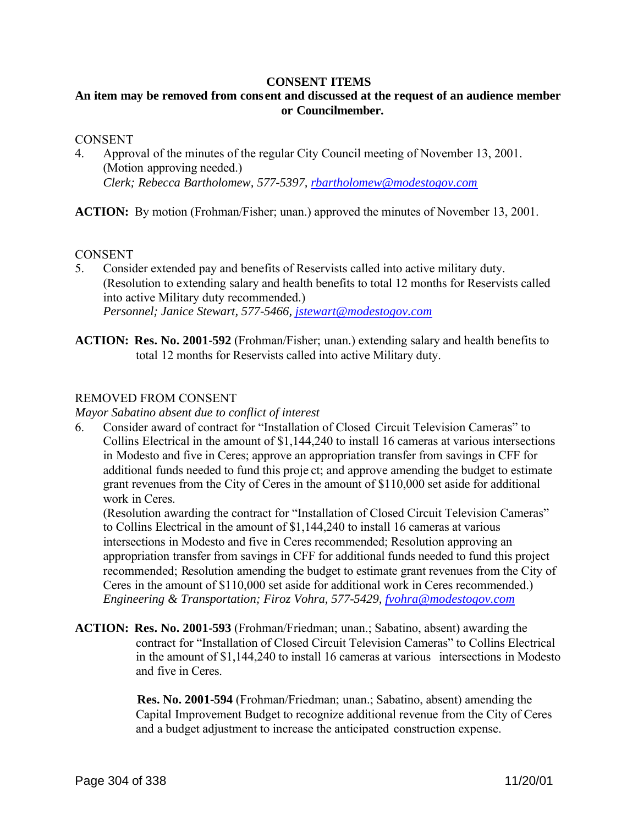#### **CONSENT ITEMS**

# **An item may be removed from cons ent and discussed at the request of an audience member or Councilmember.**

#### **CONSENT**

4. Approval of the minutes of the regular City Council meeting of November 13, 2001. (Motion approving needed.) *Clerk; Rebecca Bartholomew, 577-5397, rbartholomew@modestogov.com*

**ACTION:** By motion (Frohman/Fisher; unan.) approved the minutes of November 13, 2001.

#### **CONSENT**

- 5. Consider extended pay and benefits of Reservists called into active military duty. (Resolution to extending salary and health benefits to total 12 months for Reservists called into active Military duty recommended.) *Personnel; Janice Stewart, 577-5466, jstewart@modestogov.com*
- **ACTION: Res. No. 2001-592** (Frohman/Fisher; unan.) extending salary and health benefits to total 12 months for Reservists called into active Military duty.

# REMOVED FROM CONSENT

*Mayor Sabatino absent due to conflict of interest*

6. Consider award of contract for "Installation of Closed Circuit Television Cameras" to Collins Electrical in the amount of \$1,144,240 to install 16 cameras at various intersections in Modesto and five in Ceres; approve an appropriation transfer from savings in CFF for additional funds needed to fund this proje ct; and approve amending the budget to estimate grant revenues from the City of Ceres in the amount of \$110,000 set aside for additional work in Ceres.

(Resolution awarding the contract for "Installation of Closed Circuit Television Cameras" to Collins Electrical in the amount of \$1,144,240 to install 16 cameras at various intersections in Modesto and five in Ceres recommended; Resolution approving an appropriation transfer from savings in CFF for additional funds needed to fund this project recommended; Resolution amending the budget to estimate grant revenues from the City of Ceres in the amount of \$110,000 set aside for additional work in Ceres recommended.) *Engineering & Transportation; Firoz Vohra, 577-5429, fvohra@modestogov.com*

**ACTION: Res. No. 2001-593** (Frohman/Friedman; unan.; Sabatino, absent) awarding the contract for "Installation of Closed Circuit Television Cameras" to Collins Electrical in the amount of \$1,144,240 to install 16 cameras at various intersections in Modesto and five in Ceres.

> **Res. No. 2001-594** (Frohman/Friedman; unan.; Sabatino, absent) amending the Capital Improvement Budget to recognize additional revenue from the City of Ceres and a budget adjustment to increase the anticipated construction expense.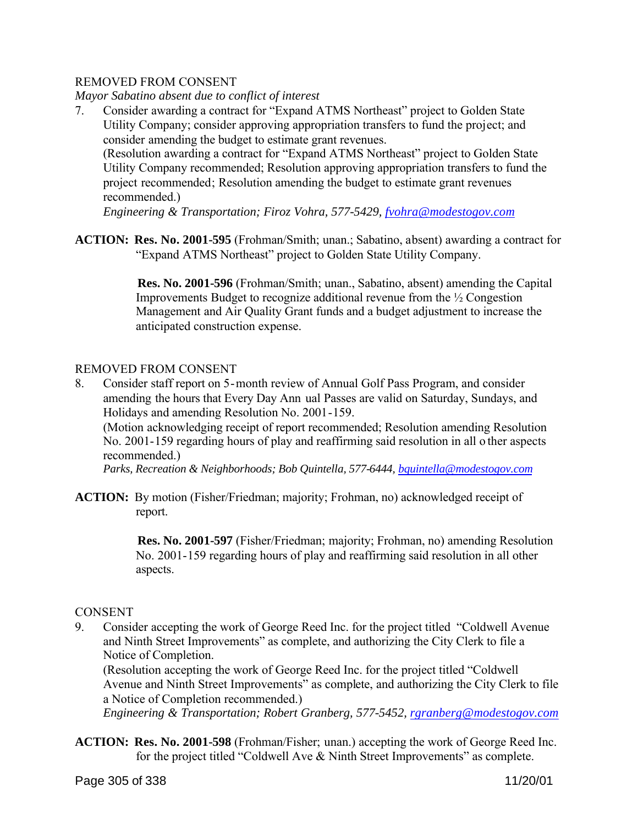# REMOVED FROM CONSENT

*Mayor Sabatino absent due to conflict of interest*

7. Consider awarding a contract for "Expand ATMS Northeast" project to Golden State Utility Company; consider approving appropriation transfers to fund the project; and consider amending the budget to estimate grant revenues.

(Resolution awarding a contract for "Expand ATMS Northeast" project to Golden State Utility Company recommended; Resolution approving appropriation transfers to fund the project recommended; Resolution amending the budget to estimate grant revenues recommended.)

*Engineering & Transportation; Firoz Vohra, 577-5429, fvohra@modestogov.com*

**ACTION: Res. No. 2001-595** (Frohman/Smith; unan.; Sabatino, absent) awarding a contract for "Expand ATMS Northeast" project to Golden State Utility Company.

> **Res. No. 2001-596** (Frohman/Smith; unan., Sabatino, absent) amending the Capital Improvements Budget to recognize additional revenue from the ½ Congestion Management and Air Quality Grant funds and a budget adjustment to increase the anticipated construction expense.

# REMOVED FROM CONSENT

8. Consider staff report on 5-month review of Annual Golf Pass Program, and consider amending the hours that Every Day Ann ual Passes are valid on Saturday, Sundays, and Holidays and amending Resolution No. 2001-159.

(Motion acknowledging receipt of report recommended; Resolution amending Resolution No. 2001-159 regarding hours of play and reaffirming said resolution in all o ther aspects recommended.)

*Parks, Recreation & Neighborhoods; Bob Quintella, 577-6444, bquintella@modestogov.com*

**ACTION:** By motion (Fisher/Friedman; majority; Frohman, no) acknowledged receipt of report.

> **Res. No. 2001-597** (Fisher/Friedman; majority; Frohman, no) amending Resolution No. 2001-159 regarding hours of play and reaffirming said resolution in all other aspects.

# **CONSENT**

9. Consider accepting the work of George Reed Inc. for the project titled "Coldwell Avenue and Ninth Street Improvements" as complete, and authorizing the City Clerk to file a Notice of Completion.

(Resolution accepting the work of George Reed Inc. for the project titled "Coldwell Avenue and Ninth Street Improvements" as complete, and authorizing the City Clerk to file a Notice of Completion recommended.)

*Engineering & Transportation; Robert Granberg, 577-5452, rgranberg@modestogov.com*

**ACTION: Res. No. 2001-598** (Frohman/Fisher; unan.) accepting the work of George Reed Inc. for the project titled "Coldwell Ave & Ninth Street Improvements" as complete.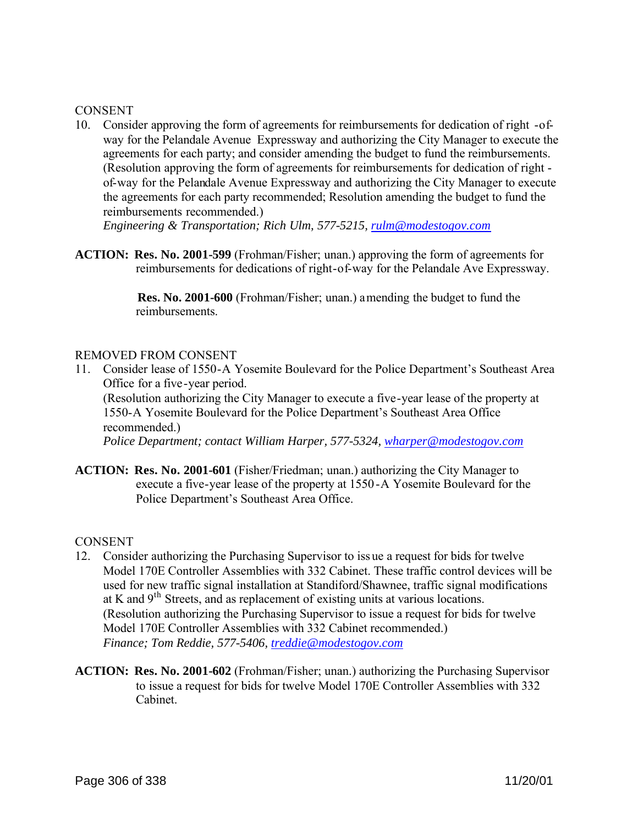#### **CONSENT**

10. Consider approving the form of agreements for reimbursements for dedication of right -ofway for the Pelandale Avenue Expressway and authorizing the City Manager to execute the agreements for each party; and consider amending the budget to fund the reimbursements. (Resolution approving the form of agreements for reimbursements for dedication of right of-way for the Pelandale Avenue Expressway and authorizing the City Manager to execute the agreements for each party recommended; Resolution amending the budget to fund the reimbursements recommended.)

*Engineering & Transportation; Rich Ulm, 577-5215, rulm@modestogov.com*

**ACTION: Res. No. 2001-599** (Frohman/Fisher; unan.) approving the form of agreements for reimbursements for dedications of right-of-way for the Pelandale Ave Expressway.

> **Res. No. 2001-600** (Frohman/Fisher; unan.) amending the budget to fund the reimbursements.

#### REMOVED FROM CONSENT

- 11. Consider lease of 1550-A Yosemite Boulevard for the Police Department's Southeast Area Office for a five-year period. (Resolution authorizing the City Manager to execute a five-year lease of the property at 1550-A Yosemite Boulevard for the Police Department's Southeast Area Office recommended.) *Police Department; contact William Harper, 577-5324, wharper@modestogov.com*
- **ACTION: Res. No. 2001-601** (Fisher/Friedman; unan.) authorizing the City Manager to execute a five-year lease of the property at 1550 -A Yosemite Boulevard for the Police Department's Southeast Area Office.

**CONSENT** 

- 12. Consider authorizing the Purchasing Supervisor to iss ue a request for bids for twelve Model 170E Controller Assemblies with 332 Cabinet. These traffic control devices will be used for new traffic signal installation at Standiford/Shawnee, traffic signal modifications at K and 9th Streets, and as replacement of existing units at various locations. (Resolution authorizing the Purchasing Supervisor to issue a request for bids for twelve Model 170E Controller Assemblies with 332 Cabinet recommended.) *Finance; Tom Reddie, 577-5406, treddie@modestogov.com*
- **ACTION: Res. No. 2001-602** (Frohman/Fisher; unan.) authorizing the Purchasing Supervisor to issue a request for bids for twelve Model 170E Controller Assemblies with 332 Cabinet.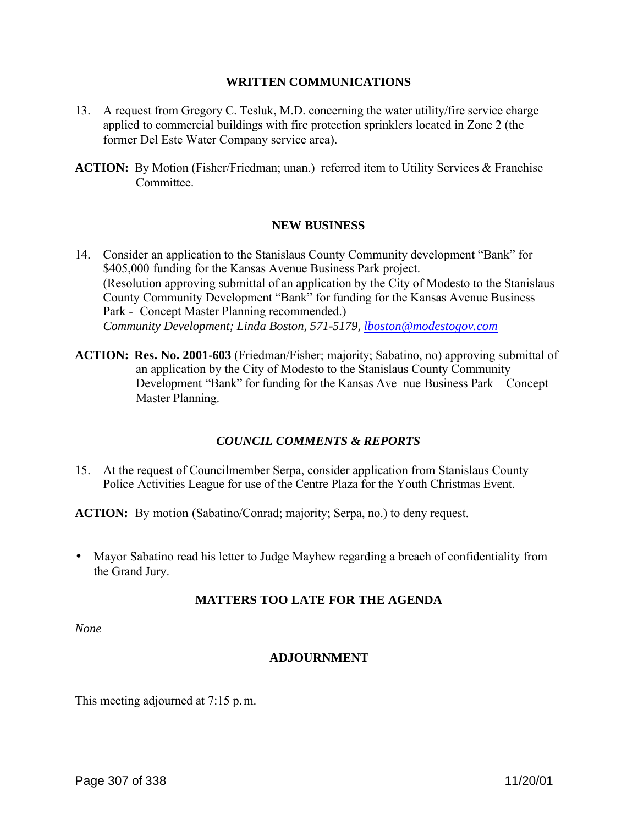#### **WRITTEN COMMUNICATIONS**

- 13. A request from Gregory C. Tesluk, M.D. concerning the water utility/fire service charge applied to commercial buildings with fire protection sprinklers located in Zone 2 (the former Del Este Water Company service area).
- **ACTION:** By Motion (Fisher/Friedman; unan.) referred item to Utility Services & Franchise Committee.

#### **NEW BUSINESS**

- 14. Consider an application to the Stanislaus County Community development "Bank" for \$405,000 funding for the Kansas Avenue Business Park project. (Resolution approving submittal of an application by the City of Modesto to the Stanislaus County Community Development "Bank" for funding for the Kansas Avenue Business Park -–Concept Master Planning recommended.) *Community Development; Linda Boston, 571-5179, lboston@modestogov.com*
- **ACTION: Res. No. 2001-603** (Friedman/Fisher; majority; Sabatino, no) approving submittal of an application by the City of Modesto to the Stanislaus County Community Development "Bank" for funding for the Kansas Ave nue Business Park—Concept Master Planning.

#### *COUNCIL COMMENTS & REPORTS*

15. At the request of Councilmember Serpa, consider application from Stanislaus County Police Activities League for use of the Centre Plaza for the Youth Christmas Event.

**ACTION:** By motion (Sabatino/Conrad; majority; Serpa, no.) to deny request.

• Mayor Sabatino read his letter to Judge Mayhew regarding a breach of confidentiality from the Grand Jury.

#### **MATTERS TOO LATE FOR THE AGENDA**

*None*

#### **ADJOURNMENT**

This meeting adjourned at 7:15 p.m.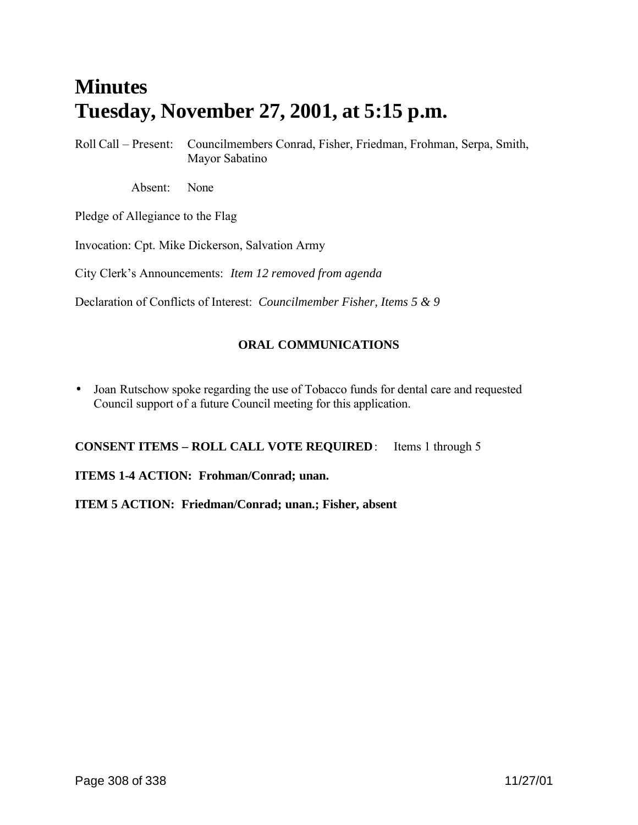# **Minutes Tuesday, November 27, 2001, at 5:15 p.m.**

Roll Call – Present: Councilmembers Conrad, Fisher, Friedman, Frohman, Serpa, Smith, Mayor Sabatino

Absent: None

Pledge of Allegiance to the Flag

Invocation: Cpt. Mike Dickerson, Salvation Army

City Clerk's Announcements: *Item 12 removed from agenda*

Declaration of Conflicts of Interest: *Councilmember Fisher, Items 5 & 9*

# **ORAL COMMUNICATIONS**

• Joan Rutschow spoke regarding the use of Tobacco funds for dental care and requested Council support of a future Council meeting for this application.

**CONSENT ITEMS – ROLL CALL VOTE REQUIRED**: Items 1 through 5

**ITEMS 1-4 ACTION: Frohman/Conrad; unan.**

**ITEM 5 ACTION: Friedman/Conrad; unan.; Fisher, absent**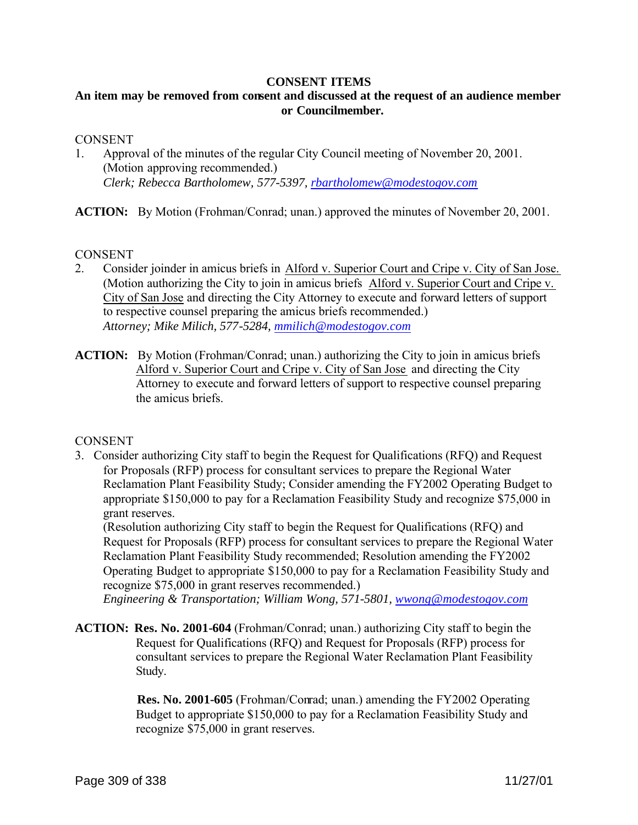#### **CONSENT ITEMS**

# **An item may be removed from consent and discussed at the request of an audience member or Councilmember.**

#### **CONSENT**

1. Approval of the minutes of the regular City Council meeting of November 20, 2001. (Motion approving recommended.) *Clerk; Rebecca Bartholomew, 577-5397, rbartholomew@modestogov.com*

**ACTION:** By Motion (Frohman/Conrad; unan.) approved the minutes of November 20, 2001.

**CONSENT** 

- 2. Consider joinder in amicus briefs in Alford v. Superior Court and Cripe v. City of San Jose. (Motion authorizing the City to join in amicus briefs Alford v. Superior Court and Cripe v. City of San Jose and directing the City Attorney to execute and forward letters of support to respective counsel preparing the amicus briefs recommended.) *Attorney; Mike Milich, 577-5284, mmilich@modestogov.com*
- **ACTION:** By Motion (Frohman/Conrad; unan.) authorizing the City to join in amicus briefs Alford v. Superior Court and Cripe v. City of San Jose and directing the City Attorney to execute and forward letters of support to respective counsel preparing the amicus briefs.

#### **CONSENT**

3. Consider authorizing City staff to begin the Request for Qualifications (RFQ) and Request for Proposals (RFP) process for consultant services to prepare the Regional Water Reclamation Plant Feasibility Study; Consider amending the FY2002 Operating Budget to appropriate \$150,000 to pay for a Reclamation Feasibility Study and recognize \$75,000 in grant reserves.

(Resolution authorizing City staff to begin the Request for Qualifications (RFQ) and Request for Proposals (RFP) process for consultant services to prepare the Regional Water Reclamation Plant Feasibility Study recommended; Resolution amending the FY2002 Operating Budget to appropriate \$150,000 to pay for a Reclamation Feasibility Study and recognize \$75,000 in grant reserves recommended.)

*Engineering & Transportation; William Wong, 571-5801, wwong@modestogov.com*

**ACTION: Res. No. 2001-604** (Frohman/Conrad; unan.) authorizing City staff to begin the Request for Qualifications (RFQ) and Request for Proposals (RFP) process for consultant services to prepare the Regional Water Reclamation Plant Feasibility Study.

> **Res. No. 2001-605** (Frohman/Conrad; unan.) amending the FY2002 Operating Budget to appropriate \$150,000 to pay for a Reclamation Feasibility Study and recognize \$75,000 in grant reserves.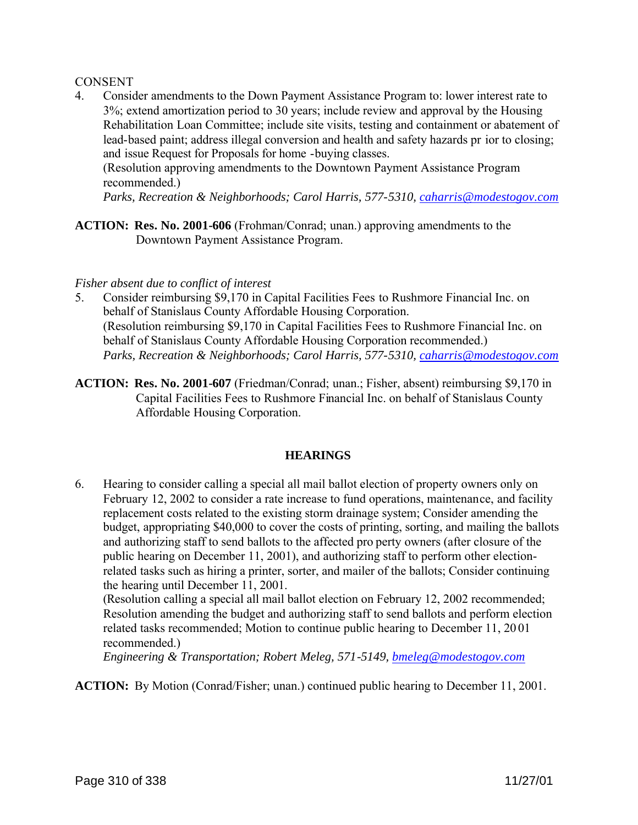#### **CONSENT**

4. Consider amendments to the Down Payment Assistance Program to: lower interest rate to 3%; extend amortization period to 30 years; include review and approval by the Housing Rehabilitation Loan Committee; include site visits, testing and containment or abatement of lead-based paint; address illegal conversion and health and safety hazards pr ior to closing; and issue Request for Proposals for home -buying classes.

(Resolution approving amendments to the Downtown Payment Assistance Program recommended.)

*Parks, Recreation & Neighborhoods; Carol Harris, 577-5310, caharris@modestogov.com*

**ACTION: Res. No. 2001-606** (Frohman/Conrad; unan.) approving amendments to the Downtown Payment Assistance Program.

#### *Fisher absent due to conflict of interest*

- 5. Consider reimbursing \$9,170 in Capital Facilities Fees to Rushmore Financial Inc. on behalf of Stanislaus County Affordable Housing Corporation. (Resolution reimbursing \$9,170 in Capital Facilities Fees to Rushmore Financial Inc. on behalf of Stanislaus County Affordable Housing Corporation recommended.) *Parks, Recreation & Neighborhoods; Carol Harris, 577-5310, caharris@modestogov.com*
- **ACTION: Res. No. 2001-607** (Friedman/Conrad; unan.; Fisher, absent) reimbursing \$9,170 in Capital Facilities Fees to Rushmore Financial Inc. on behalf of Stanislaus County Affordable Housing Corporation.

#### **HEARINGS**

6. Hearing to consider calling a special all mail ballot election of property owners only on February 12, 2002 to consider a rate increase to fund operations, maintenance, and facility replacement costs related to the existing storm drainage system; Consider amending the budget, appropriating \$40,000 to cover the costs of printing, sorting, and mailing the ballots and authorizing staff to send ballots to the affected pro perty owners (after closure of the public hearing on December 11, 2001), and authorizing staff to perform other electionrelated tasks such as hiring a printer, sorter, and mailer of the ballots; Consider continuing the hearing until December 11, 2001.

(Resolution calling a special all mail ballot election on February 12, 2002 recommended; Resolution amending the budget and authorizing staff to send ballots and perform election related tasks recommended; Motion to continue public hearing to December 11, 20 01 recommended.)

*Engineering & Transportation; Robert Meleg, 571-5149, bmeleg@modestogov.com*

**ACTION:** By Motion (Conrad/Fisher; unan.) continued public hearing to December 11, 2001.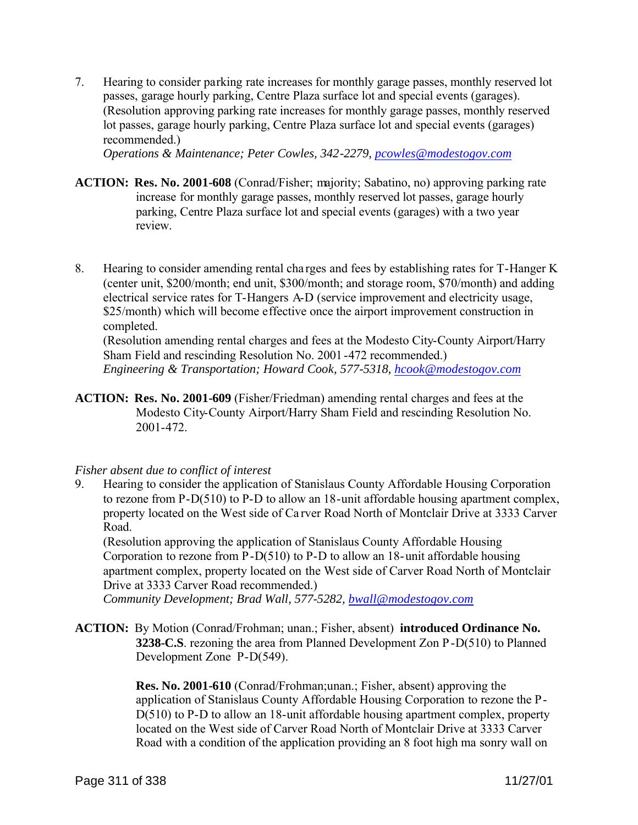7. Hearing to consider parking rate increases for monthly garage passes, monthly reserved lot passes, garage hourly parking, Centre Plaza surface lot and special events (garages). (Resolution approving parking rate increases for monthly garage passes, monthly reserved lot passes, garage hourly parking, Centre Plaza surface lot and special events (garages) recommended.)

*Operations & Maintenance; Peter Cowles, 342-2279, pcowles@modestogov.com*

- **ACTION: Res. No. 2001-608** (Conrad/Fisher; majority; Sabatino, no) approving parking rate increase for monthly garage passes, monthly reserved lot passes, garage hourly parking, Centre Plaza surface lot and special events (garages) with a two year review.
- 8. Hearing to consider amending rental cha rges and fees by establishing rates for T-Hanger K (center unit, \$200/month; end unit, \$300/month; and storage room, \$70/month) and adding electrical service rates for T-Hangers A-D (service improvement and electricity usage, \$25/month) which will become effective once the airport improvement construction in completed.

(Resolution amending rental charges and fees at the Modesto City-County Airport/Harry Sham Field and rescinding Resolution No. 2001-472 recommended.) *Engineering & Transportation; Howard Cook, 577-5318, hcook@modestogov.com*

**ACTION: Res. No. 2001-609** (Fisher/Friedman) amending rental charges and fees at the Modesto City-County Airport/Harry Sham Field and rescinding Resolution No. 2001-472.

#### *Fisher absent due to conflict of interest*

9. Hearing to consider the application of Stanislaus County Affordable Housing Corporation to rezone from P-D(510) to P-D to allow an 18-unit affordable housing apartment complex, property located on the West side of Ca rver Road North of Montclair Drive at 3333 Carver Road.

(Resolution approving the application of Stanislaus County Affordable Housing Corporation to rezone from P-D(510) to P-D to allow an 18-unit affordable housing apartment complex, property located on the West side of Carver Road North of Montclair Drive at 3333 Carver Road recommended.)

*Community Development; Brad Wall, 577-5282, bwall@modestogov.com*

**ACTION:** By Motion (Conrad/Frohman; unan.; Fisher, absent) **introduced Ordinance No. 3238-C.S**. rezoning the area from Planned Development Zon P-D(510) to Planned Development Zone P-D(549).

> **Res. No. 2001-610** (Conrad/Frohman;unan.; Fisher, absent) approving the application of Stanislaus County Affordable Housing Corporation to rezone the P-D(510) to P-D to allow an 18-unit affordable housing apartment complex, property located on the West side of Carver Road North of Montclair Drive at 3333 Carver Road with a condition of the application providing an 8 foot high ma sonry wall on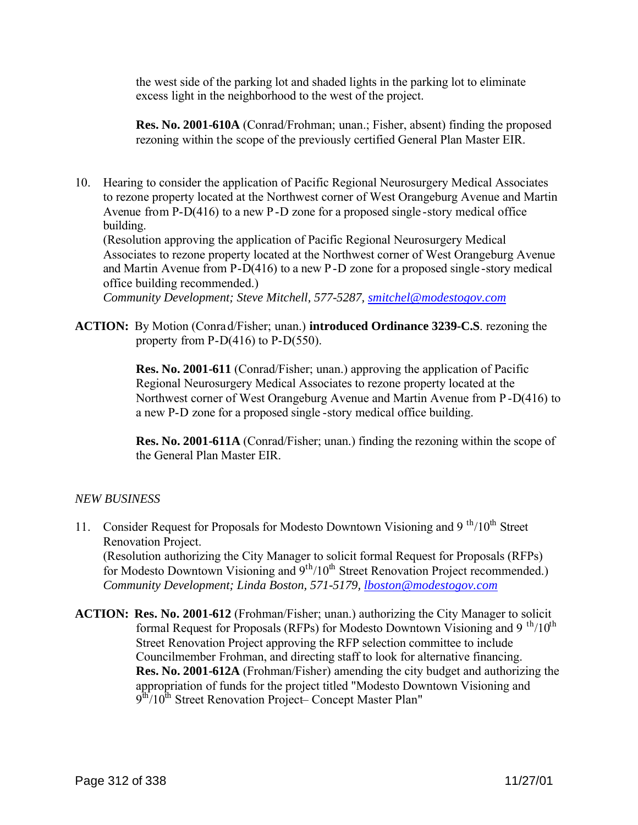the west side of the parking lot and shaded lights in the parking lot to eliminate excess light in the neighborhood to the west of the project.

**Res. No. 2001-610A** (Conrad/Frohman; unan.; Fisher, absent) finding the proposed rezoning within the scope of the previously certified General Plan Master EIR.

10. Hearing to consider the application of Pacific Regional Neurosurgery Medical Associates to rezone property located at the Northwest corner of West Orangeburg Avenue and Martin Avenue from P-D(416) to a new P-D zone for a proposed single -story medical office building.

(Resolution approving the application of Pacific Regional Neurosurgery Medical Associates to rezone property located at the Northwest corner of West Orangeburg Avenue and Martin Avenue from P-D(416) to a new P-D zone for a proposed single -story medical office building recommended.)

*Community Development; Steve Mitchell, 577-5287, smitchel@modestogov.com*

**ACTION:** By Motion (Conrad/Fisher; unan.) **introduced Ordinance 3239-C.S**. rezoning the property from  $P-D(416)$  to  $P-D(550)$ .

> **Res. No. 2001-611** (Conrad/Fisher; unan.) approving the application of Pacific Regional Neurosurgery Medical Associates to rezone property located at the Northwest corner of West Orangeburg Avenue and Martin Avenue from P-D(416) to a new P-D zone for a proposed single -story medical office building.

> **Res. No. 2001-611A** (Conrad/Fisher; unan.) finding the rezoning within the scope of the General Plan Master EIR.

# *NEW BUSINESS*

- 11. Consider Request for Proposals for Modesto Downtown Visioning and  $9^{th}/10^{th}$  Street Renovation Project. (Resolution authorizing the City Manager to solicit formal Request for Proposals (RFPs) for Modesto Downtown Visioning and  $9<sup>th</sup>/10<sup>th</sup>$  Street Renovation Project recommended.) *Community Development; Linda Boston, 571-5179, lboston@modestogov.com*
- **ACTION: Res. No. 2001-612** (Frohman/Fisher; unan.) authorizing the City Manager to solicit formal Request for Proposals (RFPs) for Modesto Downtown Visioning and 9<sup>th</sup>/10<sup>th</sup> Street Renovation Project approving the RFP selection committee to include Councilmember Frohman, and directing staff to look for alternative financing. **Res. No. 2001-612A** (Frohman/Fisher) amending the city budget and authorizing the appropriation of funds for the project titled "Modesto Downtown Visioning and  $9^{\text{th}}/10^{\text{th}}$  Street Renovation Project– Concept Master Plan"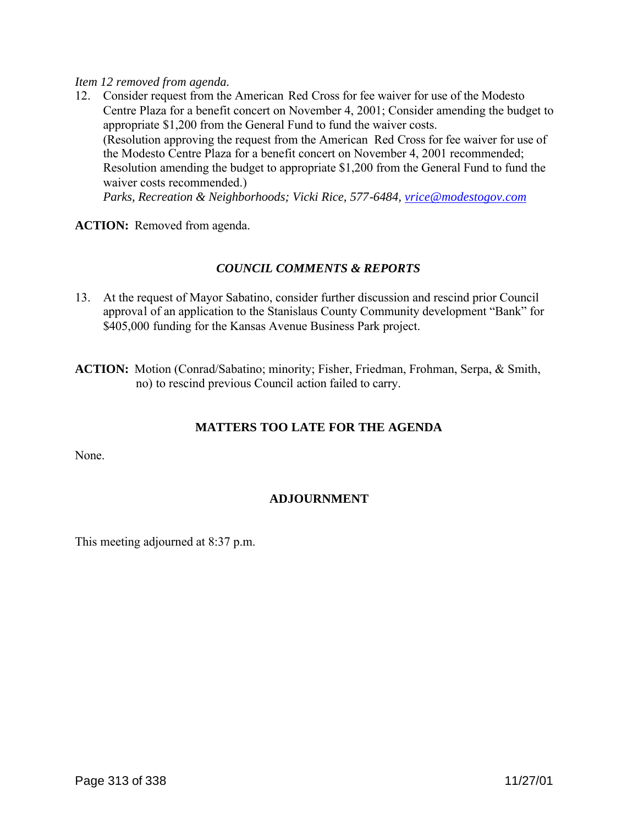#### *Item 12 removed from agenda.*

12. Consider request from the American Red Cross for fee waiver for use of the Modesto Centre Plaza for a benefit concert on November 4, 2001; Consider amending the budget to appropriate \$1,200 from the General Fund to fund the waiver costs. (Resolution approving the request from the American Red Cross for fee waiver for use of the Modesto Centre Plaza for a benefit concert on November 4, 2001 recommended; Resolution amending the budget to appropriate \$1,200 from the General Fund to fund the waiver costs recommended.) *Parks, Recreation & Neighborhoods; Vicki Rice, 577-6484, vrice@modestogov.com*

**ACTION:** Removed from agenda.

# *COUNCIL COMMENTS & REPORTS*

13. At the request of Mayor Sabatino, consider further discussion and rescind prior Council approval of an application to the Stanislaus County Community development "Bank" for \$405,000 funding for the Kansas Avenue Business Park project.

**ACTION:** Motion (Conrad/Sabatino; minority; Fisher, Friedman, Frohman, Serpa, & Smith, no) to rescind previous Council action failed to carry.

# **MATTERS TOO LATE FOR THE AGENDA**

None.

# **ADJOURNMENT**

This meeting adjourned at 8:37 p.m.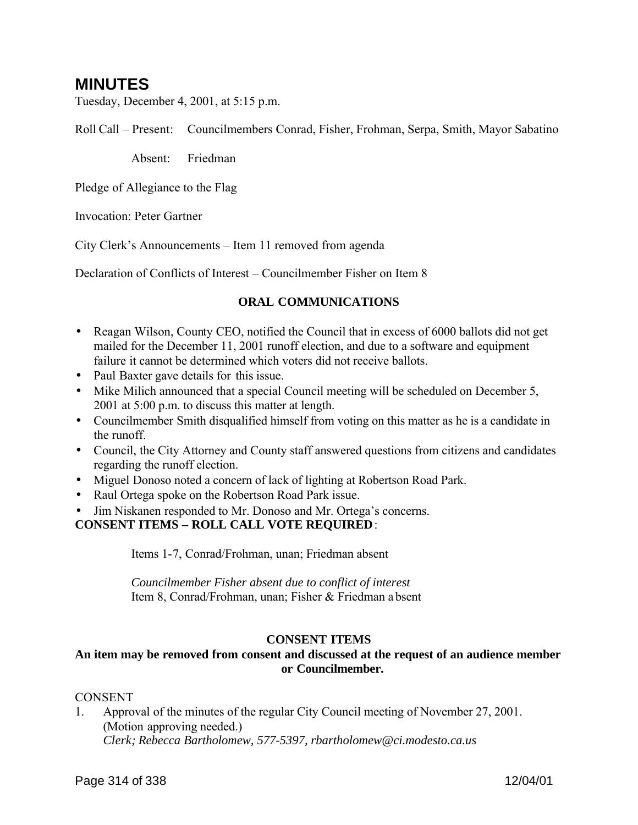# **MINUTES**

Tuesday, December 4, 2001, at 5:15 p.m.

Roll Call – Present: Councilmembers Conrad, Fisher, Frohman, Serpa, Smith, Mayor Sabatino

Absent: Friedman

Pledge of Allegiance to the Flag

Invocation: Peter Gartner

City Clerk's Announcements – Item 11 removed from agenda

Declaration of Conflicts of Interest – Councilmember Fisher on Item 8

# **ORAL COMMUNICATIONS**

- Reagan Wilson, County CEO, notified the Council that in excess of 6000 ballots did not get mailed for the December 11, 2001 runoff election, and due to a software and equipment failure it cannot be determined which voters did not receive ballots.
- Paul Baxter gave details for this issue.
- Mike Milich announced that a special Council meeting will be scheduled on December 5, 2001 at 5:00 p.m. to discuss this matter at length.
- Councilmember Smith disqualified himself from voting on this matter as he is a candidate in the runoff.
- Council, the City Attorney and County staff answered questions from citizens and candidates regarding the runoff election.
- Miguel Donoso noted a concern of lack of lighting at Robertson Road Park.
- Raul Ortega spoke on the Robertson Road Park issue.
- Jim Niskanen responded to Mr. Donoso and Mr. Ortega's concerns.

**CONSENT ITEMS – ROLL CALL VOTE REQUIRED**:

Items 1-7, Conrad/Frohman, unan; Friedman absent

*Councilmember Fisher absent due to conflict of interest* Item 8, Conrad/Frohman, unan; Fisher & Friedman a bsent

#### **CONSENT ITEMS**

# **An item may be removed from consent and discussed at the request of an audience member or Councilmember.**

#### CONSENT

1. Approval of the minutes of the regular City Council meeting of November 27, 2001. (Motion approving needed.) *Clerk; Rebecca Bartholomew, 577-5397, rbartholomew@ci.modesto.ca.us*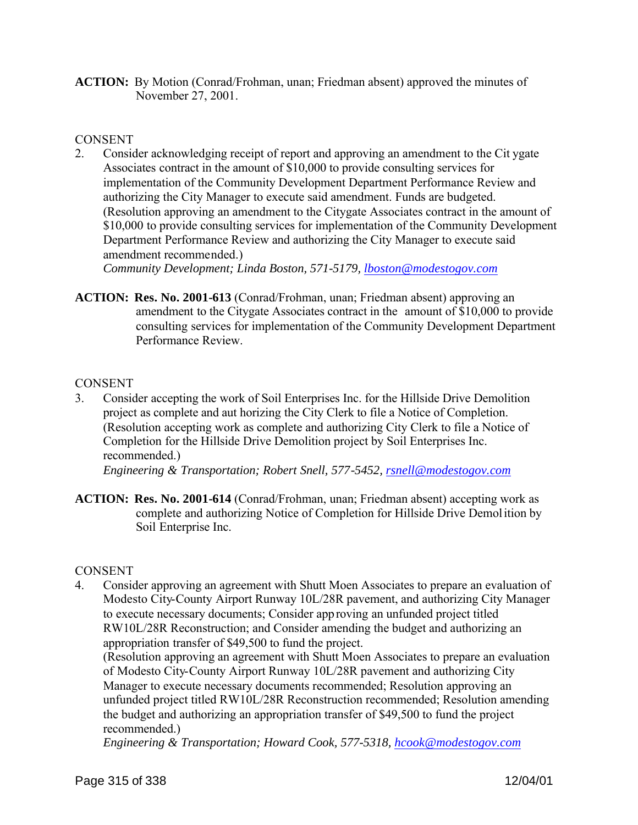**ACTION:** By Motion (Conrad/Frohman, unan; Friedman absent) approved the minutes of November 27, 2001.

#### **CONSENT**

2. Consider acknowledging receipt of report and approving an amendment to the Cit ygate Associates contract in the amount of \$10,000 to provide consulting services for implementation of the Community Development Department Performance Review and authorizing the City Manager to execute said amendment. Funds are budgeted. (Resolution approving an amendment to the Citygate Associates contract in the amount of \$10,000 to provide consulting services for implementation of the Community Development Department Performance Review and authorizing the City Manager to execute said amendment recommended.)

*Community Development; Linda Boston, 571-5179, lboston@modestogov.com*

**ACTION: Res. No. 2001-613** (Conrad/Frohman, unan; Friedman absent) approving an amendment to the Citygate Associates contract in the amount of \$10,000 to provide consulting services for implementation of the Community Development Department Performance Review.

#### **CONSENT**

- 3. Consider accepting the work of Soil Enterprises Inc. for the Hillside Drive Demolition project as complete and aut horizing the City Clerk to file a Notice of Completion. (Resolution accepting work as complete and authorizing City Clerk to file a Notice of Completion for the Hillside Drive Demolition project by Soil Enterprises Inc. recommended.) *Engineering & Transportation; Robert Snell, 577-5452, rsnell@modestogov.com*
- **ACTION: Res. No. 2001-614** (Conrad/Frohman, unan; Friedman absent) accepting work as complete and authorizing Notice of Completion for Hillside Drive Demolition by

#### **CONSENT**

Soil Enterprise Inc.

4. Consider approving an agreement with Shutt Moen Associates to prepare an evaluation of Modesto City-County Airport Runway 10L/28R pavement, and authorizing City Manager to execute necessary documents; Consider approving an unfunded project titled RW10L/28R Reconstruction; and Consider amending the budget and authorizing an appropriation transfer of \$49,500 to fund the project.

(Resolution approving an agreement with Shutt Moen Associates to prepare an evaluation of Modesto City-County Airport Runway 10L/28R pavement and authorizing City Manager to execute necessary documents recommended; Resolution approving an unfunded project titled RW10L/28R Reconstruction recommended; Resolution amending the budget and authorizing an appropriation transfer of \$49,500 to fund the project recommended.)

*Engineering & Transportation; Howard Cook, 577-5318, hcook@modestogov.com*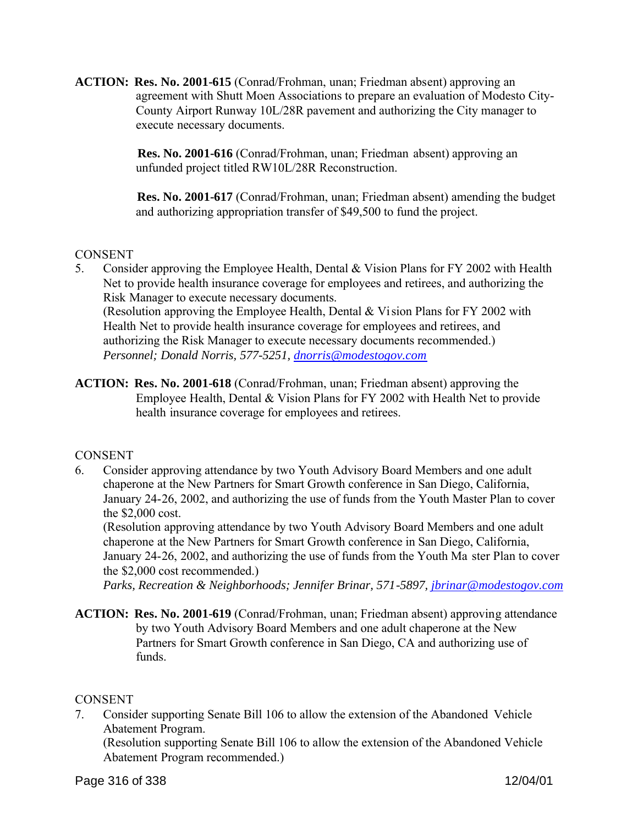**ACTION: Res. No. 2001-615** (Conrad/Frohman, unan; Friedman absent) approving an agreement with Shutt Moen Associations to prepare an evaluation of Modesto City-County Airport Runway 10L/28R pavement and authorizing the City manager to execute necessary documents.

> **Res. No. 2001-616** (Conrad/Frohman, unan; Friedman absent) approving an unfunded project titled RW10L/28R Reconstruction.

 **Res. No. 2001-617** (Conrad/Frohman, unan; Friedman absent) amending the budget and authorizing appropriation transfer of \$49,500 to fund the project.

# **CONSENT**

- 5. Consider approving the Employee Health, Dental & Vision Plans for FY 2002 with Health Net to provide health insurance coverage for employees and retirees, and authorizing the Risk Manager to execute necessary documents. (Resolution approving the Employee Health, Dental & Vision Plans for FY 2002 with Health Net to provide health insurance coverage for employees and retirees, and authorizing the Risk Manager to execute necessary documents recommended.) *Personnel; Donald Norris, 577-5251, dnorris@modestogov.com*
- **ACTION: Res. No. 2001-618** (Conrad/Frohman, unan; Friedman absent) approving the Employee Health, Dental & Vision Plans for FY 2002 with Health Net to provide health insurance coverage for employees and retirees.

# CONSENT

6. Consider approving attendance by two Youth Advisory Board Members and one adult chaperone at the New Partners for Smart Growth conference in San Diego, California, January 24-26, 2002, and authorizing the use of funds from the Youth Master Plan to cover the \$2,000 cost.

(Resolution approving attendance by two Youth Advisory Board Members and one adult chaperone at the New Partners for Smart Growth conference in San Diego, California, January 24-26, 2002, and authorizing the use of funds from the Youth Ma ster Plan to cover the \$2,000 cost recommended.)

*Parks, Recreation & Neighborhoods; Jennifer Brinar, 571-5897, jbrinar@modestogov.com*

**ACTION: Res. No. 2001-619** (Conrad/Frohman, unan; Friedman absent) approving attendance by two Youth Advisory Board Members and one adult chaperone at the New Partners for Smart Growth conference in San Diego, CA and authorizing use of funds.

# CONSENT

7. Consider supporting Senate Bill 106 to allow the extension of the Abandoned Vehicle Abatement Program.

(Resolution supporting Senate Bill 106 to allow the extension of the Abandoned Vehicle Abatement Program recommended.)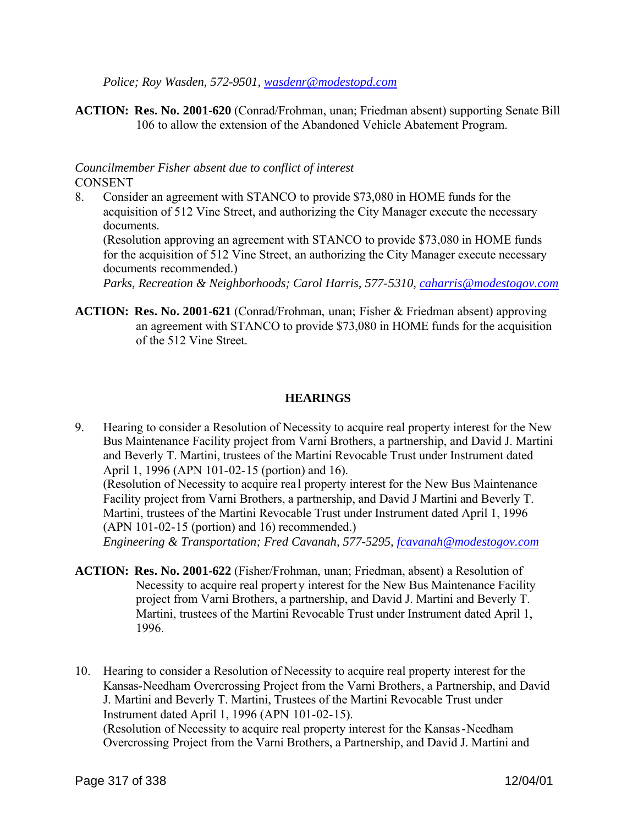*Police; Roy Wasden, 572-9501, wasdenr@modestopd.com*

**ACTION: Res. No. 2001-620** (Conrad/Frohman, unan; Friedman absent) supporting Senate Bill 106 to allow the extension of the Abandoned Vehicle Abatement Program.

#### *Councilmember Fisher absent due to conflict of interest* CONSENT

8. Consider an agreement with STANCO to provide \$73,080 in HOME funds for the acquisition of 512 Vine Street, and authorizing the City Manager execute the necessary documents.

(Resolution approving an agreement with STANCO to provide \$73,080 in HOME funds for the acquisition of 512 Vine Street, an authorizing the City Manager execute necessary documents recommended.)

*Parks, Recreation & Neighborhoods; Carol Harris, 577-5310, caharris@modestogov.com*

**ACTION: Res. No. 2001-621** (Conrad/Frohman, unan; Fisher & Friedman absent) approving an agreement with STANCO to provide \$73,080 in HOME funds for the acquisition of the 512 Vine Street.

# **HEARINGS**

9. Hearing to consider a Resolution of Necessity to acquire real property interest for the New Bus Maintenance Facility project from Varni Brothers, a partnership, and David J. Martini and Beverly T. Martini, trustees of the Martini Revocable Trust under Instrument dated April 1, 1996 (APN 101-02-15 (portion) and 16).

(Resolution of Necessity to acquire rea l property interest for the New Bus Maintenance Facility project from Varni Brothers, a partnership, and David J Martini and Beverly T. Martini, trustees of the Martini Revocable Trust under Instrument dated April 1, 1996 (APN 101-02-15 (portion) and 16) recommended.)

*Engineering & Transportation; Fred Cavanah, 577-5295, fcavanah@modestogov.com*

- **ACTION: Res. No. 2001-622** (Fisher/Frohman, unan; Friedman, absent) a Resolution of Necessity to acquire real property interest for the New Bus Maintenance Facility project from Varni Brothers, a partnership, and David J. Martini and Beverly T. Martini, trustees of the Martini Revocable Trust under Instrument dated April 1, 1996.
- 10. Hearing to consider a Resolution of Necessity to acquire real property interest for the Kansas-Needham Overcrossing Project from the Varni Brothers, a Partnership, and David J. Martini and Beverly T. Martini, Trustees of the Martini Revocable Trust under Instrument dated April 1, 1996 (APN 101-02-15). (Resolution of Necessity to acquire real property interest for the Kansas-Needham

Overcrossing Project from the Varni Brothers, a Partnership, and David J. Martini and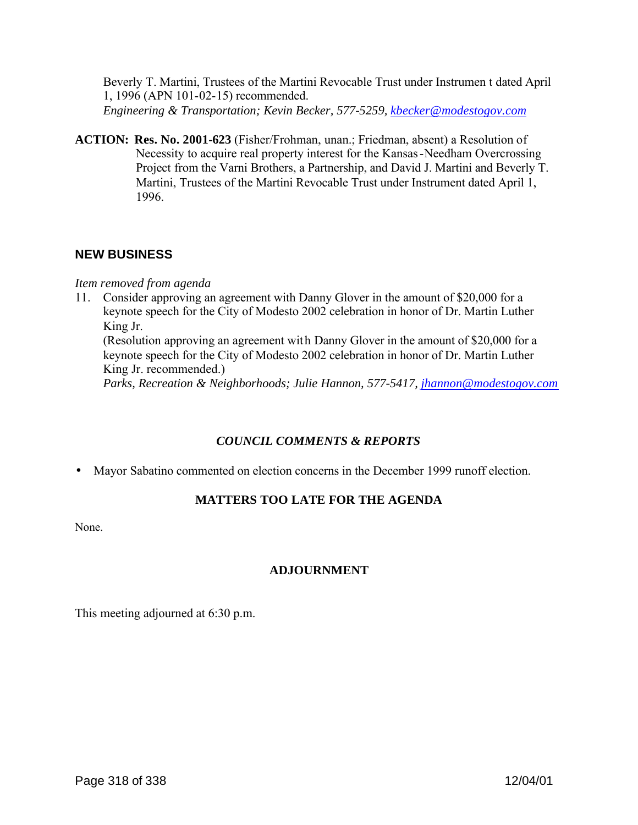Beverly T. Martini, Trustees of the Martini Revocable Trust under Instrumen t dated April 1, 1996 (APN 101-02-15) recommended.

*Engineering & Transportation; Kevin Becker, 577-5259, kbecker@modestogov.com*

**ACTION: Res. No. 2001-623** (Fisher/Frohman, unan.; Friedman, absent) a Resolution of Necessity to acquire real property interest for the Kansas-Needham Overcrossing Project from the Varni Brothers, a Partnership, and David J. Martini and Beverly T. Martini, Trustees of the Martini Revocable Trust under Instrument dated April 1, 1996.

# **NEW BUSINESS**

#### *Item removed from agenda*

11. Consider approving an agreement with Danny Glover in the amount of \$20,000 for a keynote speech for the City of Modesto 2002 celebration in honor of Dr. Martin Luther King Jr.

(Resolution approving an agreement with Danny Glover in the amount of \$20,000 for a keynote speech for the City of Modesto 2002 celebration in honor of Dr. Martin Luther King Jr. recommended.)

*Parks, Recreation & Neighborhoods; Julie Hannon, 577-5417, jhannon@modestogov.com*

#### *COUNCIL COMMENTS & REPORTS*

• Mayor Sabatino commented on election concerns in the December 1999 runoff election.

# **MATTERS TOO LATE FOR THE AGENDA**

None.

# **ADJOURNMENT**

This meeting adjourned at 6:30 p.m.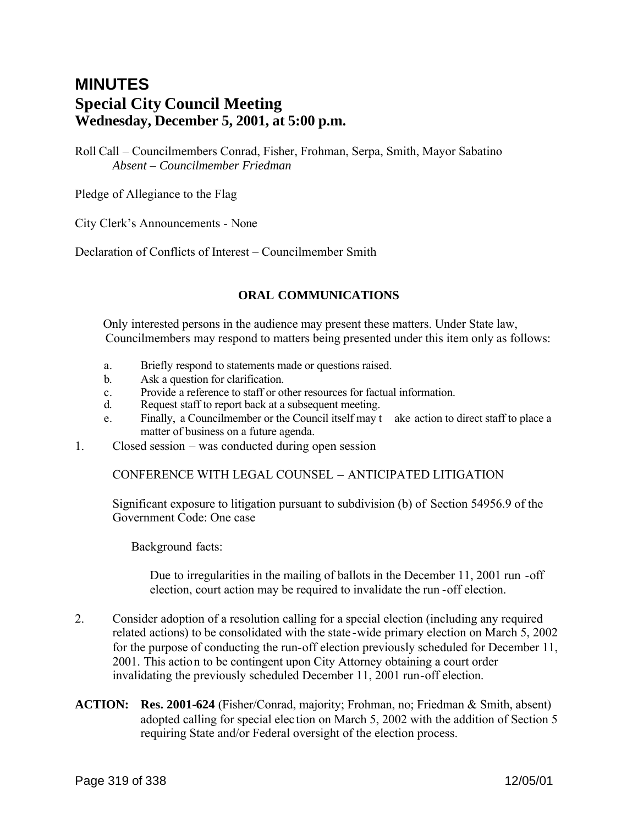# **MINUTES Special City Council Meeting Wednesday, December 5, 2001, at 5:00 p.m.**

Roll Call – Councilmembers Conrad, Fisher, Frohman, Serpa, Smith, Mayor Sabatino *Absent – Councilmember Friedman*

Pledge of Allegiance to the Flag

City Clerk's Announcements - None

Declaration of Conflicts of Interest – Councilmember Smith

#### **ORAL COMMUNICATIONS**

Only interested persons in the audience may present these matters. Under State law, Councilmembers may respond to matters being presented under this item only as follows:

- a. Briefly respond to statements made or questions raised.
- b. Ask a question for clarification.
- c. Provide a reference to staff or other resources for factual information.
- d. Request staff to report back at a subsequent meeting.
- e. Finally, a Councilmember or the Council itself may t ake action to direct staff to place a matter of business on a future agenda.
- 1. Closed session was conducted during open session

CONFERENCE WITH LEGAL COUNSEL – ANTICIPATED LITIGATION

Significant exposure to litigation pursuant to subdivision (b) of Section 54956.9 of the Government Code: One case

Background facts:

Due to irregularities in the mailing of ballots in the December 11, 2001 run -off election, court action may be required to invalidate the run -off election.

- 2. Consider adoption of a resolution calling for a special election (including any required related actions) to be consolidated with the state -wide primary election on March 5, 2002 for the purpose of conducting the run-off election previously scheduled for December 11, 2001. This action to be contingent upon City Attorney obtaining a court order invalidating the previously scheduled December 11, 2001 run-off election.
- **ACTION: Res. 2001-624** (Fisher/Conrad, majority; Frohman, no; Friedman & Smith, absent) adopted calling for special elec tion on March 5, 2002 with the addition of Section 5 requiring State and/or Federal oversight of the election process.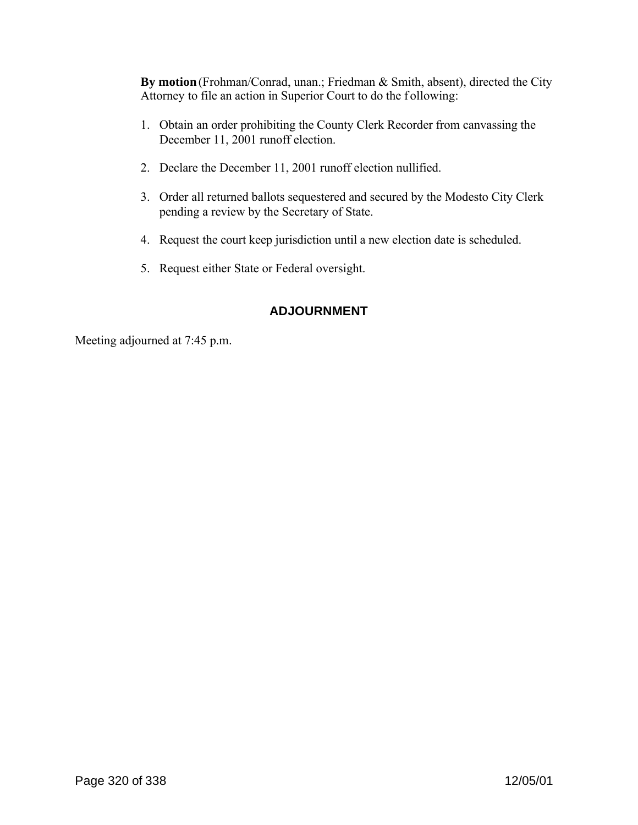**By motion** (Frohman/Conrad, unan.; Friedman & Smith, absent), directed the City Attorney to file an action in Superior Court to do the following:

- 1. Obtain an order prohibiting the County Clerk Recorder from canvassing the December 11, 2001 runoff election.
- 2. Declare the December 11, 2001 runoff election nullified.
- 3. Order all returned ballots sequestered and secured by the Modesto City Clerk pending a review by the Secretary of State.
- 4. Request the court keep jurisdiction until a new election date is scheduled.
- 5. Request either State or Federal oversight.

# **ADJOURNMENT**

Meeting adjourned at 7:45 p.m.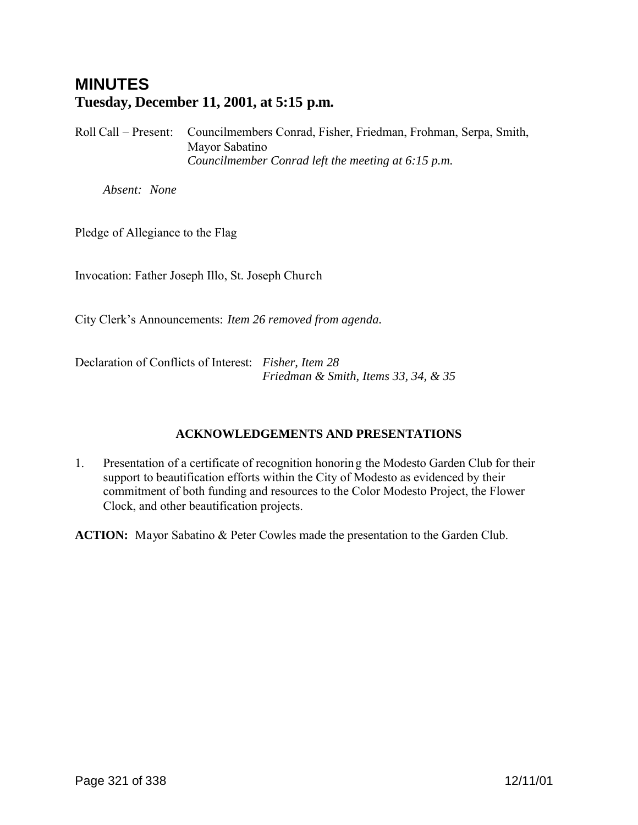# **MINUTES Tuesday, December 11, 2001, at 5:15 p.m.**

Roll Call – Present: Councilmembers Conrad, Fisher, Friedman, Frohman, Serpa, Smith, Mayor Sabatino *Councilmember Conrad left the meeting at 6:15 p.m.*

*Absent: None*

Pledge of Allegiance to the Flag

Invocation: Father Joseph Illo, St. Joseph Church

City Clerk's Announcements: *Item 26 removed from agenda.*

Declaration of Conflicts of Interest: *Fisher, Item 28 Friedman & Smith, Items 33, 34, & 35*

# **ACKNOWLEDGEMENTS AND PRESENTATIONS**

1. Presentation of a certificate of recognition honoring the Modesto Garden Club for their support to beautification efforts within the City of Modesto as evidenced by their commitment of both funding and resources to the Color Modesto Project, the Flower Clock, and other beautification projects.

**ACTION:** Mayor Sabatino & Peter Cowles made the presentation to the Garden Club.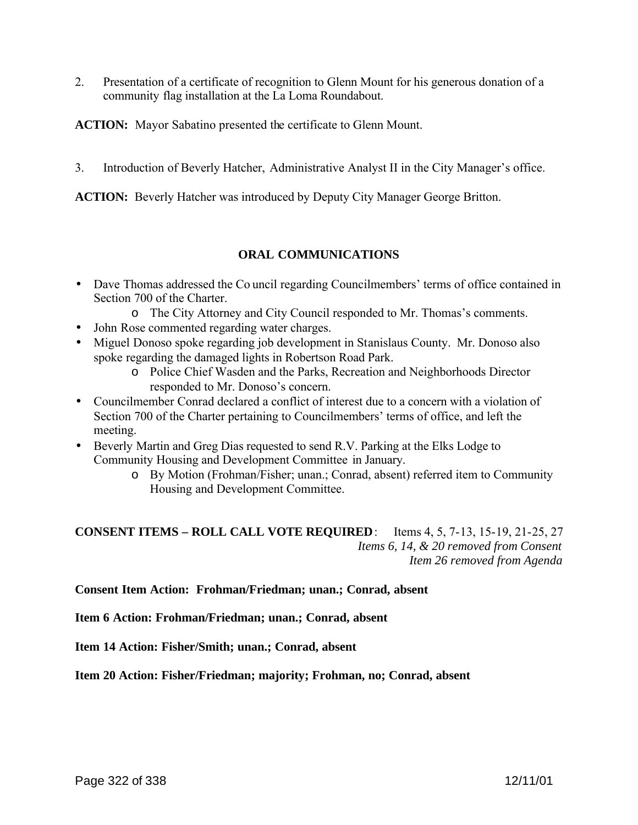2. Presentation of a certificate of recognition to Glenn Mount for his generous donation of a community flag installation at the La Loma Roundabout.

**ACTION:** Mayor Sabatino presented the certificate to Glenn Mount.

3. Introduction of Beverly Hatcher, Administrative Analyst II in the City Manager's office.

**ACTION:** Beverly Hatcher was introduced by Deputy City Manager George Britton.

# **ORAL COMMUNICATIONS**

- Dave Thomas addressed the Co uncil regarding Councilmembers' terms of office contained in Section 700 of the Charter.
	- o The City Attorney and City Council responded to Mr. Thomas's comments.
- John Rose commented regarding water charges.
- Miguel Donoso spoke regarding job development in Stanislaus County. Mr. Donoso also spoke regarding the damaged lights in Robertson Road Park.
	- o Police Chief Wasden and the Parks, Recreation and Neighborhoods Director responded to Mr. Donoso's concern.
- Councilmember Conrad declared a conflict of interest due to a concern with a violation of Section 700 of the Charter pertaining to Councilmembers' terms of office, and left the meeting.
- Beverly Martin and Greg Dias requested to send R.V. Parking at the Elks Lodge to Community Housing and Development Committee in January.
	- o By Motion (Frohman/Fisher; unan.; Conrad, absent) referred item to Community Housing and Development Committee.

**CONSENT ITEMS – ROLL CALL VOTE REQUIRED**: Items 4, 5, 7-13, 15-19, 21-25, 27 *Items 6, 14, & 20 removed from Consent Item 26 removed from Agenda*

**Consent Item Action: Frohman/Friedman; unan.; Conrad, absent**

**Item 6 Action: Frohman/Friedman; unan.; Conrad, absent**

**Item 14 Action: Fisher/Smith; unan.; Conrad, absent**

**Item 20 Action: Fisher/Friedman; majority; Frohman, no; Conrad, absent**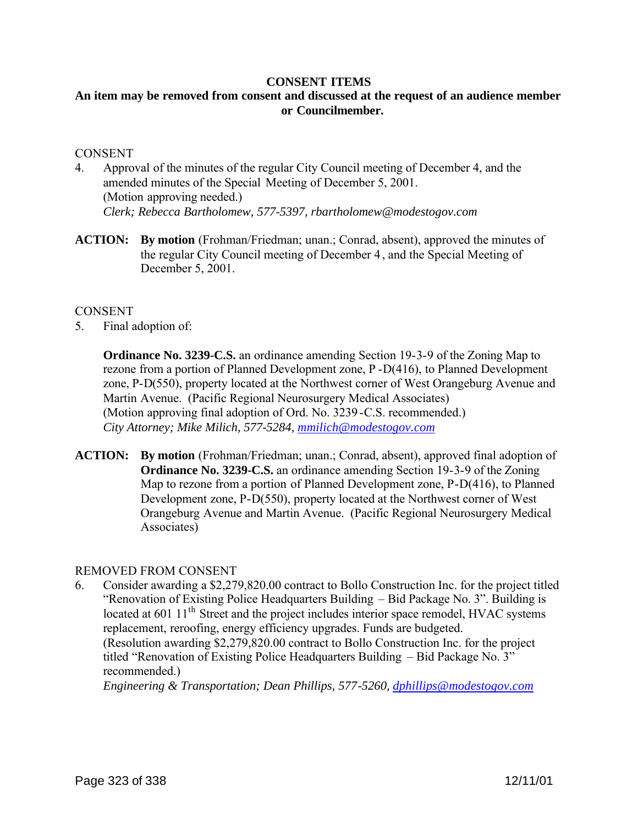#### **CONSENT ITEMS**

# **An item may be removed from consent and discussed at the request of an audience member or Councilmember.**

#### **CONSENT**

- 4. Approval of the minutes of the regular City Council meeting of December 4, and the amended minutes of the Special Meeting of December 5, 2001. (Motion approving needed.) *Clerk; Rebecca Bartholomew, 577-5397, rbartholomew@modestogov.com*
- **ACTION:** By motion (Frohman/Friedman; unan.; Conrad, absent), approved the minutes of the regular City Council meeting of December 4 , and the Special Meeting of December 5, 2001.

#### **CONSENT**

5. Final adoption of:

**Ordinance No. 3239-C.S.** an ordinance amending Section 19-3-9 of the Zoning Map to rezone from a portion of Planned Development zone, P -D(416), to Planned Development zone, P-D(550), property located at the Northwest corner of West Orangeburg Avenue and Martin Avenue. (Pacific Regional Neurosurgery Medical Associates) (Motion approving final adoption of Ord. No. 3239 -C.S. recommended.) *City Attorney; Mike Milich, 577-5284, mmilich@modestogov.com*

**ACTION: By motion** (Frohman/Friedman; unan.; Conrad, absent), approved final adoption of **Ordinance No. 3239-C.S.** an ordinance amending Section 19-3-9 of the Zoning Map to rezone from a portion of Planned Development zone, P-D(416), to Planned Development zone, P-D(550), property located at the Northwest corner of West Orangeburg Avenue and Martin Avenue. (Pacific Regional Neurosurgery Medical Associates)

#### REMOVED FROM CONSENT

6. Consider awarding a \$2,279,820.00 contract to Bollo Construction Inc. for the project titled "Renovation of Existing Police Headquarters Building – Bid Package No. 3". Building is located at 601 11<sup>th</sup> Street and the project includes interior space remodel, HVAC systems replacement, reroofing, energy efficiency upgrades. Funds are budgeted. (Resolution awarding \$2,279,820.00 contract to Bollo Construction Inc. for the project titled "Renovation of Existing Police Headquarters Building – Bid Package No. 3" recommended.)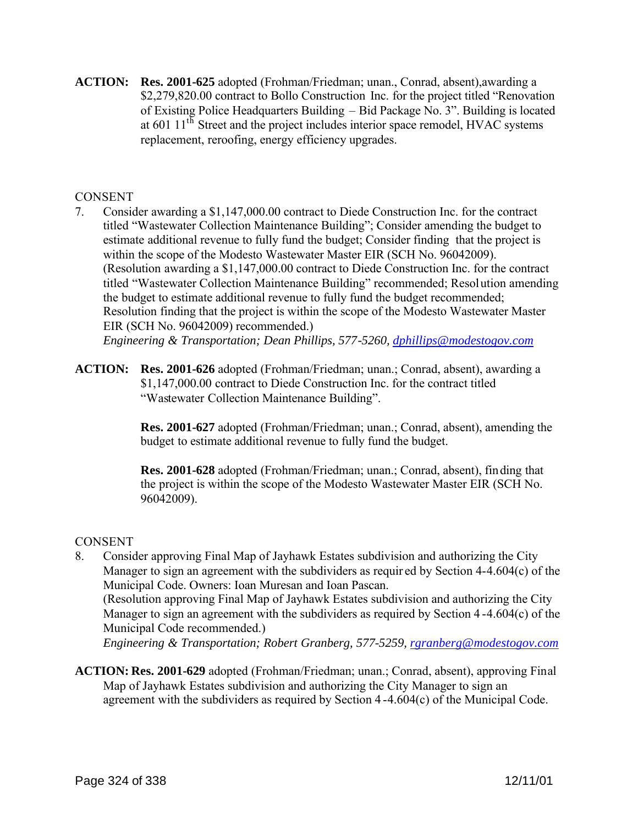**ACTION: Res. 2001-625** adopted (Frohman/Friedman; unan., Conrad, absent),awarding a \$2,279,820.00 contract to Bollo Construction Inc. for the project titled "Renovation of Existing Police Headquarters Building – Bid Package No. 3". Building is located at 601 11<sup>th</sup> Street and the project includes interior space remodel, HVAC systems replacement, reroofing, energy efficiency upgrades.

# **CONSENT**

7. Consider awarding a \$1,147,000.00 contract to Diede Construction Inc. for the contract titled "Wastewater Collection Maintenance Building"; Consider amending the budget to estimate additional revenue to fully fund the budget; Consider finding that the project is within the scope of the Modesto Wastewater Master EIR (SCH No. 96042009). (Resolution awarding a \$1,147,000.00 contract to Diede Construction Inc. for the contract titled "Wastewater Collection Maintenance Building" recommended; Resolution amending the budget to estimate additional revenue to fully fund the budget recommended; Resolution finding that the project is within the scope of the Modesto Wastewater Master EIR (SCH No. 96042009) recommended.) *Engineering & Transportation; Dean Phillips, 577-5260, dphillips@modestogov.com*

**ACTION: Res. 2001-626** adopted (Frohman/Friedman; unan.; Conrad, absent), awarding a

\$1,147,000.00 contract to Diede Construction Inc. for the contract titled "Wastewater Collection Maintenance Building".

**Res. 2001-627** adopted (Frohman/Friedman; unan.; Conrad, absent), amending the budget to estimate additional revenue to fully fund the budget.

**Res. 2001-628** adopted (Frohman/Friedman; unan.; Conrad, absent), finding that the project is within the scope of the Modesto Wastewater Master EIR (SCH No. 96042009).

# CONSENT

8. Consider approving Final Map of Jayhawk Estates subdivision and authorizing the City Manager to sign an agreement with the subdividers as requir ed by Section 4-4.604(c) of the Municipal Code. Owners: Ioan Muresan and Ioan Pascan. (Resolution approving Final Map of Jayhawk Estates subdivision and authorizing the City Manager to sign an agreement with the subdividers as required by Section 4 -4.604(c) of the Municipal Code recommended.)

*Engineering & Transportation; Robert Granberg, 577-5259, rgranberg@modestogov.com*

**ACTION: Res. 2001-629** adopted (Frohman/Friedman; unan.; Conrad, absent), approving Final Map of Jayhawk Estates subdivision and authorizing the City Manager to sign an agreement with the subdividers as required by Section 4 -4.604(c) of the Municipal Code.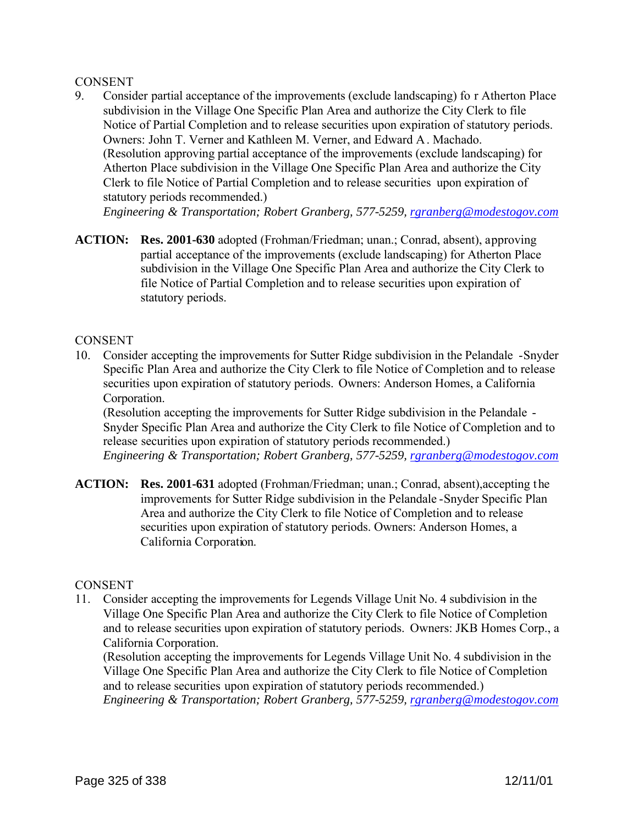## **CONSENT**

9. Consider partial acceptance of the improvements (exclude landscaping) fo r Atherton Place subdivision in the Village One Specific Plan Area and authorize the City Clerk to file Notice of Partial Completion and to release securities upon expiration of statutory periods. Owners: John T. Verner and Kathleen M. Verner, and Edward A. Machado. (Resolution approving partial acceptance of the improvements (exclude landscaping) for Atherton Place subdivision in the Village One Specific Plan Area and authorize the City Clerk to file Notice of Partial Completion and to release securities upon expiration of statutory periods recommended.)

*Engineering & Transportation; Robert Granberg, 577-5259, rgranberg@modestogov.com*

**ACTION: Res. 2001-630** adopted (Frohman/Friedman; unan.; Conrad, absent), approving partial acceptance of the improvements (exclude landscaping) for Atherton Place subdivision in the Village One Specific Plan Area and authorize the City Clerk to file Notice of Partial Completion and to release securities upon expiration of statutory periods.

## **CONSENT**

10. Consider accepting the improvements for Sutter Ridge subdivision in the Pelandale -Snyder Specific Plan Area and authorize the City Clerk to file Notice of Completion and to release securities upon expiration of statutory periods. Owners: Anderson Homes, a California Corporation.

(Resolution accepting the improvements for Sutter Ridge subdivision in the Pelandale - Snyder Specific Plan Area and authorize the City Clerk to file Notice of Completion and to release securities upon expiration of statutory periods recommended.) *Engineering & Transportation; Robert Granberg, 577-5259, rgranberg@modestogov.com*

**ACTION: Res. 2001-631** adopted (Frohman/Friedman; unan.; Conrad, absent),accepting the improvements for Sutter Ridge subdivision in the Pelandale -Snyder Specific Plan Area and authorize the City Clerk to file Notice of Completion and to release securities upon expiration of statutory periods. Owners: Anderson Homes, a California Corporation.

## **CONSENT**

11. Consider accepting the improvements for Legends Village Unit No. 4 subdivision in the Village One Specific Plan Area and authorize the City Clerk to file Notice of Completion and to release securities upon expiration of statutory periods. Owners: JKB Homes Corp., a California Corporation.

(Resolution accepting the improvements for Legends Village Unit No. 4 subdivision in the Village One Specific Plan Area and authorize the City Clerk to file Notice of Completion and to release securities upon expiration of statutory periods recommended.) *Engineering & Transportation; Robert Granberg, 577-5259, rgranberg@modestogov.com*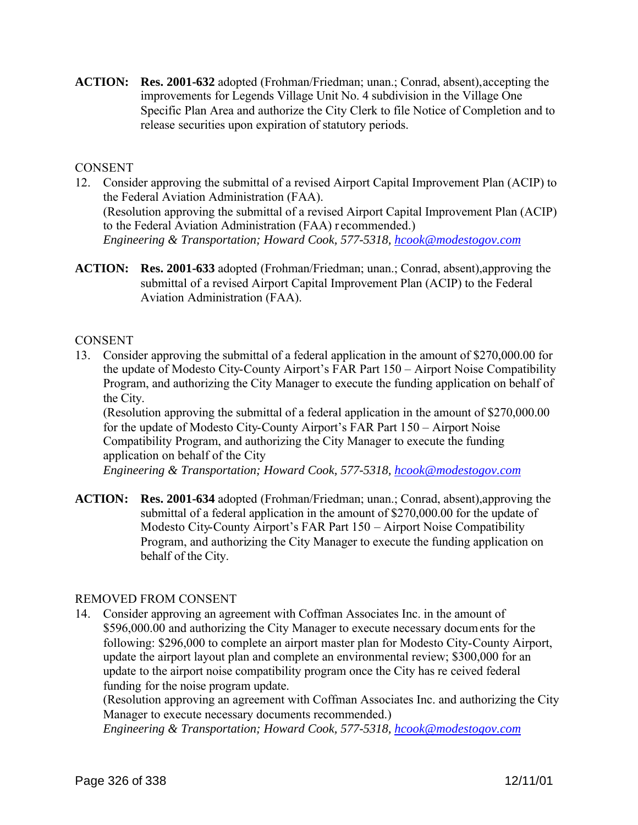**ACTION: Res. 2001-632** adopted (Frohman/Friedman; unan.; Conrad, absent),accepting the improvements for Legends Village Unit No. 4 subdivision in the Village One Specific Plan Area and authorize the City Clerk to file Notice of Completion and to release securities upon expiration of statutory periods.

## **CONSENT**

- 12. Consider approving the submittal of a revised Airport Capital Improvement Plan (ACIP) to the Federal Aviation Administration (FAA). (Resolution approving the submittal of a revised Airport Capital Improvement Plan (ACIP) to the Federal Aviation Administration (FAA) r ecommended.) *Engineering & Transportation; Howard Cook, 577-5318, hcook@modestogov.com*
- **ACTION: Res. 2001-633** adopted (Frohman/Friedman; unan.; Conrad, absent),approving the submittal of a revised Airport Capital Improvement Plan (ACIP) to the Federal Aviation Administration (FAA).

#### **CONSENT**

13. Consider approving the submittal of a federal application in the amount of \$270,000.00 for the update of Modesto City-County Airport's FAR Part 150 – Airport Noise Compatibility Program, and authorizing the City Manager to execute the funding application on behalf of the City.

(Resolution approving the submittal of a federal application in the amount of \$270,000.00 for the update of Modesto City-County Airport's FAR Part 150 – Airport Noise Compatibility Program, and authorizing the City Manager to execute the funding application on behalf of the City

*Engineering & Transportation; Howard Cook, 577-5318, hcook@modestogov.com*

**ACTION: Res. 2001-634** adopted (Frohman/Friedman; unan.; Conrad, absent),approving the submittal of a federal application in the amount of \$270,000.00 for the update of Modesto City-County Airport's FAR Part 150 – Airport Noise Compatibility Program, and authorizing the City Manager to execute the funding application on behalf of the City.

## REMOVED FROM CONSENT

14. Consider approving an agreement with Coffman Associates Inc. in the amount of \$596,000.00 and authorizing the City Manager to execute necessary documents for the following: \$296,000 to complete an airport master plan for Modesto City-County Airport, update the airport layout plan and complete an environmental review; \$300,000 for an update to the airport noise compatibility program once the City has re ceived federal funding for the noise program update.

(Resolution approving an agreement with Coffman Associates Inc. and authorizing the City Manager to execute necessary documents recommended.)

*Engineering & Transportation; Howard Cook, 577-5318, hcook@modestogov.com*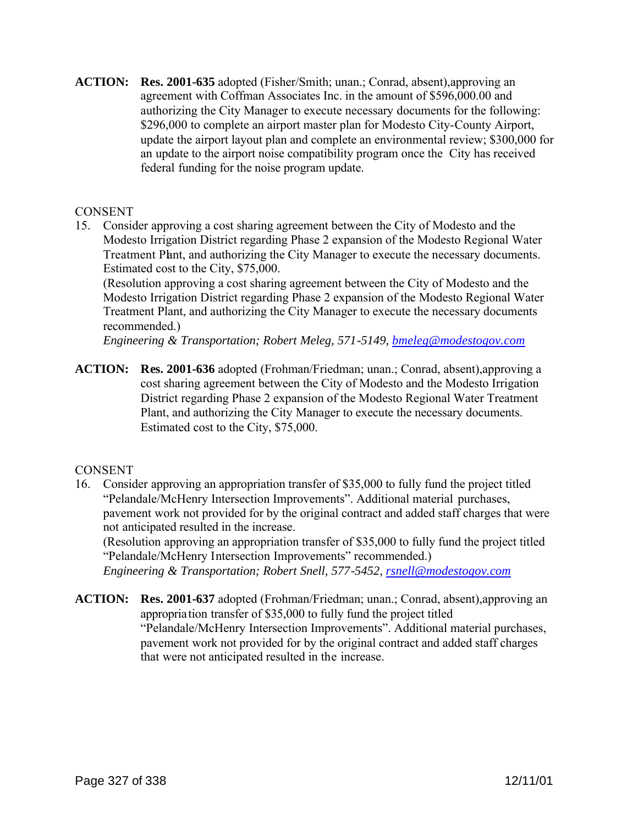**ACTION: Res. 2001-635** adopted (Fisher/Smith; unan.; Conrad, absent),approving an agreement with Coffman Associates Inc. in the amount of \$596,000.00 and authorizing the City Manager to execute necessary documents for the following: \$296,000 to complete an airport master plan for Modesto City-County Airport, update the airport layout plan and complete an environmental review; \$300,000 for an update to the airport noise compatibility program once the City has received federal funding for the noise program update.

## **CONSENT**

15. Consider approving a cost sharing agreement between the City of Modesto and the Modesto Irrigation District regarding Phase 2 expansion of the Modesto Regional Water Treatment Plant, and authorizing the City Manager to execute the necessary documents. Estimated cost to the City, \$75,000.

(Resolution approving a cost sharing agreement between the City of Modesto and the Modesto Irrigation District regarding Phase 2 expansion of the Modesto Regional Water Treatment Plant, and authorizing the City Manager to execute the necessary documents recommended.)

*Engineering & Transportation; Robert Meleg, 571-5149, bmeleg@modestogov.com*

**ACTION: Res. 2001-636** adopted (Frohman/Friedman; unan.; Conrad, absent),approving a cost sharing agreement between the City of Modesto and the Modesto Irrigation District regarding Phase 2 expansion of the Modesto Regional Water Treatment Plant, and authorizing the City Manager to execute the necessary documents. Estimated cost to the City, \$75,000.

# **CONSENT**

16. Consider approving an appropriation transfer of \$35,000 to fully fund the project titled "Pelandale/McHenry Intersection Improvements". Additional material purchases, pavement work not provided for by the original contract and added staff charges that were not anticipated resulted in the increase.

(Resolution approving an appropriation transfer of \$35,000 to fully fund the project titled "Pelandale/McHenry Intersection Improvements" recommended.)

*Engineering & Transportation; Robert Snell, 577-5452, rsnell@modestogov.com*

**ACTION: Res. 2001-637** adopted (Frohman/Friedman; unan.; Conrad, absent),approving an appropriation transfer of \$35,000 to fully fund the project titled "Pelandale/McHenry Intersection Improvements". Additional material purchases, pavement work not provided for by the original contract and added staff charges that were not anticipated resulted in the increase.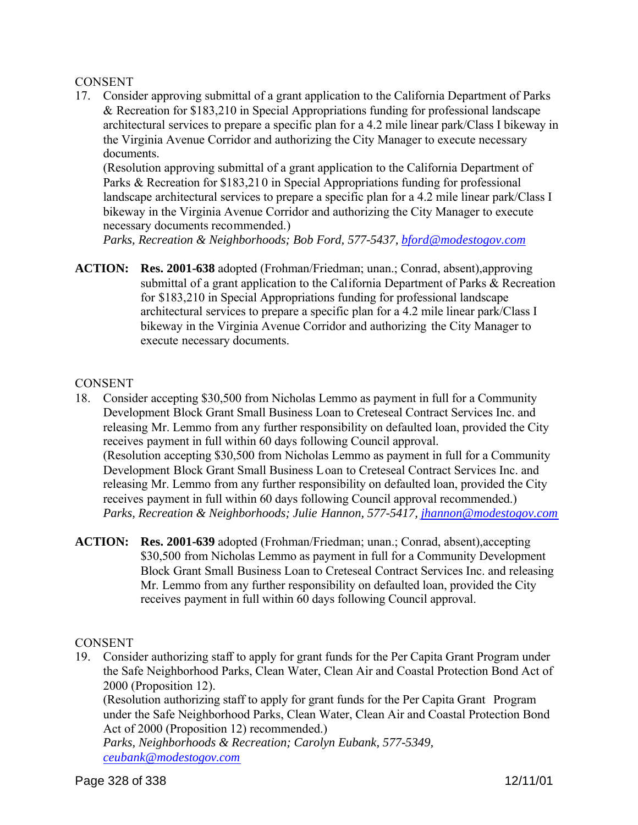## **CONSENT**

17. Consider approving submittal of a grant application to the California Department of Parks & Recreation for \$183,210 in Special Appropriations funding for professional landscape architectural services to prepare a specific plan for a 4.2 mile linear park/Class I bikeway in the Virginia Avenue Corridor and authorizing the City Manager to execute necessary documents.

(Resolution approving submittal of a grant application to the California Department of Parks & Recreation for \$183,210 in Special Appropriations funding for professional landscape architectural services to prepare a specific plan for a 4.2 mile linear park/Class I bikeway in the Virginia Avenue Corridor and authorizing the City Manager to execute necessary documents recommended.)

*Parks, Recreation & Neighborhoods; Bob Ford, 577-5437, bford@modestogov.com*

**ACTION: Res. 2001-638** adopted (Frohman/Friedman; unan.; Conrad, absent),approving submittal of a grant application to the California Department of Parks & Recreation for \$183,210 in Special Appropriations funding for professional landscape architectural services to prepare a specific plan for a 4.2 mile linear park/Class I bikeway in the Virginia Avenue Corridor and authorizing the City Manager to execute necessary documents.

## **CONSENT**

- 18. Consider accepting \$30,500 from Nicholas Lemmo as payment in full for a Community Development Block Grant Small Business Loan to Creteseal Contract Services Inc. and releasing Mr. Lemmo from any further responsibility on defaulted loan, provided the City receives payment in full within 60 days following Council approval. (Resolution accepting \$30,500 from Nicholas Lemmo as payment in full for a Community Development Block Grant Small Business Loan to Creteseal Contract Services Inc. and releasing Mr. Lemmo from any further responsibility on defaulted loan, provided the City receives payment in full within 60 days following Council approval recommended.) *Parks, Recreation & Neighborhoods; Julie Hannon, 577-5417, jhannon@modestogov.com*
- **ACTION: Res. 2001-639** adopted (Frohman/Friedman; unan.; Conrad, absent),accepting \$30,500 from Nicholas Lemmo as payment in full for a Community Development Block Grant Small Business Loan to Creteseal Contract Services Inc. and releasing Mr. Lemmo from any further responsibility on defaulted loan, provided the City receives payment in full within 60 days following Council approval.

# **CONSENT**

19. Consider authorizing staff to apply for grant funds for the Per Capita Grant Program under the Safe Neighborhood Parks, Clean Water, Clean Air and Coastal Protection Bond Act of 2000 (Proposition 12).

(Resolution authorizing staff to apply for grant funds for the Per Capita Grant Program under the Safe Neighborhood Parks, Clean Water, Clean Air and Coastal Protection Bond Act of 2000 (Proposition 12) recommended.)

*Parks, Neighborhoods & Recreation; Carolyn Eubank, 577-5349, ceubank@modestogov.com*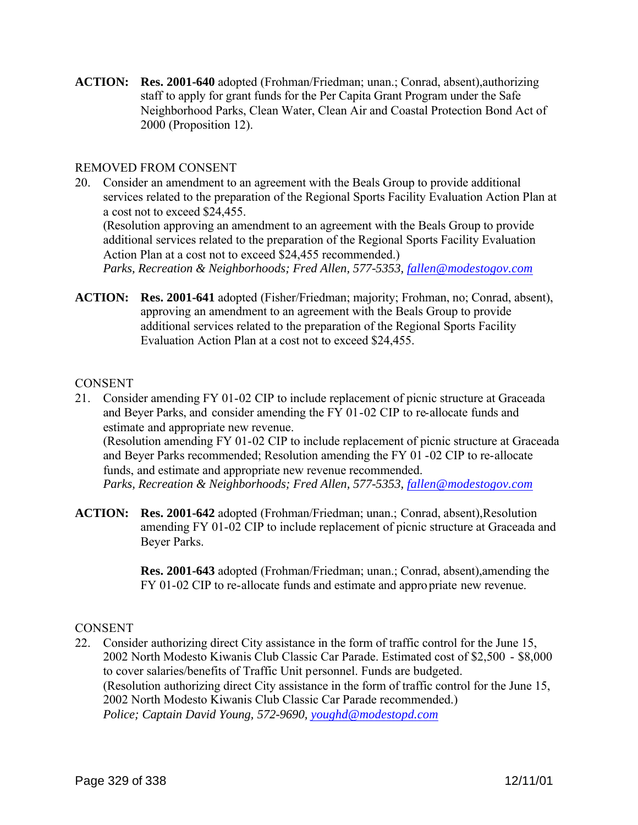**ACTION: Res. 2001-640** adopted (Frohman/Friedman; unan.; Conrad, absent),authorizing staff to apply for grant funds for the Per Capita Grant Program under the Safe Neighborhood Parks, Clean Water, Clean Air and Coastal Protection Bond Act of 2000 (Proposition 12).

## REMOVED FROM CONSENT

20. Consider an amendment to an agreement with the Beals Group to provide additional services related to the preparation of the Regional Sports Facility Evaluation Action Plan at a cost not to exceed \$24,455.

(Resolution approving an amendment to an agreement with the Beals Group to provide additional services related to the preparation of the Regional Sports Facility Evaluation Action Plan at a cost not to exceed \$24,455 recommended.)

*Parks, Recreation & Neighborhoods; Fred Allen, 577-5353, fallen@modestogov.com*

**ACTION: Res. 2001-641** adopted (Fisher/Friedman; majority; Frohman, no; Conrad, absent), approving an amendment to an agreement with the Beals Group to provide additional services related to the preparation of the Regional Sports Facility Evaluation Action Plan at a cost not to exceed \$24,455.

## **CONSENT**

21. Consider amending FY 01-02 CIP to include replacement of picnic structure at Graceada and Beyer Parks, and consider amending the FY 01-02 CIP to re-allocate funds and estimate and appropriate new revenue. (Resolution amending FY 01-02 CIP to include replacement of picnic structure at Graceada and Beyer Parks recommended; Resolution amending the FY 01 -02 CIP to re-allocate funds, and estimate and appropriate new revenue recommended.

*Parks, Recreation & Neighborhoods; Fred Allen, 577-5353, fallen@modestogov.com*

**ACTION: Res. 2001-642** adopted (Frohman/Friedman; unan.; Conrad, absent),Resolution amending FY 01-02 CIP to include replacement of picnic structure at Graceada and Beyer Parks.

> **Res. 2001-643** adopted (Frohman/Friedman; unan.; Conrad, absent),amending the FY 01-02 CIP to re-allocate funds and estimate and appropriate new revenue.

## **CONSENT**

22. Consider authorizing direct City assistance in the form of traffic control for the June 15, 2002 North Modesto Kiwanis Club Classic Car Parade. Estimated cost of \$2,500 - \$8,000 to cover salaries/benefits of Traffic Unit personnel. Funds are budgeted. (Resolution authorizing direct City assistance in the form of traffic control for the June 15, 2002 North Modesto Kiwanis Club Classic Car Parade recommended.) *Police; Captain David Young, 572-9690, youghd@modestopd.com*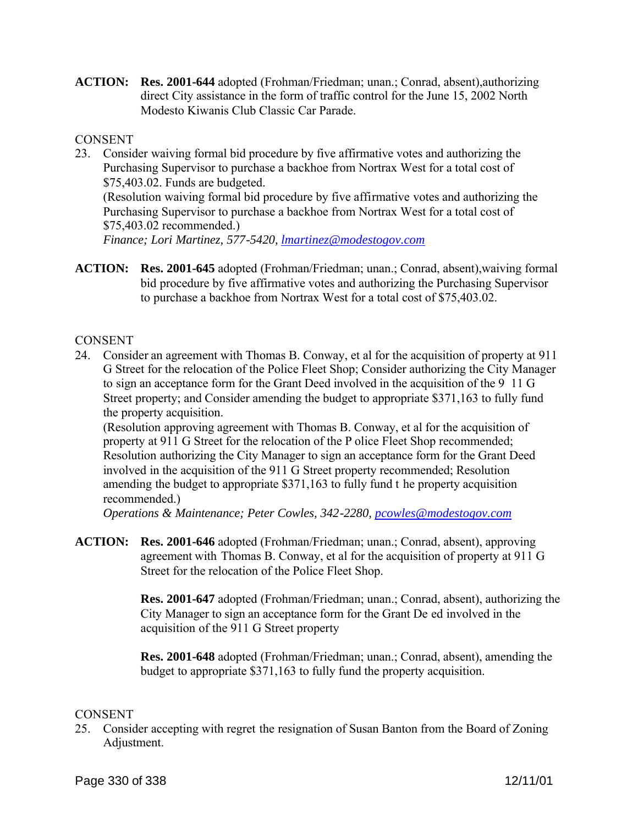**ACTION: Res. 2001-644** adopted (Frohman/Friedman; unan.; Conrad, absent),authorizing direct City assistance in the form of traffic control for the June 15, 2002 North Modesto Kiwanis Club Classic Car Parade.

## **CONSENT**

- 23. Consider waiving formal bid procedure by five affirmative votes and authorizing the Purchasing Supervisor to purchase a backhoe from Nortrax West for a total cost of \$75,403.02. Funds are budgeted. (Resolution waiving formal bid procedure by five affirmative votes and authorizing the Purchasing Supervisor to purchase a backhoe from Nortrax West for a total cost of \$75,403.02 recommended.) *Finance; Lori Martinez, 577-5420, lmartinez@modestogov.com*
- **ACTION: Res. 2001-645** adopted (Frohman/Friedman; unan.; Conrad, absent),waiving formal bid procedure by five affirmative votes and authorizing the Purchasing Supervisor to purchase a backhoe from Nortrax West for a total cost of \$75,403.02.

## **CONSENT**

24. Consider an agreement with Thomas B. Conway, et al for the acquisition of property at 911 G Street for the relocation of the Police Fleet Shop; Consider authorizing the City Manager to sign an acceptance form for the Grant Deed involved in the acquisition of the 9 11 G Street property; and Consider amending the budget to appropriate \$371,163 to fully fund the property acquisition.

(Resolution approving agreement with Thomas B. Conway, et al for the acquisition of property at 911 G Street for the relocation of the P olice Fleet Shop recommended; Resolution authorizing the City Manager to sign an acceptance form for the Grant Deed involved in the acquisition of the 911 G Street property recommended; Resolution amending the budget to appropriate \$371,163 to fully fund t he property acquisition recommended.)

*Operations & Maintenance; Peter Cowles, 342-2280, pcowles@modestogov.com*

**ACTION: Res. 2001-646** adopted (Frohman/Friedman; unan.; Conrad, absent), approving agreement with Thomas B. Conway, et al for the acquisition of property at 911 G Street for the relocation of the Police Fleet Shop.

> **Res. 2001-647** adopted (Frohman/Friedman; unan.; Conrad, absent), authorizing the City Manager to sign an acceptance form for the Grant De ed involved in the acquisition of the 911 G Street property

**Res. 2001-648** adopted (Frohman/Friedman; unan.; Conrad, absent), amending the budget to appropriate \$371,163 to fully fund the property acquisition.

## **CONSENT**

25. Consider accepting with regret the resignation of Susan Banton from the Board of Zoning Adjustment.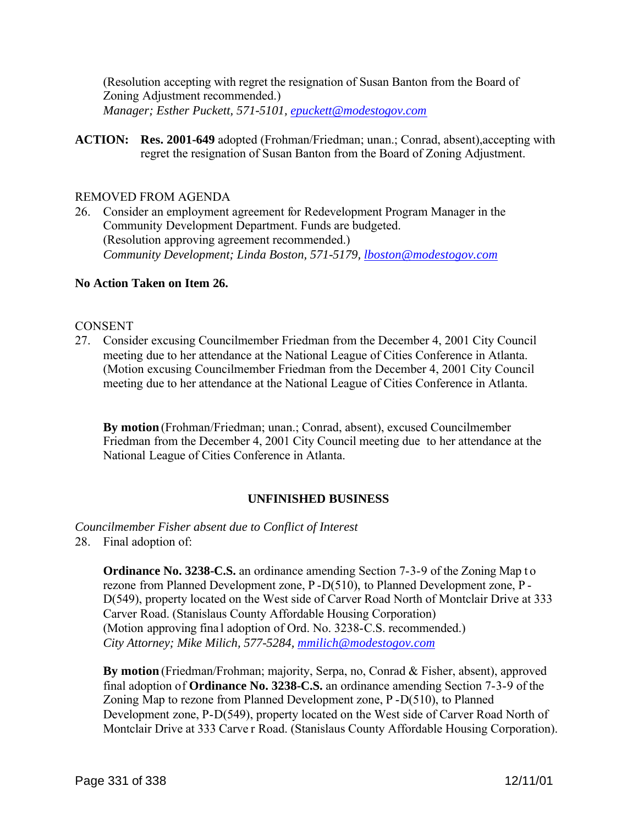(Resolution accepting with regret the resignation of Susan Banton from the Board of Zoning Adjustment recommended.) *Manager; Esther Puckett, 571-5101, epuckett@modestogov.com*

**ACTION: Res. 2001-649** adopted (Frohman/Friedman; unan.; Conrad, absent),accepting with regret the resignation of Susan Banton from the Board of Zoning Adjustment.

#### REMOVED FROM AGENDA

26. Consider an employment agreement for Redevelopment Program Manager in the Community Development Department. Funds are budgeted. (Resolution approving agreement recommended.) *Community Development; Linda Boston, 571-5179, lboston@modestogov.com*

#### **No Action Taken on Item 26.**

## **CONSENT**

27. Consider excusing Councilmember Friedman from the December 4, 2001 City Council meeting due to her attendance at the National League of Cities Conference in Atlanta. (Motion excusing Councilmember Friedman from the December 4, 2001 City Council meeting due to her attendance at the National League of Cities Conference in Atlanta.

**By motion** (Frohman/Friedman; unan.; Conrad, absent), excused Councilmember Friedman from the December 4, 2001 City Council meeting due to her attendance at the National League of Cities Conference in Atlanta.

## **UNFINISHED BUSINESS**

*Councilmember Fisher absent due to Conflict of Interest*

28. Final adoption of:

**Ordinance No. 3238-C.S.** an ordinance amending Section 7-3-9 of the Zoning Map to rezone from Planned Development zone, P -D(510), to Planned Development zone, P - D(549), property located on the West side of Carver Road North of Montclair Drive at 333 Carver Road. (Stanislaus County Affordable Housing Corporation) (Motion approving fina l adoption of Ord. No. 3238-C.S. recommended.) *City Attorney; Mike Milich, 577-5284, mmilich@modestogov.com*

**By motion** (Friedman/Frohman; majority, Serpa, no, Conrad & Fisher, absent), approved final adoption of **Ordinance No. 3238-C.S.** an ordinance amending Section 7-3-9 of the Zoning Map to rezone from Planned Development zone, P -D(510), to Planned Development zone, P-D(549), property located on the West side of Carver Road North of Montclair Drive at 333 Carve r Road. (Stanislaus County Affordable Housing Corporation).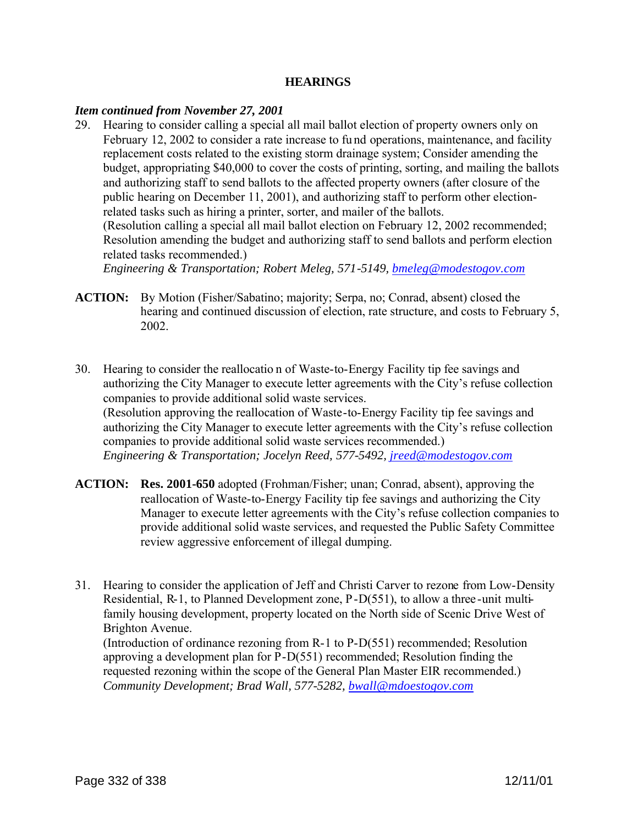#### **HEARINGS**

#### *Item continued from November 27, 2001*

29. Hearing to consider calling a special all mail ballot election of property owners only on February 12, 2002 to consider a rate increase to fu nd operations, maintenance, and facility replacement costs related to the existing storm drainage system; Consider amending the budget, appropriating \$40,000 to cover the costs of printing, sorting, and mailing the ballots and authorizing staff to send ballots to the affected property owners (after closure of the public hearing on December 11, 2001), and authorizing staff to perform other electionrelated tasks such as hiring a printer, sorter, and mailer of the ballots. (Resolution calling a special all mail ballot election on February 12, 2002 recommended; Resolution amending the budget and authorizing staff to send ballots and perform election related tasks recommended.)

*Engineering & Transportation; Robert Meleg, 571-5149, bmeleg@modestogov.com*

- **ACTION:** By Motion (Fisher/Sabatino; majority; Serpa, no; Conrad, absent) closed the hearing and continued discussion of election, rate structure, and costs to February 5, 2002.
- 30. Hearing to consider the reallocatio n of Waste-to-Energy Facility tip fee savings and authorizing the City Manager to execute letter agreements with the City's refuse collection companies to provide additional solid waste services. (Resolution approving the reallocation of Waste-to-Energy Facility tip fee savings and authorizing the City Manager to execute letter agreements with the City's refuse collection companies to provide additional solid waste services recommended.) *Engineering & Transportation; Jocelyn Reed, 577-5492, jreed@modestogov.com*
- **ACTION: Res. 2001-650** adopted (Frohman/Fisher; unan; Conrad, absent), approving the reallocation of Waste-to-Energy Facility tip fee savings and authorizing the City Manager to execute letter agreements with the City's refuse collection companies to provide additional solid waste services, and requested the Public Safety Committee review aggressive enforcement of illegal dumping.
- 31. Hearing to consider the application of Jeff and Christi Carver to rezone from Low-Density Residential, R-1, to Planned Development zone, P-D(551), to allow a three -unit multifamily housing development, property located on the North side of Scenic Drive West of Brighton Avenue.

(Introduction of ordinance rezoning from R-1 to P-D(551) recommended; Resolution approving a development plan for P-D(551) recommended; Resolution finding the requested rezoning within the scope of the General Plan Master EIR recommended.) *Community Development; Brad Wall, 577-5282, bwall@mdoestogov.com*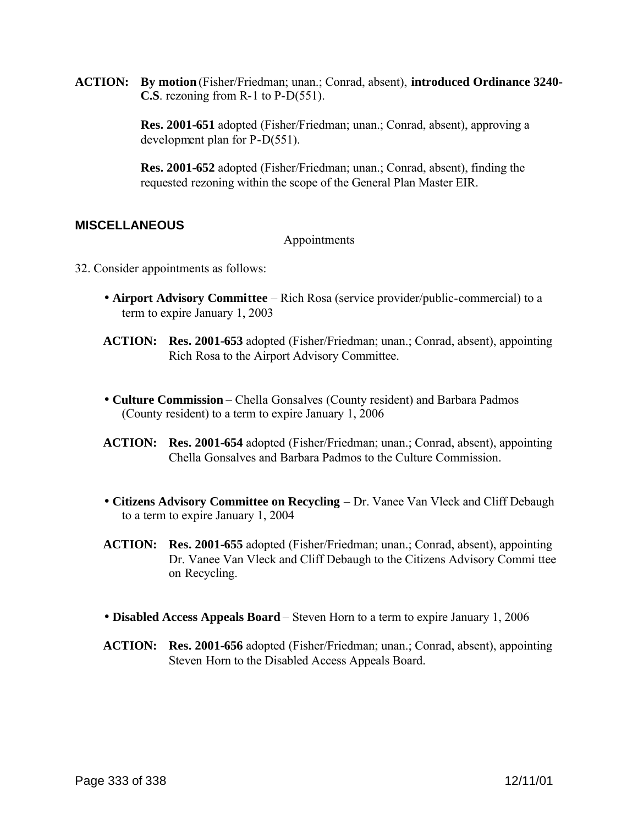**ACTION: By motion** (Fisher/Friedman; unan.; Conrad, absent), **introduced Ordinance 3240- C.S**. rezoning from R-1 to P-D(551).

> **Res. 2001-651** adopted (Fisher/Friedman; unan.; Conrad, absent), approving a development plan for P-D(551).

**Res. 2001-652** adopted (Fisher/Friedman; unan.; Conrad, absent), finding the requested rezoning within the scope of the General Plan Master EIR.

# **MISCELLANEOUS**

#### Appointments

- 32. Consider appointments as follows:
	- **Airport Advisory Committee** Rich Rosa (service provider/public-commercial) to a term to expire January 1, 2003
	- **ACTION: Res. 2001-653** adopted (Fisher/Friedman; unan.; Conrad, absent), appointing Rich Rosa to the Airport Advisory Committee.
	- **Culture Commission** Chella Gonsalves (County resident) and Barbara Padmos (County resident) to a term to expire January 1, 2006
	- **ACTION: Res. 2001-654** adopted (Fisher/Friedman; unan.; Conrad, absent), appointing Chella Gonsalves and Barbara Padmos to the Culture Commission.
	- **Citizens Advisory Committee on Recycling** Dr. Vanee Van Vleck and Cliff Debaugh to a term to expire January 1, 2004
	- **ACTION: Res. 2001-655** adopted (Fisher/Friedman; unan.; Conrad, absent), appointing Dr. Vanee Van Vleck and Cliff Debaugh to the Citizens Advisory Commi ttee on Recycling.
	- **Disabled Access Appeals Board** Steven Horn to a term to expire January 1, 2006
	- **ACTION: Res. 2001-656** adopted (Fisher/Friedman; unan.; Conrad, absent), appointing Steven Horn to the Disabled Access Appeals Board.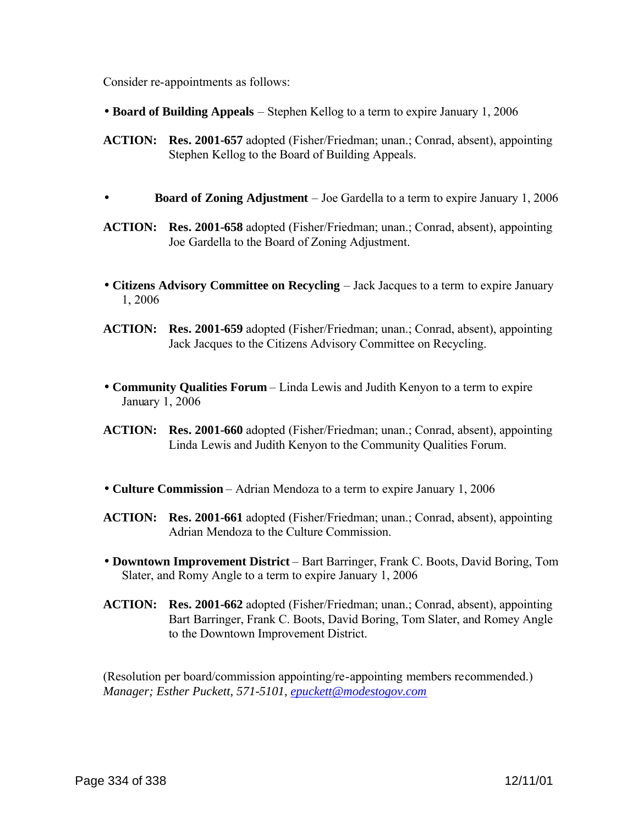Consider re-appointments as follows:

- **Board of Building Appeals** Stephen Kellog to a term to expire January 1, 2006
- **ACTION: Res. 2001-657** adopted (Fisher/Friedman; unan.; Conrad, absent), appointing Stephen Kellog to the Board of Building Appeals.
- **Board of Zoning Adjustment** Joe Gardella to a term to expire January 1, 2006
- **ACTION: Res. 2001-658** adopted (Fisher/Friedman; unan.; Conrad, absent), appointing Joe Gardella to the Board of Zoning Adjustment.
- **Citizens Advisory Committee on Recycling** Jack Jacques to a term to expire January 1, 2006
- **ACTION: Res. 2001-659** adopted (Fisher/Friedman; unan.; Conrad, absent), appointing Jack Jacques to the Citizens Advisory Committee on Recycling.
- **Community Qualities Forum** Linda Lewis and Judith Kenyon to a term to expire January 1, 2006
- **ACTION: Res. 2001-660** adopted (Fisher/Friedman; unan.; Conrad, absent), appointing Linda Lewis and Judith Kenyon to the Community Qualities Forum.
- **Culture Commission** Adrian Mendoza to a term to expire January 1, 2006
- **ACTION: Res. 2001-661** adopted (Fisher/Friedman; unan.; Conrad, absent), appointing Adrian Mendoza to the Culture Commission.
- **Downtown Improvement District** Bart Barringer, Frank C. Boots, David Boring, Tom Slater, and Romy Angle to a term to expire January 1, 2006
- **ACTION: Res. 2001-662** adopted (Fisher/Friedman; unan.; Conrad, absent), appointing Bart Barringer, Frank C. Boots, David Boring, Tom Slater, and Romey Angle to the Downtown Improvement District.

(Resolution per board/commission appointing/re-appointing members recommended.) *Manager; Esther Puckett, 571-5101, epuckett@modestogov.com*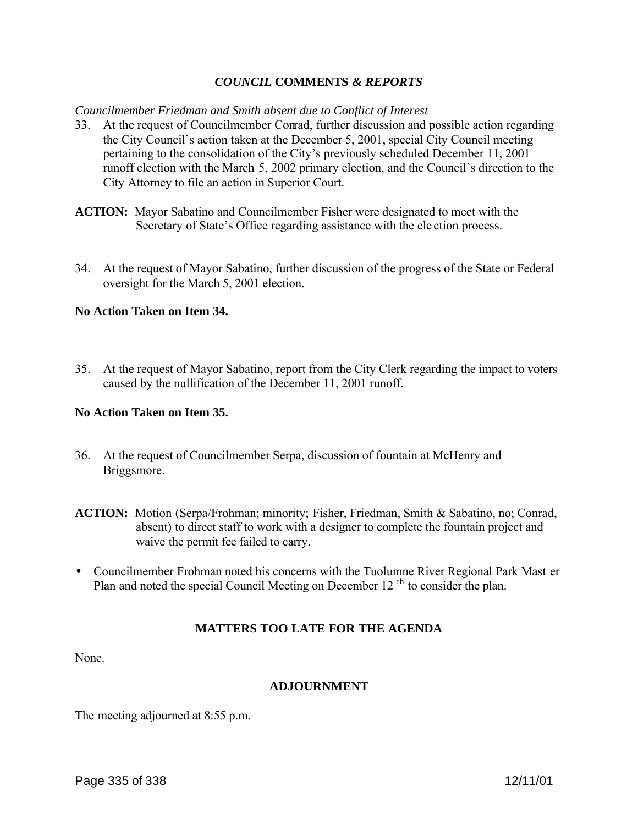## *COUNCIL* **COMMENTS** *& REPORTS*

#### *Councilmember Friedman and Smith absent due to Conflict of Interest*

- 33. At the request of Councilmember Conrad, further discussion and possible action regarding the City Council's action taken at the December 5, 2001, special City Council meeting pertaining to the consolidation of the City's previously scheduled December 11, 2001 runoff election with the March 5, 2002 primary election, and the Council's direction to the City Attorney to file an action in Superior Court.
- **ACTION:** Mayor Sabatino and Councilmember Fisher were designated to meet with the Secretary of State's Office regarding assistance with the ele ction process.
- 34. At the request of Mayor Sabatino, further discussion of the progress of the State or Federal oversight for the March 5, 2001 election.

## **No Action Taken on Item 34.**

35. At the request of Mayor Sabatino, report from the City Clerk regarding the impact to voters caused by the nullification of the December 11, 2001 runoff.

#### **No Action Taken on Item 35.**

- 36. At the request of Councilmember Serpa, discussion of fountain at McHenry and Briggsmore.
- **ACTION:** Motion (Serpa/Frohman; minority; Fisher, Friedman, Smith & Sabatino, no; Conrad, absent) to direct staff to work with a designer to complete the fountain project and waive the permit fee failed to carry.
- Councilmember Frohman noted his concerns with the Tuolumne River Regional Park Mast er Plan and noted the special Council Meeting on December 12<sup>th</sup> to consider the plan.

## **MATTERS TOO LATE FOR THE AGENDA**

None.

#### **ADJOURNMENT**

The meeting adjourned at 8:55 p.m.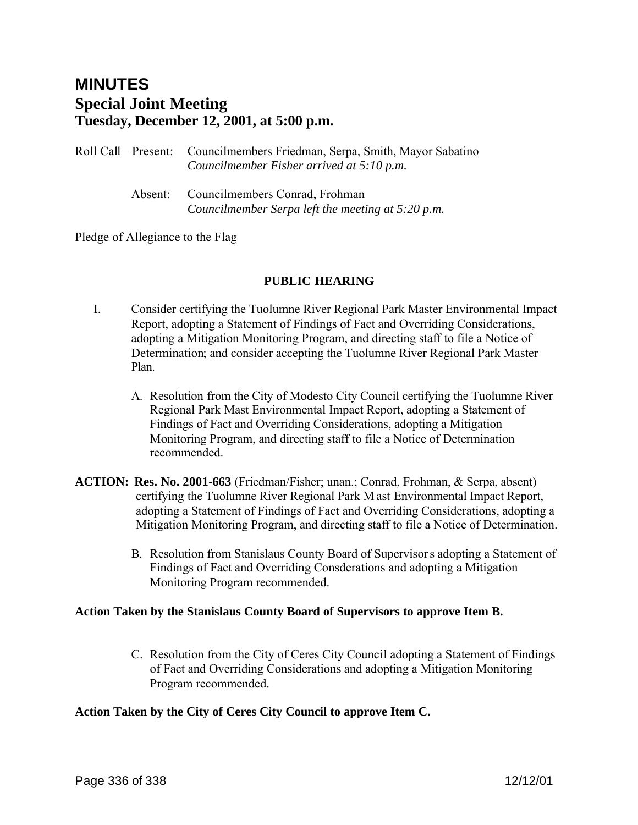# **MINUTES Special Joint Meeting Tuesday, December 12, 2001, at 5:00 p.m.**

Roll Call – Present: Councilmembers Friedman, Serpa, Smith, Mayor Sabatino *Councilmember Fisher arrived at 5:10 p.m.* Absent: Councilmembers Conrad, Frohman *Councilmember Serpa left the meeting at 5:20 p.m.*

Pledge of Allegiance to the Flag

## **PUBLIC HEARING**

- I. Consider certifying the Tuolumne River Regional Park Master Environmental Impact Report, adopting a Statement of Findings of Fact and Overriding Considerations, adopting a Mitigation Monitoring Program, and directing staff to file a Notice of Determination; and consider accepting the Tuolumne River Regional Park Master Plan.
	- A. Resolution from the City of Modesto City Council certifying the Tuolumne River Regional Park Mast Environmental Impact Report, adopting a Statement of Findings of Fact and Overriding Considerations, adopting a Mitigation Monitoring Program, and directing staff to file a Notice of Determination recommended.
- **ACTION: Res. No. 2001-663** (Friedman/Fisher; unan.; Conrad, Frohman, & Serpa, absent) certifying the Tuolumne River Regional Park M ast Environmental Impact Report, adopting a Statement of Findings of Fact and Overriding Considerations, adopting a Mitigation Monitoring Program, and directing staff to file a Notice of Determination.
	- B. Resolution from Stanislaus County Board of Supervisors adopting a Statement of Findings of Fact and Overriding Consderations and adopting a Mitigation Monitoring Program recommended.

## **Action Taken by the Stanislaus County Board of Supervisors to approve Item B.**

C. Resolution from the City of Ceres City Council adopting a Statement of Findings of Fact and Overriding Considerations and adopting a Mitigation Monitoring Program recommended.

## **Action Taken by the City of Ceres City Council to approve Item C.**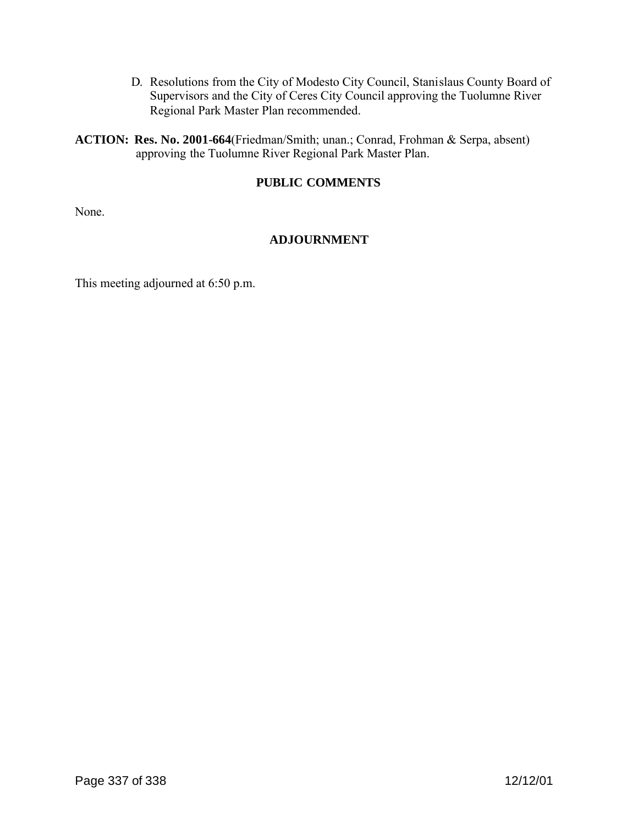D. Resolutions from the City of Modesto City Council, Stanislaus County Board of Supervisors and the City of Ceres City Council approving the Tuolumne River Regional Park Master Plan recommended.

**ACTION: Res. No. 2001-664**(Friedman/Smith; unan.; Conrad, Frohman & Serpa, absent) approving the Tuolumne River Regional Park Master Plan.

# **PUBLIC COMMENTS**

None.

# **ADJOURNMENT**

This meeting adjourned at 6:50 p.m.